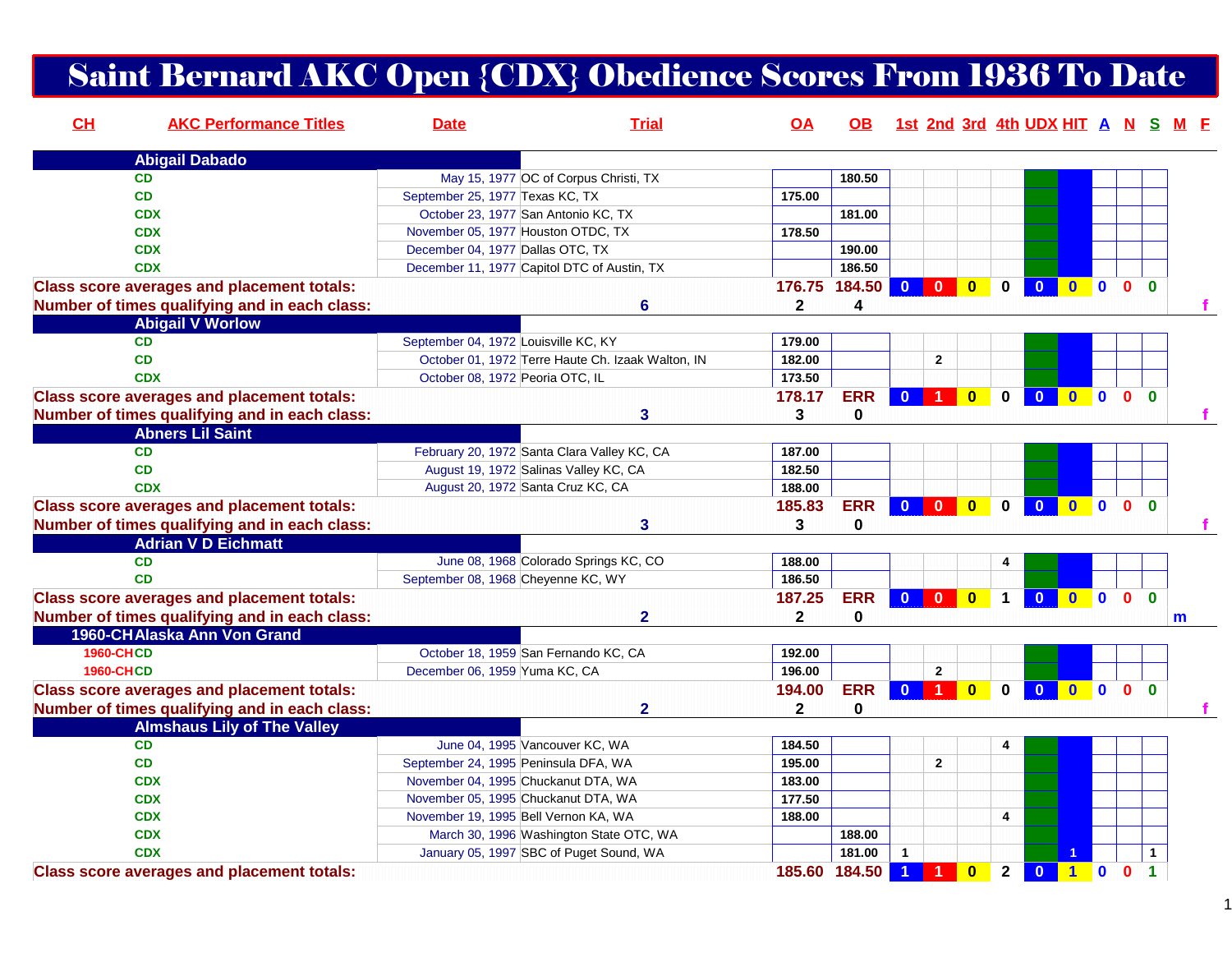## Saint Bernard AKC Open {CDX} Obedience Scores From 1936 To Date

| CL               | <b>AKC Performance Titles</b>                     | <b>Date</b>                          | <b>Trial</b>                                      | <b>OA</b>    | OB.           |                |                         |                         |                | 1st 2nd 3rd 4th UDX HIT A N S M F      |                                                                            |                |              |   |
|------------------|---------------------------------------------------|--------------------------------------|---------------------------------------------------|--------------|---------------|----------------|-------------------------|-------------------------|----------------|----------------------------------------|----------------------------------------------------------------------------|----------------|--------------|---|
|                  | <b>Abigail Dabado</b>                             |                                      |                                                   |              |               |                |                         |                         |                |                                        |                                                                            |                |              |   |
| <b>CD</b>        |                                                   |                                      | May 15, 1977 OC of Corpus Christi, TX             |              | 180.50        |                |                         |                         |                |                                        |                                                                            |                |              |   |
| <b>CD</b>        |                                                   | September 25, 1977 Texas KC, TX      |                                                   | 175.00       |               |                |                         |                         |                |                                        |                                                                            |                |              |   |
| <b>CDX</b>       |                                                   |                                      | October 23, 1977 San Antonio KC, TX               |              | 181.00        |                |                         |                         |                |                                        |                                                                            |                |              |   |
| <b>CDX</b>       |                                                   |                                      | November 05, 1977 Houston OTDC, TX                | 178.50       |               |                |                         |                         |                |                                        |                                                                            |                |              |   |
| <b>CDX</b>       |                                                   | December 04, 1977 Dallas OTC, TX     |                                                   |              | 190.00        |                |                         |                         |                |                                        |                                                                            |                |              |   |
| <b>CDX</b>       |                                                   |                                      | December 11, 1977 Capitol DTC of Austin, TX       |              | 186.50        |                |                         |                         |                |                                        |                                                                            |                |              |   |
|                  | <b>Class score averages and placement totals:</b> |                                      |                                                   |              | 176.75 184.50 | $\mathbf{0}$   | $\mathbf{0}$            | $\mathbf{0}$            | $\mathbf{0}$   | $\overline{0}$<br>$\bullet$            | $\bullet$                                                                  | 0 <sub>0</sub> |              |   |
|                  | Number of times qualifying and in each class:     |                                      | 6                                                 | $\mathbf{2}$ | 4             |                |                         |                         |                |                                        |                                                                            |                |              |   |
|                  | <b>Abigail V Worlow</b>                           |                                      |                                                   |              |               |                |                         |                         |                |                                        |                                                                            |                |              |   |
| <b>CD</b>        |                                                   | September 04, 1972 Louisville KC, KY |                                                   | 179.00       |               |                |                         |                         |                |                                        |                                                                            |                |              |   |
| <b>CD</b>        |                                                   |                                      | October 01, 1972 Terre Haute Ch. Izaak Walton, IN | 182.00       |               |                | $\overline{2}$          |                         |                |                                        |                                                                            |                |              |   |
| <b>CDX</b>       |                                                   | October 08, 1972 Peoria OTC, IL      |                                                   | 173.50       |               |                |                         |                         |                |                                        |                                                                            |                |              |   |
|                  | <b>Class score averages and placement totals:</b> |                                      |                                                   | 178.17       | <b>ERR</b>    | $\mathbf{0}$   | <b>11</b>               | $\bullet$               | $\mathbf{0}$   | <b>0000</b><br>$\overline{\mathbf{0}}$ |                                                                            |                |              |   |
|                  | Number of times qualifying and in each class:     |                                      | 3                                                 | 3            | $\mathbf 0$   |                |                         |                         |                |                                        |                                                                            |                |              |   |
|                  | <b>Abners Lil Saint</b>                           |                                      |                                                   |              |               |                |                         |                         |                |                                        |                                                                            |                |              |   |
| <b>CD</b>        |                                                   |                                      | February 20, 1972 Santa Clara Valley KC, CA       | 187.00       |               |                |                         |                         |                |                                        |                                                                            |                |              |   |
| <b>CD</b>        |                                                   |                                      | August 19, 1972 Salinas Valley KC, CA             | 182.50       |               |                |                         |                         |                |                                        |                                                                            |                |              |   |
| <b>CDX</b>       |                                                   |                                      | August 20, 1972 Santa Cruz KC, CA                 | 188.00       |               |                |                         |                         |                |                                        |                                                                            |                |              |   |
|                  | <b>Class score averages and placement totals:</b> |                                      |                                                   | 185.83       | <b>ERR</b>    | $\bullet$      | $\overline{\mathbf{0}}$ | $\overline{\mathbf{0}}$ | $\mathbf 0$    | $\mathbf{0}$                           | $\bullet$ $\bullet$                                                        | 0 <sub>0</sub> |              |   |
|                  | Number of times qualifying and in each class:     |                                      | 3                                                 | 3            | 0             |                |                         |                         |                |                                        |                                                                            |                |              |   |
|                  | <b>Adrian V D Eichmatt</b>                        |                                      |                                                   |              |               |                |                         |                         |                |                                        |                                                                            |                |              |   |
| <b>CD</b>        |                                                   |                                      | June 08, 1968 Colorado Springs KC, CO             | 188.00       |               |                |                         |                         | 4              |                                        |                                                                            |                |              |   |
| <b>CD</b>        |                                                   | September 08, 1968 Cheyenne KC, WY   |                                                   | 186.50       |               |                |                         |                         |                |                                        |                                                                            |                |              |   |
|                  | <b>Class score averages and placement totals:</b> |                                      |                                                   | 187.25       | <b>ERR</b>    | $\bullet$      | $\overline{\mathbf{0}}$ | $\overline{\mathbf{0}}$ | $\mathbf 1$    | $\overline{\mathbf{0}}$<br>000         |                                                                            |                | 0            |   |
|                  | Number of times qualifying and in each class:     |                                      | $\overline{2}$                                    | $\mathbf{2}$ | $\mathbf 0$   |                |                         |                         |                |                                        |                                                                            |                |              | m |
|                  | 1960-CHAlaska Ann Von Grand                       |                                      |                                                   |              |               |                |                         |                         |                |                                        |                                                                            |                |              |   |
| <b>1960-CHCD</b> |                                                   |                                      | October 18, 1959 San Fernando KC, CA              | 192.00       |               |                |                         |                         |                |                                        |                                                                            |                |              |   |
| <b>1960-CHCD</b> |                                                   | December 06, 1959 Yuma KC, CA        |                                                   | 196.00       |               |                | $\overline{2}$          |                         |                |                                        |                                                                            |                |              |   |
|                  | <b>Class score averages and placement totals:</b> |                                      |                                                   | 194.00       | <b>ERR</b>    | $\mathbf{0}$   | $\blacksquare$          | $\overline{\mathbf{0}}$ | $\mathbf{0}$   | $\overline{\mathbf{0}}$<br>0000        |                                                                            |                |              |   |
|                  | Number of times qualifying and in each class:     |                                      | $\overline{2}$                                    | 2            | $\pmb{0}$     |                |                         |                         |                |                                        |                                                                            |                |              |   |
|                  | <b>Almshaus Lily of The Valley</b>                |                                      |                                                   |              |               |                |                         |                         |                |                                        |                                                                            |                |              |   |
| <b>CD</b>        |                                                   |                                      | June 04, 1995 Vancouver KC, WA                    | 184.50       |               |                |                         |                         | 4              |                                        |                                                                            |                |              |   |
| CD               |                                                   |                                      | September 24, 1995 Peninsula DFA, WA              | 195.00       |               |                | $\overline{2}$          |                         |                |                                        |                                                                            |                |              |   |
| <b>CDX</b>       |                                                   |                                      | November 04, 1995 Chuckanut DTA, WA               | 183.00       |               |                |                         |                         |                |                                        |                                                                            |                |              |   |
| <b>CDX</b>       |                                                   |                                      | November 05, 1995 Chuckanut DTA, WA               | 177.50       |               |                |                         |                         |                |                                        |                                                                            |                |              |   |
| <b>CDX</b>       |                                                   |                                      | November 19, 1995 Bell Vernon KA, WA              | 188.00       |               |                |                         |                         | $\overline{4}$ |                                        |                                                                            |                |              |   |
| <b>CDX</b>       |                                                   |                                      | March 30, 1996 Washington State OTC, WA           |              | 188.00        |                |                         |                         |                |                                        |                                                                            |                |              |   |
| <b>CDX</b>       |                                                   |                                      | January 05, 1997 SBC of Puget Sound, WA           |              | 181.00        | $\mathbf{1}$   |                         |                         |                |                                        |                                                                            |                | $\mathbf{1}$ |   |
|                  | <b>Class score averages and placement totals:</b> |                                      |                                                   |              | 185.60 184.50 | $\overline{1}$ | $\blacktriangleleft$    | $\overline{\mathbf{0}}$ | $\overline{2}$ | $\overline{\mathbf{0}}$                | $\begin{array}{ c c c c c }\n\hline\n\textbf{1} & \textbf{0}\n\end{array}$ | $\mathbf{0}$   | $\mathbf 1$  |   |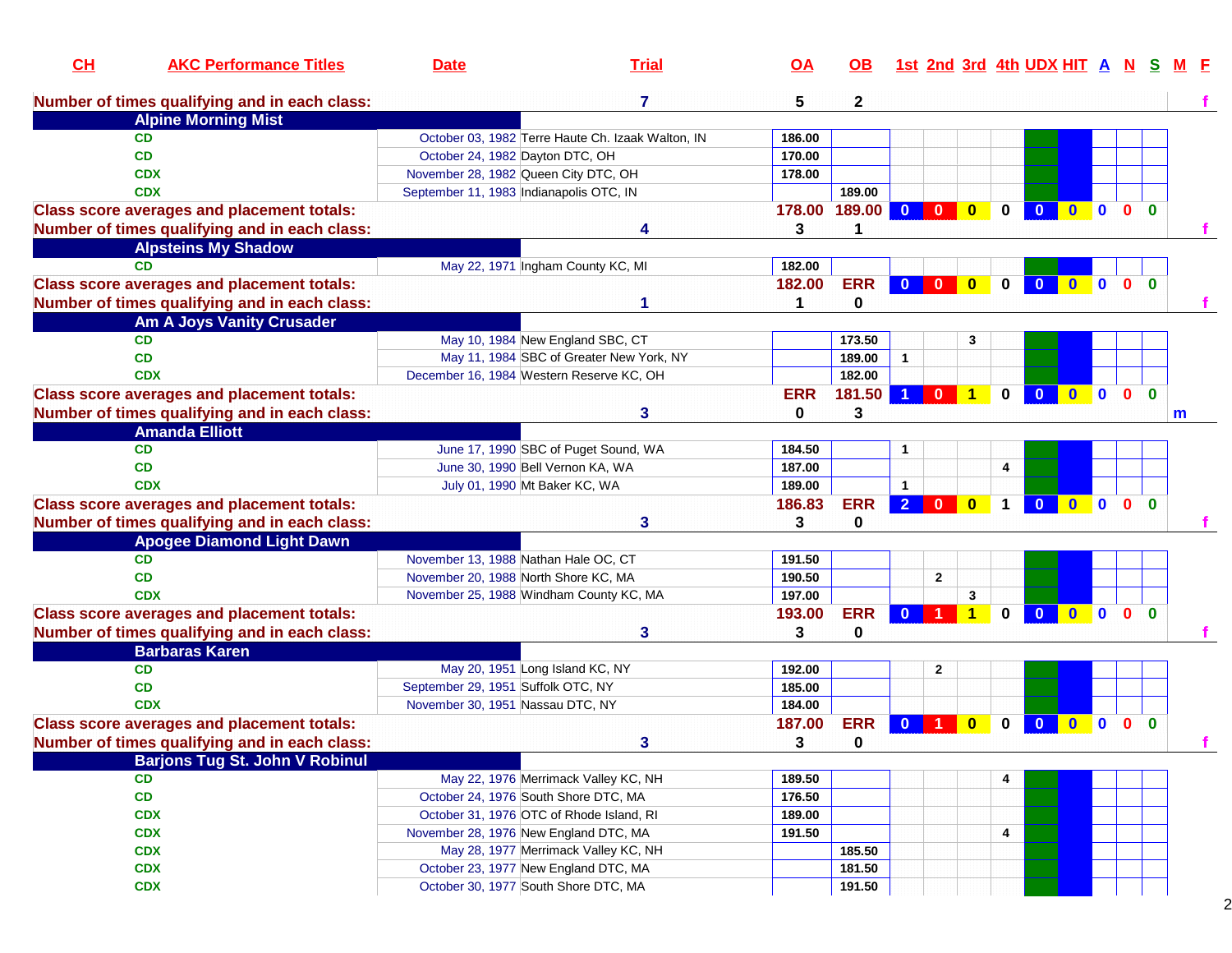| 7<br>5<br>Number of times qualifying and in each class:<br>$\mathbf{2}$<br><b>Alpine Morning Mist</b><br>October 03, 1982 Terre Haute Ch. Izaak Walton, IN<br>CD<br>186.00<br>CD<br>October 24, 1982 Dayton DTC, OH<br>170.00<br>November 28, 1982 Queen City DTC, OH<br>178.00<br><b>CDX</b><br><b>CDX</b><br>September 11, 1983 Indianapolis OTC, IN<br>189.00<br>189.00<br><b>Class score averages and placement totals:</b><br>178.00<br>$\mathbf{0}$<br>$\mathbf{0}$<br>$\mathbf{0}$<br>U<br>$\mathbf{0}$<br>$\mathbf{0}$<br>$\Omega$<br>$\bf{0}$<br>$\mathbf{0}$<br>Number of times qualifying and in each class:<br>3<br>1<br><b>Alpsteins My Shadow</b><br>May 22, 1971 Ingham County KC, MI<br>182.00<br>CD<br><b>ERR</b><br><b>Class score averages and placement totals:</b><br>182.00<br>$\mathbf{0}$<br>$\mathbf{0}$<br>$\mathbf{0}$<br>$\mathbf{0}$<br>$\mathbf{0}$<br>0<br>$\Omega$<br>$\mathbf{0}$<br>$\Omega$<br>Number of times qualifying and in each class:<br>0<br>1<br><b>Am A Joys Vanity Crusader</b><br><b>CD</b><br>May 10, 1984 New England SBC, CT<br>173.50<br>3<br><b>CD</b><br>189.00<br>May 11, 1984 SBC of Greater New York, NY<br>$\mathbf{1}$<br>182.00<br><b>CDX</b><br>December 16, 1984 Western Reserve KC, OH<br><b>Class score averages and placement totals:</b><br><b>ERR</b><br>181.50<br>$\blacktriangleleft$<br>0<br>$\mathbf{0}$<br>$\Omega$<br>$\Omega$<br>$\blacktriangleleft$<br>$\bf{0}$<br>$\bf{0}$<br>$\mathbf{0}$<br>Number of times qualifying and in each class:<br>3<br>3<br>0<br>m<br><b>Amanda Elliott</b><br>June 17, 1990 SBC of Puget Sound, WA<br><b>CD</b><br>184.50<br><b>CD</b><br>187.00<br>June 30, 1990 Bell Vernon KA, WA<br>4<br><b>CDX</b><br>189.00<br>July 01, 1990 Mt Baker KC, WA<br><b>ERR</b><br>2 <sup>1</sup><br>$0$ 0 0<br>$\overline{0}$<br>$\overline{\mathbf{0}}$<br>$\mathbf 1$<br>$\bullet$<br>$\Omega$<br><b>Class score averages and placement totals:</b><br>186.83<br>Number of times qualifying and in each class:<br>0<br>3<br>3<br><b>Apogee Diamond Light Dawn</b><br>November 13, 1988 Nathan Hale OC, CT<br><b>CD</b><br>191.50<br><b>CD</b><br>190.50<br>$\mathbf{2}$<br>November 20, 1988 North Shore KC, MA<br><b>CDX</b><br>197.00<br>3<br>November 25, 1988 Windham County KC, MA<br><b>ERR</b><br><b>00</b><br><b>Class score averages and placement totals:</b><br>$\mathbf{0}$<br>$\overline{\mathbf{0}}$<br>0 <sub>0</sub><br>193.00<br>$\blacktriangleleft$<br>$\bf{0}$<br>0<br>Number of times qualifying and in each class:<br>3<br>3<br><b>Barbaras Karen</b><br><b>CD</b><br>May 20, 1951 Long Island KC, NY<br>192.00<br>$\mathbf{2}$<br>September 29, 1951 Suffolk OTC, NY<br>185.00<br><b>CD</b><br><b>CDX</b><br>November 30, 1951 Nassau DTC, NY<br>184.00<br><b>ERR</b><br><b>Class score averages and placement totals:</b><br>187.00<br>$\Omega$<br>U<br>$\mathbf{0}$<br>$\bf{0}$<br>$\bf{0}$<br>$\bf{0}$<br>$\bf{0}$<br>$\mathbf{0}$<br>Number of times qualifying and in each class:<br>3<br>0<br>3<br><b>Barjons Tug St. John V Robinul</b><br><b>CD</b><br>May 22, 1976 Merrimack Valley KC, NH<br>189.50<br>4<br>CD<br>October 24, 1976 South Shore DTC, MA<br>176.50<br><b>CDX</b><br>189.00<br>October 31, 1976 OTC of Rhode Island, RI<br><b>CDX</b><br>November 28, 1976 New England DTC, MA<br>191.50<br>4<br><b>CDX</b><br>May 28, 1977 Merrimack Valley KC, NH<br>185.50<br><b>CDX</b><br>October 23, 1977 New England DTC, MA<br>181.50 | CL | <b>AKC Performance Titles</b> | <b>Date</b> | <b>Trial</b> | <u>OA</u> | OB. |  |  | 1st 2nd 3rd 4th UDX HIT A |  | -N | s |  |
|---------------------------------------------------------------------------------------------------------------------------------------------------------------------------------------------------------------------------------------------------------------------------------------------------------------------------------------------------------------------------------------------------------------------------------------------------------------------------------------------------------------------------------------------------------------------------------------------------------------------------------------------------------------------------------------------------------------------------------------------------------------------------------------------------------------------------------------------------------------------------------------------------------------------------------------------------------------------------------------------------------------------------------------------------------------------------------------------------------------------------------------------------------------------------------------------------------------------------------------------------------------------------------------------------------------------------------------------------------------------------------------------------------------------------------------------------------------------------------------------------------------------------------------------------------------------------------------------------------------------------------------------------------------------------------------------------------------------------------------------------------------------------------------------------------------------------------------------------------------------------------------------------------------------------------------------------------------------------------------------------------------------------------------------------------------------------------------------------------------------------------------------------------------------------------------------------------------------------------------------------------------------------------------------------------------------------------------------------------------------------------------------------------------------------------------------------------------------------------------------------------------------------------------------------------------------------------------------------------------------------------------------------------------------------------------------------------------------------------------------------------------------------------------------------------------------------------------------------------------------------------------------------------------------------------------------------------------------------------------------------------------------------------------------------------------------------------------------------------------------------------------------------------------------------------------------------------------------------------------------------------------------------------------------------------------------------------------------------------------------------------------------------------------------------------------------------------------------------|----|-------------------------------|-------------|--------------|-----------|-----|--|--|---------------------------|--|----|---|--|
|                                                                                                                                                                                                                                                                                                                                                                                                                                                                                                                                                                                                                                                                                                                                                                                                                                                                                                                                                                                                                                                                                                                                                                                                                                                                                                                                                                                                                                                                                                                                                                                                                                                                                                                                                                                                                                                                                                                                                                                                                                                                                                                                                                                                                                                                                                                                                                                                                                                                                                                                                                                                                                                                                                                                                                                                                                                                                                                                                                                                                                                                                                                                                                                                                                                                                                                                                                                                                                                                           |    |                               |             |              |           |     |  |  |                           |  |    |   |  |
|                                                                                                                                                                                                                                                                                                                                                                                                                                                                                                                                                                                                                                                                                                                                                                                                                                                                                                                                                                                                                                                                                                                                                                                                                                                                                                                                                                                                                                                                                                                                                                                                                                                                                                                                                                                                                                                                                                                                                                                                                                                                                                                                                                                                                                                                                                                                                                                                                                                                                                                                                                                                                                                                                                                                                                                                                                                                                                                                                                                                                                                                                                                                                                                                                                                                                                                                                                                                                                                                           |    |                               |             |              |           |     |  |  |                           |  |    |   |  |
|                                                                                                                                                                                                                                                                                                                                                                                                                                                                                                                                                                                                                                                                                                                                                                                                                                                                                                                                                                                                                                                                                                                                                                                                                                                                                                                                                                                                                                                                                                                                                                                                                                                                                                                                                                                                                                                                                                                                                                                                                                                                                                                                                                                                                                                                                                                                                                                                                                                                                                                                                                                                                                                                                                                                                                                                                                                                                                                                                                                                                                                                                                                                                                                                                                                                                                                                                                                                                                                                           |    |                               |             |              |           |     |  |  |                           |  |    |   |  |
|                                                                                                                                                                                                                                                                                                                                                                                                                                                                                                                                                                                                                                                                                                                                                                                                                                                                                                                                                                                                                                                                                                                                                                                                                                                                                                                                                                                                                                                                                                                                                                                                                                                                                                                                                                                                                                                                                                                                                                                                                                                                                                                                                                                                                                                                                                                                                                                                                                                                                                                                                                                                                                                                                                                                                                                                                                                                                                                                                                                                                                                                                                                                                                                                                                                                                                                                                                                                                                                                           |    |                               |             |              |           |     |  |  |                           |  |    |   |  |
|                                                                                                                                                                                                                                                                                                                                                                                                                                                                                                                                                                                                                                                                                                                                                                                                                                                                                                                                                                                                                                                                                                                                                                                                                                                                                                                                                                                                                                                                                                                                                                                                                                                                                                                                                                                                                                                                                                                                                                                                                                                                                                                                                                                                                                                                                                                                                                                                                                                                                                                                                                                                                                                                                                                                                                                                                                                                                                                                                                                                                                                                                                                                                                                                                                                                                                                                                                                                                                                                           |    |                               |             |              |           |     |  |  |                           |  |    |   |  |
|                                                                                                                                                                                                                                                                                                                                                                                                                                                                                                                                                                                                                                                                                                                                                                                                                                                                                                                                                                                                                                                                                                                                                                                                                                                                                                                                                                                                                                                                                                                                                                                                                                                                                                                                                                                                                                                                                                                                                                                                                                                                                                                                                                                                                                                                                                                                                                                                                                                                                                                                                                                                                                                                                                                                                                                                                                                                                                                                                                                                                                                                                                                                                                                                                                                                                                                                                                                                                                                                           |    |                               |             |              |           |     |  |  |                           |  |    |   |  |
|                                                                                                                                                                                                                                                                                                                                                                                                                                                                                                                                                                                                                                                                                                                                                                                                                                                                                                                                                                                                                                                                                                                                                                                                                                                                                                                                                                                                                                                                                                                                                                                                                                                                                                                                                                                                                                                                                                                                                                                                                                                                                                                                                                                                                                                                                                                                                                                                                                                                                                                                                                                                                                                                                                                                                                                                                                                                                                                                                                                                                                                                                                                                                                                                                                                                                                                                                                                                                                                                           |    |                               |             |              |           |     |  |  |                           |  |    |   |  |
|                                                                                                                                                                                                                                                                                                                                                                                                                                                                                                                                                                                                                                                                                                                                                                                                                                                                                                                                                                                                                                                                                                                                                                                                                                                                                                                                                                                                                                                                                                                                                                                                                                                                                                                                                                                                                                                                                                                                                                                                                                                                                                                                                                                                                                                                                                                                                                                                                                                                                                                                                                                                                                                                                                                                                                                                                                                                                                                                                                                                                                                                                                                                                                                                                                                                                                                                                                                                                                                                           |    |                               |             |              |           |     |  |  |                           |  |    |   |  |
|                                                                                                                                                                                                                                                                                                                                                                                                                                                                                                                                                                                                                                                                                                                                                                                                                                                                                                                                                                                                                                                                                                                                                                                                                                                                                                                                                                                                                                                                                                                                                                                                                                                                                                                                                                                                                                                                                                                                                                                                                                                                                                                                                                                                                                                                                                                                                                                                                                                                                                                                                                                                                                                                                                                                                                                                                                                                                                                                                                                                                                                                                                                                                                                                                                                                                                                                                                                                                                                                           |    |                               |             |              |           |     |  |  |                           |  |    |   |  |
|                                                                                                                                                                                                                                                                                                                                                                                                                                                                                                                                                                                                                                                                                                                                                                                                                                                                                                                                                                                                                                                                                                                                                                                                                                                                                                                                                                                                                                                                                                                                                                                                                                                                                                                                                                                                                                                                                                                                                                                                                                                                                                                                                                                                                                                                                                                                                                                                                                                                                                                                                                                                                                                                                                                                                                                                                                                                                                                                                                                                                                                                                                                                                                                                                                                                                                                                                                                                                                                                           |    |                               |             |              |           |     |  |  |                           |  |    |   |  |
|                                                                                                                                                                                                                                                                                                                                                                                                                                                                                                                                                                                                                                                                                                                                                                                                                                                                                                                                                                                                                                                                                                                                                                                                                                                                                                                                                                                                                                                                                                                                                                                                                                                                                                                                                                                                                                                                                                                                                                                                                                                                                                                                                                                                                                                                                                                                                                                                                                                                                                                                                                                                                                                                                                                                                                                                                                                                                                                                                                                                                                                                                                                                                                                                                                                                                                                                                                                                                                                                           |    |                               |             |              |           |     |  |  |                           |  |    |   |  |
|                                                                                                                                                                                                                                                                                                                                                                                                                                                                                                                                                                                                                                                                                                                                                                                                                                                                                                                                                                                                                                                                                                                                                                                                                                                                                                                                                                                                                                                                                                                                                                                                                                                                                                                                                                                                                                                                                                                                                                                                                                                                                                                                                                                                                                                                                                                                                                                                                                                                                                                                                                                                                                                                                                                                                                                                                                                                                                                                                                                                                                                                                                                                                                                                                                                                                                                                                                                                                                                                           |    |                               |             |              |           |     |  |  |                           |  |    |   |  |
|                                                                                                                                                                                                                                                                                                                                                                                                                                                                                                                                                                                                                                                                                                                                                                                                                                                                                                                                                                                                                                                                                                                                                                                                                                                                                                                                                                                                                                                                                                                                                                                                                                                                                                                                                                                                                                                                                                                                                                                                                                                                                                                                                                                                                                                                                                                                                                                                                                                                                                                                                                                                                                                                                                                                                                                                                                                                                                                                                                                                                                                                                                                                                                                                                                                                                                                                                                                                                                                                           |    |                               |             |              |           |     |  |  |                           |  |    |   |  |
|                                                                                                                                                                                                                                                                                                                                                                                                                                                                                                                                                                                                                                                                                                                                                                                                                                                                                                                                                                                                                                                                                                                                                                                                                                                                                                                                                                                                                                                                                                                                                                                                                                                                                                                                                                                                                                                                                                                                                                                                                                                                                                                                                                                                                                                                                                                                                                                                                                                                                                                                                                                                                                                                                                                                                                                                                                                                                                                                                                                                                                                                                                                                                                                                                                                                                                                                                                                                                                                                           |    |                               |             |              |           |     |  |  |                           |  |    |   |  |
|                                                                                                                                                                                                                                                                                                                                                                                                                                                                                                                                                                                                                                                                                                                                                                                                                                                                                                                                                                                                                                                                                                                                                                                                                                                                                                                                                                                                                                                                                                                                                                                                                                                                                                                                                                                                                                                                                                                                                                                                                                                                                                                                                                                                                                                                                                                                                                                                                                                                                                                                                                                                                                                                                                                                                                                                                                                                                                                                                                                                                                                                                                                                                                                                                                                                                                                                                                                                                                                                           |    |                               |             |              |           |     |  |  |                           |  |    |   |  |
|                                                                                                                                                                                                                                                                                                                                                                                                                                                                                                                                                                                                                                                                                                                                                                                                                                                                                                                                                                                                                                                                                                                                                                                                                                                                                                                                                                                                                                                                                                                                                                                                                                                                                                                                                                                                                                                                                                                                                                                                                                                                                                                                                                                                                                                                                                                                                                                                                                                                                                                                                                                                                                                                                                                                                                                                                                                                                                                                                                                                                                                                                                                                                                                                                                                                                                                                                                                                                                                                           |    |                               |             |              |           |     |  |  |                           |  |    |   |  |
|                                                                                                                                                                                                                                                                                                                                                                                                                                                                                                                                                                                                                                                                                                                                                                                                                                                                                                                                                                                                                                                                                                                                                                                                                                                                                                                                                                                                                                                                                                                                                                                                                                                                                                                                                                                                                                                                                                                                                                                                                                                                                                                                                                                                                                                                                                                                                                                                                                                                                                                                                                                                                                                                                                                                                                                                                                                                                                                                                                                                                                                                                                                                                                                                                                                                                                                                                                                                                                                                           |    |                               |             |              |           |     |  |  |                           |  |    |   |  |
|                                                                                                                                                                                                                                                                                                                                                                                                                                                                                                                                                                                                                                                                                                                                                                                                                                                                                                                                                                                                                                                                                                                                                                                                                                                                                                                                                                                                                                                                                                                                                                                                                                                                                                                                                                                                                                                                                                                                                                                                                                                                                                                                                                                                                                                                                                                                                                                                                                                                                                                                                                                                                                                                                                                                                                                                                                                                                                                                                                                                                                                                                                                                                                                                                                                                                                                                                                                                                                                                           |    |                               |             |              |           |     |  |  |                           |  |    |   |  |
|                                                                                                                                                                                                                                                                                                                                                                                                                                                                                                                                                                                                                                                                                                                                                                                                                                                                                                                                                                                                                                                                                                                                                                                                                                                                                                                                                                                                                                                                                                                                                                                                                                                                                                                                                                                                                                                                                                                                                                                                                                                                                                                                                                                                                                                                                                                                                                                                                                                                                                                                                                                                                                                                                                                                                                                                                                                                                                                                                                                                                                                                                                                                                                                                                                                                                                                                                                                                                                                                           |    |                               |             |              |           |     |  |  |                           |  |    |   |  |
|                                                                                                                                                                                                                                                                                                                                                                                                                                                                                                                                                                                                                                                                                                                                                                                                                                                                                                                                                                                                                                                                                                                                                                                                                                                                                                                                                                                                                                                                                                                                                                                                                                                                                                                                                                                                                                                                                                                                                                                                                                                                                                                                                                                                                                                                                                                                                                                                                                                                                                                                                                                                                                                                                                                                                                                                                                                                                                                                                                                                                                                                                                                                                                                                                                                                                                                                                                                                                                                                           |    |                               |             |              |           |     |  |  |                           |  |    |   |  |
|                                                                                                                                                                                                                                                                                                                                                                                                                                                                                                                                                                                                                                                                                                                                                                                                                                                                                                                                                                                                                                                                                                                                                                                                                                                                                                                                                                                                                                                                                                                                                                                                                                                                                                                                                                                                                                                                                                                                                                                                                                                                                                                                                                                                                                                                                                                                                                                                                                                                                                                                                                                                                                                                                                                                                                                                                                                                                                                                                                                                                                                                                                                                                                                                                                                                                                                                                                                                                                                                           |    |                               |             |              |           |     |  |  |                           |  |    |   |  |
|                                                                                                                                                                                                                                                                                                                                                                                                                                                                                                                                                                                                                                                                                                                                                                                                                                                                                                                                                                                                                                                                                                                                                                                                                                                                                                                                                                                                                                                                                                                                                                                                                                                                                                                                                                                                                                                                                                                                                                                                                                                                                                                                                                                                                                                                                                                                                                                                                                                                                                                                                                                                                                                                                                                                                                                                                                                                                                                                                                                                                                                                                                                                                                                                                                                                                                                                                                                                                                                                           |    |                               |             |              |           |     |  |  |                           |  |    |   |  |
|                                                                                                                                                                                                                                                                                                                                                                                                                                                                                                                                                                                                                                                                                                                                                                                                                                                                                                                                                                                                                                                                                                                                                                                                                                                                                                                                                                                                                                                                                                                                                                                                                                                                                                                                                                                                                                                                                                                                                                                                                                                                                                                                                                                                                                                                                                                                                                                                                                                                                                                                                                                                                                                                                                                                                                                                                                                                                                                                                                                                                                                                                                                                                                                                                                                                                                                                                                                                                                                                           |    |                               |             |              |           |     |  |  |                           |  |    |   |  |
|                                                                                                                                                                                                                                                                                                                                                                                                                                                                                                                                                                                                                                                                                                                                                                                                                                                                                                                                                                                                                                                                                                                                                                                                                                                                                                                                                                                                                                                                                                                                                                                                                                                                                                                                                                                                                                                                                                                                                                                                                                                                                                                                                                                                                                                                                                                                                                                                                                                                                                                                                                                                                                                                                                                                                                                                                                                                                                                                                                                                                                                                                                                                                                                                                                                                                                                                                                                                                                                                           |    |                               |             |              |           |     |  |  |                           |  |    |   |  |
|                                                                                                                                                                                                                                                                                                                                                                                                                                                                                                                                                                                                                                                                                                                                                                                                                                                                                                                                                                                                                                                                                                                                                                                                                                                                                                                                                                                                                                                                                                                                                                                                                                                                                                                                                                                                                                                                                                                                                                                                                                                                                                                                                                                                                                                                                                                                                                                                                                                                                                                                                                                                                                                                                                                                                                                                                                                                                                                                                                                                                                                                                                                                                                                                                                                                                                                                                                                                                                                                           |    |                               |             |              |           |     |  |  |                           |  |    |   |  |
|                                                                                                                                                                                                                                                                                                                                                                                                                                                                                                                                                                                                                                                                                                                                                                                                                                                                                                                                                                                                                                                                                                                                                                                                                                                                                                                                                                                                                                                                                                                                                                                                                                                                                                                                                                                                                                                                                                                                                                                                                                                                                                                                                                                                                                                                                                                                                                                                                                                                                                                                                                                                                                                                                                                                                                                                                                                                                                                                                                                                                                                                                                                                                                                                                                                                                                                                                                                                                                                                           |    |                               |             |              |           |     |  |  |                           |  |    |   |  |
|                                                                                                                                                                                                                                                                                                                                                                                                                                                                                                                                                                                                                                                                                                                                                                                                                                                                                                                                                                                                                                                                                                                                                                                                                                                                                                                                                                                                                                                                                                                                                                                                                                                                                                                                                                                                                                                                                                                                                                                                                                                                                                                                                                                                                                                                                                                                                                                                                                                                                                                                                                                                                                                                                                                                                                                                                                                                                                                                                                                                                                                                                                                                                                                                                                                                                                                                                                                                                                                                           |    |                               |             |              |           |     |  |  |                           |  |    |   |  |
|                                                                                                                                                                                                                                                                                                                                                                                                                                                                                                                                                                                                                                                                                                                                                                                                                                                                                                                                                                                                                                                                                                                                                                                                                                                                                                                                                                                                                                                                                                                                                                                                                                                                                                                                                                                                                                                                                                                                                                                                                                                                                                                                                                                                                                                                                                                                                                                                                                                                                                                                                                                                                                                                                                                                                                                                                                                                                                                                                                                                                                                                                                                                                                                                                                                                                                                                                                                                                                                                           |    |                               |             |              |           |     |  |  |                           |  |    |   |  |
|                                                                                                                                                                                                                                                                                                                                                                                                                                                                                                                                                                                                                                                                                                                                                                                                                                                                                                                                                                                                                                                                                                                                                                                                                                                                                                                                                                                                                                                                                                                                                                                                                                                                                                                                                                                                                                                                                                                                                                                                                                                                                                                                                                                                                                                                                                                                                                                                                                                                                                                                                                                                                                                                                                                                                                                                                                                                                                                                                                                                                                                                                                                                                                                                                                                                                                                                                                                                                                                                           |    |                               |             |              |           |     |  |  |                           |  |    |   |  |
|                                                                                                                                                                                                                                                                                                                                                                                                                                                                                                                                                                                                                                                                                                                                                                                                                                                                                                                                                                                                                                                                                                                                                                                                                                                                                                                                                                                                                                                                                                                                                                                                                                                                                                                                                                                                                                                                                                                                                                                                                                                                                                                                                                                                                                                                                                                                                                                                                                                                                                                                                                                                                                                                                                                                                                                                                                                                                                                                                                                                                                                                                                                                                                                                                                                                                                                                                                                                                                                                           |    |                               |             |              |           |     |  |  |                           |  |    |   |  |
|                                                                                                                                                                                                                                                                                                                                                                                                                                                                                                                                                                                                                                                                                                                                                                                                                                                                                                                                                                                                                                                                                                                                                                                                                                                                                                                                                                                                                                                                                                                                                                                                                                                                                                                                                                                                                                                                                                                                                                                                                                                                                                                                                                                                                                                                                                                                                                                                                                                                                                                                                                                                                                                                                                                                                                                                                                                                                                                                                                                                                                                                                                                                                                                                                                                                                                                                                                                                                                                                           |    |                               |             |              |           |     |  |  |                           |  |    |   |  |
|                                                                                                                                                                                                                                                                                                                                                                                                                                                                                                                                                                                                                                                                                                                                                                                                                                                                                                                                                                                                                                                                                                                                                                                                                                                                                                                                                                                                                                                                                                                                                                                                                                                                                                                                                                                                                                                                                                                                                                                                                                                                                                                                                                                                                                                                                                                                                                                                                                                                                                                                                                                                                                                                                                                                                                                                                                                                                                                                                                                                                                                                                                                                                                                                                                                                                                                                                                                                                                                                           |    |                               |             |              |           |     |  |  |                           |  |    |   |  |
|                                                                                                                                                                                                                                                                                                                                                                                                                                                                                                                                                                                                                                                                                                                                                                                                                                                                                                                                                                                                                                                                                                                                                                                                                                                                                                                                                                                                                                                                                                                                                                                                                                                                                                                                                                                                                                                                                                                                                                                                                                                                                                                                                                                                                                                                                                                                                                                                                                                                                                                                                                                                                                                                                                                                                                                                                                                                                                                                                                                                                                                                                                                                                                                                                                                                                                                                                                                                                                                                           |    |                               |             |              |           |     |  |  |                           |  |    |   |  |
|                                                                                                                                                                                                                                                                                                                                                                                                                                                                                                                                                                                                                                                                                                                                                                                                                                                                                                                                                                                                                                                                                                                                                                                                                                                                                                                                                                                                                                                                                                                                                                                                                                                                                                                                                                                                                                                                                                                                                                                                                                                                                                                                                                                                                                                                                                                                                                                                                                                                                                                                                                                                                                                                                                                                                                                                                                                                                                                                                                                                                                                                                                                                                                                                                                                                                                                                                                                                                                                                           |    |                               |             |              |           |     |  |  |                           |  |    |   |  |
|                                                                                                                                                                                                                                                                                                                                                                                                                                                                                                                                                                                                                                                                                                                                                                                                                                                                                                                                                                                                                                                                                                                                                                                                                                                                                                                                                                                                                                                                                                                                                                                                                                                                                                                                                                                                                                                                                                                                                                                                                                                                                                                                                                                                                                                                                                                                                                                                                                                                                                                                                                                                                                                                                                                                                                                                                                                                                                                                                                                                                                                                                                                                                                                                                                                                                                                                                                                                                                                                           |    |                               |             |              |           |     |  |  |                           |  |    |   |  |
|                                                                                                                                                                                                                                                                                                                                                                                                                                                                                                                                                                                                                                                                                                                                                                                                                                                                                                                                                                                                                                                                                                                                                                                                                                                                                                                                                                                                                                                                                                                                                                                                                                                                                                                                                                                                                                                                                                                                                                                                                                                                                                                                                                                                                                                                                                                                                                                                                                                                                                                                                                                                                                                                                                                                                                                                                                                                                                                                                                                                                                                                                                                                                                                                                                                                                                                                                                                                                                                                           |    |                               |             |              |           |     |  |  |                           |  |    |   |  |
|                                                                                                                                                                                                                                                                                                                                                                                                                                                                                                                                                                                                                                                                                                                                                                                                                                                                                                                                                                                                                                                                                                                                                                                                                                                                                                                                                                                                                                                                                                                                                                                                                                                                                                                                                                                                                                                                                                                                                                                                                                                                                                                                                                                                                                                                                                                                                                                                                                                                                                                                                                                                                                                                                                                                                                                                                                                                                                                                                                                                                                                                                                                                                                                                                                                                                                                                                                                                                                                                           |    |                               |             |              |           |     |  |  |                           |  |    |   |  |
|                                                                                                                                                                                                                                                                                                                                                                                                                                                                                                                                                                                                                                                                                                                                                                                                                                                                                                                                                                                                                                                                                                                                                                                                                                                                                                                                                                                                                                                                                                                                                                                                                                                                                                                                                                                                                                                                                                                                                                                                                                                                                                                                                                                                                                                                                                                                                                                                                                                                                                                                                                                                                                                                                                                                                                                                                                                                                                                                                                                                                                                                                                                                                                                                                                                                                                                                                                                                                                                                           |    |                               |             |              |           |     |  |  |                           |  |    |   |  |
|                                                                                                                                                                                                                                                                                                                                                                                                                                                                                                                                                                                                                                                                                                                                                                                                                                                                                                                                                                                                                                                                                                                                                                                                                                                                                                                                                                                                                                                                                                                                                                                                                                                                                                                                                                                                                                                                                                                                                                                                                                                                                                                                                                                                                                                                                                                                                                                                                                                                                                                                                                                                                                                                                                                                                                                                                                                                                                                                                                                                                                                                                                                                                                                                                                                                                                                                                                                                                                                                           |    |                               |             |              |           |     |  |  |                           |  |    |   |  |
|                                                                                                                                                                                                                                                                                                                                                                                                                                                                                                                                                                                                                                                                                                                                                                                                                                                                                                                                                                                                                                                                                                                                                                                                                                                                                                                                                                                                                                                                                                                                                                                                                                                                                                                                                                                                                                                                                                                                                                                                                                                                                                                                                                                                                                                                                                                                                                                                                                                                                                                                                                                                                                                                                                                                                                                                                                                                                                                                                                                                                                                                                                                                                                                                                                                                                                                                                                                                                                                                           |    |                               |             |              |           |     |  |  |                           |  |    |   |  |
|                                                                                                                                                                                                                                                                                                                                                                                                                                                                                                                                                                                                                                                                                                                                                                                                                                                                                                                                                                                                                                                                                                                                                                                                                                                                                                                                                                                                                                                                                                                                                                                                                                                                                                                                                                                                                                                                                                                                                                                                                                                                                                                                                                                                                                                                                                                                                                                                                                                                                                                                                                                                                                                                                                                                                                                                                                                                                                                                                                                                                                                                                                                                                                                                                                                                                                                                                                                                                                                                           |    |                               |             |              |           |     |  |  |                           |  |    |   |  |
|                                                                                                                                                                                                                                                                                                                                                                                                                                                                                                                                                                                                                                                                                                                                                                                                                                                                                                                                                                                                                                                                                                                                                                                                                                                                                                                                                                                                                                                                                                                                                                                                                                                                                                                                                                                                                                                                                                                                                                                                                                                                                                                                                                                                                                                                                                                                                                                                                                                                                                                                                                                                                                                                                                                                                                                                                                                                                                                                                                                                                                                                                                                                                                                                                                                                                                                                                                                                                                                                           |    |                               |             |              |           |     |  |  |                           |  |    |   |  |
|                                                                                                                                                                                                                                                                                                                                                                                                                                                                                                                                                                                                                                                                                                                                                                                                                                                                                                                                                                                                                                                                                                                                                                                                                                                                                                                                                                                                                                                                                                                                                                                                                                                                                                                                                                                                                                                                                                                                                                                                                                                                                                                                                                                                                                                                                                                                                                                                                                                                                                                                                                                                                                                                                                                                                                                                                                                                                                                                                                                                                                                                                                                                                                                                                                                                                                                                                                                                                                                                           |    |                               |             |              |           |     |  |  |                           |  |    |   |  |
| October 30, 1977 South Shore DTC, MA<br><b>CDX</b><br>191.50                                                                                                                                                                                                                                                                                                                                                                                                                                                                                                                                                                                                                                                                                                                                                                                                                                                                                                                                                                                                                                                                                                                                                                                                                                                                                                                                                                                                                                                                                                                                                                                                                                                                                                                                                                                                                                                                                                                                                                                                                                                                                                                                                                                                                                                                                                                                                                                                                                                                                                                                                                                                                                                                                                                                                                                                                                                                                                                                                                                                                                                                                                                                                                                                                                                                                                                                                                                                              |    |                               |             |              |           |     |  |  |                           |  |    |   |  |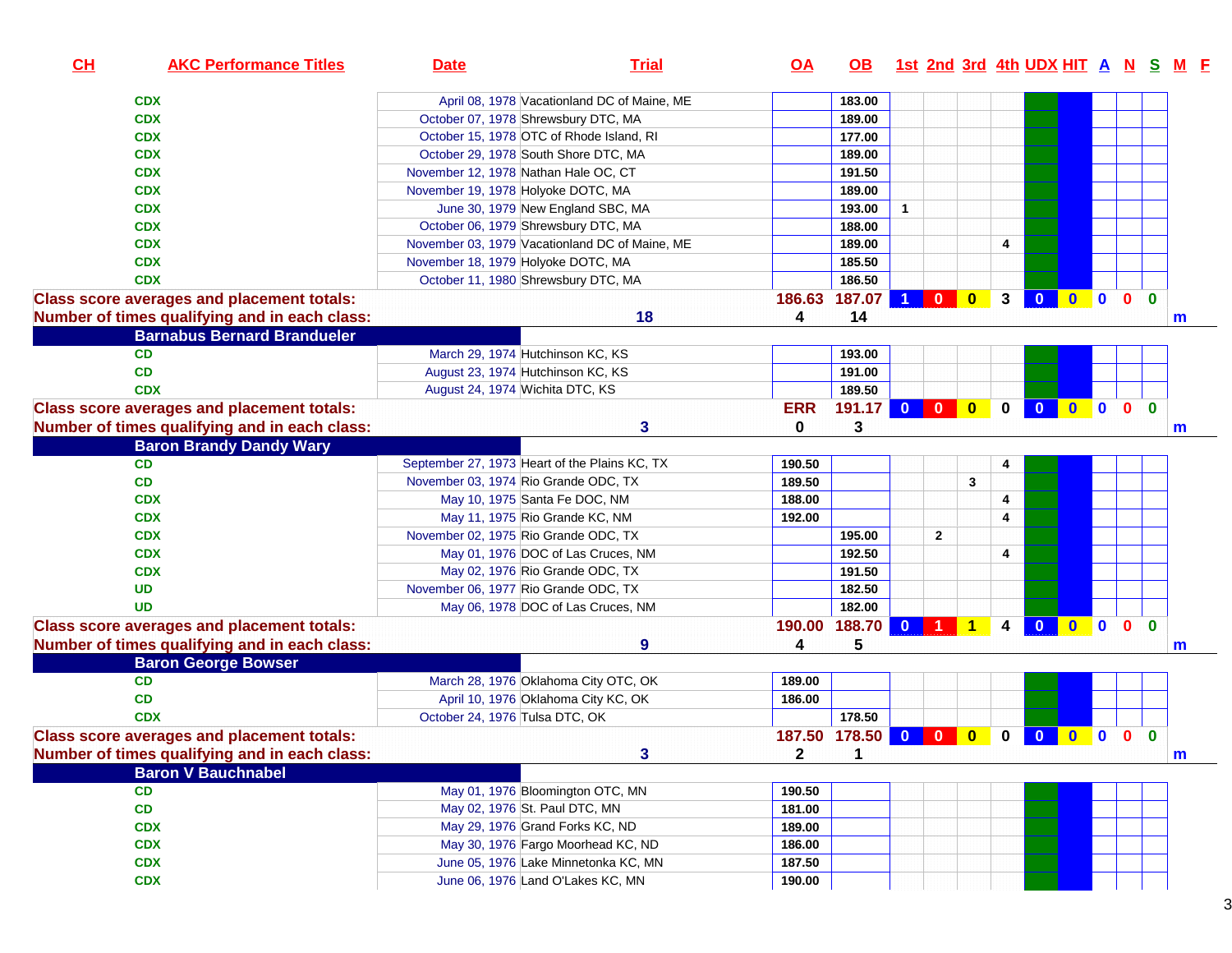| CL | <b>AKC Performance Titles</b>                     | <b>Date</b>                                    | <b>Trial</b>                                | $Q\triangle$ | <b>OB</b>       |                      |                |              |             |                         |              |             |              |              | 1st 2nd 3rd 4th UDX HIT A N S M F |
|----|---------------------------------------------------|------------------------------------------------|---------------------------------------------|--------------|-----------------|----------------------|----------------|--------------|-------------|-------------------------|--------------|-------------|--------------|--------------|-----------------------------------|
|    | <b>CDX</b>                                        |                                                | April 08, 1978 Vacationland DC of Maine, ME |              | 183.00          |                      |                |              |             |                         |              |             |              |              |                                   |
|    | <b>CDX</b>                                        | October 07, 1978 Shrewsbury DTC, MA            |                                             |              | 189.00          |                      |                |              |             |                         |              |             |              |              |                                   |
|    | <b>CDX</b>                                        | October 15, 1978 OTC of Rhode Island, RI       |                                             |              | 177.00          |                      |                |              |             |                         |              |             |              |              |                                   |
|    | <b>CDX</b>                                        | October 29, 1978 South Shore DTC, MA           |                                             |              | 189.00          |                      |                |              |             |                         |              |             |              |              |                                   |
|    | <b>CDX</b>                                        | November 12, 1978 Nathan Hale OC, CT           |                                             |              | 191.50          |                      |                |              |             |                         |              |             |              |              |                                   |
|    | <b>CDX</b>                                        | November 19, 1978 Holyoke DOTC, MA             |                                             |              | 189.00          |                      |                |              |             |                         |              |             |              |              |                                   |
|    | <b>CDX</b>                                        | June 30, 1979 New England SBC, MA              |                                             |              | 193.00          | $\mathbf{1}$         |                |              |             |                         |              |             |              |              |                                   |
|    | <b>CDX</b>                                        | October 06, 1979 Shrewsbury DTC, MA            |                                             |              | 188.00          |                      |                |              |             |                         |              |             |              |              |                                   |
|    | <b>CDX</b>                                        | November 03, 1979 Vacationland DC of Maine, ME |                                             |              | 189.00          |                      |                |              | 4           |                         |              |             |              |              |                                   |
|    | <b>CDX</b>                                        | November 18, 1979 Holyoke DOTC, MA             |                                             |              | 185.50          |                      |                |              |             |                         |              |             |              |              |                                   |
|    | <b>CDX</b>                                        | October 11, 1980 Shrewsbury DTC, MA            |                                             |              | 186.50          |                      |                |              |             |                         |              |             |              |              |                                   |
|    | <b>Class score averages and placement totals:</b> |                                                |                                             |              | 186.63 187.07   | $\blacktriangleleft$ | $\overline{0}$ | $\mathbf{0}$ | 3           | $\mathbf{0}$            |              |             | $0$ 0 0 0    |              |                                   |
|    | Number of times qualifying and in each class:     |                                                | 18                                          | 4            | 14              |                      |                |              |             |                         |              |             |              |              | m                                 |
|    | <b>Barnabus Bernard Brandueler</b>                |                                                |                                             |              |                 |                      |                |              |             |                         |              |             |              |              |                                   |
|    | CD                                                | March 29, 1974 Hutchinson KC, KS               |                                             |              | 193.00          |                      |                |              |             |                         |              |             |              |              |                                   |
|    | <b>CD</b>                                         | August 23, 1974 Hutchinson KC, KS              |                                             |              | 191.00          |                      |                |              |             |                         |              |             |              |              |                                   |
|    | <b>CDX</b>                                        | August 24, 1974 Wichita DTC, KS                |                                             |              | 189.50          |                      |                |              |             |                         |              |             |              |              |                                   |
|    | <b>Class score averages and placement totals:</b> |                                                |                                             | <b>ERR</b>   | 191.17 0 0      |                      |                | $\bullet$    | $\mathbf 0$ | $\overline{\mathbf{0}}$ |              |             | $0$ 0 0 0    |              |                                   |
|    | Number of times qualifying and in each class:     |                                                | $\mathbf{3}$                                | 0            | 3               |                      |                |              |             |                         |              |             |              |              | m                                 |
|    | <b>Baron Brandy Dandy Wary</b>                    |                                                |                                             |              |                 |                      |                |              |             |                         |              |             |              |              |                                   |
|    | CD                                                | September 27, 1973 Heart of the Plains KC, TX  |                                             | 190.50       |                 |                      |                |              | 4           |                         |              |             |              |              |                                   |
|    | CD                                                | November 03, 1974 Rio Grande ODC, TX           |                                             | 189.50       |                 |                      |                | 3            |             |                         |              |             |              |              |                                   |
|    | <b>CDX</b>                                        | May 10, 1975 Santa Fe DOC, NM                  |                                             | 188.00       |                 |                      |                |              | 4           |                         |              |             |              |              |                                   |
|    | <b>CDX</b>                                        | May 11, 1975 Rio Grande KC, NM                 |                                             | 192.00       |                 |                      |                |              | 4           |                         |              |             |              |              |                                   |
|    | <b>CDX</b>                                        | November 02, 1975 Rio Grande ODC, TX           |                                             |              | 195.00          |                      | $\mathbf{2}$   |              |             |                         |              |             |              |              |                                   |
|    | <b>CDX</b>                                        | May 01, 1976 DOC of Las Cruces, NM             |                                             |              | 192.50          |                      |                |              | 4           |                         |              |             |              |              |                                   |
|    | <b>CDX</b>                                        | May 02, 1976 Rio Grande ODC, TX                |                                             |              | 191.50          |                      |                |              |             |                         |              |             |              |              |                                   |
|    | <b>UD</b>                                         | November 06, 1977 Rio Grande ODC, TX           |                                             |              | 182.50          |                      |                |              |             |                         |              |             |              |              |                                   |
|    | <b>UD</b>                                         | May 06, 1978 DOC of Las Cruces, NM             |                                             |              | 182.00          |                      |                |              |             |                         |              |             |              |              |                                   |
|    | <b>Class score averages and placement totals:</b> |                                                |                                             | 190.00       | 188.70          | $\overline{0}$       |                | 1            | 4           | $\Omega$                | $\mathbf{0}$ | $\bullet$   | $\mathbf{0}$ | $\mathbf{0}$ |                                   |
|    | Number of times qualifying and in each class:     |                                                | 9                                           | 4            | 5               |                      |                |              |             |                         |              |             |              |              | m                                 |
|    | <b>Baron George Bowser</b>                        |                                                |                                             |              |                 |                      |                |              |             |                         |              |             |              |              |                                   |
|    | CD                                                | March 28, 1976 Oklahoma City OTC, OK           |                                             | 189.00       |                 |                      |                |              |             |                         |              |             |              |              |                                   |
|    | CD                                                | April 10, 1976 Oklahoma City KC, OK            |                                             | 186.00       |                 |                      |                |              |             |                         |              |             |              |              |                                   |
|    | <b>CDX</b>                                        | October 24, 1976 Tulsa DTC, OK                 |                                             |              | 178.50          |                      |                |              |             |                         |              |             |              |              |                                   |
|    | <b>Class score averages and placement totals:</b> |                                                |                                             |              | 187.50 178.50 0 |                      | $\bullet$      | $\bf{0}$     | 0           | $\mathbf{0}$            | $\mathbf{0}$ | $\mathbf 0$ | $\mathbf{0}$ | $\mathbf{0}$ |                                   |
|    | Number of times qualifying and in each class:     |                                                | 3                                           | $\mathbf{z}$ | 1               |                      |                |              |             |                         |              |             |              |              | m                                 |
|    | <b>Baron V Bauchnabel</b>                         |                                                |                                             |              |                 |                      |                |              |             |                         |              |             |              |              |                                   |
|    | CD                                                | May 01, 1976 Bloomington OTC, MN               |                                             | 190.50       |                 |                      |                |              |             |                         |              |             |              |              |                                   |
|    | CD                                                | May 02, 1976 St. Paul DTC, MN                  |                                             | 181.00       |                 |                      |                |              |             |                         |              |             |              |              |                                   |
|    | <b>CDX</b>                                        | May 29, 1976 Grand Forks KC, ND                |                                             | 189.00       |                 |                      |                |              |             |                         |              |             |              |              |                                   |
|    | <b>CDX</b>                                        | May 30, 1976 Fargo Moorhead KC, ND             |                                             | 186.00       |                 |                      |                |              |             |                         |              |             |              |              |                                   |
|    | <b>CDX</b>                                        | June 05, 1976 Lake Minnetonka KC, MN           |                                             | 187.50       |                 |                      |                |              |             |                         |              |             |              |              |                                   |
|    | <b>CDX</b>                                        | June 06, 1976 Land O'Lakes KC, MN              |                                             | 190.00       |                 |                      |                |              |             |                         |              |             |              |              |                                   |
|    |                                                   |                                                |                                             |              |                 |                      |                |              |             |                         |              |             |              |              |                                   |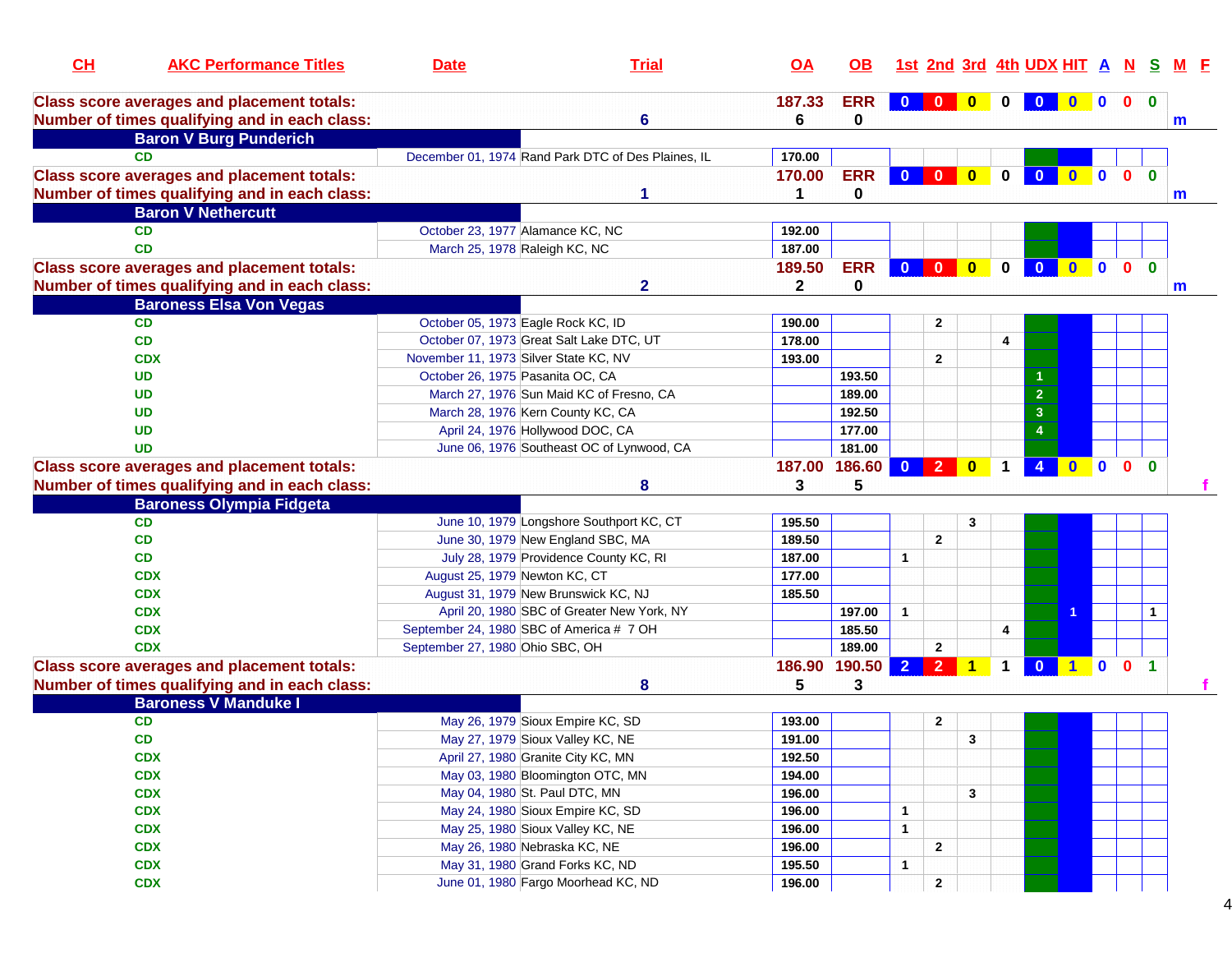| CH | <b>AKC Performance Titles</b>                     | <b>Date</b>                              | <b>Trial</b>                                       | $\overline{OA}$ | <b>OB</b>  |                         |                |                      |              | 1st 2nd 3rd 4th UDX HIT A N S |              |                |              |              |  |
|----|---------------------------------------------------|------------------------------------------|----------------------------------------------------|-----------------|------------|-------------------------|----------------|----------------------|--------------|-------------------------------|--------------|----------------|--------------|--------------|--|
|    | <b>Class score averages and placement totals:</b> |                                          |                                                    | 187.33          | <b>ERR</b> |                         |                | $\mathbf{0}$         |              |                               |              |                | $\mathbf{0}$ | $\mathbf{0}$ |  |
|    | Number of times qualifying and in each class:     |                                          | 6                                                  | 6               | 0          |                         |                |                      |              |                               |              |                |              | m            |  |
|    | <b>Baron V Burg Punderich</b>                     |                                          |                                                    |                 |            |                         |                |                      |              |                               |              |                |              |              |  |
|    | CD.                                               |                                          | December 01, 1974 Rand Park DTC of Des Plaines, IL | 170.00          |            |                         |                |                      |              |                               |              |                |              |              |  |
|    | <b>Class score averages and placement totals:</b> |                                          |                                                    | 170.00          | <b>ERR</b> | $\mathbf{0}$            | $\mathbf{0}$   | $\bf{0}$             | $\bf{0}$     | $\bf{0}$                      | $\mathbf{0}$ | $\mathbf{0}$   | $\Omega$     | $\mathbf{0}$ |  |
|    | Number of times qualifying and in each class:     |                                          | 1                                                  | 1               | 0          |                         |                |                      |              |                               |              |                |              | m            |  |
|    | <b>Baron V Nethercutt</b>                         |                                          |                                                    |                 |            |                         |                |                      |              |                               |              |                |              |              |  |
|    | <b>CD</b>                                         | October 23, 1977 Alamance KC, NC         |                                                    | 192.00          |            |                         |                |                      |              |                               |              |                |              |              |  |
|    | <b>CD</b>                                         | March 25, 1978 Raleigh KC, NC            |                                                    | 187.00          |            |                         |                |                      |              |                               |              |                |              |              |  |
|    | <b>Class score averages and placement totals:</b> |                                          |                                                    | 189.50          | <b>ERR</b> | $\overline{\mathbf{0}}$ | $\mathbf{0}$   | $\bullet$            | $\mathbf{0}$ | $\overline{0}$                | $\mathbf{0}$ | $\blacksquare$ | $\mathbf{0}$ | $\mathbf{0}$ |  |
|    | Number of times qualifying and in each class:     |                                          | $\mathbf{2}$                                       | $\mathbf{2}$    | 0          |                         |                |                      |              |                               |              |                |              | m            |  |
|    | <b>Baroness Elsa Von Vegas</b>                    |                                          |                                                    |                 |            |                         |                |                      |              |                               |              |                |              |              |  |
|    | <b>CD</b>                                         | October 05, 1973 Eagle Rock KC, ID       |                                                    | 190.00          |            |                         | $\mathbf{2}$   |                      |              |                               |              |                |              |              |  |
|    | CD                                                | October 07, 1973 Great Salt Lake DTC, UT |                                                    | 178.00          |            |                         |                |                      | 4            |                               |              |                |              |              |  |
|    | <b>CDX</b>                                        | November 11, 1973 Silver State KC, NV    |                                                    | 193.00          |            |                         | $\mathbf{2}$   |                      |              |                               |              |                |              |              |  |
|    | <b>UD</b>                                         | October 26, 1975 Pasanita OC, CA         |                                                    |                 | 193.50     |                         |                |                      |              |                               |              |                |              |              |  |
|    | <b>UD</b>                                         |                                          | March 27, 1976 Sun Maid KC of Fresno, CA           |                 | 189.00     |                         |                |                      |              | $\overline{2}$                |              |                |              |              |  |
|    | <b>UD</b>                                         | March 28, 1976 Kern County KC, CA        |                                                    |                 | 192.50     |                         |                |                      |              | 3                             |              |                |              |              |  |
|    | <b>UD</b>                                         | April 24, 1976 Hollywood DOC, CA         |                                                    |                 | 177.00     |                         |                |                      |              | $\boldsymbol{4}$              |              |                |              |              |  |
|    | <b>UD</b>                                         |                                          | June 06, 1976 Southeast OC of Lynwood, CA          |                 | 181.00     |                         |                |                      |              |                               |              |                |              |              |  |
|    | <b>Class score averages and placement totals:</b> |                                          |                                                    | 187.00 186.60   |            | $\mathbf{0}$            | $\overline{2}$ | $\bf{0}$             |              |                               | $\mathbf{0}$ | $\mathbf{0}$   | $\mathbf{0}$ | $\mathbf{0}$ |  |
|    | Number of times qualifying and in each class:     |                                          | 8                                                  | 3               | 5          |                         |                |                      |              |                               |              |                |              |              |  |
|    | <b>Baroness Olympia Fidgeta</b>                   |                                          |                                                    |                 |            |                         |                |                      |              |                               |              |                |              |              |  |
|    | <b>CD</b>                                         |                                          | June 10, 1979 Longshore Southport KC, CT           | 195.50          |            |                         |                | 3                    |              |                               |              |                |              |              |  |
|    | CD                                                |                                          | June 30, 1979 New England SBC, MA                  | 189.50          |            |                         | $\mathbf{2}$   |                      |              |                               |              |                |              |              |  |
|    | CD                                                |                                          | July 28, 1979 Providence County KC, RI             | 187.00          |            | $\mathbf{1}$            |                |                      |              |                               |              |                |              |              |  |
|    | <b>CDX</b>                                        | August 25, 1979 Newton KC, CT            |                                                    | 177.00          |            |                         |                |                      |              |                               |              |                |              |              |  |
|    | <b>CDX</b>                                        | August 31, 1979 New Brunswick KC, NJ     |                                                    | 185.50          |            |                         |                |                      |              |                               |              |                |              |              |  |
|    | <b>CDX</b>                                        |                                          | April 20, 1980 SBC of Greater New York, NY         |                 | 197.00     | $\mathbf{1}$            |                |                      |              |                               |              |                |              | 1            |  |
|    | <b>CDX</b>                                        | September 24, 1980 SBC of America # 7 OH |                                                    |                 | 185.50     |                         |                |                      | 4            |                               |              |                |              |              |  |
|    | <b>CDX</b>                                        | September 27, 1980 Ohio SBC, OH          |                                                    |                 | 189.00     |                         | $\mathbf{2}$   |                      |              |                               |              |                |              |              |  |
|    | <b>Class score averages and placement totals:</b> |                                          |                                                    | 186.90          | 190.50     | $\overline{2}$          | $\overline{2}$ | $\blacktriangleleft$ | $\mathbf 1$  | 0 1 0 0 1                     |              |                |              |              |  |
|    | Number of times qualifying and in each class:     |                                          | 8                                                  | 5               | 3          |                         |                |                      |              |                               |              |                |              |              |  |
|    | <b>Baroness V Manduke I</b>                       |                                          |                                                    |                 |            |                         |                |                      |              |                               |              |                |              |              |  |
|    | CD                                                |                                          | May 26, 1979 Sioux Empire KC, SD                   | 193.00          |            |                         | 2              |                      |              |                               |              |                |              |              |  |
|    | CD                                                | May 27, 1979 Sioux Valley KC, NE         |                                                    | 191.00          |            |                         |                | 3                    |              |                               |              |                |              |              |  |
|    | <b>CDX</b>                                        | April 27, 1980 Granite City KC, MN       |                                                    | 192.50          |            |                         |                |                      |              |                               |              |                |              |              |  |
|    | <b>CDX</b>                                        |                                          | May 03, 1980 Bloomington OTC, MN                   | 194.00          |            |                         |                |                      |              |                               |              |                |              |              |  |
|    | <b>CDX</b>                                        | May 04, 1980 St. Paul DTC, MN            |                                                    | 196.00          |            |                         |                | 3                    |              |                               |              |                |              |              |  |
|    | <b>CDX</b>                                        |                                          | May 24, 1980 Sioux Empire KC, SD                   | 196.00          |            | $\mathbf{1}$            |                |                      |              |                               |              |                |              |              |  |
|    | <b>CDX</b>                                        | May 25, 1980 Sioux Valley KC, NE         |                                                    | 196.00          |            | $\mathbf{1}$            |                |                      |              |                               |              |                |              |              |  |
|    | <b>CDX</b>                                        | May 26, 1980 Nebraska KC, NE             |                                                    | 196.00          |            |                         | $\mathbf{2}$   |                      |              |                               |              |                |              |              |  |
|    | <b>CDX</b>                                        | May 31, 1980 Grand Forks KC, ND          |                                                    | 195.50          |            |                         |                |                      |              |                               |              |                |              |              |  |
|    | <b>CDX</b>                                        |                                          | June 01, 1980 Fargo Moorhead KC, ND                | 196.00          |            | $\mathbf{1}$            |                |                      |              |                               |              |                |              |              |  |
|    |                                                   |                                          |                                                    |                 |            |                         | $\mathbf{2}$   |                      |              |                               |              |                |              |              |  |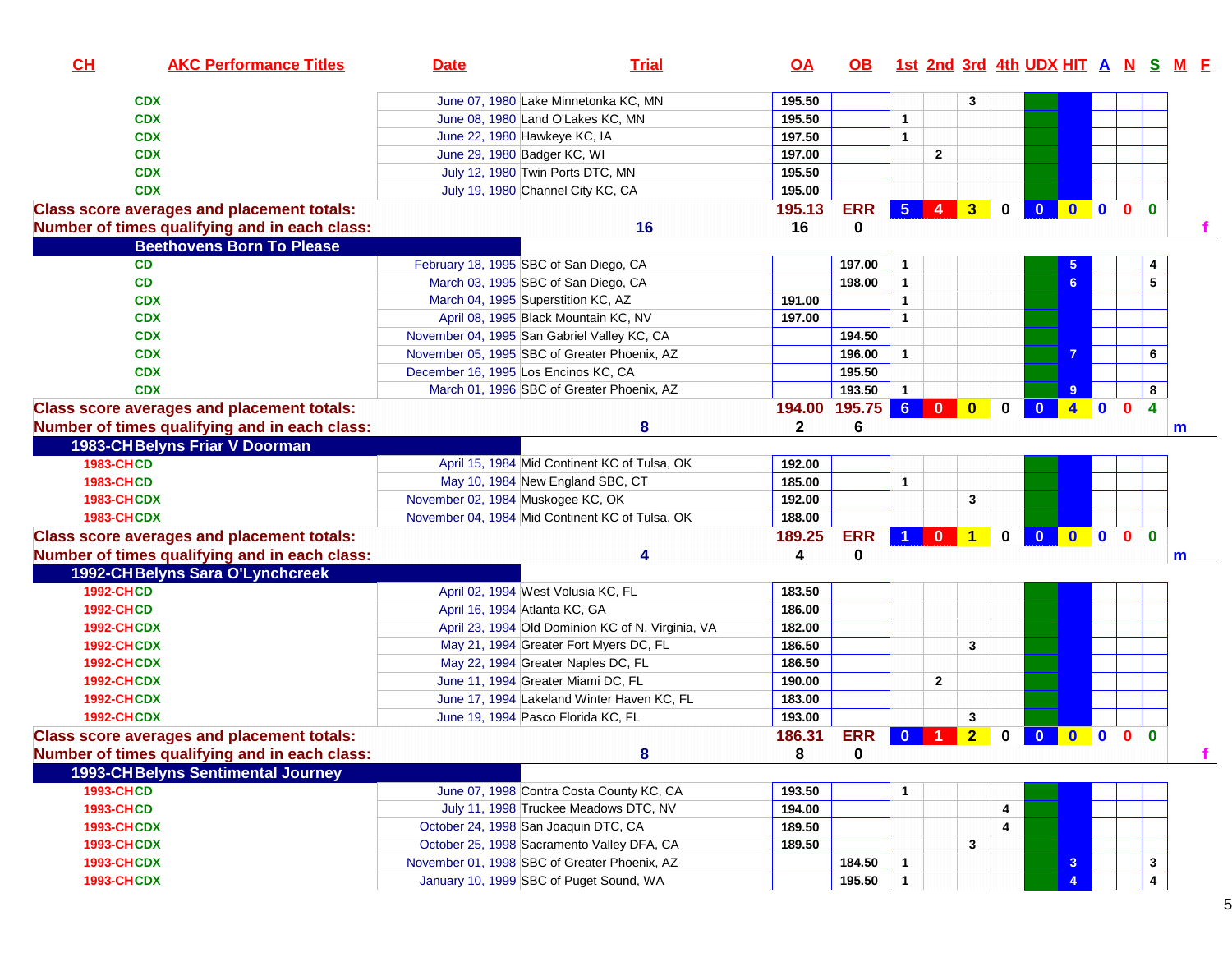| CH<br><b>AKC Performance Titles</b>               | <b>Date</b>                                     | <b>Trial</b>                                      | $\overline{OA}$ | OB.        |                 |                         |                |             | 1st 2nd 3rd 4th UDX HIT A N S M F |                     |              |              |                         |  |
|---------------------------------------------------|-------------------------------------------------|---------------------------------------------------|-----------------|------------|-----------------|-------------------------|----------------|-------------|-----------------------------------|---------------------|--------------|--------------|-------------------------|--|
| <b>CDX</b>                                        | June 07, 1980 Lake Minnetonka KC, MN            |                                                   | 195.50          |            |                 |                         | 3              |             |                                   |                     |              |              |                         |  |
| <b>CDX</b>                                        | June 08, 1980 Land O'Lakes KC, MN               |                                                   | 195.50          |            | $\mathbf{1}$    |                         |                |             |                                   |                     |              |              |                         |  |
| <b>CDX</b>                                        | June 22, 1980 Hawkeye KC, IA                    |                                                   | 197.50          |            | $\mathbf{1}$    |                         |                |             |                                   |                     |              |              |                         |  |
| <b>CDX</b>                                        | June 29, 1980 Badger KC, WI                     |                                                   | 197.00          |            |                 | $\mathbf{2}$            |                |             |                                   |                     |              |              |                         |  |
| <b>CDX</b>                                        | July 12, 1980 Twin Ports DTC, MN                |                                                   | 195.50          |            |                 |                         |                |             |                                   |                     |              |              |                         |  |
| <b>CDX</b>                                        | July 19, 1980 Channel City KC, CA               |                                                   | 195.00          |            |                 |                         |                |             |                                   |                     |              |              |                         |  |
| <b>Class score averages and placement totals:</b> |                                                 |                                                   | 195.13          | <b>ERR</b> | 5 <sup>5</sup>  | $\vert$ 4 $\vert$       | 3 <sup>°</sup> | $\mathbf 0$ | $\mathbf{0}$                      | $\bullet$ $\bullet$ |              | $\mathbf{0}$ | $\mathbf{0}$            |  |
| Number of times qualifying and in each class:     |                                                 | 16                                                | 16              | 0          |                 |                         |                |             |                                   |                     |              |              |                         |  |
| <b>Beethovens Born To Please</b>                  |                                                 |                                                   |                 |            |                 |                         |                |             |                                   |                     |              |              |                         |  |
| <b>CD</b>                                         | February 18, 1995 SBC of San Diego, CA          |                                                   |                 | 197.00     | $\mathbf 1$     |                         |                |             |                                   |                     |              |              | 4                       |  |
| CD                                                | March 03, 1995 SBC of San Diego, CA             |                                                   |                 | 198.00     | $\mathbf{1}$    |                         |                |             |                                   | 6                   |              |              | 5                       |  |
| <b>CDX</b>                                        | March 04, 1995 Superstition KC, AZ              |                                                   | 191.00          |            | $\mathbf{1}$    |                         |                |             |                                   |                     |              |              |                         |  |
| <b>CDX</b>                                        | April 08, 1995 Black Mountain KC, NV            |                                                   | 197.00          |            | $\mathbf{1}$    |                         |                |             |                                   |                     |              |              |                         |  |
| <b>CDX</b>                                        | November 04, 1995 San Gabriel Valley KC, CA     |                                                   |                 | 194.50     |                 |                         |                |             |                                   |                     |              |              |                         |  |
| <b>CDX</b>                                        | November 05, 1995 SBC of Greater Phoenix, AZ    |                                                   |                 | 196.00     | $\mathbf{1}$    |                         |                |             |                                   | 7                   |              |              | 6                       |  |
| <b>CDX</b>                                        | December 16, 1995 Los Encinos KC, CA            |                                                   |                 | 195.50     |                 |                         |                |             |                                   |                     |              |              |                         |  |
| <b>CDX</b>                                        | March 01, 1996 SBC of Greater Phoenix, AZ       |                                                   |                 | 193.50     | $\mathbf{1}$    |                         |                |             |                                   | 9                   |              |              | 8                       |  |
| <b>Class score averages and placement totals:</b> |                                                 |                                                   | 194.00          | 195.75     | $6\overline{6}$ | $\mathbf{0}$            | $\mathbf{0}$   | 0           | $\bf{0}$                          | $4 -$               | $\mathbf{0}$ | $\mathbf{0}$ | 4                       |  |
| Number of times qualifying and in each class:     |                                                 | 8                                                 | $\mathbf{2}$    | 6          |                 |                         |                |             |                                   |                     |              |              | m                       |  |
| 1983-CH Belyns Friar V Doorman                    |                                                 |                                                   |                 |            |                 |                         |                |             |                                   |                     |              |              |                         |  |
| <b>1983-CHCD</b>                                  |                                                 | April 15, 1984 Mid Continent KC of Tulsa, OK      | 192.00          |            |                 |                         |                |             |                                   |                     |              |              |                         |  |
| <b>1983-CHCD</b>                                  | May 10, 1984 New England SBC, CT                |                                                   | 185.00          |            | 1               |                         |                |             |                                   |                     |              |              |                         |  |
| <b>1983-CHCDX</b>                                 | November 02, 1984 Muskogee KC, OK               |                                                   | 192.00          |            |                 |                         | 3              |             |                                   |                     |              |              |                         |  |
| <b>1983-CHCDX</b>                                 | November 04, 1984 Mid Continent KC of Tulsa, OK |                                                   | 188.00          |            |                 |                         |                |             |                                   |                     |              |              |                         |  |
| <b>Class score averages and placement totals:</b> |                                                 |                                                   | 189.25          | <b>ERR</b> |                 | $\mathbf{0}$            | $\vert$ 1      | $\mathbf 0$ | $\overline{\mathbf{0}}$           | $0$ 0 0             |              | $\mathbf{0}$ |                         |  |
| Number of times qualifying and in each class:     |                                                 |                                                   | 4               | 0          |                 |                         |                |             |                                   |                     |              |              | m                       |  |
| 1992-CHBelyns Sara O'Lynchcreek                   |                                                 |                                                   |                 |            |                 |                         |                |             |                                   |                     |              |              |                         |  |
| <b>1992-CHCD</b>                                  | April 02, 1994 West Volusia KC, FL              |                                                   | 183.50          |            |                 |                         |                |             |                                   |                     |              |              |                         |  |
| <b>1992-CHCD</b>                                  | April 16, 1994 Atlanta KC, GA                   |                                                   | 186.00          |            |                 |                         |                |             |                                   |                     |              |              |                         |  |
| <b>1992-CHCDX</b>                                 |                                                 | April 23, 1994 Old Dominion KC of N. Virginia, VA | 182.00          |            |                 |                         |                |             |                                   |                     |              |              |                         |  |
| <b>1992-CHCDX</b>                                 |                                                 | May 21, 1994 Greater Fort Myers DC, FL            | 186.50          |            |                 |                         | 3              |             |                                   |                     |              |              |                         |  |
| <b>1992-CHCDX</b>                                 | May 22, 1994 Greater Naples DC, FL              |                                                   | 186.50          |            |                 |                         |                |             |                                   |                     |              |              |                         |  |
| <b>1992-CHCDX</b>                                 | June 11, 1994 Greater Miami DC, FL              |                                                   | 190.00          |            |                 | $\overline{\mathbf{2}}$ |                |             |                                   |                     |              |              |                         |  |
| <b>1992-CHCDX</b>                                 |                                                 | June 17, 1994 Lakeland Winter Haven KC, FL        | 183.00          |            |                 |                         |                |             |                                   |                     |              |              |                         |  |
| <b>1992-CHCDX</b>                                 | June 19, 1994 Pasco Florida KC, FL              |                                                   | 193.00          |            |                 |                         | 3              |             |                                   |                     |              |              |                         |  |
| <b>Class score averages and placement totals:</b> |                                                 |                                                   | 186.31          | <b>ERR</b> | $\mathbf{0}$    | -1                      | $\overline{2}$ | $\mathbf 0$ | $\mathbf{0}$                      | $\bullet$           | $\bullet$    | $\mathbf{0}$ | $\bf{0}$                |  |
| Number of times qualifying and in each class:     |                                                 | 8                                                 | 8               | 0          |                 |                         |                |             |                                   |                     |              |              |                         |  |
| <b>1993-CHBelyns Sentimental Journey</b>          |                                                 |                                                   |                 |            |                 |                         |                |             |                                   |                     |              |              |                         |  |
| <b>1993-CHCD</b>                                  |                                                 | June 07, 1998 Contra Costa County KC, CA          | 193.50          |            | 1               |                         |                |             |                                   |                     |              |              |                         |  |
| <b>1993-CHCD</b>                                  |                                                 | July 11, 1998 Truckee Meadows DTC, NV             | 194.00          |            |                 |                         |                | 4           |                                   |                     |              |              |                         |  |
| <b>1993-CHCDX</b>                                 | October 24, 1998 San Joaquin DTC, CA            |                                                   | 189.50          |            |                 |                         |                | 4           |                                   |                     |              |              |                         |  |
| <b>1993-CHCDX</b>                                 | October 25, 1998 Sacramento Valley DFA, CA      |                                                   | 189.50          |            |                 |                         | 3              |             |                                   |                     |              |              |                         |  |
| <b>1993-CHCDX</b>                                 | November 01, 1998 SBC of Greater Phoenix, AZ    |                                                   |                 | 184.50     | $\mathbf{1}$    |                         |                |             |                                   |                     |              |              | 3                       |  |
| <b>1993-CHCDX</b>                                 | January 10, 1999 SBC of Puget Sound, WA         |                                                   |                 | 195.50     | $\mathbf{1}$    |                         |                |             |                                   |                     |              |              | $\overline{\mathbf{4}}$ |  |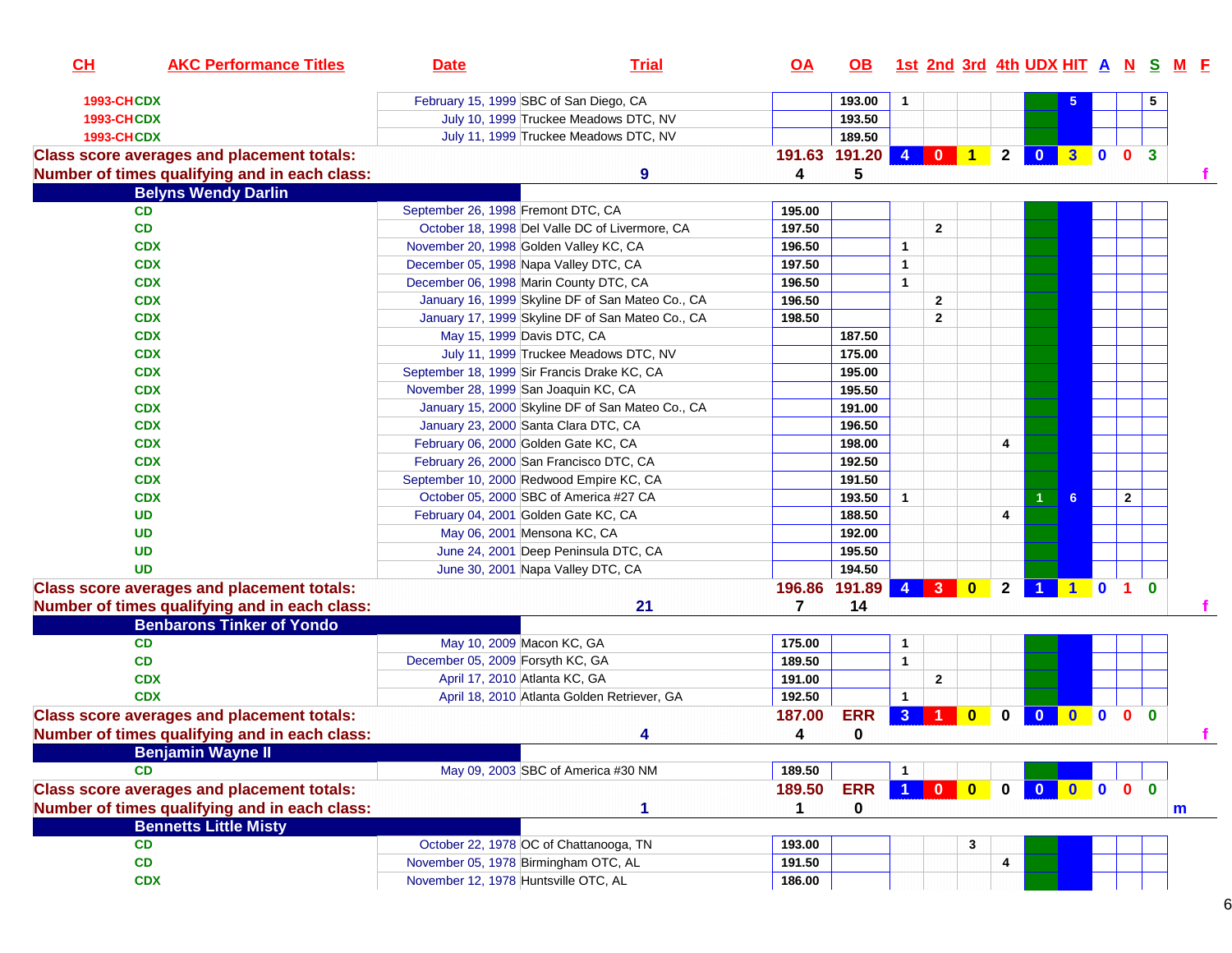| CH                | <b>AKC Performance Titles</b>                     | <b>Date</b>                                 | <b>Trial</b>                                     | <u>OA</u>               | OB.           |                |              |                                                                            |                |                |              |              |              |              | <u>1st 2nd 3rd 4th UDX HIT A N S M E</u> |
|-------------------|---------------------------------------------------|---------------------------------------------|--------------------------------------------------|-------------------------|---------------|----------------|--------------|----------------------------------------------------------------------------|----------------|----------------|--------------|--------------|--------------|--------------|------------------------------------------|
| <b>1993-CHCDX</b> |                                                   | February 15, 1999 SBC of San Diego, CA      |                                                  |                         | 193.00        | $\mathbf{1}$   |              |                                                                            |                |                |              |              |              | 5.           |                                          |
| <b>1993-CHCDX</b> |                                                   |                                             | July 10, 1999 Truckee Meadows DTC, NV            |                         | 193.50        |                |              |                                                                            |                |                |              |              |              |              |                                          |
| <b>1993-CHCDX</b> |                                                   |                                             | July 11, 1999 Truckee Meadows DTC, NV            |                         | 189.50        |                |              |                                                                            |                |                |              |              |              |              |                                          |
|                   | <b>Class score averages and placement totals:</b> |                                             |                                                  |                         | 191.63 191.20 |                |              | 4 0 1                                                                      | 2 <sup>1</sup> | $\overline{0}$ | $3003$       |              |              |              |                                          |
|                   | Number of times qualifying and in each class:     |                                             | 9                                                | 4                       | 5             |                |              |                                                                            |                |                |              |              |              |              |                                          |
|                   | <b>Belyns Wendy Darlin</b>                        |                                             |                                                  |                         |               |                |              |                                                                            |                |                |              |              |              |              |                                          |
|                   | CD                                                | September 26, 1998 Fremont DTC, CA          |                                                  | 195.00                  |               |                |              |                                                                            |                |                |              |              |              |              |                                          |
|                   | CD                                                |                                             | October 18, 1998 Del Valle DC of Livermore, CA   | 197.50                  |               |                | $\mathbf{2}$ |                                                                            |                |                |              |              |              |              |                                          |
|                   | <b>CDX</b>                                        | November 20, 1998 Golden Valley KC, CA      |                                                  | 196.50                  |               | 1              |              |                                                                            |                |                |              |              |              |              |                                          |
|                   | <b>CDX</b>                                        | December 05, 1998 Napa Valley DTC, CA       |                                                  | 197.50                  |               | 1              |              |                                                                            |                |                |              |              |              |              |                                          |
|                   | <b>CDX</b>                                        | December 06, 1998 Marin County DTC, CA      |                                                  | 196.50                  |               | $\mathbf{1}$   |              |                                                                            |                |                |              |              |              |              |                                          |
|                   | <b>CDX</b>                                        |                                             | January 16, 1999 Skyline DF of San Mateo Co., CA | 196.50                  |               |                | $\mathbf{2}$ |                                                                            |                |                |              |              |              |              |                                          |
|                   | <b>CDX</b>                                        |                                             | January 17, 1999 Skyline DF of San Mateo Co., CA | 198.50                  |               |                | 2            |                                                                            |                |                |              |              |              |              |                                          |
|                   | <b>CDX</b>                                        | May 15, 1999 Davis DTC, CA                  |                                                  |                         | 187.50        |                |              |                                                                            |                |                |              |              |              |              |                                          |
|                   | <b>CDX</b>                                        |                                             | July 11, 1999 Truckee Meadows DTC, NV            |                         | 175.00        |                |              |                                                                            |                |                |              |              |              |              |                                          |
|                   | <b>CDX</b>                                        | September 18, 1999 Sir Francis Drake KC, CA |                                                  |                         | 195.00        |                |              |                                                                            |                |                |              |              |              |              |                                          |
|                   | <b>CDX</b>                                        | November 28, 1999 San Joaquin KC, CA        |                                                  |                         | 195.50        |                |              |                                                                            |                |                |              |              |              |              |                                          |
|                   | <b>CDX</b>                                        |                                             | January 15, 2000 Skyline DF of San Mateo Co., CA |                         | 191.00        |                |              |                                                                            |                |                |              |              |              |              |                                          |
|                   | <b>CDX</b>                                        | January 23, 2000 Santa Clara DTC, CA        |                                                  |                         | 196.50        |                |              |                                                                            |                |                |              |              |              |              |                                          |
|                   | <b>CDX</b>                                        | February 06, 2000 Golden Gate KC, CA        |                                                  |                         | 198.00        |                |              |                                                                            | 4              |                |              |              |              |              |                                          |
|                   | <b>CDX</b>                                        | February 26, 2000 San Francisco DTC, CA     |                                                  |                         | 192.50        |                |              |                                                                            |                |                |              |              |              |              |                                          |
|                   | <b>CDX</b>                                        | September 10, 2000 Redwood Empire KC, CA    |                                                  |                         | 191.50        |                |              |                                                                            |                |                |              |              |              |              |                                          |
|                   | <b>CDX</b>                                        | October 05, 2000 SBC of America #27 CA      |                                                  |                         | 193.50        | $\mathbf{1}$   |              |                                                                            |                |                | 6.           |              | $\mathbf{2}$ |              |                                          |
|                   | <b>UD</b>                                         | February 04, 2001 Golden Gate KC, CA        |                                                  |                         | 188.50        |                |              |                                                                            | 4              |                |              |              |              |              |                                          |
|                   | <b>UD</b>                                         | May 06, 2001 Mensona KC, CA                 |                                                  |                         | 192.00        |                |              |                                                                            |                |                |              |              |              |              |                                          |
|                   | <b>UD</b>                                         |                                             | June 24, 2001 Deep Peninsula DTC, CA             |                         | 195.50        |                |              |                                                                            |                |                |              |              |              |              |                                          |
|                   | <b>UD</b>                                         | June 30, 2001 Napa Valley DTC, CA           |                                                  |                         | 194.50        |                |              |                                                                            |                |                |              |              |              |              |                                          |
|                   | <b>Class score averages and placement totals:</b> |                                             |                                                  | 196.86                  | 191.89        | $\overline{4}$ |              |                                                                            | $\overline{2}$ | $\overline{1}$ | 101          |              |              | $\mathbf{0}$ |                                          |
|                   | Number of times qualifying and in each class:     |                                             | 21                                               | $\overline{\mathbf{z}}$ | 14            |                |              |                                                                            |                |                |              |              |              |              |                                          |
|                   | <b>Benbarons Tinker of Yondo</b>                  |                                             |                                                  |                         |               |                |              |                                                                            |                |                |              |              |              |              |                                          |
|                   | CD                                                | May 10, 2009 Macon KC, GA                   |                                                  | 175.00                  |               | 1              |              |                                                                            |                |                |              |              |              |              |                                          |
|                   | CD                                                | December 05, 2009 Forsyth KC, GA            |                                                  | 189.50                  |               | $\mathbf{1}$   |              |                                                                            |                |                |              |              |              |              |                                          |
|                   | <b>CDX</b>                                        | April 17, 2010 Atlanta KC, GA               |                                                  | 191.00                  |               |                | $\mathbf{2}$ |                                                                            |                |                |              |              |              |              |                                          |
|                   | <b>CDX</b>                                        |                                             | April 18, 2010 Atlanta Golden Retriever, GA      | 192.50                  |               | $\mathbf{1}$   |              |                                                                            |                |                |              |              |              |              |                                          |
|                   | <b>Class score averages and placement totals:</b> |                                             |                                                  | 187.00                  | <b>ERR</b>    | $\mathbf{3}$   |              | $\mathbf{0}$                                                               | $\mathbf{0}$   | $\mathbf{0}$   | $\mathbf{0}$ | $\mathbf{0}$ | $\bullet$    | $\mathbf{0}$ |                                          |
|                   | Number of times qualifying and in each class:     |                                             | 4                                                | 4                       | 0             |                |              |                                                                            |                |                |              |              |              |              | f.                                       |
|                   | <b>Benjamin Wayne II</b>                          |                                             |                                                  |                         |               |                |              |                                                                            |                |                |              |              |              |              |                                          |
|                   | CD                                                |                                             | May 09, 2003 SBC of America #30 NM               | 189.50                  |               | $\mathbf{1}$   |              |                                                                            |                |                |              |              |              |              |                                          |
|                   | <b>Class score averages and placement totals:</b> |                                             |                                                  | 189.50                  | <b>ERR</b>    | 1 <sup>1</sup> |              | $\begin{array}{ c c c c c }\n\hline\n0&\mathbf{0}&\mathbf{0}\n\end{array}$ | $\mathbf 0$    | $\mathbf{0}$   | $0$ 0        |              | $\bullet$    | $\bf{0}$     |                                          |
|                   | Number of times qualifying and in each class:     |                                             | 1                                                | 1                       | $\mathbf 0$   |                |              |                                                                            |                |                |              |              |              |              |                                          |
|                   | <b>Bennetts Little Misty</b>                      |                                             |                                                  |                         |               |                |              |                                                                            |                |                |              |              |              |              | m                                        |
|                   | CD                                                | October 22, 1978 OC of Chattanooga, TN      |                                                  | 193.00                  |               |                |              |                                                                            |                |                |              |              |              |              |                                          |
|                   | CD                                                | November 05, 1978 Birmingham OTC, AL        |                                                  | 191.50                  |               |                |              | 3                                                                          | 4              |                |              |              |              |              |                                          |
|                   | <b>CDX</b>                                        | November 12, 1978 Huntsville OTC, AL        |                                                  |                         |               |                |              |                                                                            |                |                |              |              |              |              |                                          |
|                   |                                                   |                                             |                                                  | 186.00                  |               |                |              |                                                                            |                |                |              |              |              |              |                                          |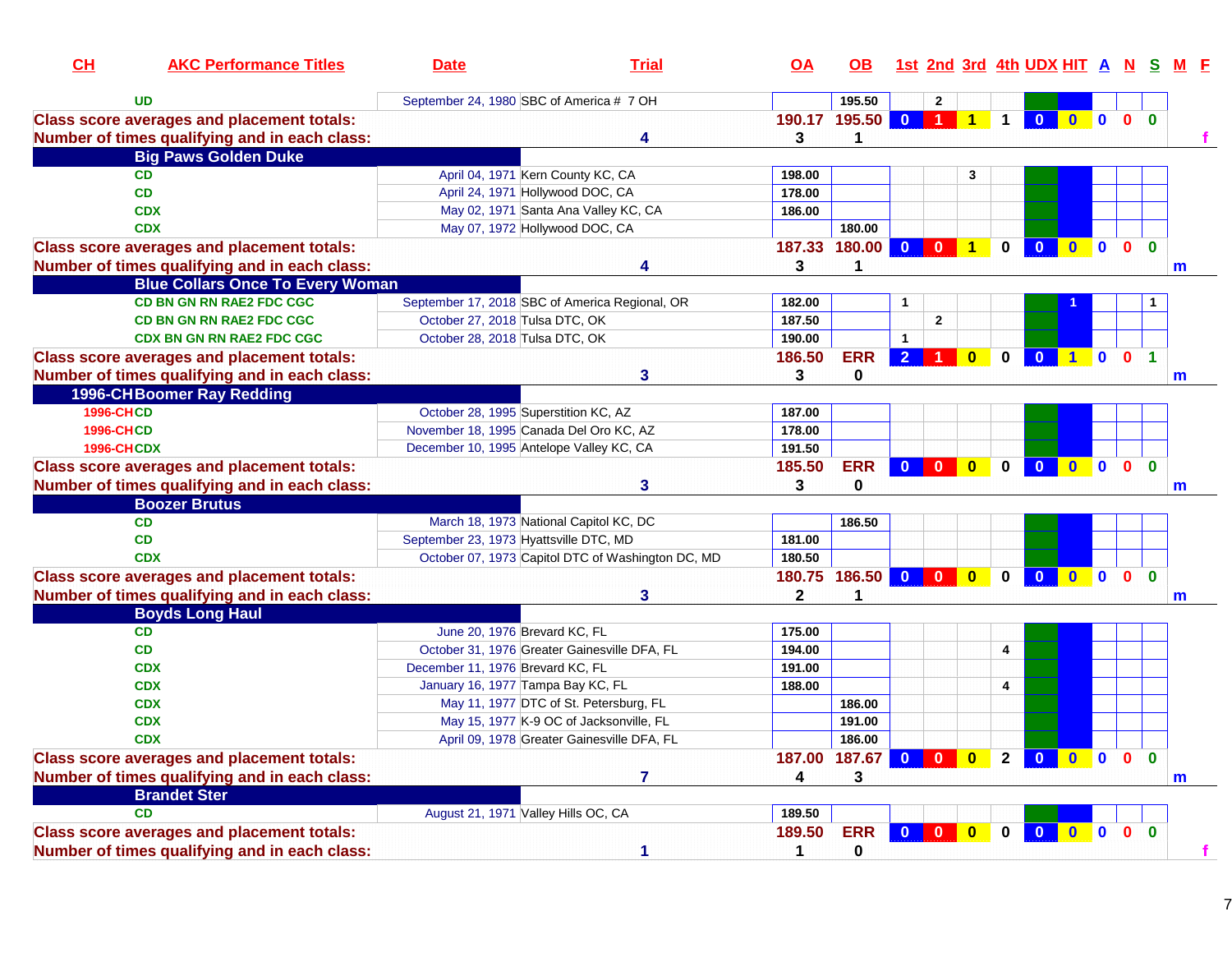| CL                | <b>AKC Performance Titles</b>                     | <b>Date</b>                                    | <b>Trial</b>                                                                      | QA               | OB.               |                                                          |              |                         |                | 1st 2nd 3rd 4th UDX HIT A N S                                                       |              |          |              |              |              |
|-------------------|---------------------------------------------------|------------------------------------------------|-----------------------------------------------------------------------------------|------------------|-------------------|----------------------------------------------------------|--------------|-------------------------|----------------|-------------------------------------------------------------------------------------|--------------|----------|--------------|--------------|--------------|
|                   | <b>UD</b>                                         | September 24, 1980 SBC of America # 7 OH       |                                                                                   |                  | 195.50            |                                                          | $\mathbf{2}$ |                         |                |                                                                                     |              |          |              |              |              |
|                   | <b>Class score averages and placement totals:</b> |                                                |                                                                                   |                  | 190.17 195.50 0 1 |                                                          |              | $\mathbf{1}$            | $\mathbf 1$    | 0 0 0 0 0                                                                           |              |          |              |              |              |
|                   | Number of times qualifying and in each class:     |                                                | 4                                                                                 | 3                | 1.                |                                                          |              |                         |                |                                                                                     |              |          |              |              |              |
|                   | <b>Big Paws Golden Duke</b>                       |                                                |                                                                                   |                  |                   |                                                          |              |                         |                |                                                                                     |              |          |              |              |              |
|                   | <b>CD</b>                                         | April 04, 1971 Kern County KC, CA              |                                                                                   | 198.00           |                   |                                                          |              | 3                       |                |                                                                                     |              |          |              |              |              |
|                   | CD                                                | April 24, 1971 Hollywood DOC, CA               |                                                                                   | 178.00           |                   |                                                          |              |                         |                |                                                                                     |              |          |              |              |              |
|                   | <b>CDX</b>                                        |                                                | May 02, 1971 Santa Ana Valley KC, CA                                              | 186.00           |                   |                                                          |              |                         |                |                                                                                     |              |          |              |              |              |
|                   | <b>CDX</b>                                        | May 07, 1972 Hollywood DOC, CA                 |                                                                                   |                  | 180.00            |                                                          |              |                         |                |                                                                                     |              |          |              |              |              |
|                   | <b>Class score averages and placement totals:</b> |                                                |                                                                                   |                  | 187.33 180.00     | $\begin{array}{ c c c c c }\n\hline\n0&0&1\n\end{array}$ |              |                         | $\mathbf{0}$   | 0 0 0 0                                                                             |              |          |              | $\Omega$     |              |
|                   | Number of times qualifying and in each class:     |                                                | 4                                                                                 | 3                | 1                 |                                                          |              |                         |                |                                                                                     |              |          |              |              | m            |
|                   | <b>Blue Collars Once To Every Woman</b>           |                                                |                                                                                   |                  |                   |                                                          |              |                         |                |                                                                                     |              |          |              |              |              |
|                   | <b>CD BN GN RN RAE2 FDC CGC</b>                   | September 17, 2018 SBC of America Regional, OR |                                                                                   | 182.00           |                   |                                                          |              |                         |                |                                                                                     |              |          |              |              |              |
|                   | <b>CD BN GN RN RAE2 FDC CGC</b>                   | October 27, 2018 Tulsa DTC, OK                 |                                                                                   | 187.50           |                   |                                                          | $\mathbf{2}$ |                         |                |                                                                                     |              |          |              |              |              |
|                   | <b>CDX BN GN RN RAE2 FDC CGC</b>                  | October 28, 2018 Tulsa DTC, OK                 |                                                                                   | 190.00           |                   | $\blacktriangleleft$                                     |              |                         |                |                                                                                     |              |          |              |              |              |
|                   | <b>Class score averages and placement totals:</b> |                                                |                                                                                   | 186.50           | <b>ERR</b>        | $2$ 1                                                    |              | $\overline{\mathbf{0}}$ | $\mathbf 0$    | $\overline{\mathbf{0}}$                                                             | <b>1001</b>  |          |              |              |              |
|                   | Number of times qualifying and in each class:     |                                                | 3                                                                                 | 3                | 0                 |                                                          |              |                         |                |                                                                                     |              |          |              |              | $\mathsf{m}$ |
|                   | 1996-CHBoomer Ray Redding                         |                                                |                                                                                   |                  |                   |                                                          |              |                         |                |                                                                                     |              |          |              |              |              |
| <b>1996-CHCD</b>  |                                                   | October 28, 1995 Superstition KC, AZ           |                                                                                   | 187.00           |                   |                                                          |              |                         |                |                                                                                     |              |          |              |              |              |
| <b>1996-CHCD</b>  |                                                   | November 18, 1995 Canada Del Oro KC, AZ        |                                                                                   | 178.00           |                   |                                                          |              |                         |                |                                                                                     |              |          |              |              |              |
| <b>1996-CHCDX</b> |                                                   | December 10, 1995 Antelope Valley KC, CA       |                                                                                   | 191.50           |                   |                                                          |              |                         |                |                                                                                     |              |          |              |              |              |
|                   | <b>Class score averages and placement totals:</b> |                                                |                                                                                   | 185.50           | <b>ERR</b>        | $0$ 0                                                    |              | $\overline{\mathbf{0}}$ | $\mathbf 0$    | $\begin{array}{ c c c c c }\hline \textbf{0} & \textbf{0} & \textbf{0} \end{array}$ |              |          | $\mathbf{0}$ | $\mathbf{0}$ |              |
|                   | Number of times qualifying and in each class:     |                                                | 3                                                                                 | 3                | 0                 |                                                          |              |                         |                |                                                                                     |              |          |              |              | m            |
|                   | <b>Boozer Brutus</b>                              |                                                |                                                                                   |                  |                   |                                                          |              |                         |                |                                                                                     |              |          |              |              |              |
|                   | <b>CD</b>                                         | March 18, 1973 National Capitol KC, DC         |                                                                                   |                  | 186.50            |                                                          |              |                         |                |                                                                                     |              |          |              |              |              |
|                   | CD                                                | September 23, 1973 Hyattsville DTC, MD         |                                                                                   | 181.00           |                   |                                                          |              |                         |                |                                                                                     |              |          |              |              |              |
|                   | <b>CDX</b>                                        |                                                | October 07, 1973 Capitol DTC of Washington DC, MD                                 | 180.50           |                   |                                                          |              |                         |                |                                                                                     |              |          |              |              |              |
|                   | <b>Class score averages and placement totals:</b> |                                                |                                                                                   |                  | 180.75 186.50     |                                                          |              | $\mathbf{0}$            | $\mathbf{0}$   | $\overline{\mathbf{0}}$                                                             | $\mathbf{0}$ | <b>O</b> | $\mathbf{0}$ | $\mathbf{0}$ |              |
|                   | Number of times qualifying and in each class:     |                                                | 3                                                                                 | 2                | $\mathbf 1$       |                                                          |              |                         |                |                                                                                     |              |          |              |              |              |
|                   | <b>Boyds Long Haul</b>                            |                                                |                                                                                   |                  |                   |                                                          |              |                         |                |                                                                                     |              |          |              |              | m            |
|                   |                                                   |                                                |                                                                                   |                  |                   |                                                          |              |                         |                |                                                                                     |              |          |              |              |              |
|                   | CD                                                | June 20, 1976 Brevard KC, FL                   |                                                                                   | 175.00           |                   |                                                          |              |                         |                |                                                                                     |              |          |              |              |              |
|                   | CD<br><b>CDX</b>                                  | October 31, 1976 Greater Gainesville DFA, FL   |                                                                                   | 194.00<br>191.00 |                   |                                                          |              |                         | 4              |                                                                                     |              |          |              |              |              |
|                   |                                                   | December 11, 1976 Brevard KC, FL               |                                                                                   |                  |                   |                                                          |              |                         |                |                                                                                     |              |          |              |              |              |
|                   | <b>CDX</b>                                        | January 16, 1977 Tampa Bay KC, FL              |                                                                                   | 188.00           |                   |                                                          |              |                         | $\overline{4}$ |                                                                                     |              |          |              |              |              |
|                   | <b>CDX</b>                                        |                                                | May 11, 1977 DTC of St. Petersburg, FL<br>May 15, 1977 K-9 OC of Jacksonville, FL |                  | 186.00            |                                                          |              |                         |                |                                                                                     |              |          |              |              |              |
|                   | <b>CDX</b><br><b>CDX</b>                          |                                                |                                                                                   |                  | 191.00<br>186.00  |                                                          |              |                         |                |                                                                                     |              |          |              |              |              |
|                   |                                                   |                                                | April 09, 1978 Greater Gainesville DFA, FL                                        |                  |                   |                                                          |              |                         |                |                                                                                     |              |          |              | $\Omega$     |              |
|                   | <b>Class score averages and placement totals:</b> |                                                |                                                                                   | 187.00           | 187.67            | $\mathbf{0}$                                             | $\mathbf{0}$ | $\bf{0}$                | 2 <sup>1</sup> | 0 0 0 0                                                                             |              |          |              |              |              |
|                   | Number of times qualifying and in each class:     |                                                | 7                                                                                 | 4                | 3                 |                                                          |              |                         |                |                                                                                     |              |          |              |              | $\mathsf{m}$ |
|                   | <b>Brandet Ster</b>                               |                                                |                                                                                   |                  |                   |                                                          |              |                         |                |                                                                                     |              |          |              |              |              |
|                   | <b>CD</b>                                         | August 21, 1971 Valley Hills OC, CA            |                                                                                   | 189.50           |                   |                                                          |              |                         |                |                                                                                     |              |          |              |              |              |
|                   | <b>Class score averages and placement totals:</b> |                                                |                                                                                   | 189.50           | <b>ERR</b>        | $\Omega$                                                 | $\Omega$     | $\Omega$                | U              | $\mathbf{0}$                                                                        | $\mathbf{0}$ |          | $0\quad 0$   | $\mathbf{0}$ |              |
|                   | Number of times qualifying and in each class:     |                                                | 1                                                                                 | 1                | $\mathbf 0$       |                                                          |              |                         |                |                                                                                     |              |          |              |              |              |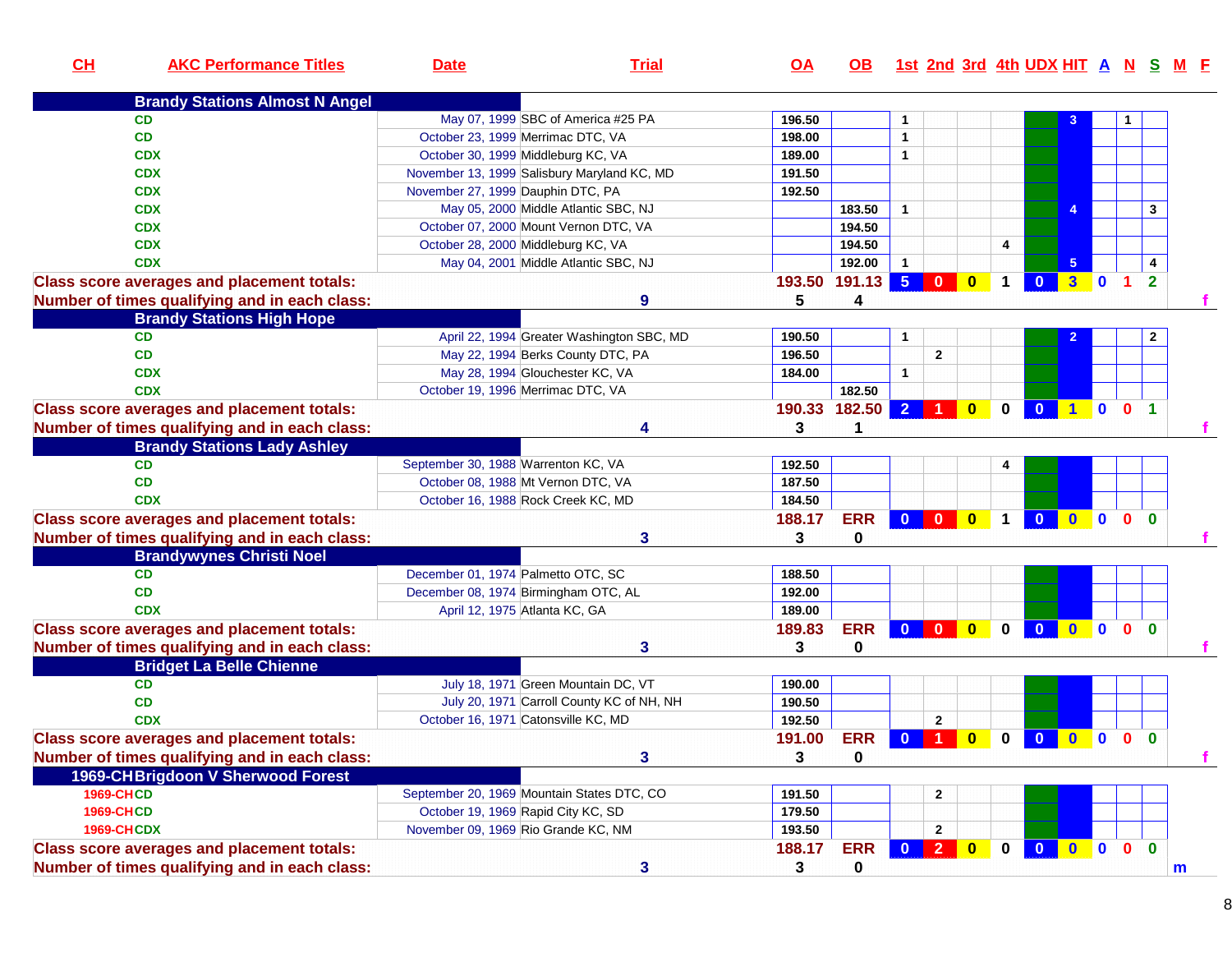| CH                | <b>AKC Performance Titles</b>                     | <b>Date</b>                                 | <b>Trial</b>                              | $\overline{OA}$ | OB.         |                |                         |                         |                      |                         |                         |                |                      |                | 1st 2nd 3rd 4th UDX HIT A N S M F |
|-------------------|---------------------------------------------------|---------------------------------------------|-------------------------------------------|-----------------|-------------|----------------|-------------------------|-------------------------|----------------------|-------------------------|-------------------------|----------------|----------------------|----------------|-----------------------------------|
|                   | <b>Brandy Stations Almost N Angel</b>             |                                             |                                           |                 |             |                |                         |                         |                      |                         |                         |                |                      |                |                                   |
|                   | <b>CD</b>                                         | May 07, 1999 SBC of America #25 PA          |                                           | 196.50          |             | 1              |                         |                         |                      |                         |                         |                |                      |                |                                   |
|                   | <b>CD</b>                                         | October 23, 1999 Merrimac DTC, VA           |                                           | 198.00          |             | $\mathbf{1}$   |                         |                         |                      |                         |                         |                |                      |                |                                   |
|                   | <b>CDX</b>                                        | October 30, 1999 Middleburg KC, VA          |                                           | 189.00          |             | $\mathbf{1}$   |                         |                         |                      |                         |                         |                |                      |                |                                   |
|                   | <b>CDX</b>                                        | November 13, 1999 Salisbury Maryland KC, MD |                                           | 191.50          |             |                |                         |                         |                      |                         |                         |                |                      |                |                                   |
|                   | <b>CDX</b>                                        | November 27, 1999 Dauphin DTC, PA           |                                           | 192.50          |             |                |                         |                         |                      |                         |                         |                |                      |                |                                   |
|                   | <b>CDX</b>                                        | May 05, 2000 Middle Atlantic SBC, NJ        |                                           |                 | 183.50      | $\mathbf{1}$   |                         |                         |                      |                         | 4                       |                |                      | $\mathbf{3}$   |                                   |
|                   | <b>CDX</b>                                        | October 07, 2000 Mount Vernon DTC, VA       |                                           |                 | 194.50      |                |                         |                         |                      |                         |                         |                |                      |                |                                   |
|                   | <b>CDX</b>                                        | October 28, 2000 Middleburg KC, VA          |                                           |                 | 194.50      |                |                         |                         | 4                    |                         |                         |                |                      |                |                                   |
|                   | <b>CDX</b>                                        | May 04, 2001 Middle Atlantic SBC, NJ        |                                           |                 | 192.00      | $\mathbf{1}$   |                         |                         |                      |                         | 5 <sub>5</sub>          |                |                      | 4              |                                   |
|                   | <b>Class score averages and placement totals:</b> |                                             |                                           | 193.50          | 191.13      | 5 <sup>5</sup> | $\mathbf{0}$            | $\bf{0}$                | 1                    | $\mathbf{0}$            | $\overline{\mathbf{3}}$ | $\mathbf{0}$   | $\blacktriangleleft$ | $\overline{2}$ |                                   |
|                   | Number of times qualifying and in each class:     |                                             | $\boldsymbol{9}$                          | 5               | 4           |                |                         |                         |                      |                         |                         |                |                      |                |                                   |
|                   | <b>Brandy Stations High Hope</b>                  |                                             |                                           |                 |             |                |                         |                         |                      |                         |                         |                |                      |                |                                   |
|                   | <b>CD</b>                                         |                                             | April 22, 1994 Greater Washington SBC, MD | 190.50          |             | $\mathbf{1}$   |                         |                         |                      |                         |                         |                |                      | $\mathbf{2}$   |                                   |
|                   | <b>CD</b>                                         | May 22, 1994 Berks County DTC, PA           |                                           | 196.50          |             |                | $\overline{2}$          |                         |                      |                         |                         |                |                      |                |                                   |
|                   | <b>CDX</b>                                        | May 28, 1994 Glouchester KC, VA             |                                           | 184.00          |             | $\mathbf{1}$   |                         |                         |                      |                         |                         |                |                      |                |                                   |
|                   | <b>CDX</b>                                        | October 19, 1996 Merrimac DTC, VA           |                                           |                 | 182.50      |                |                         |                         |                      |                         |                         |                |                      |                |                                   |
|                   | <b>Class score averages and placement totals:</b> |                                             |                                           | 190.33          | 182.50      | $\overline{2}$ |                         | $\mathbf{0}$            | $\mathbf 0$          | $\bullet$               | $\blacksquare$          | $\mathbf 0$    | 0 <sub>1</sub>       |                |                                   |
|                   | Number of times qualifying and in each class:     |                                             | 4                                         | 3               |             |                |                         |                         |                      |                         |                         |                |                      |                |                                   |
|                   | <b>Brandy Stations Lady Ashley</b>                |                                             |                                           |                 |             |                |                         |                         |                      |                         |                         |                |                      |                |                                   |
|                   | CD.                                               | September 30, 1988 Warrenton KC, VA         |                                           | 192.50          |             |                |                         |                         | 4                    |                         |                         |                |                      |                |                                   |
|                   | <b>CD</b>                                         | October 08, 1988 Mt Vernon DTC, VA          |                                           | 187.50          |             |                |                         |                         |                      |                         |                         |                |                      |                |                                   |
|                   | <b>CDX</b>                                        | October 16, 1988 Rock Creek KC, MD          |                                           | 184.50          |             |                |                         |                         |                      |                         |                         |                |                      |                |                                   |
|                   | <b>Class score averages and placement totals:</b> |                                             |                                           | 188.17          | <b>ERR</b>  | $\mathbf{0}$   | $\overline{\mathbf{0}}$ | $\bullet$               | $\blacktriangleleft$ | $\overline{\mathbf{0}}$ | $\bullet$               | $\blacksquare$ | $\mathbf{0}$         | $\Omega$       |                                   |
|                   | Number of times qualifying and in each class:     |                                             | 3                                         | 3               | 0           |                |                         |                         |                      |                         |                         |                |                      |                |                                   |
|                   | <b>Brandywynes Christi Noel</b>                   |                                             |                                           |                 |             |                |                         |                         |                      |                         |                         |                |                      |                |                                   |
|                   | <b>CD</b>                                         | December 01, 1974 Palmetto OTC, SC          |                                           | 188.50          |             |                |                         |                         |                      |                         |                         |                |                      |                |                                   |
|                   | <b>CD</b>                                         | December 08, 1974 Birmingham OTC, AL        |                                           | 192.00          |             |                |                         |                         |                      |                         |                         |                |                      |                |                                   |
|                   | <b>CDX</b>                                        | April 12, 1975 Atlanta KC, GA               |                                           | 189.00          |             |                |                         |                         |                      |                         |                         |                |                      |                |                                   |
|                   | <b>Class score averages and placement totals:</b> |                                             |                                           | 189.83          | <b>ERR</b>  |                | $0$ 0 0                 |                         | $\mathbf 0$          | $\overline{\mathbf{0}}$ | $\mathbf{0}$            |                |                      |                |                                   |
|                   | Number of times qualifying and in each class:     |                                             | 3                                         | 3               | 0           |                |                         |                         |                      |                         |                         |                |                      |                |                                   |
|                   | <b>Bridget La Belle Chienne</b>                   |                                             |                                           |                 |             |                |                         |                         |                      |                         |                         |                |                      |                |                                   |
|                   | <b>CD</b>                                         | July 18, 1971 Green Mountain DC, VT         |                                           | 190.00          |             |                |                         |                         |                      |                         |                         |                |                      |                |                                   |
|                   | <b>CD</b>                                         |                                             | July 20, 1971 Carroll County KC of NH, NH | 190.50          |             |                |                         |                         |                      |                         |                         |                |                      |                |                                   |
|                   | <b>CDX</b>                                        | October 16, 1971 Catonsville KC, MD         |                                           | 192.50          |             |                | $\mathbf{2}$            |                         |                      |                         |                         |                |                      |                |                                   |
|                   | <b>Class score averages and placement totals:</b> |                                             |                                           | 191.00          | <b>ERR</b>  | $\mathbf{0}$   | $\blacktriangleleft$    | $\overline{\mathbf{0}}$ | $\mathbf 0$          | $\overline{\mathbf{0}}$ | $\bullet$               | $\mathbf 0$    | $\mathbf 0$          | $\bf{0}$       |                                   |
|                   | Number of times qualifying and in each class:     |                                             | 3                                         | 3               | $\mathbf 0$ |                |                         |                         |                      |                         |                         |                |                      |                |                                   |
|                   | 1969-CHBrigdoon V Sherwood Forest                 |                                             |                                           |                 |             |                |                         |                         |                      |                         |                         |                |                      |                |                                   |
| <b>1969-CHCD</b>  |                                                   | September 20, 1969 Mountain States DTC, CO  |                                           | 191.50          |             |                | 2                       |                         |                      |                         |                         |                |                      |                |                                   |
| <b>1969-CHCD</b>  |                                                   | October 19, 1969 Rapid City KC, SD          |                                           | 179.50          |             |                |                         |                         |                      |                         |                         |                |                      |                |                                   |
| <b>1969-CHCDX</b> |                                                   | November 09, 1969 Rio Grande KC, NM         |                                           | 193.50          |             |                | $\overline{2}$          |                         |                      |                         |                         |                |                      |                |                                   |
|                   | <b>Class score averages and placement totals:</b> |                                             |                                           | 188.17          | <b>ERR</b>  |                | 0 2 0                   |                         | $\mathbf 0$          | $\bullet$               |                         | 000            |                      | $\Omega$       |                                   |
|                   | Number of times qualifying and in each class:     |                                             | 3                                         | 3               | 0           |                |                         |                         |                      |                         |                         |                |                      |                | $\mathbf m$                       |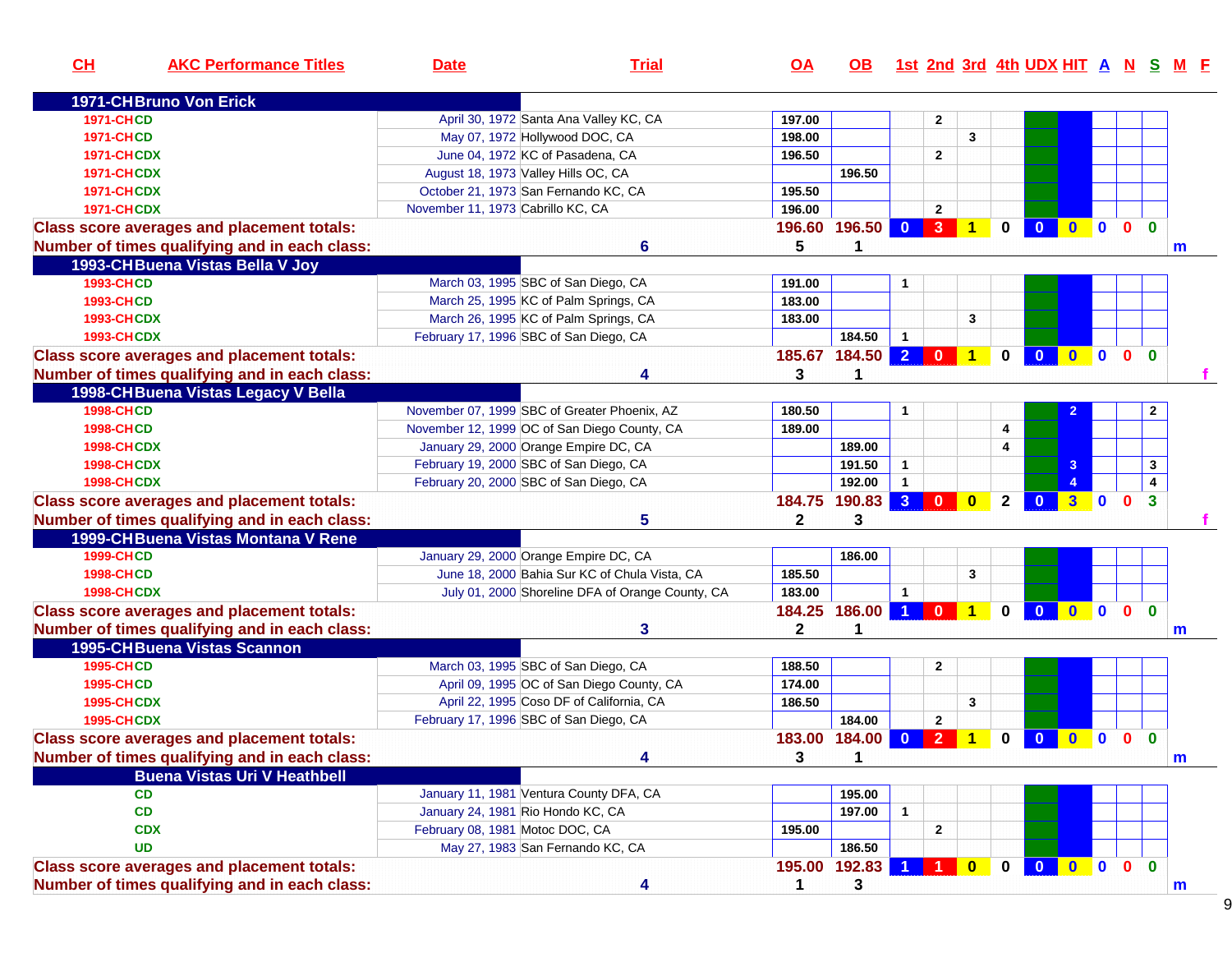| CH                | <b>AKC Performance Titles</b>                     | <b>Date</b>                                  | <b>Trial</b>                                     | $\overline{OA}$ | OB.           |                         |                                                                      |              |                |                         |              |                |              |                         | 1st 2nd 3rd 4th UDX HIT A N S M F |
|-------------------|---------------------------------------------------|----------------------------------------------|--------------------------------------------------|-----------------|---------------|-------------------------|----------------------------------------------------------------------|--------------|----------------|-------------------------|--------------|----------------|--------------|-------------------------|-----------------------------------|
|                   | <b>1971-CHBruno Von Erick</b>                     |                                              |                                                  |                 |               |                         |                                                                      |              |                |                         |              |                |              |                         |                                   |
| <b>1971-CHCD</b>  |                                                   |                                              | April 30, 1972 Santa Ana Valley KC, CA           | 197.00          |               |                         | $\mathbf{2}$                                                         |              |                |                         |              |                |              |                         |                                   |
| <b>1971-CHCD</b>  |                                                   | May 07, 1972 Hollywood DOC, CA               |                                                  | 198.00          |               |                         |                                                                      | 3            |                |                         |              |                |              |                         |                                   |
| <b>1971-CHCDX</b> |                                                   | June 04, 1972 KC of Pasadena, CA             |                                                  | 196.50          |               |                         | $\mathbf{2}$                                                         |              |                |                         |              |                |              |                         |                                   |
| <b>1971-CHCDX</b> |                                                   | August 18, 1973 Valley Hills OC, CA          |                                                  |                 | 196.50        |                         |                                                                      |              |                |                         |              |                |              |                         |                                   |
| <b>1971-CHCDX</b> |                                                   | October 21, 1973 San Fernando KC, CA         |                                                  | 195.50          |               |                         |                                                                      |              |                |                         |              |                |              |                         |                                   |
| <b>1971-CHCDX</b> |                                                   | November 11, 1973 Cabrillo KC, CA            |                                                  | 196.00          |               |                         | $\mathbf{2}$                                                         |              |                |                         |              |                |              |                         |                                   |
|                   | <b>Class score averages and placement totals:</b> |                                              |                                                  |                 | 196.60 196.50 |                         | $\begin{array}{ c c c c c c c c c }\n\hline\n0 & 3 & 1\n\end{array}$ |              | $\mathbf{0}$   | $\overline{\mathbf{0}}$ | $0$ 0        |                | $\mathbf{0}$ | $\mathbf{0}$            |                                   |
|                   | Number of times qualifying and in each class:     |                                              | 6                                                | 5               |               |                         |                                                                      |              |                |                         |              |                |              |                         | m                                 |
|                   | 1993-CH Buena Vistas Bella V Joy                  |                                              |                                                  |                 |               |                         |                                                                      |              |                |                         |              |                |              |                         |                                   |
| <b>1993-CHCD</b>  |                                                   | March 03, 1995 SBC of San Diego, CA          |                                                  | 191.00          |               |                         |                                                                      |              |                |                         |              |                |              |                         |                                   |
| <b>1993-CHCD</b>  |                                                   | March 25, 1995 KC of Palm Springs, CA        |                                                  | 183.00          |               |                         |                                                                      |              |                |                         |              |                |              |                         |                                   |
| <b>1993-CHCDX</b> |                                                   | March 26, 1995 KC of Palm Springs, CA        |                                                  | 183.00          |               |                         |                                                                      | 3            |                |                         |              |                |              |                         |                                   |
| <b>1993-CHCDX</b> |                                                   | February 17, 1996 SBC of San Diego, CA       |                                                  |                 | 184.50        | $\overline{1}$          |                                                                      |              |                |                         |              |                |              |                         |                                   |
|                   | <b>Class score averages and placement totals:</b> |                                              |                                                  |                 | 185.67 184.50 |                         | $2 0 1$                                                              |              | 0 <sup>1</sup> |                         | 0 0 0 0      |                |              | $\mathbf{0}$            |                                   |
|                   | Number of times qualifying and in each class:     |                                              | 4                                                | 3               |               |                         |                                                                      |              |                |                         |              |                |              |                         |                                   |
|                   | 1998-CH Buena Vistas Legacy V Bella               |                                              |                                                  |                 |               |                         |                                                                      |              |                |                         |              |                |              |                         |                                   |
| <b>1998-CHCD</b>  |                                                   | November 07, 1999 SBC of Greater Phoenix, AZ |                                                  | 180.50          |               |                         |                                                                      |              |                |                         |              |                |              | $\mathbf{2}$            |                                   |
| <b>1998-CHCD</b>  |                                                   | November 12, 1999 OC of San Diego County, CA |                                                  | 189.00          |               |                         |                                                                      |              | 4              |                         |              |                |              |                         |                                   |
| <b>1998-CHCDX</b> |                                                   | January 29, 2000 Orange Empire DC, CA        |                                                  |                 | 189.00        |                         |                                                                      |              | 4              |                         |              |                |              |                         |                                   |
| <b>1998-CHCDX</b> |                                                   | February 19, 2000 SBC of San Diego, CA       |                                                  |                 | 191.50        | $\mathbf{1}$            |                                                                      |              |                |                         | 3            |                |              | 3                       |                                   |
| <b>1998-CHCDX</b> |                                                   | February 20, 2000 SBC of San Diego, CA       |                                                  |                 | 192.00        | $\mathbf{1}$            |                                                                      |              |                |                         |              |                |              | $\overline{\mathbf{4}}$ |                                   |
|                   | <b>Class score averages and placement totals:</b> |                                              |                                                  |                 | 184.75 190.83 | 3 <sup>2</sup>          | $\mathbf{0}$                                                         | $\mathbf{0}$ | $\mathbf{2}$   | $\mathbf{0}$            | $\mathbf{3}$ | $\overline{0}$ | $\mathbf{0}$ | 3                       |                                   |
|                   |                                                   |                                              | 5                                                | $\mathbf{2}$    | 3             |                         |                                                                      |              |                |                         |              |                |              |                         |                                   |
|                   | Number of times qualifying and in each class:     |                                              |                                                  |                 |               |                         |                                                                      |              |                |                         |              |                |              |                         |                                   |
|                   | 1999-CH Buena Vistas Montana V Rene               |                                              |                                                  |                 |               |                         |                                                                      |              |                |                         |              |                |              |                         |                                   |
| <b>1999-CHCD</b>  |                                                   | January 29, 2000 Orange Empire DC, CA        |                                                  |                 | 186.00        |                         |                                                                      |              |                |                         |              |                |              |                         |                                   |
| <b>1998-CHCD</b>  |                                                   |                                              | June 18, 2000 Bahia Sur KC of Chula Vista, CA    | 185.50          |               |                         |                                                                      | 3            |                |                         |              |                |              |                         |                                   |
| <b>1998-CHCDX</b> |                                                   |                                              | July 01, 2000 Shoreline DFA of Orange County, CA | 183.00          |               | $\overline{1}$          |                                                                      |              |                |                         |              |                |              |                         |                                   |
|                   | <b>Class score averages and placement totals:</b> |                                              |                                                  |                 | 184.25 186.00 | $\blacktriangleleft$    | $\mathbf 0$                                                          | $\mathbf{1}$ | $\mathbf 0$    | $\overline{\mathbf{0}}$ | $\mathbf{0}$ | 0 0            |              | $\mathbf{0}$            |                                   |
|                   | Number of times qualifying and in each class:     |                                              | 3                                                | 2               |               |                         |                                                                      |              |                |                         |              |                |              |                         | m                                 |
|                   | <b>1995-CHBuena Vistas Scannon</b>                |                                              |                                                  |                 |               |                         |                                                                      |              |                |                         |              |                |              |                         |                                   |
| <b>1995-CHCD</b>  |                                                   | March 03, 1995 SBC of San Diego, CA          |                                                  | 188.50          |               |                         | $\mathbf 2$                                                          |              |                |                         |              |                |              |                         |                                   |
| <b>1995-CHCD</b>  |                                                   |                                              | April 09, 1995 OC of San Diego County, CA        | 174.00          |               |                         |                                                                      |              |                |                         |              |                |              |                         |                                   |
| <b>1995-CHCDX</b> |                                                   |                                              | April 22, 1995 Coso DF of California, CA         | 186.50          |               |                         |                                                                      | $\mathbf{3}$ |                |                         |              |                |              |                         |                                   |
| <b>1995-CHCDX</b> |                                                   | February 17, 1996 SBC of San Diego, CA       |                                                  |                 | 184.00        |                         | $\mathbf{2}$                                                         |              |                |                         |              |                |              |                         |                                   |
|                   | <b>Class score averages and placement totals:</b> |                                              |                                                  |                 | 183.00 184.00 | $\overline{\mathbf{0}}$ | 2 <sup>7</sup>                                                       | $\mathbf{1}$ | $\mathbf{0}$   |                         | 0000         |                |              | $\mathbf{0}$            |                                   |
|                   | Number of times qualifying and in each class:     |                                              | 4                                                | 3               | 1             |                         |                                                                      |              |                |                         |              |                |              |                         | m                                 |
|                   | <b>Buena Vistas Uri V Heathbell</b>               |                                              |                                                  |                 |               |                         |                                                                      |              |                |                         |              |                |              |                         |                                   |
|                   | CD                                                | January 11, 1981 Ventura County DFA, CA      |                                                  |                 | 195.00        |                         |                                                                      |              |                |                         |              |                |              |                         |                                   |
|                   | CD                                                | January 24, 1981 Rio Hondo KC, CA            |                                                  |                 | 197.00        | $\mathbf{1}$            |                                                                      |              |                |                         |              |                |              |                         |                                   |
|                   | <b>CDX</b>                                        | February 08, 1981 Motoc DOC, CA              |                                                  | 195.00          |               |                         | 2                                                                    |              |                |                         |              |                |              |                         |                                   |
|                   | <b>UD</b>                                         | May 27, 1983 San Fernando KC, CA             |                                                  |                 | 186.50        |                         |                                                                      |              |                |                         |              |                |              |                         |                                   |
|                   | <b>Class score averages and placement totals:</b> |                                              |                                                  |                 | 195.00 192.83 |                         |                                                                      | $\bullet$    | $0-1$          |                         | 0 0 0        |                | $\mathbf{0}$ | $\mathbf{0}$            |                                   |
|                   | Number of times qualifying and in each class:     |                                              | 4                                                | $\mathbf{1}$    | $\mathbf{3}$  |                         |                                                                      |              |                |                         |              |                |              |                         | m                                 |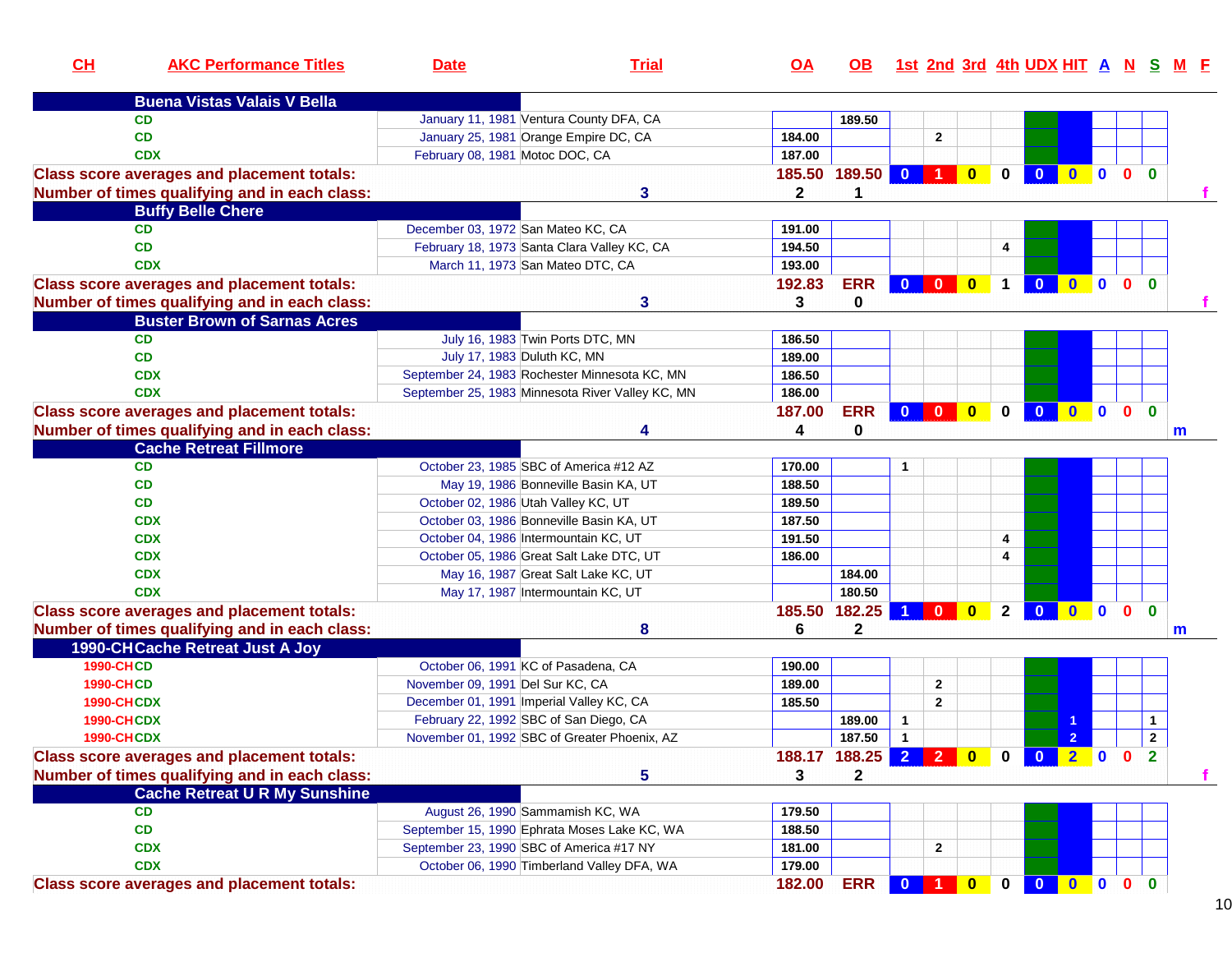| CL                | <b>AKC Performance Titles</b>                     | <b>Date</b>                        | <b>Trial</b>                                                                     | $\overline{OA}$ | OB.                             |                         |                                 |           |              |                         |                |                |              |              | <u>1st 2nd 3rd 4th UDX HIT A N S M E</u> |
|-------------------|---------------------------------------------------|------------------------------------|----------------------------------------------------------------------------------|-----------------|---------------------------------|-------------------------|---------------------------------|-----------|--------------|-------------------------|----------------|----------------|--------------|--------------|------------------------------------------|
|                   | <b>Buena Vistas Valais V Bella</b>                |                                    |                                                                                  |                 |                                 |                         |                                 |           |              |                         |                |                |              |              |                                          |
|                   | <b>CD</b>                                         |                                    | January 11, 1981 Ventura County DFA, CA                                          |                 | 189.50                          |                         |                                 |           |              |                         |                |                |              |              |                                          |
|                   | CD                                                |                                    | January 25, 1981 Orange Empire DC, CA                                            | 184.00          |                                 |                         | $\overline{2}$                  |           |              |                         |                |                |              |              |                                          |
|                   | <b>CDX</b>                                        | February 08, 1981 Motoc DOC, CA    |                                                                                  | 187.00          |                                 |                         |                                 |           |              |                         |                |                |              |              |                                          |
|                   | <b>Class score averages and placement totals:</b> |                                    |                                                                                  |                 | 185.50 189.50                   | $\overline{\mathbf{0}}$ | $\blacksquare$ 1 $\blacksquare$ | $\bullet$ | $\mathbf 0$  | $\bullet$               |                |                |              |              |                                          |
|                   | Number of times qualifying and in each class:     |                                    | 3                                                                                | $\mathbf{2}$    | 1                               |                         |                                 |           |              |                         |                |                |              |              |                                          |
|                   | <b>Buffy Belle Chere</b>                          |                                    |                                                                                  |                 |                                 |                         |                                 |           |              |                         |                |                |              |              |                                          |
|                   | <b>CD</b>                                         | December 03, 1972 San Mateo KC, CA |                                                                                  | 191.00          |                                 |                         |                                 |           |              |                         |                |                |              |              |                                          |
|                   | <b>CD</b>                                         |                                    | February 18, 1973 Santa Clara Valley KC, CA                                      | 194.50          |                                 |                         |                                 |           | 4            |                         |                |                |              |              |                                          |
|                   | <b>CDX</b>                                        |                                    | March 11, 1973 San Mateo DTC, CA                                                 | 193.00          |                                 |                         |                                 |           |              |                         |                |                |              |              |                                          |
|                   | <b>Class score averages and placement totals:</b> |                                    |                                                                                  | 192.83          | <b>ERR</b>                      |                         | 0 0 0 1                         |           |              | $\overline{\mathbf{0}}$ | $0$ 0 0        |                |              | $\mathbf{0}$ |                                          |
|                   | Number of times qualifying and in each class:     |                                    | 3                                                                                | 3               | 0                               |                         |                                 |           |              |                         |                |                |              |              |                                          |
|                   | <b>Buster Brown of Sarnas Acres</b>               |                                    |                                                                                  |                 |                                 |                         |                                 |           |              |                         |                |                |              |              |                                          |
|                   | <b>CD</b>                                         |                                    | July 16, 1983 Twin Ports DTC, MN                                                 | 186.50          |                                 |                         |                                 |           |              |                         |                |                |              |              |                                          |
|                   | <b>CD</b>                                         |                                    | July 17, 1983 Duluth KC, MN                                                      | 189.00          |                                 |                         |                                 |           |              |                         |                |                |              |              |                                          |
|                   | <b>CDX</b>                                        |                                    | September 24, 1983 Rochester Minnesota KC, MN                                    | 186.50          |                                 |                         |                                 |           |              |                         |                |                |              |              |                                          |
|                   | <b>CDX</b>                                        |                                    | September 25, 1983 Minnesota River Valley KC, MN                                 | 186.00          |                                 |                         |                                 |           |              |                         |                |                |              |              |                                          |
|                   | <b>Class score averages and placement totals:</b> |                                    |                                                                                  | 187.00          | <b>ERR</b>                      | $\mathbf{0}$            | $\overline{\mathbf{0}}$         | $\bullet$ | $\mathbf 0$  | $\overline{\mathbf{0}}$ | $0$ 0 0        |                |              | $\mathbf{0}$ |                                          |
|                   | Number of times qualifying and in each class:     |                                    |                                                                                  | 4               | 0                               |                         |                                 |           |              |                         |                |                |              |              | m                                        |
|                   | <b>Cache Retreat Fillmore</b>                     |                                    |                                                                                  |                 |                                 |                         |                                 |           |              |                         |                |                |              |              |                                          |
|                   | <b>CD</b>                                         |                                    | October 23, 1985 SBC of America #12 AZ                                           | 170.00          |                                 |                         |                                 |           |              |                         |                |                |              |              |                                          |
|                   | CD                                                |                                    | May 19, 1986 Bonneville Basin KA, UT                                             | 188.50          |                                 |                         |                                 |           |              |                         |                |                |              |              |                                          |
|                   | CD                                                |                                    | October 02, 1986 Utah Valley KC, UT                                              | 189.50          |                                 |                         |                                 |           |              |                         |                |                |              |              |                                          |
|                   | <b>CDX</b>                                        |                                    | October 03, 1986 Bonneville Basin KA, UT                                         | 187.50          |                                 |                         |                                 |           |              |                         |                |                |              |              |                                          |
|                   | <b>CDX</b>                                        |                                    | October 04, 1986 Intermountain KC, UT                                            | 191.50          |                                 |                         |                                 |           | 4            |                         |                |                |              |              |                                          |
|                   | <b>CDX</b>                                        |                                    | October 05, 1986 Great Salt Lake DTC, UT                                         | 186.00          |                                 |                         |                                 |           | 4            |                         |                |                |              |              |                                          |
|                   | <b>CDX</b>                                        |                                    | May 16, 1987 Great Salt Lake KC, UT                                              |                 | 184.00                          |                         |                                 |           |              |                         |                |                |              |              |                                          |
|                   | <b>CDX</b>                                        |                                    | May 17, 1987 Intermountain KC, UT                                                |                 | 180.50                          |                         |                                 |           |              |                         |                |                |              |              |                                          |
|                   | <b>Class score averages and placement totals:</b> |                                    |                                                                                  | 185.50          | 182.25                          |                         | $\Omega$                        | $\bf{0}$  | $\mathbf{2}$ | $\mathbf{0}$            | $\mathbf{0}$   | $\blacksquare$ | $\mathbf{0}$ | $\bf{0}$     |                                          |
|                   | Number of times qualifying and in each class:     |                                    | 8                                                                                | 6               | $\mathbf 2$                     |                         |                                 |           |              |                         |                |                |              |              | m                                        |
|                   | 1990-CH Cache Retreat Just A Joy                  |                                    |                                                                                  |                 |                                 |                         |                                 |           |              |                         |                |                |              |              |                                          |
| <b>1990-CHCD</b>  |                                                   |                                    | October 06, 1991 KC of Pasadena, CA                                              | 190.00          |                                 |                         |                                 |           |              |                         |                |                |              |              |                                          |
| <b>1990-CHCD</b>  |                                                   | November 09, 1991 Del Sur KC, CA   |                                                                                  | 189.00          |                                 |                         | $\overline{2}$                  |           |              |                         |                |                |              |              |                                          |
| <b>1990-CHCDX</b> |                                                   |                                    | December 01, 1991 Imperial Valley KC, CA                                         | 185.50          |                                 |                         | $\overline{2}$                  |           |              |                         |                |                |              |              |                                          |
| <b>1990-CHCDX</b> |                                                   |                                    | February 22, 1992 SBC of San Diego, CA                                           |                 | 189.00                          | $\mathbf{1}$            |                                 |           |              |                         |                |                |              | $\mathbf 1$  |                                          |
| <b>1990-CHCDX</b> |                                                   |                                    | November 01, 1992 SBC of Greater Phoenix, AZ                                     |                 | 187.50                          | $\overline{1}$          |                                 |           |              |                         | $\overline{2}$ |                |              | $\mathbf{2}$ |                                          |
|                   | <b>Class score averages and placement totals:</b> |                                    |                                                                                  |                 | 188.17 188.25 2 2 0 0 0 2 0 0 2 |                         |                                 |           |              |                         |                |                |              |              |                                          |
|                   | Number of times qualifying and in each class:     |                                    | 5                                                                                | 3               | $\mathbf{2}$                    |                         |                                 |           |              |                         |                |                |              |              |                                          |
|                   | <b>Cache Retreat U R My Sunshine</b>              |                                    |                                                                                  |                 |                                 |                         |                                 |           |              |                         |                |                |              |              |                                          |
|                   |                                                   |                                    |                                                                                  |                 |                                 |                         |                                 |           |              |                         |                |                |              |              |                                          |
|                   | <b>CD</b><br>CD                                   |                                    | August 26, 1990 Sammamish KC, WA<br>September 15, 1990 Ephrata Moses Lake KC, WA | 179.50          |                                 |                         |                                 |           |              |                         |                |                |              |              |                                          |
|                   |                                                   |                                    | September 23, 1990 SBC of America #17 NY                                         | 188.50          |                                 |                         |                                 |           |              |                         |                |                |              |              |                                          |
|                   | <b>CDX</b>                                        |                                    | October 06, 1990 Timberland Valley DFA, WA                                       | 181.00          |                                 |                         | $\mathbf{2}$                    |           |              |                         |                |                |              |              |                                          |
|                   | <b>CDX</b>                                        |                                    |                                                                                  | 179.00          |                                 |                         |                                 |           |              |                         |                |                |              |              |                                          |
|                   | <b>Class score averages and placement totals:</b> |                                    |                                                                                  | 182.00          | <b>ERR</b>                      | $\mathbf{0}$            | $\overline{1}$                  | $\bf{0}$  | $\mathbf 0$  | $\bullet$               | 0000           |                |              |              |                                          |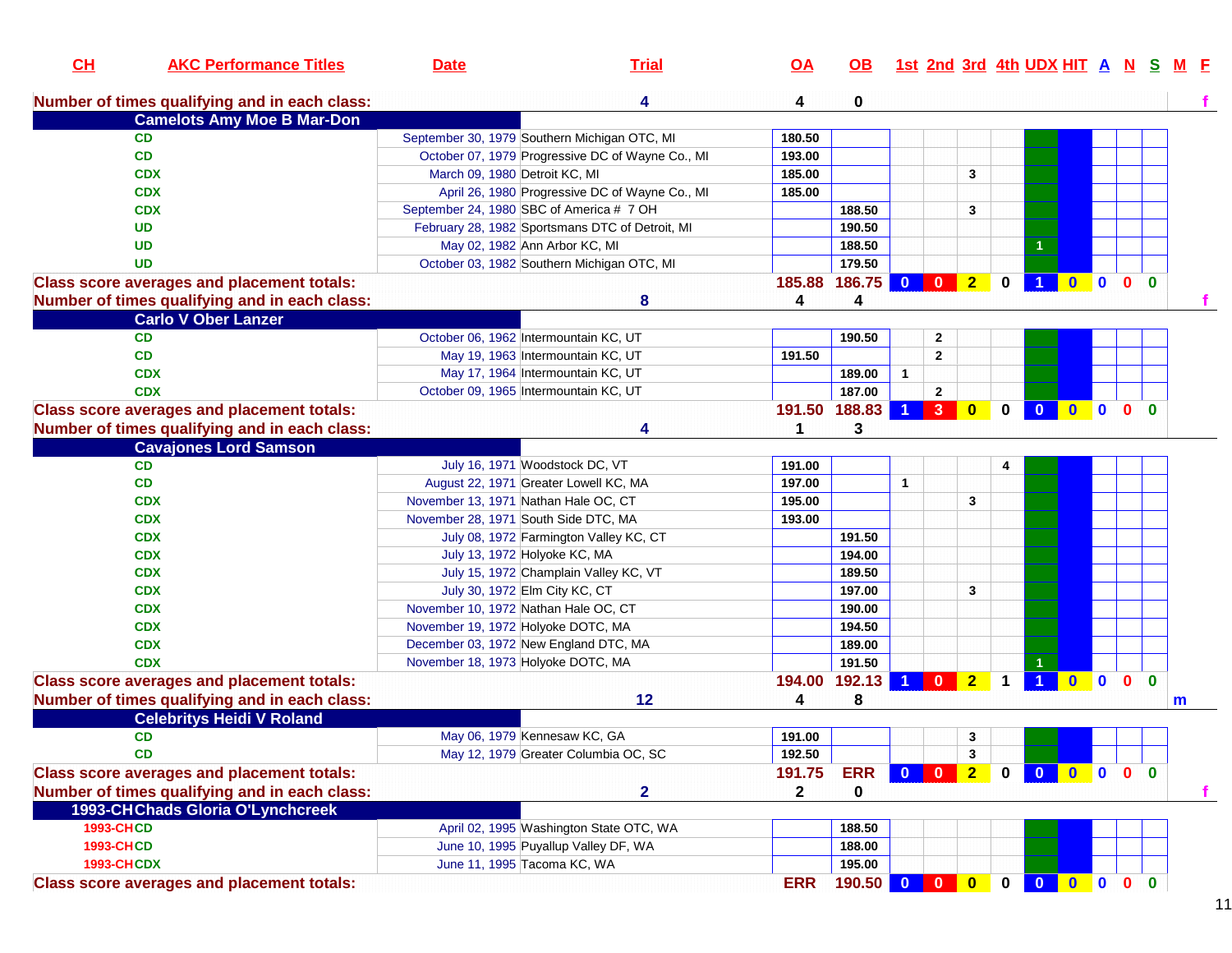| CL                                    | <b>AKC Performance Titles</b>                     | <b>Date</b>                   | <b>Trial</b>                                                        | <u>OA</u>    | OB.              |                      |                |                |              | 1st 2nd 3rd 4th UDX HIT A N S |                                                 |              |              |
|---------------------------------------|---------------------------------------------------|-------------------------------|---------------------------------------------------------------------|--------------|------------------|----------------------|----------------|----------------|--------------|-------------------------------|-------------------------------------------------|--------------|--------------|
|                                       | Number of times qualifying and in each class:     |                               | 4                                                                   | 4            | 0                |                      |                |                |              |                               |                                                 |              |              |
|                                       | <b>Camelots Amy Moe B Mar-Don</b>                 |                               |                                                                     |              |                  |                      |                |                |              |                               |                                                 |              |              |
|                                       | <b>CD</b>                                         |                               | September 30, 1979 Southern Michigan OTC, MI                        | 180.50       |                  |                      |                |                |              |                               |                                                 |              |              |
|                                       | <b>CD</b>                                         |                               | October 07, 1979 Progressive DC of Wayne Co., MI                    | 193.00       |                  |                      |                |                |              |                               |                                                 |              |              |
|                                       | <b>CDX</b>                                        | March 09, 1980 Detroit KC, MI |                                                                     | 185.00       |                  |                      |                | 3              |              |                               |                                                 |              |              |
|                                       | <b>CDX</b>                                        |                               | April 26, 1980 Progressive DC of Wayne Co., MI                      | 185.00       |                  |                      |                |                |              |                               |                                                 |              |              |
|                                       | <b>CDX</b>                                        |                               | September 24, 1980 SBC of America # 7 OH                            |              | 188.50           |                      |                | 3              |              |                               |                                                 |              |              |
|                                       | <b>UD</b>                                         |                               | February 28, 1982 Sportsmans DTC of Detroit, MI                     |              | 190.50           |                      |                |                |              |                               |                                                 |              |              |
|                                       | <b>UD</b>                                         |                               | May 02, 1982 Ann Arbor KC, MI                                       |              | 188.50           |                      |                |                |              |                               |                                                 |              |              |
|                                       | <b>UD</b>                                         |                               | October 03, 1982 Southern Michigan OTC, MI                          |              | 179.50           |                      |                |                |              |                               |                                                 |              |              |
|                                       | <b>Class score averages and placement totals:</b> |                               |                                                                     |              | 185.88 186.75    | $\mathbf{0}$         | $\mathbf{0}$   | 2 <sub>1</sub> | $\mathbf{0}$ |                               |                                                 |              |              |
|                                       | Number of times qualifying and in each class:     |                               | 8                                                                   | 4            | 4                |                      |                |                |              |                               |                                                 |              |              |
|                                       | <b>Carlo V Ober Lanzer</b>                        |                               |                                                                     |              |                  |                      |                |                |              |                               |                                                 |              |              |
|                                       | <b>CD</b>                                         |                               | October 06, 1962 Intermountain KC, UT                               |              | 190.50           |                      | $\mathbf{2}$   |                |              |                               |                                                 |              |              |
|                                       | <b>CD</b>                                         |                               | May 19, 1963 Intermountain KC, UT                                   | 191.50       |                  |                      | $\overline{2}$ |                |              |                               |                                                 |              |              |
|                                       | <b>CDX</b>                                        |                               | May 17, 1964 Intermountain KC, UT                                   |              | 189.00           | $\mathbf{1}$         |                |                |              |                               |                                                 |              |              |
|                                       | <b>CDX</b>                                        |                               | October 09, 1965 Intermountain KC, UT                               |              | 187.00           |                      | $\overline{2}$ |                |              |                               |                                                 |              |              |
|                                       | <b>Class score averages and placement totals:</b> |                               |                                                                     |              | 191.50 188.83    | $\blacktriangleleft$ | 3 <sup>2</sup> | $\bf{0}$       | $\mathbf{0}$ | $\mathbf{0}$                  | $\bullet$ $\bullet$                             | $\mathbf{0}$ | $\Omega$     |
|                                       | Number of times qualifying and in each class:     |                               | Δ                                                                   | 1            | 3                |                      |                |                |              |                               |                                                 |              |              |
|                                       | <b>Cavajones Lord Samson</b>                      |                               |                                                                     |              |                  |                      |                |                |              |                               |                                                 |              |              |
|                                       | <b>CD</b>                                         |                               | July 16, 1971 Woodstock DC, VT                                      | 191.00       |                  |                      |                |                |              |                               |                                                 |              |              |
|                                       | <b>CD</b>                                         |                               | August 22, 1971 Greater Lowell KC, MA                               | 197.00       |                  | $\mathbf{1}$         |                |                |              |                               |                                                 |              |              |
|                                       | <b>CDX</b>                                        |                               | November 13, 1971 Nathan Hale OC, CT                                | 195.00       |                  |                      |                | 3              |              |                               |                                                 |              |              |
|                                       | <b>CDX</b>                                        |                               | November 28, 1971 South Side DTC, MA                                | 193.00       |                  |                      |                |                |              |                               |                                                 |              |              |
|                                       | <b>CDX</b>                                        |                               | July 08, 1972 Farmington Valley KC, CT                              |              | 191.50           |                      |                |                |              |                               |                                                 |              |              |
|                                       | <b>CDX</b>                                        |                               | July 13, 1972 Holyoke KC, MA                                        |              | 194.00           |                      |                |                |              |                               |                                                 |              |              |
|                                       | <b>CDX</b>                                        |                               | July 15, 1972 Champlain Valley KC, VT                               |              | 189.50           |                      |                |                |              |                               |                                                 |              |              |
|                                       | <b>CDX</b>                                        |                               | July 30, 1972 Elm City KC, CT                                       |              | 197.00           |                      |                | 3              |              |                               |                                                 |              |              |
|                                       | <b>CDX</b>                                        |                               | November 10, 1972 Nathan Hale OC, CT                                |              | 190.00           |                      |                |                |              |                               |                                                 |              |              |
|                                       | <b>CDX</b>                                        |                               | November 19, 1972 Holyoke DOTC, MA                                  |              | 194.50           |                      |                |                |              |                               |                                                 |              |              |
|                                       | <b>CDX</b>                                        |                               | December 03, 1972 New England DTC, MA                               |              | 189.00           |                      |                |                |              |                               |                                                 |              |              |
|                                       | <b>CDX</b>                                        |                               | November 18, 1973 Holyoke DOTC, MA                                  |              | 191.50           |                      |                |                |              | 1                             |                                                 |              |              |
|                                       | <b>Class score averages and placement totals:</b> |                               |                                                                     | 194.00       | 192.13           | $\blacktriangleleft$ | $\mathbf{0}$   | $\overline{2}$ |              |                               | $\overline{\mathbf{0}}$ $\overline{\mathbf{0}}$ | $\mathbf{0}$ | $\mathbf{0}$ |
|                                       |                                                   |                               | 12                                                                  |              |                  |                      |                |                |              |                               |                                                 |              |              |
|                                       | Number of times qualifying and in each class:     |                               |                                                                     | 4            | 8                |                      |                |                |              |                               |                                                 |              |              |
|                                       | <b>Celebritys Heidi V Roland</b>                  |                               |                                                                     |              |                  |                      |                |                |              |                               |                                                 |              |              |
|                                       | <b>CD</b>                                         |                               | May 06, 1979 Kennesaw KC, GA                                        | 191.00       |                  |                      |                | 3              |              |                               |                                                 |              |              |
|                                       | CD                                                |                               | May 12, 1979 Greater Columbia OC, SC                                | 192.50       |                  |                      |                | 3              |              |                               |                                                 |              |              |
|                                       | <b>Class score averages and placement totals:</b> |                               |                                                                     | 191.75       | <b>ERR</b>       | $0$ 0                |                | 2 <sup>1</sup> | $\mathbf 0$  | 0000                          |                                                 |              | $\mathbf{0}$ |
|                                       | Number of times qualifying and in each class:     |                               | $\overline{\mathbf{2}}$                                             | $\mathbf{2}$ | 0                |                      |                |                |              |                               |                                                 |              |              |
|                                       | 1993-CHChads Gloria O'Lynchcreek                  |                               |                                                                     |              |                  |                      |                |                |              |                               |                                                 |              |              |
|                                       |                                                   |                               | April 02, 1995 Washington State OTC, WA                             |              | 188.50           |                      |                |                |              |                               |                                                 |              |              |
| <b>1993-CHCD</b>                      |                                                   |                               |                                                                     |              |                  |                      |                |                |              |                               |                                                 |              |              |
| <b>1993-CHCD</b><br><b>1993-CHCDX</b> |                                                   |                               | June 10, 1995 Puyallup Valley DF, WA<br>June 11, 1995 Tacoma KC, WA |              | 188.00<br>195.00 |                      |                |                |              |                               |                                                 |              |              |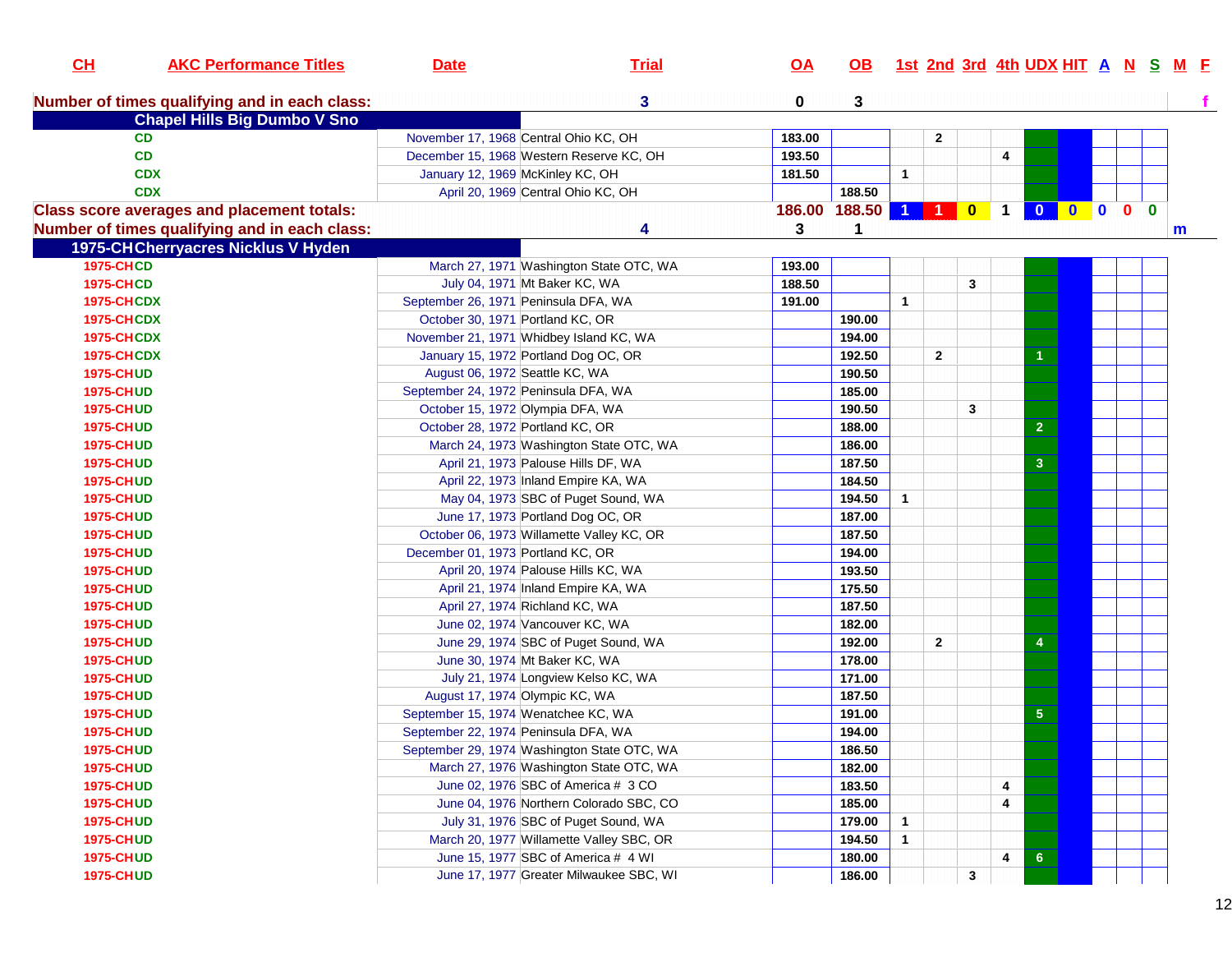| CH                | <b>AKC Performance Titles</b>                     | <b>Date</b>                       | <b>Trial</b>                                | <u>OA</u>     | <b>OB</b> |              |              |   |   |                         |  | 1st 2nd 3rd 4th UDX HIT A N S M F |
|-------------------|---------------------------------------------------|-----------------------------------|---------------------------------------------|---------------|-----------|--------------|--------------|---|---|-------------------------|--|-----------------------------------|
|                   | Number of times qualifying and in each class:     |                                   | $\mathbf{3}$                                | 0             | 3         |              |              |   |   |                         |  |                                   |
|                   | <b>Chapel Hills Big Dumbo V Sno</b>               |                                   |                                             |               |           |              |              |   |   |                         |  |                                   |
| <b>CD</b>         |                                                   |                                   | November 17, 1968 Central Ohio KC, OH       | 183.00        |           |              | $\mathbf{2}$ |   |   |                         |  |                                   |
| <b>CD</b>         |                                                   |                                   | December 15, 1968 Western Reserve KC, OH    | 193.50        |           |              |              |   | 4 |                         |  |                                   |
|                   | <b>CDX</b>                                        |                                   | January 12, 1969 McKinley KC, OH            | 181.50        |           | $\mathbf{1}$ |              |   |   |                         |  |                                   |
|                   | <b>CDX</b>                                        |                                   | April 20, 1969 Central Ohio KC, OH          |               | 188.50    |              |              |   |   |                         |  |                                   |
|                   | <b>Class score averages and placement totals:</b> |                                   |                                             | 186.00 188.50 |           | $\bullet$    |              |   |   | 10100000                |  |                                   |
|                   | Number of times qualifying and in each class:     |                                   | 4                                           | 3             |           |              |              |   |   |                         |  | m                                 |
|                   | 1975-CHCherryacres Nicklus V Hyden                |                                   |                                             |               |           |              |              |   |   |                         |  |                                   |
| <b>1975-CHCD</b>  |                                                   |                                   | March 27, 1971 Washington State OTC, WA     | 193.00        |           |              |              |   |   |                         |  |                                   |
| <b>1975-CHCD</b>  |                                                   |                                   | July 04, 1971 Mt Baker KC, WA               | 188.50        |           |              |              | 3 |   |                         |  |                                   |
| <b>1975-CHCDX</b> |                                                   |                                   | September 26, 1971 Peninsula DFA, WA        | 191.00        |           | $\mathbf{1}$ |              |   |   |                         |  |                                   |
| <b>1975-CHCDX</b> |                                                   |                                   | October 30, 1971 Portland KC, OR            |               | 190.00    |              |              |   |   |                         |  |                                   |
| <b>1975-CHCDX</b> |                                                   |                                   | November 21, 1971 Whidbey Island KC, WA     |               | 194.00    |              |              |   |   |                         |  |                                   |
| <b>1975-CHCDX</b> |                                                   |                                   | January 15, 1972 Portland Dog OC, OR        |               | 192.50    |              | $\mathbf{2}$ |   |   |                         |  |                                   |
| <b>1975-CHUD</b>  |                                                   |                                   | August 06, 1972 Seattle KC, WA              |               | 190.50    |              |              |   |   |                         |  |                                   |
| <b>1975-CHUD</b>  |                                                   |                                   | September 24, 1972 Peninsula DFA, WA        |               | 185.00    |              |              |   |   |                         |  |                                   |
| <b>1975-CHUD</b>  |                                                   |                                   | October 15, 1972 Olympia DFA, WA            |               | 190.50    |              |              | 3 |   |                         |  |                                   |
| <b>1975-CHUD</b>  |                                                   |                                   | October 28, 1972 Portland KC, OR            |               | 188.00    |              |              |   |   | $\overline{2}$          |  |                                   |
| <b>1975-CHUD</b>  |                                                   |                                   | March 24, 1973 Washington State OTC, WA     |               | 186.00    |              |              |   |   |                         |  |                                   |
| <b>1975-CHUD</b>  |                                                   |                                   | April 21, 1973 Palouse Hills DF, WA         |               | 187.50    |              |              |   |   | $\mathbf{3}$            |  |                                   |
| <b>1975-CHUD</b>  |                                                   |                                   | April 22, 1973 Inland Empire KA, WA         |               | 184.50    |              |              |   |   |                         |  |                                   |
| <b>1975-CHUD</b>  |                                                   |                                   | May 04, 1973 SBC of Puget Sound, WA         |               | 194.50    | $\mathbf{1}$ |              |   |   |                         |  |                                   |
| <b>1975-CHUD</b>  |                                                   |                                   | June 17, 1973 Portland Dog OC, OR           |               | 187.00    |              |              |   |   |                         |  |                                   |
| <b>1975-CHUD</b>  |                                                   |                                   | October 06, 1973 Willamette Valley KC, OR   |               | 187.50    |              |              |   |   |                         |  |                                   |
| <b>1975-CHUD</b>  |                                                   | December 01, 1973 Portland KC, OR |                                             |               | 194.00    |              |              |   |   |                         |  |                                   |
| <b>1975-CHUD</b>  |                                                   |                                   | April 20, 1974 Palouse Hills KC, WA         |               | 193.50    |              |              |   |   |                         |  |                                   |
| <b>1975-CHUD</b>  |                                                   |                                   | April 21, 1974 Inland Empire KA, WA         |               | 175.50    |              |              |   |   |                         |  |                                   |
| <b>1975-CHUD</b>  |                                                   |                                   | April 27, 1974 Richland KC, WA              |               | 187.50    |              |              |   |   |                         |  |                                   |
| <b>1975-CHUD</b>  |                                                   |                                   | June 02, 1974 Vancouver KC, WA              |               | 182.00    |              |              |   |   |                         |  |                                   |
| <b>1975-CHUD</b>  |                                                   |                                   | June 29, 1974 SBC of Puget Sound, WA        |               | 192.00    |              | $\mathbf{2}$ |   |   | $\overline{\mathbf{4}}$ |  |                                   |
| <b>1975-CHUD</b>  |                                                   |                                   | June 30, 1974 Mt Baker KC, WA               |               | 178.00    |              |              |   |   |                         |  |                                   |
| <b>1975-CHUD</b>  |                                                   |                                   | July 21, 1974 Longview Kelso KC, WA         |               | 171.00    |              |              |   |   |                         |  |                                   |
| <b>1975-CHUD</b>  |                                                   |                                   | August 17, 1974 Olympic KC, WA              |               | 187.50    |              |              |   |   |                         |  |                                   |
| <b>1975-CHUD</b>  |                                                   |                                   | September 15, 1974 Wenatchee KC, WA         |               | 191.00    |              |              |   |   | 5 <sub>5</sub>          |  |                                   |
| <b>1975-CHUD</b>  |                                                   |                                   | September 22, 1974 Peninsula DFA, WA        |               | 194.00    |              |              |   |   |                         |  |                                   |
| <b>1975-CHUD</b>  |                                                   |                                   | September 29, 1974 Washington State OTC, WA |               | 186.50    |              |              |   |   |                         |  |                                   |
| <b>1975-CHUD</b>  |                                                   |                                   | March 27, 1976 Washington State OTC, WA     |               | 182.00    |              |              |   |   |                         |  |                                   |
| <b>1975-CHUD</b>  |                                                   |                                   | June 02, 1976 SBC of America # 3 CO         |               | 183.50    |              |              |   | 4 |                         |  |                                   |
| <b>1975-CHUD</b>  |                                                   |                                   | June 04, 1976 Northern Colorado SBC, CO     |               | 185.00    |              |              |   | 4 |                         |  |                                   |
| <b>1975-CHUD</b>  |                                                   |                                   | July 31, 1976 SBC of Puget Sound, WA        |               | 179.00    | $\mathbf{1}$ |              |   |   |                         |  |                                   |
| <b>1975-CHUD</b>  |                                                   |                                   | March 20, 1977 Willamette Valley SBC, OR    |               | 194.50    | $\mathbf{1}$ |              |   |   |                         |  |                                   |
| <b>1975-CHUD</b>  |                                                   |                                   | June 15, 1977 SBC of America # 4 WI         |               | 180.00    |              |              |   |   |                         |  |                                   |
|                   |                                                   |                                   |                                             |               |           |              |              |   | 4 | 6                       |  |                                   |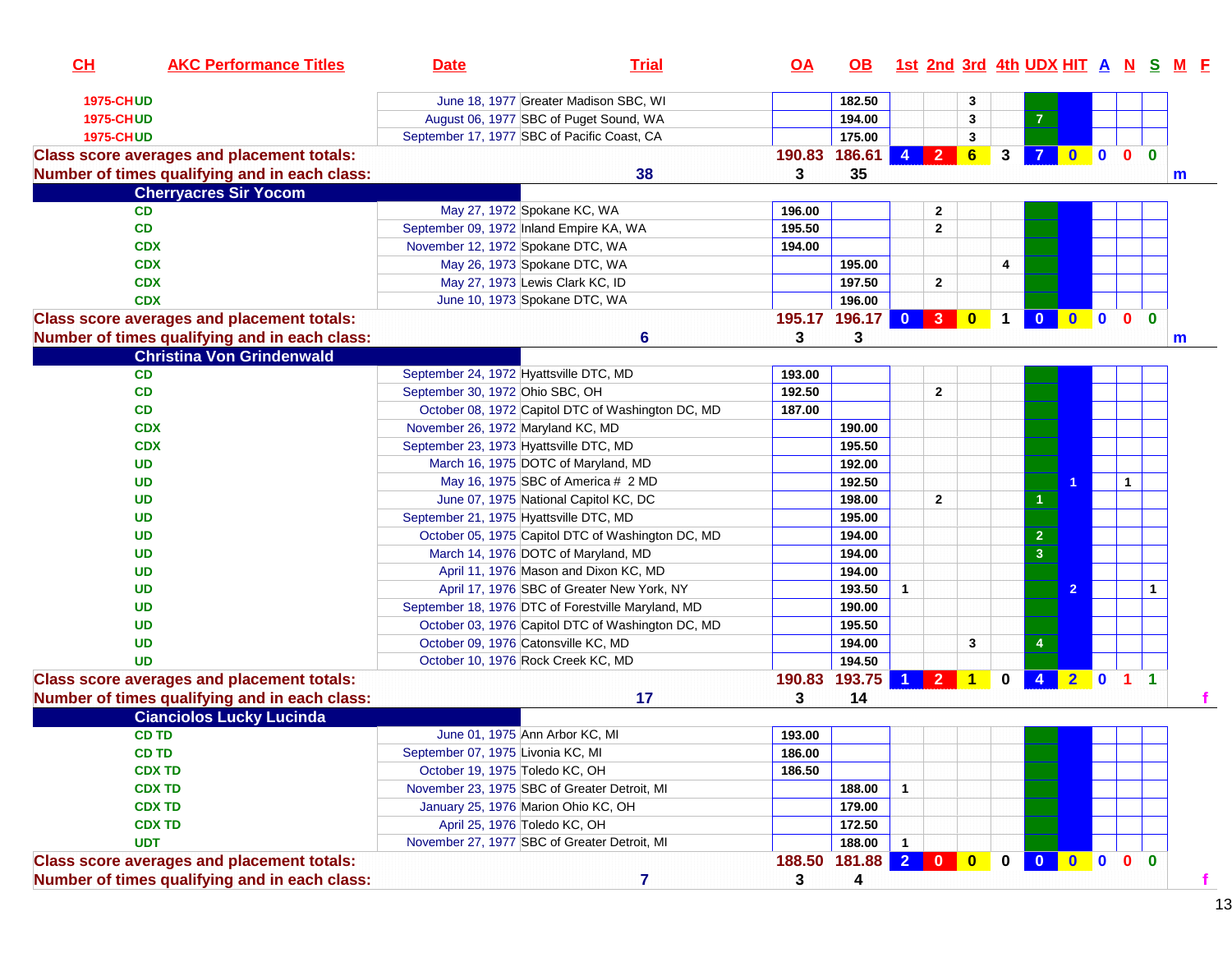| CH               | <b>AKC Performance Titles</b>                     | <b>Date</b>                                  | <b>Trial</b>                                       | <u>OA</u> | OB.           |                |                |                      |              |                         |                |              | 1st 2nd 3rd 4th UDX HIT A N S M F |   |
|------------------|---------------------------------------------------|----------------------------------------------|----------------------------------------------------|-----------|---------------|----------------|----------------|----------------------|--------------|-------------------------|----------------|--------------|-----------------------------------|---|
| <b>1975-CHUD</b> |                                                   |                                              | June 18, 1977 Greater Madison SBC, WI              |           | 182.50        |                |                | 3                    |              |                         |                |              |                                   |   |
| <b>1975-CHUD</b> |                                                   |                                              | August 06, 1977 SBC of Puget Sound, WA             |           | 194.00        |                |                | 3                    |              | 7                       |                |              |                                   |   |
| <b>1975-CHUD</b> |                                                   | September 17, 1977 SBC of Pacific Coast, CA  |                                                    |           | 175.00        |                |                | 3                    |              |                         |                |              |                                   |   |
|                  | <b>Class score averages and placement totals:</b> |                                              |                                                    | 190.83    | 186.61        | $\overline{4}$ | $2^{\circ}$    | 6                    | 3            |                         | $0$ 0 0        |              | $\mathbf{0}$                      |   |
|                  | Number of times qualifying and in each class:     |                                              | 38                                                 | 3         | 35            |                |                |                      |              |                         |                |              | m                                 |   |
|                  | <b>Cherryacres Sir Yocom</b>                      |                                              |                                                    |           |               |                |                |                      |              |                         |                |              |                                   |   |
|                  | CD.                                               | May 27, 1972 Spokane KC, WA                  |                                                    | 196.00    |               |                | 2              |                      |              |                         |                |              |                                   |   |
|                  | <b>CD</b>                                         | September 09, 1972 Inland Empire KA, WA      |                                                    | 195.50    |               |                | $\mathbf{2}$   |                      |              |                         |                |              |                                   |   |
|                  | <b>CDX</b>                                        | November 12, 1972 Spokane DTC, WA            |                                                    | 194.00    |               |                |                |                      |              |                         |                |              |                                   |   |
|                  | <b>CDX</b>                                        | May 26, 1973 Spokane DTC, WA                 |                                                    |           | 195.00        |                |                |                      | 4            |                         |                |              |                                   |   |
|                  | <b>CDX</b>                                        | May 27, 1973 Lewis Clark KC, ID              |                                                    |           | 197.50        |                | $\mathbf{2}$   |                      |              |                         |                |              |                                   |   |
|                  | <b>CDX</b>                                        | June 10, 1973 Spokane DTC, WA                |                                                    |           | 196.00        |                |                |                      |              |                         |                |              |                                   |   |
|                  | <b>Class score averages and placement totals:</b> |                                              |                                                    |           | 195.17 196.17 | $\mathbf{0}$   | 3 <sup>2</sup> | $\bullet$            | $\mathbf 1$  | $\mathbf{0}$            | $0$ 0 0        |              | $\mathbf{0}$                      |   |
|                  |                                                   |                                              |                                                    |           | 3             |                |                |                      |              |                         |                |              |                                   |   |
|                  | Number of times qualifying and in each class:     |                                              | 6                                                  | 3         |               |                |                |                      |              |                         |                |              | m                                 |   |
|                  | <b>Christina Von Grindenwald</b>                  |                                              |                                                    |           |               |                |                |                      |              |                         |                |              |                                   |   |
|                  | <b>CD</b>                                         | September 24, 1972 Hyattsville DTC, MD       |                                                    | 193.00    |               |                |                |                      |              |                         |                |              |                                   |   |
|                  | CD                                                | September 30, 1972 Ohio SBC, OH              |                                                    | 192.50    |               |                | $\mathbf{2}$   |                      |              |                         |                |              |                                   |   |
|                  | <b>CD</b>                                         |                                              | October 08, 1972 Capitol DTC of Washington DC, MD  | 187.00    |               |                |                |                      |              |                         |                |              |                                   |   |
|                  | <b>CDX</b>                                        | November 26, 1972 Maryland KC, MD            |                                                    |           | 190.00        |                |                |                      |              |                         |                |              |                                   |   |
|                  | <b>CDX</b>                                        | September 23, 1973 Hyattsville DTC, MD       |                                                    |           | 195.50        |                |                |                      |              |                         |                |              |                                   |   |
|                  | <b>UD</b>                                         | March 16, 1975 DOTC of Maryland, MD          |                                                    |           | 192.00        |                |                |                      |              |                         |                |              |                                   |   |
|                  | <b>UD</b>                                         |                                              | May 16, 1975 SBC of America # 2 MD                 |           | 192.50        |                |                |                      |              |                         |                | $\mathbf{1}$ |                                   |   |
|                  | <b>UD</b>                                         |                                              | June 07, 1975 National Capitol KC, DC              |           | 198.00        |                | $\mathbf{2}$   |                      |              | $\blacktriangleleft$    |                |              |                                   |   |
|                  | UD                                                | September 21, 1975 Hyattsville DTC, MD       |                                                    |           | 195.00        |                |                |                      |              |                         |                |              |                                   |   |
|                  | <b>UD</b>                                         |                                              | October 05, 1975 Capitol DTC of Washington DC, MD  |           | 194.00        |                |                |                      |              | $\overline{2}$          |                |              |                                   |   |
|                  | <b>UD</b>                                         | March 14, 1976 DOTC of Maryland, MD          |                                                    |           | 194.00        |                |                |                      |              | $\overline{\mathbf{3}}$ |                |              |                                   |   |
|                  | <b>UD</b>                                         |                                              | April 11, 1976 Mason and Dixon KC, MD              |           | 194.00        |                |                |                      |              |                         |                |              |                                   |   |
|                  | <b>UD</b>                                         |                                              | April 17, 1976 SBC of Greater New York, NY         |           | 193.50        | $\mathbf{1}$   |                |                      |              |                         | $\overline{2}$ |              | $\mathbf{1}$                      |   |
|                  | <b>UD</b>                                         |                                              | September 18, 1976 DTC of Forestville Maryland, MD |           | 190.00        |                |                |                      |              |                         |                |              |                                   |   |
|                  | <b>UD</b>                                         |                                              | October 03, 1976 Capitol DTC of Washington DC, MD  |           | 195.50        |                |                |                      |              |                         |                |              |                                   |   |
|                  | <b>UD</b>                                         | October 09, 1976 Catonsville KC, MD          |                                                    |           | 194.00        |                |                | 3                    |              | 4                       |                |              |                                   |   |
|                  | <b>UD</b>                                         | October 10, 1976 Rock Creek KC, MD           |                                                    |           | 194.50        |                |                |                      |              |                         |                |              |                                   |   |
|                  | <b>Class score averages and placement totals:</b> |                                              |                                                    | 190.83    | 193.75        |                | $\overline{2}$ | $\blacktriangleleft$ | 0            |                         |                | $2 0 1 1$    |                                   |   |
|                  | Number of times qualifying and in each class:     |                                              | 17                                                 | 3         | 14            |                |                |                      |              |                         |                |              |                                   |   |
|                  | <b>Cianciolos Lucky Lucinda</b>                   |                                              |                                                    |           |               |                |                |                      |              |                         |                |              |                                   |   |
|                  | <b>CD TD</b>                                      | June 01, 1975 Ann Arbor KC, MI               |                                                    | 193.00    |               |                |                |                      |              |                         |                |              |                                   |   |
|                  | <b>CD TD</b>                                      | September 07, 1975 Livonia KC, MI            |                                                    | 186.00    |               |                |                |                      |              |                         |                |              |                                   |   |
|                  | <b>CDX TD</b>                                     | October 19, 1975 Toledo KC, OH               |                                                    | 186.50    |               |                |                |                      |              |                         |                |              |                                   |   |
|                  | <b>CDX TD</b>                                     | November 23, 1975 SBC of Greater Detroit, MI |                                                    |           | 188.00        | $\mathbf{1}$   |                |                      |              |                         |                |              |                                   |   |
|                  | <b>CDX TD</b>                                     | January 25, 1976 Marion Ohio KC, OH          |                                                    |           | 179.00        |                |                |                      |              |                         |                |              |                                   |   |
|                  | <b>CDX TD</b>                                     | April 25, 1976 Toledo KC, OH                 |                                                    |           | 172.50        |                |                |                      |              |                         |                |              |                                   |   |
|                  | <b>UDT</b>                                        | November 27, 1977 SBC of Greater Detroit, MI |                                                    |           | 188.00        | $\mathbf{1}$   |                |                      |              |                         |                |              |                                   |   |
|                  | <b>Class score averages and placement totals:</b> |                                              |                                                    | 188.50    | 181.88        |                | 200            |                      | $\mathbf{0}$ | $\overline{\mathbf{0}}$ | $0$ 0 0 0      |              |                                   |   |
|                  | Number of times qualifying and in each class:     |                                              | $\overline{7}$                                     | 3         | 4             |                |                |                      |              |                         |                |              |                                   | f |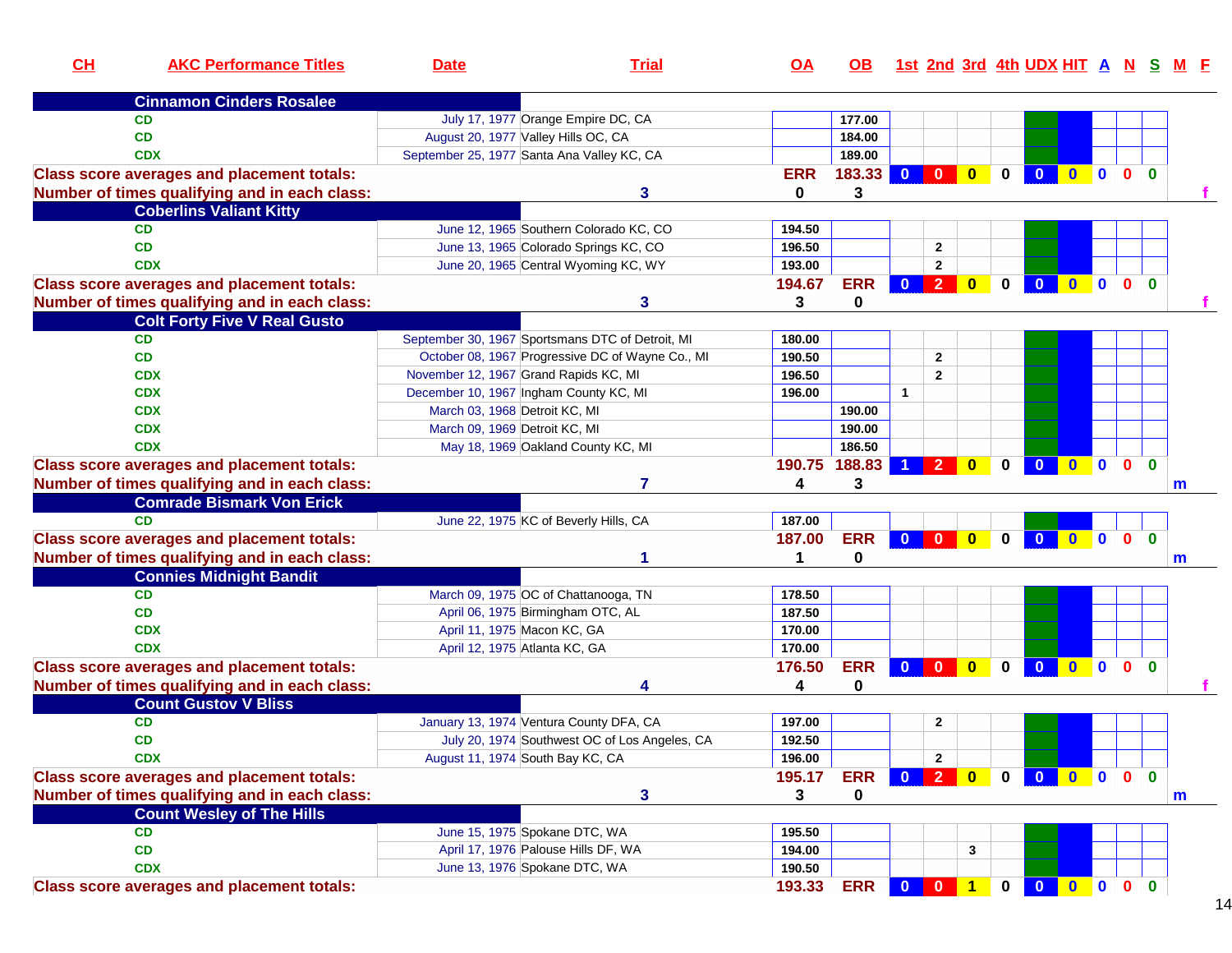| CL         | <b>AKC Performance Titles</b>                     | <b>Date</b>                                | <b>Trial</b>                                     | <u>OA</u>  | OB.          |              |                         |                         |              |                         |                |                  |                |              | 1st 2nd 3rd 4th UDX HIT A N S M F |
|------------|---------------------------------------------------|--------------------------------------------|--------------------------------------------------|------------|--------------|--------------|-------------------------|-------------------------|--------------|-------------------------|----------------|------------------|----------------|--------------|-----------------------------------|
|            | <b>Cinnamon Cinders Rosalee</b>                   |                                            |                                                  |            |              |              |                         |                         |              |                         |                |                  |                |              |                                   |
| <b>CD</b>  |                                                   |                                            | July 17, 1977 Orange Empire DC, CA               |            | 177.00       |              |                         |                         |              |                         |                |                  |                |              |                                   |
| <b>CD</b>  |                                                   | August 20, 1977 Valley Hills OC, CA        |                                                  |            | 184.00       |              |                         |                         |              |                         |                |                  |                |              |                                   |
| <b>CDX</b> |                                                   | September 25, 1977 Santa Ana Valley KC, CA |                                                  |            | 189.00       |              |                         |                         |              |                         |                |                  |                |              |                                   |
|            | <b>Class score averages and placement totals:</b> |                                            |                                                  | <b>ERR</b> | 183.33 0 0 0 |              |                         |                         | $\mathbf 0$  | $\overline{\mathbf{0}}$ | $\bullet$      | $\mathbf{0}$     | 0 <sub>0</sub> |              |                                   |
|            | Number of times qualifying and in each class:     |                                            | 3                                                | 0          | 3            |              |                         |                         |              |                         |                |                  |                |              |                                   |
|            | <b>Coberlins Valiant Kitty</b>                    |                                            |                                                  |            |              |              |                         |                         |              |                         |                |                  |                |              |                                   |
| <b>CD</b>  |                                                   |                                            | June 12, 1965 Southern Colorado KC, CO           | 194.50     |              |              |                         |                         |              |                         |                |                  |                |              |                                   |
| <b>CD</b>  |                                                   |                                            | June 13, 1965 Colorado Springs KC, CO            | 196.50     |              |              | $\mathbf{2}$            |                         |              |                         |                |                  |                |              |                                   |
| <b>CDX</b> |                                                   |                                            | June 20, 1965 Central Wyoming KC, WY             | 193.00     |              |              | $\mathbf{2}$            |                         |              |                         |                |                  |                |              |                                   |
|            | <b>Class score averages and placement totals:</b> |                                            |                                                  | 194.67     | <b>ERR</b>   | $\bullet$    | $\vert 2 \vert$         | $\bullet$               | $\mathbf 0$  | $\overline{\mathbf{0}}$ | $\blacksquare$ | $\blacksquare$ 0 | $\mathbf{0}$   | $\mathbf{0}$ |                                   |
|            | Number of times qualifying and in each class:     |                                            | 3                                                | 3          | 0            |              |                         |                         |              |                         |                |                  |                |              |                                   |
|            | <b>Colt Forty Five V Real Gusto</b>               |                                            |                                                  |            |              |              |                         |                         |              |                         |                |                  |                |              |                                   |
| <b>CD</b>  |                                                   |                                            | September 30, 1967 Sportsmans DTC of Detroit, MI | 180.00     |              |              |                         |                         |              |                         |                |                  |                |              |                                   |
| <b>CD</b>  |                                                   |                                            | October 08, 1967 Progressive DC of Wayne Co., MI | 190.50     |              |              | $\mathbf{2}$            |                         |              |                         |                |                  |                |              |                                   |
| <b>CDX</b> |                                                   | November 12, 1967 Grand Rapids KC, MI      |                                                  | 196.50     |              |              | $\mathbf{2}$            |                         |              |                         |                |                  |                |              |                                   |
| <b>CDX</b> |                                                   | December 10, 1967 Ingham County KC, MI     |                                                  | 196.00     |              | $\mathbf{1}$ |                         |                         |              |                         |                |                  |                |              |                                   |
| <b>CDX</b> |                                                   | March 03, 1968 Detroit KC, MI              |                                                  |            | 190.00       |              |                         |                         |              |                         |                |                  |                |              |                                   |
| <b>CDX</b> |                                                   | March 09, 1969 Detroit KC, MI              |                                                  |            | 190.00       |              |                         |                         |              |                         |                |                  |                |              |                                   |
| <b>CDX</b> |                                                   |                                            | May 18, 1969 Oakland County KC, MI               |            | 186.50       |              |                         |                         |              |                         |                |                  |                |              |                                   |
|            | <b>Class score averages and placement totals:</b> |                                            |                                                  | 190.75     | 188.83       |              | $\overline{2}$          | $\bf{0}$                | $\bf{0}$     | $\mathbf{0}$            | $\bullet$      | $\mathbf{0}$     | $\mathbf{0}$   | $\bf{0}$     |                                   |
|            | Number of times qualifying and in each class:     |                                            | 7                                                | 4          | 3            |              |                         |                         |              |                         |                |                  |                |              | m                                 |
|            | <b>Comrade Bismark Von Erick</b>                  |                                            |                                                  |            |              |              |                         |                         |              |                         |                |                  |                |              |                                   |
| CD         |                                                   | June 22, 1975 KC of Beverly Hills, CA      |                                                  | 187.00     |              |              |                         |                         |              |                         |                |                  |                |              |                                   |
|            | <b>Class score averages and placement totals:</b> |                                            |                                                  | 187.00     | <b>ERR</b>   | $\mathbf{0}$ | $\overline{\mathbf{0}}$ | $\overline{\mathbf{0}}$ | $\mathbf 0$  | $\overline{0}$          | $\bullet$      | $\blacksquare$   | 0 <sub>0</sub> |              |                                   |
|            |                                                   |                                            | 1                                                | 1          | $\bf{0}$     |              |                         |                         |              |                         |                |                  |                |              |                                   |
|            | Number of times qualifying and in each class:     |                                            |                                                  |            |              |              |                         |                         |              |                         |                |                  |                |              | m                                 |
|            | <b>Connies Midnight Bandit</b>                    |                                            |                                                  |            |              |              |                         |                         |              |                         |                |                  |                |              |                                   |
| <b>CD</b>  |                                                   | March 09, 1975 OC of Chattanooga, TN       |                                                  | 178.50     |              |              |                         |                         |              |                         |                |                  |                |              |                                   |
| <b>CD</b>  |                                                   | April 06, 1975 Birmingham OTC, AL          |                                                  | 187.50     |              |              |                         |                         |              |                         |                |                  |                |              |                                   |
| <b>CDX</b> |                                                   | April 11, 1975 Macon KC, GA                |                                                  | 170.00     |              |              |                         |                         |              |                         |                |                  |                |              |                                   |
| <b>CDX</b> |                                                   | April 12, 1975 Atlanta KC, GA              |                                                  | 170.00     |              |              |                         |                         |              |                         |                |                  |                |              |                                   |
|            | <b>Class score averages and placement totals:</b> |                                            |                                                  | 176.50     | <b>ERR</b>   | $\mathbf{0}$ | $\mathbf{0}$            | $\overline{\mathbf{0}}$ | 0            | $\overline{\mathbf{0}}$ |                | $\blacksquare$   | $\mathbf{0}$   | $\mathbf{0}$ |                                   |
|            | Number of times qualifying and in each class:     |                                            | 4                                                | 4          | 0            |              |                         |                         |              |                         |                |                  |                |              |                                   |
|            | <b>Count Gustov V Bliss</b>                       |                                            |                                                  |            |              |              |                         |                         |              |                         |                |                  |                |              |                                   |
| <b>CD</b>  |                                                   | January 13, 1974 Ventura County DFA, CA    |                                                  | 197.00     |              |              | $\mathbf{2}$            |                         |              |                         |                |                  |                |              |                                   |
| <b>CD</b>  |                                                   |                                            | July 20, 1974 Southwest OC of Los Angeles, CA    | 192.50     |              |              |                         |                         |              |                         |                |                  |                |              |                                   |
| <b>CDX</b> |                                                   | August 11, 1974 South Bay KC, CA           |                                                  | 196.00     |              |              | $\mathbf{2}$            |                         |              |                         |                |                  |                |              |                                   |
|            | <b>Class score averages and placement totals:</b> |                                            |                                                  | 195.17     | <b>ERR</b>   | 0 2 0        |                         |                         | $\mathbf{0}$ | 0 0 0 0                 |                |                  |                | $\mathbf{0}$ |                                   |
|            | Number of times qualifying and in each class:     |                                            | 3                                                | 3          | 0            |              |                         |                         |              |                         |                |                  |                |              | m                                 |
|            | <b>Count Wesley of The Hills</b>                  |                                            |                                                  |            |              |              |                         |                         |              |                         |                |                  |                |              |                                   |
| CD         |                                                   | June 15, 1975 Spokane DTC, WA              |                                                  | 195.50     |              |              |                         |                         |              |                         |                |                  |                |              |                                   |
| CD         |                                                   | April 17, 1976 Palouse Hills DF, WA        |                                                  | 194.00     |              |              |                         | 3                       |              |                         |                |                  |                |              |                                   |
| <b>CDX</b> |                                                   | June 13, 1976 Spokane DTC, WA              |                                                  | 190.50     |              |              |                         |                         |              |                         |                |                  |                |              |                                   |
|            | <b>Class score averages and placement totals:</b> |                                            |                                                  | 193.33     | <b>ERR</b>   | $0$ 0        |                         | $\overline{1}$          | $\mathbf 0$  | 0 0 0 0                 |                |                  |                | $\mathbf{0}$ |                                   |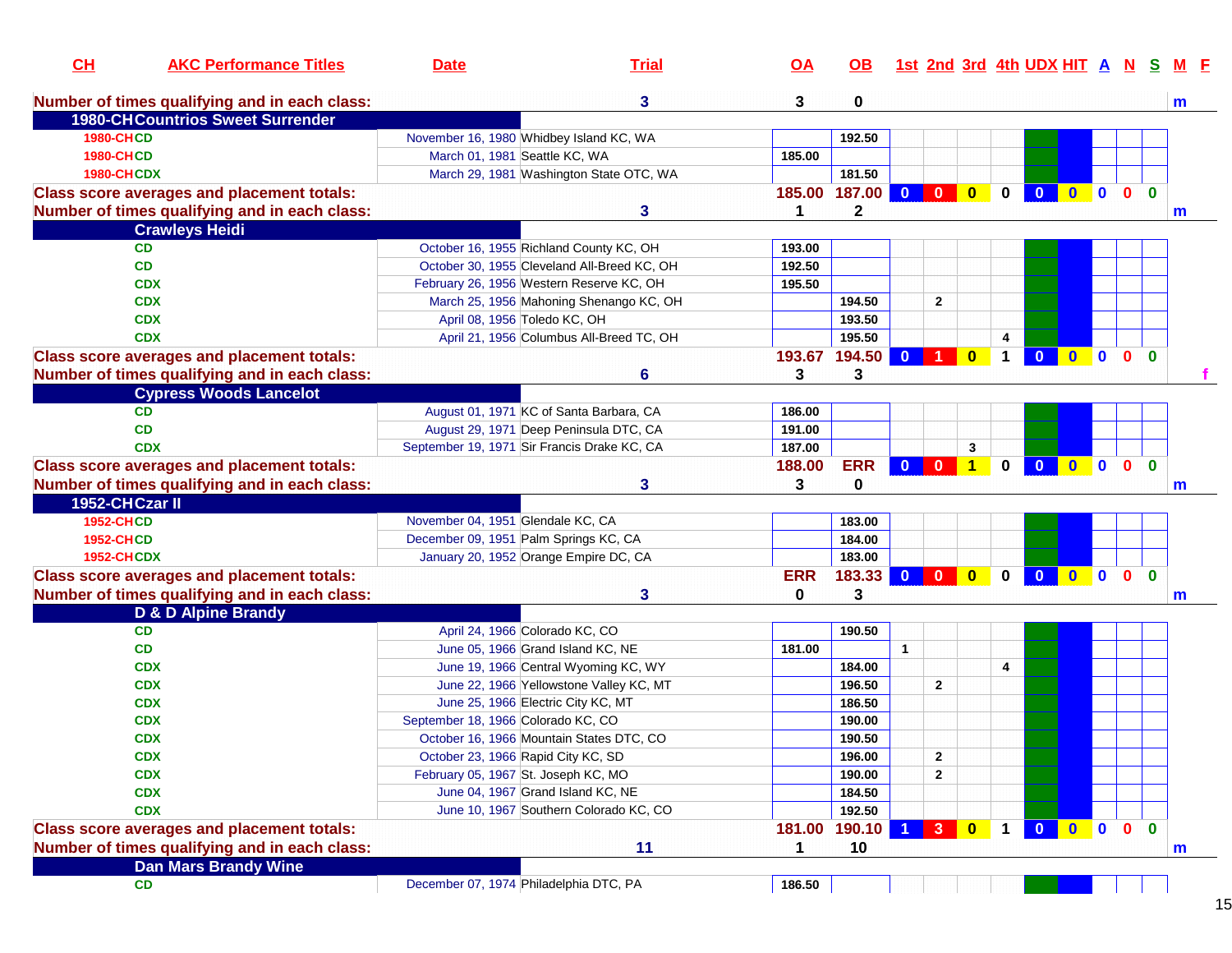| CL                | <b>AKC Performance Titles</b>                     | <b>Date</b>                        | <b>Trial</b>                                | $\overline{OA}$ | OB.          |                         |                         |                         |             | <u>1st 2nd 3rd 4th UDX HIT A N</u> |                                       |              | <b>S</b>     | M F          |
|-------------------|---------------------------------------------------|------------------------------------|---------------------------------------------|-----------------|--------------|-------------------------|-------------------------|-------------------------|-------------|------------------------------------|---------------------------------------|--------------|--------------|--------------|
|                   | Number of times qualifying and in each class:     |                                    | 3                                           | 3               | 0            |                         |                         |                         |             |                                    |                                       |              |              | m            |
|                   | <b>1980-CHCountrios Sweet Surrender</b>           |                                    |                                             |                 |              |                         |                         |                         |             |                                    |                                       |              |              |              |
| <b>1980-CHCD</b>  |                                                   |                                    | November 16, 1980 Whidbey Island KC, WA     |                 | 192.50       |                         |                         |                         |             |                                    |                                       |              |              |              |
| <b>1980-CHCD</b>  |                                                   |                                    | March 01, 1981 Seattle KC, WA               | 185.00          |              |                         |                         |                         |             |                                    |                                       |              |              |              |
| <b>1980-CHCDX</b> |                                                   |                                    | March 29, 1981 Washington State OTC, WA     |                 | 181.50       |                         |                         |                         |             |                                    |                                       |              |              |              |
|                   | <b>Class score averages and placement totals:</b> |                                    |                                             | 185.00          | 187.00       | $\overline{\mathbf{0}}$ | $\overline{\mathbf{0}}$ | $\overline{\mathbf{0}}$ | $\mathbf 0$ | $\overline{\mathbf{0}}$            | $0$ 0 0                               |              | $\mathbf{0}$ |              |
|                   | Number of times qualifying and in each class:     |                                    | 3                                           | 1               | $\mathbf{2}$ |                         |                         |                         |             |                                    |                                       |              |              | $\mathsf{m}$ |
|                   | <b>Crawleys Heidi</b>                             |                                    |                                             |                 |              |                         |                         |                         |             |                                    |                                       |              |              |              |
|                   | <b>CD</b>                                         |                                    | October 16, 1955 Richland County KC, OH     | 193.00          |              |                         |                         |                         |             |                                    |                                       |              |              |              |
|                   | <b>CD</b>                                         |                                    | October 30, 1955 Cleveland All-Breed KC, OH | 192.50          |              |                         |                         |                         |             |                                    |                                       |              |              |              |
|                   | <b>CDX</b>                                        |                                    | February 26, 1956 Western Reserve KC, OH    | 195.50          |              |                         |                         |                         |             |                                    |                                       |              |              |              |
|                   | <b>CDX</b>                                        |                                    | March 25, 1956 Mahoning Shenango KC, OH     |                 | 194.50       |                         | $\mathbf{2}$            |                         |             |                                    |                                       |              |              |              |
|                   | <b>CDX</b>                                        |                                    | April 08, 1956 Toledo KC, OH                |                 | 193.50       |                         |                         |                         |             |                                    |                                       |              |              |              |
|                   | <b>CDX</b>                                        |                                    | April 21, 1956 Columbus All-Breed TC, OH    |                 | 195.50       |                         |                         |                         | 4           |                                    |                                       |              |              |              |
|                   | <b>Class score averages and placement totals:</b> |                                    |                                             | 193.67          | 194.50       | $\bf{0}$                |                         | $\mathbf{0}$            | 1           | $\mathbf{0}$                       | $0$ 0                                 | $\mathbf{0}$ | $\mathbf{0}$ |              |
|                   | Number of times qualifying and in each class:     |                                    | 6                                           | 3               | 3            |                         |                         |                         |             |                                    |                                       |              |              |              |
|                   | <b>Cypress Woods Lancelot</b>                     |                                    |                                             |                 |              |                         |                         |                         |             |                                    |                                       |              |              |              |
|                   | <b>CD</b>                                         |                                    | August 01, 1971 KC of Santa Barbara, CA     | 186.00          |              |                         |                         |                         |             |                                    |                                       |              |              |              |
|                   | <b>CD</b>                                         |                                    | August 29, 1971 Deep Peninsula DTC, CA      | 191.00          |              |                         |                         |                         |             |                                    |                                       |              |              |              |
|                   | <b>CDX</b>                                        |                                    | September 19, 1971 Sir Francis Drake KC, CA | 187.00          |              |                         |                         | 3                       |             |                                    |                                       |              |              |              |
|                   | <b>Class score averages and placement totals:</b> |                                    |                                             | 188.00          | <b>ERR</b>   | $0$ 0                   |                         | $\overline{1}$          | $\bf{0}$    | $\overline{\mathbf{0}}$            | $0$ 0                                 | $\mathbf{0}$ | $\mathbf{0}$ |              |
|                   | Number of times qualifying and in each class:     |                                    | 3                                           | 3               | 0            |                         |                         |                         |             |                                    |                                       |              |              | m            |
| 1952-CHCzar II    |                                                   |                                    |                                             |                 |              |                         |                         |                         |             |                                    |                                       |              |              |              |
| <b>1952-CHCD</b>  |                                                   | November 04, 1951 Glendale KC, CA  |                                             |                 | 183.00       |                         |                         |                         |             |                                    |                                       |              |              |              |
| <b>1952-CHCD</b>  |                                                   |                                    | December 09, 1951 Palm Springs KC, CA       |                 | 184.00       |                         |                         |                         |             |                                    |                                       |              |              |              |
| <b>1952-CHCDX</b> |                                                   |                                    | January 20, 1952 Orange Empire DC, CA       |                 | 183.00       |                         |                         |                         |             |                                    |                                       |              |              |              |
|                   | <b>Class score averages and placement totals:</b> |                                    |                                             | <b>ERR</b>      | 183.33       | $\mathbf{0}$            | $\mathbf{0}$            | $\overline{\mathbf{0}}$ | $\bf{0}$    | $\mathbf{0}$                       | $\begin{array}{c} 0 \\ 0 \end{array}$ | $\mathbf{0}$ | $\mathbf{0}$ |              |
|                   | Number of times qualifying and in each class:     |                                    | 3                                           | 0               | 3            |                         |                         |                         |             |                                    |                                       |              |              | m            |
|                   | D & D Alpine Brandy                               |                                    |                                             |                 |              |                         |                         |                         |             |                                    |                                       |              |              |              |
|                   | <b>CD</b>                                         |                                    | April 24, 1966 Colorado KC, CO              |                 | 190.50       |                         |                         |                         |             |                                    |                                       |              |              |              |
|                   | CD                                                |                                    | June 05, 1966 Grand Island KC, NE           | 181.00          |              | $\mathbf{1}$            |                         |                         |             |                                    |                                       |              |              |              |
|                   | <b>CDX</b>                                        |                                    | June 19, 1966 Central Wyoming KC, WY        |                 | 184.00       |                         |                         |                         | 4           |                                    |                                       |              |              |              |
|                   | <b>CDX</b>                                        |                                    | June 22, 1966 Yellowstone Valley KC, MT     |                 | 196.50       |                         | $\mathbf{2}$            |                         |             |                                    |                                       |              |              |              |
|                   | <b>CDX</b>                                        |                                    | June 25, 1966 Electric City KC, MT          |                 | 186.50       |                         |                         |                         |             |                                    |                                       |              |              |              |
|                   | <b>CDX</b>                                        | September 18, 1966 Colorado KC, CO |                                             |                 | 190.00       |                         |                         |                         |             |                                    |                                       |              |              |              |
|                   | <b>CDX</b>                                        |                                    | October 16, 1966 Mountain States DTC, CO    |                 | 190.50       |                         |                         |                         |             |                                    |                                       |              |              |              |
|                   | <b>CDX</b>                                        |                                    | October 23, 1966 Rapid City KC, SD          |                 | 196.00       |                         | $\mathbf{2}$            |                         |             |                                    |                                       |              |              |              |
|                   | <b>CDX</b>                                        |                                    | February 05, 1967 St. Joseph KC, MO         |                 | 190.00       |                         | $\mathbf{2}$            |                         |             |                                    |                                       |              |              |              |
|                   | <b>CDX</b>                                        |                                    | June 04, 1967 Grand Island KC, NE           |                 | 184.50       |                         |                         |                         |             |                                    |                                       |              |              |              |
|                   | <b>CDX</b>                                        |                                    | June 10, 1967 Southern Colorado KC, CO      |                 | 192.50       |                         |                         |                         |             |                                    |                                       |              |              |              |
|                   | <b>Class score averages and placement totals:</b> |                                    |                                             | 181.00          | 190.10       |                         | 3 <sup>7</sup>          | $\overline{\mathbf{0}}$ | $\mathbf 1$ | $\overline{\mathbf{0}}$            | $0$ 0                                 | $\mathbf{0}$ | $\mathbf{0}$ |              |
|                   | Number of times qualifying and in each class:     |                                    | 11                                          | $\mathbf{1}$    | 10           |                         |                         |                         |             |                                    |                                       |              |              | m            |
|                   | <b>Dan Mars Brandy Wine</b>                       |                                    |                                             |                 |              |                         |                         |                         |             |                                    |                                       |              |              |              |
|                   | <b>CD</b>                                         |                                    | December 07, 1974 Philadelphia DTC, PA      | 186.50          |              |                         |                         |                         |             |                                    |                                       |              |              |              |
|                   |                                                   |                                    |                                             |                 |              |                         |                         |                         |             |                                    |                                       |              |              |              |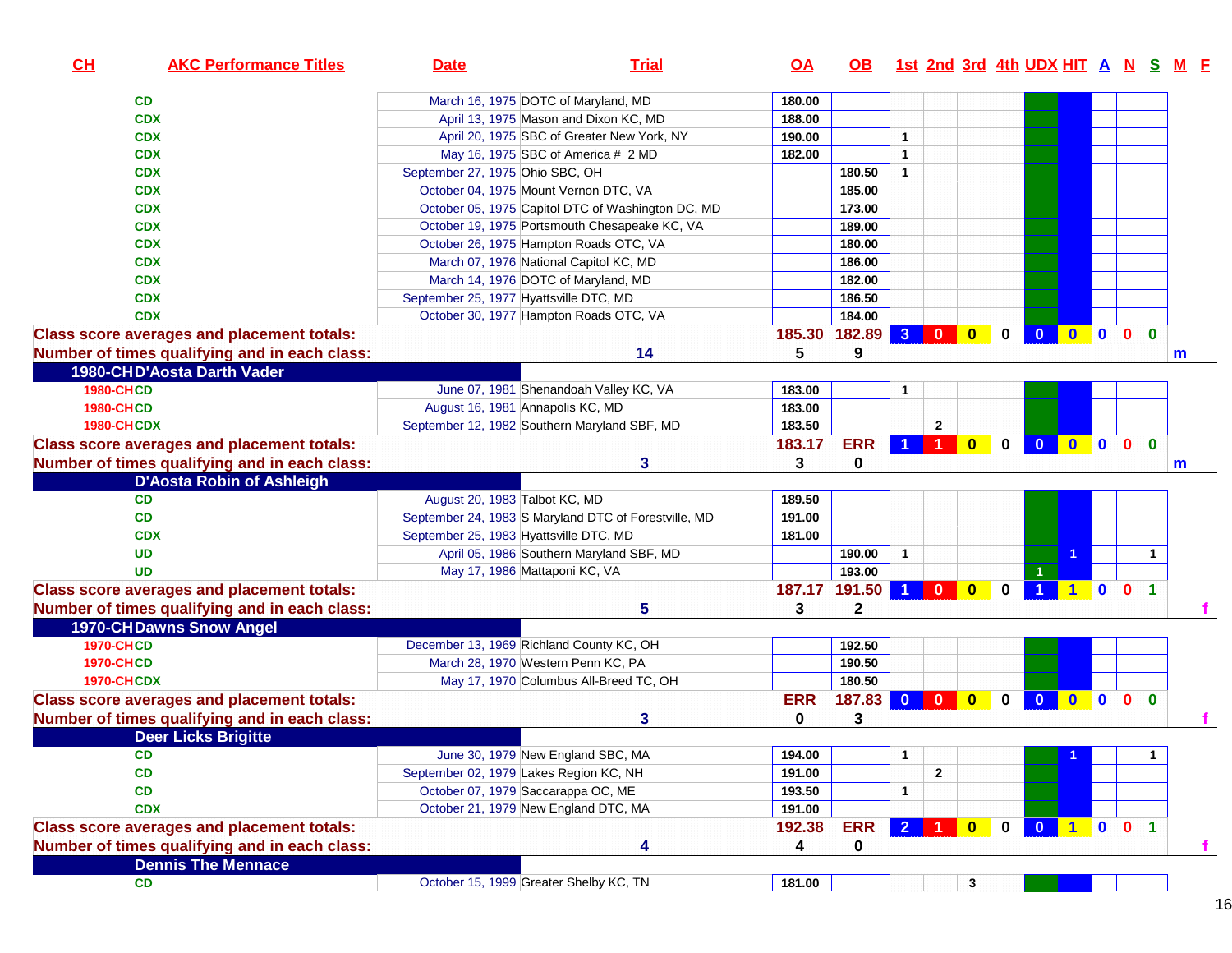| CL                | <b>AKC Performance Titles</b>                     | <b>Date</b>                                  | <b>Trial</b>                                         | <u>OA</u>  | OB.        |                      |                         |              |          |                         |                                                     |                                               |                |              | 1st 2nd 3rd 4th UDX HIT A N S M F |
|-------------------|---------------------------------------------------|----------------------------------------------|------------------------------------------------------|------------|------------|----------------------|-------------------------|--------------|----------|-------------------------|-----------------------------------------------------|-----------------------------------------------|----------------|--------------|-----------------------------------|
|                   | CD                                                | March 16, 1975 DOTC of Maryland, MD          |                                                      | 180.00     |            |                      |                         |              |          |                         |                                                     |                                               |                |              |                                   |
|                   | <b>CDX</b>                                        |                                              | April 13, 1975 Mason and Dixon KC, MD                | 188.00     |            |                      |                         |              |          |                         |                                                     |                                               |                |              |                                   |
|                   | <b>CDX</b>                                        |                                              | April 20, 1975 SBC of Greater New York, NY           | 190.00     |            | $\mathbf{1}$         |                         |              |          |                         |                                                     |                                               |                |              |                                   |
|                   | <b>CDX</b>                                        |                                              | May 16, 1975 SBC of America # 2 MD                   | 182.00     |            | $\blacktriangleleft$ |                         |              |          |                         |                                                     |                                               |                |              |                                   |
|                   | <b>CDX</b>                                        | September 27, 1975 Ohio SBC, OH              |                                                      |            | 180.50     | $\mathbf{1}$         |                         |              |          |                         |                                                     |                                               |                |              |                                   |
|                   | <b>CDX</b>                                        | October 04, 1975 Mount Vernon DTC, VA        |                                                      |            | 185.00     |                      |                         |              |          |                         |                                                     |                                               |                |              |                                   |
|                   | <b>CDX</b>                                        |                                              | October 05, 1975 Capitol DTC of Washington DC, MD    |            | 173.00     |                      |                         |              |          |                         |                                                     |                                               |                |              |                                   |
|                   | <b>CDX</b>                                        |                                              | October 19, 1975 Portsmouth Chesapeake KC, VA        |            | 189.00     |                      |                         |              |          |                         |                                                     |                                               |                |              |                                   |
|                   | <b>CDX</b>                                        |                                              | October 26, 1975 Hampton Roads OTC, VA               |            | 180.00     |                      |                         |              |          |                         |                                                     |                                               |                |              |                                   |
|                   | <b>CDX</b>                                        |                                              | March 07, 1976 National Capitol KC, MD               |            | 186.00     |                      |                         |              |          |                         |                                                     |                                               |                |              |                                   |
|                   | <b>CDX</b>                                        | March 14, 1976 DOTC of Maryland, MD          |                                                      |            | 182.00     |                      |                         |              |          |                         |                                                     |                                               |                |              |                                   |
|                   | <b>CDX</b>                                        | September 25, 1977 Hyattsville DTC, MD       |                                                      |            | 186.50     |                      |                         |              |          |                         |                                                     |                                               |                |              |                                   |
|                   | <b>CDX</b>                                        |                                              | October 30, 1977 Hampton Roads OTC, VA               |            | 184.00     |                      |                         |              |          |                         |                                                     |                                               |                |              |                                   |
|                   | <b>Class score averages and placement totals:</b> |                                              |                                                      | 185.30     | 182.89     | 3 <sup>1</sup>       | $\overline{\mathbf{0}}$ | $\bf{0}$     | $\bf{0}$ | $\mathbf{0}$            | $\bullet$                                           | $\mathbf{0}$                                  | $\mathbf{0}$   | $\Omega$     |                                   |
|                   | Number of times qualifying and in each class:     |                                              | 14                                                   | 5          | 9          |                      |                         |              |          |                         |                                                     |                                               |                |              |                                   |
|                   | 1980-CHD'Aosta Darth Vader                        |                                              |                                                      |            |            |                      |                         |              |          |                         |                                                     |                                               |                |              | m                                 |
|                   |                                                   |                                              |                                                      |            |            |                      |                         |              |          |                         |                                                     |                                               |                |              |                                   |
| <b>1980-CHCD</b>  |                                                   |                                              | June 07, 1981 Shenandoah Valley KC, VA               | 183.00     |            | $\mathbf{1}$         |                         |              |          |                         |                                                     |                                               |                |              |                                   |
| <b>1980-CHCD</b>  |                                                   | August 16, 1981 Annapolis KC, MD             |                                                      | 183.00     |            |                      |                         |              |          |                         |                                                     |                                               |                |              |                                   |
| <b>1980-CHCDX</b> |                                                   | September 12, 1982 Southern Maryland SBF, MD |                                                      | 183.50     |            |                      | $\mathbf{2}$            |              |          |                         |                                                     |                                               |                |              |                                   |
|                   | <b>Class score averages and placement totals:</b> |                                              |                                                      | 183.17     | <b>ERR</b> |                      | $\mathbf 1$             | $\bf{0}$     | 0        | $\mathbf{0}$            | $\bullet$                                           | $\mathbf{0}$                                  | $\mathbf{0}$   | $\mathbf{0}$ |                                   |
|                   | Number of times qualifying and in each class:     |                                              | 3                                                    | 3          | 0          |                      |                         |              |          |                         |                                                     |                                               |                |              | m                                 |
|                   | <b>D'Aosta Robin of Ashleigh</b>                  |                                              |                                                      |            |            |                      |                         |              |          |                         |                                                     |                                               |                |              |                                   |
|                   | <b>CD</b>                                         | August 20, 1983 Talbot KC, MD                |                                                      | 189.50     |            |                      |                         |              |          |                         |                                                     |                                               |                |              |                                   |
|                   | <b>CD</b>                                         |                                              | September 24, 1983 S Maryland DTC of Forestville, MD | 191.00     |            |                      |                         |              |          |                         |                                                     |                                               |                |              |                                   |
|                   | <b>CDX</b>                                        | September 25, 1983 Hyattsville DTC, MD       |                                                      | 181.00     |            |                      |                         |              |          |                         |                                                     |                                               |                |              |                                   |
|                   | <b>UD</b>                                         |                                              | April 05, 1986 Southern Maryland SBF, MD             |            | 190.00     | $\mathbf{1}$         |                         |              |          |                         |                                                     |                                               |                | $\mathbf{1}$ |                                   |
|                   | <b>UD</b>                                         | May 17, 1986 Mattaponi KC, VA                |                                                      |            | 193.00     |                      |                         |              |          |                         |                                                     |                                               |                |              |                                   |
|                   | <b>Class score averages and placement totals:</b> |                                              |                                                      | 187.17     | 191.50     | $\blacktriangleleft$ | $\overline{\mathbf{0}}$ | $\bullet$    | 0        | $\blacktriangleleft$    |                                                     | 1 0 0 1                                       |                |              |                                   |
|                   | Number of times qualifying and in each class:     |                                              | 5                                                    | 3          | 2          |                      |                         |              |          |                         |                                                     |                                               |                |              |                                   |
|                   | <b>1970-CHDawns Snow Angel</b>                    |                                              |                                                      |            |            |                      |                         |              |          |                         |                                                     |                                               |                |              |                                   |
| <b>1970-CHCD</b>  |                                                   | December 13, 1969 Richland County KC, OH     |                                                      |            | 192.50     |                      |                         |              |          |                         |                                                     |                                               |                |              |                                   |
| <b>1970-CHCD</b>  |                                                   | March 28, 1970 Western Penn KC, PA           |                                                      |            | 190.50     |                      |                         |              |          |                         |                                                     |                                               |                |              |                                   |
| <b>1970-CHCDX</b> |                                                   |                                              | May 17, 1970 Columbus All-Breed TC, OH               |            | 180.50     |                      |                         |              |          |                         |                                                     |                                               |                |              |                                   |
|                   | <b>Class score averages and placement totals:</b> |                                              |                                                      | <b>ERR</b> | 187.83 0 0 |                      |                         | $\bullet$    | 0        | $\overline{\mathbf{0}}$ | $\mathbf{0}$                                        | $\begin{array}{ccc} & & 0 & 0 \\ \end{array}$ |                |              |                                   |
|                   | Number of times qualifying and in each class:     |                                              | 3                                                    | 0          | 3          |                      |                         |              |          |                         |                                                     |                                               |                |              |                                   |
|                   | <b>Deer Licks Brigitte</b>                        |                                              |                                                      |            |            |                      |                         |              |          |                         |                                                     |                                               |                |              |                                   |
|                   | CD                                                |                                              | June 30, 1979 New England SBC, MA                    | 194.00     |            | $\mathbf{1}$         |                         |              |          |                         |                                                     |                                               |                | $\mathbf{1}$ |                                   |
|                   | CD                                                | September 02, 1979 Lakes Region KC, NH       |                                                      | 191.00     |            |                      | $\mathbf{2}$            |              |          |                         |                                                     |                                               |                |              |                                   |
|                   | CD                                                | October 07, 1979 Saccarappa OC, ME           |                                                      | 193.50     |            | $\mathbf{1}$         |                         |              |          |                         |                                                     |                                               |                |              |                                   |
|                   | <b>CDX</b>                                        | October 21, 1979 New England DTC, MA         |                                                      | 191.00     |            |                      |                         |              |          |                         |                                                     |                                               |                |              |                                   |
|                   | <b>Class score averages and placement totals:</b> |                                              |                                                      | 192.38     | <b>ERR</b> | 2 <sup>1</sup>       | $\overline{1}$          | $\mathbf{0}$ | 0        | $\overline{\mathbf{0}}$ | $\begin{array}{ c c c c c } \hline \end{array}$ 1 0 |                                               | 0 <sub>1</sub> |              |                                   |
|                   | Number of times qualifying and in each class:     |                                              | 4                                                    | 4          | 0          |                      |                         |              |          |                         |                                                     |                                               |                |              |                                   |
|                   | <b>Dennis The Mennace</b>                         |                                              |                                                      |            |            |                      |                         |              |          |                         |                                                     |                                               |                |              | т.                                |
|                   |                                                   |                                              |                                                      |            |            |                      |                         |              |          |                         |                                                     |                                               |                |              |                                   |
|                   | <b>CD</b>                                         | October 15, 1999 Greater Shelby KC, TN       |                                                      | 181.00     |            |                      |                         | 3            |          |                         |                                                     |                                               |                |              |                                   |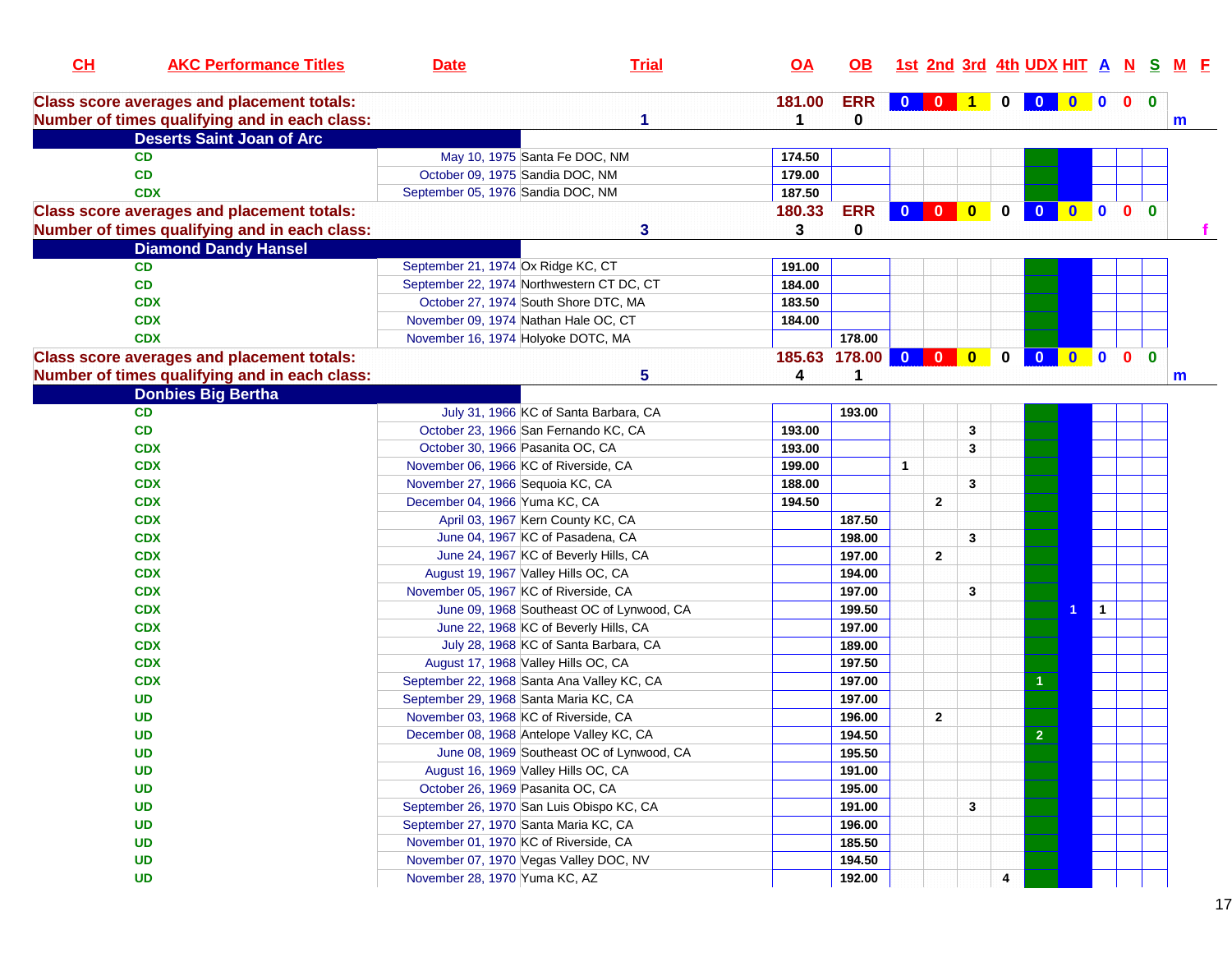| CL | <b>AKC Performance Titles</b>                                                                      | <b>Date</b>                                | <b>Trial</b>                              | $\overline{OA}$ | OB.               |              |              |                         |             | 1st 2nd 3rd 4th UDX HIT A N S M F |           |                |                |              |  |
|----|----------------------------------------------------------------------------------------------------|--------------------------------------------|-------------------------------------------|-----------------|-------------------|--------------|--------------|-------------------------|-------------|-----------------------------------|-----------|----------------|----------------|--------------|--|
|    | <b>Class score averages and placement totals:</b><br>Number of times qualifying and in each class: |                                            |                                           | 181.00          | <b>ERR</b><br>0   |              |              |                         | $\bf{0}$    | $\bf{0}$                          | $\bullet$ | $\blacksquare$ | 0 <sub>0</sub> | $\mathbf m$  |  |
|    | <b>Deserts Saint Joan of Arc</b>                                                                   |                                            |                                           |                 |                   |              |              |                         |             |                                   |           |                |                |              |  |
|    | <b>CD</b>                                                                                          | May 10, 1975 Santa Fe DOC, NM              |                                           | 174.50          |                   |              |              |                         |             |                                   |           |                |                |              |  |
|    | CD                                                                                                 | October 09, 1975 Sandia DOC, NM            |                                           | 179.00          |                   |              |              |                         |             |                                   |           |                |                |              |  |
|    | <b>CDX</b>                                                                                         | September 05, 1976 Sandia DOC, NM          |                                           | 187.50          |                   |              |              |                         |             |                                   |           |                |                |              |  |
|    | <b>Class score averages and placement totals:</b>                                                  |                                            |                                           | 180.33          | <b>ERR</b>        |              |              |                         | $\mathbf 0$ | $\mathbf{0}$                      | $\bullet$ | $\blacksquare$ | 0 <sub>0</sub> |              |  |
|    | Number of times qualifying and in each class:                                                      |                                            | 3                                         | 3               | $\mathbf 0$       |              |              |                         |             |                                   |           |                |                |              |  |
|    | <b>Diamond Dandy Hansel</b>                                                                        |                                            |                                           |                 |                   |              |              |                         |             |                                   |           |                |                |              |  |
|    | <b>CD</b>                                                                                          | September 21, 1974 Ox Ridge KC, CT         |                                           | 191.00          |                   |              |              |                         |             |                                   |           |                |                |              |  |
|    | CD                                                                                                 | September 22, 1974 Northwestern CT DC, CT  |                                           | 184.00          |                   |              |              |                         |             |                                   |           |                |                |              |  |
|    | <b>CDX</b>                                                                                         | October 27, 1974 South Shore DTC, MA       |                                           | 183.50          |                   |              |              |                         |             |                                   |           |                |                |              |  |
|    | <b>CDX</b>                                                                                         | November 09, 1974 Nathan Hale OC, CT       |                                           | 184.00          |                   |              |              |                         |             |                                   |           |                |                |              |  |
|    | <b>CDX</b>                                                                                         | November 16, 1974 Holyoke DOTC, MA         |                                           |                 | 178.00            |              |              |                         |             |                                   |           |                |                |              |  |
|    | <b>Class score averages and placement totals:</b>                                                  |                                            |                                           |                 | 185.63 178.00 0 0 |              |              | $\overline{\mathbf{0}}$ | $\bf{0}$    | $\overline{\mathbf{0}}$           | $\bullet$ | $\blacksquare$ | $\mathbf{0}$   | $\mathbf{0}$ |  |
|    | Number of times qualifying and in each class:                                                      |                                            | 5                                         | 4               | 1                 |              |              |                         |             |                                   |           |                |                | m            |  |
|    | <b>Donbies Big Bertha</b>                                                                          |                                            |                                           |                 |                   |              |              |                         |             |                                   |           |                |                |              |  |
|    | <b>CD</b>                                                                                          |                                            | July 31, 1966 KC of Santa Barbara, CA     |                 | 193.00            |              |              |                         |             |                                   |           |                |                |              |  |
|    | CD                                                                                                 | October 23, 1966 San Fernando KC, CA       |                                           | 193.00          |                   |              |              | 3                       |             |                                   |           |                |                |              |  |
|    | <b>CDX</b>                                                                                         | October 30, 1966 Pasanita OC, CA           |                                           | 193.00          |                   |              |              | 3                       |             |                                   |           |                |                |              |  |
|    | <b>CDX</b>                                                                                         | November 06, 1966 KC of Riverside, CA      |                                           | 199.00          |                   | $\mathbf{1}$ |              |                         |             |                                   |           |                |                |              |  |
|    | <b>CDX</b>                                                                                         | November 27, 1966 Sequoia KC, CA           |                                           | 188.00          |                   |              |              | 3                       |             |                                   |           |                |                |              |  |
|    | <b>CDX</b>                                                                                         | December 04, 1966 Yuma KC, CA              |                                           | 194.50          |                   |              | $\mathbf{2}$ |                         |             |                                   |           |                |                |              |  |
|    | <b>CDX</b>                                                                                         |                                            | April 03, 1967 Kern County KC, CA         |                 | 187.50            |              |              |                         |             |                                   |           |                |                |              |  |
|    | <b>CDX</b>                                                                                         |                                            | June 04, 1967 KC of Pasadena, CA          |                 | 198.00            |              |              | 3                       |             |                                   |           |                |                |              |  |
|    | <b>CDX</b>                                                                                         |                                            | June 24, 1967 KC of Beverly Hills, CA     |                 | 197.00            |              | $\mathbf{2}$ |                         |             |                                   |           |                |                |              |  |
|    | <b>CDX</b>                                                                                         | August 19, 1967 Valley Hills OC, CA        |                                           |                 | 194.00            |              |              |                         |             |                                   |           |                |                |              |  |
|    | <b>CDX</b>                                                                                         | November 05, 1967 KC of Riverside, CA      |                                           |                 | 197.00            |              |              | 3                       |             |                                   |           |                |                |              |  |
|    | <b>CDX</b>                                                                                         |                                            | June 09, 1968 Southeast OC of Lynwood, CA |                 | 199.50            |              |              |                         |             |                                   |           | $\mathbf 1$    |                |              |  |
|    | <b>CDX</b>                                                                                         |                                            | June 22, 1968 KC of Beverly Hills, CA     |                 | 197.00            |              |              |                         |             |                                   |           |                |                |              |  |
|    | <b>CDX</b>                                                                                         |                                            | July 28, 1968 KC of Santa Barbara, CA     |                 | 189.00            |              |              |                         |             |                                   |           |                |                |              |  |
|    | <b>CDX</b>                                                                                         | August 17, 1968 Valley Hills OC, CA        |                                           |                 | 197.50            |              |              |                         |             |                                   |           |                |                |              |  |
|    | <b>CDX</b>                                                                                         | September 22, 1968 Santa Ana Valley KC, CA |                                           |                 | 197.00            |              |              |                         |             |                                   |           |                |                |              |  |
|    | <b>UD</b>                                                                                          | September 29, 1968 Santa Maria KC, CA      |                                           |                 | 197.00            |              |              |                         |             |                                   |           |                |                |              |  |
|    | <b>UD</b>                                                                                          | November 03, 1968 KC of Riverside, CA      |                                           |                 | 196.00            |              | $\mathbf{2}$ |                         |             |                                   |           |                |                |              |  |
|    | <b>UD</b>                                                                                          | December 08, 1968 Antelope Valley KC, CA   |                                           |                 | 194.50            |              |              |                         |             | 2 <sup>1</sup>                    |           |                |                |              |  |
|    | <b>UD</b>                                                                                          |                                            | June 08, 1969 Southeast OC of Lynwood, CA |                 | 195.50            |              |              |                         |             |                                   |           |                |                |              |  |
|    | <b>UD</b>                                                                                          | August 16, 1969 Valley Hills OC, CA        |                                           |                 | 191.00            |              |              |                         |             |                                   |           |                |                |              |  |
|    | <b>UD</b>                                                                                          | October 26, 1969 Pasanita OC, CA           |                                           |                 | 195.00            |              |              |                         |             |                                   |           |                |                |              |  |
|    | <b>UD</b>                                                                                          | September 26, 1970 San Luis Obispo KC, CA  |                                           |                 | 191.00            |              |              | 3                       |             |                                   |           |                |                |              |  |
|    | <b>UD</b>                                                                                          | September 27, 1970 Santa Maria KC, CA      |                                           |                 | 196.00            |              |              |                         |             |                                   |           |                |                |              |  |
|    | <b>UD</b>                                                                                          | November 01, 1970 KC of Riverside, CA      |                                           |                 | 185.50            |              |              |                         |             |                                   |           |                |                |              |  |
|    | <b>UD</b>                                                                                          | November 07, 1970 Vegas Valley DOC, NV     |                                           |                 | 194.50            |              |              |                         |             |                                   |           |                |                |              |  |
|    | <b>UD</b>                                                                                          | November 28, 1970 Yuma KC, AZ              |                                           |                 | 192.00            |              |              |                         | 4           |                                   |           |                |                |              |  |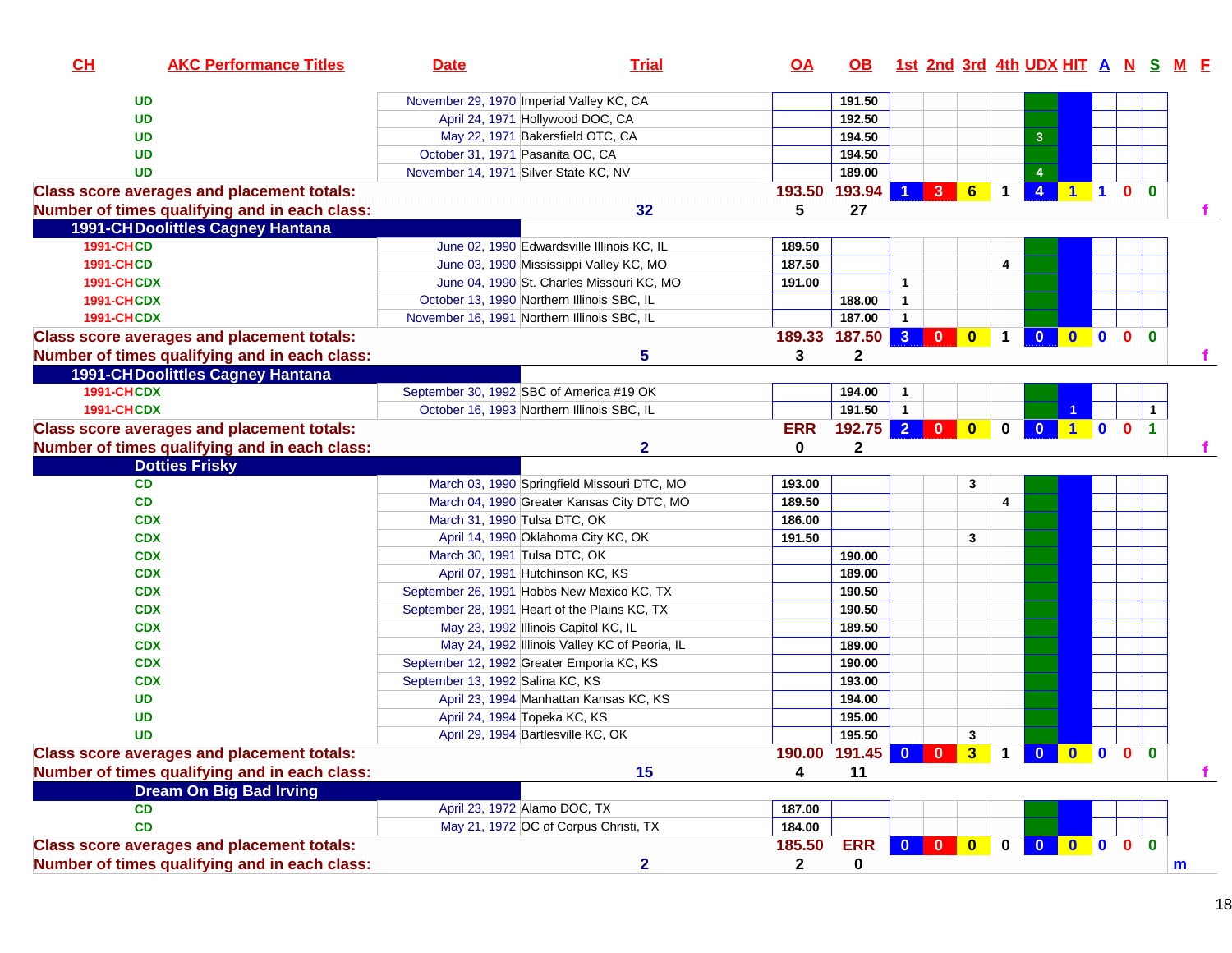| CH                | <b>AKC Performance Titles</b>                     | <b>Date</b>                                   | <b>Trial</b>                                  | <u>OA</u>                       | OB .         |                |                |                         |                      | 1st 2nd 3rd 4th UDX HIT A N S M F    |                               |              |                |             |  |
|-------------------|---------------------------------------------------|-----------------------------------------------|-----------------------------------------------|---------------------------------|--------------|----------------|----------------|-------------------------|----------------------|--------------------------------------|-------------------------------|--------------|----------------|-------------|--|
|                   | <b>UD</b>                                         | November 29, 1970 Imperial Valley KC, CA      |                                               |                                 | 191.50       |                |                |                         |                      |                                      |                               |              |                |             |  |
|                   | <b>UD</b>                                         | April 24, 1971 Hollywood DOC, CA              |                                               |                                 | 192.50       |                |                |                         |                      |                                      |                               |              |                |             |  |
|                   | <b>UD</b>                                         | May 22, 1971 Bakersfield OTC, CA              |                                               |                                 | 194.50       |                |                |                         |                      | 3                                    |                               |              |                |             |  |
|                   | <b>UD</b>                                         | October 31, 1971 Pasanita OC, CA              |                                               |                                 | 194.50       |                |                |                         |                      |                                      |                               |              |                |             |  |
|                   | <b>UD</b>                                         | November 14, 1971 Silver State KC, NV         |                                               |                                 | 189.00       |                |                |                         |                      | $\overline{4}$                       |                               |              |                |             |  |
|                   | <b>Class score averages and placement totals:</b> |                                               |                                               | 193.50                          | 193.94       | 1              | 3 <sup>1</sup> | $6\phantom{1}$          | $\mathbf 1$          | $\overline{\mathbf{4}}$              | $1$ 1                         | $\mathbf{0}$ | $\mathbf{0}$   |             |  |
|                   | Number of times qualifying and in each class:     |                                               | 32                                            | 5                               | 27           |                |                |                         |                      |                                      |                               |              |                |             |  |
|                   | <b>1991-CHDoolittles Cagney Hantana</b>           |                                               |                                               |                                 |              |                |                |                         |                      |                                      |                               |              |                |             |  |
| <b>1991-CHCD</b>  |                                                   |                                               | June 02, 1990 Edwardsville Illinois KC, IL    | 189.50                          |              |                |                |                         |                      |                                      |                               |              |                |             |  |
| <b>1991-CHCD</b>  |                                                   | June 03, 1990 Mississippi Valley KC, MO       |                                               | 187.50                          |              |                |                |                         | 4                    |                                      |                               |              |                |             |  |
| <b>1991-CHCDX</b> |                                                   |                                               | June 04, 1990 St. Charles Missouri KC, MO     | 191.00                          |              | $\overline{1}$ |                |                         |                      |                                      |                               |              |                |             |  |
| <b>1991-CHCDX</b> |                                                   | October 13, 1990 Northern Illinois SBC, IL    |                                               |                                 | 188.00       | $\mathbf{1}$   |                |                         |                      |                                      |                               |              |                |             |  |
| <b>1991-CHCDX</b> |                                                   | November 16, 1991 Northern Illinois SBC, IL   |                                               |                                 | 187.00       | $\mathbf{1}$   |                |                         |                      |                                      |                               |              |                |             |  |
|                   | <b>Class score averages and placement totals:</b> |                                               |                                               | 189.33 187.50                   |              | $3$ 0          |                | $\mathbf{0}$            | $\blacktriangleleft$ | $\overline{\mathbf{0}}$<br>$\bullet$ | $\blacksquare$                | $\mathbf{0}$ | $\overline{0}$ |             |  |
|                   | Number of times qualifying and in each class:     |                                               | 5                                             | 3                               | $\mathbf{2}$ |                |                |                         |                      |                                      |                               |              |                |             |  |
|                   | <b>1991-CHDoolittles Cagney Hantana</b>           |                                               |                                               |                                 |              |                |                |                         |                      |                                      |                               |              |                |             |  |
| <b>1991-CHCDX</b> |                                                   | September 30, 1992 SBC of America #19 OK      |                                               |                                 | 194.00       | $\mathbf{1}$   |                |                         |                      |                                      |                               |              |                |             |  |
| <b>1991-CHCDX</b> |                                                   | October 16, 1993 Northern Illinois SBC, IL    |                                               |                                 | 191.50       | $\mathbf{1}$   |                |                         |                      |                                      |                               |              | $\mathbf 1$    |             |  |
|                   | <b>Class score averages and placement totals:</b> |                                               |                                               | <b>ERR</b>                      | 192.75       | 2 0            |                | $\overline{\mathbf{0}}$ | $\bf{0}$             | $\mathbf{0}$                         | $\blacksquare$<br>$\mathbf 0$ | $\mathbf 0$  | $\overline{1}$ |             |  |
|                   | Number of times qualifying and in each class:     |                                               | 2                                             | 0                               | $\mathbf{2}$ |                |                |                         |                      |                                      |                               |              |                |             |  |
|                   | <b>Dotties Frisky</b>                             |                                               |                                               |                                 |              |                |                |                         |                      |                                      |                               |              |                |             |  |
|                   | <b>CD</b>                                         |                                               | March 03, 1990 Springfield Missouri DTC, MO   | 193.00                          |              |                |                | 3                       |                      |                                      |                               |              |                |             |  |
|                   | CD                                                |                                               | March 04, 1990 Greater Kansas City DTC, MO    | 189.50                          |              |                |                |                         | 4                    |                                      |                               |              |                |             |  |
|                   | <b>CDX</b>                                        | March 31, 1990 Tulsa DTC, OK                  |                                               | 186.00                          |              |                |                |                         |                      |                                      |                               |              |                |             |  |
|                   | <b>CDX</b>                                        | April 14, 1990 Oklahoma City KC, OK           |                                               | 191.50                          |              |                |                | 3                       |                      |                                      |                               |              |                |             |  |
|                   | <b>CDX</b>                                        | March 30, 1991 Tulsa DTC, OK                  |                                               |                                 | 190.00       |                |                |                         |                      |                                      |                               |              |                |             |  |
|                   | <b>CDX</b>                                        | April 07, 1991 Hutchinson KC, KS              |                                               |                                 | 189.00       |                |                |                         |                      |                                      |                               |              |                |             |  |
|                   | <b>CDX</b>                                        | September 26, 1991 Hobbs New Mexico KC, TX    |                                               |                                 | 190.50       |                |                |                         |                      |                                      |                               |              |                |             |  |
|                   | <b>CDX</b>                                        | September 28, 1991 Heart of the Plains KC, TX |                                               |                                 | 190.50       |                |                |                         |                      |                                      |                               |              |                |             |  |
|                   | <b>CDX</b>                                        | May 23, 1992 Illinois Capitol KC, IL          |                                               |                                 | 189.50       |                |                |                         |                      |                                      |                               |              |                |             |  |
|                   | <b>CDX</b>                                        |                                               | May 24, 1992 Illinois Valley KC of Peoria, IL |                                 | 189.00       |                |                |                         |                      |                                      |                               |              |                |             |  |
|                   | <b>CDX</b>                                        | September 12, 1992 Greater Emporia KC, KS     |                                               |                                 | 190.00       |                |                |                         |                      |                                      |                               |              |                |             |  |
|                   | <b>CDX</b>                                        | September 13, 1992 Salina KC, KS              |                                               |                                 | 193.00       |                |                |                         |                      |                                      |                               |              |                |             |  |
|                   | <b>UD</b>                                         |                                               | April 23, 1994 Manhattan Kansas KC, KS        |                                 | 194.00       |                |                |                         |                      |                                      |                               |              |                |             |  |
|                   | <b>UD</b>                                         | April 24, 1994 Topeka KC, KS                  |                                               |                                 | 195.00       |                |                |                         |                      |                                      |                               |              |                |             |  |
|                   | <b>UD</b>                                         | April 29, 1994 Bartlesville KC, OK            |                                               |                                 | 195.50       |                |                | 3                       |                      |                                      |                               |              |                |             |  |
|                   | <b>Class score averages and placement totals:</b> |                                               |                                               | 190.00 191.45 0 0 3 1 0 0 0 0 0 |              |                |                |                         |                      |                                      |                               |              |                |             |  |
|                   | Number of times qualifying and in each class:     |                                               | 15                                            | 4                               | 11           |                |                |                         |                      |                                      |                               |              |                |             |  |
|                   | <b>Dream On Big Bad Irving</b>                    |                                               |                                               |                                 |              |                |                |                         |                      |                                      |                               |              |                |             |  |
|                   | <b>CD</b>                                         | April 23, 1972 Alamo DOC, TX                  |                                               | 187.00                          |              |                |                |                         |                      |                                      |                               |              |                |             |  |
|                   | CD                                                | May 21, 1972 OC of Corpus Christi, TX         |                                               | 184.00                          |              |                |                |                         |                      |                                      |                               |              |                |             |  |
|                   | <b>Class score averages and placement totals:</b> |                                               |                                               | 185.50                          | <b>ERR</b>   | $0$ 0          |                | $\mathbf{0}$            | $\mathbf 0$          | $\overline{\mathbf{0}}$              |                               | $0$ 0 0      | $\mathbf{0}$   |             |  |
|                   | Number of times qualifying and in each class:     |                                               | $\overline{\mathbf{2}}$                       | $\mathbf{2}$                    | 0            |                |                |                         |                      |                                      |                               |              |                | $\mathbf m$ |  |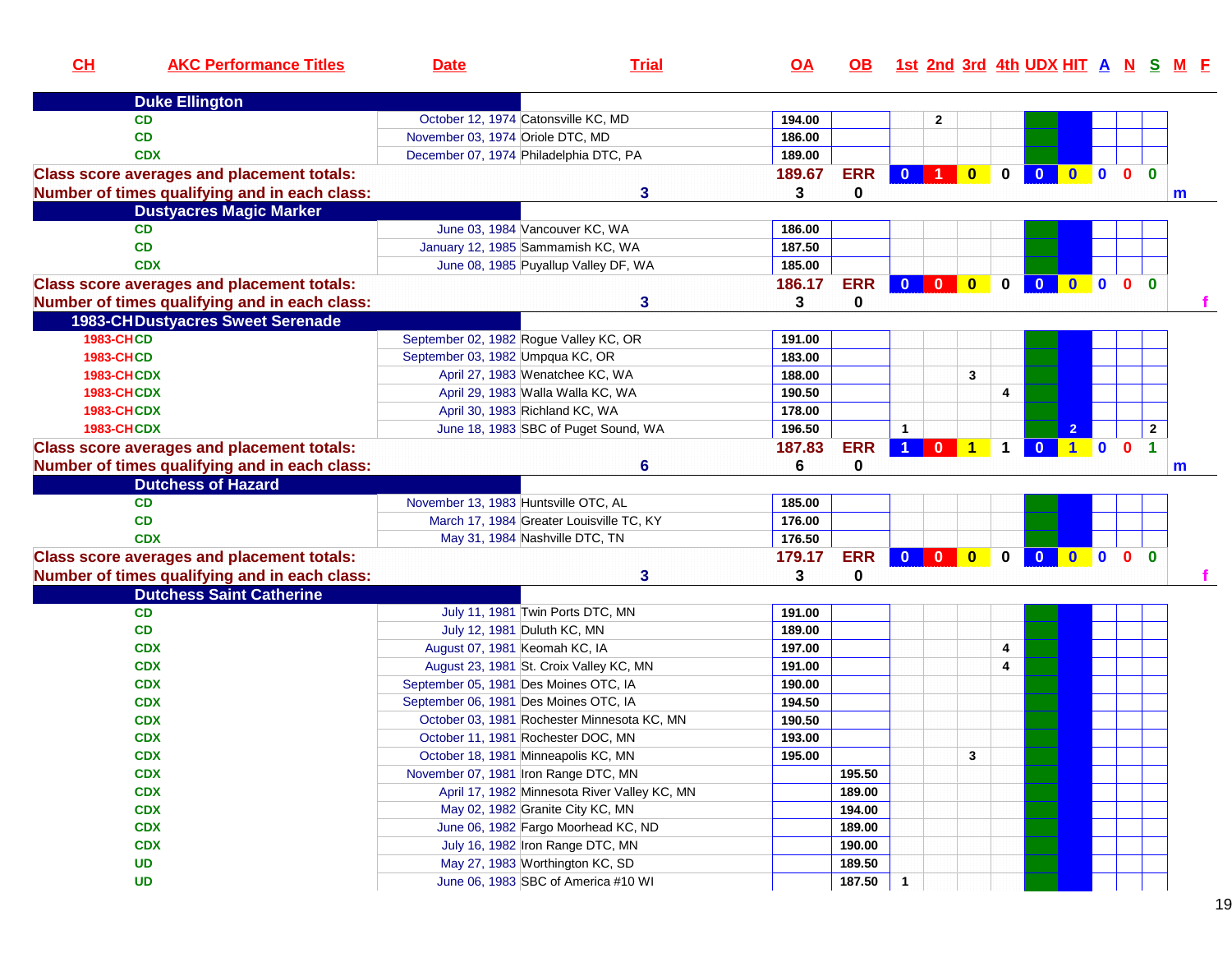| CH<br><b>AKC Performance Titles</b>               | <b>Date</b>                            | <b>Trial</b>                                 | <b>OA</b> | <u>OB</u>   | 1st 2nd 3rd 4th UDX HIT A N S M F |                         |                         |              |              |              |              |              |                      |   |
|---------------------------------------------------|----------------------------------------|----------------------------------------------|-----------|-------------|-----------------------------------|-------------------------|-------------------------|--------------|--------------|--------------|--------------|--------------|----------------------|---|
| <b>Duke Ellington</b>                             |                                        |                                              |           |             |                                   |                         |                         |              |              |              |              |              |                      |   |
| <b>CD</b>                                         | October 12, 1974 Catonsville KC, MD    |                                              | 194.00    |             |                                   | 2                       |                         |              |              |              |              |              |                      |   |
| <b>CD</b>                                         | November 03, 1974 Oriole DTC, MD       |                                              | 186.00    |             |                                   |                         |                         |              |              |              |              |              |                      |   |
| <b>CDX</b>                                        | December 07, 1974 Philadelphia DTC, PA |                                              | 189.00    |             |                                   |                         |                         |              |              |              |              |              |                      |   |
| <b>Class score averages and placement totals:</b> |                                        |                                              | 189.67    | <b>ERR</b>  | $\mathbf{0}$                      | $\blacktriangleleft$    | $\overline{\mathbf{0}}$ | $\mathbf{0}$ | $\Omega$     | $\mathbf{0}$ | $\bullet$    | $\mathbf{0}$ | $\bf{0}$             |   |
| Number of times qualifying and in each class:     |                                        | 3                                            | 3         | 0           |                                   |                         |                         |              |              |              |              |              |                      | m |
| <b>Dustyacres Magic Marker</b>                    |                                        |                                              |           |             |                                   |                         |                         |              |              |              |              |              |                      |   |
| <b>CD</b>                                         |                                        | June 03, 1984 Vancouver KC, WA               | 186.00    |             |                                   |                         |                         |              |              |              |              |              |                      |   |
| <b>CD</b>                                         |                                        | January 12, 1985 Sammamish KC, WA            | 187.50    |             |                                   |                         |                         |              |              |              |              |              |                      |   |
| <b>CDX</b>                                        |                                        | June 08, 1985 Puyallup Valley DF, WA         | 185.00    |             |                                   |                         |                         |              |              |              |              |              |                      |   |
| <b>Class score averages and placement totals:</b> |                                        |                                              | 186.17    | <b>ERR</b>  |                                   |                         |                         | $\mathbf 0$  | $\mathbf{0}$ | $\mathbf{0}$ | $\mathbf{0}$ | $\mathbf{0}$ | $\mathbf{0}$         |   |
| Number of times qualifying and in each class:     |                                        | 3                                            | 3         | 0           |                                   |                         |                         |              |              |              |              |              |                      |   |
| <b>1983-CHDustyacres Sweet Serenade</b>           |                                        |                                              |           |             |                                   |                         |                         |              |              |              |              |              |                      |   |
| <b>1983-CHCD</b>                                  | September 02, 1982 Rogue Valley KC, OR |                                              | 191.00    |             |                                   |                         |                         |              |              |              |              |              |                      |   |
| <b>1983-CHCD</b>                                  | September 03, 1982 Umpqua KC, OR       |                                              | 183.00    |             |                                   |                         |                         |              |              |              |              |              |                      |   |
| <b>1983-CHCDX</b>                                 |                                        | April 27, 1983 Wenatchee KC, WA              | 188.00    |             |                                   |                         | 3                       |              |              |              |              |              |                      |   |
| <b>1983-CHCDX</b>                                 |                                        | April 29, 1983 Walla Walla KC, WA            | 190.50    |             |                                   |                         |                         | 4            |              |              |              |              |                      |   |
| <b>1983-CHCDX</b>                                 | April 30, 1983 Richland KC, WA         |                                              | 178.00    |             |                                   |                         |                         |              |              |              |              |              |                      |   |
| <b>1983-CHCDX</b>                                 |                                        | June 18, 1983 SBC of Puget Sound, WA         | 196.50    |             | $\mathbf{1}$                      |                         |                         |              |              |              |              |              | $\mathbf{2}$         |   |
| <b>Class score averages and placement totals:</b> |                                        |                                              | 187.83    | <b>ERR</b>  | $\blacktriangleleft$              | $\overline{0}$ 1        |                         | $\mathbf 1$  | $\mathbf{0}$ | $1$ 0        |              | $\mathbf{0}$ | $\blacktriangleleft$ |   |
| Number of times qualifying and in each class:     |                                        | 6                                            | 6         | $\mathbf 0$ |                                   |                         |                         |              |              |              |              |              |                      | m |
| <b>Dutchess of Hazard</b>                         |                                        |                                              |           |             |                                   |                         |                         |              |              |              |              |              |                      |   |
| <b>CD</b>                                         | November 13, 1983 Huntsville OTC, AL   |                                              | 185.00    |             |                                   |                         |                         |              |              |              |              |              |                      |   |
| <b>CD</b>                                         |                                        | March 17, 1984 Greater Louisville TC, KY     | 176.00    |             |                                   |                         |                         |              |              |              |              |              |                      |   |
| <b>CDX</b>                                        |                                        | May 31, 1984 Nashville DTC, TN               | 176.50    |             |                                   |                         |                         |              |              |              |              |              |                      |   |
| <b>Class score averages and placement totals:</b> |                                        |                                              | 179.17    | <b>ERR</b>  | $\mathbf{0}$                      | $\overline{\mathbf{0}}$ | $\overline{\mathbf{0}}$ | $\bf{0}$     | $\mathbf{0}$ | $\mathbf{0}$ | $\bullet$    | $\mathbf{0}$ | $\bf{0}$             |   |
| Number of times qualifying and in each class:     |                                        | 3                                            | 3         | $\mathbf 0$ |                                   |                         |                         |              |              |              |              |              |                      |   |
| <b>Dutchess Saint Catherine</b>                   |                                        |                                              |           |             |                                   |                         |                         |              |              |              |              |              |                      |   |
| <b>CD</b>                                         |                                        | July 11, 1981 Twin Ports DTC, MN             | 191.00    |             |                                   |                         |                         |              |              |              |              |              |                      |   |
| CD                                                | July 12, 1981 Duluth KC, MN            |                                              | 189.00    |             |                                   |                         |                         |              |              |              |              |              |                      |   |
| <b>CDX</b>                                        | August 07, 1981 Keomah KC, IA          |                                              | 197.00    |             |                                   |                         |                         | 4            |              |              |              |              |                      |   |
| <b>CDX</b>                                        |                                        | August 23, 1981 St. Croix Valley KC, MN      | 191.00    |             |                                   |                         |                         | 4            |              |              |              |              |                      |   |
| <b>CDX</b>                                        | September 05, 1981 Des Moines OTC, IA  |                                              | 190.00    |             |                                   |                         |                         |              |              |              |              |              |                      |   |
| <b>CDX</b>                                        | September 06, 1981 Des Moines OTC, IA  |                                              | 194.50    |             |                                   |                         |                         |              |              |              |              |              |                      |   |
| <b>CDX</b>                                        |                                        | October 03, 1981 Rochester Minnesota KC, MN  | 190.50    |             |                                   |                         |                         |              |              |              |              |              |                      |   |
| <b>CDX</b>                                        | October 11, 1981 Rochester DOC, MN     |                                              | 193.00    |             |                                   |                         |                         |              |              |              |              |              |                      |   |
| <b>CDX</b>                                        | October 18, 1981 Minneapolis KC, MN    |                                              | 195.00    |             |                                   |                         | 3                       |              |              |              |              |              |                      |   |
| <b>CDX</b>                                        | November 07, 1981 Iron Range DTC, MN   |                                              |           | 195.50      |                                   |                         |                         |              |              |              |              |              |                      |   |
| <b>CDX</b>                                        |                                        | April 17, 1982 Minnesota River Valley KC, MN |           | 189.00      |                                   |                         |                         |              |              |              |              |              |                      |   |
| <b>CDX</b>                                        |                                        | May 02, 1982 Granite City KC, MN             |           | 194.00      |                                   |                         |                         |              |              |              |              |              |                      |   |
| <b>CDX</b>                                        |                                        | June 06, 1982 Fargo Moorhead KC, ND          |           | 189.00      |                                   |                         |                         |              |              |              |              |              |                      |   |
| <b>CDX</b>                                        |                                        | July 16, 1982 Iron Range DTC, MN             |           | 190.00      |                                   |                         |                         |              |              |              |              |              |                      |   |
| <b>UD</b>                                         |                                        | May 27, 1983 Worthington KC, SD              |           | 189.50      |                                   |                         |                         |              |              |              |              |              |                      |   |
| <b>UD</b>                                         |                                        | June 06, 1983 SBC of America #10 WI          |           | 187.50      | $\mathbf 1$                       |                         |                         |              |              |              |              |              |                      |   |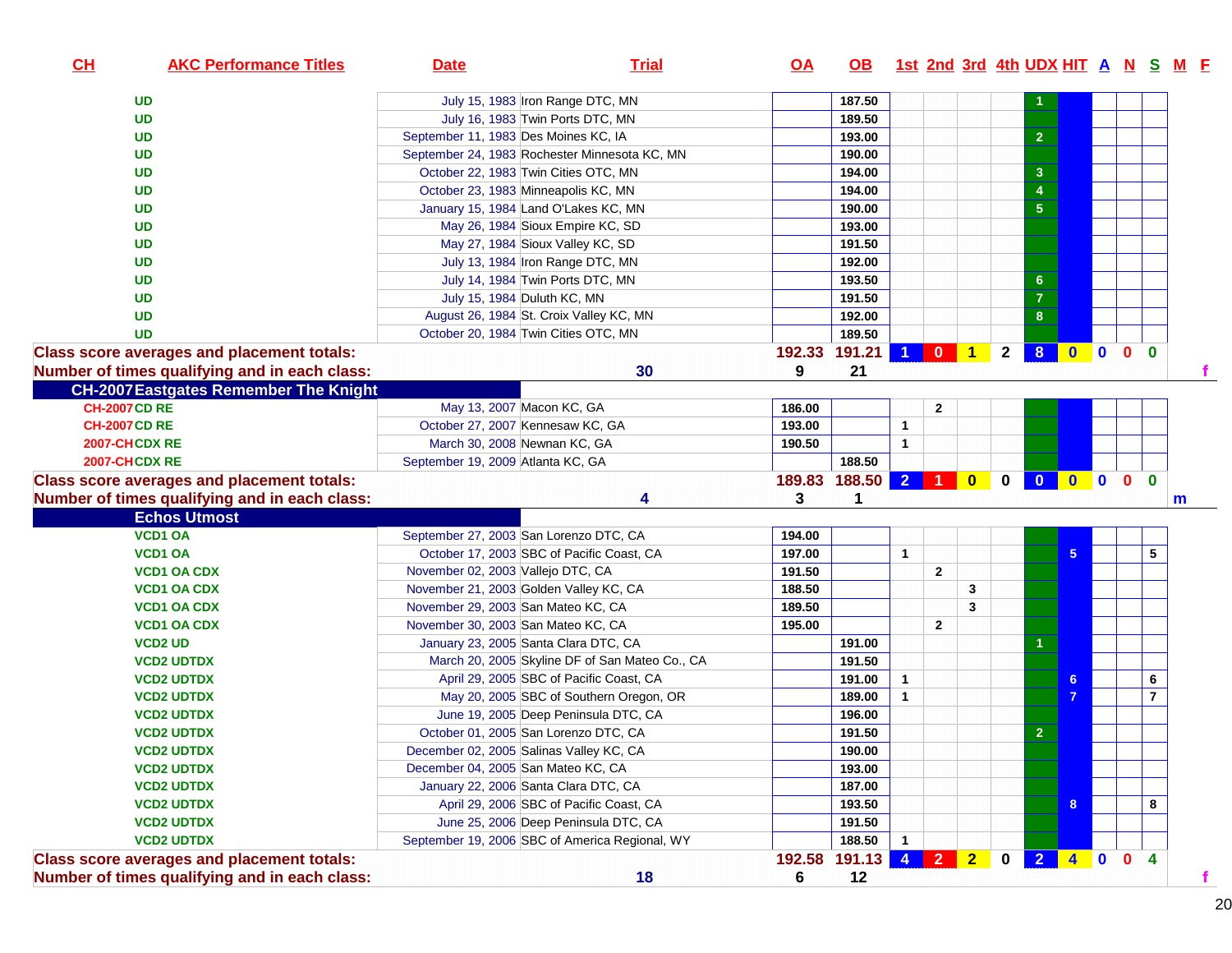| CL<br><b>AKC Performance Titles</b>               | <b>Date</b>                                    | <b>Trial</b>                                   | $\overline{OA}$ | <b>OB</b>    |                      |              |   |              | 1st 2nd 3rd 4th UDX HIT A N S M F |                |           |                                      |              |
|---------------------------------------------------|------------------------------------------------|------------------------------------------------|-----------------|--------------|----------------------|--------------|---|--------------|-----------------------------------|----------------|-----------|--------------------------------------|--------------|
| <b>UD</b>                                         | July 15, 1983 Iron Range DTC, MN               |                                                |                 | 187.50       |                      |              |   |              |                                   |                |           |                                      |              |
| <b>UD</b>                                         | July 16, 1983 Twin Ports DTC, MN               |                                                |                 | 189.50       |                      |              |   |              |                                   |                |           |                                      |              |
| <b>UD</b>                                         | September 11, 1983 Des Moines KC, IA           |                                                |                 | 193.00       |                      |              |   |              | $\overline{2}$                    |                |           |                                      |              |
| <b>UD</b>                                         | September 24, 1983 Rochester Minnesota KC, MN  |                                                |                 | 190.00       |                      |              |   |              |                                   |                |           |                                      |              |
| <b>UD</b>                                         | October 22, 1983 Twin Cities OTC, MN           |                                                |                 | 194.00       |                      |              |   |              | $\mathbf{3}$                      |                |           |                                      |              |
| <b>UD</b>                                         | October 23, 1983 Minneapolis KC, MN            |                                                |                 | 194.00       |                      |              |   |              | $\overline{4}$                    |                |           |                                      |              |
| <b>UD</b>                                         | January 15, 1984 Land O'Lakes KC, MN           |                                                |                 | 190.00       |                      |              |   |              | $5\phantom{.0}$                   |                |           |                                      |              |
| <b>UD</b>                                         | May 26, 1984 Sioux Empire KC, SD               |                                                |                 | 193.00       |                      |              |   |              |                                   |                |           |                                      |              |
| <b>UD</b>                                         | May 27, 1984 Sioux Valley KC, SD               |                                                |                 | 191.50       |                      |              |   |              |                                   |                |           |                                      |              |
| <b>UD</b>                                         | July 13, 1984 Iron Range DTC, MN               |                                                |                 | 192.00       |                      |              |   |              |                                   |                |           |                                      |              |
| <b>UD</b>                                         | July 14, 1984 Twin Ports DTC, MN               |                                                |                 | 193.50       |                      |              |   |              | 6 <sup>1</sup>                    |                |           |                                      |              |
| <b>UD</b>                                         | July 15, 1984 Duluth KC, MN                    |                                                |                 | 191.50       |                      |              |   |              | $\overline{7}$                    |                |           |                                      |              |
| <b>UD</b>                                         | August 26, 1984 St. Croix Valley KC, MN        |                                                |                 | 192.00       |                      |              |   |              | 8                                 |                |           |                                      |              |
| <b>UD</b>                                         | October 20, 1984 Twin Cities OTC, MN           |                                                |                 | 189.50       |                      |              |   |              |                                   |                |           |                                      |              |
| <b>Class score averages and placement totals:</b> |                                                |                                                | 192.33          | 191.21       | $\blacktriangleleft$ |              |   | $\mathbf{2}$ | 8 <sup>1</sup>                    | $\bullet$      | $\bullet$ | 0 <sub>0</sub>                       |              |
| Number of times qualifying and in each class:     |                                                | 30                                             | 9               | 21           |                      |              |   |              |                                   |                |           |                                      |              |
| <b>CH-2007 Eastgates Remember The Knight</b>      |                                                |                                                |                 |              |                      |              |   |              |                                   |                |           |                                      |              |
| <b>CH-2007 CD RE</b>                              | May 13, 2007 Macon KC, GA                      |                                                | 186.00          |              |                      | $\mathbf{2}$ |   |              |                                   |                |           |                                      |              |
| <b>CH-2007 CD RE</b>                              | October 27, 2007 Kennesaw KC, GA               |                                                | 193.00          |              | $\overline{1}$       |              |   |              |                                   |                |           |                                      |              |
| 2007-CHCDX RE                                     | March 30, 2008 Newnan KC, GA                   |                                                | 190.50          |              | $\mathbf{1}$         |              |   |              |                                   |                |           |                                      |              |
| 2007-CHCDX RE                                     | September 19, 2009 Atlanta KC, GA              |                                                |                 | 188.50       |                      |              |   |              |                                   |                |           |                                      |              |
| <b>Class score averages and placement totals:</b> |                                                |                                                | 189.83          | 188.50 2 1 0 |                      |              |   | $\mathbf 0$  | $\overline{\mathbf{0}}$           | 0000           |           |                                      |              |
| Number of times qualifying and in each class:     |                                                | 4                                              | 3               | 1            |                      |              |   |              |                                   |                |           |                                      | $\mathsf{m}$ |
| <b>Echos Utmost</b>                               |                                                |                                                |                 |              |                      |              |   |              |                                   |                |           |                                      |              |
| <b>VCD1 OA</b>                                    | September 27, 2003 San Lorenzo DTC, CA         |                                                | 194.00          |              |                      |              |   |              |                                   |                |           |                                      |              |
| <b>VCD1 OA</b>                                    | October 17, 2003 SBC of Pacific Coast, CA      |                                                | 197.00          |              | $\mathbf{1}$         |              |   |              |                                   | 5 <sup>1</sup> |           | 5                                    |              |
| <b>VCD1 OA CDX</b>                                | November 02, 2003 Vallejo DTC, CA              |                                                | 191.50          |              |                      | $\mathbf{2}$ |   |              |                                   |                |           |                                      |              |
| <b>VCD1 OA CDX</b>                                | November 21, 2003 Golden Valley KC, CA         |                                                | 188.50          |              |                      |              | 3 |              |                                   |                |           |                                      |              |
| <b>VCD1 OA CDX</b>                                | November 29, 2003 San Mateo KC, CA             |                                                | 189.50          |              |                      |              | 3 |              |                                   |                |           |                                      |              |
| <b>VCD1 OA CDX</b>                                | November 30, 2003 San Mateo KC, CA             |                                                | 195.00          |              |                      | $\mathbf{2}$ |   |              |                                   |                |           |                                      |              |
| <b>VCD2 UD</b>                                    | January 23, 2005 Santa Clara DTC, CA           |                                                |                 | 191.00       |                      |              |   |              |                                   |                |           |                                      |              |
| <b>VCD2 UDTDX</b>                                 |                                                | March 20, 2005 Skyline DF of San Mateo Co., CA |                 | 191.50       |                      |              |   |              |                                   |                |           |                                      |              |
| <b>VCD2 UDTDX</b>                                 | April 29, 2005 SBC of Pacific Coast, CA        |                                                |                 | 191.00       | $\mathbf{1}$         |              |   |              |                                   | 6.             |           | 6                                    |              |
| <b>VCD2 UDTDX</b>                                 |                                                | May 20, 2005 SBC of Southern Oregon, OR        |                 | 189.00       | $\mathbf{1}$         |              |   |              |                                   |                |           | $\overline{7}$                       |              |
| <b>VCD2 UDTDX</b>                                 | June 19, 2005 Deep Peninsula DTC, CA           |                                                |                 | 196.00       |                      |              |   |              |                                   |                |           |                                      |              |
| <b>VCD2 UDTDX</b>                                 | October 01, 2005 San Lorenzo DTC, CA           |                                                |                 | 191.50       |                      |              |   |              | $\overline{2}$                    |                |           |                                      |              |
| <b>VCD2 UDTDX</b>                                 | December 02, 2005 Salinas Valley KC, CA        |                                                |                 | 190.00       |                      |              |   |              |                                   |                |           |                                      |              |
| <b>VCD2 UDTDX</b>                                 | December 04, 2005 San Mateo KC, CA             |                                                |                 | 193.00       |                      |              |   |              |                                   |                |           |                                      |              |
| <b>VCD2 UDTDX</b>                                 | January 22, 2006 Santa Clara DTC, CA           |                                                |                 | 187.00       |                      |              |   |              |                                   |                |           |                                      |              |
| <b>VCD2 UDTDX</b>                                 | April 29, 2006 SBC of Pacific Coast, CA        |                                                |                 | 193.50       |                      |              |   |              |                                   | 8              |           | 8                                    |              |
| <b>VCD2 UDTDX</b>                                 | June 25, 2006 Deep Peninsula DTC, CA           |                                                |                 | 191.50       |                      |              |   |              |                                   |                |           |                                      |              |
| <b>VCD2 UDTDX</b>                                 | September 19, 2006 SBC of America Regional, WY |                                                |                 | 188.50       | $\mathbf{1}$         |              |   |              |                                   |                |           |                                      |              |
| <b>Class score averages and placement totals:</b> |                                                |                                                | 192.58          | 191.13 4 2 2 |                      |              |   | $\mathbf 0$  | $\overline{2}$                    | 40             |           | $\bullet$<br>$\overline{\mathbf{4}}$ |              |
| Number of times qualifying and in each class:     |                                                | 18                                             | 6               | 12           |                      |              |   |              |                                   |                |           |                                      |              |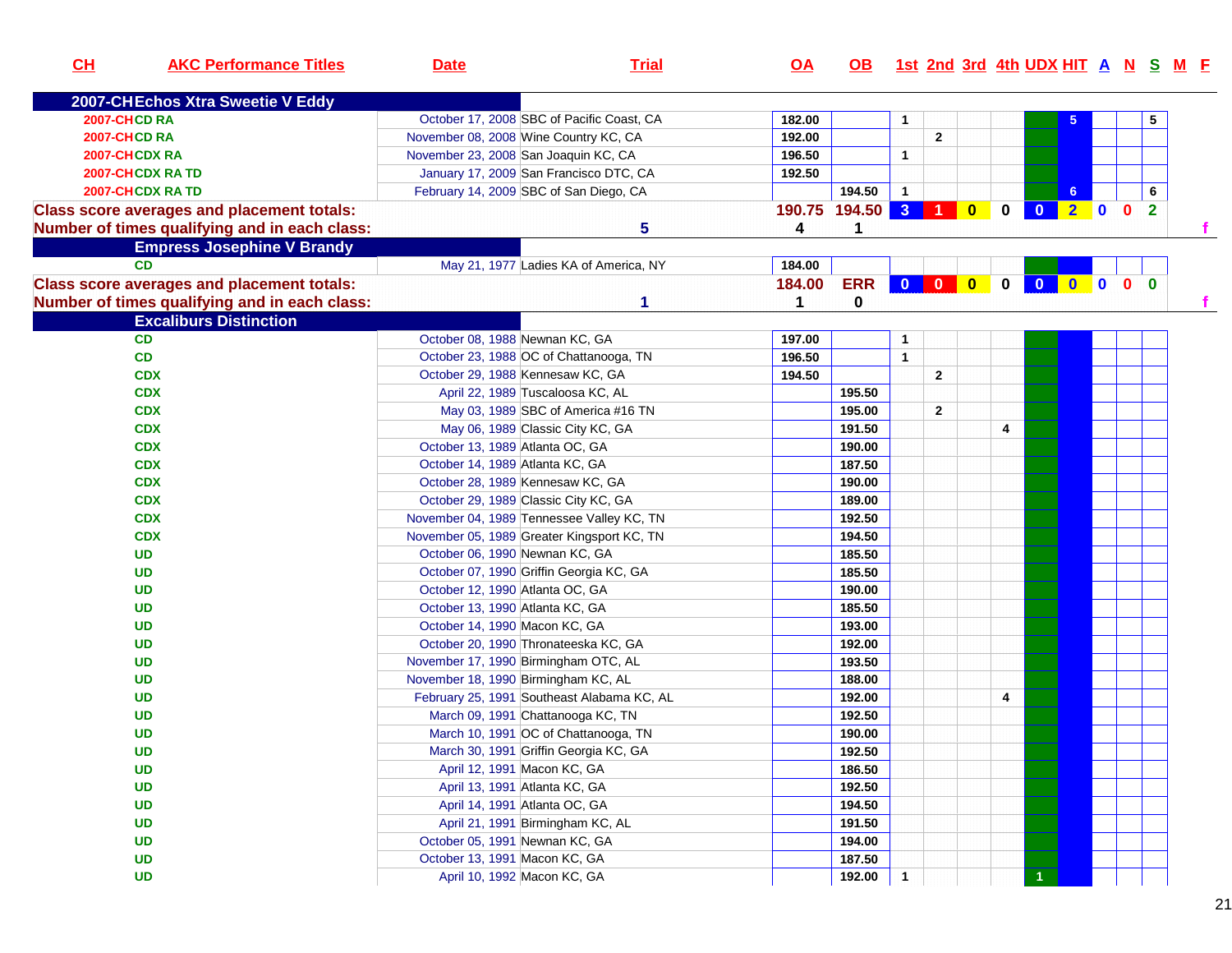| CL<br><b>AKC Performance Titles</b>               | <b>Date</b>                                | <b>Trial</b>                          | $\overline{OA}$ |                     |              |              |              |              |         |              |                | OB 1st 2nd 3rd 4th UDX HIT A N S M F |
|---------------------------------------------------|--------------------------------------------|---------------------------------------|-----------------|---------------------|--------------|--------------|--------------|--------------|---------|--------------|----------------|--------------------------------------|
| 2007-CHEchos Xtra Sweetie V Eddy                  |                                            |                                       |                 |                     |              |              |              |              |         |              |                |                                      |
| 2007-CHCD RA                                      | October 17, 2008 SBC of Pacific Coast, CA  |                                       | 182.00          |                     | 1            |              |              |              | 5       |              | 5              |                                      |
| <b>2007-CHCD RA</b>                               | November 08, 2008 Wine Country KC, CA      |                                       | 192.00          |                     |              | $\mathbf{2}$ |              |              |         |              |                |                                      |
| 2007-CHCDX RA                                     | November 23, 2008 San Joaquin KC, CA       |                                       | 196.50          |                     | $\mathbf{1}$ |              |              |              |         |              |                |                                      |
| <b>2007-CHCDX RATD</b>                            | January 17, 2009 San Francisco DTC, CA     |                                       | 192.50          |                     |              |              |              |              |         |              |                |                                      |
| 2007-CHCDX RA TD                                  | February 14, 2009 SBC of San Diego, CA     |                                       |                 | 194.50              | $\mathbf{1}$ |              |              |              | 6       |              | 6              |                                      |
| <b>Class score averages and placement totals:</b> |                                            |                                       |                 | 190.75 194.50 3 1 0 |              |              | $\mathbf 0$  | $\mathbf{0}$ | $2 \ 0$ | $\mathbf{0}$ | $\overline{2}$ |                                      |
| Number of times qualifying and in each class:     |                                            | 5                                     | 4               | 1                   |              |              |              |              |         |              |                |                                      |
| <b>Empress Josephine V Brandy</b>                 |                                            |                                       |                 |                     |              |              |              |              |         |              |                |                                      |
| CD                                                |                                            | May 21, 1977 Ladies KA of America, NY | 184.00          |                     |              |              |              |              |         |              |                |                                      |
| <b>Class score averages and placement totals:</b> |                                            |                                       | 184.00          | <b>ERR</b>          | 000          |              | $\mathbf{0}$ | $\bullet$    |         | $0$ 0 0 0    |                |                                      |
| Number of times qualifying and in each class:     |                                            | 1                                     | 1               | 0                   |              |              |              |              |         |              |                |                                      |
| <b>Excaliburs Distinction</b>                     |                                            |                                       |                 |                     |              |              |              |              |         |              |                |                                      |
| CD                                                | October 08, 1988 Newnan KC, GA             |                                       | 197.00          |                     | 1            |              |              |              |         |              |                |                                      |
| CD                                                | October 23, 1988 OC of Chattanooga, TN     |                                       | 196.50          |                     | $\mathbf{1}$ |              |              |              |         |              |                |                                      |
| <b>CDX</b>                                        | October 29, 1988 Kennesaw KC, GA           |                                       | 194.50          |                     |              | $\mathbf{2}$ |              |              |         |              |                |                                      |
| <b>CDX</b>                                        | April 22, 1989 Tuscaloosa KC, AL           |                                       |                 | 195.50              |              |              |              |              |         |              |                |                                      |
| <b>CDX</b>                                        |                                            | May 03, 1989 SBC of America #16 TN    |                 | 195.00              |              | $\mathbf{2}$ |              |              |         |              |                |                                      |
| <b>CDX</b>                                        | May 06, 1989 Classic City KC, GA           |                                       |                 | 191.50              |              |              | 4            |              |         |              |                |                                      |
| <b>CDX</b>                                        | October 13, 1989 Atlanta OC, GA            |                                       |                 | 190.00              |              |              |              |              |         |              |                |                                      |
| <b>CDX</b>                                        | October 14, 1989 Atlanta KC, GA            |                                       |                 | 187.50              |              |              |              |              |         |              |                |                                      |
| <b>CDX</b>                                        | October 28, 1989 Kennesaw KC, GA           |                                       |                 | 190.00              |              |              |              |              |         |              |                |                                      |
| <b>CDX</b>                                        | October 29, 1989 Classic City KC, GA       |                                       |                 | 189.00              |              |              |              |              |         |              |                |                                      |
| <b>CDX</b>                                        | November 04, 1989 Tennessee Valley KC, TN  |                                       |                 | 192.50              |              |              |              |              |         |              |                |                                      |
| <b>CDX</b>                                        | November 05, 1989 Greater Kingsport KC, TN |                                       |                 | 194.50              |              |              |              |              |         |              |                |                                      |
| <b>UD</b>                                         | October 06, 1990 Newnan KC, GA             |                                       |                 | 185.50              |              |              |              |              |         |              |                |                                      |
| <b>UD</b>                                         | October 07, 1990 Griffin Georgia KC, GA    |                                       |                 | 185.50              |              |              |              |              |         |              |                |                                      |
| <b>UD</b>                                         | October 12, 1990 Atlanta OC, GA            |                                       |                 | 190.00              |              |              |              |              |         |              |                |                                      |
| <b>UD</b>                                         | October 13, 1990 Atlanta KC, GA            |                                       |                 | 185.50              |              |              |              |              |         |              |                |                                      |
| <b>UD</b>                                         | October 14, 1990 Macon KC, GA              |                                       |                 | 193.00              |              |              |              |              |         |              |                |                                      |
| <b>UD</b>                                         | October 20, 1990 Thronateeska KC, GA       |                                       |                 | 192.00              |              |              |              |              |         |              |                |                                      |
| <b>UD</b>                                         | November 17, 1990 Birmingham OTC, AL       |                                       |                 | 193.50              |              |              |              |              |         |              |                |                                      |
| <b>UD</b>                                         | November 18, 1990 Birmingham KC, AL        |                                       |                 | 188.00              |              |              |              |              |         |              |                |                                      |
| <b>UD</b>                                         | February 25, 1991 Southeast Alabama KC, AL |                                       |                 | 192.00              |              |              | 4            |              |         |              |                |                                      |
| <b>UD</b>                                         | March 09, 1991 Chattanooga KC, TN          |                                       |                 | 192.50              |              |              |              |              |         |              |                |                                      |
| <b>UD</b>                                         | March 10, 1991 OC of Chattanooga, TN       |                                       |                 | 190.00              |              |              |              |              |         |              |                |                                      |
| <b>UD</b>                                         | March 30, 1991 Griffin Georgia KC, GA      |                                       |                 | 192.50              |              |              |              |              |         |              |                |                                      |
| <b>UD</b>                                         | April 12, 1991 Macon KC, GA                |                                       |                 | 186.50              |              |              |              |              |         |              |                |                                      |
| <b>UD</b>                                         | April 13, 1991 Atlanta KC, GA              |                                       |                 | 192.50              |              |              |              |              |         |              |                |                                      |
| <b>UD</b>                                         | April 14, 1991 Atlanta OC, GA              |                                       |                 | 194.50              |              |              |              |              |         |              |                |                                      |
| <b>UD</b>                                         | April 21, 1991 Birmingham KC, AL           |                                       |                 | 191.50              |              |              |              |              |         |              |                |                                      |
| <b>UD</b>                                         | October 05, 1991 Newnan KC, GA             |                                       |                 | 194.00              |              |              |              |              |         |              |                |                                      |
| <b>UD</b>                                         | October 13, 1991 Macon KC, GA              |                                       |                 | 187.50              |              |              |              |              |         |              |                |                                      |
| <b>UD</b>                                         | April 10, 1992 Macon KC, GA                |                                       |                 | 192.00              | $\mathbf{1}$ |              |              |              |         |              |                |                                      |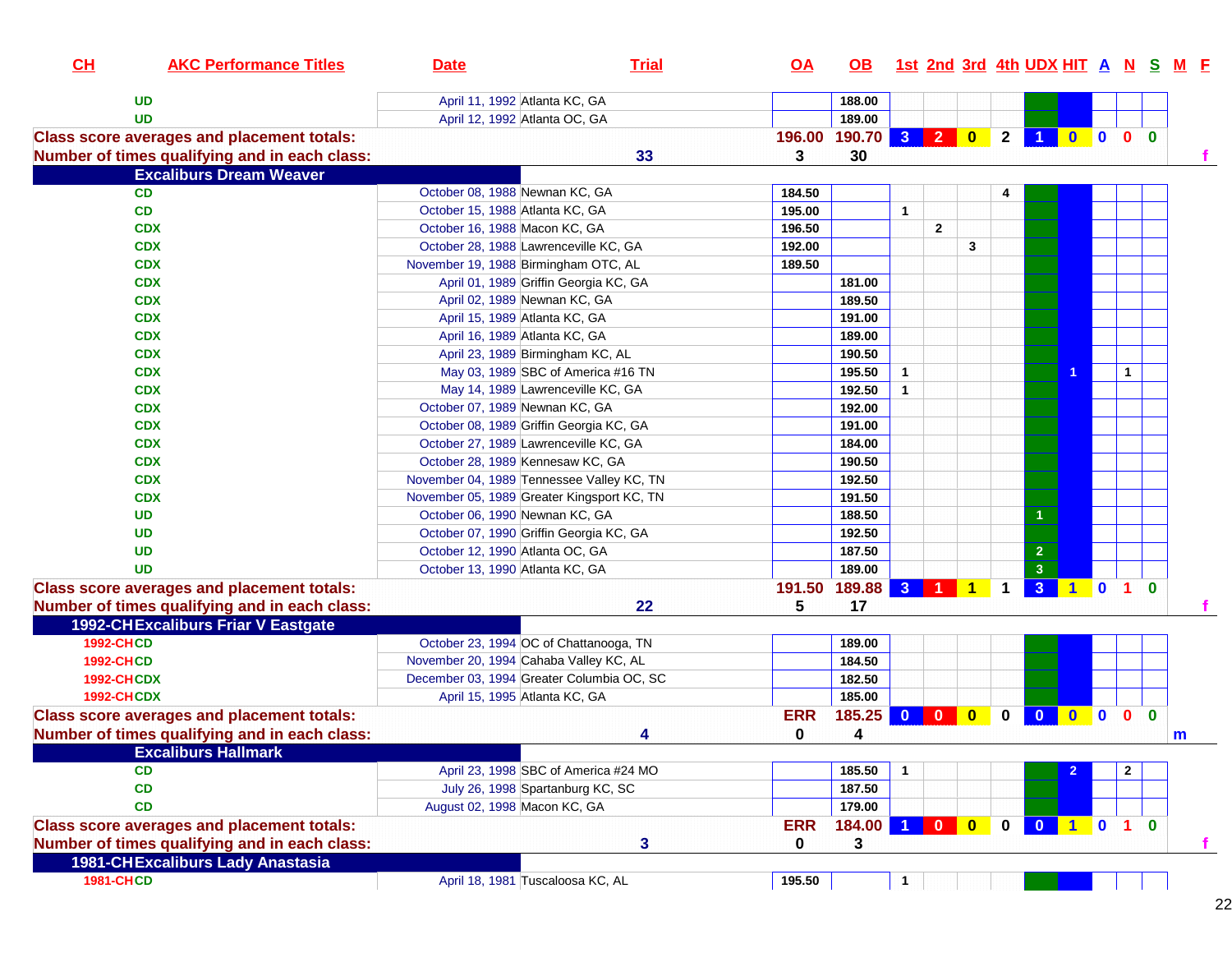| CH                | <b>AKC Performance Titles</b>                     | <b>Date</b>                                | <b>Trial</b>                         | <u>OA</u>  | OB.           |                      |              |         |                |                                                                    |                     |                |              |              | 1st 2nd 3rd 4th UDX HIT A N S M F |
|-------------------|---------------------------------------------------|--------------------------------------------|--------------------------------------|------------|---------------|----------------------|--------------|---------|----------------|--------------------------------------------------------------------|---------------------|----------------|--------------|--------------|-----------------------------------|
|                   | <b>UD</b>                                         | April 11, 1992 Atlanta KC, GA              |                                      |            | 188.00        |                      |              |         |                |                                                                    |                     |                |              |              |                                   |
|                   | <b>UD</b>                                         | April 12, 1992 Atlanta OC, GA              |                                      |            | 189.00        |                      |              |         |                |                                                                    |                     |                |              |              |                                   |
|                   | <b>Class score averages and placement totals:</b> |                                            |                                      | 196.00     | 190.70 3 2 0  |                      |              |         | 2 <sub>1</sub> |                                                                    | $\bullet$ $\bullet$ |                | $\mathbf{0}$ | $\mathbf{0}$ |                                   |
|                   | Number of times qualifying and in each class:     |                                            | 33                                   | 3          | 30            |                      |              |         |                |                                                                    |                     |                |              |              |                                   |
|                   | <b>Excaliburs Dream Weaver</b>                    |                                            |                                      |            |               |                      |              |         |                |                                                                    |                     |                |              |              |                                   |
|                   | <b>CD</b>                                         | October 08, 1988 Newnan KC, GA             |                                      | 184.50     |               |                      |              |         |                |                                                                    |                     |                |              |              |                                   |
|                   | CD                                                | October 15, 1988 Atlanta KC, GA            |                                      | 195.00     |               | $\mathbf{1}$         |              |         |                |                                                                    |                     |                |              |              |                                   |
|                   | <b>CDX</b>                                        | October 16, 1988 Macon KC, GA              |                                      | 196.50     |               |                      | $\mathbf{2}$ |         |                |                                                                    |                     |                |              |              |                                   |
|                   | <b>CDX</b>                                        | October 28, 1988 Lawrenceville KC, GA      |                                      | 192.00     |               |                      |              | 3       |                |                                                                    |                     |                |              |              |                                   |
|                   | <b>CDX</b>                                        | November 19, 1988 Birmingham OTC, AL       |                                      | 189.50     |               |                      |              |         |                |                                                                    |                     |                |              |              |                                   |
|                   | <b>CDX</b>                                        | April 01, 1989 Griffin Georgia KC, GA      |                                      |            | 181.00        |                      |              |         |                |                                                                    |                     |                |              |              |                                   |
|                   | <b>CDX</b>                                        | April 02, 1989 Newnan KC, GA               |                                      |            | 189.50        |                      |              |         |                |                                                                    |                     |                |              |              |                                   |
|                   | <b>CDX</b>                                        | April 15, 1989 Atlanta KC, GA              |                                      |            | 191.00        |                      |              |         |                |                                                                    |                     |                |              |              |                                   |
|                   | <b>CDX</b>                                        | April 16, 1989 Atlanta KC, GA              |                                      |            | 189.00        |                      |              |         |                |                                                                    |                     |                |              |              |                                   |
|                   | <b>CDX</b>                                        | April 23, 1989 Birmingham KC, AL           |                                      |            | 190.50        |                      |              |         |                |                                                                    |                     |                |              |              |                                   |
|                   | <b>CDX</b>                                        | May 03, 1989 SBC of America #16 TN         |                                      |            | 195.50        | $\mathbf{1}$         |              |         |                |                                                                    | 1                   |                | $\mathbf{1}$ |              |                                   |
|                   | <b>CDX</b>                                        | May 14, 1989 Lawrenceville KC, GA          |                                      |            | 192.50        | $\blacktriangleleft$ |              |         |                |                                                                    |                     |                |              |              |                                   |
|                   | <b>CDX</b>                                        | October 07, 1989 Newnan KC, GA             |                                      |            | 192.00        |                      |              |         |                |                                                                    |                     |                |              |              |                                   |
|                   | <b>CDX</b>                                        | October 08, 1989 Griffin Georgia KC, GA    |                                      |            | 191.00        |                      |              |         |                |                                                                    |                     |                |              |              |                                   |
|                   | <b>CDX</b>                                        | October 27, 1989 Lawrenceville KC, GA      |                                      |            | 184.00        |                      |              |         |                |                                                                    |                     |                |              |              |                                   |
|                   | <b>CDX</b>                                        | October 28, 1989 Kennesaw KC, GA           |                                      |            | 190.50        |                      |              |         |                |                                                                    |                     |                |              |              |                                   |
|                   | <b>CDX</b>                                        | November 04, 1989 Tennessee Valley KC, TN  |                                      |            | 192.50        |                      |              |         |                |                                                                    |                     |                |              |              |                                   |
|                   | <b>CDX</b>                                        | November 05, 1989 Greater Kingsport KC, TN |                                      |            | 191.50        |                      |              |         |                |                                                                    |                     |                |              |              |                                   |
|                   | <b>UD</b>                                         | October 06, 1990 Newnan KC, GA             |                                      |            | 188.50        |                      |              |         |                |                                                                    |                     |                |              |              |                                   |
|                   | <b>UD</b>                                         | October 07, 1990 Griffin Georgia KC, GA    |                                      |            | 192.50        |                      |              |         |                |                                                                    |                     |                |              |              |                                   |
|                   | <b>UD</b>                                         | October 12, 1990 Atlanta OC, GA            |                                      |            | 187.50        |                      |              |         |                | $\overline{2}$                                                     |                     |                |              |              |                                   |
|                   | <b>UD</b>                                         | October 13, 1990 Atlanta KC, GA            |                                      |            | 189.00        |                      |              |         |                | 3                                                                  |                     |                |              |              |                                   |
|                   | <b>Class score averages and placement totals:</b> |                                            |                                      |            | 191.50 189.88 |                      |              | 3 1 1 1 |                | 3 1 0 1 0                                                          |                     |                |              |              |                                   |
|                   | Number of times qualifying and in each class:     |                                            | 22                                   | 5          | 17            |                      |              |         |                |                                                                    |                     |                |              |              |                                   |
|                   | <b>1992-CHExcaliburs Friar V Eastgate</b>         |                                            |                                      |            |               |                      |              |         |                |                                                                    |                     |                |              |              |                                   |
| <b>1992-CHCD</b>  |                                                   | October 23, 1994 OC of Chattanooga, TN     |                                      |            | 189.00        |                      |              |         |                |                                                                    |                     |                |              |              |                                   |
| <b>1992-CHCD</b>  |                                                   | November 20, 1994 Cahaba Valley KC, AL     |                                      |            | 184.50        |                      |              |         |                |                                                                    |                     |                |              |              |                                   |
| <b>1992-CHCDX</b> |                                                   | December 03, 1994 Greater Columbia OC, SC  |                                      |            | 182.50        |                      |              |         |                |                                                                    |                     |                |              |              |                                   |
| <b>1992-CHCDX</b> |                                                   | April 15, 1995 Atlanta KC, GA              |                                      |            | 185.00        |                      |              |         |                |                                                                    |                     |                |              |              |                                   |
|                   | <b>Class score averages and placement totals:</b> |                                            |                                      | <b>ERR</b> | 185.25        |                      |              |         | $\mathbf 0$    | $\begin{array}{ c c c c c }\n\hline\n0 & 0 \\ \hline\n\end{array}$ |                     | $\blacksquare$ | $\bullet$    | $\bf{0}$     |                                   |
|                   | Number of times qualifying and in each class:     |                                            | 4                                    | 0          | 4             |                      |              |         |                |                                                                    |                     |                |              |              | m                                 |
|                   | <b>Excaliburs Hallmark</b>                        |                                            |                                      |            |               |                      |              |         |                |                                                                    |                     |                |              |              |                                   |
|                   | <b>CD</b>                                         |                                            | April 23, 1998 SBC of America #24 MO |            | 185.50        | $\mathbf{1}$         |              |         |                |                                                                    |                     |                | $\mathbf{2}$ |              |                                   |
|                   | CD                                                | July 26, 1998 Spartanburg KC, SC           |                                      |            | 187.50        |                      |              |         |                |                                                                    |                     |                |              |              |                                   |
|                   | CD                                                | August 02, 1998 Macon KC, GA               |                                      |            | 179.00        |                      |              |         |                |                                                                    |                     |                |              |              |                                   |
|                   | <b>Class score averages and placement totals:</b> |                                            |                                      | <b>ERR</b> | 184.00        |                      |              | 100     |                | 0 0 1 0 1 0                                                        |                     |                |              |              |                                   |
|                   | Number of times qualifying and in each class:     |                                            | 3                                    | 0          | 3             |                      |              |         |                |                                                                    |                     |                |              |              |                                   |
|                   | <b>1981-CHExcaliburs Lady Anastasia</b>           |                                            |                                      |            |               |                      |              |         |                |                                                                    |                     |                |              |              |                                   |
| <b>1981-CHCD</b>  |                                                   | April 18, 1981 Tuscaloosa KC, AL           |                                      | 195.50     |               | $\mathbf{1}$         |              |         |                |                                                                    |                     |                |              |              |                                   |
|                   |                                                   |                                            |                                      |            |               |                      |              |         |                |                                                                    |                     |                |              |              |                                   |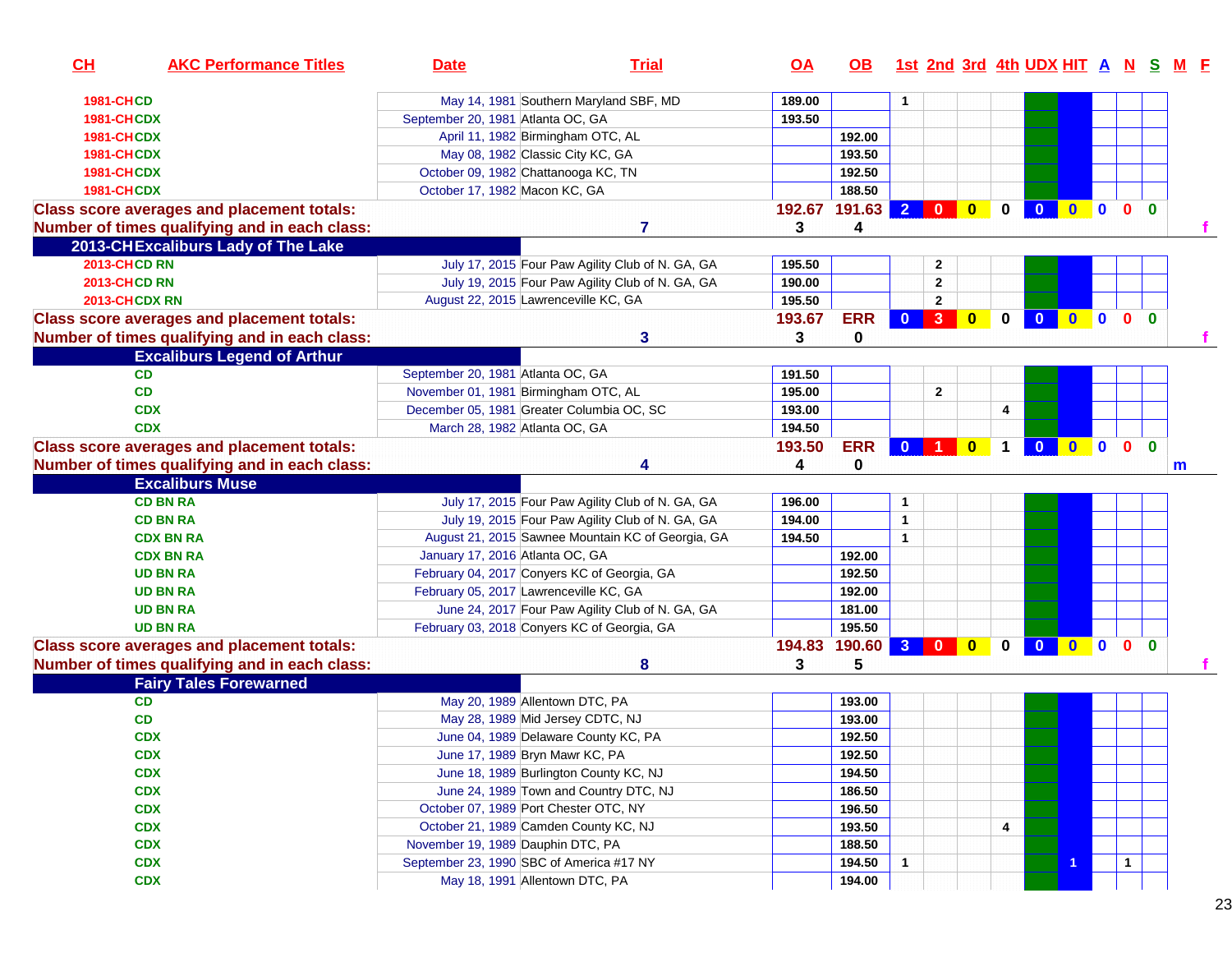| CH                  | <b>AKC Performance Titles</b>                     | <b>Date</b>                                 | <b>Trial</b>                                      | OA     | OB.         |                |                                                                    |              |             | 1st 2nd 3rd 4th UDX HIT A N S |              |              |                |              |   |
|---------------------|---------------------------------------------------|---------------------------------------------|---------------------------------------------------|--------|-------------|----------------|--------------------------------------------------------------------|--------------|-------------|-------------------------------|--------------|--------------|----------------|--------------|---|
| <b>1981-CHCD</b>    |                                                   |                                             | May 14, 1981 Southern Maryland SBF, MD            | 189.00 |             | 1              |                                                                    |              |             |                               |              |              |                |              |   |
| <b>1981-CHCDX</b>   |                                                   | September 20, 1981 Atlanta OC, GA           |                                                   | 193.50 |             |                |                                                                    |              |             |                               |              |              |                |              |   |
| <b>1981-CHCDX</b>   |                                                   | April 11, 1982 Birmingham OTC, AL           |                                                   |        | 192.00      |                |                                                                    |              |             |                               |              |              |                |              |   |
| <b>1981-CHCDX</b>   |                                                   | May 08, 1982 Classic City KC, GA            |                                                   |        | 193.50      |                |                                                                    |              |             |                               |              |              |                |              |   |
| <b>1981-CHCDX</b>   |                                                   | October 09, 1982 Chattanooga KC, TN         |                                                   |        | 192.50      |                |                                                                    |              |             |                               |              |              |                |              |   |
| 1981-CHCDX          |                                                   | October 17, 1982 Macon KC, GA               |                                                   |        | 188.50      |                |                                                                    |              |             |                               |              |              |                |              |   |
|                     | <b>Class score averages and placement totals:</b> |                                             |                                                   | 192.67 | 191.63      | $\overline{2}$ | $\begin{array}{ c c c c c }\n\hline\n0 & 0 \\ \hline\n\end{array}$ |              | $\mathbf 0$ | $\mathbf{0}$                  | $\mathbf{0}$ | $\mathbf{0}$ | $\mathbf{0}$   | $\Omega$     |   |
|                     | Number of times qualifying and in each class:     |                                             | 7                                                 | 3      | 4           |                |                                                                    |              |             |                               |              |              |                |              |   |
|                     | 2013-CHExcaliburs Lady of The Lake                |                                             |                                                   |        |             |                |                                                                    |              |             |                               |              |              |                |              |   |
| <b>2013-CHCD RN</b> |                                                   |                                             | July 17, 2015 Four Paw Agility Club of N. GA, GA  | 195.50 |             |                | $\mathbf{2}$                                                       |              |             |                               |              |              |                |              |   |
| <b>2013-CHCD RN</b> |                                                   |                                             | July 19, 2015 Four Paw Agility Club of N. GA, GA  | 190.00 |             |                | $\mathbf{2}$                                                       |              |             |                               |              |              |                |              |   |
| 2013-CHCDX RN       |                                                   | August 22, 2015 Lawrenceville KC, GA        |                                                   | 195.50 |             |                | $\mathbf{2}$                                                       |              |             |                               |              |              |                |              |   |
|                     | <b>Class score averages and placement totals:</b> |                                             |                                                   | 193.67 | <b>ERR</b>  | $\bf{0}$       | $\mathbf{3}$                                                       | $\mathbf{0}$ | $\bf{0}$    |                               | $\mathbf{0}$ | $\mathbf{0}$ | 0 <sub>0</sub> |              |   |
|                     | Number of times qualifying and in each class:     |                                             | 3                                                 | 3      | $\mathbf 0$ |                |                                                                    |              |             |                               |              |              |                |              |   |
|                     | <b>Excaliburs Legend of Arthur</b>                |                                             |                                                   |        |             |                |                                                                    |              |             |                               |              |              |                |              |   |
|                     | <b>CD</b>                                         | September 20, 1981 Atlanta OC, GA           |                                                   | 191.50 |             |                |                                                                    |              |             |                               |              |              |                |              |   |
|                     | CD                                                | November 01, 1981 Birmingham OTC, AL        |                                                   | 195.00 |             |                | $\mathbf{2}$                                                       |              |             |                               |              |              |                |              |   |
|                     | <b>CDX</b>                                        | December 05, 1981 Greater Columbia OC, SC   |                                                   | 193.00 |             |                |                                                                    |              | 4           |                               |              |              |                |              |   |
|                     | <b>CDX</b>                                        | March 28, 1982 Atlanta OC, GA               |                                                   | 194.50 |             |                |                                                                    |              |             |                               |              |              |                |              |   |
|                     | <b>Class score averages and placement totals:</b> |                                             |                                                   | 193.50 | <b>ERR</b>  | $\mathbf{0}$   |                                                                    | $\bf{0}$     |             |                               | $\bf{0}$     | $\mathbf{0}$ | $\mathbf{0}$   | $\mathbf{0}$ |   |
|                     | Number of times qualifying and in each class:     |                                             |                                                   | 4      | $\mathbf 0$ |                |                                                                    |              |             |                               |              |              |                |              | m |
|                     | <b>Excaliburs Muse</b>                            |                                             |                                                   |        |             |                |                                                                    |              |             |                               |              |              |                |              |   |
|                     | <b>CD BN RA</b>                                   |                                             | July 17, 2015 Four Paw Agility Club of N. GA, GA  | 196.00 |             | $\mathbf{1}$   |                                                                    |              |             |                               |              |              |                |              |   |
|                     | <b>CD BN RA</b>                                   |                                             | July 19, 2015 Four Paw Agility Club of N. GA, GA  | 194.00 |             | $\mathbf{1}$   |                                                                    |              |             |                               |              |              |                |              |   |
|                     | <b>CDX BN RA</b>                                  |                                             | August 21, 2015 Sawnee Mountain KC of Georgia, GA | 194.50 |             | $\mathbf{1}$   |                                                                    |              |             |                               |              |              |                |              |   |
|                     | <b>CDX BN RA</b>                                  | January 17, 2016 Atlanta OC, GA             |                                                   |        | 192.00      |                |                                                                    |              |             |                               |              |              |                |              |   |
|                     | <b>UD BN RA</b>                                   | February 04, 2017 Conyers KC of Georgia, GA |                                                   |        | 192.50      |                |                                                                    |              |             |                               |              |              |                |              |   |
|                     | <b>UD BN RA</b>                                   | February 05, 2017 Lawrenceville KC, GA      |                                                   |        | 192.00      |                |                                                                    |              |             |                               |              |              |                |              |   |
|                     | <b>UD BN RA</b>                                   |                                             | June 24, 2017 Four Paw Agility Club of N. GA, GA  |        | 181.00      |                |                                                                    |              |             |                               |              |              |                |              |   |
|                     | <b>UD BN RA</b>                                   | February 03, 2018 Conyers KC of Georgia, GA |                                                   |        | 195.50      |                |                                                                    |              |             |                               |              |              |                |              |   |
|                     | <b>Class score averages and placement totals:</b> |                                             |                                                   | 194.83 | 190.60      | $\mathbf{3}$   | $\mathbf{0}$                                                       | $\mathbf{0}$ | $\bf{0}$    |                               | n.           | $\mathbf{0}$ | 0 <sub>0</sub> |              |   |
|                     | Number of times qualifying and in each class:     |                                             | 8                                                 | 3      | 5           |                |                                                                    |              |             |                               |              |              |                |              |   |
|                     | <b>Fairy Tales Forewarned</b>                     |                                             |                                                   |        |             |                |                                                                    |              |             |                               |              |              |                |              |   |
|                     | <b>CD</b>                                         | May 20, 1989 Allentown DTC, PA              |                                                   |        | 193.00      |                |                                                                    |              |             |                               |              |              |                |              |   |
|                     | <b>CD</b>                                         | May 28, 1989 Mid Jersey CDTC, NJ            |                                                   |        | 193.00      |                |                                                                    |              |             |                               |              |              |                |              |   |
|                     | <b>CDX</b>                                        | June 04, 1989 Delaware County KC, PA        |                                                   |        | 192.50      |                |                                                                    |              |             |                               |              |              |                |              |   |
|                     | <b>CDX</b>                                        | June 17, 1989 Bryn Mawr KC, PA              |                                                   |        | 192.50      |                |                                                                    |              |             |                               |              |              |                |              |   |
|                     | <b>CDX</b>                                        | June 18, 1989 Burlington County KC, NJ      |                                                   |        | 194.50      |                |                                                                    |              |             |                               |              |              |                |              |   |
|                     | <b>CDX</b>                                        |                                             | June 24, 1989 Town and Country DTC, NJ            |        | 186.50      |                |                                                                    |              |             |                               |              |              |                |              |   |
|                     | <b>CDX</b>                                        | October 07, 1989 Port Chester OTC, NY       |                                                   |        | 196.50      |                |                                                                    |              |             |                               |              |              |                |              |   |
|                     | <b>CDX</b>                                        | October 21, 1989 Camden County KC, NJ       |                                                   |        | 193.50      |                |                                                                    |              | 4           |                               |              |              |                |              |   |
|                     | <b>CDX</b>                                        | November 19, 1989 Dauphin DTC, PA           |                                                   |        | 188.50      |                |                                                                    |              |             |                               |              |              |                |              |   |
|                     | <b>CDX</b>                                        | September 23, 1990 SBC of America #17 NY    |                                                   |        | 194.50      | $\mathbf{1}$   |                                                                    |              |             |                               |              |              | $\mathbf{1}$   |              |   |
|                     | <b>CDX</b>                                        | May 18, 1991 Allentown DTC, PA              |                                                   |        | 194.00      |                |                                                                    |              |             |                               |              |              |                |              |   |
|                     |                                                   |                                             |                                                   |        |             |                |                                                                    |              |             |                               |              |              |                |              |   |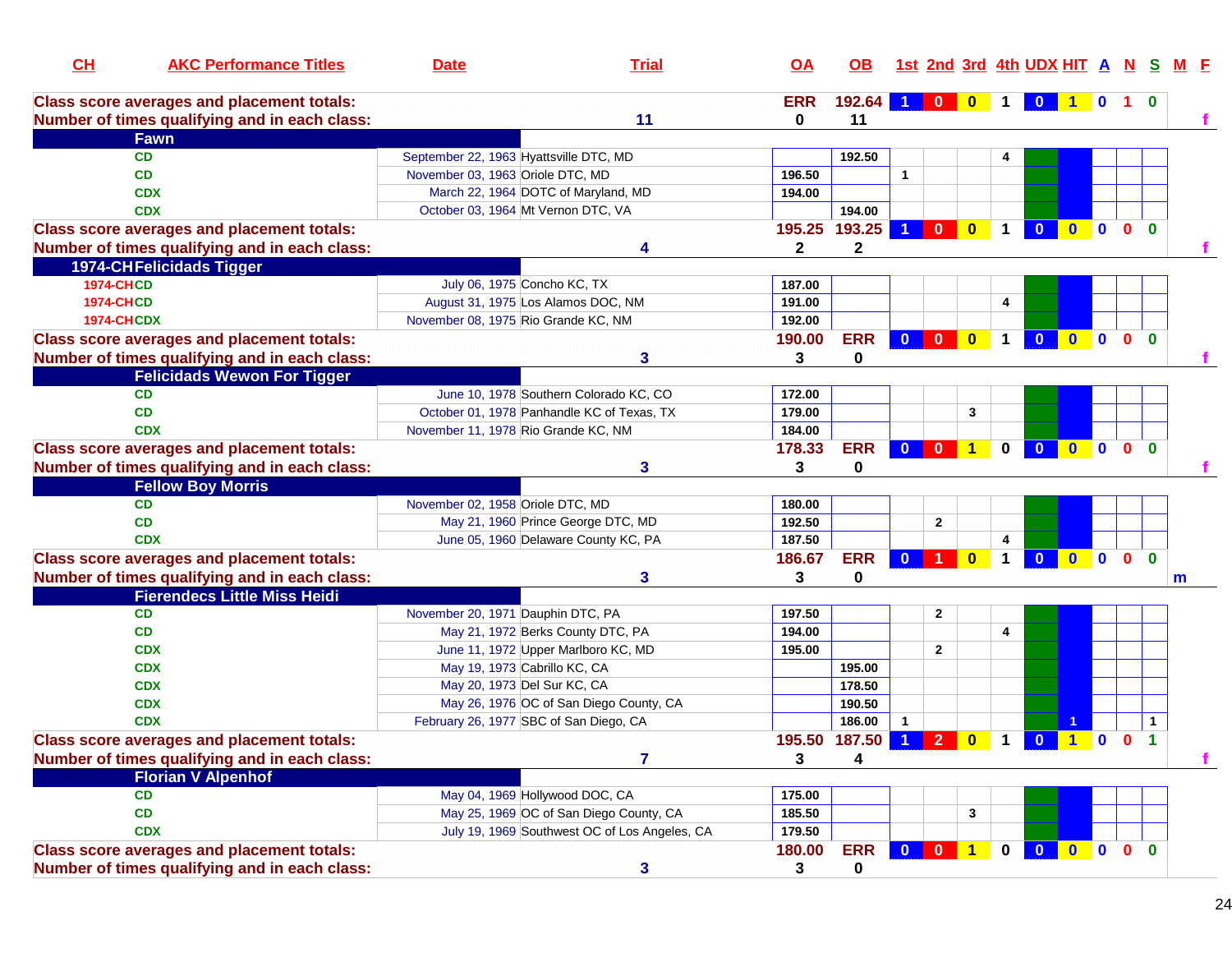| CH                | <b>AKC Performance Titles</b>                                                                      | <b>Date</b>                            | <b>Trial</b>                                  | <b>OA</b>       | OB.                   |                                                 |                      |                |                      | 1st 2nd 3rd 4th UDX HIT A N |              |                |                                              |              | M F |
|-------------------|----------------------------------------------------------------------------------------------------|----------------------------------------|-----------------------------------------------|-----------------|-----------------------|-------------------------------------------------|----------------------|----------------|----------------------|-----------------------------|--------------|----------------|----------------------------------------------|--------------|-----|
|                   | <b>Class score averages and placement totals:</b><br>Number of times qualifying and in each class: |                                        | 11                                            | <b>ERR</b><br>0 | 192.64<br>11          |                                                 | $\mathbf{0}$         | $\bf{0}$       |                      | $\bf{0}$                    |              | $\mathbf 0$    | $1\quad 0$                                   |              |     |
|                   | <b>Fawn</b>                                                                                        |                                        |                                               |                 |                       |                                                 |                      |                |                      |                             |              |                |                                              |              |     |
|                   | <b>CD</b>                                                                                          | September 22, 1963 Hyattsville DTC, MD |                                               |                 | 192.50                |                                                 |                      |                | 4                    |                             |              |                |                                              |              |     |
|                   | CD                                                                                                 | November 03, 1963 Oriole DTC, MD       |                                               | 196.50          |                       | $\mathbf{1}$                                    |                      |                |                      |                             |              |                |                                              |              |     |
|                   | <b>CDX</b>                                                                                         | March 22, 1964 DOTC of Maryland, MD    |                                               | 194.00          |                       |                                                 |                      |                |                      |                             |              |                |                                              |              |     |
|                   | <b>CDX</b>                                                                                         | October 03, 1964 Mt Vernon DTC, VA     |                                               |                 | 194.00                |                                                 |                      |                |                      |                             |              |                |                                              |              |     |
|                   | <b>Class score averages and placement totals:</b>                                                  |                                        |                                               | 195.25          | 193.25                | -1.                                             | $\mathbf{0}$         | $\mathbf{0}$   | $\blacktriangleleft$ | $\mathbf{0}$                | $\mathbf{0}$ |                | $\overline{0}$ $\overline{0}$ $\overline{0}$ |              |     |
|                   | Number of times qualifying and in each class:                                                      |                                        |                                               | $\mathbf{2}$    | $\mathbf 2$           |                                                 |                      |                |                      |                             |              |                |                                              |              |     |
|                   | <b>1974-CHFelicidads Tigger</b>                                                                    |                                        |                                               |                 |                       |                                                 |                      |                |                      |                             |              |                |                                              |              |     |
| <b>1974-CHCD</b>  |                                                                                                    | July 06, 1975 Concho KC, TX            |                                               | 187.00          |                       |                                                 |                      |                |                      |                             |              |                |                                              |              |     |
| <b>1974-CHCD</b>  |                                                                                                    | August 31, 1975 Los Alamos DOC, NM     |                                               | 191.00          |                       |                                                 |                      |                | 4                    |                             |              |                |                                              |              |     |
| <b>1974-CHCDX</b> |                                                                                                    | November 08, 1975 Rio Grande KC, NM    |                                               | 192.00          |                       |                                                 |                      |                |                      |                             |              |                |                                              |              |     |
|                   | <b>Class score averages and placement totals:</b>                                                  |                                        |                                               | 190.00          | <b>ERR</b>            | $\mathbf{0}$                                    | $\mathbf{0}$         | $\bf{0}$       | $\mathbf 1$          | $\mathbf{0}$                | $\mathbf{0}$ | $\mathbf{0}$   | $\mathbf{0}$                                 | $\bf{0}$     |     |
|                   | Number of times qualifying and in each class:                                                      |                                        | 3                                             | 3               | 0                     |                                                 |                      |                |                      |                             |              |                |                                              |              |     |
|                   | <b>Felicidads Wewon For Tigger</b>                                                                 |                                        |                                               |                 |                       |                                                 |                      |                |                      |                             |              |                |                                              |              |     |
|                   | <b>CD</b>                                                                                          |                                        | June 10, 1978 Southern Colorado KC, CO        | 172.00          |                       |                                                 |                      |                |                      |                             |              |                |                                              |              |     |
|                   | <b>CD</b>                                                                                          |                                        | October 01, 1978 Panhandle KC of Texas, TX    | 179.00          |                       |                                                 |                      | 3              |                      |                             |              |                |                                              |              |     |
|                   | <b>CDX</b>                                                                                         | November 11, 1978 Rio Grande KC, NM    |                                               | 184.00          |                       |                                                 |                      |                |                      |                             |              |                |                                              |              |     |
|                   | <b>Class score averages and placement totals:</b>                                                  |                                        |                                               | 178.33          | <b>ERR</b>            |                                                 | $0$ 0                | $\overline{1}$ | $\mathbf 0$          | $\overline{0}$              | $\mathbf{0}$ | $\mathbf 0$    | 0 <sub>0</sub>                               |              |     |
|                   | Number of times qualifying and in each class:                                                      |                                        | 3                                             | 3               | 0                     |                                                 |                      |                |                      |                             |              |                |                                              |              |     |
|                   | <b>Fellow Boy Morris</b>                                                                           |                                        |                                               |                 |                       |                                                 |                      |                |                      |                             |              |                |                                              |              |     |
|                   | <b>CD</b>                                                                                          | November 02, 1958 Oriole DTC, MD       |                                               | 180.00          |                       |                                                 |                      |                |                      |                             |              |                |                                              |              |     |
|                   | <b>CD</b>                                                                                          |                                        | May 21, 1960 Prince George DTC, MD            | 192.50          |                       |                                                 | $\mathbf{2}$         |                |                      |                             |              |                |                                              |              |     |
|                   | <b>CDX</b>                                                                                         |                                        | June 05, 1960 Delaware County KC, PA          | 187.50          |                       |                                                 |                      |                | 4                    |                             |              |                |                                              |              |     |
|                   | <b>Class score averages and placement totals:</b>                                                  |                                        |                                               | 186.67          | <b>ERR</b>            | $\mathbf{0}$                                    | $\blacktriangleleft$ | $\bf{0}$       | 1                    | $\overline{0}$              | $\bullet$    | $\blacksquare$ | $\mathbf{0}$                                 | $\mathbf{0}$ |     |
|                   | Number of times qualifying and in each class:                                                      |                                        | 3                                             | 3               | 0                     |                                                 |                      |                |                      |                             |              |                |                                              |              | m   |
|                   | <b>Fierendecs Little Miss Heidi</b>                                                                |                                        |                                               |                 |                       |                                                 |                      |                |                      |                             |              |                |                                              |              |     |
|                   | <b>CD</b>                                                                                          | November 20, 1971 Dauphin DTC, PA      |                                               | 197.50          |                       |                                                 | $\mathbf{2}$         |                |                      |                             |              |                |                                              |              |     |
|                   | <b>CD</b>                                                                                          | May 21, 1972 Berks County DTC, PA      |                                               | 194.00          |                       |                                                 |                      |                | 4                    |                             |              |                |                                              |              |     |
|                   | <b>CDX</b>                                                                                         |                                        | June 11, 1972 Upper Marlboro KC, MD           | 195.00          |                       |                                                 | $\overline{2}$       |                |                      |                             |              |                |                                              |              |     |
|                   | <b>CDX</b>                                                                                         | May 19, 1973 Cabrillo KC, CA           |                                               |                 | 195.00                |                                                 |                      |                |                      |                             |              |                |                                              |              |     |
|                   | <b>CDX</b>                                                                                         | May 20, 1973 Del Sur KC, CA            |                                               |                 | 178.50                |                                                 |                      |                |                      |                             |              |                |                                              |              |     |
|                   | <b>CDX</b>                                                                                         |                                        | May 26, 1976 OC of San Diego County, CA       |                 | 190.50                |                                                 |                      |                |                      |                             |              |                |                                              |              |     |
|                   | <b>CDX</b>                                                                                         | February 26, 1977 SBC of San Diego, CA |                                               |                 | 186.00                | $\mathbf{1}$                                    |                      |                |                      |                             |              |                |                                              | $\mathbf{1}$ |     |
|                   | <b>Class score averages and placement totals:</b>                                                  |                                        |                                               |                 | 195.50 187.50 1 2 0 1 |                                                 |                      |                |                      | $\overline{\mathbf{0}}$     | 100          |                |                                              | 1            |     |
|                   | Number of times qualifying and in each class:                                                      |                                        | 7                                             | 3               | 4                     |                                                 |                      |                |                      |                             |              |                |                                              |              |     |
|                   | <b>Florian V Alpenhof</b>                                                                          |                                        |                                               |                 |                       |                                                 |                      |                |                      |                             |              |                |                                              |              |     |
|                   | <b>CD</b>                                                                                          | May 04, 1969 Hollywood DOC, CA         |                                               | 175.00          |                       |                                                 |                      |                |                      |                             |              |                |                                              |              |     |
|                   | CD                                                                                                 |                                        | May 25, 1969 OC of San Diego County, CA       | 185.50          |                       |                                                 |                      | 3              |                      |                             |              |                |                                              |              |     |
|                   | <b>CDX</b>                                                                                         |                                        | July 19, 1969 Southwest OC of Los Angeles, CA | 179.50          |                       |                                                 |                      |                |                      |                             |              |                |                                              |              |     |
|                   | <b>Class score averages and placement totals:</b>                                                  |                                        |                                               | 180.00          | <b>ERR</b>            | $\overline{\textbf{0}}$ $\overline{\textbf{0}}$ |                      | 1 <sub>1</sub> | $\mathbf 0$          | 0 0 0 0 0                   |              |                |                                              |              |     |
|                   | Number of times qualifying and in each class:                                                      |                                        | 3                                             | 3               | 0                     |                                                 |                      |                |                      |                             |              |                |                                              |              |     |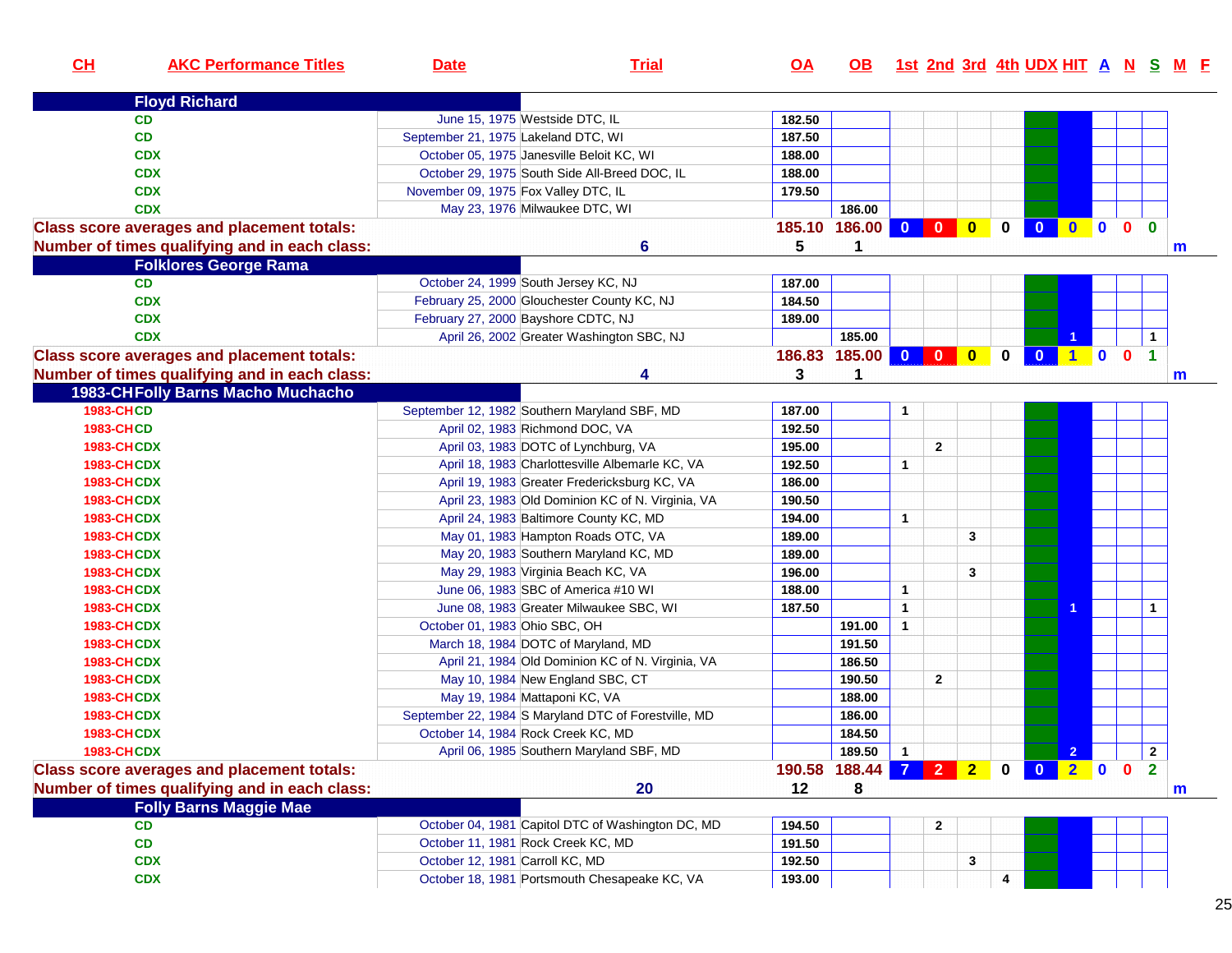| CH                | <b>AKC Performance Titles</b>                     | <b>Date</b>                          | <b>Trial</b>                                         | $\overline{OA}$ | <b>OB</b>           |                |                |                |             |                         |                |  |                      | 1st 2nd 3rd 4th UDX HIT A N S M F |
|-------------------|---------------------------------------------------|--------------------------------------|------------------------------------------------------|-----------------|---------------------|----------------|----------------|----------------|-------------|-------------------------|----------------|--|----------------------|-----------------------------------|
|                   | <b>Floyd Richard</b>                              |                                      |                                                      |                 |                     |                |                |                |             |                         |                |  |                      |                                   |
|                   | <b>CD</b>                                         |                                      | June 15, 1975 Westside DTC, IL                       | 182.50          |                     |                |                |                |             |                         |                |  |                      |                                   |
|                   | <b>CD</b>                                         | September 21, 1975 Lakeland DTC, WI  |                                                      | 187.50          |                     |                |                |                |             |                         |                |  |                      |                                   |
|                   | <b>CDX</b>                                        |                                      | October 05, 1975 Janesville Beloit KC, WI            | 188.00          |                     |                |                |                |             |                         |                |  |                      |                                   |
|                   | <b>CDX</b>                                        |                                      | October 29, 1975 South Side All-Breed DOC, IL        | 188.00          |                     |                |                |                |             |                         |                |  |                      |                                   |
|                   | <b>CDX</b>                                        | November 09, 1975 Fox Valley DTC, IL |                                                      | 179.50          |                     |                |                |                |             |                         |                |  |                      |                                   |
|                   | <b>CDX</b>                                        |                                      | May 23, 1976 Milwaukee DTC, WI                       |                 | 186.00              |                |                |                |             |                         |                |  |                      |                                   |
|                   | <b>Class score averages and placement totals:</b> |                                      |                                                      |                 | 185.10 186.00       |                |                |                | $\mathbf 0$ | $\bullet$               | 000            |  | $\bf{0}$             |                                   |
|                   | Number of times qualifying and in each class:     |                                      | 6                                                    | 5               | 1                   |                |                |                |             |                         |                |  |                      | m                                 |
|                   | <b>Folklores George Rama</b>                      |                                      |                                                      |                 |                     |                |                |                |             |                         |                |  |                      |                                   |
|                   | <b>CD</b>                                         |                                      | October 24, 1999 South Jersey KC, NJ                 | 187.00          |                     |                |                |                |             |                         |                |  |                      |                                   |
|                   | <b>CDX</b>                                        |                                      | February 25, 2000 Glouchester County KC, NJ          | 184.50          |                     |                |                |                |             |                         |                |  |                      |                                   |
|                   | <b>CDX</b>                                        |                                      | February 27, 2000 Bayshore CDTC, NJ                  | 189.00          |                     |                |                |                |             |                         |                |  |                      |                                   |
|                   | <b>CDX</b>                                        |                                      | April 26, 2002 Greater Washington SBC, NJ            |                 | 185.00              |                |                |                |             |                         |                |  | $\mathbf{1}$         |                                   |
|                   | <b>Class score averages and placement totals:</b> |                                      |                                                      |                 | 186.83 185.00 0 0 0 |                |                |                | $\mathbf 0$ | $\bullet$               | <b>100</b>     |  | $\blacktriangleleft$ |                                   |
|                   | Number of times qualifying and in each class:     |                                      | Δ                                                    | 3               | 1                   |                |                |                |             |                         |                |  |                      | m                                 |
|                   | 1983-CHFolly Barns Macho Muchacho                 |                                      |                                                      |                 |                     |                |                |                |             |                         |                |  |                      |                                   |
| <b>1983-CHCD</b>  |                                                   |                                      | September 12, 1982 Southern Maryland SBF, MD         | 187.00          |                     | $\mathbf{1}$   |                |                |             |                         |                |  |                      |                                   |
| <b>1983-CHCD</b>  |                                                   |                                      | April 02, 1983 Richmond DOC, VA                      | 192.50          |                     |                |                |                |             |                         |                |  |                      |                                   |
| <b>1983-CHCDX</b> |                                                   |                                      | April 03, 1983 DOTC of Lynchburg, VA                 | 195.00          |                     |                | $\mathbf{2}$   |                |             |                         |                |  |                      |                                   |
| <b>1983-CHCDX</b> |                                                   |                                      | April 18, 1983 Charlottesville Albemarle KC, VA      | 192.50          |                     | $\mathbf{1}$   |                |                |             |                         |                |  |                      |                                   |
| <b>1983-CHCDX</b> |                                                   |                                      | April 19, 1983 Greater Fredericksburg KC, VA         | 186.00          |                     |                |                |                |             |                         |                |  |                      |                                   |
| <b>1983-CHCDX</b> |                                                   |                                      | April 23, 1983 Old Dominion KC of N. Virginia, VA    | 190.50          |                     |                |                |                |             |                         |                |  |                      |                                   |
| <b>1983-CHCDX</b> |                                                   |                                      | April 24, 1983 Baltimore County KC, MD               | 194.00          |                     | $\mathbf{1}$   |                |                |             |                         |                |  |                      |                                   |
| <b>1983-CHCDX</b> |                                                   |                                      | May 01, 1983 Hampton Roads OTC, VA                   | 189.00          |                     |                |                | 3              |             |                         |                |  |                      |                                   |
| <b>1983-CHCDX</b> |                                                   |                                      | May 20, 1983 Southern Maryland KC, MD                | 189.00          |                     |                |                |                |             |                         |                |  |                      |                                   |
| <b>1983-CHCDX</b> |                                                   |                                      | May 29, 1983 Virginia Beach KC, VA                   | 196.00          |                     |                |                | 3              |             |                         |                |  |                      |                                   |
| <b>1983-CHCDX</b> |                                                   |                                      | June 06, 1983 SBC of America #10 WI                  | 188.00          |                     | $\mathbf{1}$   |                |                |             |                         |                |  |                      |                                   |
| <b>1983-CHCDX</b> |                                                   |                                      | June 08, 1983 Greater Milwaukee SBC, WI              | 187.50          |                     | $\mathbf{1}$   |                |                |             |                         |                |  | $\mathbf{1}$         |                                   |
| <b>1983-CHCDX</b> |                                                   | October 01, 1983 Ohio SBC, OH        |                                                      |                 | 191.00              | $\mathbf{1}$   |                |                |             |                         |                |  |                      |                                   |
| <b>1983-CHCDX</b> |                                                   |                                      | March 18, 1984 DOTC of Maryland, MD                  |                 | 191.50              |                |                |                |             |                         |                |  |                      |                                   |
| <b>1983-CHCDX</b> |                                                   |                                      | April 21, 1984 Old Dominion KC of N. Virginia, VA    |                 | 186.50              |                |                |                |             |                         |                |  |                      |                                   |
| <b>1983-CHCDX</b> |                                                   |                                      | May 10, 1984 New England SBC, CT                     |                 | 190.50              |                | $\mathbf{2}$   |                |             |                         |                |  |                      |                                   |
| <b>1983-CHCDX</b> |                                                   |                                      | May 19, 1984 Mattaponi KC, VA                        |                 | 188.00              |                |                |                |             |                         |                |  |                      |                                   |
| <b>1983-CHCDX</b> |                                                   |                                      | September 22, 1984 S Maryland DTC of Forestville, MD |                 | 186.00              |                |                |                |             |                         |                |  |                      |                                   |
| <b>1983-CHCDX</b> |                                                   |                                      | October 14, 1984 Rock Creek KC, MD                   |                 | 184.50              |                |                |                |             |                         |                |  |                      |                                   |
| <b>1983-CHCDX</b> |                                                   |                                      | April 06, 1985 Southern Maryland SBF, MD             |                 | 189.50              | $\mathbf{1}$   |                |                |             |                         | 2 <sub>1</sub> |  | $\mathbf{2}$         |                                   |
|                   | <b>Class score averages and placement totals:</b> |                                      |                                                      | 190.58          | 188.44              | $\overline{7}$ | $\overline{2}$ | 2 <sub>1</sub> | $\mathbf 0$ | $\overline{\mathbf{0}}$ | 200            |  | $\mathbf{2}$         |                                   |
|                   | Number of times qualifying and in each class:     |                                      | 20                                                   | 12              | 8                   |                |                |                |             |                         |                |  |                      | m                                 |
|                   | <b>Folly Barns Maggie Mae</b>                     |                                      |                                                      |                 |                     |                |                |                |             |                         |                |  |                      |                                   |
|                   | <b>CD</b>                                         |                                      | October 04, 1981 Capitol DTC of Washington DC, MD    | 194.50          |                     |                | $\mathbf{2}$   |                |             |                         |                |  |                      |                                   |
|                   | CD                                                |                                      | October 11, 1981 Rock Creek KC, MD                   | 191.50          |                     |                |                |                |             |                         |                |  |                      |                                   |
|                   | <b>CDX</b>                                        | October 12, 1981 Carroll KC, MD      |                                                      | 192.50          |                     |                |                | 3              |             |                         |                |  |                      |                                   |
|                   | <b>CDX</b>                                        |                                      | October 18, 1981 Portsmouth Chesapeake KC, VA        | 193.00          |                     |                |                |                | 4           |                         |                |  |                      |                                   |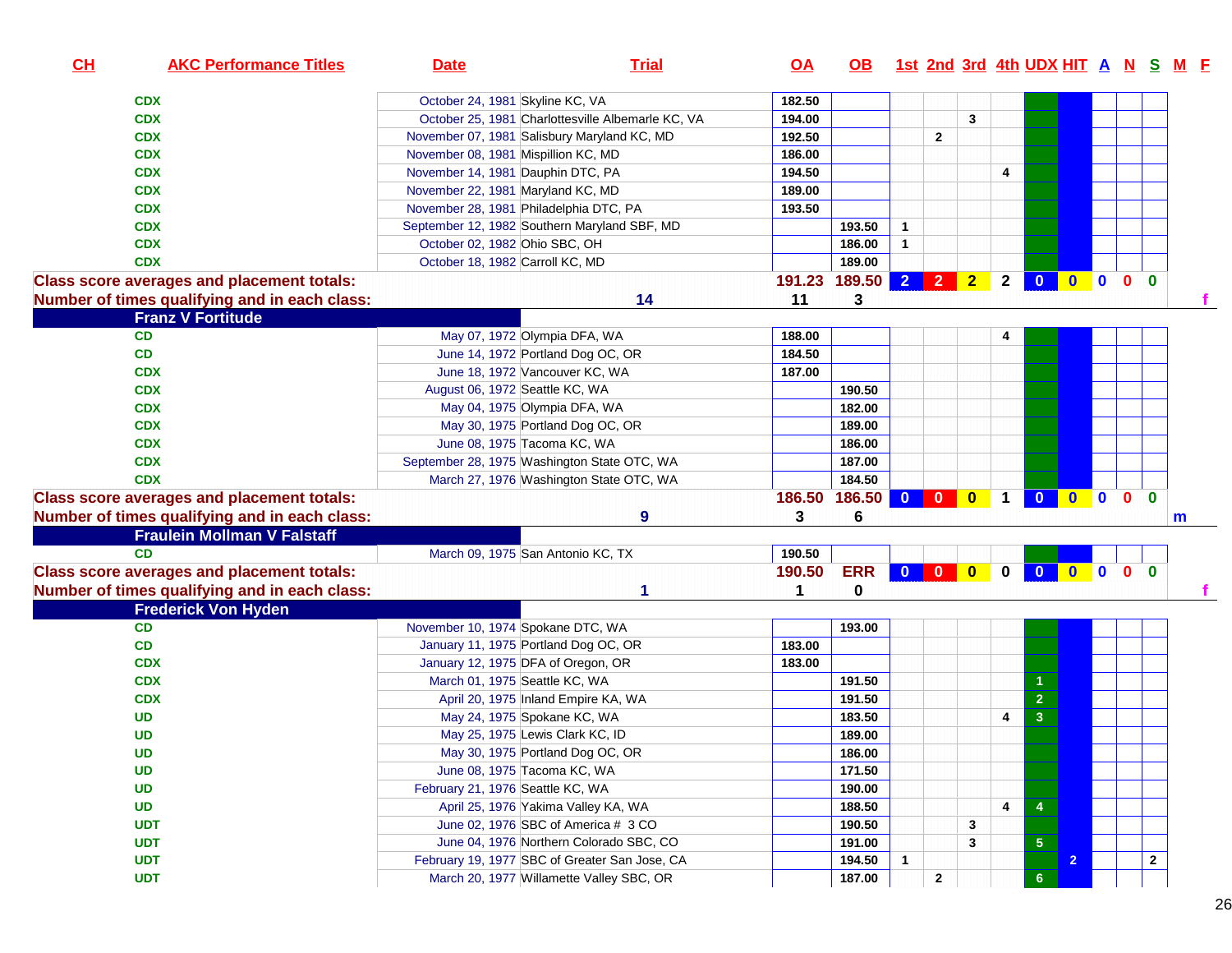| CH | <b>AKC Performance Titles</b>                                                                      | <b>Date</b>                      | <b>Trial</b>                                                        | <u>OA</u> | OB 1st 2nd 3rd 4th UDX HIT A N S M F |              |              |       |              |                 |                |  |              |  |
|----|----------------------------------------------------------------------------------------------------|----------------------------------|---------------------------------------------------------------------|-----------|--------------------------------------|--------------|--------------|-------|--------------|-----------------|----------------|--|--------------|--|
|    | <b>CDX</b>                                                                                         |                                  | October 24, 1981 Skyline KC, VA                                     | 182.50    |                                      |              |              |       |              |                 |                |  |              |  |
|    | <b>CDX</b>                                                                                         |                                  | October 25, 1981 Charlottesville Albemarle KC, VA                   | 194.00    |                                      |              |              | 3     |              |                 |                |  |              |  |
|    | <b>CDX</b>                                                                                         |                                  | November 07, 1981 Salisbury Maryland KC, MD                         | 192.50    |                                      |              | $\mathbf{2}$ |       |              |                 |                |  |              |  |
|    | <b>CDX</b>                                                                                         |                                  | November 08, 1981 Mispillion KC, MD                                 | 186.00    |                                      |              |              |       |              |                 |                |  |              |  |
|    | <b>CDX</b>                                                                                         |                                  | November 14, 1981 Dauphin DTC, PA                                   | 194.50    |                                      |              |              |       | 4            |                 |                |  |              |  |
|    | <b>CDX</b>                                                                                         |                                  | November 22, 1981 Maryland KC, MD                                   | 189.00    |                                      |              |              |       |              |                 |                |  |              |  |
|    | <b>CDX</b>                                                                                         |                                  | November 28, 1981 Philadelphia DTC, PA                              | 193.50    |                                      |              |              |       |              |                 |                |  |              |  |
|    | <b>CDX</b>                                                                                         |                                  | September 12, 1982 Southern Maryland SBF, MD                        |           | 193.50                               | $\mathbf{1}$ |              |       |              |                 |                |  |              |  |
|    | <b>CDX</b>                                                                                         | October 02, 1982 Ohio SBC, OH    |                                                                     |           | 186.00                               | $\mathbf{1}$ |              |       |              |                 |                |  |              |  |
|    | <b>CDX</b>                                                                                         |                                  | October 18, 1982 Carroll KC, MD                                     |           | 189.00                               |              |              |       |              |                 |                |  |              |  |
|    | <b>Class score averages and placement totals:</b><br>Number of times qualifying and in each class: |                                  | 14                                                                  | 11        | 191.23 189.50<br>3                   | $2 2 2$      |              |       |              | 2 0 0 0 0 0     |                |  |              |  |
|    | <b>Franz V Fortitude</b>                                                                           |                                  |                                                                     |           |                                      |              |              |       |              |                 |                |  |              |  |
|    | CD                                                                                                 |                                  | May 07, 1972 Olympia DFA, WA                                        | 188.00    |                                      |              |              |       |              |                 |                |  |              |  |
|    | CD                                                                                                 |                                  | June 14, 1972 Portland Dog OC, OR                                   | 184.50    |                                      |              |              |       |              |                 |                |  |              |  |
|    | <b>CDX</b>                                                                                         |                                  | June 18, 1972 Vancouver KC, WA                                      | 187.00    |                                      |              |              |       |              |                 |                |  |              |  |
|    | <b>CDX</b>                                                                                         |                                  | August 06, 1972 Seattle KC, WA                                      |           | 190.50                               |              |              |       |              |                 |                |  |              |  |
|    | <b>CDX</b>                                                                                         |                                  | May 04, 1975 Olympia DFA, WA                                        |           | 182.00                               |              |              |       |              |                 |                |  |              |  |
|    | <b>CDX</b>                                                                                         |                                  | May 30, 1975 Portland Dog OC, OR                                    |           | 189.00                               |              |              |       |              |                 |                |  |              |  |
|    | <b>CDX</b>                                                                                         |                                  | June 08, 1975 Tacoma KC, WA                                         |           | 186.00                               |              |              |       |              |                 |                |  |              |  |
|    | <b>CDX</b>                                                                                         |                                  | September 28, 1975 Washington State OTC, WA                         |           | 187.00                               |              |              |       |              |                 |                |  |              |  |
|    | <b>CDX</b>                                                                                         |                                  | March 27, 1976 Washington State OTC, WA                             |           | 184.50                               |              |              |       |              |                 |                |  |              |  |
|    | <b>Class score averages and placement totals:</b>                                                  |                                  |                                                                     | 186.50    | 186.50                               |              |              |       |              | 0 0 0 1 0 0 0 0 |                |  | $\mathbf{0}$ |  |
|    | Number of times qualifying and in each class:                                                      |                                  | 9                                                                   | 3         | 6                                    |              |              |       |              |                 |                |  |              |  |
|    | <b>Fraulein Mollman V Falstaff</b>                                                                 |                                  |                                                                     |           |                                      |              |              |       |              |                 |                |  | m            |  |
|    | CD                                                                                                 |                                  | March 09, 1975 San Antonio KC, TX                                   | 190.50    |                                      |              |              |       |              |                 |                |  |              |  |
|    | <b>Class score averages and placement totals:</b>                                                  |                                  |                                                                     | 190.50    | <b>ERR</b>                           |              |              | 0 0 0 | $\mathbf{0}$ |                 | 00000          |  |              |  |
|    |                                                                                                    |                                  |                                                                     | 1         | 0                                    |              |              |       |              |                 |                |  |              |  |
|    | Number of times qualifying and in each class:                                                      |                                  |                                                                     |           |                                      |              |              |       |              |                 |                |  |              |  |
|    | <b>Frederick Von Hyden</b><br>CD                                                                   |                                  | November 10, 1974 Spokane DTC, WA                                   |           | 193.00                               |              |              |       |              |                 |                |  |              |  |
|    | CD                                                                                                 |                                  | January 11, 1975 Portland Dog OC, OR                                | 183.00    |                                      |              |              |       |              |                 |                |  |              |  |
|    |                                                                                                    |                                  | January 12, 1975 DFA of Oregon, OR                                  | 183.00    |                                      |              |              |       |              |                 |                |  |              |  |
|    | <b>CDX</b><br><b>CDX</b>                                                                           |                                  | March 01, 1975 Seattle KC, WA                                       |           | 191.50                               |              |              |       |              | -1              |                |  |              |  |
|    | <b>CDX</b>                                                                                         |                                  | April 20, 1975 Inland Empire KA, WA                                 |           | 191.50                               |              |              |       |              | $\overline{2}$  |                |  |              |  |
|    |                                                                                                    |                                  | May 24, 1975 Spokane KC, WA                                         |           |                                      |              |              |       |              |                 |                |  |              |  |
|    | <b>UD</b>                                                                                          |                                  |                                                                     |           | 183.50                               |              |              |       | 4            | 3               |                |  |              |  |
|    | <b>UD</b>                                                                                          |                                  | May 25, 1975 Lewis Clark KC, ID<br>May 30, 1975 Portland Dog OC, OR |           | 189.00                               |              |              |       |              |                 |                |  |              |  |
|    | <b>UD</b>                                                                                          |                                  |                                                                     |           | 186.00                               |              |              |       |              |                 |                |  |              |  |
|    | <b>UD</b>                                                                                          |                                  | June 08, 1975 Tacoma KC, WA                                         |           | 171.50                               |              |              |       |              |                 |                |  |              |  |
|    | <b>UD</b>                                                                                          | February 21, 1976 Seattle KC, WA |                                                                     |           | 190.00                               |              |              |       |              |                 |                |  |              |  |
|    | <b>UD</b>                                                                                          |                                  | April 25, 1976 Yakima Valley KA, WA                                 |           | 188.50                               |              |              |       | 4            |                 |                |  |              |  |
|    | <b>UDT</b>                                                                                         |                                  | June 02, 1976 SBC of America # 3 CO                                 |           | 190.50                               |              |              | 3     |              |                 |                |  |              |  |
|    | <b>UDT</b>                                                                                         |                                  | June 04, 1976 Northern Colorado SBC, CO                             |           | 191.00                               |              |              | 3     |              | $\sqrt{5}$      |                |  |              |  |
|    | <b>UDT</b>                                                                                         |                                  | February 19, 1977 SBC of Greater San Jose, CA                       |           | 194.50                               | $\mathbf{1}$ |              |       |              |                 | $\overline{2}$ |  | $\mathbf{2}$ |  |
|    | <b>UDT</b>                                                                                         |                                  | March 20, 1977 Willamette Valley SBC, OR                            |           | 187.00                               |              | $\mathbf{2}$ |       |              | $6\phantom{.}6$ |                |  |              |  |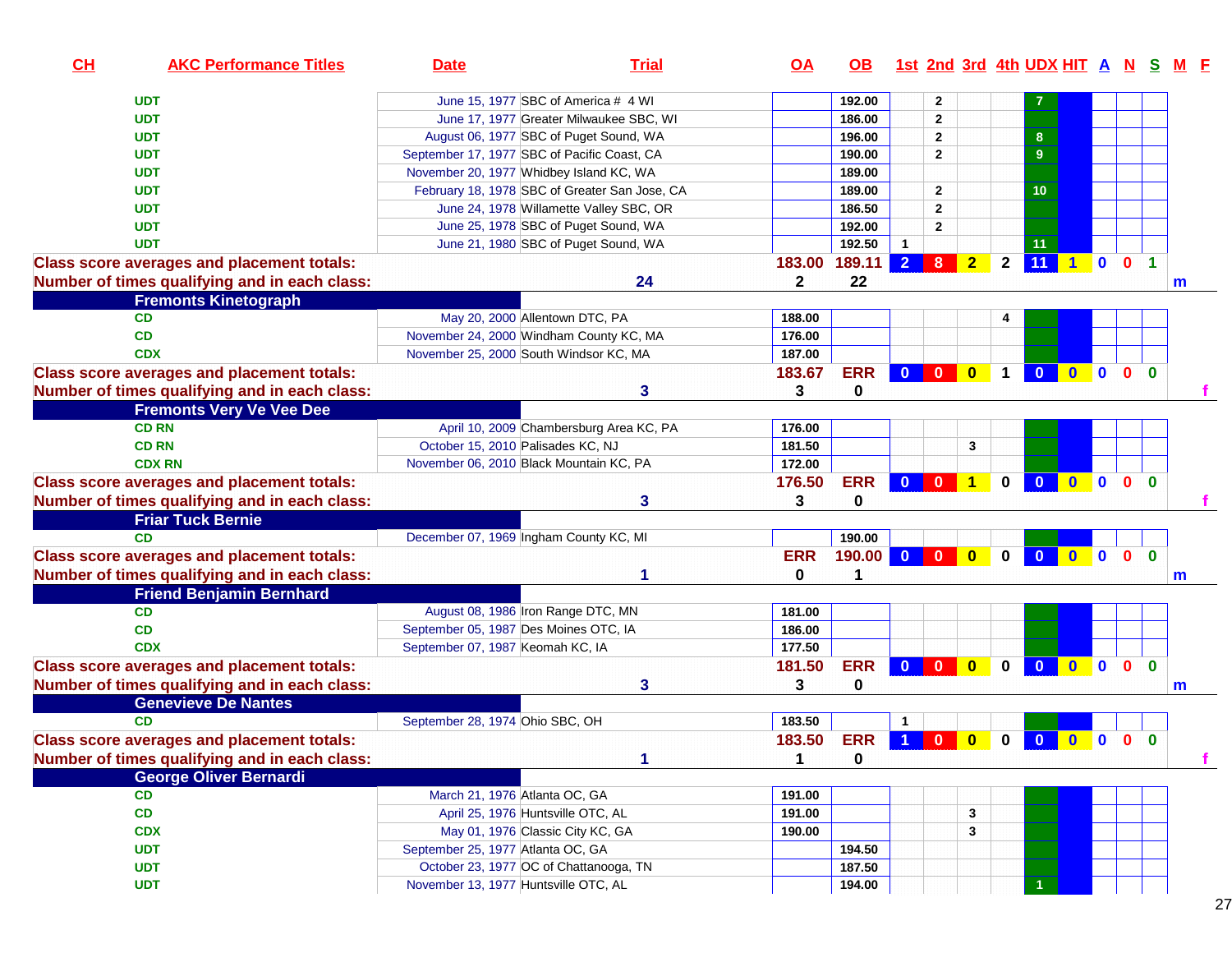| CH | <b>AKC Performance Titles</b>                     | <b>Date</b>                                   | <b>Trial</b>                            | $\overline{OA}$ | OB.         | <u>1st 2nd 3rd 4th UDX HIT A N S</u> |                |                         |              |                         |              |              |                |              |              |
|----|---------------------------------------------------|-----------------------------------------------|-----------------------------------------|-----------------|-------------|--------------------------------------|----------------|-------------------------|--------------|-------------------------|--------------|--------------|----------------|--------------|--------------|
|    | <b>UDT</b>                                        | June 15, 1977 SBC of America # 4 WI           |                                         |                 | 192.00      |                                      | $\mathbf{2}$   |                         |              |                         |              |              |                |              |              |
|    | <b>UDT</b>                                        |                                               | June 17, 1977 Greater Milwaukee SBC, WI |                 | 186.00      |                                      | $\overline{2}$ |                         |              |                         |              |              |                |              |              |
|    | <b>UDT</b>                                        | August 06, 1977 SBC of Puget Sound, WA        |                                         |                 | 196.00      |                                      | $\overline{2}$ |                         |              | 8                       |              |              |                |              |              |
|    | <b>UDT</b>                                        | September 17, 1977 SBC of Pacific Coast, CA   |                                         |                 | 190.00      |                                      | $\mathbf{2}$   |                         |              | 9                       |              |              |                |              |              |
|    | <b>UDT</b>                                        | November 20, 1977 Whidbey Island KC, WA       |                                         |                 | 189.00      |                                      |                |                         |              |                         |              |              |                |              |              |
|    | <b>UDT</b>                                        | February 18, 1978 SBC of Greater San Jose, CA |                                         |                 | 189.00      |                                      | $\overline{2}$ |                         |              | 10                      |              |              |                |              |              |
|    | <b>UDT</b>                                        |                                               | June 24, 1978 Willamette Valley SBC, OR |                 | 186.50      |                                      | $\overline{2}$ |                         |              |                         |              |              |                |              |              |
|    | <b>UDT</b>                                        | June 25, 1978 SBC of Puget Sound, WA          |                                         |                 | 192.00      |                                      | $\mathbf{2}$   |                         |              |                         |              |              |                |              |              |
|    | <b>UDT</b>                                        | June 21, 1980 SBC of Puget Sound, WA          |                                         |                 | 192.50      | $\mathbf{1}$                         |                |                         |              | 11                      |              |              |                |              |              |
|    | <b>Class score averages and placement totals:</b> |                                               |                                         | 183.00          | 189.11      | $\overline{2}$                       | 8              | $\overline{2}$          | $\mathbf{2}$ | 11                      | $1$ 0        |              | 0 <sub>1</sub> |              |              |
|    | Number of times qualifying and in each class:     |                                               | 24                                      | $\mathbf{2}$    | 22          |                                      |                |                         |              |                         |              |              |                |              | m            |
|    | <b>Fremonts Kinetograph</b>                       |                                               |                                         |                 |             |                                      |                |                         |              |                         |              |              |                |              |              |
|    | CD                                                | May 20, 2000 Allentown DTC, PA                |                                         | 188.00          |             |                                      |                |                         | 4            |                         |              |              |                |              |              |
|    | <b>CD</b>                                         | November 24, 2000 Windham County KC, MA       |                                         | 176.00          |             |                                      |                |                         |              |                         |              |              |                |              |              |
|    | <b>CDX</b>                                        | November 25, 2000 South Windsor KC, MA        |                                         | 187.00          |             |                                      |                |                         |              |                         |              |              |                |              |              |
|    | <b>Class score averages and placement totals:</b> |                                               |                                         | 183.67          | <b>ERR</b>  | $\bf{0}$                             | $\mathbf{0}$   | $\mathbf{0}$            | $\mathbf 1$  | $\bf{0}$                | $\bullet$    | $\bullet$    | $\mathbf{0}$   | $\mathbf{0}$ |              |
|    | Number of times qualifying and in each class:     |                                               | 3                                       | 3               | $\mathbf 0$ |                                      |                |                         |              |                         |              |              |                |              |              |
|    | <b>Fremonts Very Ve Vee Dee</b>                   |                                               |                                         |                 |             |                                      |                |                         |              |                         |              |              |                |              |              |
|    | <b>CD RN</b>                                      |                                               | April 10, 2009 Chambersburg Area KC, PA | 176.00          |             |                                      |                |                         |              |                         |              |              |                |              |              |
|    | <b>CD RN</b>                                      | October 15, 2010 Palisades KC, NJ             |                                         | 181.50          |             |                                      |                | 3                       |              |                         |              |              |                |              |              |
|    | <b>CDX RN</b>                                     | November 06, 2010 Black Mountain KC, PA       |                                         | 172.00          |             |                                      |                |                         |              |                         |              |              |                |              |              |
|    | <b>Class score averages and placement totals:</b> |                                               |                                         | 176.50          | <b>ERR</b>  | $\mathbf{0}$                         | $\bf{0}$       | $\mathbf{1}$            | $\mathbf{0}$ | $\mathbf{0}$            | $\mathbf{0}$ | $\mathbf{0}$ | $\mathbf{0}$   | $\mathbf{0}$ |              |
|    | Number of times qualifying and in each class:     |                                               | 3                                       | 3               | 0           |                                      |                |                         |              |                         |              |              |                |              |              |
|    | <b>Friar Tuck Bernie</b>                          |                                               |                                         |                 |             |                                      |                |                         |              |                         |              |              |                |              |              |
|    | <b>CD</b>                                         | December 07, 1969 Ingham County KC, MI        |                                         |                 | 190.00      |                                      |                |                         |              |                         |              |              |                |              |              |
|    | <b>Class score averages and placement totals:</b> |                                               |                                         | <b>ERR</b>      | 190.00      | $\mathbf{0}$                         | $\bf{0}$       | $\mathbf{0}$            | $\mathbf{0}$ | $\mathbf{0}$            | $0$ 0 0      |              |                | $\mathbf{0}$ |              |
|    | Number of times qualifying and in each class:     |                                               |                                         | 0               | 1           |                                      |                |                         |              |                         |              |              |                |              | m            |
|    | <b>Friend Benjamin Bernhard</b>                   |                                               |                                         |                 |             |                                      |                |                         |              |                         |              |              |                |              |              |
|    | CD                                                | August 08, 1986 Iron Range DTC, MN            |                                         | 181.00          |             |                                      |                |                         |              |                         |              |              |                |              |              |
|    | CD                                                | September 05, 1987 Des Moines OTC, IA         |                                         | 186.00          |             |                                      |                |                         |              |                         |              |              |                |              |              |
|    | <b>CDX</b>                                        | September 07, 1987 Keomah KC, IA              |                                         | 177.50          |             |                                      |                |                         |              |                         |              |              |                |              |              |
|    | <b>Class score averages and placement totals:</b> |                                               |                                         | 181.50          | <b>ERR</b>  | $\mathbf{0}$                         | $\mathbf{0}$   | $\overline{\mathbf{0}}$ | $\mathbf 0$  | $\mathbf{0}$            | $0$ 0 0      |              |                | $\mathbf{0}$ |              |
|    | Number of times qualifying and in each class:     |                                               | 3                                       | 3               | 0           |                                      |                |                         |              |                         |              |              |                |              | $\mathsf{m}$ |
|    | <b>Genevieve De Nantes</b>                        |                                               |                                         |                 |             |                                      |                |                         |              |                         |              |              |                |              |              |
|    | <b>CD</b>                                         | September 28, 1974 Ohio SBC, OH               |                                         | 183.50          |             | -1                                   |                |                         |              |                         |              |              |                |              |              |
|    | <b>Class score averages and placement totals:</b> |                                               |                                         | 183.50          | <b>ERR</b>  | 1                                    | $\mathbf{0}$   | $\mathbf{0}$            | $\mathbf{0}$ | $\overline{\mathbf{0}}$ | $0$ 0 0      |              |                | $\mathbf{0}$ |              |
|    | Number of times qualifying and in each class:     |                                               | 1                                       | 1               | 0           |                                      |                |                         |              |                         |              |              |                |              | f            |
|    | <b>George Oliver Bernardi</b>                     |                                               |                                         |                 |             |                                      |                |                         |              |                         |              |              |                |              |              |
|    | <b>CD</b>                                         | March 21, 1976 Atlanta OC, GA                 |                                         | 191.00          |             |                                      |                |                         |              |                         |              |              |                |              |              |
|    | CD                                                | April 25, 1976 Huntsville OTC, AL             |                                         | 191.00          |             |                                      |                | $\mathbf{3}$            |              |                         |              |              |                |              |              |
|    | <b>CDX</b>                                        | May 01, 1976 Classic City KC, GA              |                                         | 190.00          |             |                                      |                | 3                       |              |                         |              |              |                |              |              |
|    | <b>UDT</b>                                        | September 25, 1977 Atlanta OC, GA             |                                         |                 | 194.50      |                                      |                |                         |              |                         |              |              |                |              |              |
|    | <b>UDT</b>                                        | October 23, 1977 OC of Chattanooga, TN        |                                         |                 | 187.50      |                                      |                |                         |              |                         |              |              |                |              |              |
|    | <b>UDT</b>                                        | November 13, 1977 Huntsville OTC, AL          |                                         |                 | 194.00      |                                      |                |                         |              |                         |              |              |                |              |              |
|    |                                                   |                                               |                                         |                 |             |                                      |                |                         |              |                         |              |              |                |              |              |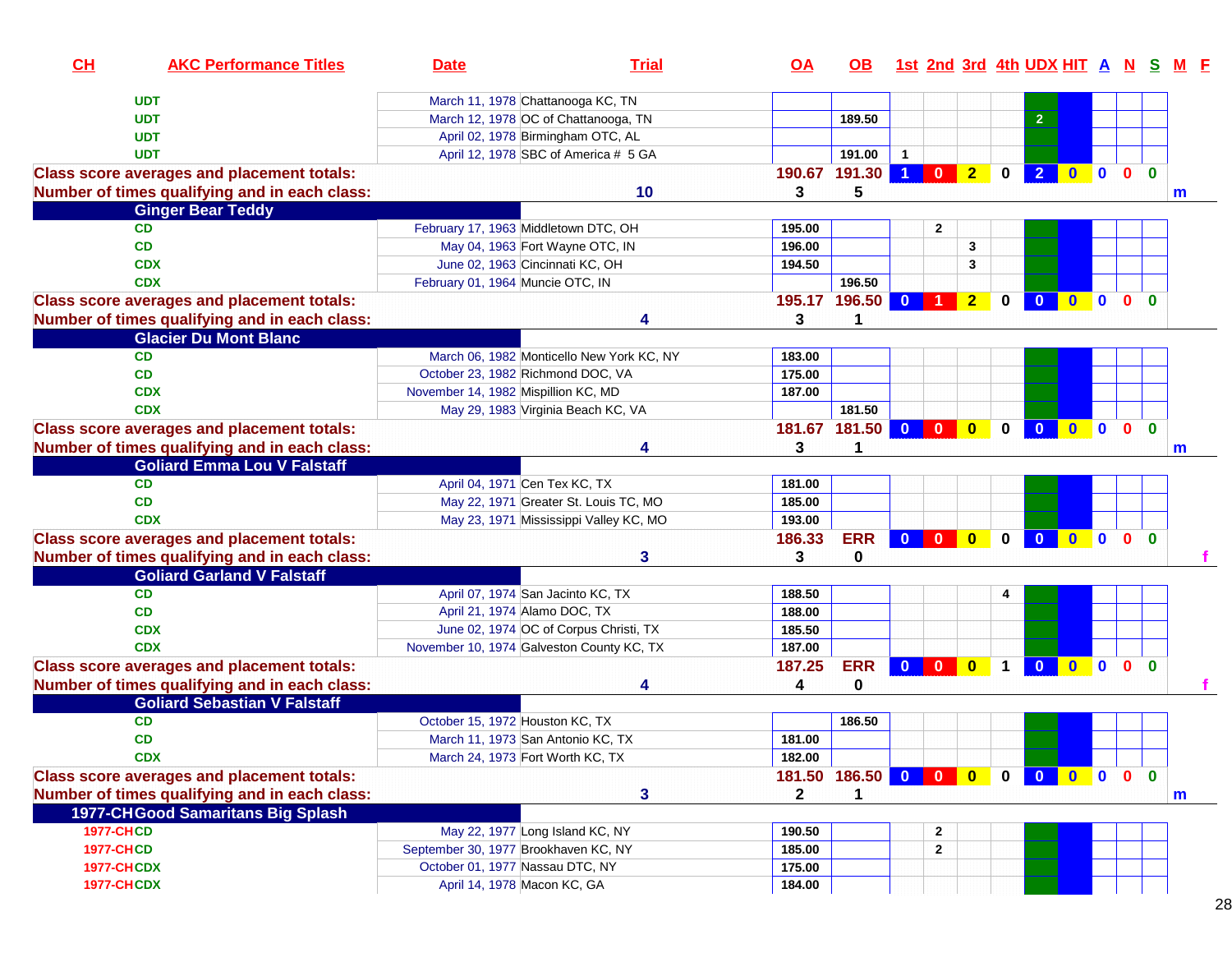| March 11, 1978 Chattanooga KC, TN<br><b>UDT</b><br>March 12, 1978 OC of Chattanooga, TN<br>189.50<br>2 <sup>1</sup><br><b>UDT</b><br><b>UDT</b><br>April 02, 1978 Birmingham OTC, AL<br>April 12, 1978 SBC of America # 5 GA<br><b>UDT</b><br>191.00<br>$\mathbf{1}$<br>$\overline{1}$<br>2 <sup>1</sup><br>0 <sub>0</sub><br>190.67 191.30<br>$\mathbf{0}$<br>$\bf{0}$<br>$\overline{2}$<br><b>Class score averages and placement totals:</b><br>$\mathbf{0}$<br>$\mathbf{0}$<br>Number of times qualifying and in each class:<br>10<br>5<br>3<br>m<br><b>Ginger Bear Teddy</b><br>February 17, 1963 Middletown DTC, OH<br><b>CD</b><br>$\overline{2}$<br>195.00<br><b>CD</b><br>May 04, 1963 Fort Wayne OTC, IN<br>196.00<br>3<br><b>CDX</b><br>June 02, 1963 Cincinnati KC, OH<br>194.50<br>3<br>February 01, 1964 Muncie OTC, IN<br>196.50<br><b>CDX</b><br><b>Class score averages and placement totals:</b><br>195.17 196.50 0<br>$\blacksquare$<br>$\mathbf{0}$<br>$\overline{2}$<br>$\bf{0}$<br>$\mathbf{0}$<br>$\bullet$<br>0<br>Number of times qualifying and in each class:<br>3<br><b>Glacier Du Mont Blanc</b><br><b>CD</b><br>March 06, 1982 Monticello New York KC, NY<br>183.00<br><b>CD</b><br>175.00<br>October 23, 1982 Richmond DOC, VA<br><b>CDX</b><br>November 14, 1982 Mispillion KC, MD<br>187.00<br><b>CDX</b><br>May 29, 1983 Virginia Beach KC, VA<br>181.50<br><b>Class score averages and placement totals:</b><br>181.67 181.50<br>$\overline{0}$<br>$\mathbf{0}$<br>$\mathbf{0}$<br>$\mathbf{0}$<br>$\mathbf{0}$<br>$\bf{0}$<br>$\mathbf{0}$<br>$\mathbf{0}$<br>$\mathbf{0}$<br>Number of times qualifying and in each class:<br>3<br>1<br>m<br><b>Goliard Emma Lou V Falstaff</b><br><b>CD</b><br>April 04, 1971 Cen Tex KC, TX<br>181.00<br><b>CD</b><br>May 22, 1971 Greater St. Louis TC, MO<br>185.00<br><b>CDX</b><br>May 23, 1971 Mississippi Valley KC, MO<br>193.00<br><b>Class score averages and placement totals:</b><br>186.33<br><b>ERR</b><br>$\mathbf{0}$<br>$\mathbf{0}$<br>$\bf{0}$<br>$\mathbf{0}$<br>$\mathbf{0}$<br>0 <sub>0</sub><br>$\mathbf{0}$<br>$\mathbf{0}$<br>Number of times qualifying and in each class:<br>0<br>3<br>3<br><b>Goliard Garland V Falstaff</b><br>April 07, 1974 San Jacinto KC, TX<br><b>CD</b><br>188.50<br>4<br><b>CD</b><br>April 21, 1974 Alamo DOC, TX<br>188.00<br><b>CDX</b><br>June 02, 1974 OC of Corpus Christi, TX<br>185.50<br>November 10, 1974 Galveston County KC, TX<br><b>CDX</b><br>187.00<br><b>ERR</b><br>0 <sub>0</sub><br><b>Class score averages and placement totals:</b><br>187.25<br>$0$ 0<br>$\overline{\mathbf{0}}$<br>$\bullet$<br>$\bullet$<br>$\blacksquare$<br>1<br>Number of times qualifying and in each class:<br>0<br>4<br><b>Goliard Sebastian V Falstaff</b><br>October 15, 1972 Houston KC, TX<br><b>CD</b><br>186.50<br><b>CD</b><br>181.00<br>March 11, 1973 San Antonio KC, TX<br>182.00<br><b>CDX</b><br>March 24, 1973 Fort Worth KC, TX<br>181.50 186.50 0 0 0<br><b>Class score averages and placement totals:</b><br>$0$ 0 0 0<br>$\mathbf{0}$<br>$\mathbf{0}$<br>Number of times qualifying and in each class:<br>3<br>$\mathbf{2}$<br>1<br>m<br>1977-CHGood Samaritans Big Splash<br><b>1977-CHCD</b><br>May 22, 1977 Long Island KC, NY<br>190.50<br>$\mathbf{2}$<br><b>1977-CHCD</b><br>September 30, 1977 Brookhaven KC, NY<br>185.00<br>$\mathbf{2}$<br>October 01, 1977 Nassau DTC, NY<br><b>1977-CHCDX</b><br>175.00<br>April 14, 1978 Macon KC, GA<br><b>1977-CHCDX</b><br>184.00 | CH | <b>AKC Performance Titles</b> | <b>Date</b> | <b>Trial</b> | <u>OA</u> | OB. |  |  |  |  | 1st 2nd 3rd 4th UDX HIT A N S M F |
|---------------------------------------------------------------------------------------------------------------------------------------------------------------------------------------------------------------------------------------------------------------------------------------------------------------------------------------------------------------------------------------------------------------------------------------------------------------------------------------------------------------------------------------------------------------------------------------------------------------------------------------------------------------------------------------------------------------------------------------------------------------------------------------------------------------------------------------------------------------------------------------------------------------------------------------------------------------------------------------------------------------------------------------------------------------------------------------------------------------------------------------------------------------------------------------------------------------------------------------------------------------------------------------------------------------------------------------------------------------------------------------------------------------------------------------------------------------------------------------------------------------------------------------------------------------------------------------------------------------------------------------------------------------------------------------------------------------------------------------------------------------------------------------------------------------------------------------------------------------------------------------------------------------------------------------------------------------------------------------------------------------------------------------------------------------------------------------------------------------------------------------------------------------------------------------------------------------------------------------------------------------------------------------------------------------------------------------------------------------------------------------------------------------------------------------------------------------------------------------------------------------------------------------------------------------------------------------------------------------------------------------------------------------------------------------------------------------------------------------------------------------------------------------------------------------------------------------------------------------------------------------------------------------------------------------------------------------------------------------------------------------------------------------------------------------------------------------------------------------------------------------------------------------------------------------------------------------------------------------------------------------------------------------------------------------------------------------------------------------------------------------------------------------------------------------------------------------------------------------------------------------------------|----|-------------------------------|-------------|--------------|-----------|-----|--|--|--|--|-----------------------------------|
|                                                                                                                                                                                                                                                                                                                                                                                                                                                                                                                                                                                                                                                                                                                                                                                                                                                                                                                                                                                                                                                                                                                                                                                                                                                                                                                                                                                                                                                                                                                                                                                                                                                                                                                                                                                                                                                                                                                                                                                                                                                                                                                                                                                                                                                                                                                                                                                                                                                                                                                                                                                                                                                                                                                                                                                                                                                                                                                                                                                                                                                                                                                                                                                                                                                                                                                                                                                                                                                                                                                           |    |                               |             |              |           |     |  |  |  |  |                                   |
|                                                                                                                                                                                                                                                                                                                                                                                                                                                                                                                                                                                                                                                                                                                                                                                                                                                                                                                                                                                                                                                                                                                                                                                                                                                                                                                                                                                                                                                                                                                                                                                                                                                                                                                                                                                                                                                                                                                                                                                                                                                                                                                                                                                                                                                                                                                                                                                                                                                                                                                                                                                                                                                                                                                                                                                                                                                                                                                                                                                                                                                                                                                                                                                                                                                                                                                                                                                                                                                                                                                           |    |                               |             |              |           |     |  |  |  |  |                                   |
|                                                                                                                                                                                                                                                                                                                                                                                                                                                                                                                                                                                                                                                                                                                                                                                                                                                                                                                                                                                                                                                                                                                                                                                                                                                                                                                                                                                                                                                                                                                                                                                                                                                                                                                                                                                                                                                                                                                                                                                                                                                                                                                                                                                                                                                                                                                                                                                                                                                                                                                                                                                                                                                                                                                                                                                                                                                                                                                                                                                                                                                                                                                                                                                                                                                                                                                                                                                                                                                                                                                           |    |                               |             |              |           |     |  |  |  |  |                                   |
|                                                                                                                                                                                                                                                                                                                                                                                                                                                                                                                                                                                                                                                                                                                                                                                                                                                                                                                                                                                                                                                                                                                                                                                                                                                                                                                                                                                                                                                                                                                                                                                                                                                                                                                                                                                                                                                                                                                                                                                                                                                                                                                                                                                                                                                                                                                                                                                                                                                                                                                                                                                                                                                                                                                                                                                                                                                                                                                                                                                                                                                                                                                                                                                                                                                                                                                                                                                                                                                                                                                           |    |                               |             |              |           |     |  |  |  |  |                                   |
|                                                                                                                                                                                                                                                                                                                                                                                                                                                                                                                                                                                                                                                                                                                                                                                                                                                                                                                                                                                                                                                                                                                                                                                                                                                                                                                                                                                                                                                                                                                                                                                                                                                                                                                                                                                                                                                                                                                                                                                                                                                                                                                                                                                                                                                                                                                                                                                                                                                                                                                                                                                                                                                                                                                                                                                                                                                                                                                                                                                                                                                                                                                                                                                                                                                                                                                                                                                                                                                                                                                           |    |                               |             |              |           |     |  |  |  |  |                                   |
|                                                                                                                                                                                                                                                                                                                                                                                                                                                                                                                                                                                                                                                                                                                                                                                                                                                                                                                                                                                                                                                                                                                                                                                                                                                                                                                                                                                                                                                                                                                                                                                                                                                                                                                                                                                                                                                                                                                                                                                                                                                                                                                                                                                                                                                                                                                                                                                                                                                                                                                                                                                                                                                                                                                                                                                                                                                                                                                                                                                                                                                                                                                                                                                                                                                                                                                                                                                                                                                                                                                           |    |                               |             |              |           |     |  |  |  |  |                                   |
|                                                                                                                                                                                                                                                                                                                                                                                                                                                                                                                                                                                                                                                                                                                                                                                                                                                                                                                                                                                                                                                                                                                                                                                                                                                                                                                                                                                                                                                                                                                                                                                                                                                                                                                                                                                                                                                                                                                                                                                                                                                                                                                                                                                                                                                                                                                                                                                                                                                                                                                                                                                                                                                                                                                                                                                                                                                                                                                                                                                                                                                                                                                                                                                                                                                                                                                                                                                                                                                                                                                           |    |                               |             |              |           |     |  |  |  |  |                                   |
|                                                                                                                                                                                                                                                                                                                                                                                                                                                                                                                                                                                                                                                                                                                                                                                                                                                                                                                                                                                                                                                                                                                                                                                                                                                                                                                                                                                                                                                                                                                                                                                                                                                                                                                                                                                                                                                                                                                                                                                                                                                                                                                                                                                                                                                                                                                                                                                                                                                                                                                                                                                                                                                                                                                                                                                                                                                                                                                                                                                                                                                                                                                                                                                                                                                                                                                                                                                                                                                                                                                           |    |                               |             |              |           |     |  |  |  |  |                                   |
|                                                                                                                                                                                                                                                                                                                                                                                                                                                                                                                                                                                                                                                                                                                                                                                                                                                                                                                                                                                                                                                                                                                                                                                                                                                                                                                                                                                                                                                                                                                                                                                                                                                                                                                                                                                                                                                                                                                                                                                                                                                                                                                                                                                                                                                                                                                                                                                                                                                                                                                                                                                                                                                                                                                                                                                                                                                                                                                                                                                                                                                                                                                                                                                                                                                                                                                                                                                                                                                                                                                           |    |                               |             |              |           |     |  |  |  |  |                                   |
|                                                                                                                                                                                                                                                                                                                                                                                                                                                                                                                                                                                                                                                                                                                                                                                                                                                                                                                                                                                                                                                                                                                                                                                                                                                                                                                                                                                                                                                                                                                                                                                                                                                                                                                                                                                                                                                                                                                                                                                                                                                                                                                                                                                                                                                                                                                                                                                                                                                                                                                                                                                                                                                                                                                                                                                                                                                                                                                                                                                                                                                                                                                                                                                                                                                                                                                                                                                                                                                                                                                           |    |                               |             |              |           |     |  |  |  |  |                                   |
|                                                                                                                                                                                                                                                                                                                                                                                                                                                                                                                                                                                                                                                                                                                                                                                                                                                                                                                                                                                                                                                                                                                                                                                                                                                                                                                                                                                                                                                                                                                                                                                                                                                                                                                                                                                                                                                                                                                                                                                                                                                                                                                                                                                                                                                                                                                                                                                                                                                                                                                                                                                                                                                                                                                                                                                                                                                                                                                                                                                                                                                                                                                                                                                                                                                                                                                                                                                                                                                                                                                           |    |                               |             |              |           |     |  |  |  |  |                                   |
|                                                                                                                                                                                                                                                                                                                                                                                                                                                                                                                                                                                                                                                                                                                                                                                                                                                                                                                                                                                                                                                                                                                                                                                                                                                                                                                                                                                                                                                                                                                                                                                                                                                                                                                                                                                                                                                                                                                                                                                                                                                                                                                                                                                                                                                                                                                                                                                                                                                                                                                                                                                                                                                                                                                                                                                                                                                                                                                                                                                                                                                                                                                                                                                                                                                                                                                                                                                                                                                                                                                           |    |                               |             |              |           |     |  |  |  |  |                                   |
|                                                                                                                                                                                                                                                                                                                                                                                                                                                                                                                                                                                                                                                                                                                                                                                                                                                                                                                                                                                                                                                                                                                                                                                                                                                                                                                                                                                                                                                                                                                                                                                                                                                                                                                                                                                                                                                                                                                                                                                                                                                                                                                                                                                                                                                                                                                                                                                                                                                                                                                                                                                                                                                                                                                                                                                                                                                                                                                                                                                                                                                                                                                                                                                                                                                                                                                                                                                                                                                                                                                           |    |                               |             |              |           |     |  |  |  |  |                                   |
|                                                                                                                                                                                                                                                                                                                                                                                                                                                                                                                                                                                                                                                                                                                                                                                                                                                                                                                                                                                                                                                                                                                                                                                                                                                                                                                                                                                                                                                                                                                                                                                                                                                                                                                                                                                                                                                                                                                                                                                                                                                                                                                                                                                                                                                                                                                                                                                                                                                                                                                                                                                                                                                                                                                                                                                                                                                                                                                                                                                                                                                                                                                                                                                                                                                                                                                                                                                                                                                                                                                           |    |                               |             |              |           |     |  |  |  |  |                                   |
|                                                                                                                                                                                                                                                                                                                                                                                                                                                                                                                                                                                                                                                                                                                                                                                                                                                                                                                                                                                                                                                                                                                                                                                                                                                                                                                                                                                                                                                                                                                                                                                                                                                                                                                                                                                                                                                                                                                                                                                                                                                                                                                                                                                                                                                                                                                                                                                                                                                                                                                                                                                                                                                                                                                                                                                                                                                                                                                                                                                                                                                                                                                                                                                                                                                                                                                                                                                                                                                                                                                           |    |                               |             |              |           |     |  |  |  |  |                                   |
|                                                                                                                                                                                                                                                                                                                                                                                                                                                                                                                                                                                                                                                                                                                                                                                                                                                                                                                                                                                                                                                                                                                                                                                                                                                                                                                                                                                                                                                                                                                                                                                                                                                                                                                                                                                                                                                                                                                                                                                                                                                                                                                                                                                                                                                                                                                                                                                                                                                                                                                                                                                                                                                                                                                                                                                                                                                                                                                                                                                                                                                                                                                                                                                                                                                                                                                                                                                                                                                                                                                           |    |                               |             |              |           |     |  |  |  |  |                                   |
|                                                                                                                                                                                                                                                                                                                                                                                                                                                                                                                                                                                                                                                                                                                                                                                                                                                                                                                                                                                                                                                                                                                                                                                                                                                                                                                                                                                                                                                                                                                                                                                                                                                                                                                                                                                                                                                                                                                                                                                                                                                                                                                                                                                                                                                                                                                                                                                                                                                                                                                                                                                                                                                                                                                                                                                                                                                                                                                                                                                                                                                                                                                                                                                                                                                                                                                                                                                                                                                                                                                           |    |                               |             |              |           |     |  |  |  |  |                                   |
|                                                                                                                                                                                                                                                                                                                                                                                                                                                                                                                                                                                                                                                                                                                                                                                                                                                                                                                                                                                                                                                                                                                                                                                                                                                                                                                                                                                                                                                                                                                                                                                                                                                                                                                                                                                                                                                                                                                                                                                                                                                                                                                                                                                                                                                                                                                                                                                                                                                                                                                                                                                                                                                                                                                                                                                                                                                                                                                                                                                                                                                                                                                                                                                                                                                                                                                                                                                                                                                                                                                           |    |                               |             |              |           |     |  |  |  |  |                                   |
|                                                                                                                                                                                                                                                                                                                                                                                                                                                                                                                                                                                                                                                                                                                                                                                                                                                                                                                                                                                                                                                                                                                                                                                                                                                                                                                                                                                                                                                                                                                                                                                                                                                                                                                                                                                                                                                                                                                                                                                                                                                                                                                                                                                                                                                                                                                                                                                                                                                                                                                                                                                                                                                                                                                                                                                                                                                                                                                                                                                                                                                                                                                                                                                                                                                                                                                                                                                                                                                                                                                           |    |                               |             |              |           |     |  |  |  |  |                                   |
|                                                                                                                                                                                                                                                                                                                                                                                                                                                                                                                                                                                                                                                                                                                                                                                                                                                                                                                                                                                                                                                                                                                                                                                                                                                                                                                                                                                                                                                                                                                                                                                                                                                                                                                                                                                                                                                                                                                                                                                                                                                                                                                                                                                                                                                                                                                                                                                                                                                                                                                                                                                                                                                                                                                                                                                                                                                                                                                                                                                                                                                                                                                                                                                                                                                                                                                                                                                                                                                                                                                           |    |                               |             |              |           |     |  |  |  |  |                                   |
|                                                                                                                                                                                                                                                                                                                                                                                                                                                                                                                                                                                                                                                                                                                                                                                                                                                                                                                                                                                                                                                                                                                                                                                                                                                                                                                                                                                                                                                                                                                                                                                                                                                                                                                                                                                                                                                                                                                                                                                                                                                                                                                                                                                                                                                                                                                                                                                                                                                                                                                                                                                                                                                                                                                                                                                                                                                                                                                                                                                                                                                                                                                                                                                                                                                                                                                                                                                                                                                                                                                           |    |                               |             |              |           |     |  |  |  |  |                                   |
|                                                                                                                                                                                                                                                                                                                                                                                                                                                                                                                                                                                                                                                                                                                                                                                                                                                                                                                                                                                                                                                                                                                                                                                                                                                                                                                                                                                                                                                                                                                                                                                                                                                                                                                                                                                                                                                                                                                                                                                                                                                                                                                                                                                                                                                                                                                                                                                                                                                                                                                                                                                                                                                                                                                                                                                                                                                                                                                                                                                                                                                                                                                                                                                                                                                                                                                                                                                                                                                                                                                           |    |                               |             |              |           |     |  |  |  |  |                                   |
|                                                                                                                                                                                                                                                                                                                                                                                                                                                                                                                                                                                                                                                                                                                                                                                                                                                                                                                                                                                                                                                                                                                                                                                                                                                                                                                                                                                                                                                                                                                                                                                                                                                                                                                                                                                                                                                                                                                                                                                                                                                                                                                                                                                                                                                                                                                                                                                                                                                                                                                                                                                                                                                                                                                                                                                                                                                                                                                                                                                                                                                                                                                                                                                                                                                                                                                                                                                                                                                                                                                           |    |                               |             |              |           |     |  |  |  |  |                                   |
|                                                                                                                                                                                                                                                                                                                                                                                                                                                                                                                                                                                                                                                                                                                                                                                                                                                                                                                                                                                                                                                                                                                                                                                                                                                                                                                                                                                                                                                                                                                                                                                                                                                                                                                                                                                                                                                                                                                                                                                                                                                                                                                                                                                                                                                                                                                                                                                                                                                                                                                                                                                                                                                                                                                                                                                                                                                                                                                                                                                                                                                                                                                                                                                                                                                                                                                                                                                                                                                                                                                           |    |                               |             |              |           |     |  |  |  |  |                                   |
|                                                                                                                                                                                                                                                                                                                                                                                                                                                                                                                                                                                                                                                                                                                                                                                                                                                                                                                                                                                                                                                                                                                                                                                                                                                                                                                                                                                                                                                                                                                                                                                                                                                                                                                                                                                                                                                                                                                                                                                                                                                                                                                                                                                                                                                                                                                                                                                                                                                                                                                                                                                                                                                                                                                                                                                                                                                                                                                                                                                                                                                                                                                                                                                                                                                                                                                                                                                                                                                                                                                           |    |                               |             |              |           |     |  |  |  |  |                                   |
|                                                                                                                                                                                                                                                                                                                                                                                                                                                                                                                                                                                                                                                                                                                                                                                                                                                                                                                                                                                                                                                                                                                                                                                                                                                                                                                                                                                                                                                                                                                                                                                                                                                                                                                                                                                                                                                                                                                                                                                                                                                                                                                                                                                                                                                                                                                                                                                                                                                                                                                                                                                                                                                                                                                                                                                                                                                                                                                                                                                                                                                                                                                                                                                                                                                                                                                                                                                                                                                                                                                           |    |                               |             |              |           |     |  |  |  |  |                                   |
|                                                                                                                                                                                                                                                                                                                                                                                                                                                                                                                                                                                                                                                                                                                                                                                                                                                                                                                                                                                                                                                                                                                                                                                                                                                                                                                                                                                                                                                                                                                                                                                                                                                                                                                                                                                                                                                                                                                                                                                                                                                                                                                                                                                                                                                                                                                                                                                                                                                                                                                                                                                                                                                                                                                                                                                                                                                                                                                                                                                                                                                                                                                                                                                                                                                                                                                                                                                                                                                                                                                           |    |                               |             |              |           |     |  |  |  |  |                                   |
|                                                                                                                                                                                                                                                                                                                                                                                                                                                                                                                                                                                                                                                                                                                                                                                                                                                                                                                                                                                                                                                                                                                                                                                                                                                                                                                                                                                                                                                                                                                                                                                                                                                                                                                                                                                                                                                                                                                                                                                                                                                                                                                                                                                                                                                                                                                                                                                                                                                                                                                                                                                                                                                                                                                                                                                                                                                                                                                                                                                                                                                                                                                                                                                                                                                                                                                                                                                                                                                                                                                           |    |                               |             |              |           |     |  |  |  |  |                                   |
|                                                                                                                                                                                                                                                                                                                                                                                                                                                                                                                                                                                                                                                                                                                                                                                                                                                                                                                                                                                                                                                                                                                                                                                                                                                                                                                                                                                                                                                                                                                                                                                                                                                                                                                                                                                                                                                                                                                                                                                                                                                                                                                                                                                                                                                                                                                                                                                                                                                                                                                                                                                                                                                                                                                                                                                                                                                                                                                                                                                                                                                                                                                                                                                                                                                                                                                                                                                                                                                                                                                           |    |                               |             |              |           |     |  |  |  |  |                                   |
|                                                                                                                                                                                                                                                                                                                                                                                                                                                                                                                                                                                                                                                                                                                                                                                                                                                                                                                                                                                                                                                                                                                                                                                                                                                                                                                                                                                                                                                                                                                                                                                                                                                                                                                                                                                                                                                                                                                                                                                                                                                                                                                                                                                                                                                                                                                                                                                                                                                                                                                                                                                                                                                                                                                                                                                                                                                                                                                                                                                                                                                                                                                                                                                                                                                                                                                                                                                                                                                                                                                           |    |                               |             |              |           |     |  |  |  |  |                                   |
|                                                                                                                                                                                                                                                                                                                                                                                                                                                                                                                                                                                                                                                                                                                                                                                                                                                                                                                                                                                                                                                                                                                                                                                                                                                                                                                                                                                                                                                                                                                                                                                                                                                                                                                                                                                                                                                                                                                                                                                                                                                                                                                                                                                                                                                                                                                                                                                                                                                                                                                                                                                                                                                                                                                                                                                                                                                                                                                                                                                                                                                                                                                                                                                                                                                                                                                                                                                                                                                                                                                           |    |                               |             |              |           |     |  |  |  |  |                                   |
|                                                                                                                                                                                                                                                                                                                                                                                                                                                                                                                                                                                                                                                                                                                                                                                                                                                                                                                                                                                                                                                                                                                                                                                                                                                                                                                                                                                                                                                                                                                                                                                                                                                                                                                                                                                                                                                                                                                                                                                                                                                                                                                                                                                                                                                                                                                                                                                                                                                                                                                                                                                                                                                                                                                                                                                                                                                                                                                                                                                                                                                                                                                                                                                                                                                                                                                                                                                                                                                                                                                           |    |                               |             |              |           |     |  |  |  |  |                                   |
|                                                                                                                                                                                                                                                                                                                                                                                                                                                                                                                                                                                                                                                                                                                                                                                                                                                                                                                                                                                                                                                                                                                                                                                                                                                                                                                                                                                                                                                                                                                                                                                                                                                                                                                                                                                                                                                                                                                                                                                                                                                                                                                                                                                                                                                                                                                                                                                                                                                                                                                                                                                                                                                                                                                                                                                                                                                                                                                                                                                                                                                                                                                                                                                                                                                                                                                                                                                                                                                                                                                           |    |                               |             |              |           |     |  |  |  |  |                                   |
|                                                                                                                                                                                                                                                                                                                                                                                                                                                                                                                                                                                                                                                                                                                                                                                                                                                                                                                                                                                                                                                                                                                                                                                                                                                                                                                                                                                                                                                                                                                                                                                                                                                                                                                                                                                                                                                                                                                                                                                                                                                                                                                                                                                                                                                                                                                                                                                                                                                                                                                                                                                                                                                                                                                                                                                                                                                                                                                                                                                                                                                                                                                                                                                                                                                                                                                                                                                                                                                                                                                           |    |                               |             |              |           |     |  |  |  |  |                                   |
|                                                                                                                                                                                                                                                                                                                                                                                                                                                                                                                                                                                                                                                                                                                                                                                                                                                                                                                                                                                                                                                                                                                                                                                                                                                                                                                                                                                                                                                                                                                                                                                                                                                                                                                                                                                                                                                                                                                                                                                                                                                                                                                                                                                                                                                                                                                                                                                                                                                                                                                                                                                                                                                                                                                                                                                                                                                                                                                                                                                                                                                                                                                                                                                                                                                                                                                                                                                                                                                                                                                           |    |                               |             |              |           |     |  |  |  |  |                                   |
|                                                                                                                                                                                                                                                                                                                                                                                                                                                                                                                                                                                                                                                                                                                                                                                                                                                                                                                                                                                                                                                                                                                                                                                                                                                                                                                                                                                                                                                                                                                                                                                                                                                                                                                                                                                                                                                                                                                                                                                                                                                                                                                                                                                                                                                                                                                                                                                                                                                                                                                                                                                                                                                                                                                                                                                                                                                                                                                                                                                                                                                                                                                                                                                                                                                                                                                                                                                                                                                                                                                           |    |                               |             |              |           |     |  |  |  |  |                                   |
|                                                                                                                                                                                                                                                                                                                                                                                                                                                                                                                                                                                                                                                                                                                                                                                                                                                                                                                                                                                                                                                                                                                                                                                                                                                                                                                                                                                                                                                                                                                                                                                                                                                                                                                                                                                                                                                                                                                                                                                                                                                                                                                                                                                                                                                                                                                                                                                                                                                                                                                                                                                                                                                                                                                                                                                                                                                                                                                                                                                                                                                                                                                                                                                                                                                                                                                                                                                                                                                                                                                           |    |                               |             |              |           |     |  |  |  |  |                                   |
|                                                                                                                                                                                                                                                                                                                                                                                                                                                                                                                                                                                                                                                                                                                                                                                                                                                                                                                                                                                                                                                                                                                                                                                                                                                                                                                                                                                                                                                                                                                                                                                                                                                                                                                                                                                                                                                                                                                                                                                                                                                                                                                                                                                                                                                                                                                                                                                                                                                                                                                                                                                                                                                                                                                                                                                                                                                                                                                                                                                                                                                                                                                                                                                                                                                                                                                                                                                                                                                                                                                           |    |                               |             |              |           |     |  |  |  |  |                                   |
|                                                                                                                                                                                                                                                                                                                                                                                                                                                                                                                                                                                                                                                                                                                                                                                                                                                                                                                                                                                                                                                                                                                                                                                                                                                                                                                                                                                                                                                                                                                                                                                                                                                                                                                                                                                                                                                                                                                                                                                                                                                                                                                                                                                                                                                                                                                                                                                                                                                                                                                                                                                                                                                                                                                                                                                                                                                                                                                                                                                                                                                                                                                                                                                                                                                                                                                                                                                                                                                                                                                           |    |                               |             |              |           |     |  |  |  |  |                                   |
|                                                                                                                                                                                                                                                                                                                                                                                                                                                                                                                                                                                                                                                                                                                                                                                                                                                                                                                                                                                                                                                                                                                                                                                                                                                                                                                                                                                                                                                                                                                                                                                                                                                                                                                                                                                                                                                                                                                                                                                                                                                                                                                                                                                                                                                                                                                                                                                                                                                                                                                                                                                                                                                                                                                                                                                                                                                                                                                                                                                                                                                                                                                                                                                                                                                                                                                                                                                                                                                                                                                           |    |                               |             |              |           |     |  |  |  |  |                                   |
|                                                                                                                                                                                                                                                                                                                                                                                                                                                                                                                                                                                                                                                                                                                                                                                                                                                                                                                                                                                                                                                                                                                                                                                                                                                                                                                                                                                                                                                                                                                                                                                                                                                                                                                                                                                                                                                                                                                                                                                                                                                                                                                                                                                                                                                                                                                                                                                                                                                                                                                                                                                                                                                                                                                                                                                                                                                                                                                                                                                                                                                                                                                                                                                                                                                                                                                                                                                                                                                                                                                           |    |                               |             |              |           |     |  |  |  |  |                                   |
|                                                                                                                                                                                                                                                                                                                                                                                                                                                                                                                                                                                                                                                                                                                                                                                                                                                                                                                                                                                                                                                                                                                                                                                                                                                                                                                                                                                                                                                                                                                                                                                                                                                                                                                                                                                                                                                                                                                                                                                                                                                                                                                                                                                                                                                                                                                                                                                                                                                                                                                                                                                                                                                                                                                                                                                                                                                                                                                                                                                                                                                                                                                                                                                                                                                                                                                                                                                                                                                                                                                           |    |                               |             |              |           |     |  |  |  |  |                                   |
|                                                                                                                                                                                                                                                                                                                                                                                                                                                                                                                                                                                                                                                                                                                                                                                                                                                                                                                                                                                                                                                                                                                                                                                                                                                                                                                                                                                                                                                                                                                                                                                                                                                                                                                                                                                                                                                                                                                                                                                                                                                                                                                                                                                                                                                                                                                                                                                                                                                                                                                                                                                                                                                                                                                                                                                                                                                                                                                                                                                                                                                                                                                                                                                                                                                                                                                                                                                                                                                                                                                           |    |                               |             |              |           |     |  |  |  |  |                                   |
|                                                                                                                                                                                                                                                                                                                                                                                                                                                                                                                                                                                                                                                                                                                                                                                                                                                                                                                                                                                                                                                                                                                                                                                                                                                                                                                                                                                                                                                                                                                                                                                                                                                                                                                                                                                                                                                                                                                                                                                                                                                                                                                                                                                                                                                                                                                                                                                                                                                                                                                                                                                                                                                                                                                                                                                                                                                                                                                                                                                                                                                                                                                                                                                                                                                                                                                                                                                                                                                                                                                           |    |                               |             |              |           |     |  |  |  |  |                                   |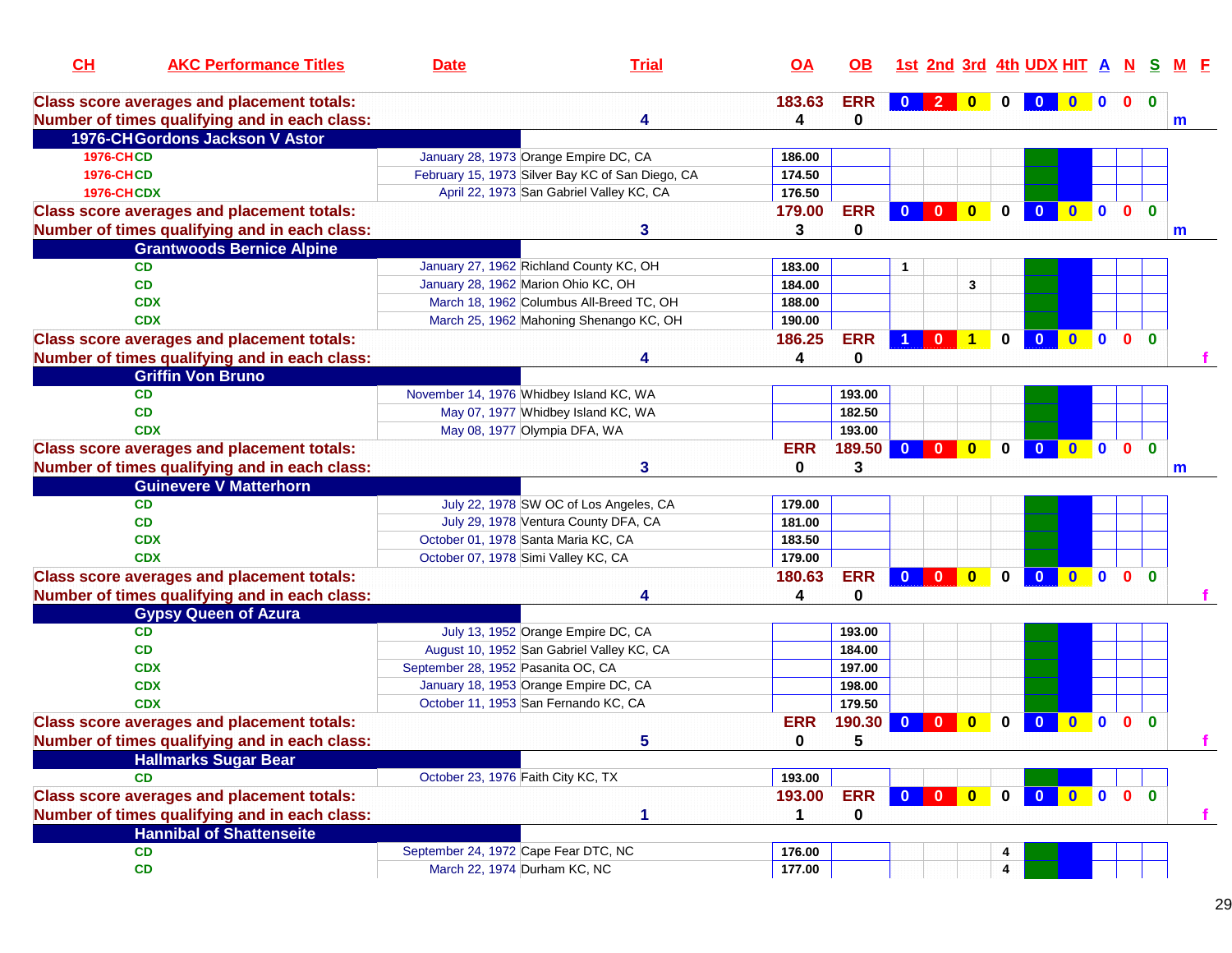| CH                | <b>AKC Performance Titles</b>                     | <b>Date</b>                             | <b>Trial</b>                                     | <u>OA</u>   | <b>OB</b>  |                         |                |                         |              | 1st 2nd 3rd 4th UDX HIT A |              |              |                | s            |   |
|-------------------|---------------------------------------------------|-----------------------------------------|--------------------------------------------------|-------------|------------|-------------------------|----------------|-------------------------|--------------|---------------------------|--------------|--------------|----------------|--------------|---|
|                   | <b>Class score averages and placement totals:</b> |                                         |                                                  | 183.63      | <b>ERR</b> |                         | $\overline{2}$ |                         |              |                           |              | $\mathbf{0}$ | $\mathbf{0}$   | $\bf{0}$     |   |
|                   | Number of times qualifying and in each class:     |                                         | 4                                                | 4           | 0          |                         |                |                         |              |                           |              |              |                |              | m |
|                   | 1976-CH Gordons Jackson V Astor                   |                                         |                                                  |             |            |                         |                |                         |              |                           |              |              |                |              |   |
| <b>1976-CHCD</b>  |                                                   | January 28, 1973 Orange Empire DC, CA   |                                                  | 186.00      |            |                         |                |                         |              |                           |              |              |                |              |   |
| <b>1976-CHCD</b>  |                                                   |                                         | February 15, 1973 Silver Bay KC of San Diego, CA | 174.50      |            |                         |                |                         |              |                           |              |              |                |              |   |
| <b>1976-CHCDX</b> |                                                   |                                         | April 22, 1973 San Gabriel Valley KC, CA         | 176.50      |            |                         |                |                         |              |                           |              |              |                |              |   |
|                   | <b>Class score averages and placement totals:</b> |                                         |                                                  | 179.00      | <b>ERR</b> | $\mathbf{0}$            | $\mathbf{0}$   | $\overline{0}$          | $\bf{0}$     |                           |              | $\mathbf{0}$ | $\mathbf{0}$   | $\mathbf{0}$ |   |
|                   | Number of times qualifying and in each class:     |                                         | 3                                                | 3           | $\bf{0}$   |                         |                |                         |              |                           |              |              |                |              | m |
|                   | <b>Grantwoods Bernice Alpine</b>                  |                                         |                                                  |             |            |                         |                |                         |              |                           |              |              |                |              |   |
| <b>CD</b>         |                                                   | January 27, 1962 Richland County KC, OH |                                                  | 183.00      |            |                         |                |                         |              |                           |              |              |                |              |   |
| CD                |                                                   | January 28, 1962 Marion Ohio KC, OH     |                                                  | 184.00      |            |                         |                | 3                       |              |                           |              |              |                |              |   |
| <b>CDX</b>        |                                                   |                                         | March 18, 1962 Columbus All-Breed TC, OH         | 188.00      |            |                         |                |                         |              |                           |              |              |                |              |   |
| <b>CDX</b>        |                                                   |                                         | March 25, 1962 Mahoning Shenango KC, OH          | 190.00      |            |                         |                |                         |              |                           |              |              |                |              |   |
|                   | <b>Class score averages and placement totals:</b> |                                         |                                                  | 186.25      | <b>ERR</b> |                         | $\mathbf{0}$   |                         | 0            |                           |              |              | $\mathbf{0}$   | $\mathbf{0}$ |   |
|                   | Number of times qualifying and in each class:     |                                         |                                                  | 4           | 0          |                         |                |                         |              |                           |              |              |                |              |   |
|                   | <b>Griffin Von Bruno</b>                          |                                         |                                                  |             |            |                         |                |                         |              |                           |              |              |                |              |   |
| <b>CD</b>         |                                                   | November 14, 1976 Whidbey Island KC, WA |                                                  |             | 193.00     |                         |                |                         |              |                           |              |              |                |              |   |
| <b>CD</b>         |                                                   |                                         | May 07, 1977 Whidbey Island KC, WA               |             | 182.50     |                         |                |                         |              |                           |              |              |                |              |   |
| <b>CDX</b>        |                                                   | May 08, 1977 Olympia DFA, WA            |                                                  |             | 193.00     |                         |                |                         |              |                           |              |              |                |              |   |
|                   | <b>Class score averages and placement totals:</b> |                                         |                                                  | <b>ERR</b>  | 189.50     | $\mathbf{0}$            | $\mathbf{0}$   | $\overline{\mathbf{0}}$ | $\mathbf{0}$ | $\mathbf{0}$              | $\bf{0}$     | $\mathbf{0}$ | $\mathbf{0}$   | $\Omega$     |   |
|                   | Number of times qualifying and in each class:     |                                         | 3                                                | 0           | 3          |                         |                |                         |              |                           |              |              |                |              | m |
|                   | <b>Guinevere V Matterhorn</b>                     |                                         |                                                  |             |            |                         |                |                         |              |                           |              |              |                |              |   |
| <b>CD</b>         |                                                   |                                         | July 22, 1978 SW OC of Los Angeles, CA           | 179.00      |            |                         |                |                         |              |                           |              |              |                |              |   |
| CD                |                                                   |                                         | July 29, 1978 Ventura County DFA, CA             | 181.00      |            |                         |                |                         |              |                           |              |              |                |              |   |
| <b>CDX</b>        |                                                   | October 01, 1978 Santa Maria KC, CA     |                                                  | 183.50      |            |                         |                |                         |              |                           |              |              |                |              |   |
| <b>CDX</b>        |                                                   | October 07, 1978 Simi Valley KC, CA     |                                                  | 179.00      |            |                         |                |                         |              |                           |              |              |                |              |   |
|                   | <b>Class score averages and placement totals:</b> |                                         |                                                  | 180.63      | <b>ERR</b> | $\mathbf{0}$            | $\mathbf{0}$   | $\overline{\mathbf{0}}$ | $\mathbf{0}$ | $\Omega$                  | $\mathbf{0}$ | $\bullet$    | 0 <sub>0</sub> |              |   |
|                   | Number of times qualifying and in each class:     |                                         |                                                  | 4           | $\bf{0}$   |                         |                |                         |              |                           |              |              |                |              |   |
|                   | <b>Gypsy Queen of Azura</b>                       |                                         |                                                  |             |            |                         |                |                         |              |                           |              |              |                |              |   |
| CD                |                                                   |                                         | July 13, 1952 Orange Empire DC, CA               |             | 193.00     |                         |                |                         |              |                           |              |              |                |              |   |
| CD                |                                                   |                                         | August 10, 1952 San Gabriel Valley KC, CA        |             | 184.00     |                         |                |                         |              |                           |              |              |                |              |   |
| <b>CDX</b>        |                                                   | September 28, 1952 Pasanita OC, CA      |                                                  |             | 197.00     |                         |                |                         |              |                           |              |              |                |              |   |
| <b>CDX</b>        |                                                   | January 18, 1953 Orange Empire DC, CA   |                                                  |             | 198.00     |                         |                |                         |              |                           |              |              |                |              |   |
| <b>CDX</b>        |                                                   | October 11, 1953 San Fernando KC, CA    |                                                  |             | 179.50     |                         |                |                         |              |                           |              |              |                |              |   |
|                   | <b>Class score averages and placement totals:</b> |                                         |                                                  | <b>ERR</b>  | 190.30     | $\bf{0}$                | $\Omega$       | $\Omega$                | 0            | $\bf{0}$                  | $\bf{0}$     | 0            | $\mathbf{0}$   | $\mathbf{0}$ |   |
|                   | Number of times qualifying and in each class:     |                                         | 5                                                | $\mathbf 0$ | 5          |                         |                |                         |              |                           |              |              |                |              |   |
|                   | <b>Hallmarks Sugar Bear</b>                       |                                         |                                                  |             |            |                         |                |                         |              |                           |              |              |                |              |   |
| <b>CD</b>         |                                                   | October 23, 1976 Faith City KC, TX      |                                                  | 193.00      |            |                         |                |                         |              |                           |              |              |                |              |   |
|                   | <b>Class score averages and placement totals:</b> |                                         |                                                  | 193.00      | <b>ERR</b> | $\overline{\mathbf{0}}$ |                |                         | $\mathbf 0$  | $\mathbf{0}$              | $0$ 0        |              | 0 <sub>0</sub> |              |   |
|                   | Number of times qualifying and in each class:     |                                         | 1                                                | 1           | 0          |                         |                |                         |              |                           |              |              |                |              | f |
|                   | <b>Hannibal of Shattenseite</b>                   |                                         |                                                  |             |            |                         |                |                         |              |                           |              |              |                |              |   |
| <b>CD</b>         |                                                   | September 24, 1972 Cape Fear DTC, NC    |                                                  | 176.00      |            |                         |                |                         |              |                           |              |              |                |              |   |
| CD                |                                                   | March 22, 1974 Durham KC, NC            |                                                  |             |            |                         |                |                         | 4<br>4       |                           |              |              |                |              |   |
|                   |                                                   |                                         |                                                  | 177.00      |            |                         |                |                         |              |                           |              |              |                |              |   |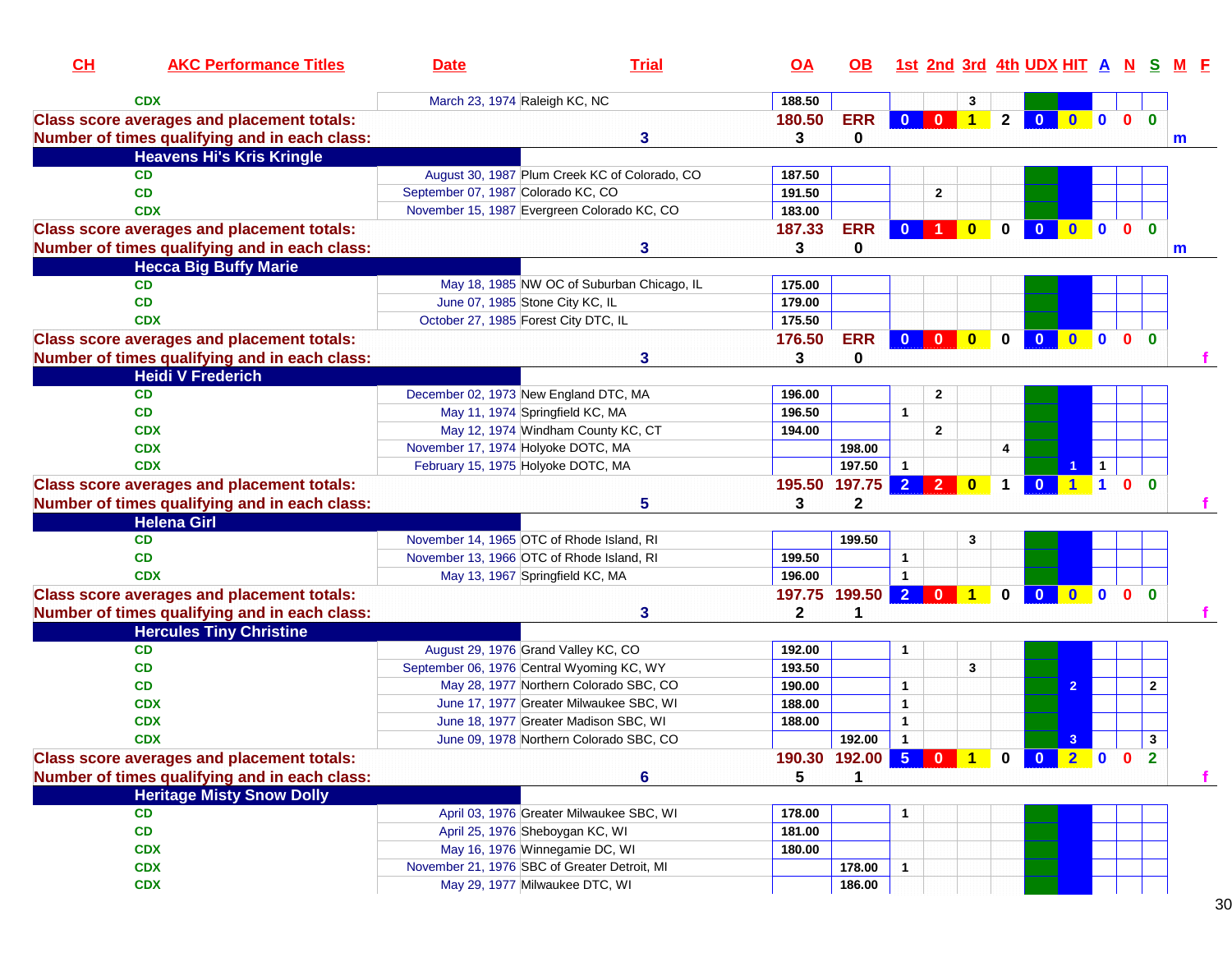| CL | <b>AKC Performance Titles</b>                     | <b>Date</b>                                  | <b>Trial</b>                                  | $\overline{OA}$ | OB.                             |                      |                      |              |              | 1st 2nd 3rd 4th UDX HIT A N S |              |                      |                              |                |  |
|----|---------------------------------------------------|----------------------------------------------|-----------------------------------------------|-----------------|---------------------------------|----------------------|----------------------|--------------|--------------|-------------------------------|--------------|----------------------|------------------------------|----------------|--|
|    | <b>CDX</b>                                        | March 23, 1974 Raleigh KC, NC                |                                               | 188.50          |                                 |                      |                      | 3            |              |                               |              |                      |                              |                |  |
|    | <b>Class score averages and placement totals:</b> |                                              |                                               | 180.50          | <b>ERR</b>                      | $\mathbf{0}$         | $\overline{0}$       | $\bullet$    | $2^{\circ}$  | $\overline{\mathbf{0}}$       | $0$ 0 0      |                      | $\mathbf{0}$                 |                |  |
|    | Number of times qualifying and in each class:     |                                              | 3                                             | 3               | 0                               |                      |                      |              |              |                               |              |                      |                              | m              |  |
|    | <b>Heavens Hi's Kris Kringle</b>                  |                                              |                                               |                 |                                 |                      |                      |              |              |                               |              |                      |                              |                |  |
|    | <b>CD</b>                                         |                                              | August 30, 1987 Plum Creek KC of Colorado, CO | 187.50          |                                 |                      |                      |              |              |                               |              |                      |                              |                |  |
|    | <b>CD</b>                                         | September 07, 1987 Colorado KC, CO           |                                               | 191.50          |                                 |                      | $\mathbf{2}$         |              |              |                               |              |                      |                              |                |  |
|    | <b>CDX</b>                                        | November 15, 1987 Evergreen Colorado KC, CO  |                                               | 183.00          |                                 |                      |                      |              |              |                               |              |                      |                              |                |  |
|    | <b>Class score averages and placement totals:</b> |                                              |                                               | 187.33          | <b>ERR</b>                      | $\mathbf{0}$         | $\blacktriangleleft$ | $\bf{0}$     | $\mathbf{0}$ | $\mathbf{0}$                  | $\mathbf{0}$ | $\mathbf{0}$         | $\mathbf{0}$<br>$\mathbf{0}$ |                |  |
|    | Number of times qualifying and in each class:     |                                              | 3                                             | 3               | 0                               |                      |                      |              |              |                               |              |                      |                              | m              |  |
|    | <b>Hecca Big Buffy Marie</b>                      |                                              |                                               |                 |                                 |                      |                      |              |              |                               |              |                      |                              |                |  |
|    | <b>CD</b>                                         |                                              | May 18, 1985 NW OC of Suburban Chicago, IL    | 175.00          |                                 |                      |                      |              |              |                               |              |                      |                              |                |  |
|    | CD                                                | June 07, 1985 Stone City KC, IL              |                                               | 179.00          |                                 |                      |                      |              |              |                               |              |                      |                              |                |  |
|    | <b>CDX</b>                                        | October 27, 1985 Forest City DTC, IL         |                                               | 175.50          |                                 |                      |                      |              |              |                               |              |                      |                              |                |  |
|    | <b>Class score averages and placement totals:</b> |                                              |                                               | 176.50          | <b>ERR</b>                      | $\mathbf{0}$         | $\mathbf{0}$         | $\mathbf{0}$ | $\bf{0}$     | $\mathbf{0}$                  | $\mathbf{0}$ | $\mathbf{0}$         | $\mathbf{0}$<br>$\bf{0}$     |                |  |
|    | Number of times qualifying and in each class:     |                                              | 3                                             | 3               | 0                               |                      |                      |              |              |                               |              |                      |                              |                |  |
|    | <b>Heidi V Frederich</b>                          |                                              |                                               |                 |                                 |                      |                      |              |              |                               |              |                      |                              |                |  |
|    | <b>CD</b>                                         | December 02, 1973 New England DTC, MA        |                                               | 196.00          |                                 |                      | $\mathbf{2}$         |              |              |                               |              |                      |                              |                |  |
|    | CD                                                | May 11, 1974 Springfield KC, MA              |                                               | 196.50          |                                 | $\mathbf{1}$         |                      |              |              |                               |              |                      |                              |                |  |
|    | <b>CDX</b>                                        | May 12, 1974 Windham County KC, CT           |                                               | 194.00          |                                 |                      | $\overline{2}$       |              |              |                               |              |                      |                              |                |  |
|    | <b>CDX</b>                                        | November 17, 1974 Holyoke DOTC, MA           |                                               |                 | 198.00                          |                      |                      |              | 4            |                               |              |                      |                              |                |  |
|    | <b>CDX</b>                                        | February 15, 1975 Holyoke DOTC, MA           |                                               |                 | 197.50                          | $\mathbf{1}$         |                      |              |              |                               |              | $\mathbf{1}$         |                              |                |  |
|    | <b>Class score averages and placement totals:</b> |                                              |                                               |                 | 195.50 197.75                   | $\overline{2}$       | $\overline{2}$       | $\mathbf{0}$ | $\mathbf 1$  | $\mathbf{0}$                  |              | $\blacktriangleleft$ | 0 <sub>0</sub>               |                |  |
|    | Number of times qualifying and in each class:     |                                              | 5                                             | 3               | $\mathbf{2}$                    |                      |                      |              |              |                               |              |                      |                              |                |  |
|    | <b>Helena Girl</b>                                |                                              |                                               |                 |                                 |                      |                      |              |              |                               |              |                      |                              |                |  |
|    | <b>CD</b>                                         | November 14, 1965 OTC of Rhode Island, RI    |                                               |                 | 199.50                          |                      |                      | 3            |              |                               |              |                      |                              |                |  |
|    | <b>CD</b>                                         | November 13, 1966 OTC of Rhode Island, RI    |                                               | 199.50          |                                 | $\mathbf{1}$         |                      |              |              |                               |              |                      |                              |                |  |
|    | <b>CDX</b>                                        | May 13, 1967 Springfield KC, MA              |                                               | 196.00          |                                 | $\mathbf{1}$         |                      |              |              |                               |              |                      |                              |                |  |
|    | <b>Class score averages and placement totals:</b> |                                              |                                               | 197.75          | 199.50                          | $\overline{2}$       | $\mathbf{0}$         | 1            | $\mathbf{0}$ | $\mathbf{0}$                  | $\mathbf{0}$ | $\mathbf{0}$         | $\mathbf{0}$<br>$\mathbf{0}$ |                |  |
|    | Number of times qualifying and in each class:     |                                              | 3                                             | $\mathbf{2}$    | 1                               |                      |                      |              |              |                               |              |                      |                              |                |  |
|    | <b>Hercules Tiny Christine</b>                    |                                              |                                               |                 |                                 |                      |                      |              |              |                               |              |                      |                              |                |  |
|    | CD                                                | August 29, 1976 Grand Valley KC, CO          |                                               | 192.00          |                                 | 1                    |                      |              |              |                               |              |                      |                              |                |  |
|    | CD                                                | September 06, 1976 Central Wyoming KC, WY    |                                               | 193.50          |                                 |                      |                      | 3            |              |                               |              |                      |                              |                |  |
|    | CD                                                |                                              | May 28, 1977 Northern Colorado SBC, CO        | 190.00          |                                 | 1                    |                      |              |              |                               | 2            |                      |                              | $\overline{2}$ |  |
|    | <b>CDX</b>                                        |                                              | June 17, 1977 Greater Milwaukee SBC, WI       | 188.00          |                                 | $\mathbf 1$          |                      |              |              |                               |              |                      |                              |                |  |
|    | <b>CDX</b>                                        | June 18, 1977 Greater Madison SBC, WI        |                                               | 188.00          |                                 | $\mathbf{1}$         |                      |              |              |                               |              |                      |                              |                |  |
|    | <b>CDX</b>                                        |                                              | June 09, 1978 Northern Colorado SBC, CO       |                 | 192.00                          | $\blacktriangleleft$ |                      |              |              |                               | 3            |                      |                              | $\mathbf{3}$   |  |
|    | <b>Class score averages and placement totals:</b> |                                              |                                               |                 | 190.30 192.00 5 0 1 0 0 2 0 0 2 |                      |                      |              |              |                               |              |                      |                              |                |  |
|    | Number of times qualifying and in each class:     |                                              | 6                                             | $5\phantom{1}$  | 1                               |                      |                      |              |              |                               |              |                      |                              |                |  |
|    | <b>Heritage Misty Snow Dolly</b>                  |                                              |                                               |                 |                                 |                      |                      |              |              |                               |              |                      |                              |                |  |
|    | <b>CD</b>                                         |                                              | April 03, 1976 Greater Milwaukee SBC, WI      | 178.00          |                                 | 1                    |                      |              |              |                               |              |                      |                              |                |  |
|    | CD                                                | April 25, 1976 Sheboygan KC, WI              |                                               | 181.00          |                                 |                      |                      |              |              |                               |              |                      |                              |                |  |
|    | <b>CDX</b>                                        | May 16, 1976 Winnegamie DC, WI               |                                               | 180.00          |                                 |                      |                      |              |              |                               |              |                      |                              |                |  |
|    | <b>CDX</b>                                        | November 21, 1976 SBC of Greater Detroit, MI |                                               |                 | 178.00                          | $\mathbf{1}$         |                      |              |              |                               |              |                      |                              |                |  |
|    | <b>CDX</b>                                        | May 29, 1977 Milwaukee DTC, WI               |                                               |                 | 186.00                          |                      |                      |              |              |                               |              |                      |                              |                |  |
|    |                                                   |                                              |                                               |                 |                                 |                      |                      |              |              |                               |              |                      |                              |                |  |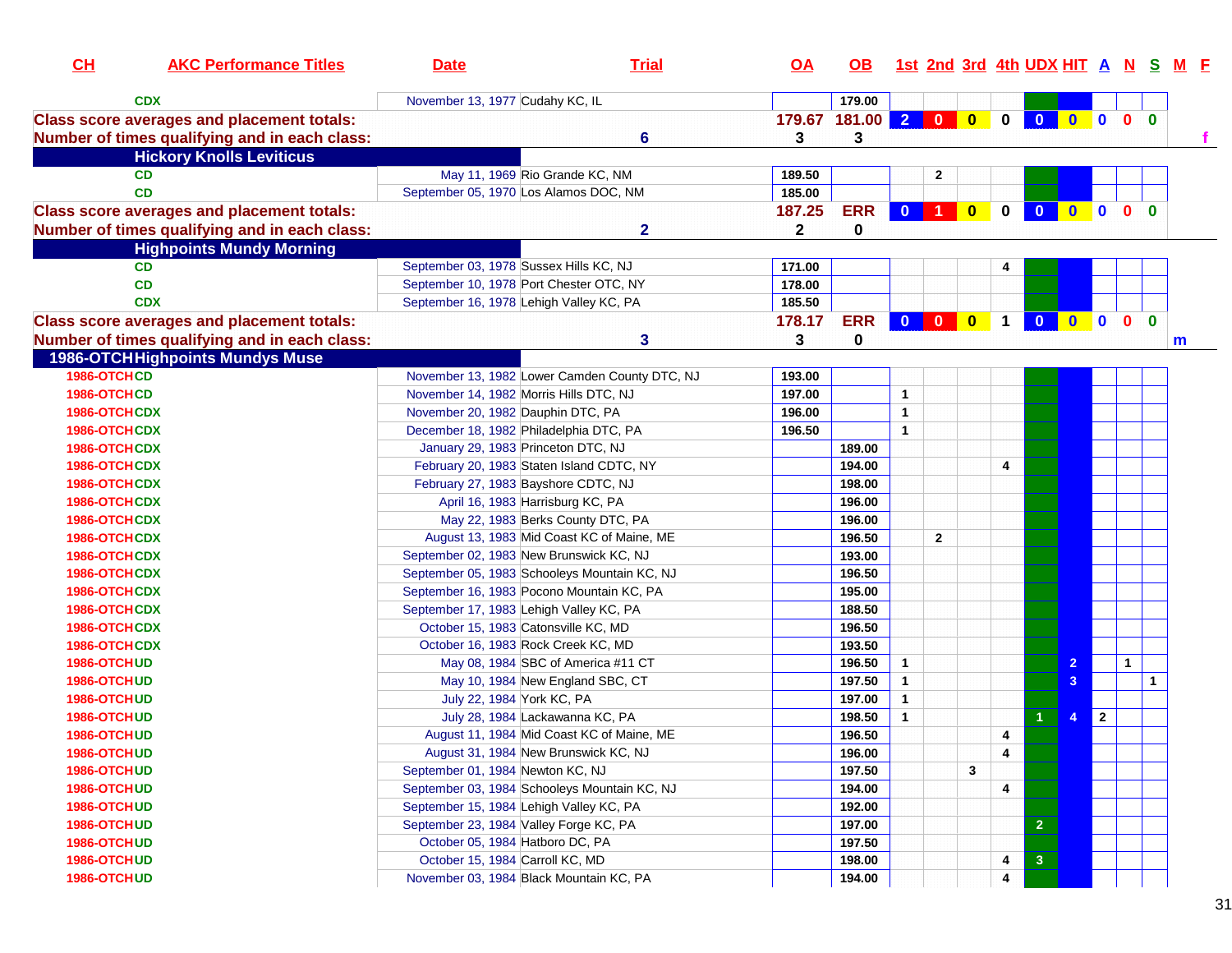| CH           | <b>AKC Performance Titles</b>                     | <b>Date</b>                                  | <b>Trial</b>                                  | <u>OA</u>    | <b>OB</b>  |                                      |                |   |                         | <u>1st 2nd 3rd 4th UDX HIT A N S M E</u> |                     |              |              |              |              |
|--------------|---------------------------------------------------|----------------------------------------------|-----------------------------------------------|--------------|------------|--------------------------------------|----------------|---|-------------------------|------------------------------------------|---------------------|--------------|--------------|--------------|--------------|
| <b>CDX</b>   |                                                   | November 13, 1977 Cudahy KC, IL              |                                               |              | 179.00     |                                      |                |   |                         |                                          |                     |              |              |              |              |
|              | <b>Class score averages and placement totals:</b> |                                              |                                               | 179.67       | 181.00     |                                      |                |   | $\mathbf{0}$            | $\overline{\mathbf{0}}$                  | $\bullet$ $\bullet$ |              | $\mathbf{0}$ | $\mathbf{0}$ |              |
|              | Number of times qualifying and in each class:     |                                              | $6\phantom{a}$                                | 3            | 3          |                                      |                |   |                         |                                          |                     |              |              |              | $\mathbf{f}$ |
|              | <b>Hickory Knolls Leviticus</b>                   |                                              |                                               |              |            |                                      |                |   |                         |                                          |                     |              |              |              |              |
| <b>CD</b>    |                                                   | May 11, 1969 Rio Grande KC, NM               |                                               | 189.50       |            |                                      | 2              |   |                         |                                          |                     |              |              |              |              |
| <b>CD</b>    |                                                   | September 05, 1970 Los Alamos DOC, NM        |                                               | 185.00       |            |                                      |                |   |                         |                                          |                     |              |              |              |              |
|              | <b>Class score averages and placement totals:</b> |                                              |                                               | 187.25       | <b>ERR</b> |                                      | 0 1 0          |   |                         | $0$ 0                                    | <b>00</b>           |              | $\mathbf{0}$ | $\mathbf{0}$ |              |
|              | Number of times qualifying and in each class:     |                                              | $\mathbf{2}$                                  | $\mathbf{2}$ | 0          |                                      |                |   |                         |                                          |                     |              |              |              |              |
|              | <b>Highpoints Mundy Morning</b>                   |                                              |                                               |              |            |                                      |                |   |                         |                                          |                     |              |              |              |              |
| <b>CD</b>    |                                                   | September 03, 1978 Sussex Hills KC, NJ       |                                               | 171.00       |            |                                      |                |   |                         |                                          |                     |              |              |              |              |
| CD           |                                                   | September 10, 1978 Port Chester OTC, NY      |                                               | 178.00       |            |                                      |                |   |                         |                                          |                     |              |              |              |              |
| <b>CDX</b>   |                                                   | September 16, 1978 Lehigh Valley KC, PA      |                                               | 185.50       |            |                                      |                |   |                         |                                          |                     |              |              |              |              |
|              | <b>Class score averages and placement totals:</b> |                                              |                                               | 178.17       | <b>ERR</b> |                                      |                |   | $\mathbf 1$             | $\bullet$                                | 000                 |              |              | $\bf{0}$     |              |
|              | Number of times qualifying and in each class:     |                                              | 3                                             | 3            | 0          |                                      |                |   |                         |                                          |                     |              |              |              |              |
|              |                                                   |                                              |                                               |              |            |                                      |                |   |                         |                                          |                     |              |              |              | m            |
| 1986-OTCHCD  | <b>1986-OTCH Highpoints Mundys Muse</b>           |                                              | November 13, 1982 Lower Camden County DTC, NJ | 193.00       |            |                                      |                |   |                         |                                          |                     |              |              |              |              |
| 1986-OTCHCD  |                                                   |                                              |                                               | 197.00       |            | $\mathbf{1}$                         |                |   |                         |                                          |                     |              |              |              |              |
|              |                                                   | November 14, 1982 Morris Hills DTC, NJ       |                                               |              |            |                                      |                |   |                         |                                          |                     |              |              |              |              |
| 1986-OTCHCDX |                                                   | November 20, 1982 Dauphin DTC, PA            |                                               | 196.00       |            | $\mathbf{1}$<br>$\blacktriangleleft$ |                |   |                         |                                          |                     |              |              |              |              |
| 1986-OTCHCDX |                                                   | December 18, 1982 Philadelphia DTC, PA       |                                               | 196.50       |            |                                      |                |   |                         |                                          |                     |              |              |              |              |
| 1986-OTCHCDX |                                                   | January 29, 1983 Princeton DTC, NJ           |                                               |              | 189.00     |                                      |                |   |                         |                                          |                     |              |              |              |              |
| 1986-OTCHCDX |                                                   | February 20, 1983 Staten Island CDTC, NY     |                                               |              | 194.00     |                                      |                |   | 4                       |                                          |                     |              |              |              |              |
| 1986-OTCHCDX |                                                   | February 27, 1983 Bayshore CDTC, NJ          |                                               |              | 198.00     |                                      |                |   |                         |                                          |                     |              |              |              |              |
| 1986-OTCHCDX |                                                   | April 16, 1983 Harrisburg KC, PA             |                                               |              | 196.00     |                                      |                |   |                         |                                          |                     |              |              |              |              |
| 1986-OTCHCDX |                                                   |                                              | May 22, 1983 Berks County DTC, PA             |              | 196.00     |                                      |                |   |                         |                                          |                     |              |              |              |              |
| 1986-OTCHCDX |                                                   |                                              | August 13, 1983 Mid Coast KC of Maine, ME     |              | 196.50     |                                      | $\overline{2}$ |   |                         |                                          |                     |              |              |              |              |
| 1986-OTCHCDX |                                                   | September 02, 1983 New Brunswick KC, NJ      |                                               |              | 193.00     |                                      |                |   |                         |                                          |                     |              |              |              |              |
| 1986-OTCHCDX |                                                   | September 05, 1983 Schooleys Mountain KC, NJ |                                               |              | 196.50     |                                      |                |   |                         |                                          |                     |              |              |              |              |
| 1986-OTCHCDX |                                                   | September 16, 1983 Pocono Mountain KC, PA    |                                               |              | 195.00     |                                      |                |   |                         |                                          |                     |              |              |              |              |
| 1986-OTCHCDX |                                                   | September 17, 1983 Lehigh Valley KC, PA      |                                               |              | 188.50     |                                      |                |   |                         |                                          |                     |              |              |              |              |
| 1986-OTCHCDX |                                                   | October 15, 1983 Catonsville KC, MD          |                                               |              | 196.50     |                                      |                |   |                         |                                          |                     |              |              |              |              |
| 1986-OTCHCDX |                                                   | October 16, 1983 Rock Creek KC, MD           |                                               |              | 193.50     |                                      |                |   |                         |                                          |                     |              |              |              |              |
| 1986-OTCHUD  |                                                   |                                              | May 08, 1984 SBC of America #11 CT            |              | 196.50     | $\mathbf{1}$                         |                |   |                         |                                          | $\overline{2}$      |              | $\mathbf{1}$ |              |              |
| 1986-OTCHUD  |                                                   | May 10, 1984 New England SBC, CT             |                                               |              | 197.50     | $\mathbf{1}$                         |                |   |                         |                                          | 3                   |              |              | $\mathbf{1}$ |              |
| 1986-OTCHUD  |                                                   | July 22, 1984 York KC, PA                    |                                               |              | 197.00     | $\mathbf{1}$                         |                |   |                         |                                          |                     |              |              |              |              |
| 1986-OTCHUD  |                                                   | July 28, 1984 Lackawanna KC, PA              |                                               |              | 198.50     | $\mathbf{1}$                         |                |   |                         | $\blacktriangleleft$                     | 4                   | $\mathbf{2}$ |              |              |              |
| 1986-OTCHUD  |                                                   |                                              | August 11, 1984 Mid Coast KC of Maine, ME     |              | 196.50     |                                      |                |   | $\overline{\mathbf{4}}$ |                                          |                     |              |              |              |              |
| 1986-OTCHUD  |                                                   | August 31, 1984 New Brunswick KC, NJ         |                                               |              | 196.00     |                                      |                |   | 4                       |                                          |                     |              |              |              |              |
| 1986-OTCHUD  |                                                   | September 01, 1984 Newton KC, NJ             |                                               |              | 197.50     |                                      |                | 3 |                         |                                          |                     |              |              |              |              |
| 1986-OTCHUD  |                                                   | September 03, 1984 Schooleys Mountain KC, NJ |                                               |              | 194.00     |                                      |                |   | 4                       |                                          |                     |              |              |              |              |
| 1986-OTCHUD  |                                                   | September 15, 1984 Lehigh Valley KC, PA      |                                               |              | 192.00     |                                      |                |   |                         |                                          |                     |              |              |              |              |
| 1986-OTCHUD  |                                                   | September 23, 1984 Valley Forge KC, PA       |                                               |              | 197.00     |                                      |                |   |                         | $\mathbf{2}$                             |                     |              |              |              |              |
| 1986-OTCHUD  |                                                   | October 05, 1984 Hatboro DC, PA              |                                               |              | 197.50     |                                      |                |   |                         |                                          |                     |              |              |              |              |
| 1986-OTCHUD  |                                                   | October 15, 1984 Carroll KC, MD              |                                               |              | 198.00     |                                      |                |   | 4                       | 3                                        |                     |              |              |              |              |
| 1986-OTCHUD  |                                                   | November 03, 1984 Black Mountain KC, PA      |                                               |              | 194.00     |                                      |                |   | 4                       |                                          |                     |              |              |              |              |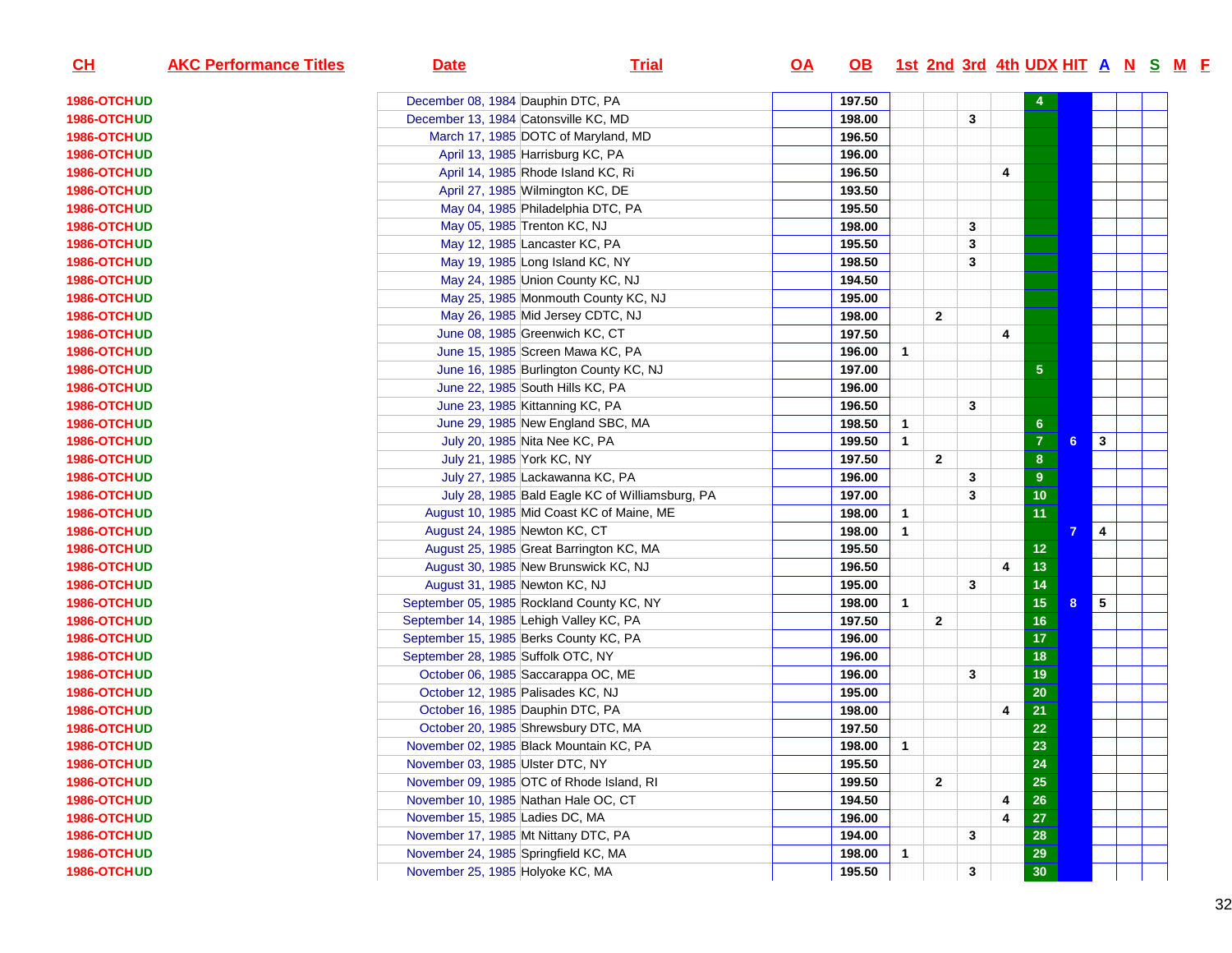| CH                 | <b>AKC Performance Titles</b> | <b>Date</b>                      | <b>Trial</b>                                    | <u>OA</u> | OB 1st 2nd 3rd 4th UDX HIT A N S M F |                |                |              |                |                  |   |                         |  |  |
|--------------------|-------------------------------|----------------------------------|-------------------------------------------------|-----------|--------------------------------------|----------------|----------------|--------------|----------------|------------------|---|-------------------------|--|--|
| 1986-OTCHUD        |                               |                                  | December 08, 1984 Dauphin DTC, PA               |           | 197.50                               |                |                |              |                |                  |   |                         |  |  |
| 1986-OTCHUD        |                               |                                  | December 13, 1984 Catonsville KC, MD            |           | 198.00                               |                |                | 3            |                |                  |   |                         |  |  |
| 1986-OTCHUD        |                               |                                  | March 17, 1985 DOTC of Maryland, MD             |           | 196.50                               |                |                |              |                |                  |   |                         |  |  |
| 1986-OTCHUD        |                               |                                  | April 13, 1985 Harrisburg KC, PA                |           | 196.00                               |                |                |              |                |                  |   |                         |  |  |
| 1986-OTCHUD        |                               |                                  | April 14, 1985 Rhode Island KC, Ri              |           | 196.50                               |                |                |              | 4              |                  |   |                         |  |  |
| 1986-OTCHUD        |                               |                                  | April 27, 1985 Wilmington KC, DE                |           | 193.50                               |                |                |              |                |                  |   |                         |  |  |
| 1986-OTCHUD        |                               |                                  | May 04, 1985 Philadelphia DTC, PA               |           | 195.50                               |                |                |              |                |                  |   |                         |  |  |
| 1986-OTCHUD        |                               |                                  | May 05, 1985 Trenton KC, NJ                     |           | 198.00                               |                |                | 3            |                |                  |   |                         |  |  |
| 1986-OTCHUD        |                               |                                  | May 12, 1985 Lancaster KC, PA                   |           | 195.50                               |                |                | 3            |                |                  |   |                         |  |  |
| 1986-OTCHUD        |                               |                                  | May 19, 1985 Long Island KC, NY                 |           | 198.50                               |                |                | 3            |                |                  |   |                         |  |  |
| 1986-OTCHUD        |                               |                                  | May 24, 1985 Union County KC, NJ                |           | 194.50                               |                |                |              |                |                  |   |                         |  |  |
| 1986-OTCHUD        |                               |                                  | May 25, 1985 Monmouth County KC, NJ             |           | 195.00                               |                |                |              |                |                  |   |                         |  |  |
| 1986-OTCHUD        |                               |                                  | May 26, 1985 Mid Jersey CDTC, NJ                |           | 198.00                               |                | $\mathbf{2}$   |              |                |                  |   |                         |  |  |
| 1986-OTCHUD        |                               |                                  | June 08, 1985 Greenwich KC, CT                  |           | 197.50                               |                |                |              | 4              |                  |   |                         |  |  |
| 1986-OTCHUD        |                               |                                  | June 15, 1985 Screen Mawa KC, PA                |           | 196.00                               | $\mathbf{1}$   |                |              |                |                  |   |                         |  |  |
| 1986-OTCHUD        |                               |                                  | June 16, 1985 Burlington County KC, NJ          |           | 197.00                               |                |                |              |                | ${\bf 5}$        |   |                         |  |  |
| 1986-OTCHUD        |                               |                                  | June 22, 1985 South Hills KC, PA                |           | 196.00                               |                |                |              |                |                  |   |                         |  |  |
| 1986-OTCHUD        |                               |                                  | June 23, 1985 Kittanning KC, PA                 |           | 196.50                               |                |                | 3            |                |                  |   |                         |  |  |
| 1986-OTCHUD        |                               |                                  | June 29, 1985 New England SBC, MA               |           | 198.50                               | $\mathbf{1}$   |                |              |                | $\boldsymbol{6}$ |   |                         |  |  |
| 1986-OTCHUD        |                               |                                  | July 20, 1985 Nita Nee KC, PA                   |           | 199.50                               | $\mathbf{1}$   |                |              |                | $\overline{7}$   | 6 | $\overline{\mathbf{3}}$ |  |  |
| 1986-OTCHUD        |                               |                                  | July 21, 1985 York KC, NY                       |           | 197.50                               |                | $\overline{2}$ |              |                | 8                |   |                         |  |  |
| 1986-OTCHUD        |                               |                                  | July 27, 1985 Lackawanna KC, PA                 |           | 196.00                               |                |                | 3            |                | $\boldsymbol{9}$ |   |                         |  |  |
| 1986-OTCHUD        |                               |                                  | July 28, 1985 Bald Eagle KC of Williamsburg, PA |           | 197.00                               |                |                | 3            |                | 10               |   |                         |  |  |
| <b>1986-OTCHUD</b> |                               |                                  | August 10, 1985 Mid Coast KC of Maine, ME       |           | 198.00                               | $\mathbf{1}$   |                |              |                | 11               |   |                         |  |  |
| 1986-OTCHUD        |                               |                                  | August 24, 1985 Newton KC, CT                   |           | 198.00                               | $\mathbf{1}$   |                |              |                |                  |   | $\overline{\mathbf{4}}$ |  |  |
| 1986-OTCHUD        |                               |                                  | August 25, 1985 Great Barrington KC, MA         |           | 195.50                               |                |                |              |                | $12$             |   |                         |  |  |
| 1986-OTCHUD        |                               |                                  | August 30, 1985 New Brunswick KC, NJ            |           | 196.50                               |                |                |              | $\overline{4}$ | 13               |   |                         |  |  |
| 1986-OTCHUD        |                               |                                  | August 31, 1985 Newton KC, NJ                   |           | 195.00                               |                |                | 3            |                | 14               |   |                         |  |  |
| 1986-OTCHUD        |                               |                                  | September 05, 1985 Rockland County KC, NY       |           | 198.00                               | $\mathbf{1}$   |                |              |                | 15               | 8 | $5\phantom{.0}$         |  |  |
| 1986-OTCHUD        |                               |                                  | September 14, 1985 Lehigh Valley KC, PA         |           | 197.50                               |                | $\overline{2}$ |              |                | 16               |   |                         |  |  |
| 1986-OTCHUD        |                               |                                  | September 15, 1985 Berks County KC, PA          |           | 196.00                               |                |                |              |                | 17               |   |                         |  |  |
| 1986-OTCHUD        |                               |                                  | September 28, 1985 Suffolk OTC, NY              |           | 196.00                               |                |                |              |                | 18               |   |                         |  |  |
| 1986-OTCHUD        |                               |                                  | October 06, 1985 Saccarappa OC, ME              |           | 196.00                               |                |                | 3            |                | 19               |   |                         |  |  |
| 1986-OTCHUD        |                               |                                  | October 12, 1985 Palisades KC, NJ               |           | 195.00                               |                |                |              |                | 20               |   |                         |  |  |
| 1986-OTCHUD        |                               |                                  | October 16, 1985 Dauphin DTC, PA                |           | 198.00                               |                |                |              | 4              | $\overline{21}$  |   |                         |  |  |
| 1986-OTCHUD        |                               |                                  | October 20, 1985 Shrewsbury DTC, MA             |           | 197.50                               |                |                |              |                | 22               |   |                         |  |  |
| 1986-OTCHUD        |                               |                                  | November 02, 1985 Black Mountain KC, PA         |           | 198.00                               | $\overline{1}$ |                |              |                | 23               |   |                         |  |  |
| 1986-OTCHUD        |                               | November 03, 1985 Ulster DTC, NY |                                                 |           | 195.50                               |                |                |              |                | ${\bf 24}$       |   |                         |  |  |
| 1986-OTCHUD        |                               |                                  | November 09, 1985 OTC of Rhode Island, RI       |           | 199.50                               |                | $\mathbf{2}$   |              |                | 25               |   |                         |  |  |
| 1986-OTCHUD        |                               |                                  | November 10, 1985 Nathan Hale OC, CT            |           | 194.50                               |                |                |              | 4              | 26               |   |                         |  |  |
| 1986-OTCHUD        |                               | November 15, 1985 Ladies DC, MA  |                                                 |           | 196.00                               |                |                |              | 4              | ${\bf 27}$       |   |                         |  |  |
| 1986-OTCHUD        |                               |                                  | November 17, 1985 Mt Nittany DTC, PA            |           | 194.00                               |                |                | 3            |                | 28               |   |                         |  |  |
| 1986-OTCHUD        |                               |                                  | November 24, 1985 Springfield KC, MA            |           | 198.00                               | $\mathbf{1}$   |                |              |                | 29               |   |                         |  |  |
| 1986-OTCHUD        |                               |                                  | November 25, 1985 Holyoke KC, MA                |           | 195.50                               |                |                | $\mathbf{3}$ |                | 30 <sub>o</sub>  |   |                         |  |  |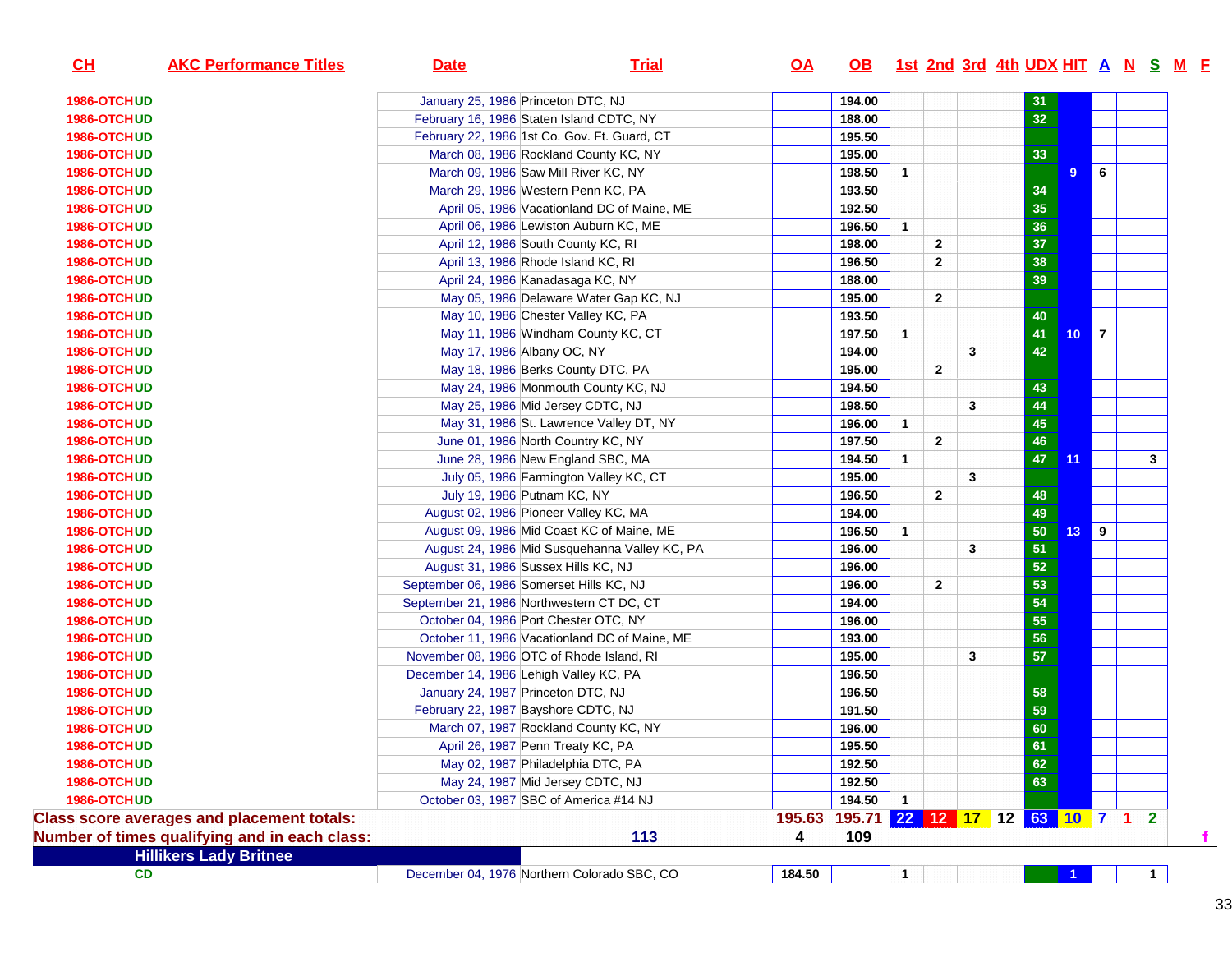| CH<br><b>AKC Performance Titles</b>               | <b>Date</b> | <b>Trial</b>                                  | $Q\triangle$ | <b>OB</b>                    |                |                |   | <u>1st 2nd 3rd 4th UDX HIT A N S M F</u> |                 |                |                |              |
|---------------------------------------------------|-------------|-----------------------------------------------|--------------|------------------------------|----------------|----------------|---|------------------------------------------|-----------------|----------------|----------------|--------------|
| 1986-OTCHUD                                       |             | January 25, 1986 Princeton DTC, NJ            |              | 194.00                       |                |                |   | 31                                       |                 |                |                |              |
| 1986-OTCHUD                                       |             | February 16, 1986 Staten Island CDTC, NY      |              | 188.00                       |                |                |   | 32                                       |                 |                |                |              |
| 1986-OTCHUD                                       |             | February 22, 1986 1st Co. Gov. Ft. Guard, CT  |              | 195.50                       |                |                |   |                                          |                 |                |                |              |
| 1986-OTCHUD                                       |             | March 08, 1986 Rockland County KC, NY         |              | 195.00                       |                |                |   | 33                                       |                 |                |                |              |
| 1986-OTCHUD                                       |             | March 09, 1986 Saw Mill River KC, NY          |              | 198.50                       | $\mathbf{1}$   |                |   |                                          | $\overline{9}$  | 6              |                |              |
| 1986-OTCHUD                                       |             | March 29, 1986 Western Penn KC, PA            |              | 193.50                       |                |                |   | 34                                       |                 |                |                |              |
| 1986-OTCHUD                                       |             | April 05, 1986 Vacationland DC of Maine, ME   |              | 192.50                       |                |                |   | 35                                       |                 |                |                |              |
| 1986-OTCHUD                                       |             | April 06, 1986 Lewiston Auburn KC, ME         |              | 196.50                       | $\mathbf{1}$   |                |   | 36                                       |                 |                |                |              |
| 1986-OTCHUD                                       |             | April 12, 1986 South County KC, RI            |              | 198.00                       |                | $\mathbf{2}$   |   | 37                                       |                 |                |                |              |
| 1986-OTCHUD                                       |             | April 13, 1986 Rhode Island KC, RI            |              | 196.50                       |                | $\mathbf{2}$   |   | 38                                       |                 |                |                |              |
| 1986-OTCHUD                                       |             | April 24, 1986 Kanadasaga KC, NY              |              | 188.00                       |                |                |   | 39                                       |                 |                |                |              |
| 1986-OTCHUD                                       |             | May 05, 1986 Delaware Water Gap KC, NJ        |              | 195.00                       |                | $\overline{2}$ |   |                                          |                 |                |                |              |
| 1986-OTCHUD                                       |             | May 10, 1986 Chester Valley KC, PA            |              | 193.50                       |                |                |   | 40                                       |                 |                |                |              |
| 1986-OTCHUD                                       |             | May 11, 1986 Windham County KC, CT            |              | 197.50                       | $\mathbf{1}$   |                |   | 41                                       | 10 <sub>1</sub> | $\overline{7}$ |                |              |
| 1986-OTCHUD                                       |             | May 17, 1986 Albany OC, NY                    |              | 194.00                       |                |                | 3 | 42                                       |                 |                |                |              |
| 1986-OTCHUD                                       |             | May 18, 1986 Berks County DTC, PA             |              | 195.00                       |                | $\overline{2}$ |   |                                          |                 |                |                |              |
| 1986-OTCHUD                                       |             | May 24, 1986 Monmouth County KC, NJ           |              | 194.50                       |                |                |   | 43                                       |                 |                |                |              |
| 1986-OTCHUD                                       |             | May 25, 1986 Mid Jersey CDTC, NJ              |              | 198.50                       |                |                | 3 | 44                                       |                 |                |                |              |
| 1986-OTCHUD                                       |             | May 31, 1986 St. Lawrence Valley DT, NY       |              | 196.00                       | $\mathbf{1}$   |                |   | 45                                       |                 |                |                |              |
| 1986-OTCHUD                                       |             | June 01, 1986 North Country KC, NY            |              | 197.50                       |                | $\overline{2}$ |   | 46                                       |                 |                |                |              |
| 1986-OTCHUD                                       |             | June 28, 1986 New England SBC, MA             |              | 194.50                       | 1              |                |   | 47                                       | 11              |                |                | $\mathbf{3}$ |
| 1986-OTCHUD                                       |             | July 05, 1986 Farmington Valley KC, CT        |              | 195.00                       |                |                | 3 |                                          |                 |                |                |              |
| 1986-OTCHUD                                       |             | July 19, 1986 Putnam KC, NY                   |              | 196.50                       |                | $\overline{2}$ |   | 48                                       |                 |                |                |              |
| 1986-OTCHUD                                       |             | August 02, 1986 Pioneer Valley KC, MA         |              | 194.00                       |                |                |   | 49                                       |                 |                |                |              |
| 1986-OTCHUD                                       |             | August 09, 1986 Mid Coast KC of Maine, ME     |              | 196.50                       | $\mathbf{1}$   |                |   | 50                                       | 13              | 9              |                |              |
| 1986-OTCHUD                                       |             | August 24, 1986 Mid Susquehanna Valley KC, PA |              | 196.00                       |                |                | 3 | 51                                       |                 |                |                |              |
| 1986-OTCHUD                                       |             | August 31, 1986 Sussex Hills KC, NJ           |              | 196.00                       |                |                |   | 52                                       |                 |                |                |              |
| 1986-OTCHUD                                       |             | September 06, 1986 Somerset Hills KC, NJ      |              | 196.00                       |                | $\mathbf{2}$   |   | 53                                       |                 |                |                |              |
| 1986-OTCHUD                                       |             | September 21, 1986 Northwestern CT DC, CT     |              | 194.00                       |                |                |   | 54                                       |                 |                |                |              |
| 1986-OTCHUD                                       |             | October 04, 1986 Port Chester OTC, NY         |              | 196.00                       |                |                |   | 55                                       |                 |                |                |              |
| 1986-OTCHUD                                       |             | October 11, 1986 Vacationland DC of Maine, ME |              | 193.00                       |                |                |   | 56                                       |                 |                |                |              |
| 1986-OTCHUD                                       |             | November 08, 1986 OTC of Rhode Island, RI     |              | 195.00                       |                |                | 3 | 57                                       |                 |                |                |              |
| 1986-OTCHUD                                       |             | December 14, 1986 Lehigh Valley KC, PA        |              | 196.50                       |                |                |   |                                          |                 |                |                |              |
| 1986-OTCHUD                                       |             | January 24, 1987 Princeton DTC, NJ            |              | 196.50                       |                |                |   | 58                                       |                 |                |                |              |
| 1986-OTCHUD                                       |             | February 22, 1987 Bayshore CDTC, NJ           |              | 191.50                       |                |                |   | 59                                       |                 |                |                |              |
| 1986-OTCHUD                                       |             | March 07, 1987 Rockland County KC, NY         |              | 196.00                       |                |                |   | 60                                       |                 |                |                |              |
| 1986-OTCHUD                                       |             | April 26, 1987 Penn Treaty KC, PA             |              | 195.50                       |                |                |   | 61                                       |                 |                |                |              |
| 1986-OTCHUD                                       |             | May 02, 1987 Philadelphia DTC, PA             |              | 192.50                       |                |                |   | 62                                       |                 |                |                |              |
| 1986-OTCHUD                                       |             | May 24, 1987 Mid Jersey CDTC, NJ              |              | 192.50                       |                |                |   | 63                                       |                 |                |                |              |
| 1986-OTCHUD                                       |             | October 03, 1987 SBC of America #14 NJ        |              | 194.50                       | $\overline{1}$ |                |   |                                          |                 |                |                |              |
| <b>Class score averages and placement totals:</b> |             |                                               | 195.63       | 195.71 22 12 17 12 63 10 7 1 |                |                |   |                                          |                 |                | $\overline{2}$ |              |
| Number of times qualifying and in each class:     |             | 113                                           | 4            | 109                          |                |                |   |                                          |                 |                |                |              |
| <b>Hillikers Lady Britnee</b>                     |             |                                               |              |                              |                |                |   |                                          |                 |                |                |              |
| <b>CD</b>                                         |             | December 04, 1976 Northern Colorado SBC, CO   | 184.50       |                              | $\mathbf{1}$   |                |   |                                          |                 |                |                | $\mathbf 1$  |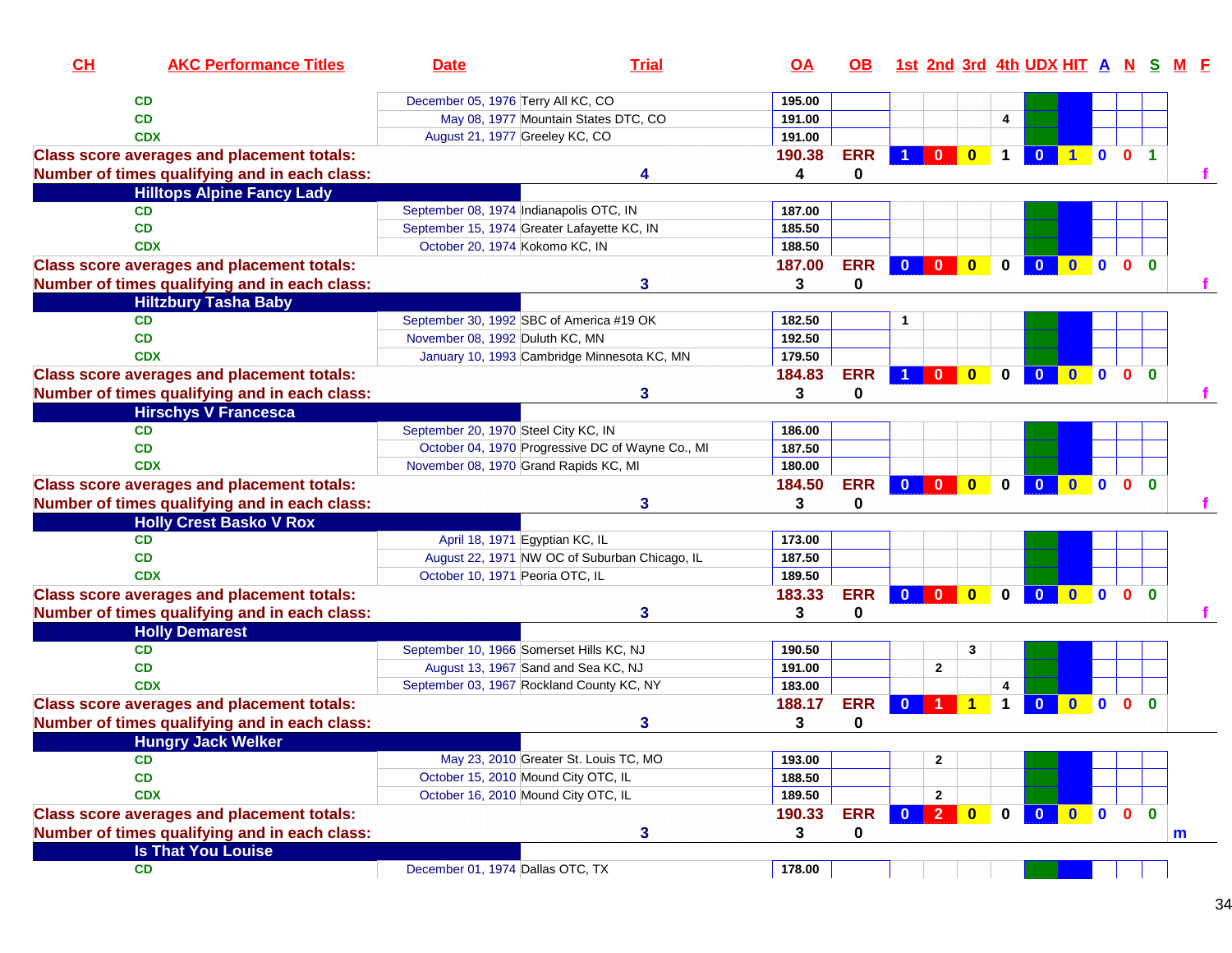| December 05, 1976 Terry All KC, CO<br>CD<br>195.00<br>May 08, 1977 Mountain States DTC, CO<br><b>CD</b><br>191.00<br>4<br><b>CDX</b><br>August 21, 1977 Greeley KC, CO<br>191.00<br><b>ERR</b><br>$\mathbf 1$<br>$\mathbf{0}$<br>$\bullet$<br>0 <sub>1</sub><br><b>Class score averages and placement totals:</b><br>190.38<br>$\blacksquare$<br>0<br>Number of times qualifying and in each class:<br>4<br><b>Hilltops Alpine Fancy Lady</b><br><b>CD</b><br>September 08, 1974 Indianapolis OTC, IN<br>187.00<br>September 15, 1974 Greater Lafayette KC, IN<br><b>CD</b><br>185.50<br>188.50<br><b>CDX</b><br>October 20, 1974 Kokomo KC, IN<br><b>ERR</b><br>187.00<br>$\bullet$<br>$\overline{\mathbf{0}}$<br>$\overline{\mathbf{0}}$<br>$\mathbf 0$<br>$\mathbf{0}$<br>$\mathbf{0}$<br>$\mathbf{0}$<br><b>Class score averages and placement totals:</b><br>$\bullet$<br>$\bf{0}$<br>Number of times qualifying and in each class:<br>3<br>0<br>3<br><b>Hiltzbury Tasha Baby</b><br><b>CD</b><br>September 30, 1992 SBC of America #19 OK<br>182.50<br>1<br>CD<br>November 08, 1992 Duluth KC, MN<br>192.50<br>January 10, 1993 Cambridge Minnesota KC, MN<br>179.50<br><b>CDX</b><br><b>ERR</b><br>184.83<br>$\overline{\mathbf{0}}$<br>$\mathbf{0}$<br>$\bf{0}$<br>$\mathbf{0}$<br><b>Class score averages and placement totals:</b><br>$\mathbf{0}$<br>$\mathbf{0}$<br>$\mathbf 0$<br>$\Omega$<br>Number of times qualifying and in each class:<br>3<br>0<br>3<br><b>Hirschys V Francesca</b><br><b>CD</b><br>September 20, 1970 Steel City KC, IN<br>186.00<br>October 04, 1970 Progressive DC of Wayne Co., MI<br><b>CD</b><br>187.50<br>November 08, 1970 Grand Rapids KC, MI<br>180.00<br><b>CDX</b><br><b>ERR</b><br>$0$ 0<br><b>Class score averages and placement totals:</b><br>184.50<br>$\mathbf{0}$<br>$\overline{\mathbf{0}}$<br>$\bullet$<br>$\mathbf 0$<br>$\overline{\mathbf{0}}$<br>0 <sub>0</sub><br>0<br>Number of times qualifying and in each class:<br>3<br>3<br><b>Holly Crest Basko V Rox</b><br><b>CD</b><br>April 18, 1971 Egyptian KC, IL<br>173.00<br><b>CD</b><br>August 22, 1971 NW OC of Suburban Chicago, IL<br>187.50<br><b>CDX</b><br>October 10, 1971 Peoria OTC, IL<br>189.50<br><b>ERR</b><br><b>Class score averages and placement totals:</b><br>183.33<br>$\mathbf{0}$<br>$\mathbf{0}$<br>$\mathbf{0}$<br>$\mathbf{0}$<br>$\mathbf{0}$<br>$\Omega$<br>$\mathbf{0}$<br>$\mathbf{0}$<br>$\bf{0}$<br>Number of times qualifying and in each class:<br>0<br>3<br>3<br><b>Holly Demarest</b><br>September 10, 1966 Somerset Hills KC, NJ<br><b>CD</b><br>3<br>190.50<br>August 13, 1967 Sand and Sea KC, NJ<br>$\mathbf{2}$ | CL<br><b>AKC Performance Titles</b> | <b>Date</b> | <b>Trial</b> | $\overline{OA}$ | OB. |  | 1st 2nd 3rd 4th UDX HIT A N S |  |  |
|------------------------------------------------------------------------------------------------------------------------------------------------------------------------------------------------------------------------------------------------------------------------------------------------------------------------------------------------------------------------------------------------------------------------------------------------------------------------------------------------------------------------------------------------------------------------------------------------------------------------------------------------------------------------------------------------------------------------------------------------------------------------------------------------------------------------------------------------------------------------------------------------------------------------------------------------------------------------------------------------------------------------------------------------------------------------------------------------------------------------------------------------------------------------------------------------------------------------------------------------------------------------------------------------------------------------------------------------------------------------------------------------------------------------------------------------------------------------------------------------------------------------------------------------------------------------------------------------------------------------------------------------------------------------------------------------------------------------------------------------------------------------------------------------------------------------------------------------------------------------------------------------------------------------------------------------------------------------------------------------------------------------------------------------------------------------------------------------------------------------------------------------------------------------------------------------------------------------------------------------------------------------------------------------------------------------------------------------------------------------------------------------------------------------------------------------------------------------------------------------------------------------------------------------------------------------------------------------------------------------------------------------------------------------|-------------------------------------|-------------|--------------|-----------------|-----|--|-------------------------------|--|--|
|                                                                                                                                                                                                                                                                                                                                                                                                                                                                                                                                                                                                                                                                                                                                                                                                                                                                                                                                                                                                                                                                                                                                                                                                                                                                                                                                                                                                                                                                                                                                                                                                                                                                                                                                                                                                                                                                                                                                                                                                                                                                                                                                                                                                                                                                                                                                                                                                                                                                                                                                                                                                                                                                        |                                     |             |              |                 |     |  |                               |  |  |
|                                                                                                                                                                                                                                                                                                                                                                                                                                                                                                                                                                                                                                                                                                                                                                                                                                                                                                                                                                                                                                                                                                                                                                                                                                                                                                                                                                                                                                                                                                                                                                                                                                                                                                                                                                                                                                                                                                                                                                                                                                                                                                                                                                                                                                                                                                                                                                                                                                                                                                                                                                                                                                                                        |                                     |             |              |                 |     |  |                               |  |  |
|                                                                                                                                                                                                                                                                                                                                                                                                                                                                                                                                                                                                                                                                                                                                                                                                                                                                                                                                                                                                                                                                                                                                                                                                                                                                                                                                                                                                                                                                                                                                                                                                                                                                                                                                                                                                                                                                                                                                                                                                                                                                                                                                                                                                                                                                                                                                                                                                                                                                                                                                                                                                                                                                        |                                     |             |              |                 |     |  |                               |  |  |
|                                                                                                                                                                                                                                                                                                                                                                                                                                                                                                                                                                                                                                                                                                                                                                                                                                                                                                                                                                                                                                                                                                                                                                                                                                                                                                                                                                                                                                                                                                                                                                                                                                                                                                                                                                                                                                                                                                                                                                                                                                                                                                                                                                                                                                                                                                                                                                                                                                                                                                                                                                                                                                                                        |                                     |             |              |                 |     |  |                               |  |  |
|                                                                                                                                                                                                                                                                                                                                                                                                                                                                                                                                                                                                                                                                                                                                                                                                                                                                                                                                                                                                                                                                                                                                                                                                                                                                                                                                                                                                                                                                                                                                                                                                                                                                                                                                                                                                                                                                                                                                                                                                                                                                                                                                                                                                                                                                                                                                                                                                                                                                                                                                                                                                                                                                        |                                     |             |              |                 |     |  |                               |  |  |
|                                                                                                                                                                                                                                                                                                                                                                                                                                                                                                                                                                                                                                                                                                                                                                                                                                                                                                                                                                                                                                                                                                                                                                                                                                                                                                                                                                                                                                                                                                                                                                                                                                                                                                                                                                                                                                                                                                                                                                                                                                                                                                                                                                                                                                                                                                                                                                                                                                                                                                                                                                                                                                                                        |                                     |             |              |                 |     |  |                               |  |  |
|                                                                                                                                                                                                                                                                                                                                                                                                                                                                                                                                                                                                                                                                                                                                                                                                                                                                                                                                                                                                                                                                                                                                                                                                                                                                                                                                                                                                                                                                                                                                                                                                                                                                                                                                                                                                                                                                                                                                                                                                                                                                                                                                                                                                                                                                                                                                                                                                                                                                                                                                                                                                                                                                        |                                     |             |              |                 |     |  |                               |  |  |
|                                                                                                                                                                                                                                                                                                                                                                                                                                                                                                                                                                                                                                                                                                                                                                                                                                                                                                                                                                                                                                                                                                                                                                                                                                                                                                                                                                                                                                                                                                                                                                                                                                                                                                                                                                                                                                                                                                                                                                                                                                                                                                                                                                                                                                                                                                                                                                                                                                                                                                                                                                                                                                                                        |                                     |             |              |                 |     |  |                               |  |  |
|                                                                                                                                                                                                                                                                                                                                                                                                                                                                                                                                                                                                                                                                                                                                                                                                                                                                                                                                                                                                                                                                                                                                                                                                                                                                                                                                                                                                                                                                                                                                                                                                                                                                                                                                                                                                                                                                                                                                                                                                                                                                                                                                                                                                                                                                                                                                                                                                                                                                                                                                                                                                                                                                        |                                     |             |              |                 |     |  |                               |  |  |
|                                                                                                                                                                                                                                                                                                                                                                                                                                                                                                                                                                                                                                                                                                                                                                                                                                                                                                                                                                                                                                                                                                                                                                                                                                                                                                                                                                                                                                                                                                                                                                                                                                                                                                                                                                                                                                                                                                                                                                                                                                                                                                                                                                                                                                                                                                                                                                                                                                                                                                                                                                                                                                                                        |                                     |             |              |                 |     |  |                               |  |  |
|                                                                                                                                                                                                                                                                                                                                                                                                                                                                                                                                                                                                                                                                                                                                                                                                                                                                                                                                                                                                                                                                                                                                                                                                                                                                                                                                                                                                                                                                                                                                                                                                                                                                                                                                                                                                                                                                                                                                                                                                                                                                                                                                                                                                                                                                                                                                                                                                                                                                                                                                                                                                                                                                        |                                     |             |              |                 |     |  |                               |  |  |
|                                                                                                                                                                                                                                                                                                                                                                                                                                                                                                                                                                                                                                                                                                                                                                                                                                                                                                                                                                                                                                                                                                                                                                                                                                                                                                                                                                                                                                                                                                                                                                                                                                                                                                                                                                                                                                                                                                                                                                                                                                                                                                                                                                                                                                                                                                                                                                                                                                                                                                                                                                                                                                                                        |                                     |             |              |                 |     |  |                               |  |  |
|                                                                                                                                                                                                                                                                                                                                                                                                                                                                                                                                                                                                                                                                                                                                                                                                                                                                                                                                                                                                                                                                                                                                                                                                                                                                                                                                                                                                                                                                                                                                                                                                                                                                                                                                                                                                                                                                                                                                                                                                                                                                                                                                                                                                                                                                                                                                                                                                                                                                                                                                                                                                                                                                        |                                     |             |              |                 |     |  |                               |  |  |
|                                                                                                                                                                                                                                                                                                                                                                                                                                                                                                                                                                                                                                                                                                                                                                                                                                                                                                                                                                                                                                                                                                                                                                                                                                                                                                                                                                                                                                                                                                                                                                                                                                                                                                                                                                                                                                                                                                                                                                                                                                                                                                                                                                                                                                                                                                                                                                                                                                                                                                                                                                                                                                                                        |                                     |             |              |                 |     |  |                               |  |  |
|                                                                                                                                                                                                                                                                                                                                                                                                                                                                                                                                                                                                                                                                                                                                                                                                                                                                                                                                                                                                                                                                                                                                                                                                                                                                                                                                                                                                                                                                                                                                                                                                                                                                                                                                                                                                                                                                                                                                                                                                                                                                                                                                                                                                                                                                                                                                                                                                                                                                                                                                                                                                                                                                        |                                     |             |              |                 |     |  |                               |  |  |
|                                                                                                                                                                                                                                                                                                                                                                                                                                                                                                                                                                                                                                                                                                                                                                                                                                                                                                                                                                                                                                                                                                                                                                                                                                                                                                                                                                                                                                                                                                                                                                                                                                                                                                                                                                                                                                                                                                                                                                                                                                                                                                                                                                                                                                                                                                                                                                                                                                                                                                                                                                                                                                                                        |                                     |             |              |                 |     |  |                               |  |  |
|                                                                                                                                                                                                                                                                                                                                                                                                                                                                                                                                                                                                                                                                                                                                                                                                                                                                                                                                                                                                                                                                                                                                                                                                                                                                                                                                                                                                                                                                                                                                                                                                                                                                                                                                                                                                                                                                                                                                                                                                                                                                                                                                                                                                                                                                                                                                                                                                                                                                                                                                                                                                                                                                        |                                     |             |              |                 |     |  |                               |  |  |
|                                                                                                                                                                                                                                                                                                                                                                                                                                                                                                                                                                                                                                                                                                                                                                                                                                                                                                                                                                                                                                                                                                                                                                                                                                                                                                                                                                                                                                                                                                                                                                                                                                                                                                                                                                                                                                                                                                                                                                                                                                                                                                                                                                                                                                                                                                                                                                                                                                                                                                                                                                                                                                                                        |                                     |             |              |                 |     |  |                               |  |  |
|                                                                                                                                                                                                                                                                                                                                                                                                                                                                                                                                                                                                                                                                                                                                                                                                                                                                                                                                                                                                                                                                                                                                                                                                                                                                                                                                                                                                                                                                                                                                                                                                                                                                                                                                                                                                                                                                                                                                                                                                                                                                                                                                                                                                                                                                                                                                                                                                                                                                                                                                                                                                                                                                        |                                     |             |              |                 |     |  |                               |  |  |
|                                                                                                                                                                                                                                                                                                                                                                                                                                                                                                                                                                                                                                                                                                                                                                                                                                                                                                                                                                                                                                                                                                                                                                                                                                                                                                                                                                                                                                                                                                                                                                                                                                                                                                                                                                                                                                                                                                                                                                                                                                                                                                                                                                                                                                                                                                                                                                                                                                                                                                                                                                                                                                                                        |                                     |             |              |                 |     |  |                               |  |  |
|                                                                                                                                                                                                                                                                                                                                                                                                                                                                                                                                                                                                                                                                                                                                                                                                                                                                                                                                                                                                                                                                                                                                                                                                                                                                                                                                                                                                                                                                                                                                                                                                                                                                                                                                                                                                                                                                                                                                                                                                                                                                                                                                                                                                                                                                                                                                                                                                                                                                                                                                                                                                                                                                        |                                     |             |              |                 |     |  |                               |  |  |
|                                                                                                                                                                                                                                                                                                                                                                                                                                                                                                                                                                                                                                                                                                                                                                                                                                                                                                                                                                                                                                                                                                                                                                                                                                                                                                                                                                                                                                                                                                                                                                                                                                                                                                                                                                                                                                                                                                                                                                                                                                                                                                                                                                                                                                                                                                                                                                                                                                                                                                                                                                                                                                                                        |                                     |             |              |                 |     |  |                               |  |  |
|                                                                                                                                                                                                                                                                                                                                                                                                                                                                                                                                                                                                                                                                                                                                                                                                                                                                                                                                                                                                                                                                                                                                                                                                                                                                                                                                                                                                                                                                                                                                                                                                                                                                                                                                                                                                                                                                                                                                                                                                                                                                                                                                                                                                                                                                                                                                                                                                                                                                                                                                                                                                                                                                        |                                     |             |              |                 |     |  |                               |  |  |
|                                                                                                                                                                                                                                                                                                                                                                                                                                                                                                                                                                                                                                                                                                                                                                                                                                                                                                                                                                                                                                                                                                                                                                                                                                                                                                                                                                                                                                                                                                                                                                                                                                                                                                                                                                                                                                                                                                                                                                                                                                                                                                                                                                                                                                                                                                                                                                                                                                                                                                                                                                                                                                                                        |                                     |             |              |                 |     |  |                               |  |  |
|                                                                                                                                                                                                                                                                                                                                                                                                                                                                                                                                                                                                                                                                                                                                                                                                                                                                                                                                                                                                                                                                                                                                                                                                                                                                                                                                                                                                                                                                                                                                                                                                                                                                                                                                                                                                                                                                                                                                                                                                                                                                                                                                                                                                                                                                                                                                                                                                                                                                                                                                                                                                                                                                        |                                     |             |              |                 |     |  |                               |  |  |
|                                                                                                                                                                                                                                                                                                                                                                                                                                                                                                                                                                                                                                                                                                                                                                                                                                                                                                                                                                                                                                                                                                                                                                                                                                                                                                                                                                                                                                                                                                                                                                                                                                                                                                                                                                                                                                                                                                                                                                                                                                                                                                                                                                                                                                                                                                                                                                                                                                                                                                                                                                                                                                                                        |                                     |             |              |                 |     |  |                               |  |  |
|                                                                                                                                                                                                                                                                                                                                                                                                                                                                                                                                                                                                                                                                                                                                                                                                                                                                                                                                                                                                                                                                                                                                                                                                                                                                                                                                                                                                                                                                                                                                                                                                                                                                                                                                                                                                                                                                                                                                                                                                                                                                                                                                                                                                                                                                                                                                                                                                                                                                                                                                                                                                                                                                        |                                     |             |              |                 |     |  |                               |  |  |
|                                                                                                                                                                                                                                                                                                                                                                                                                                                                                                                                                                                                                                                                                                                                                                                                                                                                                                                                                                                                                                                                                                                                                                                                                                                                                                                                                                                                                                                                                                                                                                                                                                                                                                                                                                                                                                                                                                                                                                                                                                                                                                                                                                                                                                                                                                                                                                                                                                                                                                                                                                                                                                                                        |                                     |             |              |                 |     |  |                               |  |  |
|                                                                                                                                                                                                                                                                                                                                                                                                                                                                                                                                                                                                                                                                                                                                                                                                                                                                                                                                                                                                                                                                                                                                                                                                                                                                                                                                                                                                                                                                                                                                                                                                                                                                                                                                                                                                                                                                                                                                                                                                                                                                                                                                                                                                                                                                                                                                                                                                                                                                                                                                                                                                                                                                        |                                     |             |              |                 |     |  |                               |  |  |
|                                                                                                                                                                                                                                                                                                                                                                                                                                                                                                                                                                                                                                                                                                                                                                                                                                                                                                                                                                                                                                                                                                                                                                                                                                                                                                                                                                                                                                                                                                                                                                                                                                                                                                                                                                                                                                                                                                                                                                                                                                                                                                                                                                                                                                                                                                                                                                                                                                                                                                                                                                                                                                                                        |                                     |             |              |                 |     |  |                               |  |  |
|                                                                                                                                                                                                                                                                                                                                                                                                                                                                                                                                                                                                                                                                                                                                                                                                                                                                                                                                                                                                                                                                                                                                                                                                                                                                                                                                                                                                                                                                                                                                                                                                                                                                                                                                                                                                                                                                                                                                                                                                                                                                                                                                                                                                                                                                                                                                                                                                                                                                                                                                                                                                                                                                        |                                     |             |              |                 |     |  |                               |  |  |
|                                                                                                                                                                                                                                                                                                                                                                                                                                                                                                                                                                                                                                                                                                                                                                                                                                                                                                                                                                                                                                                                                                                                                                                                                                                                                                                                                                                                                                                                                                                                                                                                                                                                                                                                                                                                                                                                                                                                                                                                                                                                                                                                                                                                                                                                                                                                                                                                                                                                                                                                                                                                                                                                        | <b>CD</b>                           |             |              | 191.00          |     |  |                               |  |  |
| September 03, 1967 Rockland County KC, NY<br><b>CDX</b><br>183.00<br>4                                                                                                                                                                                                                                                                                                                                                                                                                                                                                                                                                                                                                                                                                                                                                                                                                                                                                                                                                                                                                                                                                                                                                                                                                                                                                                                                                                                                                                                                                                                                                                                                                                                                                                                                                                                                                                                                                                                                                                                                                                                                                                                                                                                                                                                                                                                                                                                                                                                                                                                                                                                                 |                                     |             |              |                 |     |  |                               |  |  |
| <b>Class score averages and placement totals:</b><br>188.17<br><b>ERR</b><br>$\mathbf 0$<br>$\mathbf{0}$<br>$\mathbf{0}$<br>$\bf{0}$<br>$\mathbf{0}$<br>$\bf{0}$                                                                                                                                                                                                                                                                                                                                                                                                                                                                                                                                                                                                                                                                                                                                                                                                                                                                                                                                                                                                                                                                                                                                                                                                                                                                                                                                                                                                                                                                                                                                                                                                                                                                                                                                                                                                                                                                                                                                                                                                                                                                                                                                                                                                                                                                                                                                                                                                                                                                                                       |                                     |             |              |                 |     |  |                               |  |  |
| Number of times qualifying and in each class:<br>0<br>3<br>3                                                                                                                                                                                                                                                                                                                                                                                                                                                                                                                                                                                                                                                                                                                                                                                                                                                                                                                                                                                                                                                                                                                                                                                                                                                                                                                                                                                                                                                                                                                                                                                                                                                                                                                                                                                                                                                                                                                                                                                                                                                                                                                                                                                                                                                                                                                                                                                                                                                                                                                                                                                                           |                                     |             |              |                 |     |  |                               |  |  |
| <b>Hungry Jack Welker</b>                                                                                                                                                                                                                                                                                                                                                                                                                                                                                                                                                                                                                                                                                                                                                                                                                                                                                                                                                                                                                                                                                                                                                                                                                                                                                                                                                                                                                                                                                                                                                                                                                                                                                                                                                                                                                                                                                                                                                                                                                                                                                                                                                                                                                                                                                                                                                                                                                                                                                                                                                                                                                                              |                                     |             |              |                 |     |  |                               |  |  |
| May 23, 2010 Greater St. Louis TC, MO<br>193.00<br><b>CD</b><br>$\mathbf{2}$                                                                                                                                                                                                                                                                                                                                                                                                                                                                                                                                                                                                                                                                                                                                                                                                                                                                                                                                                                                                                                                                                                                                                                                                                                                                                                                                                                                                                                                                                                                                                                                                                                                                                                                                                                                                                                                                                                                                                                                                                                                                                                                                                                                                                                                                                                                                                                                                                                                                                                                                                                                           |                                     |             |              |                 |     |  |                               |  |  |
| October 15, 2010 Mound City OTC, IL<br>CD<br>188.50                                                                                                                                                                                                                                                                                                                                                                                                                                                                                                                                                                                                                                                                                                                                                                                                                                                                                                                                                                                                                                                                                                                                                                                                                                                                                                                                                                                                                                                                                                                                                                                                                                                                                                                                                                                                                                                                                                                                                                                                                                                                                                                                                                                                                                                                                                                                                                                                                                                                                                                                                                                                                    |                                     |             |              |                 |     |  |                               |  |  |
| <b>CDX</b><br>October 16, 2010 Mound City OTC, IL<br>189.50<br>$\mathbf{2}$                                                                                                                                                                                                                                                                                                                                                                                                                                                                                                                                                                                                                                                                                                                                                                                                                                                                                                                                                                                                                                                                                                                                                                                                                                                                                                                                                                                                                                                                                                                                                                                                                                                                                                                                                                                                                                                                                                                                                                                                                                                                                                                                                                                                                                                                                                                                                                                                                                                                                                                                                                                            |                                     |             |              |                 |     |  |                               |  |  |
| <b>ERR</b><br>$\vert$ 2 $\vert$<br><b>Class score averages and placement totals:</b><br>190.33<br>$\bullet$<br>$\bullet$<br>$\mathbf 0$<br>$\mathbf{0}$<br>$\begin{array}{ c c c c c }\n\hline\n0 & 0 \\ \hline\n\end{array}$<br>$\mathbf{0}$<br>$\mathbf{0}$                                                                                                                                                                                                                                                                                                                                                                                                                                                                                                                                                                                                                                                                                                                                                                                                                                                                                                                                                                                                                                                                                                                                                                                                                                                                                                                                                                                                                                                                                                                                                                                                                                                                                                                                                                                                                                                                                                                                                                                                                                                                                                                                                                                                                                                                                                                                                                                                          |                                     |             |              |                 |     |  |                               |  |  |
| $\mathbf{3}$<br>Number of times qualifying and in each class:<br>0<br>3<br>m                                                                                                                                                                                                                                                                                                                                                                                                                                                                                                                                                                                                                                                                                                                                                                                                                                                                                                                                                                                                                                                                                                                                                                                                                                                                                                                                                                                                                                                                                                                                                                                                                                                                                                                                                                                                                                                                                                                                                                                                                                                                                                                                                                                                                                                                                                                                                                                                                                                                                                                                                                                           |                                     |             |              |                 |     |  |                               |  |  |
| <b>Is That You Louise</b>                                                                                                                                                                                                                                                                                                                                                                                                                                                                                                                                                                                                                                                                                                                                                                                                                                                                                                                                                                                                                                                                                                                                                                                                                                                                                                                                                                                                                                                                                                                                                                                                                                                                                                                                                                                                                                                                                                                                                                                                                                                                                                                                                                                                                                                                                                                                                                                                                                                                                                                                                                                                                                              |                                     |             |              |                 |     |  |                               |  |  |
| <b>CD</b><br>December 01, 1974 Dallas OTC, TX<br>178.00                                                                                                                                                                                                                                                                                                                                                                                                                                                                                                                                                                                                                                                                                                                                                                                                                                                                                                                                                                                                                                                                                                                                                                                                                                                                                                                                                                                                                                                                                                                                                                                                                                                                                                                                                                                                                                                                                                                                                                                                                                                                                                                                                                                                                                                                                                                                                                                                                                                                                                                                                                                                                |                                     |             |              |                 |     |  |                               |  |  |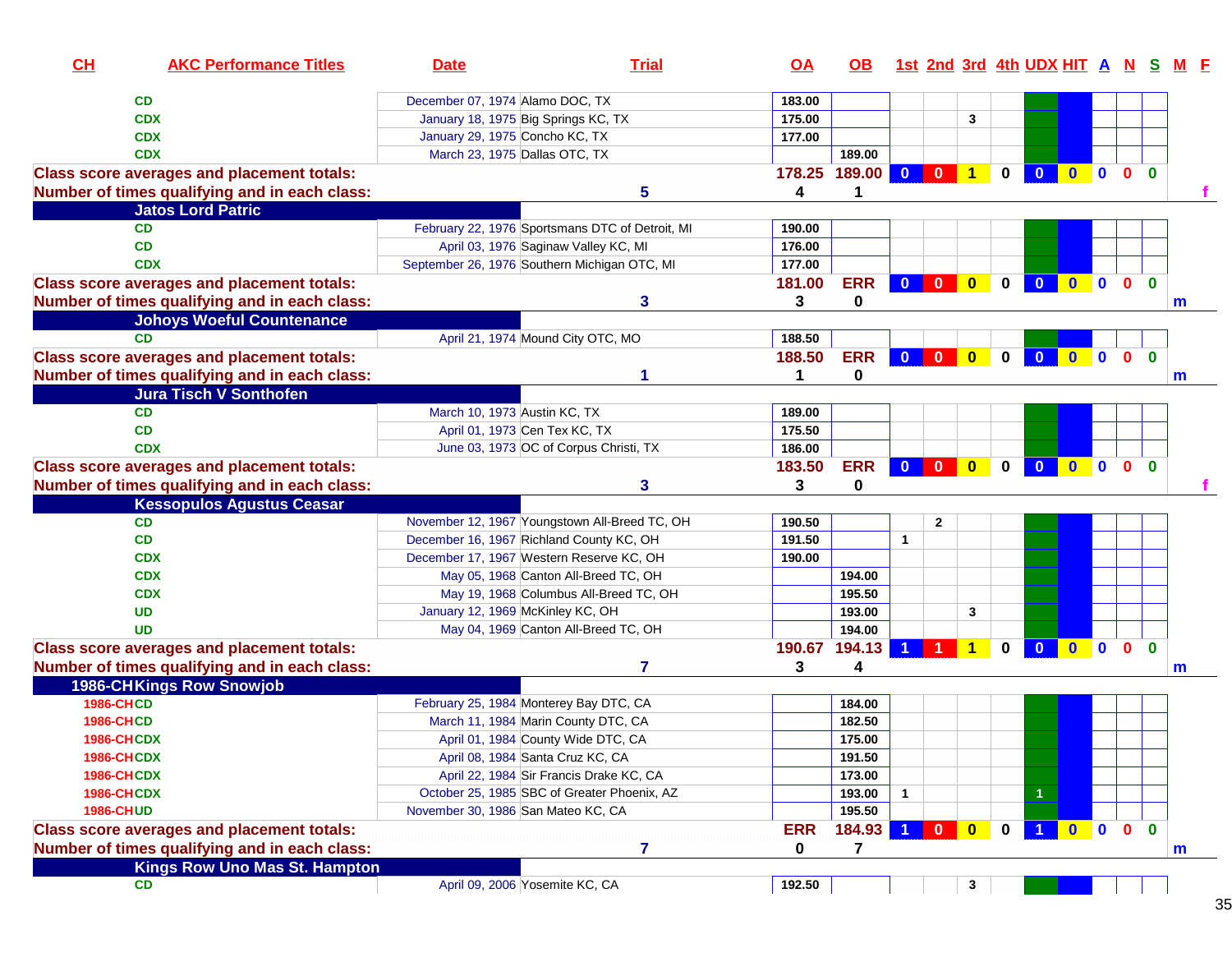| CH                | <b>AKC Performance Titles</b>                     | <b>Date</b>                        | <b>Trial</b>                                    | <u>OA</u>  | OB.               |                         |                         |                |              | 1st 2nd 3rd 4th UDX HIT A N S M F |              |                          |                              |              |              |
|-------------------|---------------------------------------------------|------------------------------------|-------------------------------------------------|------------|-------------------|-------------------------|-------------------------|----------------|--------------|-----------------------------------|--------------|--------------------------|------------------------------|--------------|--------------|
|                   | CD                                                | December 07, 1974 Alamo DOC, TX    |                                                 | 183.00     |                   |                         |                         |                |              |                                   |              |                          |                              |              |              |
|                   | <b>CDX</b>                                        |                                    | January 18, 1975 Big Springs KC, TX             | 175.00     |                   |                         |                         | 3              |              |                                   |              |                          |                              |              |              |
|                   | <b>CDX</b>                                        | January 29, 1975 Concho KC, TX     |                                                 | 177.00     |                   |                         |                         |                |              |                                   |              |                          |                              |              |              |
|                   | <b>CDX</b>                                        | March 23, 1975 Dallas OTC, TX      |                                                 |            | 189.00            |                         |                         |                |              |                                   |              |                          |                              |              |              |
|                   | <b>Class score averages and placement totals:</b> |                                    |                                                 |            | 178.25 189.00 0 0 |                         |                         | $\overline{1}$ | $\mathbf{0}$ | $\mathbf{0}$                      | $\mathbf{0}$ | $\mathbf{0}$             | 0 <sub>0</sub>               |              |              |
|                   | Number of times qualifying and in each class:     |                                    | 5                                               | 4          |                   |                         |                         |                |              |                                   |              |                          |                              |              |              |
|                   | <b>Jatos Lord Patric</b>                          |                                    |                                                 |            |                   |                         |                         |                |              |                                   |              |                          |                              |              |              |
|                   | <b>CD</b>                                         |                                    | February 22, 1976 Sportsmans DTC of Detroit, MI | 190.00     |                   |                         |                         |                |              |                                   |              |                          |                              |              |              |
|                   | CD                                                |                                    | April 03, 1976 Saginaw Valley KC, MI            | 176.00     |                   |                         |                         |                |              |                                   |              |                          |                              |              |              |
|                   | <b>CDX</b>                                        |                                    | September 26, 1976 Southern Michigan OTC, MI    | 177.00     |                   |                         |                         |                |              |                                   |              |                          |                              |              |              |
|                   | <b>Class score averages and placement totals:</b> |                                    |                                                 | 181.00     | <b>ERR</b>        | $\overline{\mathbf{0}}$ | $\bullet$               | $\bullet$      | $\mathbf 0$  | $\mathbf{0}$                      | $\bullet$    | $\blacksquare$           | $\mathbf{0}$<br>$\mathbf{0}$ |              |              |
|                   | Number of times qualifying and in each class:     |                                    | 3                                               | 3          | 0                 |                         |                         |                |              |                                   |              |                          |                              |              | m            |
|                   | <b>Johoys Woeful Countenance</b>                  |                                    |                                                 |            |                   |                         |                         |                |              |                                   |              |                          |                              |              |              |
|                   | CD                                                |                                    | April 21, 1974 Mound City OTC, MO               | 188.50     |                   |                         |                         |                |              |                                   |              |                          |                              |              |              |
|                   | <b>Class score averages and placement totals:</b> |                                    |                                                 | 188.50     | <b>ERR</b>        | $\overline{\mathbf{0}}$ | $\overline{\mathbf{0}}$ | $\bullet$      | $\mathbf{0}$ | $\mathbf{0}$                      | $\bullet$    | $\overline{\phantom{a}}$ | $\mathbf{0}$<br>$\mathbf{0}$ |              |              |
|                   | Number of times qualifying and in each class:     |                                    | 1                                               |            | $\bf{0}$          |                         |                         |                |              |                                   |              |                          |                              | $\mathsf{m}$ |              |
|                   | <b>Jura Tisch V Sonthofen</b>                     |                                    |                                                 |            |                   |                         |                         |                |              |                                   |              |                          |                              |              |              |
|                   | <b>CD</b>                                         | March 10, 1973 Austin KC, TX       |                                                 | 189.00     |                   |                         |                         |                |              |                                   |              |                          |                              |              |              |
|                   | CD                                                |                                    | April 01, 1973 Cen Tex KC, TX                   | 175.50     |                   |                         |                         |                |              |                                   |              |                          |                              |              |              |
|                   | <b>CDX</b>                                        |                                    | June 03, 1973 OC of Corpus Christi, TX          | 186.00     |                   |                         |                         |                |              |                                   |              |                          |                              |              |              |
|                   | <b>Class score averages and placement totals:</b> |                                    |                                                 | 183.50     | <b>ERR</b>        | $\mathbf{0}$            |                         | $\bullet$      | $\mathbf 0$  | $\overline{\mathbf{0}}$           |              |                          | 0 <sub>0</sub>               |              |              |
|                   | Number of times qualifying and in each class:     |                                    | 3                                               | 3          | $\bf{0}$          |                         |                         |                |              |                                   |              |                          |                              |              |              |
|                   | <b>Kessopulos Agustus Ceasar</b>                  |                                    |                                                 |            |                   |                         |                         |                |              |                                   |              |                          |                              |              |              |
|                   | <b>CD</b>                                         |                                    | November 12, 1967 Youngstown All-Breed TC, OH   | 190.50     |                   |                         | $\mathbf{2}$            |                |              |                                   |              |                          |                              |              |              |
|                   | CD                                                |                                    | December 16, 1967 Richland County KC, OH        | 191.50     |                   | $\mathbf{1}$            |                         |                |              |                                   |              |                          |                              |              |              |
|                   | <b>CDX</b>                                        |                                    | December 17, 1967 Western Reserve KC, OH        | 190.00     |                   |                         |                         |                |              |                                   |              |                          |                              |              |              |
|                   | <b>CDX</b>                                        |                                    | May 05, 1968 Canton All-Breed TC, OH            |            | 194.00            |                         |                         |                |              |                                   |              |                          |                              |              |              |
|                   | <b>CDX</b>                                        |                                    | May 19, 1968 Columbus All-Breed TC, OH          |            | 195.50            |                         |                         |                |              |                                   |              |                          |                              |              |              |
|                   | <b>UD</b>                                         | January 12, 1969 McKinley KC, OH   |                                                 |            | 193.00            |                         |                         | 3              |              |                                   |              |                          |                              |              |              |
|                   | <b>UD</b>                                         |                                    | May 04, 1969 Canton All-Breed TC, OH            |            | 194.00            |                         |                         |                |              |                                   |              |                          |                              |              |              |
|                   | <b>Class score averages and placement totals:</b> |                                    |                                                 | 190.67     | 194.13            |                         |                         | 1              | $\bf{0}$     | $\mathbf{0}$                      | $\mathbf{0}$ | $\mathbf{0}$             | $\mathbf{0}$<br>$\mathbf{0}$ |              |              |
|                   | Number of times qualifying and in each class:     |                                    | 7                                               | 3          | 4                 |                         |                         |                |              |                                   |              |                          |                              | m            |              |
|                   | 1986-CHKings Row Snowjob                          |                                    |                                                 |            |                   |                         |                         |                |              |                                   |              |                          |                              |              |              |
| <b>1986-CHCD</b>  |                                                   |                                    | February 25, 1984 Monterey Bay DTC, CA          |            | 184.00            |                         |                         |                |              |                                   |              |                          |                              |              |              |
| <b>1986-CHCD</b>  |                                                   |                                    | March 11, 1984 Marin County DTC, CA             |            | 182.50            |                         |                         |                |              |                                   |              |                          |                              |              |              |
| <b>1986-CHCDX</b> |                                                   |                                    | April 01, 1984 County Wide DTC, CA              |            | 175.00            |                         |                         |                |              |                                   |              |                          |                              |              |              |
| <b>1986-CHCDX</b> |                                                   |                                    | April 08, 1984 Santa Cruz KC, CA                |            | 191.50            |                         |                         |                |              |                                   |              |                          |                              |              |              |
| <b>1986-CHCDX</b> |                                                   |                                    | April 22, 1984 Sir Francis Drake KC, CA         |            | 173.00            |                         |                         |                |              |                                   |              |                          |                              |              |              |
| <b>1986-CHCDX</b> |                                                   |                                    | October 25, 1985 SBC of Greater Phoenix, AZ     |            | 193.00            |                         |                         |                |              |                                   |              |                          |                              |              |              |
| <b>1986-CHUD</b>  |                                                   | November 30, 1986 San Mateo KC, CA |                                                 |            | 195.50            |                         |                         |                |              |                                   |              |                          |                              |              |              |
|                   | <b>Class score averages and placement totals:</b> |                                    |                                                 | <b>ERR</b> | 184.93            |                         | $\mathbf{0}$            | $\mathbf{0}$   | $\bf{0}$     |                                   | $\mathbf{0}$ | $\overline{\bullet}$     | 0 <sub>0</sub>               |              |              |
|                   | Number of times qualifying and in each class:     |                                    | $\overline{7}$                                  | 0          | 7                 |                         |                         |                |              |                                   |              |                          |                              |              | $\mathbf{m}$ |
|                   | <b>Kings Row Uno Mas St. Hampton</b>              |                                    |                                                 |            |                   |                         |                         |                |              |                                   |              |                          |                              |              |              |
|                   | <b>CD</b>                                         |                                    | April 09, 2006 Yosemite KC, CA                  | 192.50     |                   |                         |                         | 3              |              |                                   |              |                          |                              |              |              |
|                   |                                                   |                                    |                                                 |            |                   |                         |                         |                |              |                                   |              |                          |                              |              | 35           |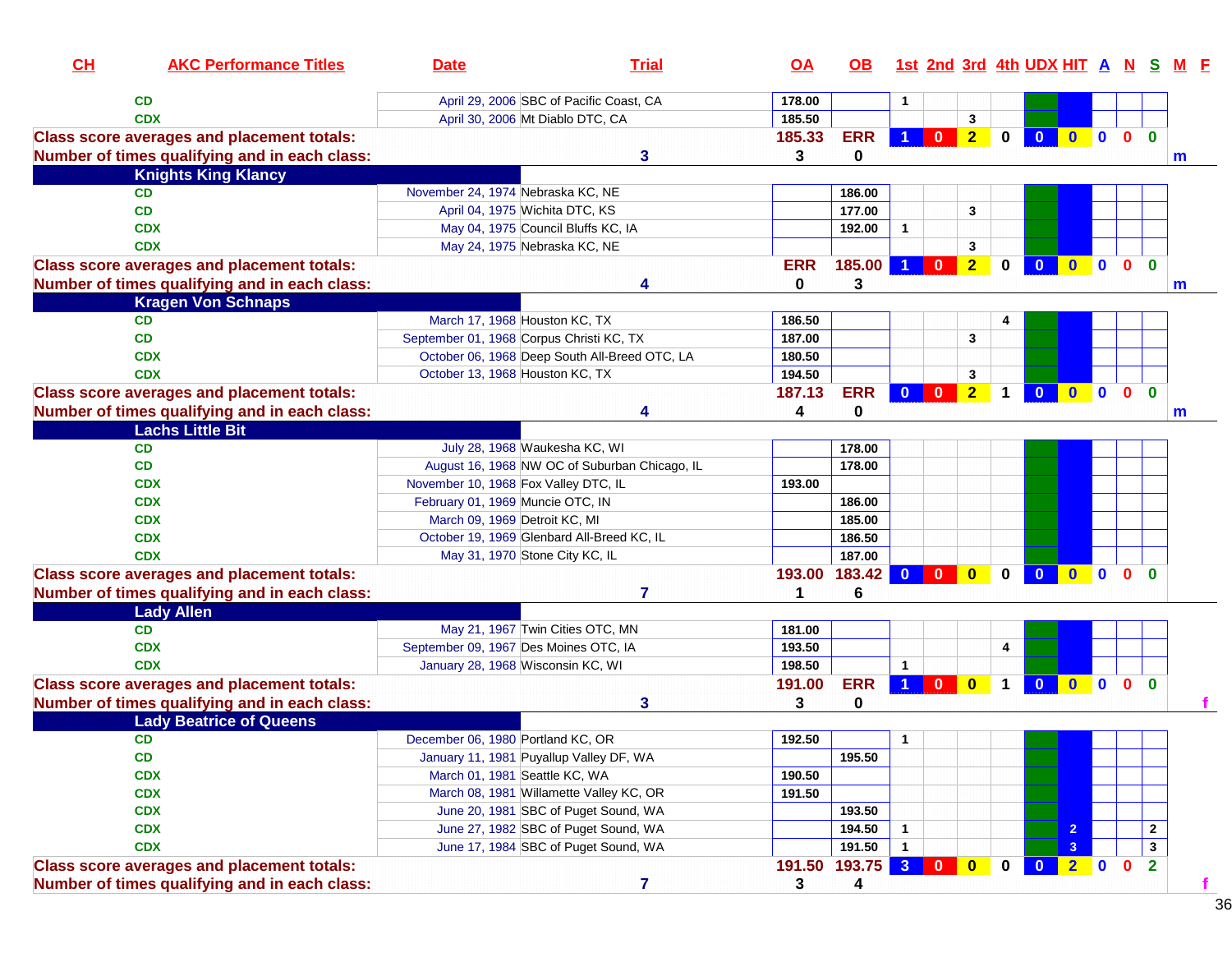| CL | <b>AKC Performance Titles</b>                                                                      | <b>Date</b>                       | <b>Trial</b>                                  | <u>OA</u>  | OB.               |                      |                         |                         |              | 1st 2nd 3rd 4th UDX HIT A N S |                |              |                              |                |
|----|----------------------------------------------------------------------------------------------------|-----------------------------------|-----------------------------------------------|------------|-------------------|----------------------|-------------------------|-------------------------|--------------|-------------------------------|----------------|--------------|------------------------------|----------------|
|    | <b>CD</b>                                                                                          |                                   | April 29, 2006 SBC of Pacific Coast, CA       | 178.00     |                   |                      |                         |                         |              |                               |                |              |                              |                |
|    | <b>CDX</b>                                                                                         |                                   | April 30, 2006 Mt Diablo DTC, CA              | 185.50     |                   |                      |                         | 3                       |              |                               |                |              |                              |                |
|    | <b>Class score averages and placement totals:</b>                                                  |                                   |                                               | 185.33     | <b>ERR</b>        |                      | $\mathbf{0}$            | $\overline{2}$          | $\bf{0}$     | $\mathbf{0}$                  | $\mathbf{0}$   | $\mathbf{0}$ | $\mathbf{0}$<br>$\bf{0}$     |                |
|    | Number of times qualifying and in each class:                                                      |                                   | 3                                             | 3          | 0                 |                      |                         |                         |              |                               |                |              |                              | m              |
|    | <b>Knights King Klancy</b>                                                                         |                                   |                                               |            |                   |                      |                         |                         |              |                               |                |              |                              |                |
|    | <b>CD</b>                                                                                          | November 24, 1974 Nebraska KC, NE |                                               |            | 186.00            |                      |                         |                         |              |                               |                |              |                              |                |
|    | <b>CD</b>                                                                                          |                                   | April 04, 1975 Wichita DTC, KS                |            | 177.00            |                      |                         | 3                       |              |                               |                |              |                              |                |
|    | <b>CDX</b>                                                                                         |                                   | May 04, 1975 Council Bluffs KC, IA            |            | 192.00            | $\mathbf{1}$         |                         |                         |              |                               |                |              |                              |                |
|    | <b>CDX</b>                                                                                         |                                   | May 24, 1975 Nebraska KC, NE                  |            |                   |                      |                         | 3                       |              |                               |                |              |                              |                |
|    | <b>Class score averages and placement totals:</b>                                                  |                                   |                                               | <b>ERR</b> | 185.00            | $\blacktriangleleft$ | $\overline{\mathbf{0}}$ | $\overline{2}$          | $\mathbf{0}$ | $\mathbf{0}$                  | $\mathbf{0}$   | $\mathbf 0$  | $\mathbf{0}$<br>$\mathbf{0}$ |                |
|    | Number of times qualifying and in each class:                                                      |                                   | 4                                             | 0          | 3                 |                      |                         |                         |              |                               |                |              |                              | m              |
|    | <b>Kragen Von Schnaps</b>                                                                          |                                   |                                               |            |                   |                      |                         |                         |              |                               |                |              |                              |                |
|    | <b>CD</b>                                                                                          |                                   | March 17, 1968 Houston KC, TX                 | 186.50     |                   |                      |                         |                         |              |                               |                |              |                              |                |
|    | <b>CD</b>                                                                                          |                                   | September 01, 1968 Corpus Christi KC, TX      | 187.00     |                   |                      |                         | 3                       |              |                               |                |              |                              |                |
|    | <b>CDX</b>                                                                                         |                                   | October 06, 1968 Deep South All-Breed OTC, LA | 180.50     |                   |                      |                         |                         |              |                               |                |              |                              |                |
|    | <b>CDX</b>                                                                                         |                                   | October 13, 1968 Houston KC, TX               | 194.50     |                   |                      |                         | 3                       |              |                               |                |              |                              |                |
|    | <b>Class score averages and placement totals:</b>                                                  |                                   |                                               | 187.13     | <b>ERR</b>        | $\mathbf{0}$         | $\mathbf{0}$            | $\overline{2}$          | $\mathbf 1$  | $\mathbf{0}$                  | $0$ 0          |              | $\mathbf{0}$<br>$\mathbf{0}$ |                |
|    | Number of times qualifying and in each class:                                                      |                                   |                                               | 4          | 0                 |                      |                         |                         |              |                               |                |              |                              | m              |
|    | <b>Lachs Little Bit</b>                                                                            |                                   |                                               |            |                   |                      |                         |                         |              |                               |                |              |                              |                |
|    | <b>CD</b>                                                                                          |                                   | July 28, 1968 Waukesha KC, WI                 |            | 178.00            |                      |                         |                         |              |                               |                |              |                              |                |
|    | CD                                                                                                 |                                   | August 16, 1968 NW OC of Suburban Chicago, IL |            | 178.00            |                      |                         |                         |              |                               |                |              |                              |                |
|    | <b>CDX</b>                                                                                         |                                   | November 10, 1968 Fox Valley DTC, IL          | 193.00     |                   |                      |                         |                         |              |                               |                |              |                              |                |
|    | <b>CDX</b>                                                                                         | February 01, 1969 Muncie OTC, IN  |                                               |            | 186.00            |                      |                         |                         |              |                               |                |              |                              |                |
|    | <b>CDX</b>                                                                                         | March 09, 1969 Detroit KC, MI     |                                               |            | 185.00            |                      |                         |                         |              |                               |                |              |                              |                |
|    | <b>CDX</b>                                                                                         |                                   | October 19, 1969 Glenbard All-Breed KC, IL    |            | 186.50            |                      |                         |                         |              |                               |                |              |                              |                |
|    | <b>CDX</b>                                                                                         |                                   | May 31, 1970 Stone City KC, IL                |            | 187.00            |                      |                         |                         |              |                               |                |              |                              |                |
|    | <b>Class score averages and placement totals:</b><br>Number of times qualifying and in each class: |                                   | 7                                             | 193.00     | 183.42<br>6       | $\mathbf{0}$         | $\mathbf{0}$            | $\mathbf{0}$            | $\mathbf{0}$ | $\mathbf{0}$                  | $\bullet$      | $\mathbf{0}$ | $\mathbf{0}$<br>$\bf{0}$     |                |
|    | <b>Lady Allen</b>                                                                                  |                                   |                                               |            |                   |                      |                         |                         |              |                               |                |              |                              |                |
|    | <b>CD</b>                                                                                          |                                   | May 21, 1967 Twin Cities OTC, MN              | 181.00     |                   |                      |                         |                         |              |                               |                |              |                              |                |
|    | <b>CDX</b>                                                                                         |                                   | September 09, 1967 Des Moines OTC, IA         | 193.50     |                   |                      |                         |                         | 4            |                               |                |              |                              |                |
|    | <b>CDX</b>                                                                                         |                                   | January 28, 1968 Wisconsin KC, WI             | 198.50     |                   | $\mathbf{1}$         |                         |                         |              |                               |                |              |                              |                |
|    | <b>Class score averages and placement totals:</b>                                                  |                                   |                                               | 191.00     | <b>ERR</b>        | $\overline{1}$       | $\mathbf{0}$            | $\overline{\mathbf{0}}$ | $\mathbf 1$  | $\bullet$                     | $0$ 0          |              | $\bullet$<br>$\mathbf{0}$    |                |
|    | Number of times qualifying and in each class:                                                      |                                   | 3                                             | 3          | 0                 |                      |                         |                         |              |                               |                |              |                              |                |
|    | <b>Lady Beatrice of Queens</b>                                                                     |                                   |                                               |            |                   |                      |                         |                         |              |                               |                |              |                              |                |
|    | CD                                                                                                 | December 06, 1980 Portland KC, OR |                                               | 192.50     |                   | $\mathbf{1}$         |                         |                         |              |                               |                |              |                              |                |
|    | CD                                                                                                 |                                   | January 11, 1981 Puyallup Valley DF, WA       |            | 195.50            |                      |                         |                         |              |                               |                |              |                              |                |
|    | <b>CDX</b>                                                                                         |                                   | March 01, 1981 Seattle KC, WA                 | 190.50     |                   |                      |                         |                         |              |                               |                |              |                              |                |
|    | <b>CDX</b>                                                                                         |                                   | March 08, 1981 Willamette Valley KC, OR       | 191.50     |                   |                      |                         |                         |              |                               |                |              |                              |                |
|    | <b>CDX</b>                                                                                         |                                   | June 20, 1981 SBC of Puget Sound, WA          |            | 193.50            |                      |                         |                         |              |                               |                |              |                              |                |
|    | <b>CDX</b>                                                                                         |                                   | June 27, 1982 SBC of Puget Sound, WA          |            | 194.50            | $\mathbf{1}$         |                         |                         |              |                               | $\overline{2}$ |              |                              | $\mathbf{2}$   |
|    | <b>CDX</b>                                                                                         |                                   | June 17, 1984 SBC of Puget Sound, WA          |            | 191.50            | $\mathbf{1}$         |                         |                         |              |                               | 3              |              |                              | $\mathbf 3$    |
|    | <b>Class score averages and placement totals:</b>                                                  |                                   |                                               |            | 191.50 193.75 3 0 |                      |                         | $\bullet$               | $\mathbf 0$  | $\bullet$                     | $\overline{2}$ | $\mathbf{0}$ | $\mathbf 0$                  | $\overline{2}$ |
|    | Number of times qualifying and in each class:                                                      |                                   | $\overline{7}$                                | 3          | 4                 |                      |                         |                         |              |                               |                |              |                              | $\mathbf f$    |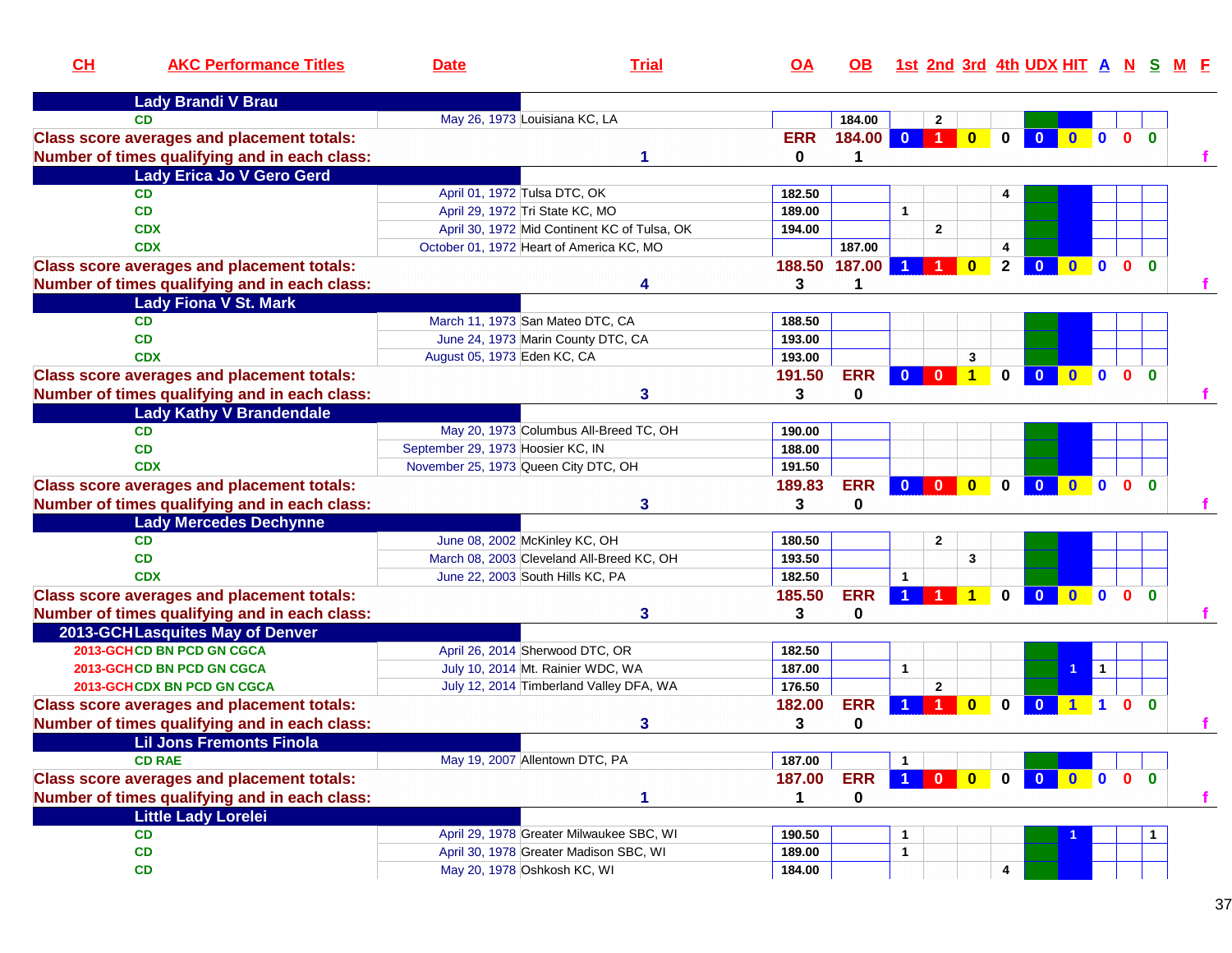| CH | <b>AKC Performance Titles</b>                     | <b>Date</b>                          | <b>Trial</b>                                 | $\overline{OA}$ | <b>OB</b>   |                      |                                                                 |                      |              | 1st 2nd 3rd 4th UDX HIT A N S |                     |              |                |              |   |
|----|---------------------------------------------------|--------------------------------------|----------------------------------------------|-----------------|-------------|----------------------|-----------------------------------------------------------------|----------------------|--------------|-------------------------------|---------------------|--------------|----------------|--------------|---|
|    | <b>Lady Brandi V Brau</b>                         |                                      |                                              |                 |             |                      |                                                                 |                      |              |                               |                     |              |                |              |   |
|    | <b>CD</b>                                         | May 26, 1973 Louisiana KC, LA        |                                              |                 | 184.00      |                      | $\mathbf{2}$                                                    |                      |              |                               |                     |              |                |              |   |
|    | <b>Class score averages and placement totals:</b> |                                      |                                              | <b>ERR</b>      | 184.00      | $\mathbf{0}$         | -1                                                              |                      | 0            |                               |                     | $\mathbf{0}$ | $\Omega$       | $\Omega$     |   |
|    | Number of times qualifying and in each class:     |                                      |                                              | 0               |             |                      |                                                                 |                      |              |                               |                     |              |                |              |   |
|    | <b>Lady Erica Jo V Gero Gerd</b>                  |                                      |                                              |                 |             |                      |                                                                 |                      |              |                               |                     |              |                |              |   |
|    | <b>CD</b>                                         | April 01, 1972 Tulsa DTC, OK         |                                              | 182.50          |             |                      |                                                                 |                      |              |                               |                     |              |                |              |   |
|    | <b>CD</b>                                         | April 29, 1972 Tri State KC, MO      |                                              | 189.00          |             | $\mathbf{1}$         |                                                                 |                      |              |                               |                     |              |                |              |   |
|    | <b>CDX</b>                                        |                                      | April 30, 1972 Mid Continent KC of Tulsa, OK | 194.00          |             |                      | $\mathbf{2}$                                                    |                      |              |                               |                     |              |                |              |   |
|    | <b>CDX</b>                                        |                                      | October 01, 1972 Heart of America KC, MO     |                 | 187.00      |                      |                                                                 |                      | 4            |                               |                     |              |                |              |   |
|    | <b>Class score averages and placement totals:</b> |                                      |                                              | 188.50          | 187.00      |                      |                                                                 | $\mathbf{0}$         | $\mathbf{2}$ |                               | $\mathbf{0}$        | $\bullet$    | $\mathbf{0}$   | $\mathbf{0}$ |   |
|    | Number of times qualifying and in each class:     |                                      |                                              | 3               |             |                      |                                                                 |                      |              |                               |                     |              |                |              |   |
|    | <b>Lady Fiona V St. Mark</b>                      |                                      |                                              |                 |             |                      |                                                                 |                      |              |                               |                     |              |                |              |   |
|    | <b>CD</b>                                         | March 11, 1973 San Mateo DTC, CA     |                                              | 188.50          |             |                      |                                                                 |                      |              |                               |                     |              |                |              |   |
|    | <b>CD</b>                                         |                                      | June 24, 1973 Marin County DTC, CA           | 193.00          |             |                      |                                                                 |                      |              |                               |                     |              |                |              |   |
|    | <b>CDX</b>                                        | August 05, 1973 Eden KC, CA          |                                              | 193.00          |             |                      |                                                                 | 3                    |              |                               |                     |              |                |              |   |
|    | <b>Class score averages and placement totals:</b> |                                      |                                              | 191.50          | <b>ERR</b>  | $\Omega$             | $\mathbf{0}$                                                    | $\blacktriangleleft$ | $\mathbf{0}$ | $\mathbf{0}$                  | $\mathbf{0}$        | $\mathbf{0}$ | $\mathbf{0}$   | $\mathbf{0}$ |   |
|    | Number of times qualifying and in each class:     |                                      | 3                                            | 3               | $\mathbf 0$ |                      |                                                                 |                      |              |                               |                     |              |                |              |   |
|    | <b>Lady Kathy V Brandendale</b>                   |                                      |                                              |                 |             |                      |                                                                 |                      |              |                               |                     |              |                |              |   |
|    | <b>CD</b>                                         |                                      | May 20, 1973 Columbus All-Breed TC, OH       | 190.00          |             |                      |                                                                 |                      |              |                               |                     |              |                |              |   |
|    | <b>CD</b>                                         | September 29, 1973 Hoosier KC, IN    |                                              | 188.00          |             |                      |                                                                 |                      |              |                               |                     |              |                |              |   |
|    | <b>CDX</b>                                        | November 25, 1973 Queen City DTC, OH |                                              | 191.50          |             |                      |                                                                 |                      |              |                               |                     |              |                |              |   |
|    | <b>Class score averages and placement totals:</b> |                                      |                                              | 189.83          | <b>ERR</b>  | $\mathbf{0}$         | $\Omega$                                                        | $\mathbf{0}$         | $\mathbf{0}$ | $\Omega$                      | $\mathbf{0}$        | $\mathbf{0}$ | $\mathbf{0}$   | $\mathbf{0}$ |   |
|    | Number of times qualifying and in each class:     |                                      | 3                                            | 3               | $\mathbf 0$ |                      |                                                                 |                      |              |                               |                     |              |                |              |   |
|    | <b>Lady Mercedes Dechynne</b>                     |                                      |                                              |                 |             |                      |                                                                 |                      |              |                               |                     |              |                |              |   |
|    | <b>CD</b>                                         | June 08, 2002 McKinley KC, OH        |                                              | 180.50          |             |                      | $\mathbf{2}$                                                    |                      |              |                               |                     |              |                |              |   |
|    | <b>CD</b>                                         |                                      | March 08, 2003 Cleveland All-Breed KC, OH    | 193.50          |             |                      |                                                                 | 3                    |              |                               |                     |              |                |              |   |
|    | <b>CDX</b>                                        | June 22, 2003 South Hills KC, PA     |                                              | 182.50          |             | $\blacktriangleleft$ |                                                                 |                      |              |                               |                     |              |                |              |   |
|    | <b>Class score averages and placement totals:</b> |                                      |                                              | 185.50          | <b>ERR</b>  |                      |                                                                 |                      | 0            | $\mathbf{0}$                  | $\bf{0}$            | $\mathbf{0}$ | $\mathbf{0}$   | $\mathbf{0}$ |   |
|    | Number of times qualifying and in each class:     |                                      | 3                                            | 3               | 0           |                      |                                                                 |                      |              |                               |                     |              |                |              |   |
|    | 2013-GCHLasquites May of Denver                   |                                      |                                              |                 |             |                      |                                                                 |                      |              |                               |                     |              |                |              |   |
|    | 2013-GCHCD BN PCD GN CGCA                         | April 26, 2014 Sherwood DTC, OR      |                                              | 182.50          |             |                      |                                                                 |                      |              |                               |                     |              |                |              |   |
|    | 2013-GCHCD BN PCD GN CGCA                         |                                      | July 10, 2014 Mt. Rainier WDC, WA            | 187.00          |             | $\mathbf{1}$         |                                                                 |                      |              |                               |                     | $\mathbf 1$  |                |              |   |
|    | <b>2013-GCHCDX BN PCD GN CGCA</b>                 |                                      | July 12, 2014 Timberland Valley DFA, WA      | 176.50          |             |                      | $\mathbf{2}$                                                    |                      |              |                               |                     |              |                |              |   |
|    | <b>Class score averages and placement totals:</b> |                                      |                                              | 182.00          | <b>ERR</b>  |                      |                                                                 | $\bf{0}$             | 0            |                               |                     |              | 0              | $\mathbf{0}$ |   |
|    | Number of times qualifying and in each class:     |                                      | 3                                            | 3               | $\bf{0}$    |                      |                                                                 |                      |              |                               |                     |              |                |              |   |
|    | <b>Lil Jons Fremonts Finola</b>                   |                                      |                                              |                 |             |                      |                                                                 |                      |              |                               |                     |              |                |              |   |
|    | <b>CD RAE</b>                                     | May 19, 2007 Allentown DTC, PA       |                                              | 187.00          |             | $\mathbf{1}$         |                                                                 |                      |              |                               |                     |              |                |              |   |
|    | <b>Class score averages and placement totals:</b> |                                      |                                              | 187.00          | <b>ERR</b>  | $\blacktriangleleft$ | $\begin{array}{ c c c c c }\n\hline\n0&\mathbf{0}\n\end{array}$ |                      | $\mathbf 0$  | $\mathbf{0}$                  | $\bullet$ $\bullet$ |              | 0 <sub>0</sub> |              |   |
|    | Number of times qualifying and in each class:     |                                      |                                              | 1               | $\mathbf 0$ |                      |                                                                 |                      |              |                               |                     |              |                |              | f |
|    | <b>Little Lady Lorelei</b>                        |                                      |                                              |                 |             |                      |                                                                 |                      |              |                               |                     |              |                |              |   |
|    | <b>CD</b>                                         |                                      | April 29, 1978 Greater Milwaukee SBC, WI     | 190.50          |             | $\mathbf{1}$         |                                                                 |                      |              |                               |                     |              |                |              |   |
|    | CD                                                |                                      | April 30, 1978 Greater Madison SBC, WI       | 189.00          |             | $\mathbf{1}$         |                                                                 |                      |              |                               |                     |              |                |              |   |
|    | CD                                                | May 20, 1978 Oshkosh KC, WI          |                                              | 184.00          |             |                      |                                                                 |                      | 4            |                               |                     |              |                |              |   |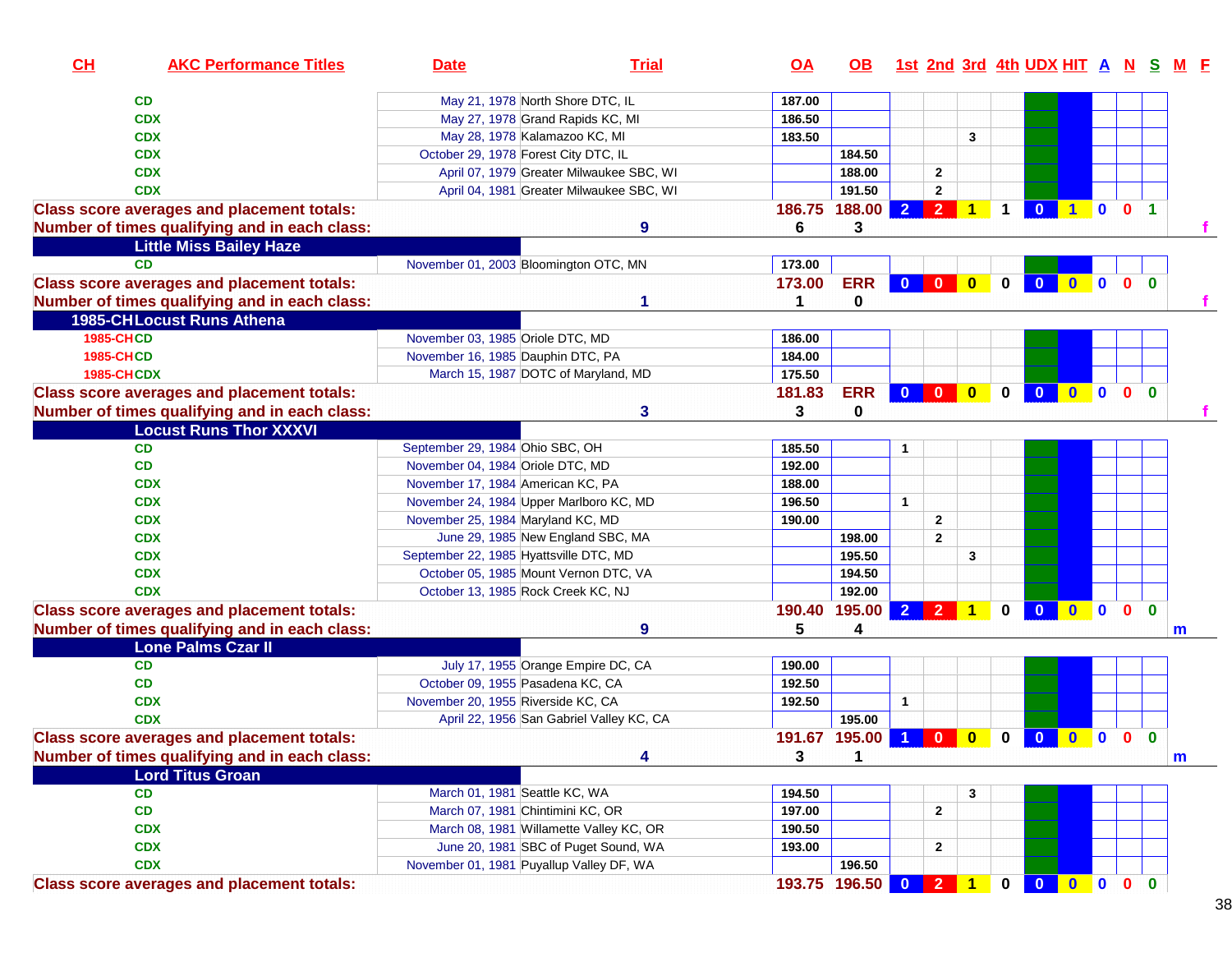| CH                | <b>AKC Performance Titles</b>                     | <b>Date</b>                        | <b>Trial</b>                             | <u>OA</u> | OB .          |                         |                                                                    |                         |                      | 1st 2nd 3rd 4th UDX HIT A N S M F |              |                         |              |                      |              |
|-------------------|---------------------------------------------------|------------------------------------|------------------------------------------|-----------|---------------|-------------------------|--------------------------------------------------------------------|-------------------------|----------------------|-----------------------------------|--------------|-------------------------|--------------|----------------------|--------------|
|                   | CD                                                |                                    | May 21, 1978 North Shore DTC, IL         | 187.00    |               |                         |                                                                    |                         |                      |                                   |              |                         |              |                      |              |
|                   | <b>CDX</b>                                        |                                    | May 27, 1978 Grand Rapids KC, MI         | 186.50    |               |                         |                                                                    |                         |                      |                                   |              |                         |              |                      |              |
|                   | <b>CDX</b>                                        |                                    | May 28, 1978 Kalamazoo KC, MI            | 183.50    |               |                         |                                                                    | 3                       |                      |                                   |              |                         |              |                      |              |
|                   | <b>CDX</b>                                        |                                    | October 29, 1978 Forest City DTC, IL     |           | 184.50        |                         |                                                                    |                         |                      |                                   |              |                         |              |                      |              |
|                   | <b>CDX</b>                                        |                                    | April 07, 1979 Greater Milwaukee SBC, WI |           | 188.00        |                         | $\overline{\mathbf{2}}$                                            |                         |                      |                                   |              |                         |              |                      |              |
|                   | <b>CDX</b>                                        |                                    | April 04, 1981 Greater Milwaukee SBC, WI |           | 191.50        |                         | $\mathbf{2}$                                                       |                         |                      |                                   |              |                         |              |                      |              |
|                   | <b>Class score averages and placement totals:</b> |                                    |                                          | 186.75    | 188.00        | 2 <sup>1</sup>          | 2 <sup>1</sup>                                                     | $\overline{1}$          | $\blacktriangleleft$ | $\mathbf{0}$                      |              | $\mathbf 0$             | $\bullet$    | $\blacktriangleleft$ |              |
|                   | Number of times qualifying and in each class:     |                                    | 9                                        | 6         | 3             |                         |                                                                    |                         |                      |                                   |              |                         |              |                      |              |
|                   | <b>Little Miss Bailey Haze</b>                    |                                    |                                          |           |               |                         |                                                                    |                         |                      |                                   |              |                         |              |                      |              |
|                   | <b>CD</b>                                         |                                    | November 01, 2003 Bloomington OTC, MN    | 173.00    |               |                         |                                                                    |                         |                      |                                   |              |                         |              |                      |              |
|                   | <b>Class score averages and placement totals:</b> |                                    |                                          | 173.00    | <b>ERR</b>    | $\overline{\mathbf{0}}$ | $\mathbf{0}$                                                       | $\bullet$               | $\mathbf 0$          | $\mathbf{0}$                      | $\mathbf{0}$ | $\overline{\mathbf{0}}$ | $\mathbf{0}$ | $\mathbf{0}$         |              |
|                   | Number of times qualifying and in each class:     |                                    |                                          | 1         | 0             |                         |                                                                    |                         |                      |                                   |              |                         |              |                      |              |
|                   | <b>1985-CHLocust Runs Athena</b>                  |                                    |                                          |           |               |                         |                                                                    |                         |                      |                                   |              |                         |              |                      |              |
| <b>1985-CHCD</b>  |                                                   | November 03, 1985 Oriole DTC, MD   |                                          | 186.00    |               |                         |                                                                    |                         |                      |                                   |              |                         |              |                      |              |
| <b>1985-CHCD</b>  |                                                   | November 16, 1985 Dauphin DTC, PA  |                                          | 184.00    |               |                         |                                                                    |                         |                      |                                   |              |                         |              |                      |              |
| <b>1985-CHCDX</b> |                                                   |                                    | March 15, 1987 DOTC of Maryland, MD      | 175.50    |               |                         |                                                                    |                         |                      |                                   |              |                         |              |                      |              |
|                   | <b>Class score averages and placement totals:</b> |                                    |                                          | 181.83    | <b>ERR</b>    | $\mathbf{0}$            | $\begin{array}{ c c c c c }\n\hline\n0 & 0 \\ \hline\n\end{array}$ |                         | $\mathbf 0$          | $\mathbf{0}$                      | $0$ 0        |                         | $\mathbf{0}$ | $\mathbf{0}$         |              |
|                   | Number of times qualifying and in each class:     |                                    | 3                                        | 3         | 0             |                         |                                                                    |                         |                      |                                   |              |                         |              |                      |              |
|                   | <b>Locust Runs Thor XXXVI</b>                     |                                    |                                          |           |               |                         |                                                                    |                         |                      |                                   |              |                         |              |                      |              |
|                   | <b>CD</b>                                         | September 29, 1984 Ohio SBC, OH    |                                          | 185.50    |               | 1                       |                                                                    |                         |                      |                                   |              |                         |              |                      |              |
|                   | CD                                                | November 04, 1984 Oriole DTC, MD   |                                          | 192.00    |               |                         |                                                                    |                         |                      |                                   |              |                         |              |                      |              |
|                   | <b>CDX</b>                                        | November 17, 1984 American KC, PA  |                                          | 188.00    |               |                         |                                                                    |                         |                      |                                   |              |                         |              |                      |              |
|                   | <b>CDX</b>                                        |                                    | November 24, 1984 Upper Marlboro KC, MD  | 196.50    |               | $\mathbf{1}$            |                                                                    |                         |                      |                                   |              |                         |              |                      |              |
|                   | <b>CDX</b>                                        | November 25, 1984 Maryland KC, MD  |                                          | 190.00    |               |                         | $\overline{\mathbf{2}}$                                            |                         |                      |                                   |              |                         |              |                      |              |
|                   | <b>CDX</b>                                        |                                    | June 29, 1985 New England SBC, MA        |           | 198.00        |                         | $\overline{2}$                                                     |                         |                      |                                   |              |                         |              |                      |              |
|                   | <b>CDX</b>                                        |                                    | September 22, 1985 Hyattsville DTC, MD   |           | 195.50        |                         |                                                                    | 3                       |                      |                                   |              |                         |              |                      |              |
|                   | <b>CDX</b>                                        |                                    | October 05, 1985 Mount Vernon DTC, VA    |           | 194.50        |                         |                                                                    |                         |                      |                                   |              |                         |              |                      |              |
|                   | <b>CDX</b>                                        |                                    | October 13, 1985 Rock Creek KC, NJ       |           | 192.00        |                         |                                                                    |                         |                      |                                   |              |                         |              |                      |              |
|                   | <b>Class score averages and placement totals:</b> |                                    |                                          | 190.40    | 195.00        | $\overline{2}$          |                                                                    | $\overline{2}$ 1        | $\bf{0}$             | $\mathbf{0}$                      | $0$ 0 $0$    |                         |              | $\mathbf{0}$         |              |
|                   | Number of times qualifying and in each class:     |                                    | 9                                        | 5         | 4             |                         |                                                                    |                         |                      |                                   |              |                         |              |                      | m            |
|                   | Lone Palms Czar II                                |                                    |                                          |           |               |                         |                                                                    |                         |                      |                                   |              |                         |              |                      |              |
|                   | CD                                                |                                    | July 17, 1955 Orange Empire DC, CA       | 190.00    |               |                         |                                                                    |                         |                      |                                   |              |                         |              |                      |              |
|                   | CD                                                |                                    | October 09, 1955 Pasadena KC, CA         | 192.50    |               |                         |                                                                    |                         |                      |                                   |              |                         |              |                      |              |
|                   | <b>CDX</b>                                        | November 20, 1955 Riverside KC, CA |                                          | 192.50    |               | $\mathbf{1}$            |                                                                    |                         |                      |                                   |              |                         |              |                      |              |
|                   | <b>CDX</b>                                        |                                    | April 22, 1956 San Gabriel Valley KC, CA |           | 195.00        |                         |                                                                    |                         |                      |                                   |              |                         |              |                      |              |
|                   | <b>Class score averages and placement totals:</b> |                                    |                                          |           | 191.67 195.00 | $\overline{1}$          | $\mathbf{0}$                                                       | $\overline{\mathbf{0}}$ | $\mathbf 0$          | $\overline{\mathbf{0}}$           | $0$ 0 0      |                         |              | $\bf{0}$             |              |
|                   | Number of times qualifying and in each class:     |                                    | 4                                        | 3         | 1             |                         |                                                                    |                         |                      |                                   |              |                         |              |                      | $\mathbf{m}$ |
|                   | <b>Lord Titus Groan</b>                           |                                    |                                          |           |               |                         |                                                                    |                         |                      |                                   |              |                         |              |                      |              |
|                   | <b>CD</b>                                         |                                    | March 01, 1981 Seattle KC, WA            | 194.50    |               |                         |                                                                    | 3                       |                      |                                   |              |                         |              |                      |              |
|                   | CD                                                |                                    | March 07, 1981 Chintimini KC, OR         | 197.00    |               |                         | 2                                                                  |                         |                      |                                   |              |                         |              |                      |              |
|                   | <b>CDX</b>                                        |                                    | March 08, 1981 Willamette Valley KC, OR  | 190.50    |               |                         |                                                                    |                         |                      |                                   |              |                         |              |                      |              |
|                   | <b>CDX</b>                                        |                                    | June 20, 1981 SBC of Puget Sound, WA     | 193.00    |               |                         | $\mathbf{2}$                                                       |                         |                      |                                   |              |                         |              |                      |              |
|                   | <b>CDX</b>                                        |                                    | November 01, 1981 Puyallup Valley DF, WA |           | 196.50        |                         |                                                                    |                         |                      |                                   |              |                         |              |                      |              |
|                   | <b>Class score averages and placement totals:</b> |                                    |                                          |           | 193.75 196.50 |                         | 0 2 1                                                              |                         | $\mathbf{0}$         | $\overline{\mathbf{0}}$           | $0$ 0 0      |                         |              | $\mathbf{0}$         |              |

38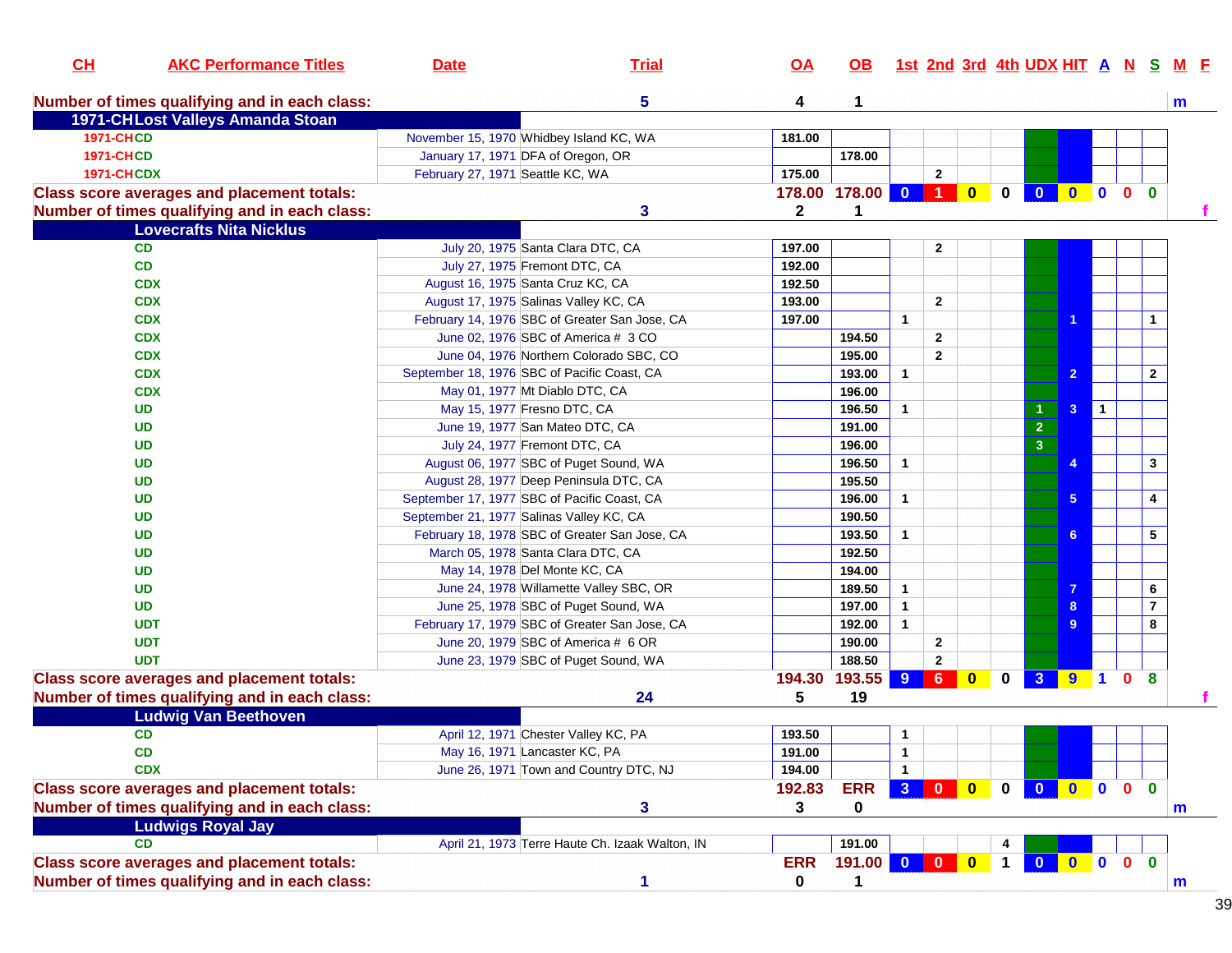| CL                | <b>AKC Performance Titles</b>                     | <b>Date</b>                                 | <b>Trial</b>                                    | $\overline{OA}$ | OB.                 |                |                         |                         |              | 1st 2nd 3rd 4th UDX HIT A N S |                 |                |                              | M F         |
|-------------------|---------------------------------------------------|---------------------------------------------|-------------------------------------------------|-----------------|---------------------|----------------|-------------------------|-------------------------|--------------|-------------------------------|-----------------|----------------|------------------------------|-------------|
|                   | Number of times qualifying and in each class:     |                                             | 5                                               | 4               | 1                   |                |                         |                         |              |                               |                 |                |                              | m           |
|                   | 1971-CHLost Valleys Amanda Stoan                  |                                             |                                                 |                 |                     |                |                         |                         |              |                               |                 |                |                              |             |
| <b>1971-CHCD</b>  |                                                   | November 15, 1970 Whidbey Island KC, WA     |                                                 | 181.00          |                     |                |                         |                         |              |                               |                 |                |                              |             |
| <b>1971-CHCD</b>  |                                                   | January 17, 1971 DFA of Oregon, OR          |                                                 |                 | 178.00              |                |                         |                         |              |                               |                 |                |                              |             |
| <b>1971-CHCDX</b> |                                                   | February 27, 1971 Seattle KC, WA            |                                                 | 175.00          |                     |                | $\overline{2}$          |                         |              |                               |                 |                |                              |             |
|                   | <b>Class score averages and placement totals:</b> |                                             |                                                 |                 | 178.00 178.00 0 1 0 |                |                         |                         | $\mathbf{0}$ |                               |                 |                | 0 0 0 0 0                    |             |
|                   | Number of times qualifying and in each class:     |                                             | 3                                               | $\mathbf 2$     | 1                   |                |                         |                         |              |                               |                 |                |                              |             |
|                   | <b>Lovecrafts Nita Nicklus</b>                    |                                             |                                                 |                 |                     |                |                         |                         |              |                               |                 |                |                              |             |
|                   | <b>CD</b>                                         |                                             | July 20, 1975 Santa Clara DTC, CA               | 197.00          |                     |                | $\mathbf{2}$            |                         |              |                               |                 |                |                              |             |
|                   | CD                                                | July 27, 1975 Fremont DTC, CA               |                                                 | 192.00          |                     |                |                         |                         |              |                               |                 |                |                              |             |
|                   | <b>CDX</b>                                        | August 16, 1975 Santa Cruz KC, CA           |                                                 | 192.50          |                     |                |                         |                         |              |                               |                 |                |                              |             |
|                   | <b>CDX</b>                                        |                                             | August 17, 1975 Salinas Valley KC, CA           | 193.00          |                     |                | $\overline{2}$          |                         |              |                               |                 |                |                              |             |
|                   | <b>CDX</b>                                        |                                             | February 14, 1976 SBC of Greater San Jose, CA   | 197.00          |                     | $\mathbf{1}$   |                         |                         |              |                               |                 |                | $\mathbf{1}$                 |             |
|                   | <b>CDX</b>                                        |                                             | June 02, 1976 SBC of America # 3 CO             |                 | 194.50              |                | $\overline{2}$          |                         |              |                               |                 |                |                              |             |
|                   | <b>CDX</b>                                        |                                             | June 04, 1976 Northern Colorado SBC, CO         |                 | 195.00              |                | $\overline{2}$          |                         |              |                               |                 |                |                              |             |
|                   | <b>CDX</b>                                        | September 18, 1976 SBC of Pacific Coast, CA |                                                 |                 | 193.00              | $\mathbf{1}$   |                         |                         |              |                               | $\overline{2}$  |                | $\overline{2}$               |             |
|                   | <b>CDX</b>                                        |                                             | May 01, 1977 Mt Diablo DTC, CA                  |                 | 196.00              |                |                         |                         |              |                               |                 |                |                              |             |
|                   | <b>UD</b>                                         | May 15, 1977 Fresno DTC, CA                 |                                                 |                 | 196.50              | $\mathbf 1$    |                         |                         |              |                               | 3               | $\overline{1}$ |                              |             |
|                   | <b>UD</b>                                         |                                             | June 19, 1977 San Mateo DTC, CA                 |                 | 191.00              |                |                         |                         |              | $\mathbf 2$                   |                 |                |                              |             |
|                   | <b>UD</b>                                         | July 24, 1977 Fremont DTC, CA               |                                                 |                 | 196.00              |                |                         |                         |              | $\overline{\mathbf{3}}$       |                 |                |                              |             |
|                   | <b>UD</b>                                         |                                             | August 06, 1977 SBC of Puget Sound, WA          |                 | 196.50              | $\mathbf{1}$   |                         |                         |              |                               |                 |                | $\mathbf{3}$                 |             |
|                   | <b>UD</b>                                         |                                             | August 28, 1977 Deep Peninsula DTC, CA          |                 | 195.50              |                |                         |                         |              |                               |                 |                |                              |             |
|                   | <b>UD</b>                                         | September 17, 1977 SBC of Pacific Coast, CA |                                                 |                 | 196.00              | $\mathbf{1}$   |                         |                         |              |                               | $5\phantom{.0}$ |                | $\overline{\mathbf{4}}$      |             |
|                   | <b>UD</b>                                         | September 21, 1977 Salinas Valley KC, CA    |                                                 |                 | 190.50              |                |                         |                         |              |                               |                 |                |                              |             |
|                   | <b>UD</b>                                         |                                             | February 18, 1978 SBC of Greater San Jose, CA   |                 | 193.50              | $\mathbf{1}$   |                         |                         |              |                               | 6               |                | 5                            |             |
|                   | <b>UD</b>                                         |                                             | March 05, 1978 Santa Clara DTC, CA              |                 | 192.50              |                |                         |                         |              |                               |                 |                |                              |             |
|                   | <b>UD</b>                                         | May 14, 1978 Del Monte KC, CA               |                                                 |                 | 194.00              |                |                         |                         |              |                               |                 |                |                              |             |
|                   | <b>UD</b>                                         |                                             | June 24, 1978 Willamette Valley SBC, OR         |                 | 189.50              | $\mathbf{1}$   |                         |                         |              |                               |                 |                | 6                            |             |
|                   | <b>UD</b>                                         |                                             | June 25, 1978 SBC of Puget Sound, WA            |                 | 197.00              | $\mathbf{1}$   |                         |                         |              |                               |                 |                | $\overline{7}$               |             |
|                   | <b>UDT</b>                                        |                                             | February 17, 1979 SBC of Greater San Jose, CA   |                 | 192.00              | $\mathbf{1}$   |                         |                         |              |                               | g               |                | 8                            |             |
|                   | <b>UDT</b>                                        |                                             | June 20, 1979 SBC of America # 6 OR             |                 | 190.00              |                | $\mathbf{2}$            |                         |              |                               |                 |                |                              |             |
|                   | <b>UDT</b>                                        |                                             | June 23, 1979 SBC of Puget Sound, WA            |                 | 188.50              |                | $\mathbf{2}$            |                         |              |                               |                 |                |                              |             |
|                   | <b>Class score averages and placement totals:</b> |                                             |                                                 | 194.30          | 193.55 9            |                | 6                       | $\bullet$               | $\mathbf 0$  |                               |                 |                | 3 9 1 0 8                    |             |
|                   | Number of times qualifying and in each class:     |                                             | 24                                              | 5               | 19                  |                |                         |                         |              |                               |                 |                |                              |             |
|                   | <b>Ludwig Van Beethoven</b>                       |                                             |                                                 |                 |                     |                |                         |                         |              |                               |                 |                |                              |             |
|                   | <b>CD</b>                                         |                                             | April 12, 1971 Chester Valley KC, PA            | 193.50          |                     | $\mathbf{1}$   |                         |                         |              |                               |                 |                |                              |             |
|                   | CD                                                | May 16, 1971 Lancaster KC, PA               |                                                 | 191.00          |                     | $\mathbf{1}$   |                         |                         |              |                               |                 |                |                              |             |
|                   | <b>CDX</b>                                        |                                             | June 26, 1971 Town and Country DTC, NJ          | 194.00          |                     | $\mathbf{1}$   |                         |                         |              |                               |                 |                |                              |             |
|                   | <b>Class score averages and placement totals:</b> |                                             |                                                 | 192.83          | <b>ERR</b>          | 3 <sup>1</sup> | $\overline{\mathbf{0}}$ | $\bullet$               | $0-1$        |                               |                 |                | 0 0 0 0 0                    |             |
|                   | Number of times qualifying and in each class:     |                                             | 3                                               | 3               | 0                   |                |                         |                         |              |                               |                 |                |                              | $\mathbf m$ |
|                   | <b>Ludwigs Royal Jay</b>                          |                                             |                                                 |                 |                     |                |                         |                         |              |                               |                 |                |                              |             |
|                   | <b>CD</b>                                         |                                             | April 21, 1973 Terre Haute Ch. Izaak Walton, IN |                 | 191.00              |                |                         |                         | 4            |                               |                 |                |                              |             |
|                   | <b>Class score averages and placement totals:</b> |                                             |                                                 | <b>ERR</b>      | 191.00              | $\overline{0}$ | $\overline{\mathbf{0}}$ | $\overline{\mathbf{0}}$ | $\mathbf 1$  | $\mathbf{0}$                  | $\bullet$       | $\bullet$      | $\mathbf{0}$<br>$\mathbf{0}$ |             |
|                   |                                                   |                                             | 1                                               |                 |                     |                |                         |                         |              |                               |                 |                |                              |             |
|                   | Number of times qualifying and in each class:     |                                             |                                                 | $\mathbf 0$     | 1                   |                |                         |                         |              |                               |                 |                |                              | $\mathbf m$ |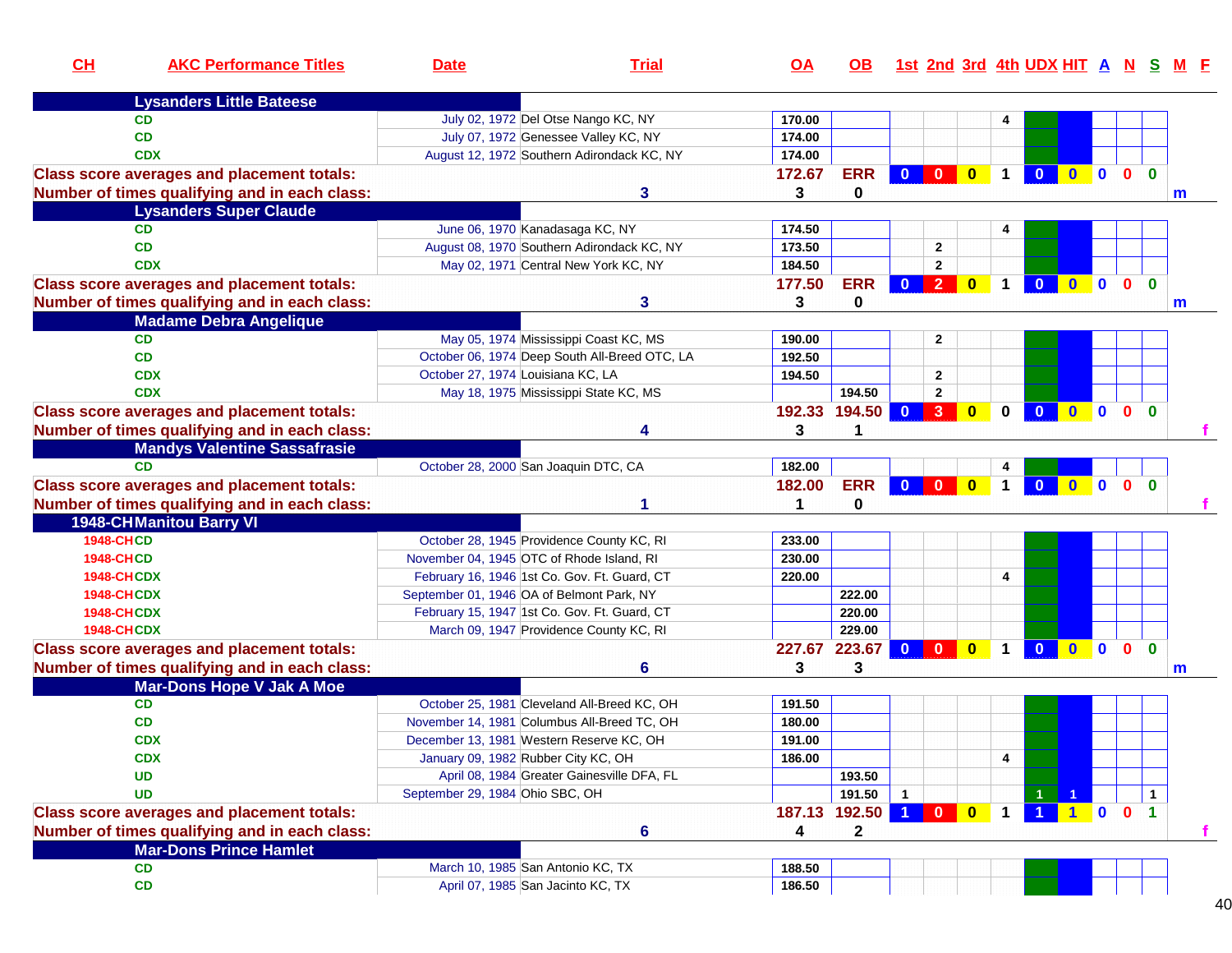| CH                | <b>AKC Performance Titles</b>                     | <b>Date</b>                         | <b>Trial</b>                                  | $\overline{OA}$ | OB.         | <u>1st 2nd 3rd 4th UDX HIT A N S M F</u>                   |                                                                    |                      |                         |                     |              |              |              |              |
|-------------------|---------------------------------------------------|-------------------------------------|-----------------------------------------------|-----------------|-------------|------------------------------------------------------------|--------------------------------------------------------------------|----------------------|-------------------------|---------------------|--------------|--------------|--------------|--------------|
|                   | <b>Lysanders Little Bateese</b>                   |                                     |                                               |                 |             |                                                            |                                                                    |                      |                         |                     |              |              |              |              |
|                   | <b>CD</b>                                         |                                     | July 02, 1972 Del Otse Nango KC, NY           | 170.00          |             |                                                            |                                                                    | 4                    |                         |                     |              |              |              |              |
|                   | <b>CD</b>                                         |                                     | July 07, 1972 Genessee Valley KC, NY          | 174.00          |             |                                                            |                                                                    |                      |                         |                     |              |              |              |              |
|                   | <b>CDX</b>                                        |                                     | August 12, 1972 Southern Adirondack KC, NY    | 174.00          |             |                                                            |                                                                    |                      |                         |                     |              |              |              |              |
|                   | <b>Class score averages and placement totals:</b> |                                     |                                               | 172.67          | <b>ERR</b>  | $\overline{\mathbf{0}}$                                    | $\begin{array}{ c c c c c }\n\hline\n0 & 0 \\ \hline\n\end{array}$ | $\blacktriangleleft$ | $\overline{0}$          | $\bullet$           | $\mathbf{0}$ | $\mathbf{0}$ | $\bf{0}$     |              |
|                   | Number of times qualifying and in each class:     |                                     | 3                                             | 3               | 0           |                                                            |                                                                    |                      |                         |                     |              |              |              | m            |
|                   | <b>Lysanders Super Claude</b>                     |                                     |                                               |                 |             |                                                            |                                                                    |                      |                         |                     |              |              |              |              |
|                   | <b>CD</b>                                         |                                     | June 06, 1970 Kanadasaga KC, NY               | 174.50          |             |                                                            |                                                                    |                      |                         |                     |              |              |              |              |
|                   | <b>CD</b>                                         |                                     | August 08, 1970 Southern Adirondack KC, NY    | 173.50          |             | $\mathbf{2}$                                               |                                                                    |                      |                         |                     |              |              |              |              |
|                   | <b>CDX</b>                                        |                                     | May 02, 1971 Central New York KC, NY          | 184.50          |             | $\mathbf{2}$                                               |                                                                    |                      |                         |                     |              |              |              |              |
|                   | <b>Class score averages and placement totals:</b> |                                     |                                               | 177.50          | <b>ERR</b>  | 0 2 0                                                      |                                                                    | $\blacktriangleleft$ | $\overline{\mathbf{0}}$ | $\bullet$ $\bullet$ |              | $\bullet$    | $\mathbf{0}$ |              |
|                   | Number of times qualifying and in each class:     |                                     | 3                                             | 3               | 0           |                                                            |                                                                    |                      |                         |                     |              |              |              | $\mathsf{m}$ |
|                   | <b>Madame Debra Angelique</b>                     |                                     |                                               |                 |             |                                                            |                                                                    |                      |                         |                     |              |              |              |              |
|                   | <b>CD</b>                                         |                                     | May 05, 1974 Mississippi Coast KC, MS         | 190.00          |             | $\mathbf{2}$                                               |                                                                    |                      |                         |                     |              |              |              |              |
|                   | <b>CD</b>                                         |                                     | October 06, 1974 Deep South All-Breed OTC, LA | 192.50          |             |                                                            |                                                                    |                      |                         |                     |              |              |              |              |
|                   | <b>CDX</b>                                        | October 27, 1974 Louisiana KC, LA   |                                               | 194.50          |             | $\mathbf{2}$                                               |                                                                    |                      |                         |                     |              |              |              |              |
|                   | <b>CDX</b>                                        |                                     | May 18, 1975 Mississippi State KC, MS         |                 | 194.50      | $\mathbf{2}$                                               |                                                                    |                      |                         |                     |              |              |              |              |
|                   | <b>Class score averages and placement totals:</b> |                                     |                                               | 192.33          | 194.50      | 3 <sup>1</sup><br>$\overline{0}$                           | $\overline{\mathbf{0}}$                                            | $\bf{0}$             | $\overline{\mathbf{0}}$ | $\bullet$ $\bullet$ |              | $\bullet$    | $\bf{0}$     |              |
|                   | Number of times qualifying and in each class:     |                                     |                                               | 3               |             |                                                            |                                                                    |                      |                         |                     |              |              |              |              |
|                   | <b>Mandys Valentine Sassafrasie</b>               |                                     |                                               |                 |             |                                                            |                                                                    |                      |                         |                     |              |              |              |              |
|                   | <b>CD</b>                                         |                                     | October 28, 2000 San Joaquin DTC, CA          | 182.00          |             |                                                            |                                                                    |                      |                         |                     |              |              |              |              |
|                   | <b>Class score averages and placement totals:</b> |                                     |                                               | 182.00          | <b>ERR</b>  | $\overline{\mathbf{0}}$<br>$\blacksquare$ 0 $\blacksquare$ | $\overline{\mathbf{0}}$                                            | $\blacktriangleleft$ | $\overline{\mathbf{0}}$ | $\overline{0}$ 0    |              | $\bullet$    | $\mathbf{0}$ |              |
|                   | Number of times qualifying and in each class:     |                                     |                                               |                 | 0           |                                                            |                                                                    |                      |                         |                     |              |              |              |              |
|                   | <b>1948-CHManitou Barry VI</b>                    |                                     |                                               |                 |             |                                                            |                                                                    |                      |                         |                     |              |              |              |              |
| <b>1948-CHCD</b>  |                                                   |                                     | October 28, 1945 Providence County KC, RI     | 233.00          |             |                                                            |                                                                    |                      |                         |                     |              |              |              |              |
| <b>1948-CHCD</b>  |                                                   |                                     | November 04, 1945 OTC of Rhode Island, RI     | 230.00          |             |                                                            |                                                                    |                      |                         |                     |              |              |              |              |
| <b>1948-CHCDX</b> |                                                   |                                     | February 16, 1946 1st Co. Gov. Ft. Guard, CT  | 220.00          |             |                                                            |                                                                    | 4                    |                         |                     |              |              |              |              |
| <b>1948-CHCDX</b> |                                                   |                                     | September 01, 1946 OA of Belmont Park, NY     |                 | 222.00      |                                                            |                                                                    |                      |                         |                     |              |              |              |              |
| <b>1948-CHCDX</b> |                                                   |                                     | February 15, 1947 1st Co. Gov. Ft. Guard, CT  |                 | 220.00      |                                                            |                                                                    |                      |                         |                     |              |              |              |              |
| 1948-CHCDX        |                                                   |                                     | March 09, 1947 Providence County KC, RI       |                 | 229.00      |                                                            |                                                                    |                      |                         |                     |              |              |              |              |
|                   | <b>Class score averages and placement totals:</b> |                                     |                                               | 227.67          | 223.67      | $\mathbf{0}$<br>$\mathbf{0}$                               | $\bf{0}$                                                           | 1                    | $\mathbf{0}$            | $\bullet$           | $\bullet$    | $\mathbf{0}$ | $\bf{0}$     |              |
|                   | Number of times qualifying and in each class:     |                                     | 6                                             | 3               | 3           |                                                            |                                                                    |                      |                         |                     |              |              |              | m            |
|                   | <b>Mar-Dons Hope V Jak A Moe</b>                  |                                     |                                               |                 |             |                                                            |                                                                    |                      |                         |                     |              |              |              |              |
|                   | <b>CD</b>                                         |                                     | October 25, 1981 Cleveland All-Breed KC, OH   | 191.50          |             |                                                            |                                                                    |                      |                         |                     |              |              |              |              |
|                   | <b>CD</b>                                         |                                     | November 14, 1981 Columbus All-Breed TC, OH   | 180.00          |             |                                                            |                                                                    |                      |                         |                     |              |              |              |              |
|                   | <b>CDX</b>                                        |                                     | December 13, 1981 Western Reserve KC, OH      | 191.00          |             |                                                            |                                                                    |                      |                         |                     |              |              |              |              |
|                   | <b>CDX</b>                                        | January 09, 1982 Rubber City KC, OH |                                               | 186.00          |             |                                                            |                                                                    | 4                    |                         |                     |              |              |              |              |
|                   | <b>UD</b>                                         |                                     | April 08, 1984 Greater Gainesville DFA, FL    |                 | 193.50      |                                                            |                                                                    |                      |                         |                     |              |              |              |              |
|                   | <b>UD</b>                                         | September 29, 1984 Ohio SBC, OH     |                                               |                 | 191.50      | $\mathbf{1}$                                               |                                                                    |                      | $\blacktriangleleft$    |                     |              |              |              |              |
|                   | <b>Class score averages and placement totals:</b> |                                     |                                               | 187.13 192.50   |             | $\overline{0}$<br>$\blacktriangleleft$                     | $\mathbf{0}$                                                       | $\blacktriangleleft$ | $\blacktriangleleft$    | $\blacksquare$      | $\bullet$    | $\mathbf{0}$ |              |              |
|                   | Number of times qualifying and in each class:     |                                     | $6\phantom{1}6$                               | 4               | $\mathbf 2$ |                                                            |                                                                    |                      |                         |                     |              |              |              | $\mathbf{f}$ |
|                   | <b>Mar-Dons Prince Hamlet</b>                     |                                     |                                               |                 |             |                                                            |                                                                    |                      |                         |                     |              |              |              |              |
|                   | <b>CD</b>                                         |                                     | March 10, 1985 San Antonio KC, TX             | 188.50          |             |                                                            |                                                                    |                      |                         |                     |              |              |              |              |
|                   | CD                                                |                                     | April 07, 1985 San Jacinto KC, TX             | 186.50          |             |                                                            |                                                                    |                      |                         |                     |              |              |              |              |
|                   |                                                   |                                     |                                               |                 |             |                                                            |                                                                    |                      |                         |                     |              |              |              |              |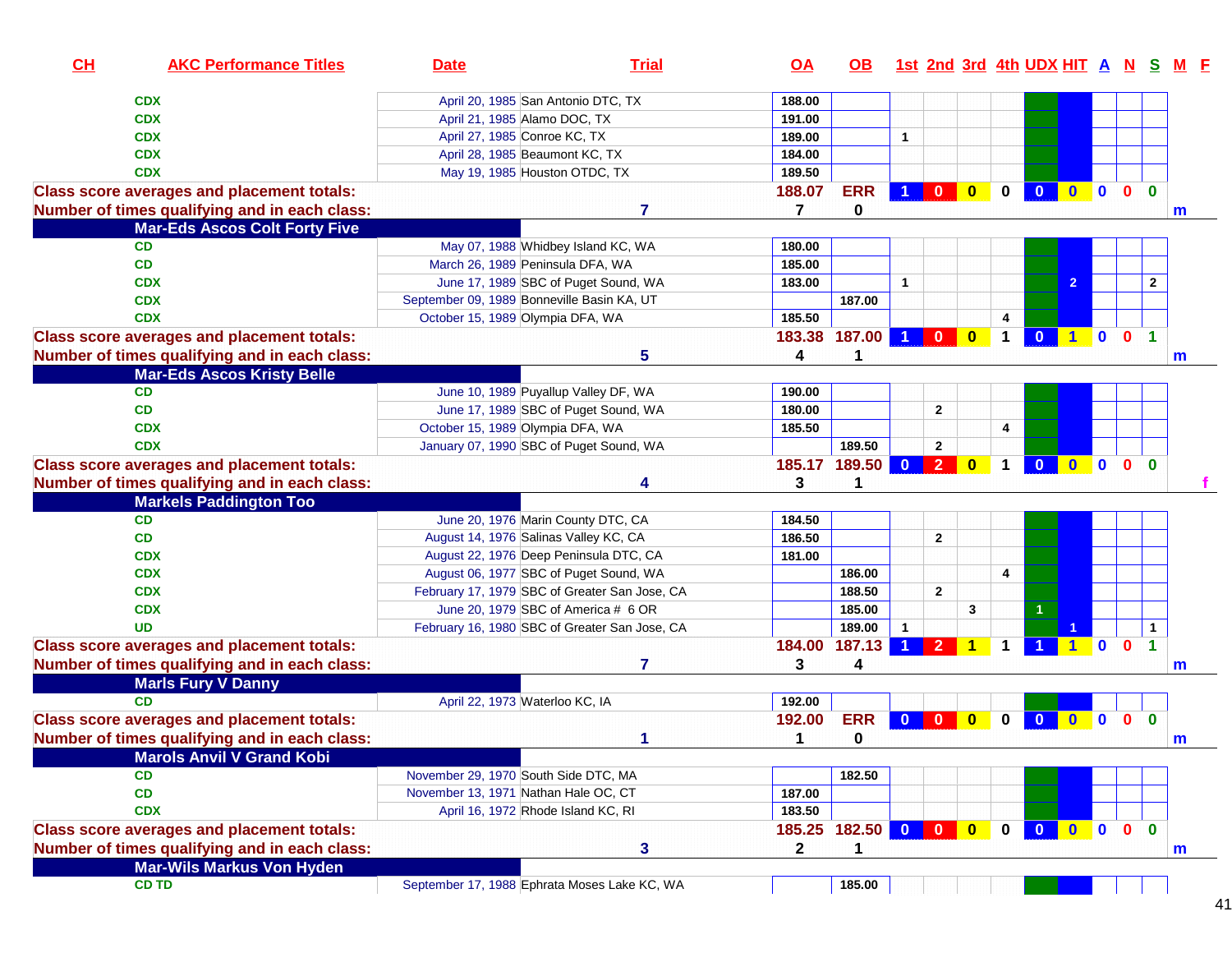| CL | <b>AKC Performance Titles</b>                     | <b>Date</b>                                   | <b>Trial</b>   | <u>OA</u>      | OB.                 |                      |                |                         |                | 1st 2nd 3rd 4th UDX HIT A N S M F |                |                         |              |              |  |
|----|---------------------------------------------------|-----------------------------------------------|----------------|----------------|---------------------|----------------------|----------------|-------------------------|----------------|-----------------------------------|----------------|-------------------------|--------------|--------------|--|
|    | <b>CDX</b>                                        | April 20, 1985 San Antonio DTC, TX            |                | 188.00         |                     |                      |                |                         |                |                                   |                |                         |              |              |  |
|    | <b>CDX</b>                                        | April 21, 1985 Alamo DOC, TX                  |                | 191.00         |                     |                      |                |                         |                |                                   |                |                         |              |              |  |
|    | <b>CDX</b>                                        | April 27, 1985 Conroe KC, TX                  |                | 189.00         |                     | $\mathbf{1}$         |                |                         |                |                                   |                |                         |              |              |  |
|    | <b>CDX</b>                                        | April 28, 1985 Beaumont KC, TX                |                | 184.00         |                     |                      |                |                         |                |                                   |                |                         |              |              |  |
|    | <b>CDX</b>                                        | May 19, 1985 Houston OTDC, TX                 |                | 189.50         |                     |                      |                |                         |                |                                   |                |                         |              |              |  |
|    | <b>Class score averages and placement totals:</b> |                                               |                | 188.07         | <b>ERR</b>          |                      | $\mathbf{0}$   | $\bf{0}$                | 0              | $\bf{0}$                          |                | n                       | $\Omega$     | $\Omega$     |  |
|    | Number of times qualifying and in each class:     |                                               | $\overline{7}$ | 7              | 0                   |                      |                |                         |                |                                   |                |                         |              | m            |  |
|    | <b>Mar-Eds Ascos Colt Forty Five</b>              |                                               |                |                |                     |                      |                |                         |                |                                   |                |                         |              |              |  |
|    | <b>CD</b>                                         | May 07, 1988 Whidbey Island KC, WA            |                | 180.00         |                     |                      |                |                         |                |                                   |                |                         |              |              |  |
|    | CD                                                | March 26, 1989 Peninsula DFA, WA              |                | 185.00         |                     |                      |                |                         |                |                                   |                |                         |              |              |  |
|    | <b>CDX</b>                                        | June 17, 1989 SBC of Puget Sound, WA          |                | 183.00         |                     | $\mathbf{1}$         |                |                         |                |                                   | $\overline{2}$ |                         |              | $\mathbf{2}$ |  |
|    | <b>CDX</b>                                        | September 09, 1989 Bonneville Basin KA, UT    |                |                | 187.00              |                      |                |                         |                |                                   |                |                         |              |              |  |
|    | <b>CDX</b>                                        | October 15, 1989 Olympia DFA, WA              |                | 185.50         |                     |                      |                |                         | 4              |                                   |                |                         |              |              |  |
|    |                                                   |                                               |                | 183.38         | 187.00              | 1 <sup>1</sup>       | $\bullet$      | $\overline{\mathbf{0}}$ | $\mathbf 1$    | $\overline{\mathbf{0}}$           | $1$ 0          |                         | $\mathbf{0}$ |              |  |
|    | <b>Class score averages and placement totals:</b> |                                               |                |                |                     |                      |                |                         |                |                                   |                |                         |              |              |  |
|    | Number of times qualifying and in each class:     |                                               | 5              | 4              |                     |                      |                |                         |                |                                   |                |                         |              | m            |  |
|    | <b>Mar-Eds Ascos Kristy Belle</b>                 |                                               |                |                |                     |                      |                |                         |                |                                   |                |                         |              |              |  |
|    | <b>CD</b>                                         | June 10, 1989 Puyallup Valley DF, WA          |                | 190.00         |                     |                      |                |                         |                |                                   |                |                         |              |              |  |
|    | CD                                                | June 17, 1989 SBC of Puget Sound, WA          |                | 180.00         |                     |                      | $\mathbf{2}$   |                         |                |                                   |                |                         |              |              |  |
|    | <b>CDX</b>                                        | October 15, 1989 Olympia DFA, WA              |                | 185.50         |                     |                      |                |                         | 4              |                                   |                |                         |              |              |  |
|    | <b>CDX</b>                                        | January 07, 1990 SBC of Puget Sound, WA       |                |                | 189.50              |                      | $\mathbf{2}$   |                         |                |                                   |                |                         |              |              |  |
|    | <b>Class score averages and placement totals:</b> |                                               |                | 185.17         | 189.50              | $\mathbf{0}$         | $\overline{2}$ | $\bf{0}$                | 1              | $\mathbf{0}$                      | $\mathbf{0}$   | $\blacksquare$          | $\mathbf{0}$ | $\bf{0}$     |  |
|    | Number of times qualifying and in each class:     |                                               | 4              | 3              |                     |                      |                |                         |                |                                   |                |                         |              |              |  |
|    | <b>Markels Paddington Too</b>                     |                                               |                |                |                     |                      |                |                         |                |                                   |                |                         |              |              |  |
|    | CD                                                | June 20, 1976 Marin County DTC, CA            |                | 184.50         |                     |                      |                |                         |                |                                   |                |                         |              |              |  |
|    | <b>CD</b>                                         | August 14, 1976 Salinas Valley KC, CA         |                | 186.50         |                     |                      | $\mathbf{2}$   |                         |                |                                   |                |                         |              |              |  |
|    | <b>CDX</b>                                        | August 22, 1976 Deep Peninsula DTC, CA        |                | 181.00         |                     |                      |                |                         |                |                                   |                |                         |              |              |  |
|    | <b>CDX</b>                                        | August 06, 1977 SBC of Puget Sound, WA        |                |                | 186.00              |                      |                |                         | $\overline{4}$ |                                   |                |                         |              |              |  |
|    | <b>CDX</b>                                        | February 17, 1979 SBC of Greater San Jose, CA |                |                | 188.50              |                      | $\mathbf{2}$   |                         |                |                                   |                |                         |              |              |  |
|    | <b>CDX</b>                                        | June 20, 1979 SBC of America # 6 OR           |                |                | 185.00              |                      |                | 3                       |                |                                   |                |                         |              |              |  |
|    | <b>UD</b>                                         | February 16, 1980 SBC of Greater San Jose, CA |                |                | 189.00              | $\mathbf{1}$         |                |                         |                |                                   |                |                         |              | $\mathbf{1}$ |  |
|    | <b>Class score averages and placement totals:</b> |                                               |                | 184.00         | 187.13              | $\blacktriangleleft$ | $\overline{2}$ | $\blacktriangleleft$    |                |                                   |                | $\overline{\mathbf{0}}$ | $\mathbf{0}$ | 1            |  |
|    | Number of times qualifying and in each class:     |                                               | $\overline{7}$ | 3              | 4                   |                      |                |                         |                |                                   |                |                         |              | m            |  |
|    | <b>Marls Fury V Danny</b>                         |                                               |                |                |                     |                      |                |                         |                |                                   |                |                         |              |              |  |
|    | <b>CD</b>                                         | April 22, 1973 Waterloo KC, IA                |                | 192.00         |                     |                      |                |                         |                |                                   |                |                         |              |              |  |
|    | <b>Class score averages and placement totals:</b> |                                               |                | 192.00         | <b>ERR</b>          | $\bf{0}$             | $\bf{0}$       | 0                       | 0              | $\bf{0}$                          | $\bf{0}$       | $\mathbf{0}$            | $\mathbf{0}$ | $\mathbf{0}$ |  |
|    | Number of times qualifying and in each class:     |                                               | 1              | 1              | 0                   |                      |                |                         |                |                                   |                |                         |              | m            |  |
|    | <b>Marols Anvil V Grand Kobi</b>                  |                                               |                |                |                     |                      |                |                         |                |                                   |                |                         |              |              |  |
|    | <b>CD</b>                                         | November 29, 1970 South Side DTC, MA          |                |                | 182.50              |                      |                |                         |                |                                   |                |                         |              |              |  |
|    | CD                                                | November 13, 1971 Nathan Hale OC, CT          |                | 187.00         |                     |                      |                |                         |                |                                   |                |                         |              |              |  |
|    | <b>CDX</b>                                        | April 16, 1972 Rhode Island KC, RI            |                | 183.50         |                     |                      |                |                         |                |                                   |                |                         |              |              |  |
|    | <b>Class score averages and placement totals:</b> |                                               |                |                | 185.25 182.50 0 0 0 |                      |                |                         | $\mathbf 0$    | $\overline{\mathbf{0}}$           | $0$ 0          |                         | $\mathbf{0}$ | $\mathbf{0}$ |  |
|    |                                                   |                                               |                |                |                     |                      |                |                         |                |                                   |                |                         |              |              |  |
|    |                                                   |                                               |                |                | 1                   |                      |                |                         |                |                                   |                |                         |              |              |  |
|    | Number of times qualifying and in each class:     |                                               | $\mathbf{3}$   | $\overline{2}$ |                     |                      |                |                         |                |                                   |                |                         |              | m            |  |
|    | <b>Mar-Wils Markus Von Hyden</b><br><b>CD TD</b>  | September 17, 1988 Ephrata Moses Lake KC, WA  |                |                | 185.00              |                      |                |                         |                |                                   |                |                         |              |              |  |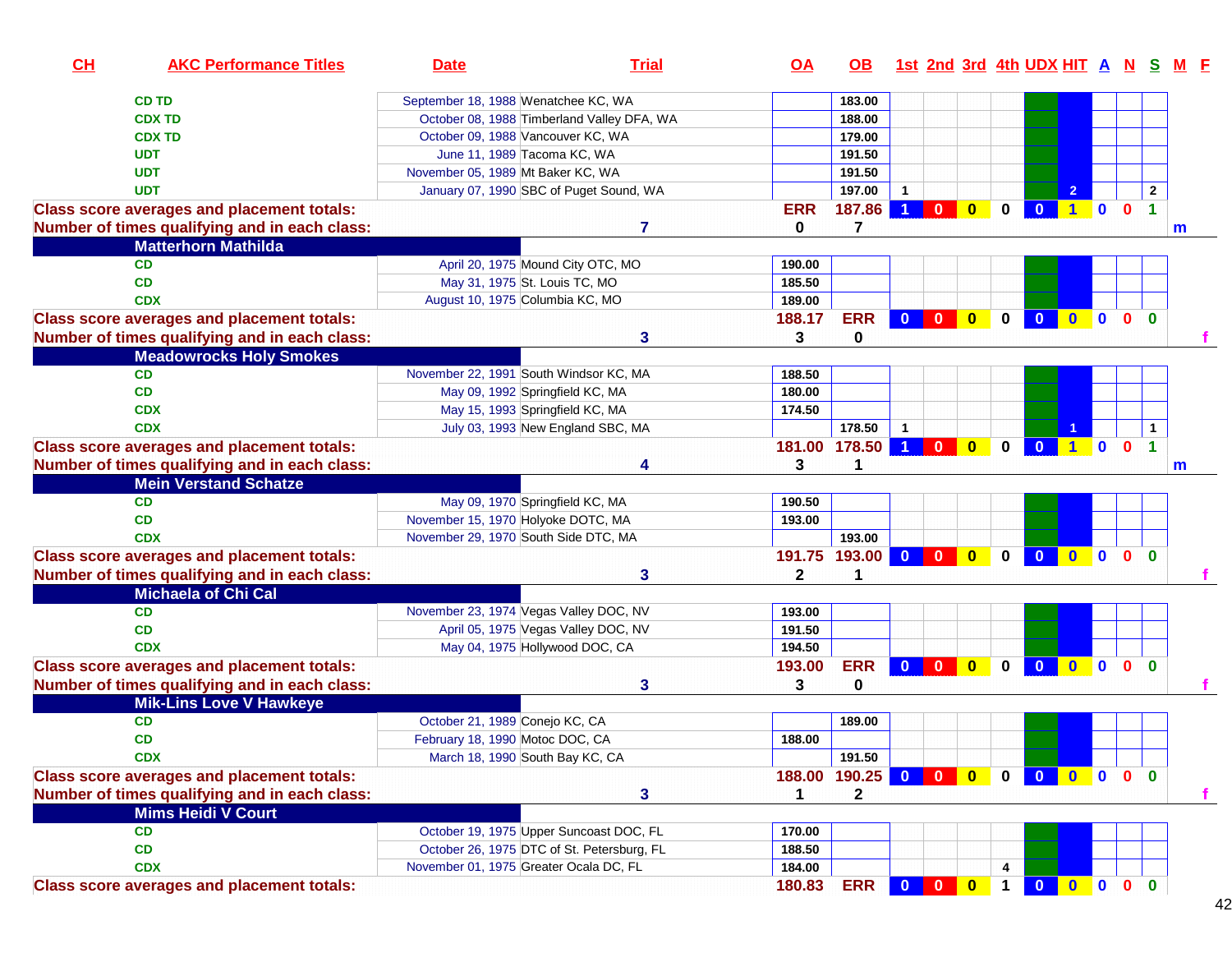| CH                                                | <b>AKC Performance Titles</b>                 | <b>Date</b>                                | <b>Trial</b> | <u>OA</u>    | OB.                 |                      |                         |              |                |                         |                      |                |              |                      | 1st 2nd 3rd 4th UDX HIT A N S M F |
|---------------------------------------------------|-----------------------------------------------|--------------------------------------------|--------------|--------------|---------------------|----------------------|-------------------------|--------------|----------------|-------------------------|----------------------|----------------|--------------|----------------------|-----------------------------------|
| <b>CD TD</b>                                      |                                               | September 18, 1988 Wenatchee KC, WA        |              |              | 183.00              |                      |                         |              |                |                         |                      |                |              |                      |                                   |
| <b>CDX TD</b>                                     |                                               | October 08, 1988 Timberland Valley DFA, WA |              |              | 188.00              |                      |                         |              |                |                         |                      |                |              |                      |                                   |
| <b>CDX TD</b>                                     |                                               | October 09, 1988 Vancouver KC, WA          |              |              | 179.00              |                      |                         |              |                |                         |                      |                |              |                      |                                   |
| <b>UDT</b>                                        |                                               | June 11, 1989 Tacoma KC, WA                |              |              | 191.50              |                      |                         |              |                |                         |                      |                |              |                      |                                   |
| <b>UDT</b>                                        |                                               | November 05, 1989 Mt Baker KC, WA          |              |              | 191.50              |                      |                         |              |                |                         |                      |                |              |                      |                                   |
| <b>UDT</b>                                        |                                               | January 07, 1990 SBC of Puget Sound, WA    |              |              | 197.00              |                      |                         |              |                |                         | $\overline{2}$       |                |              | $\overline{2}$       |                                   |
| <b>Class score averages and placement totals:</b> |                                               |                                            |              | <b>ERR</b>   | 187.86              | $\blacktriangleleft$ | $\mathbf{0}$            | $\bullet$    | 0              | $\overline{\mathbf{0}}$ | 100                  |                |              | $\blacktriangleleft$ |                                   |
|                                                   | Number of times qualifying and in each class: |                                            | 7            | 0            | 7                   |                      |                         |              |                |                         |                      |                |              |                      | m                                 |
|                                                   | <b>Matterhorn Mathilda</b>                    |                                            |              |              |                     |                      |                         |              |                |                         |                      |                |              |                      |                                   |
| <b>CD</b>                                         |                                               | April 20, 1975 Mound City OTC, MO          |              | 190.00       |                     |                      |                         |              |                |                         |                      |                |              |                      |                                   |
| CD                                                |                                               | May 31, 1975 St. Louis TC, MO              |              | 185.50       |                     |                      |                         |              |                |                         |                      |                |              |                      |                                   |
| <b>CDX</b>                                        |                                               | August 10, 1975 Columbia KC, MO            |              | 189.00       |                     |                      |                         |              |                |                         |                      |                |              |                      |                                   |
| <b>Class score averages and placement totals:</b> |                                               |                                            |              | 188.17       | <b>ERR</b>          | $\overline{0}$       | $\blacksquare$          | $\bullet$    | $\mathbf 0$    | $\overline{\mathbf{0}}$ | $\bullet$            | $\blacksquare$ | $\mathbf{0}$ | $\mathbf{0}$         |                                   |
|                                                   | Number of times qualifying and in each class: |                                            | 3            | 3            | 0                   |                      |                         |              |                |                         |                      |                |              |                      |                                   |
|                                                   | <b>Meadowrocks Holy Smokes</b>                |                                            |              |              |                     |                      |                         |              |                |                         |                      |                |              |                      |                                   |
| <b>CD</b>                                         |                                               | November 22, 1991 South Windsor KC, MA     |              | 188.50       |                     |                      |                         |              |                |                         |                      |                |              |                      |                                   |
| <b>CD</b>                                         |                                               | May 09, 1992 Springfield KC, MA            |              | 180.00       |                     |                      |                         |              |                |                         |                      |                |              |                      |                                   |
| <b>CDX</b>                                        |                                               | May 15, 1993 Springfield KC, MA            |              | 174.50       |                     |                      |                         |              |                |                         |                      |                |              |                      |                                   |
| <b>CDX</b>                                        |                                               |                                            |              |              | 178.50              | $\mathbf 1$          |                         |              |                |                         |                      |                |              | $\mathbf{1}$         |                                   |
|                                                   |                                               | July 03, 1993 New England SBC, MA          |              |              |                     |                      |                         |              |                |                         |                      |                | $\mathbf{0}$ | $\blacktriangleleft$ |                                   |
| <b>Class score averages and placement totals:</b> |                                               |                                            |              |              | 181.00 178.50       |                      | $\mathbf{0}$            | $\bullet$    | $\mathbf{0}$   | $\mathbf{0}$            | $\blacktriangleleft$ | $\bullet$      |              |                      |                                   |
|                                                   | Number of times qualifying and in each class: |                                            | Δ            | 3            |                     |                      |                         |              |                |                         |                      |                |              |                      | m                                 |
|                                                   | <b>Mein Verstand Schatze</b>                  |                                            |              |              |                     |                      |                         |              |                |                         |                      |                |              |                      |                                   |
| <b>CD</b>                                         |                                               | May 09, 1970 Springfield KC, MA            |              | 190.50       |                     |                      |                         |              |                |                         |                      |                |              |                      |                                   |
| <b>CD</b>                                         |                                               | November 15, 1970 Holyoke DOTC, MA         |              | 193.00       |                     |                      |                         |              |                |                         |                      |                |              |                      |                                   |
| <b>CDX</b>                                        |                                               | November 29, 1970 South Side DTC, MA       |              |              | 193.00              |                      |                         |              |                |                         |                      |                |              |                      |                                   |
| <b>Class score averages and placement totals:</b> |                                               |                                            |              |              | 191.75 193.00       | $\mathbf{0}$         | $\mathbf{0}$            | $\mathbf{0}$ | $\mathbf{0}$   | $\mathbf{0}$            | $\bullet$            | $\blacksquare$ | $\mathbf{0}$ | $\mathbf{0}$         |                                   |
|                                                   | Number of times qualifying and in each class: |                                            | 3            | $\mathbf{2}$ | 1                   |                      |                         |              |                |                         |                      |                |              |                      |                                   |
|                                                   | <b>Michaela of Chi Cal</b>                    |                                            |              |              |                     |                      |                         |              |                |                         |                      |                |              |                      |                                   |
| <b>CD</b>                                         |                                               | November 23, 1974 Vegas Valley DOC, NV     |              | 193.00       |                     |                      |                         |              |                |                         |                      |                |              |                      |                                   |
| <b>CD</b>                                         |                                               | April 05, 1975 Vegas Valley DOC, NV        |              | 191.50       |                     |                      |                         |              |                |                         |                      |                |              |                      |                                   |
| <b>CDX</b>                                        |                                               | May 04, 1975 Hollywood DOC, CA             |              | 194.50       |                     |                      |                         |              |                |                         |                      |                |              |                      |                                   |
| <b>Class score averages and placement totals:</b> |                                               |                                            |              | 193.00       | <b>ERR</b>          | $\mathbf{0}$         | $\mathbf{0}$            | $\bullet$    | 0              | $\overline{\mathbf{0}}$ | $\bullet$            | $\blacksquare$ | $\mathbf{0}$ | $\mathbf{0}$         |                                   |
|                                                   | Number of times qualifying and in each class: |                                            | 3            | 3            | 0                   |                      |                         |              |                |                         |                      |                |              |                      |                                   |
|                                                   | <b>Mik-Lins Love V Hawkeye</b>                |                                            |              |              |                     |                      |                         |              |                |                         |                      |                |              |                      |                                   |
| <b>CD</b>                                         |                                               | October 21, 1989 Conejo KC, CA             |              |              | 189.00              |                      |                         |              |                |                         |                      |                |              |                      |                                   |
| CD                                                |                                               | February 18, 1990 Motoc DOC, CA            |              | 188.00       |                     |                      |                         |              |                |                         |                      |                |              |                      |                                   |
| <b>CDX</b>                                        |                                               | March 18, 1990 South Bay KC, CA            |              |              | 191.50              |                      |                         |              |                |                         |                      |                |              |                      |                                   |
| <b>Class score averages and placement totals:</b> |                                               |                                            |              |              | 188.00 190.25 0 0 0 |                      |                         |              |                | 0 0 0 0 0 0             |                      |                |              |                      |                                   |
|                                                   | Number of times qualifying and in each class: |                                            | 3            | 1            | 2                   |                      |                         |              |                |                         |                      |                |              |                      | $\mathbf{f}$                      |
|                                                   | <b>Mims Heidi V Court</b>                     |                                            |              |              |                     |                      |                         |              |                |                         |                      |                |              |                      |                                   |
| CD                                                |                                               | October 19, 1975 Upper Suncoast DOC, FL    |              | 170.00       |                     |                      |                         |              |                |                         |                      |                |              |                      |                                   |
| CD                                                |                                               | October 26, 1975 DTC of St. Petersburg, FL |              | 188.50       |                     |                      |                         |              |                |                         |                      |                |              |                      |                                   |
| <b>CDX</b>                                        |                                               | November 01, 1975 Greater Ocala DC, FL     |              | 184.00       |                     |                      |                         |              | 4              |                         |                      |                |              |                      |                                   |
| <b>Class score averages and placement totals:</b> |                                               |                                            |              | 180.83       | <b>ERR</b>          | $\mathbf{0}$         | $\overline{\mathbf{0}}$ | $\bullet$    | $\overline{1}$ | 0 0 0 0 0               |                      |                |              |                      |                                   |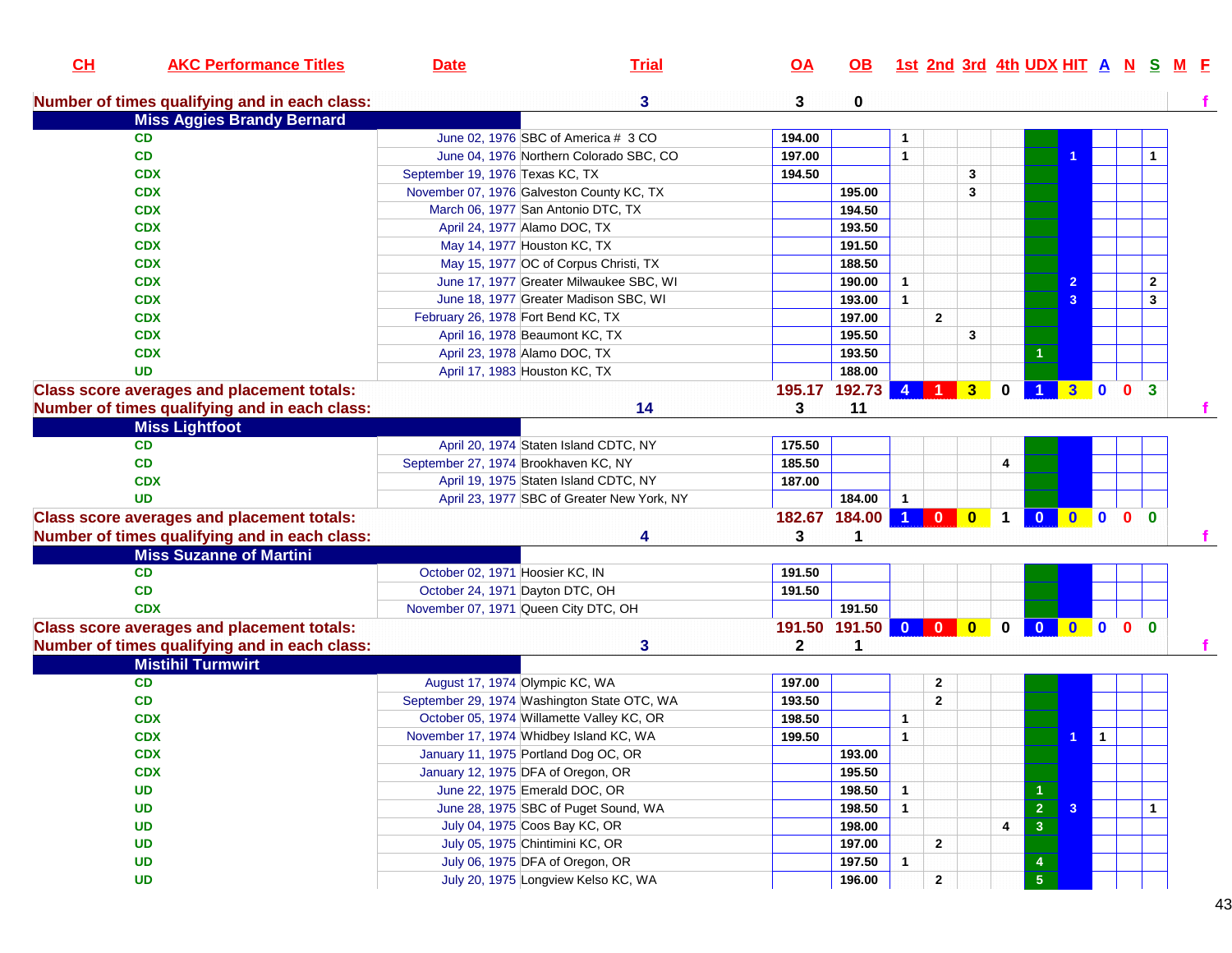| CL | <b>AKC Performance Titles</b>                     | <b>Date</b>                     | <b>Trial</b>                                | $\overline{OA}$ | OB.                 |                        |                         |                         |                | <u>1st 2nd 3rd 4th UDX HIT A N S</u> |                     |              |                | <u>M F</u>   |  |
|----|---------------------------------------------------|---------------------------------|---------------------------------------------|-----------------|---------------------|------------------------|-------------------------|-------------------------|----------------|--------------------------------------|---------------------|--------------|----------------|--------------|--|
|    | Number of times qualifying and in each class:     |                                 | 3                                           | 3               | 0                   |                        |                         |                         |                |                                      |                     |              |                |              |  |
|    | <b>Miss Aggies Brandy Bernard</b>                 |                                 |                                             |                 |                     |                        |                         |                         |                |                                      |                     |              |                |              |  |
|    | <b>CD</b>                                         |                                 | June 02, 1976 SBC of America # 3 CO         | 194.00          |                     | 1                      |                         |                         |                |                                      |                     |              |                |              |  |
|    | CD                                                |                                 | June 04, 1976 Northern Colorado SBC, CO     | 197.00          |                     | $\mathbf{1}$           |                         |                         |                |                                      |                     |              |                |              |  |
|    | <b>CDX</b>                                        | September 19, 1976 Texas KC, TX |                                             | 194.50          |                     |                        |                         | 3                       |                |                                      |                     |              |                |              |  |
|    | <b>CDX</b>                                        |                                 | November 07, 1976 Galveston County KC, TX   |                 | 195.00              |                        |                         | 3                       |                |                                      |                     |              |                |              |  |
|    | <b>CDX</b>                                        |                                 | March 06, 1977 San Antonio DTC, TX          |                 | 194.50              |                        |                         |                         |                |                                      |                     |              |                |              |  |
|    | <b>CDX</b>                                        |                                 | April 24, 1977 Alamo DOC, TX                |                 | 193.50              |                        |                         |                         |                |                                      |                     |              |                |              |  |
|    | <b>CDX</b>                                        |                                 | May 14, 1977 Houston KC, TX                 |                 | 191.50              |                        |                         |                         |                |                                      |                     |              |                |              |  |
|    | <b>CDX</b>                                        |                                 | May 15, 1977 OC of Corpus Christi, TX       |                 | 188.50              |                        |                         |                         |                |                                      |                     |              |                |              |  |
|    | <b>CDX</b>                                        |                                 | June 17, 1977 Greater Milwaukee SBC, WI     |                 | 190.00              | $\mathbf{1}$           |                         |                         |                |                                      |                     |              |                | $\mathbf{2}$ |  |
|    | <b>CDX</b>                                        |                                 | June 18, 1977 Greater Madison SBC, WI       |                 | 193.00              | $\mathbf{1}$           |                         |                         |                |                                      | 3                   |              |                | 3            |  |
|    | <b>CDX</b>                                        |                                 | February 26, 1978 Fort Bend KC, TX          |                 | 197.00              |                        | $\mathbf{2}$            |                         |                |                                      |                     |              |                |              |  |
|    | <b>CDX</b>                                        |                                 | April 16, 1978 Beaumont KC, TX              |                 | 195.50              |                        |                         | 3                       |                |                                      |                     |              |                |              |  |
|    | <b>CDX</b>                                        |                                 | April 23, 1978 Alamo DOC, TX                |                 | 193.50              |                        |                         |                         |                |                                      |                     |              |                |              |  |
|    | <b>UD</b>                                         |                                 | April 17, 1983 Houston KC, TX               |                 | 188.00              |                        |                         |                         |                |                                      |                     |              |                |              |  |
|    | <b>Class score averages and placement totals:</b> |                                 |                                             |                 | 195.17 192.73       | $\boldsymbol{\Lambda}$ |                         | $\overline{\mathbf{3}}$ | 0              |                                      | $\mathbf{3}$        | $\mathbf{0}$ | $\mathbf{0}$   | $\mathbf{3}$ |  |
|    | Number of times qualifying and in each class:     |                                 | 14                                          | 3               | 11                  |                        |                         |                         |                |                                      |                     |              |                |              |  |
|    | <b>Miss Lightfoot</b>                             |                                 |                                             |                 |                     |                        |                         |                         |                |                                      |                     |              |                |              |  |
|    | <b>CD</b>                                         |                                 | April 20, 1974 Staten Island CDTC, NY       | 175.50          |                     |                        |                         |                         |                |                                      |                     |              |                |              |  |
|    | CD                                                |                                 | September 27, 1974 Brookhaven KC, NY        | 185.50          |                     |                        |                         |                         | 4              |                                      |                     |              |                |              |  |
|    | <b>CDX</b>                                        |                                 | April 19, 1975 Staten Island CDTC, NY       | 187.00          |                     |                        |                         |                         |                |                                      |                     |              |                |              |  |
|    | <b>UD</b>                                         |                                 | April 23, 1977 SBC of Greater New York, NY  |                 | 184.00              | $\mathbf{1}$           |                         |                         |                |                                      |                     |              |                |              |  |
|    | <b>Class score averages and placement totals:</b> |                                 |                                             |                 | 182.67 184.00 1 0 0 |                        |                         |                         | $\overline{1}$ | $\mathbf{0}$                         | $\bullet$ $\bullet$ |              | 0 <sub>0</sub> |              |  |
|    | Number of times qualifying and in each class:     |                                 | Δ                                           | 3               |                     |                        |                         |                         |                |                                      |                     |              |                |              |  |
|    | <b>Miss Suzanne of Martini</b>                    |                                 |                                             |                 |                     |                        |                         |                         |                |                                      |                     |              |                |              |  |
|    | <b>CD</b>                                         | October 02, 1971 Hoosier KC, IN |                                             | 191.50          |                     |                        |                         |                         |                |                                      |                     |              |                |              |  |
|    | <b>CD</b>                                         |                                 | October 24, 1971 Dayton DTC, OH             | 191.50          |                     |                        |                         |                         |                |                                      |                     |              |                |              |  |
|    | <b>CDX</b>                                        |                                 | November 07, 1971 Queen City DTC, OH        |                 | 191.50              |                        |                         |                         |                |                                      |                     |              |                |              |  |
|    | <b>Class score averages and placement totals:</b> |                                 |                                             |                 | 191.50 191.50       | $\overline{0}$         | $\overline{\mathbf{0}}$ | $\mathbf{0}$            | $\mathbf{0}$   | $\mathbf{0}$                         | $\mathbf{0}$        | $\mathbf{0}$ | $\mathbf{0}$   | $\mathbf{0}$ |  |
|    | Number of times qualifying and in each class:     |                                 | 3                                           | $\mathbf{2}$    | 1                   |                        |                         |                         |                |                                      |                     |              |                |              |  |
|    | <b>Mistihil Turmwirt</b>                          |                                 |                                             |                 |                     |                        |                         |                         |                |                                      |                     |              |                |              |  |
|    | CD                                                |                                 | August 17, 1974 Olympic KC, WA              | 197.00          |                     |                        | $\mathbf{2}$            |                         |                |                                      |                     |              |                |              |  |
|    | CD                                                |                                 | September 29, 1974 Washington State OTC, WA | 193.50          |                     |                        | $\mathbf{2}$            |                         |                |                                      |                     |              |                |              |  |
|    | <b>CDX</b>                                        |                                 | October 05, 1974 Willamette Valley KC, OR   | 198.50          |                     | $\mathbf{1}$           |                         |                         |                |                                      |                     |              |                |              |  |
|    | <b>CDX</b>                                        |                                 | November 17, 1974 Whidbey Island KC, WA     | 199.50          |                     | $\mathbf{1}$           |                         |                         |                |                                      |                     | $\mathbf{1}$ |                |              |  |
|    | <b>CDX</b>                                        |                                 | January 11, 1975 Portland Dog OC, OR        |                 | 193.00              |                        |                         |                         |                |                                      |                     |              |                |              |  |
|    | <b>CDX</b>                                        |                                 | January 12, 1975 DFA of Oregon, OR          |                 | 195.50              |                        |                         |                         |                |                                      |                     |              |                |              |  |
|    | <b>UD</b>                                         |                                 | June 22, 1975 Emerald DOC, OR               |                 | 198.50              | $\mathbf{1}$           |                         |                         |                |                                      |                     |              |                |              |  |
|    | <b>UD</b>                                         |                                 | June 28, 1975 SBC of Puget Sound, WA        |                 | 198.50              | $\mathbf 1$            |                         |                         |                | $\overline{2}$                       | $\mathbf{3}$        |              |                | $\mathbf{1}$ |  |
|    | <b>UD</b>                                         |                                 | July 04, 1975 Coos Bay KC, OR               |                 | 198.00              |                        |                         |                         | 4              | $\overline{\mathbf{3}}$              |                     |              |                |              |  |
|    | <b>UD</b>                                         |                                 | July 05, 1975 Chintimini KC, OR             |                 | 197.00              |                        | $\mathbf{2}$            |                         |                |                                      |                     |              |                |              |  |
|    | <b>UD</b>                                         |                                 | July 06, 1975 DFA of Oregon, OR             |                 | 197.50              | $\mathbf{1}$           |                         |                         |                | $\overline{\mathbf{A}}$              |                     |              |                |              |  |
|    | <b>UD</b>                                         |                                 | July 20, 1975 Longview Kelso KC, WA         |                 | 196.00              |                        | $\mathbf{2}$            |                         |                | $\overline{5}$                       |                     |              |                |              |  |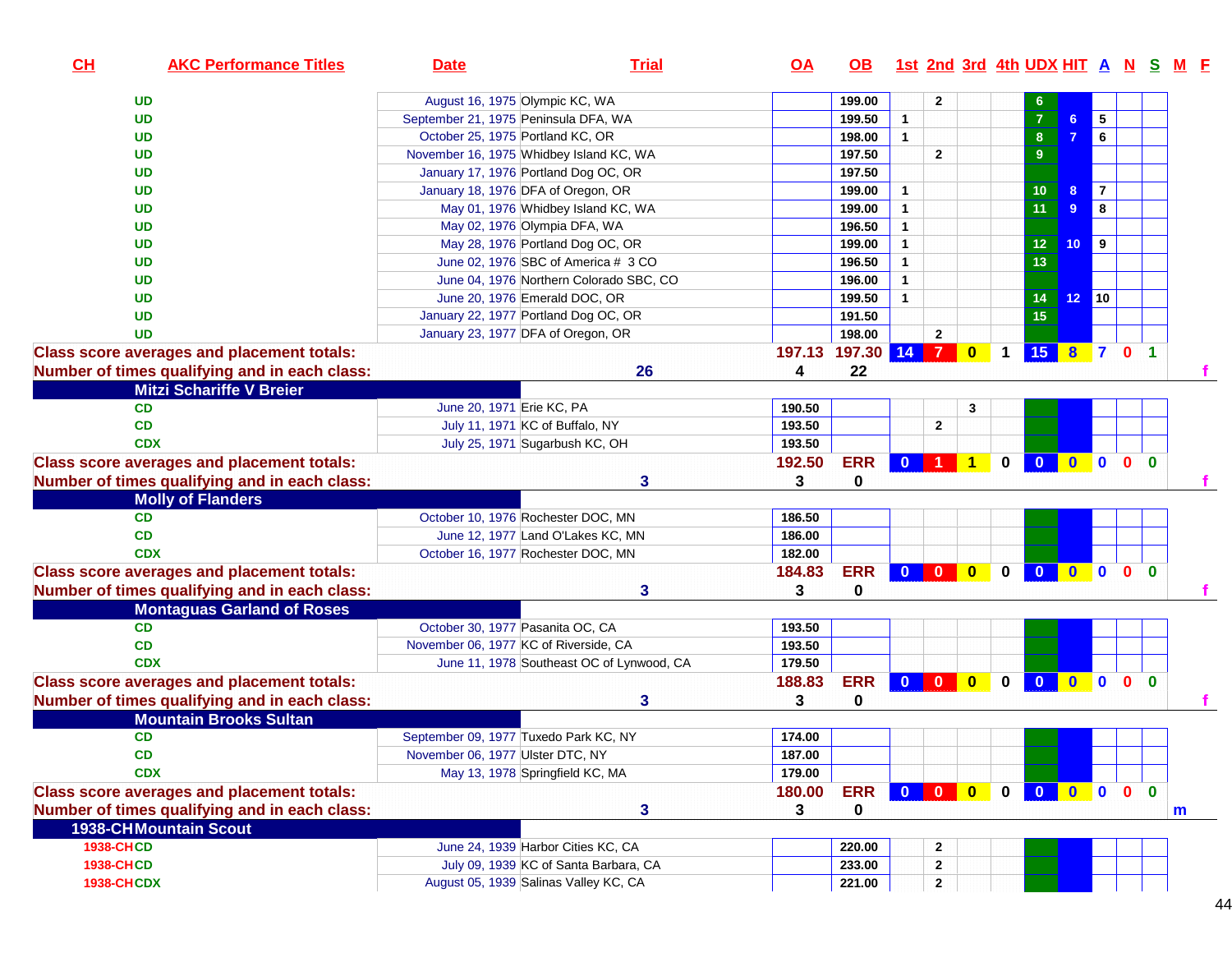| CH                | <b>AKC Performance Titles</b>                     | <b>Date</b>                             | <b>Trial</b>                              | $\overline{OA}$ | <b>OB</b>  |              |              |           |             |                                                                                                                    |                 |                   |              |              | <u>1st 2nd 3rd 4th UDX HIT A N S M E</u> |
|-------------------|---------------------------------------------------|-----------------------------------------|-------------------------------------------|-----------------|------------|--------------|--------------|-----------|-------------|--------------------------------------------------------------------------------------------------------------------|-----------------|-------------------|--------------|--------------|------------------------------------------|
|                   | <b>UD</b>                                         | August 16, 1975 Olympic KC, WA          |                                           |                 | 199.00     |              | $\mathbf{2}$ |           |             | 6                                                                                                                  |                 |                   |              |              |                                          |
|                   | <b>UD</b>                                         | September 21, 1975 Peninsula DFA, WA    |                                           |                 | 199.50     | $\mathbf{1}$ |              |           |             | $\overline{7}$                                                                                                     | 6 <sup>1</sup>  | 5                 |              |              |                                          |
|                   | UD                                                | October 25, 1975 Portland KC, OR        |                                           |                 | 198.00     | $\mathbf{1}$ |              |           |             | ${\bf 8}$                                                                                                          |                 | 6                 |              |              |                                          |
|                   | UD                                                | November 16, 1975 Whidbey Island KC, WA |                                           |                 | 197.50     |              | $\mathbf{2}$ |           |             | $\boldsymbol{9}$                                                                                                   |                 |                   |              |              |                                          |
|                   | UD                                                | January 17, 1976 Portland Dog OC, OR    |                                           |                 | 197.50     |              |              |           |             |                                                                                                                    |                 |                   |              |              |                                          |
|                   | UD                                                | January 18, 1976 DFA of Oregon, OR      |                                           |                 | 199.00     | $\mathbf{1}$ |              |           |             | 10                                                                                                                 | 8 <sup>5</sup>  | $\overline{7}$    |              |              |                                          |
|                   | <b>UD</b>                                         | May 01, 1976 Whidbey Island KC, WA      |                                           |                 | 199.00     | $\mathbf{1}$ |              |           |             | 11                                                                                                                 | 9               | 8                 |              |              |                                          |
|                   | UD                                                | May 02, 1976 Olympia DFA, WA            |                                           |                 | 196.50     | $\mathbf{1}$ |              |           |             |                                                                                                                    |                 |                   |              |              |                                          |
|                   | UD                                                | May 28, 1976 Portland Dog OC, OR        |                                           |                 | 199.00     | $\mathbf{1}$ |              |           |             | $12$                                                                                                               | 10 <sub>1</sub> | $\vert$ 9         |              |              |                                          |
|                   | <b>UD</b>                                         | June 02, 1976 SBC of America # 3 CO     |                                           |                 | 196.50     | $\mathbf{1}$ |              |           |             | 13                                                                                                                 |                 |                   |              |              |                                          |
|                   | UD                                                |                                         | June 04, 1976 Northern Colorado SBC, CO   |                 | 196.00     | $\mathbf{1}$ |              |           |             |                                                                                                                    |                 |                   |              |              |                                          |
|                   | UD                                                | June 20, 1976 Emerald DOC, OR           |                                           |                 | 199.50     | $\mathbf{1}$ |              |           |             | 14                                                                                                                 | 12 <sup>°</sup> | $\blacksquare$ 10 |              |              |                                          |
|                   | UD                                                | January 22, 1977 Portland Dog OC, OR    |                                           |                 | 191.50     |              |              |           |             | 15                                                                                                                 |                 |                   |              |              |                                          |
|                   | <b>UD</b>                                         | January 23, 1977 DFA of Oregon, OR      |                                           |                 | 198.00     |              | $\mathbf{2}$ |           |             |                                                                                                                    |                 |                   |              |              |                                          |
|                   | <b>Class score averages and placement totals:</b> |                                         |                                           | 197.13          | 197.30     | $14$ 7       |              | $\bullet$ | $\mathbf 1$ | 15 8 7 0 1                                                                                                         |                 |                   |              |              |                                          |
|                   | Number of times qualifying and in each class:     |                                         | 26                                        | 4               | 22         |              |              |           |             |                                                                                                                    |                 |                   |              |              |                                          |
|                   | <b>Mitzi Schariffe V Breier</b>                   |                                         |                                           |                 |            |              |              |           |             |                                                                                                                    |                 |                   |              |              |                                          |
|                   | <b>CD</b>                                         | June 20, 1971 Erie KC, PA               |                                           | 190.50          |            |              |              | 3         |             |                                                                                                                    |                 |                   |              |              |                                          |
|                   | <b>CD</b>                                         | July 11, 1971 KC of Buffalo, NY         |                                           | 193.50          |            |              | $\mathbf{2}$ |           |             |                                                                                                                    |                 |                   |              |              |                                          |
|                   | <b>CDX</b>                                        | July 25, 1971 Sugarbush KC, OH          |                                           | 193.50          |            |              |              |           |             |                                                                                                                    |                 |                   |              |              |                                          |
|                   | <b>Class score averages and placement totals:</b> |                                         |                                           | 192.50          | <b>ERR</b> |              |              |           |             | 0 0 0 0 0 0                                                                                                        |                 |                   |              |              |                                          |
|                   | Number of times qualifying and in each class:     |                                         | 3                                         | 3               | 0          |              |              |           |             |                                                                                                                    |                 |                   |              |              |                                          |
|                   | <b>Molly of Flanders</b>                          |                                         |                                           |                 |            |              |              |           |             |                                                                                                                    |                 |                   |              |              |                                          |
|                   | CD                                                | October 10, 1976 Rochester DOC, MN      |                                           | 186.50          |            |              |              |           |             |                                                                                                                    |                 |                   |              |              |                                          |
|                   | CD                                                | June 12, 1977 Land O'Lakes KC, MN       |                                           | 186.00          |            |              |              |           |             |                                                                                                                    |                 |                   |              |              |                                          |
|                   | <b>CDX</b>                                        | October 16, 1977 Rochester DOC, MN      |                                           | 182.00          |            |              |              |           |             |                                                                                                                    |                 |                   |              |              |                                          |
|                   | <b>Class score averages and placement totals:</b> |                                         |                                           | 184.83          | <b>ERR</b> |              |              |           |             | $\begin{array}{c c c c c c c c} \hline \textbf{0} & \textbf{0} & \textbf{0} & \textbf{0} & \textbf{0} \end{array}$ |                 |                   |              |              |                                          |
|                   | Number of times qualifying and in each class:     |                                         | 3                                         | 3               | 0          |              |              |           |             |                                                                                                                    |                 |                   |              |              |                                          |
|                   | <b>Montaguas Garland of Roses</b>                 |                                         |                                           |                 |            |              |              |           |             |                                                                                                                    |                 |                   |              |              |                                          |
|                   | <b>CD</b>                                         | October 30, 1977 Pasanita OC, CA        |                                           | 193.50          |            |              |              |           |             |                                                                                                                    |                 |                   |              |              |                                          |
|                   | CD                                                | November 06, 1977 KC of Riverside, CA   |                                           | 193.50          |            |              |              |           |             |                                                                                                                    |                 |                   |              |              |                                          |
|                   | <b>CDX</b>                                        |                                         | June 11, 1978 Southeast OC of Lynwood, CA | 179.50          |            |              |              |           |             |                                                                                                                    |                 |                   |              |              |                                          |
|                   | <b>Class score averages and placement totals:</b> |                                         |                                           | 188.83          | <b>ERR</b> | $0$ 0 0      |              |           | $\mathbf 0$ | $\overline{0}$                                                                                                     | $\bullet$       | $\overline{0}$    | $\mathbf{0}$ | $\bf{0}$     |                                          |
|                   | Number of times qualifying and in each class:     |                                         | 3                                         | 3               | 0          |              |              |           |             |                                                                                                                    |                 |                   |              |              |                                          |
|                   | <b>Mountain Brooks Sultan</b>                     |                                         |                                           |                 |            |              |              |           |             |                                                                                                                    |                 |                   |              |              |                                          |
|                   | CD                                                |                                         |                                           | 174.00          |            |              |              |           |             |                                                                                                                    |                 |                   |              |              |                                          |
|                   |                                                   | September 09, 1977 Tuxedo Park KC, NY   |                                           |                 |            |              |              |           |             |                                                                                                                    |                 |                   |              |              |                                          |
|                   | CD                                                | November 06, 1977 Ulster DTC, NY        |                                           | 187.00          |            |              |              |           |             |                                                                                                                    |                 |                   |              |              |                                          |
|                   | <b>CDX</b>                                        | May 13, 1978 Springfield KC, MA         |                                           | 179.00          |            |              |              |           |             |                                                                                                                    |                 |                   |              |              |                                          |
|                   | <b>Class score averages and placement totals:</b> |                                         |                                           | 180.00          | <b>ERR</b> |              |              |           | $\mathbf 0$ | 0000                                                                                                               |                 |                   |              | $\mathbf{0}$ |                                          |
|                   | Number of times qualifying and in each class:     |                                         | 3                                         | 3               | 0          |              |              |           |             |                                                                                                                    |                 |                   |              |              | m                                        |
|                   | <b>1938-CHMountain Scout</b>                      |                                         |                                           |                 |            |              |              |           |             |                                                                                                                    |                 |                   |              |              |                                          |
| <b>1938-CHCD</b>  |                                                   | June 24, 1939 Harbor Cities KC, CA      |                                           |                 | 220.00     |              | 2            |           |             |                                                                                                                    |                 |                   |              |              |                                          |
| <b>1938-CHCD</b>  |                                                   |                                         | July 09, 1939 KC of Santa Barbara, CA     |                 | 233.00     |              | 2            |           |             |                                                                                                                    |                 |                   |              |              |                                          |
| <b>1938-CHCDX</b> |                                                   | August 05, 1939 Salinas Valley KC, CA   |                                           |                 | 221.00     |              | $\mathbf{2}$ |           |             |                                                                                                                    |                 |                   |              |              |                                          |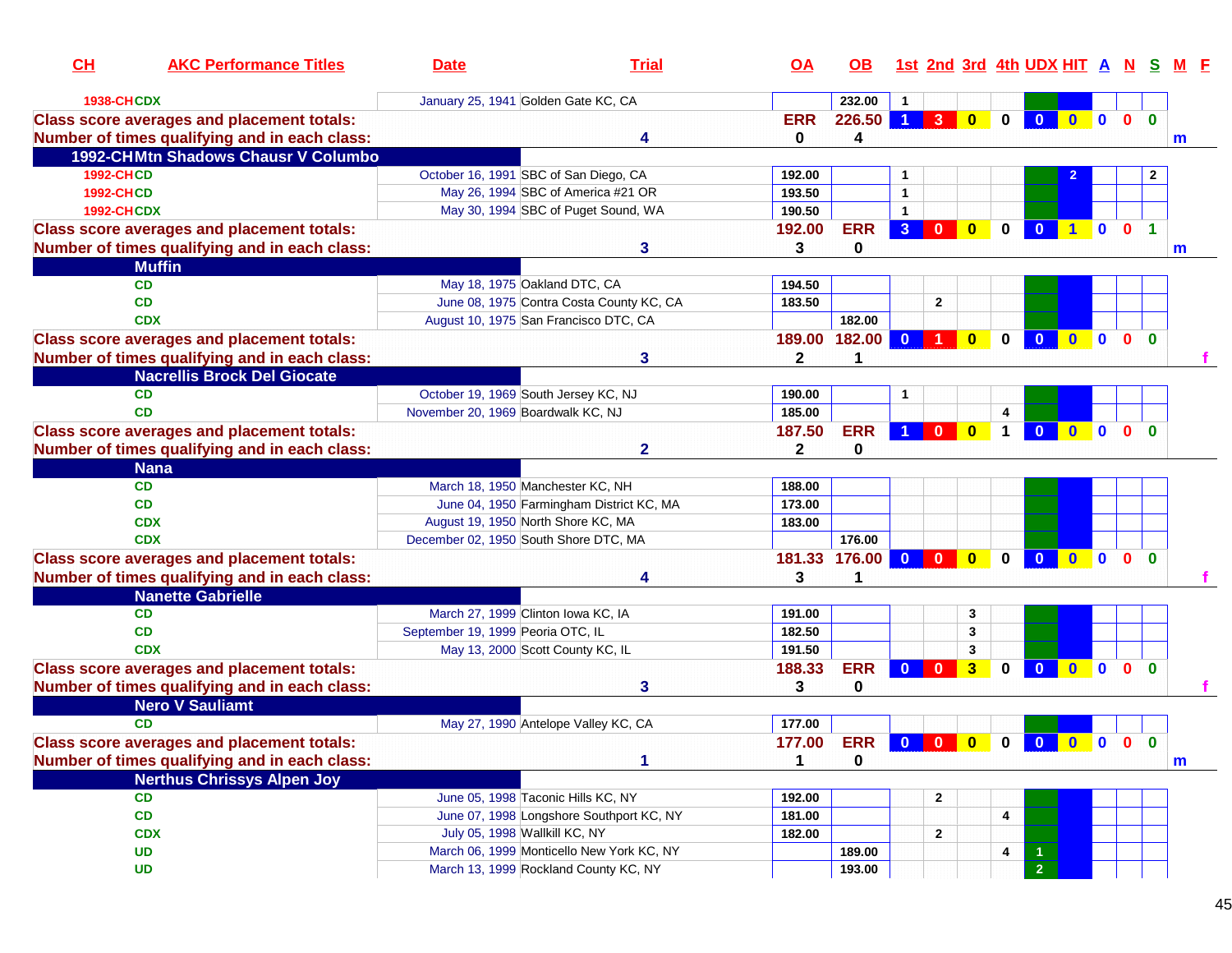| CH<br><b>AKC Performance Titles</b>               | <b>Date</b>                           | <b>Trial</b>                              | OA           | <b>OB</b>  |                      |              |              |                      | 1st 2nd 3rd 4th UDX HIT A N |              |                         |              | -S           |   |
|---------------------------------------------------|---------------------------------------|-------------------------------------------|--------------|------------|----------------------|--------------|--------------|----------------------|-----------------------------|--------------|-------------------------|--------------|--------------|---|
| <b>1938-CHCDX</b>                                 | January 25, 1941 Golden Gate KC, CA   |                                           |              | 232.00     |                      |              |              |                      |                             |              |                         |              |              |   |
| <b>Class score averages and placement totals:</b> |                                       |                                           | <b>ERR</b>   | 226.50     | $\blacktriangleleft$ | 3            | $\bf{0}$     | $\bf{0}$             |                             | $\mathbf{0}$ | $\mathbf{0}$            | $\mathbf{0}$ | $\Omega$     |   |
| Number of times qualifying and in each class:     |                                       | 4                                         | 0            | 4          |                      |              |              |                      |                             |              |                         |              | m            |   |
| 1992-CHMtn Shadows Chausr V Columbo               |                                       |                                           |              |            |                      |              |              |                      |                             |              |                         |              |              |   |
| <b>1992-CHCD</b>                                  | October 16, 1991 SBC of San Diego, CA |                                           | 192.00       |            |                      |              |              |                      |                             |              |                         |              | $\mathbf{2}$ |   |
| <b>1992-CHCD</b>                                  |                                       | May 26, 1994 SBC of America #21 OR        | 193.50       |            | $\mathbf{1}$         |              |              |                      |                             |              |                         |              |              |   |
| <b>1992-CHCDX</b>                                 |                                       | May 30, 1994 SBC of Puget Sound, WA       | 190.50       |            | $\mathbf{1}$         |              |              |                      |                             |              |                         |              |              |   |
| <b>Class score averages and placement totals:</b> |                                       |                                           | 192.00       | <b>ERR</b> | 3 <sup>°</sup>       | $\bf{0}$     | $\mathbf{0}$ | 0                    |                             |              | $\mathbf{0}$            | $\Omega$     |              |   |
| Number of times qualifying and in each class:     |                                       | 3                                         | 3            | 0          |                      |              |              |                      |                             |              |                         |              | m            |   |
| <b>Muffin</b>                                     |                                       |                                           |              |            |                      |              |              |                      |                             |              |                         |              |              |   |
| <b>CD</b>                                         | May 18, 1975 Oakland DTC, CA          |                                           | 194.50       |            |                      |              |              |                      |                             |              |                         |              |              |   |
| <b>CD</b>                                         |                                       | June 08, 1975 Contra Costa County KC, CA  | 183.50       |            |                      | $\mathbf{2}$ |              |                      |                             |              |                         |              |              |   |
| <b>CDX</b>                                        |                                       | August 10, 1975 San Francisco DTC, CA     |              | 182.00     |                      |              |              |                      |                             |              |                         |              |              |   |
| <b>Class score averages and placement totals:</b> |                                       |                                           | 189.00       | 182.00     | $\mathbf{0}$         |              | $\mathbf{0}$ | 0                    | $\mathbf{0}$                | $\bullet$    | $\overline{\mathbf{0}}$ | $\mathbf{0}$ | $\bf{0}$     |   |
| Number of times qualifying and in each class:     |                                       | 3                                         | 2            | 1          |                      |              |              |                      |                             |              |                         |              |              |   |
| <b>Nacrellis Brock Del Giocate</b>                |                                       |                                           |              |            |                      |              |              |                      |                             |              |                         |              |              |   |
| <b>CD</b>                                         | October 19, 1969 South Jersey KC, NJ  |                                           | 190.00       |            | 1                    |              |              |                      |                             |              |                         |              |              |   |
| <b>CD</b>                                         | November 20, 1969 Boardwalk KC, NJ    |                                           | 185.00       |            |                      |              |              | 4                    |                             |              |                         |              |              |   |
| <b>Class score averages and placement totals:</b> |                                       |                                           | 187.50       | <b>ERR</b> |                      | $\Omega$     | $\mathbf{0}$ | $\blacktriangleleft$ |                             | $\mathbf{0}$ | $\mathbf{0}$            | $\mathbf{0}$ | $\bf{0}$     |   |
| Number of times qualifying and in each class:     |                                       | $\mathbf{2}$                              | $\mathbf{2}$ | $\bf{0}$   |                      |              |              |                      |                             |              |                         |              |              |   |
| <b>Nana</b>                                       |                                       |                                           |              |            |                      |              |              |                      |                             |              |                         |              |              |   |
| <b>CD</b>                                         | March 18, 1950 Manchester KC, NH      |                                           | 188.00       |            |                      |              |              |                      |                             |              |                         |              |              |   |
| <b>CD</b>                                         |                                       | June 04, 1950 Farmingham District KC, MA  | 173.00       |            |                      |              |              |                      |                             |              |                         |              |              |   |
| <b>CDX</b>                                        | August 19, 1950 North Shore KC, MA    |                                           | 183.00       |            |                      |              |              |                      |                             |              |                         |              |              |   |
| <b>CDX</b>                                        | December 02, 1950 South Shore DTC, MA |                                           |              | 176.00     |                      |              |              |                      |                             |              |                         |              |              |   |
| <b>Class score averages and placement totals:</b> |                                       |                                           | 181.33       | 176.00     | $\Omega$             | $\Omega$     | $\mathbf{0}$ | 0                    | $\mathbf{0}$                | $\mathbf{0}$ | $\mathbf{0}$            | $\mathbf{0}$ | $\bf{0}$     |   |
| Number of times qualifying and in each class:     |                                       |                                           | 3            | 1          |                      |              |              |                      |                             |              |                         |              |              |   |
| <b>Nanette Gabrielle</b>                          |                                       |                                           |              |            |                      |              |              |                      |                             |              |                         |              |              |   |
| <b>CD</b>                                         | March 27, 1999 Clinton Iowa KC, IA    |                                           | 191.00       |            |                      |              | 3            |                      |                             |              |                         |              |              |   |
| <b>CD</b>                                         | September 19, 1999 Peoria OTC, IL     |                                           | 182.50       |            |                      |              | 3            |                      |                             |              |                         |              |              |   |
| <b>CDX</b>                                        |                                       | May 13, 2000 Scott County KC, IL          | 191.50       |            |                      |              | 3            |                      |                             |              |                         |              |              |   |
| <b>Class score averages and placement totals:</b> |                                       |                                           | 188.33       | <b>ERR</b> | $\bf{0}$             | $\bf{0}$     | 3            | 0                    | $\bf{0}$                    | $\mathbf{0}$ | $\mathbf{0}$            | $\mathbf{0}$ | $\bf{0}$     |   |
| Number of times qualifying and in each class:     |                                       | 3                                         | 3            | 0          |                      |              |              |                      |                             |              |                         |              |              |   |
| <b>Nero V Sauliamt</b>                            |                                       |                                           |              |            |                      |              |              |                      |                             |              |                         |              |              |   |
| <b>CD</b>                                         |                                       | May 27, 1990 Antelope Valley KC, CA       | 177.00       |            |                      |              |              |                      |                             |              |                         |              |              |   |
| <b>Class score averages and placement totals:</b> |                                       |                                           | 177.00       | <b>ERR</b> |                      | $0$ 0        | $\bullet$    | $\mathbf 0$          | <u>ം</u>                    | $0$ 0 0      |                         |              | $\Omega$     |   |
| Number of times qualifying and in each class:     |                                       |                                           | 1            | 0          |                      |              |              |                      |                             |              |                         |              |              | m |
| <b>Nerthus Chrissys Alpen Joy</b>                 |                                       |                                           |              |            |                      |              |              |                      |                             |              |                         |              |              |   |
| <b>CD</b>                                         |                                       | June 05, 1998 Taconic Hills KC, NY        | 192.00       |            |                      | $\mathbf{2}$ |              |                      |                             |              |                         |              |              |   |
| CD                                                |                                       | June 07, 1998 Longshore Southport KC, NY  | 181.00       |            |                      |              |              | 4                    |                             |              |                         |              |              |   |
| <b>CDX</b>                                        | July 05, 1998 Wallkill KC, NY         |                                           | 182.00       |            |                      | $\mathbf{2}$ |              |                      |                             |              |                         |              |              |   |
| <b>UD</b>                                         |                                       | March 06, 1999 Monticello New York KC, NY |              | 189.00     |                      |              |              | 4                    |                             |              |                         |              |              |   |
| <b>UD</b>                                         |                                       | March 13, 1999 Rockland County KC, NY     |              | 193.00     |                      |              |              |                      | 2 <sup>7</sup>              |              |                         |              |              |   |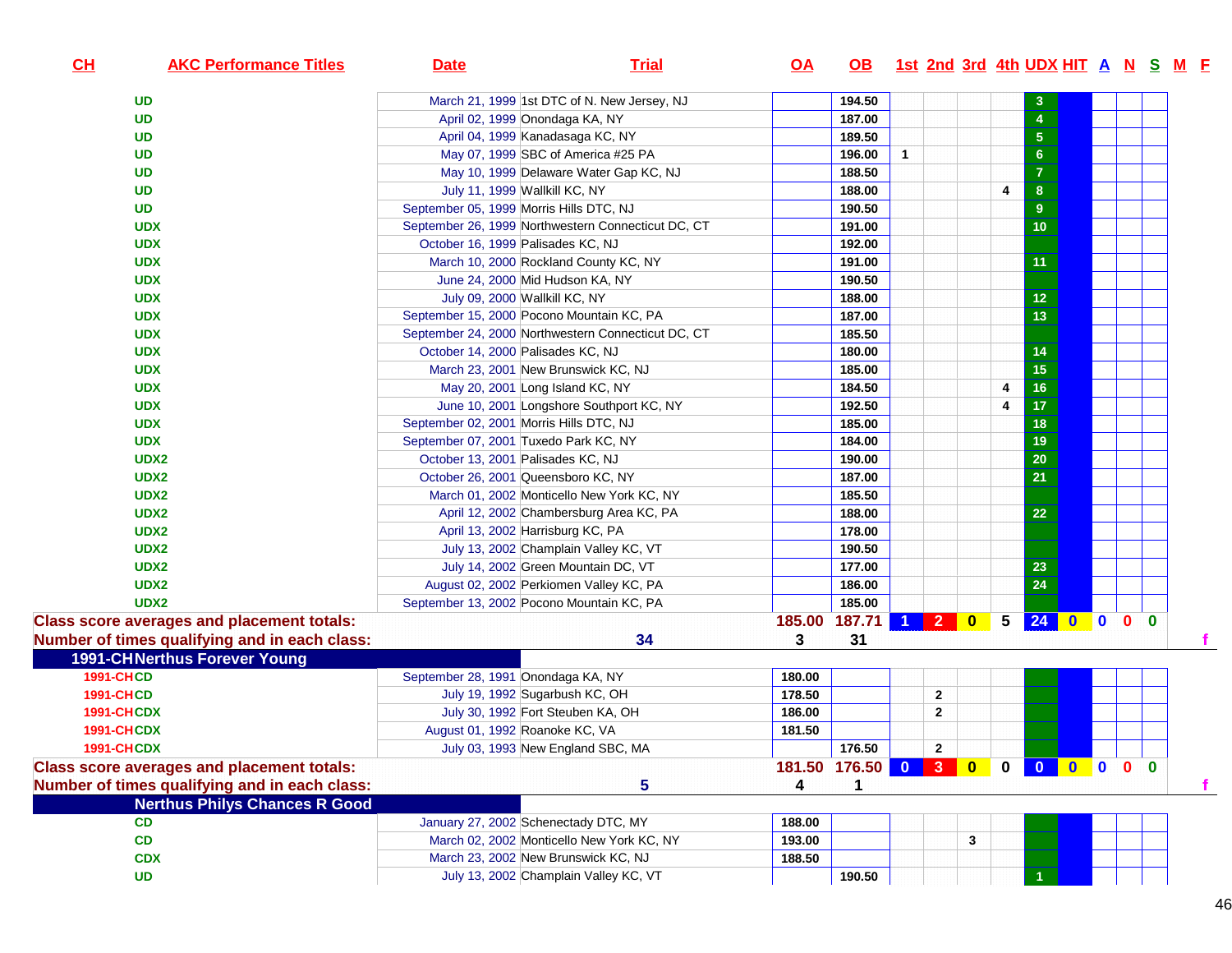| CL<br><b>AKC Performance Titles</b>               | <b>Date</b>                        | <b>Trial</b>                                       | <u>OA</u> | <b>OB</b>               |              |              |       |   | <u>1st 2nd 3rd 4th UDX HIT A N S M F</u> |                         |                |                |   |
|---------------------------------------------------|------------------------------------|----------------------------------------------------|-----------|-------------------------|--------------|--------------|-------|---|------------------------------------------|-------------------------|----------------|----------------|---|
| <b>UD</b>                                         |                                    | March 21, 1999 1st DTC of N. New Jersey, NJ        |           | 194.50                  |              |              |       |   |                                          |                         |                |                |   |
| <b>UD</b>                                         |                                    | April 02, 1999 Onondaga KA, NY                     |           | 187.00                  |              |              |       |   | $\boldsymbol{4}$                         |                         |                |                |   |
| <b>UD</b>                                         |                                    | April 04, 1999 Kanadasaga KC, NY                   |           | 189.50                  |              |              |       |   | $\overline{5}$                           |                         |                |                |   |
| <b>UD</b>                                         |                                    | May 07, 1999 SBC of America #25 PA                 |           | 196.00                  | $\mathbf{1}$ |              |       |   | $6\phantom{a}$                           |                         |                |                |   |
| <b>UD</b>                                         |                                    | May 10, 1999 Delaware Water Gap KC, NJ             |           | 188.50                  |              |              |       |   | $\overline{7}$                           |                         |                |                |   |
| <b>UD</b>                                         |                                    | July 11, 1999 Wallkill KC, NY                      |           | 188.00                  |              |              |       | 4 | $\boldsymbol{8}$                         |                         |                |                |   |
| <b>UD</b>                                         |                                    | September 05, 1999 Morris Hills DTC, NJ            |           | 190.50                  |              |              |       |   | 9 <sup>°</sup>                           |                         |                |                |   |
| <b>UDX</b>                                        |                                    | September 26, 1999 Northwestern Connecticut DC, CT |           | 191.00                  |              |              |       |   | 10                                       |                         |                |                |   |
| <b>UDX</b>                                        | October 16, 1999 Palisades KC, NJ  |                                                    |           | 192.00                  |              |              |       |   |                                          |                         |                |                |   |
| <b>UDX</b>                                        |                                    | March 10, 2000 Rockland County KC, NY              |           | 191.00                  |              |              |       |   | 11                                       |                         |                |                |   |
| <b>UDX</b>                                        |                                    | June 24, 2000 Mid Hudson KA, NY                    |           | 190.50                  |              |              |       |   |                                          |                         |                |                |   |
| <b>UDX</b>                                        |                                    | July 09, 2000 Wallkill KC, NY                      |           | 188.00                  |              |              |       |   | 12 <sub>2</sub>                          |                         |                |                |   |
| <b>UDX</b>                                        |                                    | September 15, 2000 Pocono Mountain KC, PA          |           | 187.00                  |              |              |       |   | 13                                       |                         |                |                |   |
| <b>UDX</b>                                        |                                    | September 24, 2000 Northwestern Connecticut DC, CT |           | 185.50                  |              |              |       |   |                                          |                         |                |                |   |
| <b>UDX</b>                                        | October 14, 2000 Palisades KC, NJ  |                                                    |           | 180.00                  |              |              |       |   | 14                                       |                         |                |                |   |
| <b>UDX</b>                                        |                                    | March 23, 2001 New Brunswick KC, NJ                |           | 185.00                  |              |              |       |   | 15 <sub>15</sub>                         |                         |                |                |   |
| <b>UDX</b>                                        |                                    | May 20, 2001 Long Island KC, NY                    |           | 184.50                  |              |              |       | 4 | 16 <sup>°</sup>                          |                         |                |                |   |
| <b>UDX</b>                                        |                                    | June 10, 2001 Longshore Southport KC, NY           |           | 192.50                  |              |              |       | 4 | 17 <sub>2</sub>                          |                         |                |                |   |
| <b>UDX</b>                                        |                                    | September 02, 2001 Morris Hills DTC, NJ            |           | 185.00                  |              |              |       |   | 18                                       |                         |                |                |   |
| <b>UDX</b>                                        |                                    | September 07, 2001 Tuxedo Park KC, NY              |           | 184.00                  |              |              |       |   | 19                                       |                         |                |                |   |
| UDX2                                              | October 13, 2001 Palisades KC, NJ  |                                                    |           | 190.00                  |              |              |       |   | 20                                       |                         |                |                |   |
| UDX2                                              |                                    | October 26, 2001 Queensboro KC, NY                 |           | 187.00                  |              |              |       |   | 21                                       |                         |                |                |   |
| UDX2                                              |                                    | March 01, 2002 Monticello New York KC, NY          |           | 185.50                  |              |              |       |   |                                          |                         |                |                |   |
| UDX2                                              |                                    | April 12, 2002 Chambersburg Area KC, PA            |           | 188.00                  |              |              |       |   | 22                                       |                         |                |                |   |
| UDX2                                              |                                    | April 13, 2002 Harrisburg KC, PA                   |           | 178.00                  |              |              |       |   |                                          |                         |                |                |   |
| UDX2                                              |                                    | July 13, 2002 Champlain Valley KC, VT              |           | 190.50                  |              |              |       |   |                                          |                         |                |                |   |
| UDX2                                              |                                    | July 14, 2002 Green Mountain DC, VT                |           | 177.00                  |              |              |       |   | 23                                       |                         |                |                |   |
| UDX2                                              |                                    | August 02, 2002 Perkiomen Valley KC, PA            |           | 186.00                  |              |              |       |   | 24                                       |                         |                |                |   |
| UDX2                                              |                                    | September 13, 2002 Pocono Mountain KC, PA          |           | 185.00                  |              |              |       |   |                                          |                         |                |                |   |
| <b>Class score averages and placement totals:</b> |                                    |                                                    |           | 185.00 187.71           |              |              | 1 2 0 |   | 5 24 0 0 0 0                             |                         |                |                |   |
| Number of times qualifying and in each class:     |                                    | 34                                                 | 3         | 31                      |              |              |       |   |                                          |                         |                |                |   |
| <b>1991-CHNerthus Forever Young</b>               |                                    |                                                    |           |                         |              |              |       |   |                                          |                         |                |                |   |
| <b>1991-CHCD</b>                                  | September 28, 1991 Onondaga KA, NY |                                                    | 180.00    |                         |              |              |       |   |                                          |                         |                |                |   |
| <b>1991-CHCD</b>                                  |                                    | July 19, 1992 Sugarbush KC, OH                     | 178.50    |                         |              | $\mathbf{2}$ |       |   |                                          |                         |                |                |   |
| <b>1991-CHCDX</b>                                 |                                    | July 30, 1992 Fort Steuben KA, OH                  | 186.00    |                         |              | $\mathbf{2}$ |       |   |                                          |                         |                |                |   |
| <b>1991-CHCDX</b>                                 |                                    | August 01, 1992 Roanoke KC, VA                     | 181.50    |                         |              |              |       |   |                                          |                         |                |                |   |
| <b>1991-CHCDX</b>                                 |                                    | July 03, 1993 New England SBC, MA                  |           | 176.50                  |              | $\mathbf{2}$ |       |   |                                          |                         |                |                |   |
| <b>Class score averages and placement totals:</b> |                                    |                                                    |           | 181.50 176.50 0 3 0 0 0 |              |              |       |   |                                          | $\overline{\mathbf{0}}$ | $\blacksquare$ | 0 <sub>0</sub> |   |
| Number of times qualifying and in each class:     |                                    | 5                                                  | 4         | 1                       |              |              |       |   |                                          |                         |                |                | f |
| <b>Nerthus Philys Chances R Good</b>              |                                    |                                                    |           |                         |              |              |       |   |                                          |                         |                |                |   |
| CD                                                |                                    | January 27, 2002 Schenectady DTC, MY               | 188.00    |                         |              |              |       |   |                                          |                         |                |                |   |
| CD                                                |                                    | March 02, 2002 Monticello New York KC, NY          | 193.00    |                         |              |              | 3     |   |                                          |                         |                |                |   |
| <b>CDX</b>                                        |                                    | March 23, 2002 New Brunswick KC, NJ                | 188.50    |                         |              |              |       |   |                                          |                         |                |                |   |
| <b>UD</b>                                         |                                    | July 13, 2002 Champlain Valley KC, VT              |           | 190.50                  |              |              |       |   |                                          |                         |                |                |   |
|                                                   |                                    |                                                    |           |                         |              |              |       |   |                                          |                         |                |                |   |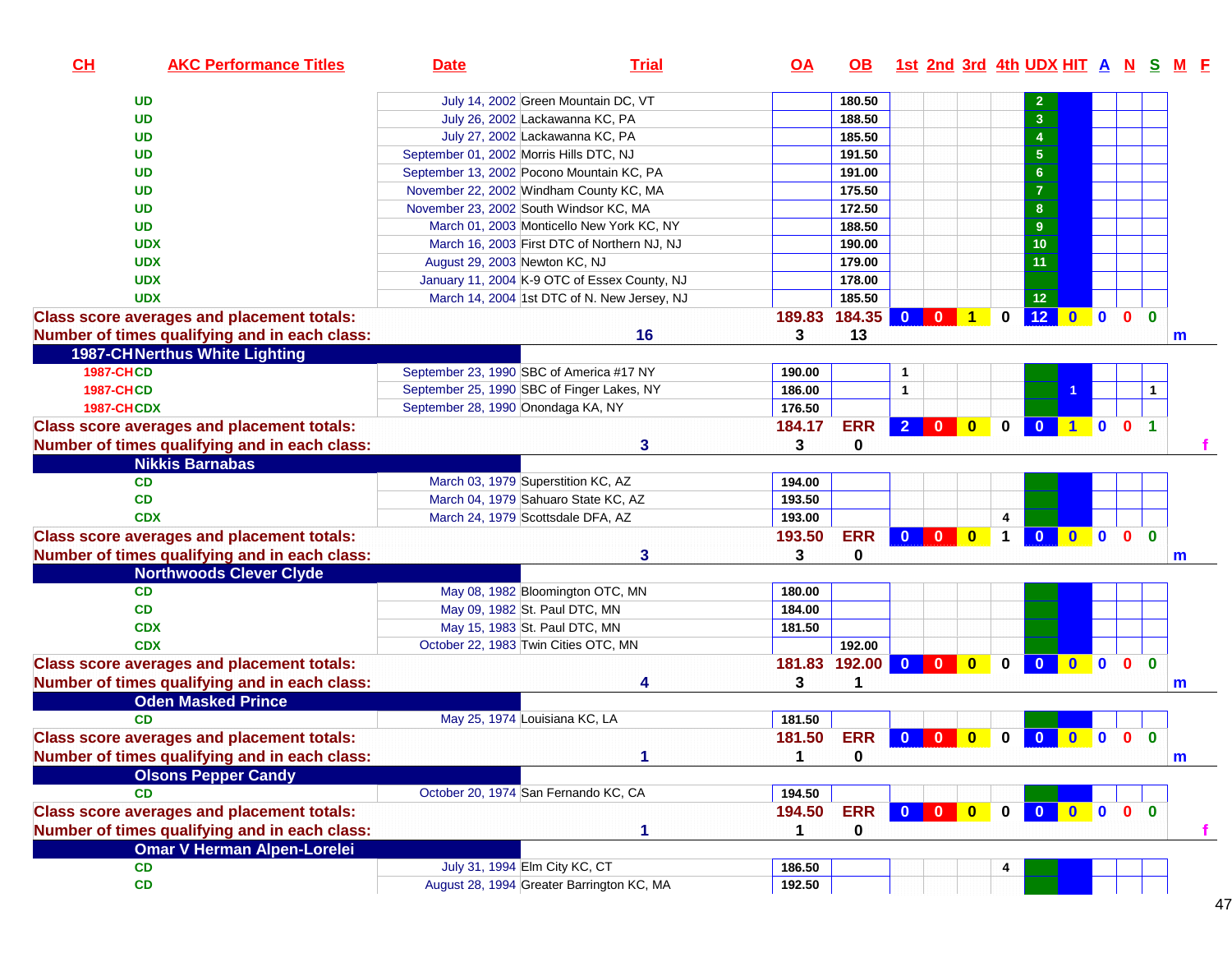| CH                | <b>AKC Performance Titles</b>                     | <b>Date</b>                                | <b>Trial</b>                                 | $\overline{OA}$ | OB.        | <u>1st 2nd 3rd 4th UDX HIT A N S M F</u> |                                |              |                |              |                  |                |                |              |
|-------------------|---------------------------------------------------|--------------------------------------------|----------------------------------------------|-----------------|------------|------------------------------------------|--------------------------------|--------------|----------------|--------------|------------------|----------------|----------------|--------------|
|                   | <b>UD</b>                                         | July 14, 2002 Green Mountain DC, VT        |                                              |                 | 180.50     |                                          |                                |              |                |              |                  |                |                |              |
|                   | <b>UD</b>                                         | July 26, 2002 Lackawanna KC, PA            |                                              |                 | 188.50     |                                          |                                |              | $\overline{3}$ |              |                  |                |                |              |
|                   | <b>UD</b>                                         | July 27, 2002 Lackawanna KC, PA            |                                              |                 | 185.50     |                                          |                                |              | $\overline{4}$ |              |                  |                |                |              |
|                   | <b>UD</b>                                         | September 01, 2002 Morris Hills DTC, NJ    |                                              |                 | 191.50     |                                          |                                |              | 5 <sub>5</sub> |              |                  |                |                |              |
|                   | <b>UD</b>                                         | September 13, 2002 Pocono Mountain KC, PA  |                                              |                 | 191.00     |                                          |                                |              | $6\phantom{1}$ |              |                  |                |                |              |
|                   | <b>UD</b>                                         | November 22, 2002 Windham County KC, MA    |                                              |                 | 175.50     |                                          |                                |              | $\overline{7}$ |              |                  |                |                |              |
|                   | <b>UD</b>                                         | November 23, 2002 South Windsor KC, MA     |                                              |                 | 172.50     |                                          |                                |              | 8              |              |                  |                |                |              |
|                   | <b>UD</b>                                         |                                            | March 01, 2003 Monticello New York KC, NY    |                 | 188.50     |                                          |                                |              | $\overline{9}$ |              |                  |                |                |              |
|                   | <b>UDX</b>                                        |                                            | March 16, 2003 First DTC of Northern NJ, NJ  |                 | 190.00     |                                          |                                |              | 10             |              |                  |                |                |              |
|                   | <b>UDX</b>                                        | August 29, 2003 Newton KC, NJ              |                                              |                 | 179.00     |                                          |                                |              | 11             |              |                  |                |                |              |
|                   | <b>UDX</b>                                        |                                            | January 11, 2004 K-9 OTC of Essex County, NJ |                 | 178.00     |                                          |                                |              |                |              |                  |                |                |              |
|                   | <b>UDX</b>                                        |                                            | March 14, 2004 1st DTC of N. New Jersey, NJ  |                 | 185.50     |                                          |                                |              | 12             |              |                  |                |                |              |
|                   | <b>Class score averages and placement totals:</b> |                                            |                                              | 189.83          | 184.35     | $\mathbf{0}$<br>$\mathbf{0}$             | $\blacksquare$ 1               | 0            | 12             |              | $0$ 0 0          |                | $\Omega$       |              |
|                   | Number of times qualifying and in each class:     |                                            | 16                                           | 3               | 13         |                                          |                                |              |                |              |                  |                |                | m            |
|                   | <b>1987-CHNerthus White Lighting</b>              |                                            |                                              |                 |            |                                          |                                |              |                |              |                  |                |                |              |
| <b>1987-CHCD</b>  |                                                   | September 23, 1990 SBC of America #17 NY   |                                              | 190.00          |            | 1                                        |                                |              |                |              |                  |                |                |              |
| <b>1987-CHCD</b>  |                                                   | September 25, 1990 SBC of Finger Lakes, NY |                                              | 186.00          |            | $\mathbf{1}$                             |                                |              |                |              |                  |                |                |              |
| <b>1987-CHCDX</b> |                                                   | September 28, 1990 Onondaga KA, NY         |                                              | 176.50          |            |                                          |                                |              |                |              |                  |                |                |              |
|                   | <b>Class score averages and placement totals:</b> |                                            |                                              | 184.17          | <b>ERR</b> | $200$                                    |                                | $\mathbf 0$  | $\bullet$      |              | 100              |                | $\overline{1}$ |              |
|                   | Number of times qualifying and in each class:     |                                            | 3                                            | 3               | 0          |                                          |                                |              |                |              |                  |                |                |              |
|                   | <b>Nikkis Barnabas</b>                            |                                            |                                              |                 |            |                                          |                                |              |                |              |                  |                |                |              |
|                   | CD                                                | March 03, 1979 Superstition KC, AZ         |                                              | 194.00          |            |                                          |                                |              |                |              |                  |                |                |              |
|                   | CD                                                | March 04, 1979 Sahuaro State KC, AZ        |                                              | 193.50          |            |                                          |                                |              |                |              |                  |                |                |              |
|                   | <b>CDX</b>                                        | March 24, 1979 Scottsdale DFA, AZ          |                                              | 193.00          |            |                                          |                                | 4            |                |              |                  |                |                |              |
|                   | <b>Class score averages and placement totals:</b> |                                            |                                              | 193.50          | <b>ERR</b> | $0$ 0 0                                  |                                | $\mathbf 1$  | $\mathbf{0}$   |              | $0$ 0 0          |                | $\mathbf{0}$   |              |
|                   | Number of times qualifying and in each class:     |                                            | 3                                            | 3               | 0          |                                          |                                |              |                |              |                  |                |                | m            |
|                   | <b>Northwoods Clever Clyde</b>                    |                                            |                                              |                 |            |                                          |                                |              |                |              |                  |                |                |              |
|                   | <b>CD</b>                                         | May 08, 1982 Bloomington OTC, MN           |                                              | 180.00          |            |                                          |                                |              |                |              |                  |                |                |              |
|                   | CD                                                | May 09, 1982 St. Paul DTC, MN              |                                              | 184.00          |            |                                          |                                |              |                |              |                  |                |                |              |
|                   | <b>CDX</b>                                        | May 15, 1983 St. Paul DTC, MN              |                                              | 181.50          |            |                                          |                                |              |                |              |                  |                |                |              |
|                   | <b>CDX</b>                                        | October 22, 1983 Twin Cities OTC, MN       |                                              |                 | 192.00     |                                          |                                |              |                |              |                  |                |                |              |
|                   | <b>Class score averages and placement totals:</b> |                                            |                                              | 181.83          | $192.00$ 0 |                                          | $\overline{0}$<br>$\mathbf{0}$ | $\mathbf{0}$ | $\Omega$       | $\mathbf{0}$ | $\mathbf{0}$     | $\mathbf{0}$   | $\mathbf{0}$   |              |
|                   | Number of times qualifying and in each class:     |                                            | 4                                            | 3               | 1          |                                          |                                |              |                |              |                  |                |                | m            |
|                   | <b>Oden Masked Prince</b>                         |                                            |                                              |                 |            |                                          |                                |              |                |              |                  |                |                |              |
|                   | <b>CD</b>                                         | May 25, 1974 Louisiana KC, LA              |                                              | 181.50          |            |                                          |                                |              |                |              |                  |                |                |              |
|                   | <b>Class score averages and placement totals:</b> |                                            |                                              | 181.50          | <b>ERR</b> | $\overline{\mathbf{0}}$<br>$\bullet$     | $\mathbf{0}$                   | 0            | $\bullet$      | $\bullet$    | $\blacksquare$ 0 | $\mathbf{0}$   | $\mathbf{0}$   |              |
|                   | Number of times qualifying and in each class:     |                                            |                                              | 1               | 0          |                                          |                                |              |                |              |                  |                |                | $\mathsf{m}$ |
|                   | <b>Olsons Pepper Candy</b>                        |                                            |                                              |                 |            |                                          |                                |              |                |              |                  |                |                |              |
|                   | <b>CD</b>                                         | October 20, 1974 San Fernando KC, CA       |                                              | 194.50          |            |                                          |                                |              |                |              |                  |                |                |              |
|                   | <b>Class score averages and placement totals:</b> |                                            |                                              | 194.50          | <b>ERR</b> |                                          |                                | $\mathbf 0$  |                | 000          |                  | 0 <sub>0</sub> |                |              |
|                   | Number of times qualifying and in each class:     |                                            | 1                                            | 1               | 0          |                                          |                                |              |                |              |                  |                |                | Ŧ.           |
|                   | <b>Omar V Herman Alpen-Lorelei</b>                |                                            |                                              |                 |            |                                          |                                |              |                |              |                  |                |                |              |
|                   | <b>CD</b>                                         | July 31, 1994 Elm City KC, CT              |                                              | 186.50          |            |                                          |                                |              |                |              |                  |                |                |              |
|                   | CD                                                | August 28, 1994 Greater Barrington KC, MA  |                                              | 192.50          |            |                                          |                                |              |                |              |                  |                |                |              |
|                   |                                                   |                                            |                                              |                 |            |                                          |                                |              |                |              |                  |                |                |              |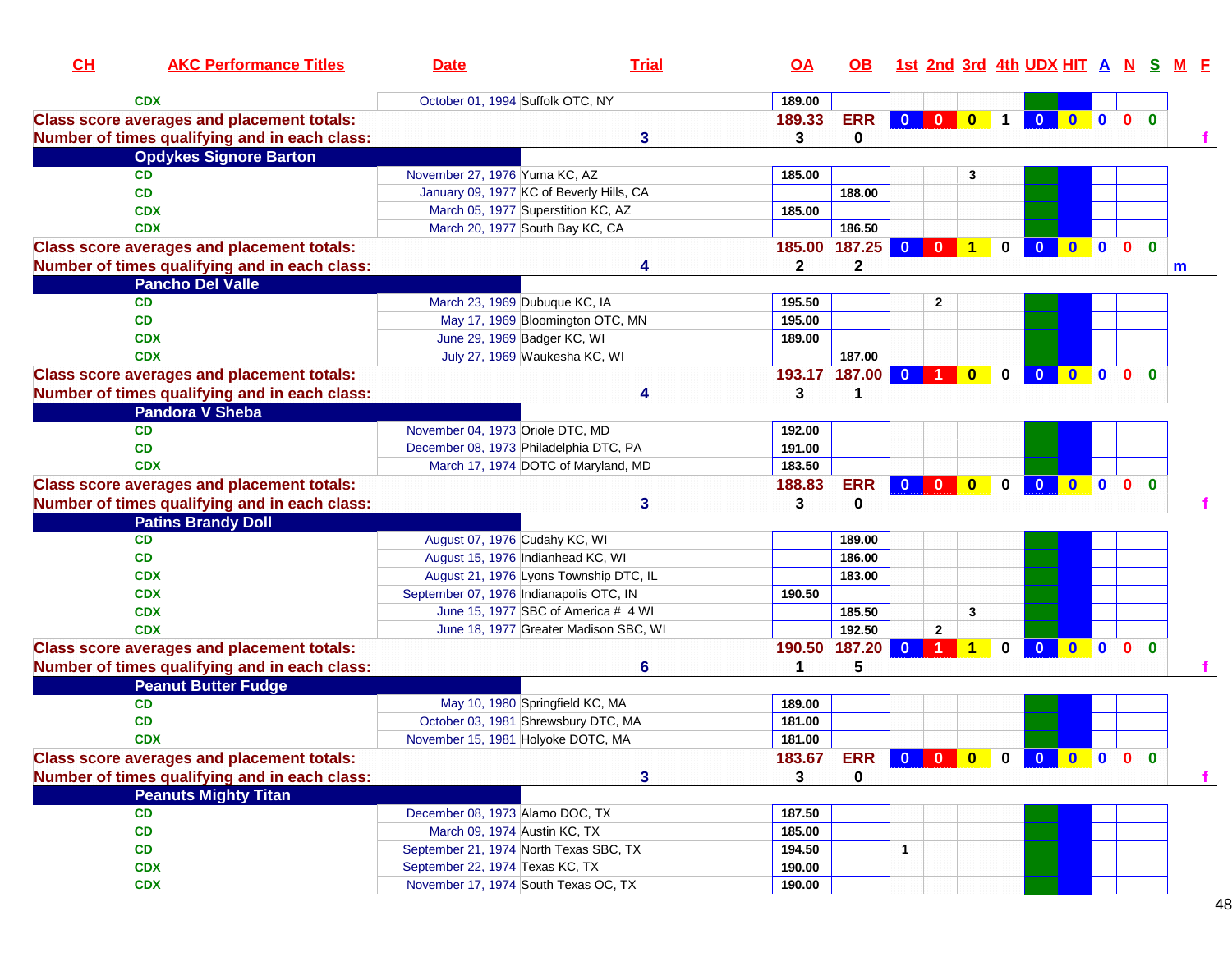| CL | <b>AKC Performance Titles</b>                                                                      | <b>Date</b>                                                             | <b>Trial</b>                          | <u>OA</u>        | <b>OB</b>       |                         |                                                                                             |                      |             | 1st 2nd 3rd 4th UDX HIT A N S |                     |                |              |              | M F |
|----|----------------------------------------------------------------------------------------------------|-------------------------------------------------------------------------|---------------------------------------|------------------|-----------------|-------------------------|---------------------------------------------------------------------------------------------|----------------------|-------------|-------------------------------|---------------------|----------------|--------------|--------------|-----|
|    | <b>CDX</b>                                                                                         | October 01, 1994 Suffolk OTC, NY                                        |                                       | 189.00           |                 |                         |                                                                                             |                      |             |                               |                     |                |              |              |     |
|    | <b>Class score averages and placement totals:</b><br>Number of times qualifying and in each class: |                                                                         | 3                                     | 189.33<br>3      | <b>ERR</b><br>0 |                         |                                                                                             | 0 0 0 1              |             |                               | 0 0 0 0 0           |                |              |              |     |
|    | <b>Opdykes Signore Barton</b>                                                                      |                                                                         |                                       |                  |                 |                         |                                                                                             |                      |             |                               |                     |                |              |              |     |
|    | <b>CD</b>                                                                                          | November 27, 1976 Yuma KC, AZ                                           |                                       | 185.00           |                 |                         |                                                                                             | 3                    |             |                               |                     |                |              |              |     |
|    | CD                                                                                                 | January 09, 1977 KC of Beverly Hills, CA                                |                                       |                  | 188.00          |                         |                                                                                             |                      |             |                               |                     |                |              |              |     |
|    | <b>CDX</b>                                                                                         | March 05, 1977 Superstition KC, AZ                                      |                                       | 185.00           |                 |                         |                                                                                             |                      |             |                               |                     |                |              |              |     |
|    | <b>CDX</b>                                                                                         | March 20, 1977 South Bay KC, CA                                         |                                       |                  | 186.50          |                         |                                                                                             |                      |             |                               |                     |                |              |              |     |
|    | <b>Class score averages and placement totals:</b>                                                  |                                                                         |                                       | 185.00 187.25    |                 | $\mathbf{0}$            | $\bf{0}$                                                                                    | $\blacktriangleleft$ | $\bf{0}$    | $\mathbf{0}$                  | $\mathbf{0}$        | $\blacksquare$ | $\mathbf{0}$ | $\mathbf{0}$ |     |
|    | Number of times qualifying and in each class:                                                      |                                                                         | 4                                     | $\mathbf{2}$     | $\mathbf 2$     |                         |                                                                                             |                      |             |                               |                     |                |              |              | m   |
|    | <b>Pancho Del Valle</b>                                                                            |                                                                         |                                       |                  |                 |                         |                                                                                             |                      |             |                               |                     |                |              |              |     |
|    | <b>CD</b>                                                                                          | March 23, 1969 Dubuque KC, IA                                           |                                       | 195.50           |                 |                         | $\mathbf{2}$                                                                                |                      |             |                               |                     |                |              |              |     |
|    | <b>CD</b>                                                                                          | May 17, 1969 Bloomington OTC, MN                                        |                                       | 195.00           |                 |                         |                                                                                             |                      |             |                               |                     |                |              |              |     |
|    | <b>CDX</b>                                                                                         | June 29, 1969 Badger KC, WI                                             |                                       | 189.00           |                 |                         |                                                                                             |                      |             |                               |                     |                |              |              |     |
|    | <b>CDX</b>                                                                                         | July 27, 1969 Waukesha KC, WI                                           |                                       |                  | 187.00          |                         |                                                                                             |                      |             |                               |                     |                |              |              |     |
|    | <b>Class score averages and placement totals:</b>                                                  |                                                                         |                                       | 193.17 187.00    |                 | $\overline{\mathbf{0}}$ |                                                                                             | $\bf{0}$             | 0           | $\mathbf{0}$                  | $\mathbf{0}$        | $\blacksquare$ | $\mathbf{0}$ | $\mathbf{0}$ |     |
|    | Number of times qualifying and in each class:                                                      |                                                                         | 4                                     | 3                | 1               |                         |                                                                                             |                      |             |                               |                     |                |              |              |     |
|    | <b>Pandora V Sheba</b>                                                                             |                                                                         |                                       |                  |                 |                         |                                                                                             |                      |             |                               |                     |                |              |              |     |
|    | <b>CD</b>                                                                                          | November 04, 1973 Oriole DTC, MD                                        |                                       | 192.00           |                 |                         |                                                                                             |                      |             |                               |                     |                |              |              |     |
|    | CD                                                                                                 | December 08, 1973 Philadelphia DTC, PA                                  |                                       | 191.00           |                 |                         |                                                                                             |                      |             |                               |                     |                |              |              |     |
|    | <b>CDX</b>                                                                                         | March 17, 1974 DOTC of Maryland, MD                                     |                                       | 183.50           |                 |                         |                                                                                             |                      |             |                               |                     |                |              |              |     |
|    | <b>Class score averages and placement totals:</b>                                                  |                                                                         |                                       | 188.83           | <b>ERR</b>      |                         | $\begin{array}{ c c c c c c c c c }\hline \textbf{0} & \textbf{0} & \textbf{0} \end{array}$ |                      | $\mathbf 0$ | $\overline{\mathbf{0}}$       | $\bullet$ $\bullet$ |                | $\mathbf{0}$ | $\mathbf{0}$ |     |
|    | Number of times qualifying and in each class:                                                      |                                                                         | 3                                     | 3                | 0               |                         |                                                                                             |                      |             |                               |                     |                |              |              |     |
|    | <b>Patins Brandy Doll</b>                                                                          |                                                                         |                                       |                  |                 |                         |                                                                                             |                      |             |                               |                     |                |              |              |     |
|    | <b>CD</b>                                                                                          | August 07, 1976 Cudahy KC, WI                                           |                                       |                  | 189.00          |                         |                                                                                             |                      |             |                               |                     |                |              |              |     |
|    | CD                                                                                                 | August 15, 1976 Indianhead KC, WI                                       |                                       |                  | 186.00          |                         |                                                                                             |                      |             |                               |                     |                |              |              |     |
|    | <b>CDX</b>                                                                                         | August 21, 1976 Lyons Township DTC, IL                                  |                                       |                  | 183.00          |                         |                                                                                             |                      |             |                               |                     |                |              |              |     |
|    | <b>CDX</b>                                                                                         | September 07, 1976 Indianapolis OTC, IN                                 |                                       | 190.50           |                 |                         |                                                                                             |                      |             |                               |                     |                |              |              |     |
|    | <b>CDX</b>                                                                                         | June 15, 1977 SBC of America # 4 WI                                     |                                       |                  | 185.50          |                         |                                                                                             | 3                    |             |                               |                     |                |              |              |     |
|    | <b>CDX</b>                                                                                         |                                                                         | June 18, 1977 Greater Madison SBC, WI |                  | 192.50          |                         | $\mathbf{2}$                                                                                |                      |             |                               |                     |                |              |              |     |
|    | <b>Class score averages and placement totals:</b>                                                  |                                                                         |                                       | 190.50 187.20    |                 | $\mathbf{0}$            |                                                                                             | 1                    | $\bf{0}$    | $\mathbf{0}$                  | $\mathbf{0}$        | $\blacksquare$ | $\mathbf{0}$ | $\mathbf{0}$ |     |
|    | Number of times qualifying and in each class:                                                      |                                                                         | 6                                     | 1                | 5               |                         |                                                                                             |                      |             |                               |                     |                |              |              |     |
|    | <b>Peanut Butter Fudge</b>                                                                         |                                                                         |                                       |                  |                 |                         |                                                                                             |                      |             |                               |                     |                |              |              |     |
|    | <b>CD</b>                                                                                          | May 10, 1980 Springfield KC, MA                                         |                                       | 189.00           |                 |                         |                                                                                             |                      |             |                               |                     |                |              |              |     |
|    | <b>CD</b>                                                                                          | October 03, 1981 Shrewsbury DTC, MA                                     |                                       | 181.00           |                 |                         |                                                                                             |                      |             |                               |                     |                |              |              |     |
|    | <b>CDX</b>                                                                                         | November 15, 1981 Holyoke DOTC, MA                                      |                                       | 181.00           |                 |                         |                                                                                             |                      |             |                               |                     |                |              |              |     |
|    | <b>Class score averages and placement totals:</b>                                                  |                                                                         |                                       | 183.67           | <b>ERR</b>      |                         |                                                                                             | 000                  |             | 0 0 0 0                       |                     |                | $\mathbf{0}$ | $\bf{0}$     |     |
|    | Number of times qualifying and in each class:                                                      |                                                                         | 3                                     | 3                | 0               |                         |                                                                                             |                      |             |                               |                     |                |              |              | т.  |
|    | <b>Peanuts Mighty Titan</b>                                                                        |                                                                         |                                       |                  |                 |                         |                                                                                             |                      |             |                               |                     |                |              |              |     |
|    | CD                                                                                                 | December 08, 1973 Alamo DOC, TX                                         |                                       |                  |                 |                         |                                                                                             |                      |             |                               |                     |                |              |              |     |
|    | CD                                                                                                 | March 09, 1974 Austin KC, TX                                            |                                       | 187.50<br>185.00 |                 |                         |                                                                                             |                      |             |                               |                     |                |              |              |     |
|    |                                                                                                    | September 21, 1974 North Texas SBC, TX                                  |                                       |                  |                 | 1                       |                                                                                             |                      |             |                               |                     |                |              |              |     |
|    | CD                                                                                                 |                                                                         |                                       | 194.50           |                 |                         |                                                                                             |                      |             |                               |                     |                |              |              |     |
|    | <b>CDX</b>                                                                                         | September 22, 1974 Texas KC, TX<br>November 17, 1974 South Texas OC, TX |                                       | 190.00           |                 |                         |                                                                                             |                      |             |                               |                     |                |              |              |     |
|    | <b>CDX</b>                                                                                         |                                                                         |                                       | 190.00           |                 |                         |                                                                                             |                      |             |                               |                     |                |              |              |     |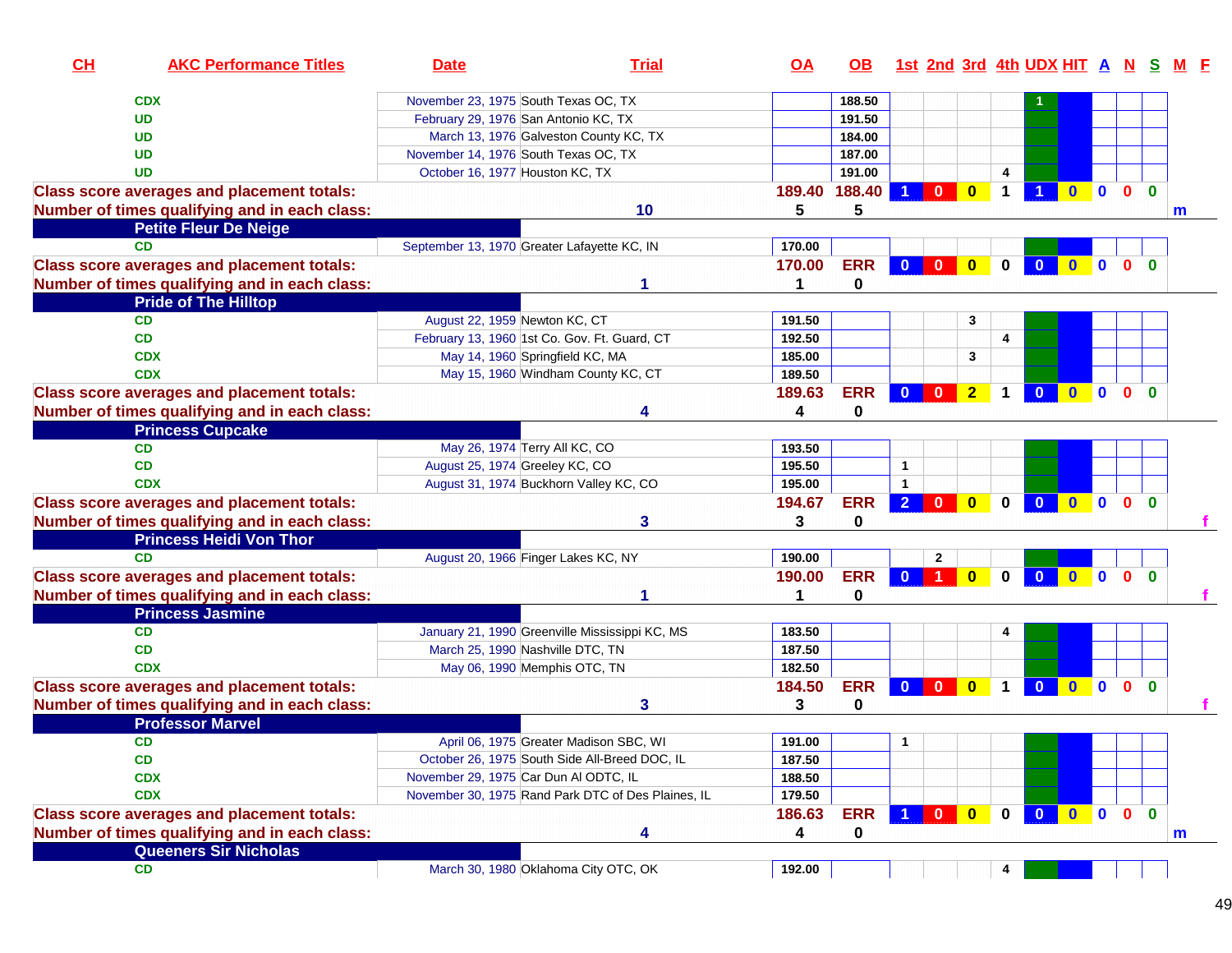| CL | <b>AKC Performance Titles</b>                     | <b>Date</b>                                  | <b>Trial</b>                                       | OA     | OB.        |                                |                         |                         | <u>1st 2nd 3rd 4th UDX HIT A N S</u>    |                     |                |                         |              |
|----|---------------------------------------------------|----------------------------------------------|----------------------------------------------------|--------|------------|--------------------------------|-------------------------|-------------------------|-----------------------------------------|---------------------|----------------|-------------------------|--------------|
|    | <b>CDX</b>                                        | November 23, 1975 South Texas OC, TX         |                                                    |        | 188.50     |                                |                         |                         |                                         |                     |                |                         |              |
|    | <b>UD</b>                                         | February 29, 1976 San Antonio KC, TX         |                                                    |        | 191.50     |                                |                         |                         |                                         |                     |                |                         |              |
|    | <b>UD</b>                                         | March 13, 1976 Galveston County KC, TX       |                                                    |        | 184.00     |                                |                         |                         |                                         |                     |                |                         |              |
|    | <b>UD</b>                                         | November 14, 1976 South Texas OC, TX         |                                                    |        | 187.00     |                                |                         |                         |                                         |                     |                |                         |              |
|    | <b>UD</b>                                         | October 16, 1977 Houston KC, TX              |                                                    |        | 191.00     |                                |                         | 4                       |                                         |                     |                |                         |              |
|    | <b>Class score averages and placement totals:</b> |                                              |                                                    | 189.40 | 188.40     | 0                              | $\mathbf{0}$            |                         | $\mathbf{0}$                            | $\mathbf{0}$        | $\mathbf{0}$   | $\Omega$                |              |
|    | Number of times qualifying and in each class:     |                                              | 10                                                 | 5      | 5          |                                |                         |                         |                                         |                     |                |                         | m            |
|    | <b>Petite Fleur De Neige</b>                      |                                              |                                                    |        |            |                                |                         |                         |                                         |                     |                |                         |              |
|    | <b>CD</b>                                         | September 13, 1970 Greater Lafayette KC, IN  |                                                    | 170.00 |            |                                |                         |                         |                                         |                     |                |                         |              |
|    | <b>Class score averages and placement totals:</b> |                                              |                                                    | 170.00 | <b>ERR</b> | $\mathbf{0}$<br>$\mathbf{0}$   | $\overline{\mathbf{0}}$ | $\mathbf 0$             | $\overline{\mathbf{0}}$<br>$\mathbf{0}$ | $\mathbf{0}$        | $\mathbf{0}$   | $\mathbf{0}$            |              |
|    |                                                   |                                              |                                                    | 1      | 0          |                                |                         |                         |                                         |                     |                |                         |              |
|    | Number of times qualifying and in each class:     |                                              |                                                    |        |            |                                |                         |                         |                                         |                     |                |                         |              |
|    | <b>Pride of The Hilltop</b><br><b>CD</b>          |                                              |                                                    |        |            |                                | 3                       |                         |                                         |                     |                |                         |              |
|    | <b>CD</b>                                         | August 22, 1959 Newton KC, CT                |                                                    | 191.50 |            |                                |                         |                         |                                         |                     |                |                         |              |
|    |                                                   | February 13, 1960 1st Co. Gov. Ft. Guard, CT |                                                    | 192.50 |            |                                |                         | 4                       |                                         |                     |                |                         |              |
|    | <b>CDX</b><br><b>CDX</b>                          | May 14, 1960 Springfield KC, MA              |                                                    | 185.00 |            |                                | 3                       |                         |                                         |                     |                |                         |              |
|    |                                                   |                                              | May 15, 1960 Windham County KC, CT                 | 189.50 |            |                                |                         |                         |                                         |                     |                |                         |              |
|    | <b>Class score averages and placement totals:</b> |                                              |                                                    | 189.63 | <b>ERR</b> | $\mathbf{0}$<br>$\mathbf{0}$   | $\overline{2}$          | $\mathbf 1$             | $\overline{\mathbf{0}}$                 | $\bullet$ $\bullet$ | $\mathbf{0}$   | $\overline{\mathbf{0}}$ |              |
|    | Number of times qualifying and in each class:     |                                              |                                                    | 4      | 0          |                                |                         |                         |                                         |                     |                |                         |              |
|    | <b>Princess Cupcake</b>                           |                                              |                                                    |        |            |                                |                         |                         |                                         |                     |                |                         |              |
|    | <b>CD</b>                                         | May 26, 1974 Terry All KC, CO                |                                                    | 193.50 |            |                                |                         |                         |                                         |                     |                |                         |              |
|    | <b>CD</b>                                         | August 25, 1974 Greeley KC, CO               |                                                    | 195.50 |            | $\mathbf{1}$                   |                         |                         |                                         |                     |                |                         |              |
|    | <b>CDX</b>                                        | August 31, 1974 Buckhorn Valley KC, CO       |                                                    | 195.00 |            | 1                              |                         |                         |                                         |                     |                |                         |              |
|    | <b>Class score averages and placement totals:</b> |                                              |                                                    | 194.67 | <b>ERR</b> | $\overline{2}$<br>$\mathbf{0}$ | $\mathbf{0}$            | $\mathbf{0}$            | $\mathbf{0}$<br>$\mathbf{0}$            | $\mathbf{0}$        | $\mathbf{0}$   | $\mathbf{0}$            |              |
|    | Number of times qualifying and in each class:     |                                              | 3                                                  | 3      | 0          |                                |                         |                         |                                         |                     |                |                         |              |
|    | <b>Princess Heidi Von Thor</b>                    |                                              |                                                    |        |            |                                |                         |                         |                                         |                     |                |                         |              |
|    | <b>CD</b>                                         | August 20, 1966 Finger Lakes KC, NY          |                                                    | 190.00 |            | $\mathbf{2}$                   |                         |                         |                                         |                     |                |                         |              |
|    | <b>Class score averages and placement totals:</b> |                                              |                                                    | 190.00 | <b>ERR</b> |                                | $\mathbf{0}$            | $\mathbf{0}$            | $\mathbf{0}$<br>$\overline{0}$          | $\mathbf{0}$        | 0 <sub>0</sub> |                         |              |
|    | Number of times qualifying and in each class:     |                                              | 1                                                  | 1      | 0          |                                |                         |                         |                                         |                     |                |                         |              |
|    | <b>Princess Jasmine</b>                           |                                              |                                                    |        |            |                                |                         |                         |                                         |                     |                |                         |              |
|    | <b>CD</b>                                         |                                              | January 21, 1990 Greenville Mississippi KC, MS     | 183.50 |            |                                |                         |                         |                                         |                     |                |                         |              |
|    | <b>CD</b>                                         | March 25, 1990 Nashville DTC, TN             |                                                    | 187.50 |            |                                |                         |                         |                                         |                     |                |                         |              |
|    | <b>CDX</b>                                        | May 06, 1990 Memphis OTC, TN                 |                                                    | 182.50 |            |                                |                         |                         |                                         |                     |                |                         |              |
|    | <b>Class score averages and placement totals:</b> |                                              |                                                    | 184.50 | <b>ERR</b> | $\mathbf{0}$<br>$\mathbf{0}$   | $\bf{0}$                | 1                       | $\mathbf{0}$<br>$\mathbf{0}$            | $\mathbf{0}$        | $\mathbf{0}$   | $\mathbf{0}$            |              |
|    | Number of times qualifying and in each class:     |                                              | 3                                                  | 3      | 0          |                                |                         |                         |                                         |                     |                |                         |              |
|    | <b>Professor Marvel</b>                           |                                              |                                                    |        |            |                                |                         |                         |                                         |                     |                |                         |              |
|    | <b>CD</b>                                         |                                              | April 06, 1975 Greater Madison SBC, WI             | 191.00 |            | 1                              |                         |                         |                                         |                     |                |                         |              |
|    | CD                                                |                                              | October 26, 1975 South Side All-Breed DOC, IL      | 187.50 |            |                                |                         |                         |                                         |                     |                |                         |              |
|    | <b>CDX</b>                                        | November 29, 1975 Car Dun Al ODTC, IL        |                                                    | 188.50 |            |                                |                         |                         |                                         |                     |                |                         |              |
|    | <b>CDX</b>                                        |                                              | November 30, 1975 Rand Park DTC of Des Plaines, IL | 179.50 |            |                                |                         |                         |                                         |                     |                |                         |              |
|    | <b>Class score averages and placement totals:</b> |                                              |                                                    | 186.63 | <b>ERR</b> | 100                            |                         | $\overline{\mathbf{0}}$ | 00000                                   |                     |                |                         |              |
|    | Number of times qualifying and in each class:     |                                              | 4                                                  | 4      | 0          |                                |                         |                         |                                         |                     |                |                         | $\mathsf{m}$ |
|    | <b>Queeners Sir Nicholas</b>                      |                                              |                                                    |        |            |                                |                         |                         |                                         |                     |                |                         |              |
|    | CD                                                | March 30, 1980 Oklahoma City OTC, OK         |                                                    | 192.00 |            |                                |                         | 4                       |                                         |                     |                |                         |              |
|    |                                                   |                                              |                                                    |        |            |                                |                         |                         |                                         |                     |                |                         |              |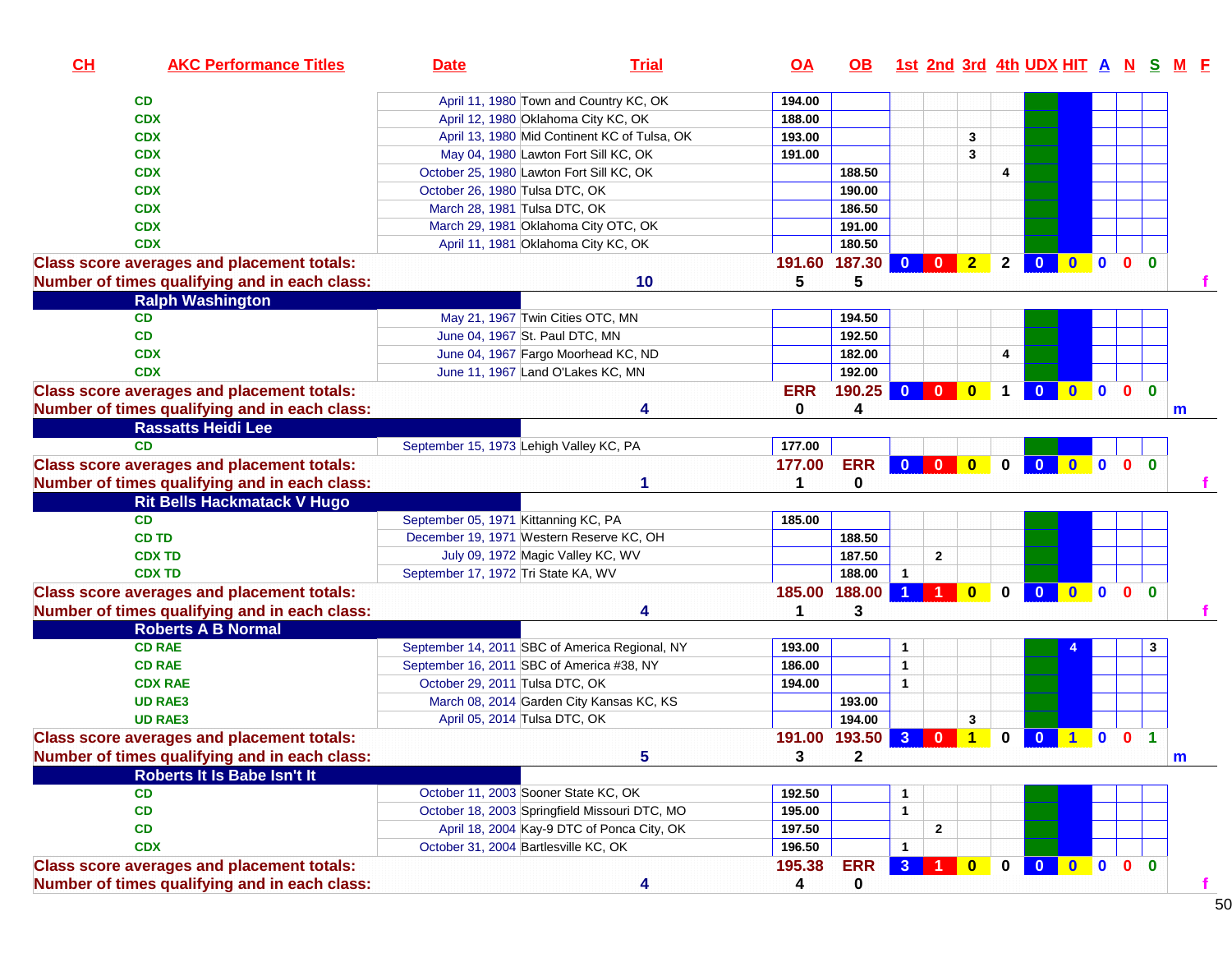| CH | <b>AKC Performance Titles</b>                     | <b>Date</b>                               | <b>Trial</b>                                   | OA           | OB.           |                |                      |                      |              | <u>1st 2nd 3rd 4th UDX HIT A N S</u> |              |              |              |                      | <u>M F</u> |
|----|---------------------------------------------------|-------------------------------------------|------------------------------------------------|--------------|---------------|----------------|----------------------|----------------------|--------------|--------------------------------------|--------------|--------------|--------------|----------------------|------------|
|    | CD                                                |                                           | April 11, 1980 Town and Country KC, OK         | 194.00       |               |                |                      |                      |              |                                      |              |              |              |                      |            |
|    | <b>CDX</b>                                        | April 12, 1980 Oklahoma City KC, OK       |                                                | 188.00       |               |                |                      |                      |              |                                      |              |              |              |                      |            |
|    | <b>CDX</b>                                        |                                           | April 13, 1980 Mid Continent KC of Tulsa, OK   | 193.00       |               |                |                      | 3                    |              |                                      |              |              |              |                      |            |
|    | <b>CDX</b>                                        |                                           | May 04, 1980 Lawton Fort Sill KC, OK           | 191.00       |               |                |                      | 3                    |              |                                      |              |              |              |                      |            |
|    | <b>CDX</b>                                        | October 25, 1980 Lawton Fort Sill KC, OK  |                                                |              | 188.50        |                |                      |                      | 4            |                                      |              |              |              |                      |            |
|    | <b>CDX</b>                                        | October 26, 1980 Tulsa DTC, OK            |                                                |              | 190.00        |                |                      |                      |              |                                      |              |              |              |                      |            |
|    | <b>CDX</b>                                        | March 28, 1981 Tulsa DTC, OK              |                                                |              | 186.50        |                |                      |                      |              |                                      |              |              |              |                      |            |
|    | <b>CDX</b>                                        | March 29, 1981 Oklahoma City OTC, OK      |                                                |              | 191.00        |                |                      |                      |              |                                      |              |              |              |                      |            |
|    | <b>CDX</b>                                        | April 11, 1981 Oklahoma City KC, OK       |                                                |              | 180.50        |                |                      |                      |              |                                      |              |              |              |                      |            |
|    | <b>Class score averages and placement totals:</b> |                                           |                                                |              | 191.60 187.30 | $\mathbf{0}$   | $\mathbf{0}$         | 2 <sub>2</sub>       | $\mathbf{2}$ | $\bf{0}$                             | $0$ 0        |              | $\mathbf{0}$ | $\mathbf{0}$         |            |
|    | Number of times qualifying and in each class:     |                                           | 10                                             | 5            | 5             |                |                      |                      |              |                                      |              |              |              |                      |            |
|    | <b>Ralph Washington</b>                           |                                           |                                                |              |               |                |                      |                      |              |                                      |              |              |              |                      |            |
|    | CD                                                | May 21, 1967 Twin Cities OTC, MN          |                                                |              | 194.50        |                |                      |                      |              |                                      |              |              |              |                      |            |
|    | CD                                                | June 04, 1967 St. Paul DTC, MN            |                                                |              | 192.50        |                |                      |                      |              |                                      |              |              |              |                      |            |
|    | <b>CDX</b>                                        |                                           | June 04, 1967 Fargo Moorhead KC, ND            |              | 182.00        |                |                      |                      | 4            |                                      |              |              |              |                      |            |
|    | <b>CDX</b>                                        | June 11, 1967 Land O'Lakes KC, MN         |                                                |              | 192.00        |                |                      |                      |              |                                      |              |              |              |                      |            |
|    | <b>Class score averages and placement totals:</b> |                                           |                                                | <b>ERR</b>   | 190.25        | $\mathbf{0}$   | $\Omega$             | $\mathbf{0}$         |              |                                      | $\mathbf{0}$ | $\mathbf{0}$ | $\mathbf{0}$ | $\mathbf{0}$         |            |
|    | Number of times qualifying and in each class:     |                                           | Δ                                              | 0            | 4             |                |                      |                      |              |                                      |              |              |              |                      | m          |
|    | <b>Rassatts Heidi Lee</b>                         |                                           |                                                |              |               |                |                      |                      |              |                                      |              |              |              |                      |            |
|    | <b>CD</b>                                         | September 15, 1973 Lehigh Valley KC, PA   |                                                | 177.00       |               |                |                      |                      |              |                                      |              |              |              |                      |            |
|    | <b>Class score averages and placement totals:</b> |                                           |                                                | 177.00       | <b>ERR</b>    | $\mathbf{0}$   | $\mathbf{0}$         | $\mathbf{0}$         | $\mathbf{0}$ | $\Omega$                             | $0$ 0        |              | $\mathbf{0}$ | $\mathbf{0}$         |            |
|    | Number of times qualifying and in each class:     |                                           | 1                                              | 1            | $\mathbf 0$   |                |                      |                      |              |                                      |              |              |              |                      |            |
|    | <b>Rit Bells Hackmatack V Hugo</b>                |                                           |                                                |              |               |                |                      |                      |              |                                      |              |              |              |                      |            |
|    | <b>CD</b>                                         | September 05, 1971 Kittanning KC, PA      |                                                | 185.00       |               |                |                      |                      |              |                                      |              |              |              |                      |            |
|    | <b>CD TD</b>                                      | December 19, 1971 Western Reserve KC, OH  |                                                |              | 188.50        |                |                      |                      |              |                                      |              |              |              |                      |            |
|    | <b>CDX TD</b>                                     | July 09, 1972 Magic Valley KC, WV         |                                                |              | 187.50        |                | $\mathbf{2}$         |                      |              |                                      |              |              |              |                      |            |
|    | <b>CDX TD</b>                                     | September 17, 1972 Tri State KA, WV       |                                                |              | 188.00        | $\mathbf{1}$   |                      |                      |              |                                      |              |              |              |                      |            |
|    | <b>Class score averages and placement totals:</b> |                                           |                                                | 185.00       | 188.00        |                |                      | $\mathbf{0}$         | $\bf{0}$     | $\mathbf{0}$                         | $\mathbf{0}$ | $\mathbf{0}$ | $\mathbf{0}$ | $\mathbf{0}$         |            |
|    | Number of times qualifying and in each class:     |                                           | 4                                              | 1            | 3             |                |                      |                      |              |                                      |              |              |              |                      |            |
|    | <b>Roberts A B Normal</b>                         |                                           |                                                |              |               |                |                      |                      |              |                                      |              |              |              |                      |            |
|    | <b>CD RAE</b>                                     |                                           | September 14, 2011 SBC of America Regional, NY | 193.00       |               | 1              |                      |                      |              |                                      |              |              |              |                      |            |
|    | <b>CD RAE</b>                                     | September 16, 2011 SBC of America #38, NY |                                                | 186.00       |               | $\mathbf{1}$   |                      |                      |              |                                      |              |              |              |                      |            |
|    | <b>CDX RAE</b>                                    | October 29, 2011 Tulsa DTC, OK            |                                                | 194.00       |               | $\mathbf{1}$   |                      |                      |              |                                      |              |              |              |                      |            |
|    | <b>UD RAE3</b>                                    |                                           | March 08, 2014 Garden City Kansas KC, KS       |              | 193.00        |                |                      |                      |              |                                      |              |              |              |                      |            |
|    | <b>UD RAE3</b>                                    | April 05, 2014 Tulsa DTC, OK              |                                                |              | 194.00        |                |                      | $\mathbf{3}$         |              |                                      |              |              |              |                      |            |
|    | <b>Class score averages and placement totals:</b> |                                           |                                                |              | 191.00 193.50 | $\bullet$      | $\mathbf{0}$         | $\blacktriangleleft$ | $\mathbf 0$  | $\mathbf{0}$                         | 100          |              |              | $\blacktriangleleft$ |            |
|    | Number of times qualifying and in each class:     |                                           | 5                                              | $\mathbf{3}$ | $\mathbf{2}$  |                |                      |                      |              |                                      |              |              |              |                      | m          |
|    | Roberts It Is Babe Isn't It                       |                                           |                                                |              |               |                |                      |                      |              |                                      |              |              |              |                      |            |
|    | CD                                                | October 11, 2003 Sooner State KC, OK      |                                                | 192.50       |               |                |                      |                      |              |                                      |              |              |              |                      |            |
|    | CD                                                |                                           | October 18, 2003 Springfield Missouri DTC, MO  | 195.00       |               | $\mathbf{1}$   |                      |                      |              |                                      |              |              |              |                      |            |
|    | CD                                                |                                           | April 18, 2004 Kay-9 DTC of Ponca City, OK     | 197.50       |               |                | $\mathbf{2}$         |                      |              |                                      |              |              |              |                      |            |
|    | <b>CDX</b>                                        | October 31, 2004 Bartlesville KC, OK      |                                                | 196.50       |               | 1              |                      |                      |              |                                      |              |              |              |                      |            |
|    | <b>Class score averages and placement totals:</b> |                                           |                                                | 195.38       | <b>ERR</b>    | 3 <sup>1</sup> | $\blacktriangleleft$ | $\bullet$            | $\mathbf{0}$ | $\overline{\mathbf{0}}$              | $0$ 0        |              | $\bullet$    | $\mathbf{0}$         |            |
|    | Number of times qualifying and in each class:     |                                           | 4                                              | 4            | 0             |                |                      |                      |              |                                      |              |              |              |                      | f          |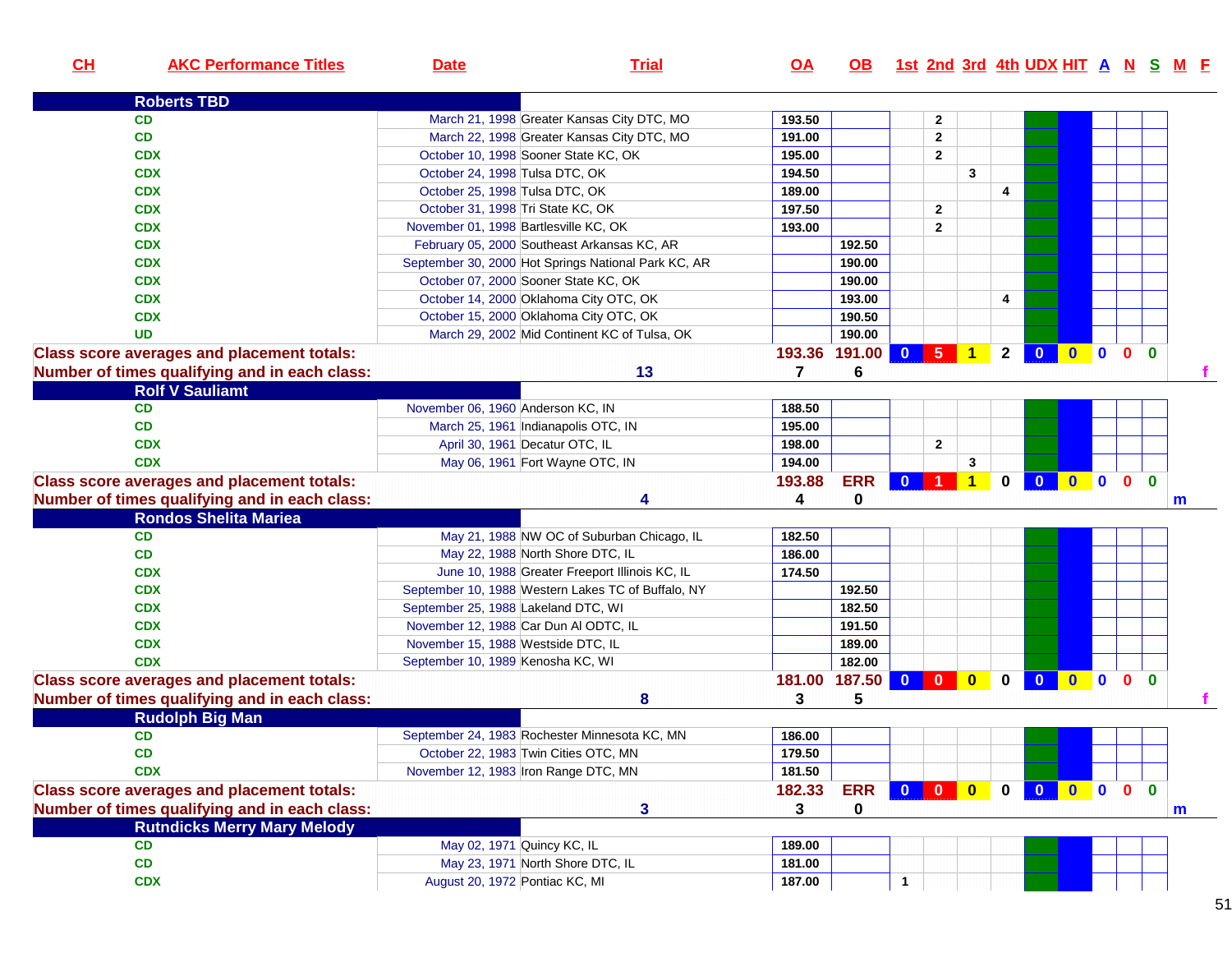| CL | <b>AKC Performance Titles</b>                     | <b>Date</b>                         | <b>Trial</b>                                        | $\overline{OA}$ | <u>OB</u>   |              |                         |                |             |                         |         |           |              | 1st 2nd 3rd 4th UDX HIT A N S M F |
|----|---------------------------------------------------|-------------------------------------|-----------------------------------------------------|-----------------|-------------|--------------|-------------------------|----------------|-------------|-------------------------|---------|-----------|--------------|-----------------------------------|
|    | <b>Roberts TBD</b>                                |                                     |                                                     |                 |             |              |                         |                |             |                         |         |           |              |                                   |
|    | <b>CD</b>                                         |                                     | March 21, 1998 Greater Kansas City DTC, MO          | 193.50          |             |              | $\mathbf{2}$            |                |             |                         |         |           |              |                                   |
|    | CD                                                |                                     | March 22, 1998 Greater Kansas City DTC, MO          | 191.00          |             |              | $\mathbf{2}$            |                |             |                         |         |           |              |                                   |
|    | <b>CDX</b>                                        |                                     | October 10, 1998 Sooner State KC, OK                | 195.00          |             |              | $\mathbf{2}$            |                |             |                         |         |           |              |                                   |
|    | <b>CDX</b>                                        | October 24, 1998 Tulsa DTC, OK      |                                                     | 194.50          |             |              |                         | $\mathbf{3}$   |             |                         |         |           |              |                                   |
|    | <b>CDX</b>                                        | October 25, 1998 Tulsa DTC, OK      |                                                     | 189.00          |             |              |                         |                | 4           |                         |         |           |              |                                   |
|    | <b>CDX</b>                                        |                                     | October 31, 1998 Tri State KC, OK                   | 197.50          |             |              | $\overline{2}$          |                |             |                         |         |           |              |                                   |
|    | <b>CDX</b>                                        |                                     | November 01, 1998 Bartlesville KC, OK               | 193.00          |             |              | $\overline{2}$          |                |             |                         |         |           |              |                                   |
|    | <b>CDX</b>                                        |                                     | February 05, 2000 Southeast Arkansas KC, AR         |                 | 192.50      |              |                         |                |             |                         |         |           |              |                                   |
|    | <b>CDX</b>                                        |                                     | September 30, 2000 Hot Springs National Park KC, AR |                 | 190.00      |              |                         |                |             |                         |         |           |              |                                   |
|    | <b>CDX</b>                                        |                                     | October 07, 2000 Sooner State KC, OK                |                 | 190.00      |              |                         |                |             |                         |         |           |              |                                   |
|    | <b>CDX</b>                                        |                                     | October 14, 2000 Oklahoma City OTC, OK              |                 | 193.00      |              |                         |                | 4           |                         |         |           |              |                                   |
|    | <b>CDX</b>                                        |                                     | October 15, 2000 Oklahoma City OTC, OK              |                 | 190.50      |              |                         |                |             |                         |         |           |              |                                   |
|    | <b>UD</b>                                         |                                     | March 29, 2002 Mid Continent KC of Tulsa, OK        |                 | 190.00      |              |                         |                |             |                         |         |           |              |                                   |
|    | <b>Class score averages and placement totals:</b> |                                     |                                                     | 193.36          | 191.00      |              |                         | 0 5 1 2 0      |             |                         | 0000    |           |              |                                   |
|    | Number of times qualifying and in each class:     |                                     | 13                                                  | 7               | 6           |              |                         |                |             |                         |         |           |              |                                   |
|    | <b>Rolf V Sauliamt</b>                            |                                     |                                                     |                 |             |              |                         |                |             |                         |         |           |              |                                   |
|    | CD                                                | November 06, 1960 Anderson KC, IN   |                                                     | 188.50          |             |              |                         |                |             |                         |         |           |              |                                   |
|    | CD                                                |                                     | March 25, 1961 Indianapolis OTC, IN                 | 195.00          |             |              |                         |                |             |                         |         |           |              |                                   |
|    | <b>CDX</b>                                        |                                     | April 30, 1961 Decatur OTC, IL                      | 198.00          |             |              | $\mathbf{2}$            |                |             |                         |         |           |              |                                   |
|    | <b>CDX</b>                                        |                                     | May 06, 1961 Fort Wayne OTC, IN                     | 194.00          |             |              |                         | 3              |             |                         |         |           |              |                                   |
|    | <b>Class score averages and placement totals:</b> |                                     |                                                     | 193.88          | <b>ERR</b>  | $\mathbf{0}$ | 1 <sup>1</sup>          | $\overline{1}$ | $\mathbf 0$ | $\overline{0}$          | $0$ 0 0 |           | $\mathbf{0}$ |                                   |
|    | Number of times qualifying and in each class:     |                                     | Δ                                                   | 4               | $\bf{0}$    |              |                         |                |             |                         |         |           |              | m                                 |
|    | <b>Rondos Shelita Mariea</b>                      |                                     |                                                     |                 |             |              |                         |                |             |                         |         |           |              |                                   |
|    | CD                                                |                                     | May 21, 1988 NW OC of Suburban Chicago, IL          | 182.50          |             |              |                         |                |             |                         |         |           |              |                                   |
|    | <b>CD</b>                                         |                                     | May 22, 1988 North Shore DTC, IL                    | 186.00          |             |              |                         |                |             |                         |         |           |              |                                   |
|    | <b>CDX</b>                                        |                                     | June 10, 1988 Greater Freeport Illinois KC, IL      | 174.50          |             |              |                         |                |             |                         |         |           |              |                                   |
|    | <b>CDX</b>                                        |                                     | September 10, 1988 Western Lakes TC of Buffalo, NY  |                 | 192.50      |              |                         |                |             |                         |         |           |              |                                   |
|    | <b>CDX</b>                                        | September 25, 1988 Lakeland DTC, WI |                                                     |                 | 182.50      |              |                         |                |             |                         |         |           |              |                                   |
|    | <b>CDX</b>                                        |                                     | November 12, 1988 Car Dun Al ODTC, IL               |                 | 191.50      |              |                         |                |             |                         |         |           |              |                                   |
|    | <b>CDX</b>                                        | November 15, 1988 Westside DTC, IL  |                                                     |                 | 189.00      |              |                         |                |             |                         |         |           |              |                                   |
|    | <b>CDX</b>                                        | September 10, 1989 Kenosha KC, WI   |                                                     |                 | 182.00      |              |                         |                |             |                         |         |           |              |                                   |
|    | <b>Class score averages and placement totals:</b> |                                     |                                                     | 181.00          | 187.50      | $\mathbf{0}$ | $\overline{\mathbf{0}}$ | $\bullet$      | $\mathbf 0$ | $\overline{\mathbf{0}}$ | $0$ 0   | $\bullet$ | $\mathbf{0}$ |                                   |
|    | Number of times qualifying and in each class:     |                                     | 8                                                   | 3               | 5           |              |                         |                |             |                         |         |           |              |                                   |
|    | <b>Rudolph Big Man</b>                            |                                     |                                                     |                 |             |              |                         |                |             |                         |         |           |              |                                   |
|    | CD                                                |                                     | September 24, 1983 Rochester Minnesota KC, MN       | 186.00          |             |              |                         |                |             |                         |         |           |              |                                   |
|    | CD                                                |                                     | October 22, 1983 Twin Cities OTC, MN                | 179.50          |             |              |                         |                |             |                         |         |           |              |                                   |
|    | <b>CDX</b>                                        |                                     | November 12, 1983 Iron Range DTC, MN                | 181.50          |             |              |                         |                |             |                         |         |           |              |                                   |
|    | <b>Class score averages and placement totals:</b> |                                     |                                                     | 182.33          | <b>ERR</b>  |              |                         | 0 0 0 0 0      |             |                         | 0000    |           |              |                                   |
|    | Number of times qualifying and in each class:     |                                     | 3                                                   | 3               | $\mathbf 0$ |              |                         |                |             |                         |         |           |              | $\mathbf m$                       |
|    | <b>Rutndicks Merry Mary Melody</b>                |                                     |                                                     |                 |             |              |                         |                |             |                         |         |           |              |                                   |
|    | CD                                                |                                     | May 02, 1971 Quincy KC, IL                          | 189.00          |             |              |                         |                |             |                         |         |           |              |                                   |
|    | CD                                                |                                     | May 23, 1971 North Shore DTC, IL                    | 181.00          |             |              |                         |                |             |                         |         |           |              |                                   |
|    | <b>CDX</b>                                        | August 20, 1972 Pontiac KC, MI      |                                                     | 187.00          |             | $\mathbf{1}$ |                         |                |             |                         |         |           |              |                                   |
|    |                                                   |                                     |                                                     |                 |             |              |                         |                |             |                         |         |           |              |                                   |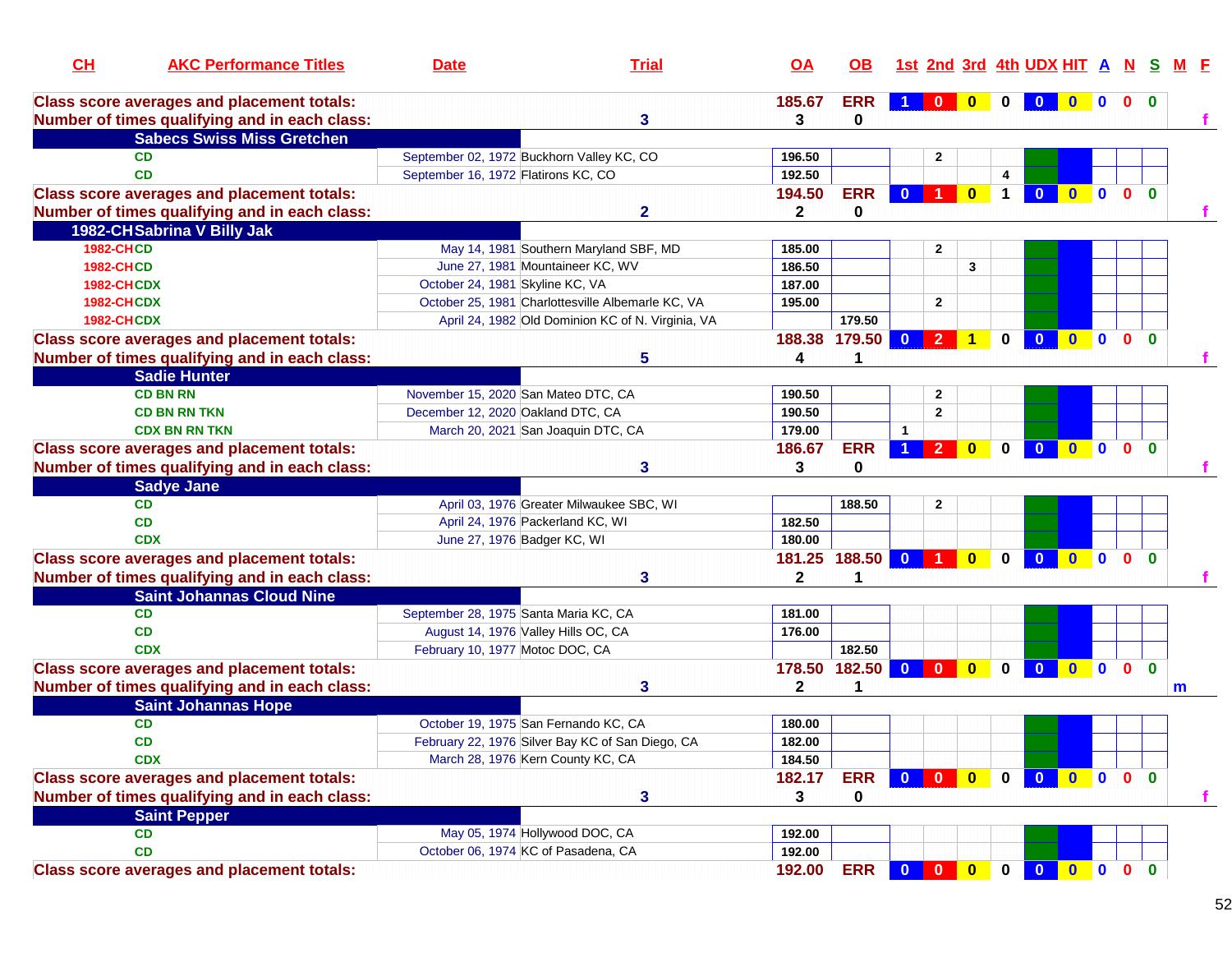| CH                | <b>AKC Performance Titles</b>                     | <b>Date</b>                         | <b>Trial</b>                                      | <u>OA</u>    | <b>OB</b>     |                         |                |                         |             | <u>1st 2nd 3rd 4th UDX HIT A N S</u> |              |                         |              |              | M F |
|-------------------|---------------------------------------------------|-------------------------------------|---------------------------------------------------|--------------|---------------|-------------------------|----------------|-------------------------|-------------|--------------------------------------|--------------|-------------------------|--------------|--------------|-----|
|                   | <b>Class score averages and placement totals:</b> |                                     |                                                   | 185.67       | <b>ERR</b>    |                         | $\Omega$       |                         |             |                                      |              | $\Omega$                | $\mathbf{0}$ | $\bf{0}$     |     |
|                   | Number of times qualifying and in each class:     |                                     | 3                                                 | 3            | 0             |                         |                |                         |             |                                      |              |                         |              |              |     |
|                   | <b>Sabecs Swiss Miss Gretchen</b>                 |                                     |                                                   |              |               |                         |                |                         |             |                                      |              |                         |              |              |     |
|                   | <b>CD</b>                                         |                                     | September 02, 1972 Buckhorn Valley KC, CO         | 196.50       |               |                         | 2              |                         |             |                                      |              |                         |              |              |     |
|                   | <b>CD</b>                                         | September 16, 1972 Flatirons KC, CO |                                                   | 192.50       |               |                         |                |                         | 4           |                                      |              |                         |              |              |     |
|                   | <b>Class score averages and placement totals:</b> |                                     |                                                   | 194.50       | <b>ERR</b>    |                         |                | $\mathbf{0}$            |             |                                      | $\mathbf{0}$ | $\mathbf{0}$            | $\mathbf{0}$ | $\mathbf{0}$ |     |
|                   | Number of times qualifying and in each class:     |                                     | $\mathbf{2}$                                      | $\mathbf{2}$ | 0             |                         |                |                         |             |                                      |              |                         |              |              |     |
|                   | 1982-CHSabrina V Billy Jak                        |                                     |                                                   |              |               |                         |                |                         |             |                                      |              |                         |              |              |     |
| <b>1982-CHCD</b>  |                                                   |                                     | May 14, 1981 Southern Maryland SBF, MD            | 185.00       |               |                         | 2              |                         |             |                                      |              |                         |              |              |     |
| <b>1982-CHCD</b>  |                                                   |                                     | June 27, 1981 Mountaineer KC, WV                  | 186.50       |               |                         |                | 3                       |             |                                      |              |                         |              |              |     |
| <b>1982-CHCDX</b> |                                                   |                                     | October 24, 1981 Skyline KC, VA                   | 187.00       |               |                         |                |                         |             |                                      |              |                         |              |              |     |
| <b>1982-CHCDX</b> |                                                   |                                     | October 25, 1981 Charlottesville Albemarle KC, VA | 195.00       |               |                         | $\mathbf{2}$   |                         |             |                                      |              |                         |              |              |     |
| <b>1982-CHCDX</b> |                                                   |                                     | April 24, 1982 Old Dominion KC of N. Virginia, VA |              | 179.50        |                         |                |                         |             |                                      |              |                         |              |              |     |
|                   | <b>Class score averages and placement totals:</b> |                                     |                                                   | 188.38       | 179.50        | $\mathbf{0}$            |                |                         | 0           |                                      |              | $\bf{0}$                | $\mathbf{0}$ | $\mathbf{0}$ |     |
|                   | Number of times qualifying and in each class:     |                                     | 5                                                 | 4            | 1             |                         |                |                         |             |                                      |              |                         |              |              |     |
|                   | <b>Sadie Hunter</b>                               |                                     |                                                   |              |               |                         |                |                         |             |                                      |              |                         |              |              |     |
|                   | <b>CD BN RN</b>                                   |                                     | November 15, 2020 San Mateo DTC, CA               | 190.50       |               |                         | 2              |                         |             |                                      |              |                         |              |              |     |
|                   | <b>CD BN RN TKN</b>                               |                                     | December 12, 2020 Oakland DTC, CA                 | 190.50       |               |                         | 2              |                         |             |                                      |              |                         |              |              |     |
|                   | <b>CDX BN RN TKN</b>                              |                                     | March 20, 2021 San Joaquin DTC, CA                | 179.00       |               | $\mathbf{1}$            |                |                         |             |                                      |              |                         |              |              |     |
|                   | <b>Class score averages and placement totals:</b> |                                     |                                                   | 186.67       | <b>ERR</b>    |                         | $\overline{2}$ | $\overline{\mathbf{0}}$ | $\bf{0}$    | $\bf{0}$                             | $\bullet$    | $\overline{\mathbf{0}}$ | $\mathbf{0}$ | $\mathbf{0}$ |     |
|                   | Number of times qualifying and in each class:     |                                     | 3                                                 | 3            | 0             |                         |                |                         |             |                                      |              |                         |              |              |     |
|                   | <b>Sadye Jane</b>                                 |                                     |                                                   |              |               |                         |                |                         |             |                                      |              |                         |              |              |     |
|                   | <b>CD</b>                                         |                                     | April 03, 1976 Greater Milwaukee SBC, WI          |              | 188.50        |                         | $\mathbf{2}$   |                         |             |                                      |              |                         |              |              |     |
|                   | <b>CD</b>                                         |                                     | April 24, 1976 Packerland KC, WI                  | 182.50       |               |                         |                |                         |             |                                      |              |                         |              |              |     |
|                   | <b>CDX</b>                                        |                                     | June 27, 1976 Badger KC, WI                       | 180.00       |               |                         |                |                         |             |                                      |              |                         |              |              |     |
|                   | <b>Class score averages and placement totals:</b> |                                     |                                                   |              | 181.25 188.50 | $\overline{0}$          |                | $\overline{0}$          | $\bf{0}$    | $\mathbf{0}$                         | $\mathbf{0}$ | $\bullet$               | $\mathbf{0}$ | $\Omega$     |     |
|                   | Number of times qualifying and in each class:     |                                     | 3                                                 | $\mathbf{2}$ |               |                         |                |                         |             |                                      |              |                         |              |              |     |
|                   | <b>Saint Johannas Cloud Nine</b>                  |                                     |                                                   |              |               |                         |                |                         |             |                                      |              |                         |              |              |     |
|                   | <b>CD</b>                                         |                                     | September 28, 1975 Santa Maria KC, CA             | 181.00       |               |                         |                |                         |             |                                      |              |                         |              |              |     |
|                   | <b>CD</b>                                         |                                     | August 14, 1976 Valley Hills OC, CA               | 176.00       |               |                         |                |                         |             |                                      |              |                         |              |              |     |
|                   | <b>CDX</b>                                        |                                     | February 10, 1977 Motoc DOC, CA                   |              | 182.50        |                         |                |                         |             |                                      |              |                         |              |              |     |
|                   | <b>Class score averages and placement totals:</b> |                                     |                                                   | 178.50       | 182.50        | $\mathbf{0}$            | $\Omega$       | $\mathbf{0}$            | $\bf{0}$    | $\Omega$                             | $\mathbf{0}$ | $\mathbf{0}$            | $\mathbf{0}$ | $\bf{0}$     |     |
|                   | Number of times qualifying and in each class:     |                                     | 3                                                 | $\mathbf{2}$ | 1             |                         |                |                         |             |                                      |              |                         |              |              | m   |
|                   | <b>Saint Johannas Hope</b>                        |                                     |                                                   |              |               |                         |                |                         |             |                                      |              |                         |              |              |     |
|                   | <b>CD</b>                                         |                                     | October 19, 1975 San Fernando KC, CA              | 180.00       |               |                         |                |                         |             |                                      |              |                         |              |              |     |
|                   | <b>CD</b>                                         |                                     | February 22, 1976 Silver Bay KC of San Diego, CA  | 182.00       |               |                         |                |                         |             |                                      |              |                         |              |              |     |
|                   | <b>CDX</b>                                        |                                     | March 28, 1976 Kern County KC, CA                 | 184.50       |               |                         |                |                         |             |                                      |              |                         |              |              |     |
|                   | <b>Class score averages and placement totals:</b> |                                     |                                                   | 182.17       | <b>ERR</b>    | $\overline{\mathbf{0}}$ | $\mathbf{0}$   | $\bullet$               | $\mathbf 0$ | $\mathbf{0}$                         | $0$ 0        |                         | $\mathbf{0}$ | $\bf{0}$     |     |
|                   | Number of times qualifying and in each class:     |                                     | 3                                                 | 3            | 0             |                         |                |                         |             |                                      |              |                         |              |              | f.  |
|                   | <b>Saint Pepper</b>                               |                                     |                                                   |              |               |                         |                |                         |             |                                      |              |                         |              |              |     |
|                   | CD.                                               |                                     | May 05, 1974 Hollywood DOC, CA                    | 192.00       |               |                         |                |                         |             |                                      |              |                         |              |              |     |
|                   | <b>CD</b>                                         |                                     | October 06, 1974 KC of Pasadena, CA               | 192.00       |               |                         |                |                         |             |                                      |              |                         |              |              |     |
|                   | <b>Class score averages and placement totals:</b> |                                     |                                                   | 192.00       | <b>ERR</b>    | $\mathbf{0}$            | $\mathbf{0}$   | $\bullet$               | $\mathbf 0$ | $\bf{0}$                             | $\bf{0}$     | $\bullet$               | $\bullet$    | $\mathbf{0}$ |     |
|                   |                                                   |                                     |                                                   |              |               |                         |                |                         |             |                                      |              |                         |              |              |     |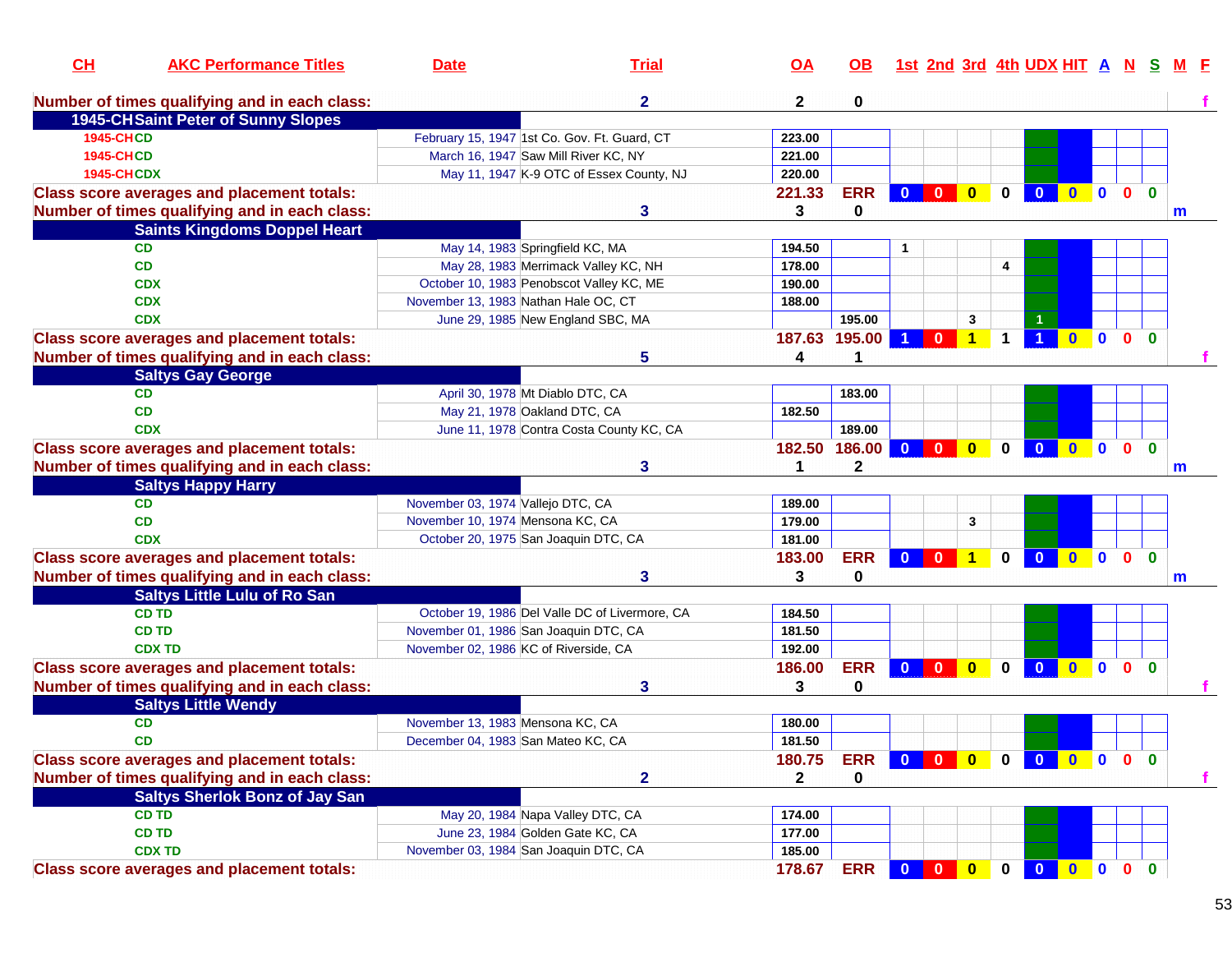| CL                | <b>AKC Performance Titles</b>                     | <b>Date</b>                           | <b>Trial</b>                                   | <u>OA</u>    | OB.           |                         |                         |                         |              | 1st 2nd 3rd 4th UDX HIT A |                              | <b>N</b>     | <b>S</b>                |   |
|-------------------|---------------------------------------------------|---------------------------------------|------------------------------------------------|--------------|---------------|-------------------------|-------------------------|-------------------------|--------------|---------------------------|------------------------------|--------------|-------------------------|---|
|                   | Number of times qualifying and in each class:     |                                       | $\mathbf{2}$                                   | $\mathbf{2}$ | 0             |                         |                         |                         |              |                           |                              |              |                         |   |
|                   | <b>1945-CHSaint Peter of Sunny Slopes</b>         |                                       |                                                |              |               |                         |                         |                         |              |                           |                              |              |                         |   |
| <b>1945-CHCD</b>  |                                                   |                                       | February 15, 1947 1st Co. Gov. Ft. Guard, CT   | 223.00       |               |                         |                         |                         |              |                           |                              |              |                         |   |
| <b>1945-CHCD</b>  |                                                   |                                       | March 16, 1947 Saw Mill River KC, NY           | 221.00       |               |                         |                         |                         |              |                           |                              |              |                         |   |
| <b>1945-CHCDX</b> |                                                   |                                       | May 11, 1947 K-9 OTC of Essex County, NJ       | 220.00       |               |                         |                         |                         |              |                           |                              |              |                         |   |
|                   | <b>Class score averages and placement totals:</b> |                                       |                                                | 221.33       | <b>ERR</b>    | $\mathbf{0}$            | $\mathbf{0}$            | $\overline{\mathbf{0}}$ | $\mathbf{0}$ | $\mathbf{0}$              | $0$ 0 0                      |              | $\mathbf{0}$            |   |
|                   | Number of times qualifying and in each class:     |                                       | 3                                              | 3            | 0             |                         |                         |                         |              |                           |                              |              |                         | m |
|                   | <b>Saints Kingdoms Doppel Heart</b>               |                                       |                                                |              |               |                         |                         |                         |              |                           |                              |              |                         |   |
|                   | <b>CD</b>                                         |                                       | May 14, 1983 Springfield KC, MA                | 194.50       |               |                         |                         |                         |              |                           |                              |              |                         |   |
|                   | <b>CD</b>                                         |                                       | May 28, 1983 Merrimack Valley KC, NH           | 178.00       |               |                         |                         |                         | 4            |                           |                              |              |                         |   |
|                   | <b>CDX</b>                                        |                                       | October 10, 1983 Penobscot Valley KC, ME       | 190.00       |               |                         |                         |                         |              |                           |                              |              |                         |   |
|                   | <b>CDX</b>                                        | November 13, 1983 Nathan Hale OC, CT  |                                                | 188.00       |               |                         |                         |                         |              |                           |                              |              |                         |   |
|                   | <b>CDX</b>                                        |                                       | June 29, 1985 New England SBC, MA              |              | 195.00        |                         |                         | 3                       |              |                           |                              |              |                         |   |
|                   | <b>Class score averages and placement totals:</b> |                                       |                                                | 187.63       | 195.00        | -1                      | $\mathbf{0}$            | 1                       |              |                           | $\mathbf{0}$<br>$\mathbf{0}$ | $\mathbf{0}$ | $\bf{0}$                |   |
|                   | Number of times qualifying and in each class:     |                                       | 5                                              | 4            | 1             |                         |                         |                         |              |                           |                              |              |                         |   |
|                   | <b>Saltys Gay George</b>                          |                                       |                                                |              |               |                         |                         |                         |              |                           |                              |              |                         |   |
|                   | <b>CD</b>                                         |                                       | April 30, 1978 Mt Diablo DTC, CA               |              | 183.00        |                         |                         |                         |              |                           |                              |              |                         |   |
|                   | <b>CD</b>                                         |                                       | May 21, 1978 Oakland DTC, CA                   | 182.50       |               |                         |                         |                         |              |                           |                              |              |                         |   |
|                   | <b>CDX</b>                                        |                                       | June 11, 1978 Contra Costa County KC, CA       |              | 189.00        |                         |                         |                         |              |                           |                              |              |                         |   |
|                   | <b>Class score averages and placement totals:</b> |                                       |                                                |              | 182.50 186.00 | $\mathbf{0}$            | $\mathbf{0}$            | $\mathbf{0}$            | $\mathbf{0}$ | $\mathbf{0}$              | $0$ 0                        | $\mathbf{0}$ | $\mathbf{0}$            |   |
|                   | Number of times qualifying and in each class:     |                                       | 3                                              |              | $\mathbf 2$   |                         |                         |                         |              |                           |                              |              |                         | m |
|                   | <b>Saltys Happy Harry</b>                         |                                       |                                                |              |               |                         |                         |                         |              |                           |                              |              |                         |   |
|                   | <b>CD</b>                                         | November 03, 1974 Vallejo DTC, CA     |                                                | 189.00       |               |                         |                         |                         |              |                           |                              |              |                         |   |
|                   | <b>CD</b>                                         | November 10, 1974 Mensona KC, CA      |                                                | 179.00       |               |                         |                         | 3                       |              |                           |                              |              |                         |   |
|                   | <b>CDX</b>                                        |                                       | October 20, 1975 San Joaquin DTC, CA           | 181.00       |               |                         |                         |                         |              |                           |                              |              |                         |   |
|                   | <b>Class score averages and placement totals:</b> |                                       |                                                | 183.00       | <b>ERR</b>    | $\mathbf{0}$            | $\mathbf{0}$            | $\overline{1}$          | $\mathbf 0$  | $\overline{\mathbf{0}}$   | $\bullet$ $\bullet$          | $\mathbf{0}$ | $\overline{\mathbf{0}}$ |   |
|                   | Number of times qualifying and in each class:     |                                       | 3                                              | 3            | 0             |                         |                         |                         |              |                           |                              |              |                         | m |
|                   | <b>Saltys Little Lulu of Ro San</b>               |                                       |                                                |              |               |                         |                         |                         |              |                           |                              |              |                         |   |
|                   | <b>CD TD</b>                                      |                                       | October 19, 1986 Del Valle DC of Livermore, CA | 184.50       |               |                         |                         |                         |              |                           |                              |              |                         |   |
|                   | <b>CD TD</b>                                      | November 01, 1986 San Joaquin DTC, CA |                                                | 181.50       |               |                         |                         |                         |              |                           |                              |              |                         |   |
|                   | <b>CDX TD</b>                                     | November 02, 1986 KC of Riverside, CA |                                                | 192.00       |               |                         |                         |                         |              |                           |                              |              |                         |   |
|                   | <b>Class score averages and placement totals:</b> |                                       |                                                | 186.00       | <b>ERR</b>    | $\mathbf{0}$            | $\mathbf{0}$            | $\mathbf{0}$            | $\mathbf 0$  | $\overline{\mathbf{0}}$   | $\mathbf 0$<br>$\bullet$     | $\mathbf{0}$ | $\mathbf{0}$            |   |
|                   | Number of times qualifying and in each class:     |                                       | 3                                              | 3            | $\mathbf 0$   |                         |                         |                         |              |                           |                              |              |                         |   |
|                   | <b>Saltys Little Wendy</b>                        |                                       |                                                |              |               |                         |                         |                         |              |                           |                              |              |                         |   |
|                   | <b>CD</b>                                         | November 13, 1983 Mensona KC, CA      |                                                | 180.00       |               |                         |                         |                         |              |                           |                              |              |                         |   |
|                   | CD.                                               | December 04, 1983 San Mateo KC, CA    |                                                | 181.50       |               |                         |                         |                         |              |                           |                              |              |                         |   |
|                   | <b>Class score averages and placement totals:</b> |                                       |                                                |              | <b>ERR</b>    |                         | $\overline{\mathbf{0}}$ | $\bullet$               | $0-1$        | $\bullet$                 | $\bullet$ $\bullet$          |              | 0 <sub>0</sub>          |   |
|                   |                                                   |                                       |                                                | 180.75       |               | $\overline{\mathbf{0}}$ |                         |                         |              |                           |                              |              |                         |   |
|                   | Number of times qualifying and in each class:     |                                       | $\mathbf{2}$                                   | $\mathbf{2}$ | 0             |                         |                         |                         |              |                           |                              |              |                         |   |
|                   | <b>Saltys Sherlok Bonz of Jay San</b>             |                                       |                                                |              |               |                         |                         |                         |              |                           |                              |              |                         |   |
|                   | <b>CD TD</b>                                      |                                       | May 20, 1984 Napa Valley DTC, CA               | 174.00       |               |                         |                         |                         |              |                           |                              |              |                         |   |
|                   | <b>CD TD</b>                                      |                                       | June 23, 1984 Golden Gate KC, CA               | 177.00       |               |                         |                         |                         |              |                           |                              |              |                         |   |
|                   | <b>CDX TD</b>                                     | November 03, 1984 San Joaquin DTC, CA |                                                | 185.00       |               |                         |                         |                         |              |                           |                              |              |                         |   |
|                   | <b>Class score averages and placement totals:</b> |                                       |                                                | 178.67       | <b>ERR</b>    | $\bf{0}$                | $\mathbf{0}$            | $\overline{\mathbf{0}}$ | $\mathbf 0$  | $\mathbf{0}$              | $0$ 0                        | $\mathbf{0}$ | $\mathbf{0}$            |   |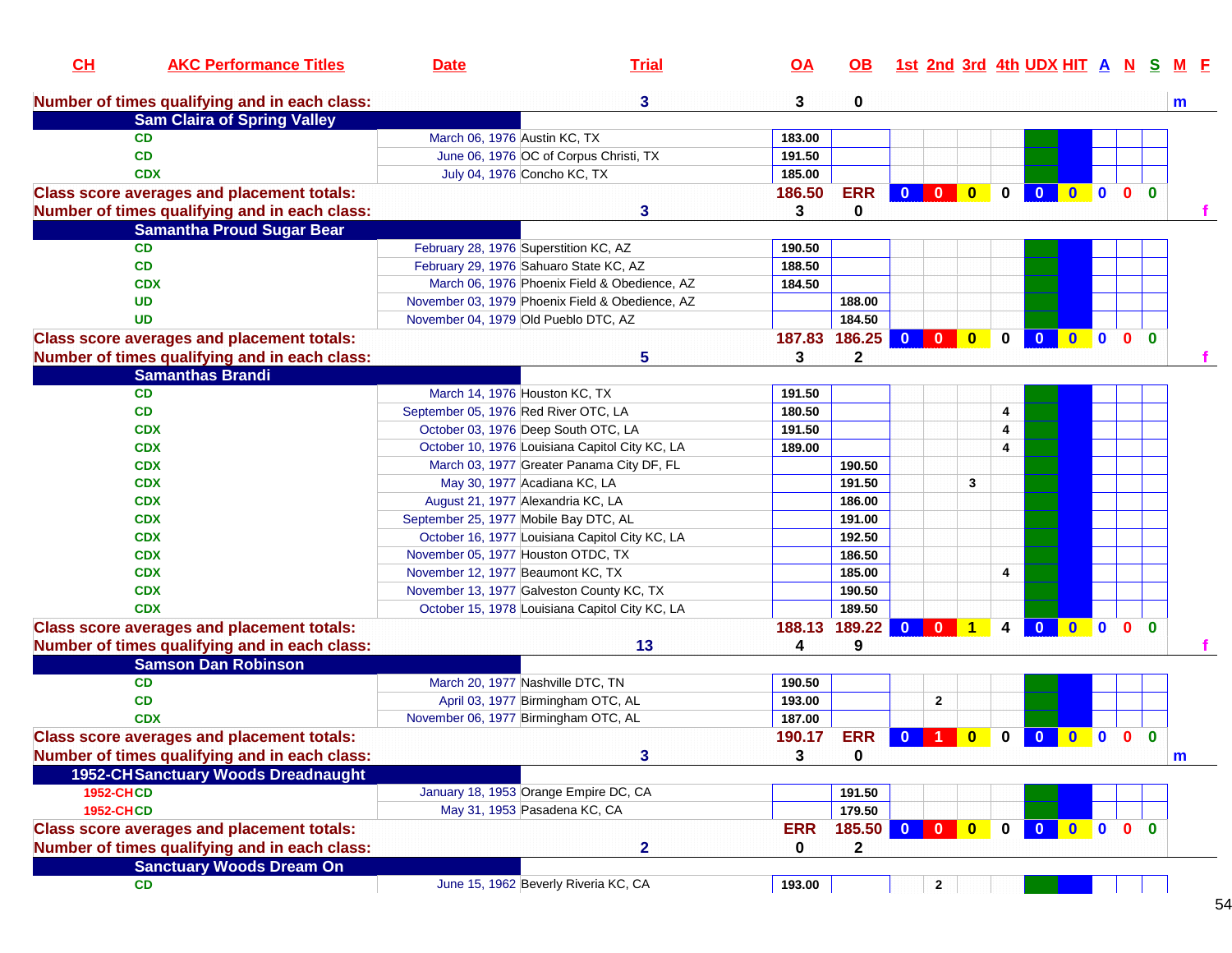| CL               | <b>AKC Performance Titles</b>                     | <b>Date</b>                           | <b>Trial</b>                                    | $\overline{OA}$ | <b>OB</b>    |                         |                                      |                     | 1st 2nd 3rd 4th UDX HIT A N S |                     |              |                |              | <b>M</b> E |
|------------------|---------------------------------------------------|---------------------------------------|-------------------------------------------------|-----------------|--------------|-------------------------|--------------------------------------|---------------------|-------------------------------|---------------------|--------------|----------------|--------------|------------|
|                  | Number of times qualifying and in each class:     |                                       | 3                                               | 3               | 0            |                         |                                      |                     |                               |                     |              |                |              | m          |
|                  | <b>Sam Claira of Spring Valley</b>                |                                       |                                                 |                 |              |                         |                                      |                     |                               |                     |              |                |              |            |
|                  | <b>CD</b>                                         | March 06, 1976 Austin KC, TX          |                                                 | 183.00          |              |                         |                                      |                     |                               |                     |              |                |              |            |
|                  | <b>CD</b>                                         |                                       | June 06, 1976 OC of Corpus Christi, TX          | 191.50          |              |                         |                                      |                     |                               |                     |              |                |              |            |
|                  | <b>CDX</b>                                        |                                       | July 04, 1976 Concho KC, TX                     | 185.00          |              |                         |                                      |                     |                               |                     |              |                |              |            |
|                  | <b>Class score averages and placement totals:</b> |                                       |                                                 | 186.50          | <b>ERR</b>   | $\mathbf{0}$            |                                      | $\mathbf{0}$        | $\overline{\mathbf{0}}$       | $0$ 0 0 0           |              |                |              |            |
|                  | Number of times qualifying and in each class:     |                                       | 3                                               | 3               | 0            |                         |                                      |                     |                               |                     |              |                |              |            |
|                  | <b>Samantha Proud Sugar Bear</b>                  |                                       |                                                 |                 |              |                         |                                      |                     |                               |                     |              |                |              |            |
|                  | <b>CD</b>                                         |                                       | February 28, 1976 Superstition KC, AZ           | 190.50          |              |                         |                                      |                     |                               |                     |              |                |              |            |
|                  | <b>CD</b>                                         |                                       | February 29, 1976 Sahuaro State KC, AZ          | 188.50          |              |                         |                                      |                     |                               |                     |              |                |              |            |
|                  | <b>CDX</b>                                        |                                       | March 06, 1976 Phoenix Field & Obedience, AZ    | 184.50          |              |                         |                                      |                     |                               |                     |              |                |              |            |
|                  | <b>UD</b>                                         |                                       | November 03, 1979 Phoenix Field & Obedience, AZ |                 | 188.00       |                         |                                      |                     |                               |                     |              |                |              |            |
|                  | <b>UD</b>                                         |                                       | November 04, 1979 Old Pueblo DTC, AZ            |                 | 184.50       |                         |                                      |                     |                               |                     |              |                |              |            |
|                  | <b>Class score averages and placement totals:</b> |                                       |                                                 | 187.83          | 186.25       | $\mathbf{0}$            | $\mathbf{0}$<br>$\mathbf{0}$         | $\bf{0}$            | $\bf{0}$                      | $\mathbf{0}$        | $\mathbf{0}$ | $\mathbf{0}$   | $\mathbf{0}$ |            |
|                  | Number of times qualifying and in each class:     |                                       | 5                                               | 3               | $\mathbf 2$  |                         |                                      |                     |                               |                     |              |                |              |            |
|                  | <b>Samanthas Brandi</b>                           |                                       |                                                 |                 |              |                         |                                      |                     |                               |                     |              |                |              |            |
|                  | <b>CD</b>                                         |                                       | March 14, 1976 Houston KC, TX                   | 191.50          |              |                         |                                      |                     |                               |                     |              |                |              |            |
|                  | <b>CD</b>                                         | September 05, 1976 Red River OTC, LA  |                                                 | 180.50          |              |                         |                                      | 4                   |                               |                     |              |                |              |            |
|                  | <b>CDX</b>                                        |                                       | October 03, 1976 Deep South OTC, LA             | 191.50          |              |                         |                                      | 4                   |                               |                     |              |                |              |            |
|                  | <b>CDX</b>                                        |                                       | October 10, 1976 Louisiana Capitol City KC, LA  | 189.00          |              |                         |                                      | 4                   |                               |                     |              |                |              |            |
|                  | <b>CDX</b>                                        |                                       | March 03, 1977 Greater Panama City DF, FL       |                 | 190.50       |                         |                                      |                     |                               |                     |              |                |              |            |
|                  | <b>CDX</b>                                        |                                       | May 30, 1977 Acadiana KC, LA                    |                 | 191.50       |                         |                                      | 3                   |                               |                     |              |                |              |            |
|                  | <b>CDX</b>                                        |                                       | August 21, 1977 Alexandria KC, LA               |                 | 186.00       |                         |                                      |                     |                               |                     |              |                |              |            |
|                  | <b>CDX</b>                                        | September 25, 1977 Mobile Bay DTC, AL |                                                 |                 | 191.00       |                         |                                      |                     |                               |                     |              |                |              |            |
|                  | <b>CDX</b>                                        |                                       | October 16, 1977 Louisiana Capitol City KC, LA  |                 | 192.50       |                         |                                      |                     |                               |                     |              |                |              |            |
|                  | <b>CDX</b>                                        | November 05, 1977 Houston OTDC, TX    |                                                 |                 | 186.50       |                         |                                      |                     |                               |                     |              |                |              |            |
|                  | <b>CDX</b>                                        | November 12, 1977 Beaumont KC, TX     |                                                 |                 | 185.00       |                         |                                      | 4                   |                               |                     |              |                |              |            |
|                  | <b>CDX</b>                                        |                                       | November 13, 1977 Galveston County KC, TX       |                 | 190.50       |                         |                                      |                     |                               |                     |              |                |              |            |
|                  | <b>CDX</b>                                        |                                       | October 15, 1978 Louisiana Capitol City KC, LA  |                 | 189.50       |                         |                                      |                     |                               |                     |              |                |              |            |
|                  | <b>Class score averages and placement totals:</b> |                                       |                                                 | 188.13          | 189.22       | $\overline{\mathbf{0}}$ | $\overline{\mathbf{0}}$              | $\overline{1}$<br>4 | $\overline{\mathbf{0}}$       | $\bullet$ $\bullet$ |              | $\mathbf{0}$   | $\mathbf{0}$ |            |
|                  | Number of times qualifying and in each class:     |                                       | 13                                              | 4               | 9            |                         |                                      |                     |                               |                     |              |                |              |            |
|                  | <b>Samson Dan Robinson</b>                        |                                       |                                                 |                 |              |                         |                                      |                     |                               |                     |              |                |              |            |
|                  | <b>CD</b>                                         |                                       | March 20, 1977 Nashville DTC, TN                | 190.50          |              |                         |                                      |                     |                               |                     |              |                |              |            |
|                  | CD                                                |                                       | April 03, 1977 Birmingham OTC, AL               | 193.00          |              |                         | $\mathbf{2}$                         |                     |                               |                     |              |                |              |            |
|                  | <b>CDX</b>                                        |                                       | November 06, 1977 Birmingham OTC, AL            | 187.00          |              |                         |                                      |                     |                               |                     |              |                |              |            |
|                  | <b>Class score averages and placement totals:</b> |                                       |                                                 | 190.17          | <b>ERR</b>   | $0$ 1                   | $\overline{\mathbf{0}}$              | $\mathbf 0$         | $\overline{\mathbf{0}}$       | 000                 |              |                | $\mathbf{0}$ |            |
|                  | Number of times qualifying and in each class:     |                                       | 3                                               | 3               | 0            |                         |                                      |                     |                               |                     |              |                |              | m          |
|                  | 1952-CHSanctuary Woods Dreadnaught                |                                       |                                                 |                 |              |                         |                                      |                     |                               |                     |              |                |              |            |
| <b>1952-CHCD</b> |                                                   |                                       | January 18, 1953 Orange Empire DC, CA           |                 | 191.50       |                         |                                      |                     |                               |                     |              |                |              |            |
| <b>1952-CHCD</b> |                                                   |                                       | May 31, 1953 Pasadena KC, CA                    |                 | 179.50       |                         |                                      |                     |                               |                     |              |                |              |            |
|                  |                                                   |                                       |                                                 | <b>ERR</b>      |              | $\overline{\mathbf{0}}$ | $\bullet$<br>$\overline{\mathbf{0}}$ |                     | $\mathbf{0}$                  | $0$ 0               |              | 0 <sub>0</sub> |              |            |
|                  | <b>Class score averages and placement totals:</b> |                                       |                                                 |                 | 185.50       |                         |                                      | $\mathbf 0$         |                               |                     |              |                |              |            |
|                  | Number of times qualifying and in each class:     |                                       | $\overline{2}$                                  | 0               | $\mathbf{2}$ |                         |                                      |                     |                               |                     |              |                |              |            |
|                  | <b>Sanctuary Woods Dream On</b>                   |                                       |                                                 |                 |              |                         |                                      |                     |                               |                     |              |                |              |            |
|                  | <b>CD</b>                                         |                                       | June 15, 1962 Beverly Riveria KC, CA            | 193.00          |              |                         | $\mathbf{2}$                         |                     |                               |                     |              |                |              |            |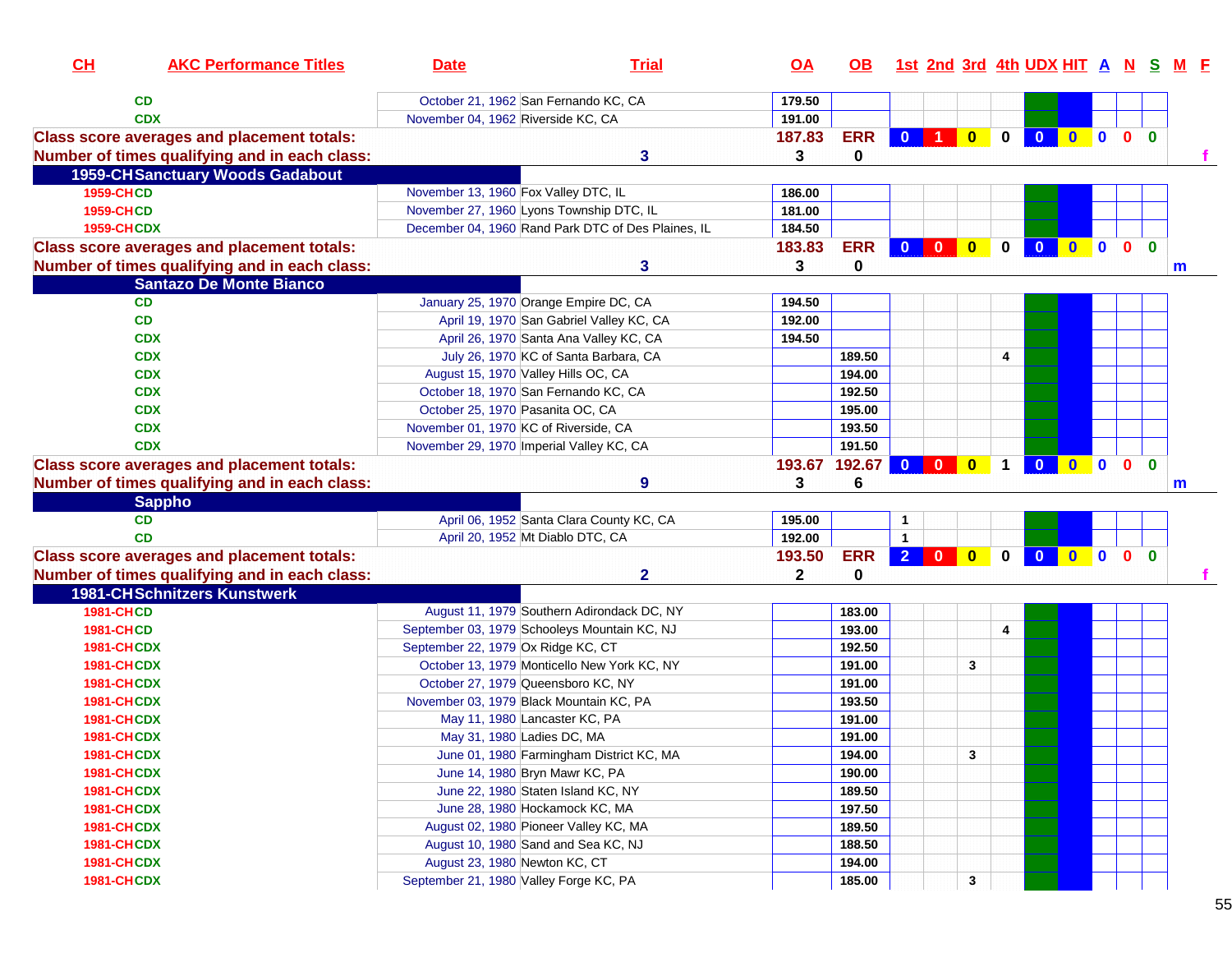| October 21, 1962 San Fernando KC, CA<br>CD<br>179.50<br>November 04, 1962 Riverside KC, CA<br><b>CDX</b><br>191.00<br><b>ERR</b><br>0 1 0<br>0000<br><b>Class score averages and placement totals:</b><br>187.83<br>$\mathbf{0}$<br>$\bullet$<br>Number of times qualifying and in each class:<br>3<br>3<br>0<br><b>1959-CHSanctuary Woods Gadabout</b><br><b>1959-CHCD</b><br>November 13, 1960 Fox Valley DTC, IL<br>186.00<br><b>1959-CHCD</b><br>November 27, 1960 Lyons Township DTC, IL<br>181.00<br>December 04, 1960 Rand Park DTC of Des Plaines, IL<br><b>1959-CHCDX</b><br>184.50<br><b>ERR</b><br><b>Class score averages and placement totals:</b><br>183.83<br>$\mathbf{0}$<br>$\bullet$<br>$\bullet$<br>$\mathbf 0$<br>$\mathbf{0}$<br>$\bf{0}$<br>$\mathbf{0}$<br>$\mathbf{0}$<br>$\mathbf{0}$<br>Number of times qualifying and in each class:<br>3<br>0<br>3<br>m<br><b>Santazo De Monte Bianco</b><br><b>CD</b><br>January 25, 1970 Orange Empire DC, CA<br>194.50<br>CD<br>April 19, 1970 San Gabriel Valley KC, CA<br>192.00<br>194.50<br><b>CDX</b><br>April 26, 1970 Santa Ana Valley KC, CA<br><b>CDX</b><br>July 26, 1970 KC of Santa Barbara, CA<br>189.50<br>4<br><b>CDX</b><br>August 15, 1970 Valley Hills OC, CA<br>194.00<br><b>CDX</b><br>October 18, 1970 San Fernando KC, CA<br>192.50<br><b>CDX</b><br>October 25, 1970 Pasanita OC, CA<br>195.00<br>193.50<br><b>CDX</b><br>November 01, 1970 KC of Riverside, CA<br>191.50<br><b>CDX</b><br>November 29, 1970   Imperial Valley KC, CA<br>000<br><b>Class score averages and placement totals:</b><br>193.67<br>192.67 0 0<br>$\bullet$<br>$\overline{\mathbf{0}}$<br>$\mathbf{0}$<br>$\mathbf 1$<br>Number of times qualifying and in each class:<br>6<br>9<br>3<br>$\mathsf{m}$<br><b>Sappho</b><br>CD<br>April 06, 1952 Santa Clara County KC, CA<br>195.00<br>$\mathbf{1}$<br>April 20, 1952 Mt Diablo DTC, CA<br><b>CD</b><br>192.00<br>$\overline{1}$<br><b>ERR</b><br>$\overline{\mathbf{0}}$<br>$\mathbf 0$<br>$\bullet$<br>$0$ 0 0 0<br><b>Class score averages and placement totals:</b><br>2 <sup>1</sup><br>$\overline{\mathbf{0}}$<br>193.50<br>$\mathbf{2}$<br>Number of times qualifying and in each class:<br>$\mathbf{2}$<br>$\bf{0}$<br><b>1981-CHSchnitzers Kunstwerk</b><br><b>1981-CHCD</b><br>August 11, 1979 Southern Adirondack DC, NY<br>183.00<br>September 03, 1979 Schooleys Mountain KC, NJ<br><b>1981-CHCD</b><br>193.00<br>4<br>September 22, 1979 Ox Ridge KC, CT<br>1981-CHCDX<br>192.50<br>1981-CHCDX<br>October 13, 1979 Monticello New York KC, NY<br>191.00<br>3<br>191.00<br>1981-CHCDX<br>October 27, 1979 Queensboro KC, NY<br>November 03, 1979 Black Mountain KC, PA<br>193.50<br><b>1981-CHCDX</b><br>May 11, 1980 Lancaster KC, PA<br><b>1981-CHCDX</b><br>191.00<br><b>1981-CHCDX</b><br>May 31, 1980 Ladies DC, MA<br>191.00<br>June 01, 1980 Farmingham District KC, MA<br>3<br>1981-CHCDX<br>194.00<br>June 14, 1980 Bryn Mawr KC, PA<br>1981-CHCDX<br>190.00<br>June 22, 1980 Staten Island KC, NY<br>189.50<br><b>1981-CHCDX</b><br>197.50<br>June 28, 1980 Hockamock KC, MA<br>1981-CHCDX | CL                | <b>AKC Performance Titles</b> | <b>Date</b> | <b>Trial</b> | <u>OA</u> |        |  |  |  |  | OB 1st 2nd 3rd 4th UDX HIT A N S M F |
|-----------------------------------------------------------------------------------------------------------------------------------------------------------------------------------------------------------------------------------------------------------------------------------------------------------------------------------------------------------------------------------------------------------------------------------------------------------------------------------------------------------------------------------------------------------------------------------------------------------------------------------------------------------------------------------------------------------------------------------------------------------------------------------------------------------------------------------------------------------------------------------------------------------------------------------------------------------------------------------------------------------------------------------------------------------------------------------------------------------------------------------------------------------------------------------------------------------------------------------------------------------------------------------------------------------------------------------------------------------------------------------------------------------------------------------------------------------------------------------------------------------------------------------------------------------------------------------------------------------------------------------------------------------------------------------------------------------------------------------------------------------------------------------------------------------------------------------------------------------------------------------------------------------------------------------------------------------------------------------------------------------------------------------------------------------------------------------------------------------------------------------------------------------------------------------------------------------------------------------------------------------------------------------------------------------------------------------------------------------------------------------------------------------------------------------------------------------------------------------------------------------------------------------------------------------------------------------------------------------------------------------------------------------------------------------------------------------------------------------------------------------------------------------------------------------------------------------------------------------------------------------------------------------------------------------------------------------------------------------------------------------------------------------------------------------------------------------------------------------------------------------|-------------------|-------------------------------|-------------|--------------|-----------|--------|--|--|--|--|--------------------------------------|
|                                                                                                                                                                                                                                                                                                                                                                                                                                                                                                                                                                                                                                                                                                                                                                                                                                                                                                                                                                                                                                                                                                                                                                                                                                                                                                                                                                                                                                                                                                                                                                                                                                                                                                                                                                                                                                                                                                                                                                                                                                                                                                                                                                                                                                                                                                                                                                                                                                                                                                                                                                                                                                                                                                                                                                                                                                                                                                                                                                                                                                                                                                                                   |                   |                               |             |              |           |        |  |  |  |  |                                      |
|                                                                                                                                                                                                                                                                                                                                                                                                                                                                                                                                                                                                                                                                                                                                                                                                                                                                                                                                                                                                                                                                                                                                                                                                                                                                                                                                                                                                                                                                                                                                                                                                                                                                                                                                                                                                                                                                                                                                                                                                                                                                                                                                                                                                                                                                                                                                                                                                                                                                                                                                                                                                                                                                                                                                                                                                                                                                                                                                                                                                                                                                                                                                   |                   |                               |             |              |           |        |  |  |  |  |                                      |
|                                                                                                                                                                                                                                                                                                                                                                                                                                                                                                                                                                                                                                                                                                                                                                                                                                                                                                                                                                                                                                                                                                                                                                                                                                                                                                                                                                                                                                                                                                                                                                                                                                                                                                                                                                                                                                                                                                                                                                                                                                                                                                                                                                                                                                                                                                                                                                                                                                                                                                                                                                                                                                                                                                                                                                                                                                                                                                                                                                                                                                                                                                                                   |                   |                               |             |              |           |        |  |  |  |  |                                      |
|                                                                                                                                                                                                                                                                                                                                                                                                                                                                                                                                                                                                                                                                                                                                                                                                                                                                                                                                                                                                                                                                                                                                                                                                                                                                                                                                                                                                                                                                                                                                                                                                                                                                                                                                                                                                                                                                                                                                                                                                                                                                                                                                                                                                                                                                                                                                                                                                                                                                                                                                                                                                                                                                                                                                                                                                                                                                                                                                                                                                                                                                                                                                   |                   |                               |             |              |           |        |  |  |  |  |                                      |
|                                                                                                                                                                                                                                                                                                                                                                                                                                                                                                                                                                                                                                                                                                                                                                                                                                                                                                                                                                                                                                                                                                                                                                                                                                                                                                                                                                                                                                                                                                                                                                                                                                                                                                                                                                                                                                                                                                                                                                                                                                                                                                                                                                                                                                                                                                                                                                                                                                                                                                                                                                                                                                                                                                                                                                                                                                                                                                                                                                                                                                                                                                                                   |                   |                               |             |              |           |        |  |  |  |  |                                      |
|                                                                                                                                                                                                                                                                                                                                                                                                                                                                                                                                                                                                                                                                                                                                                                                                                                                                                                                                                                                                                                                                                                                                                                                                                                                                                                                                                                                                                                                                                                                                                                                                                                                                                                                                                                                                                                                                                                                                                                                                                                                                                                                                                                                                                                                                                                                                                                                                                                                                                                                                                                                                                                                                                                                                                                                                                                                                                                                                                                                                                                                                                                                                   |                   |                               |             |              |           |        |  |  |  |  |                                      |
|                                                                                                                                                                                                                                                                                                                                                                                                                                                                                                                                                                                                                                                                                                                                                                                                                                                                                                                                                                                                                                                                                                                                                                                                                                                                                                                                                                                                                                                                                                                                                                                                                                                                                                                                                                                                                                                                                                                                                                                                                                                                                                                                                                                                                                                                                                                                                                                                                                                                                                                                                                                                                                                                                                                                                                                                                                                                                                                                                                                                                                                                                                                                   |                   |                               |             |              |           |        |  |  |  |  |                                      |
|                                                                                                                                                                                                                                                                                                                                                                                                                                                                                                                                                                                                                                                                                                                                                                                                                                                                                                                                                                                                                                                                                                                                                                                                                                                                                                                                                                                                                                                                                                                                                                                                                                                                                                                                                                                                                                                                                                                                                                                                                                                                                                                                                                                                                                                                                                                                                                                                                                                                                                                                                                                                                                                                                                                                                                                                                                                                                                                                                                                                                                                                                                                                   |                   |                               |             |              |           |        |  |  |  |  |                                      |
|                                                                                                                                                                                                                                                                                                                                                                                                                                                                                                                                                                                                                                                                                                                                                                                                                                                                                                                                                                                                                                                                                                                                                                                                                                                                                                                                                                                                                                                                                                                                                                                                                                                                                                                                                                                                                                                                                                                                                                                                                                                                                                                                                                                                                                                                                                                                                                                                                                                                                                                                                                                                                                                                                                                                                                                                                                                                                                                                                                                                                                                                                                                                   |                   |                               |             |              |           |        |  |  |  |  |                                      |
|                                                                                                                                                                                                                                                                                                                                                                                                                                                                                                                                                                                                                                                                                                                                                                                                                                                                                                                                                                                                                                                                                                                                                                                                                                                                                                                                                                                                                                                                                                                                                                                                                                                                                                                                                                                                                                                                                                                                                                                                                                                                                                                                                                                                                                                                                                                                                                                                                                                                                                                                                                                                                                                                                                                                                                                                                                                                                                                                                                                                                                                                                                                                   |                   |                               |             |              |           |        |  |  |  |  |                                      |
|                                                                                                                                                                                                                                                                                                                                                                                                                                                                                                                                                                                                                                                                                                                                                                                                                                                                                                                                                                                                                                                                                                                                                                                                                                                                                                                                                                                                                                                                                                                                                                                                                                                                                                                                                                                                                                                                                                                                                                                                                                                                                                                                                                                                                                                                                                                                                                                                                                                                                                                                                                                                                                                                                                                                                                                                                                                                                                                                                                                                                                                                                                                                   |                   |                               |             |              |           |        |  |  |  |  |                                      |
|                                                                                                                                                                                                                                                                                                                                                                                                                                                                                                                                                                                                                                                                                                                                                                                                                                                                                                                                                                                                                                                                                                                                                                                                                                                                                                                                                                                                                                                                                                                                                                                                                                                                                                                                                                                                                                                                                                                                                                                                                                                                                                                                                                                                                                                                                                                                                                                                                                                                                                                                                                                                                                                                                                                                                                                                                                                                                                                                                                                                                                                                                                                                   |                   |                               |             |              |           |        |  |  |  |  |                                      |
|                                                                                                                                                                                                                                                                                                                                                                                                                                                                                                                                                                                                                                                                                                                                                                                                                                                                                                                                                                                                                                                                                                                                                                                                                                                                                                                                                                                                                                                                                                                                                                                                                                                                                                                                                                                                                                                                                                                                                                                                                                                                                                                                                                                                                                                                                                                                                                                                                                                                                                                                                                                                                                                                                                                                                                                                                                                                                                                                                                                                                                                                                                                                   |                   |                               |             |              |           |        |  |  |  |  |                                      |
|                                                                                                                                                                                                                                                                                                                                                                                                                                                                                                                                                                                                                                                                                                                                                                                                                                                                                                                                                                                                                                                                                                                                                                                                                                                                                                                                                                                                                                                                                                                                                                                                                                                                                                                                                                                                                                                                                                                                                                                                                                                                                                                                                                                                                                                                                                                                                                                                                                                                                                                                                                                                                                                                                                                                                                                                                                                                                                                                                                                                                                                                                                                                   |                   |                               |             |              |           |        |  |  |  |  |                                      |
|                                                                                                                                                                                                                                                                                                                                                                                                                                                                                                                                                                                                                                                                                                                                                                                                                                                                                                                                                                                                                                                                                                                                                                                                                                                                                                                                                                                                                                                                                                                                                                                                                                                                                                                                                                                                                                                                                                                                                                                                                                                                                                                                                                                                                                                                                                                                                                                                                                                                                                                                                                                                                                                                                                                                                                                                                                                                                                                                                                                                                                                                                                                                   |                   |                               |             |              |           |        |  |  |  |  |                                      |
|                                                                                                                                                                                                                                                                                                                                                                                                                                                                                                                                                                                                                                                                                                                                                                                                                                                                                                                                                                                                                                                                                                                                                                                                                                                                                                                                                                                                                                                                                                                                                                                                                                                                                                                                                                                                                                                                                                                                                                                                                                                                                                                                                                                                                                                                                                                                                                                                                                                                                                                                                                                                                                                                                                                                                                                                                                                                                                                                                                                                                                                                                                                                   |                   |                               |             |              |           |        |  |  |  |  |                                      |
|                                                                                                                                                                                                                                                                                                                                                                                                                                                                                                                                                                                                                                                                                                                                                                                                                                                                                                                                                                                                                                                                                                                                                                                                                                                                                                                                                                                                                                                                                                                                                                                                                                                                                                                                                                                                                                                                                                                                                                                                                                                                                                                                                                                                                                                                                                                                                                                                                                                                                                                                                                                                                                                                                                                                                                                                                                                                                                                                                                                                                                                                                                                                   |                   |                               |             |              |           |        |  |  |  |  |                                      |
|                                                                                                                                                                                                                                                                                                                                                                                                                                                                                                                                                                                                                                                                                                                                                                                                                                                                                                                                                                                                                                                                                                                                                                                                                                                                                                                                                                                                                                                                                                                                                                                                                                                                                                                                                                                                                                                                                                                                                                                                                                                                                                                                                                                                                                                                                                                                                                                                                                                                                                                                                                                                                                                                                                                                                                                                                                                                                                                                                                                                                                                                                                                                   |                   |                               |             |              |           |        |  |  |  |  |                                      |
|                                                                                                                                                                                                                                                                                                                                                                                                                                                                                                                                                                                                                                                                                                                                                                                                                                                                                                                                                                                                                                                                                                                                                                                                                                                                                                                                                                                                                                                                                                                                                                                                                                                                                                                                                                                                                                                                                                                                                                                                                                                                                                                                                                                                                                                                                                                                                                                                                                                                                                                                                                                                                                                                                                                                                                                                                                                                                                                                                                                                                                                                                                                                   |                   |                               |             |              |           |        |  |  |  |  |                                      |
|                                                                                                                                                                                                                                                                                                                                                                                                                                                                                                                                                                                                                                                                                                                                                                                                                                                                                                                                                                                                                                                                                                                                                                                                                                                                                                                                                                                                                                                                                                                                                                                                                                                                                                                                                                                                                                                                                                                                                                                                                                                                                                                                                                                                                                                                                                                                                                                                                                                                                                                                                                                                                                                                                                                                                                                                                                                                                                                                                                                                                                                                                                                                   |                   |                               |             |              |           |        |  |  |  |  |                                      |
|                                                                                                                                                                                                                                                                                                                                                                                                                                                                                                                                                                                                                                                                                                                                                                                                                                                                                                                                                                                                                                                                                                                                                                                                                                                                                                                                                                                                                                                                                                                                                                                                                                                                                                                                                                                                                                                                                                                                                                                                                                                                                                                                                                                                                                                                                                                                                                                                                                                                                                                                                                                                                                                                                                                                                                                                                                                                                                                                                                                                                                                                                                                                   |                   |                               |             |              |           |        |  |  |  |  |                                      |
|                                                                                                                                                                                                                                                                                                                                                                                                                                                                                                                                                                                                                                                                                                                                                                                                                                                                                                                                                                                                                                                                                                                                                                                                                                                                                                                                                                                                                                                                                                                                                                                                                                                                                                                                                                                                                                                                                                                                                                                                                                                                                                                                                                                                                                                                                                                                                                                                                                                                                                                                                                                                                                                                                                                                                                                                                                                                                                                                                                                                                                                                                                                                   |                   |                               |             |              |           |        |  |  |  |  |                                      |
|                                                                                                                                                                                                                                                                                                                                                                                                                                                                                                                                                                                                                                                                                                                                                                                                                                                                                                                                                                                                                                                                                                                                                                                                                                                                                                                                                                                                                                                                                                                                                                                                                                                                                                                                                                                                                                                                                                                                                                                                                                                                                                                                                                                                                                                                                                                                                                                                                                                                                                                                                                                                                                                                                                                                                                                                                                                                                                                                                                                                                                                                                                                                   |                   |                               |             |              |           |        |  |  |  |  |                                      |
|                                                                                                                                                                                                                                                                                                                                                                                                                                                                                                                                                                                                                                                                                                                                                                                                                                                                                                                                                                                                                                                                                                                                                                                                                                                                                                                                                                                                                                                                                                                                                                                                                                                                                                                                                                                                                                                                                                                                                                                                                                                                                                                                                                                                                                                                                                                                                                                                                                                                                                                                                                                                                                                                                                                                                                                                                                                                                                                                                                                                                                                                                                                                   |                   |                               |             |              |           |        |  |  |  |  |                                      |
|                                                                                                                                                                                                                                                                                                                                                                                                                                                                                                                                                                                                                                                                                                                                                                                                                                                                                                                                                                                                                                                                                                                                                                                                                                                                                                                                                                                                                                                                                                                                                                                                                                                                                                                                                                                                                                                                                                                                                                                                                                                                                                                                                                                                                                                                                                                                                                                                                                                                                                                                                                                                                                                                                                                                                                                                                                                                                                                                                                                                                                                                                                                                   |                   |                               |             |              |           |        |  |  |  |  |                                      |
|                                                                                                                                                                                                                                                                                                                                                                                                                                                                                                                                                                                                                                                                                                                                                                                                                                                                                                                                                                                                                                                                                                                                                                                                                                                                                                                                                                                                                                                                                                                                                                                                                                                                                                                                                                                                                                                                                                                                                                                                                                                                                                                                                                                                                                                                                                                                                                                                                                                                                                                                                                                                                                                                                                                                                                                                                                                                                                                                                                                                                                                                                                                                   |                   |                               |             |              |           |        |  |  |  |  |                                      |
|                                                                                                                                                                                                                                                                                                                                                                                                                                                                                                                                                                                                                                                                                                                                                                                                                                                                                                                                                                                                                                                                                                                                                                                                                                                                                                                                                                                                                                                                                                                                                                                                                                                                                                                                                                                                                                                                                                                                                                                                                                                                                                                                                                                                                                                                                                                                                                                                                                                                                                                                                                                                                                                                                                                                                                                                                                                                                                                                                                                                                                                                                                                                   |                   |                               |             |              |           |        |  |  |  |  |                                      |
|                                                                                                                                                                                                                                                                                                                                                                                                                                                                                                                                                                                                                                                                                                                                                                                                                                                                                                                                                                                                                                                                                                                                                                                                                                                                                                                                                                                                                                                                                                                                                                                                                                                                                                                                                                                                                                                                                                                                                                                                                                                                                                                                                                                                                                                                                                                                                                                                                                                                                                                                                                                                                                                                                                                                                                                                                                                                                                                                                                                                                                                                                                                                   |                   |                               |             |              |           |        |  |  |  |  |                                      |
|                                                                                                                                                                                                                                                                                                                                                                                                                                                                                                                                                                                                                                                                                                                                                                                                                                                                                                                                                                                                                                                                                                                                                                                                                                                                                                                                                                                                                                                                                                                                                                                                                                                                                                                                                                                                                                                                                                                                                                                                                                                                                                                                                                                                                                                                                                                                                                                                                                                                                                                                                                                                                                                                                                                                                                                                                                                                                                                                                                                                                                                                                                                                   |                   |                               |             |              |           |        |  |  |  |  |                                      |
|                                                                                                                                                                                                                                                                                                                                                                                                                                                                                                                                                                                                                                                                                                                                                                                                                                                                                                                                                                                                                                                                                                                                                                                                                                                                                                                                                                                                                                                                                                                                                                                                                                                                                                                                                                                                                                                                                                                                                                                                                                                                                                                                                                                                                                                                                                                                                                                                                                                                                                                                                                                                                                                                                                                                                                                                                                                                                                                                                                                                                                                                                                                                   |                   |                               |             |              |           |        |  |  |  |  |                                      |
|                                                                                                                                                                                                                                                                                                                                                                                                                                                                                                                                                                                                                                                                                                                                                                                                                                                                                                                                                                                                                                                                                                                                                                                                                                                                                                                                                                                                                                                                                                                                                                                                                                                                                                                                                                                                                                                                                                                                                                                                                                                                                                                                                                                                                                                                                                                                                                                                                                                                                                                                                                                                                                                                                                                                                                                                                                                                                                                                                                                                                                                                                                                                   |                   |                               |             |              |           |        |  |  |  |  |                                      |
|                                                                                                                                                                                                                                                                                                                                                                                                                                                                                                                                                                                                                                                                                                                                                                                                                                                                                                                                                                                                                                                                                                                                                                                                                                                                                                                                                                                                                                                                                                                                                                                                                                                                                                                                                                                                                                                                                                                                                                                                                                                                                                                                                                                                                                                                                                                                                                                                                                                                                                                                                                                                                                                                                                                                                                                                                                                                                                                                                                                                                                                                                                                                   |                   |                               |             |              |           |        |  |  |  |  |                                      |
|                                                                                                                                                                                                                                                                                                                                                                                                                                                                                                                                                                                                                                                                                                                                                                                                                                                                                                                                                                                                                                                                                                                                                                                                                                                                                                                                                                                                                                                                                                                                                                                                                                                                                                                                                                                                                                                                                                                                                                                                                                                                                                                                                                                                                                                                                                                                                                                                                                                                                                                                                                                                                                                                                                                                                                                                                                                                                                                                                                                                                                                                                                                                   |                   |                               |             |              |           |        |  |  |  |  |                                      |
|                                                                                                                                                                                                                                                                                                                                                                                                                                                                                                                                                                                                                                                                                                                                                                                                                                                                                                                                                                                                                                                                                                                                                                                                                                                                                                                                                                                                                                                                                                                                                                                                                                                                                                                                                                                                                                                                                                                                                                                                                                                                                                                                                                                                                                                                                                                                                                                                                                                                                                                                                                                                                                                                                                                                                                                                                                                                                                                                                                                                                                                                                                                                   |                   |                               |             |              |           |        |  |  |  |  |                                      |
|                                                                                                                                                                                                                                                                                                                                                                                                                                                                                                                                                                                                                                                                                                                                                                                                                                                                                                                                                                                                                                                                                                                                                                                                                                                                                                                                                                                                                                                                                                                                                                                                                                                                                                                                                                                                                                                                                                                                                                                                                                                                                                                                                                                                                                                                                                                                                                                                                                                                                                                                                                                                                                                                                                                                                                                                                                                                                                                                                                                                                                                                                                                                   |                   |                               |             |              |           |        |  |  |  |  |                                      |
|                                                                                                                                                                                                                                                                                                                                                                                                                                                                                                                                                                                                                                                                                                                                                                                                                                                                                                                                                                                                                                                                                                                                                                                                                                                                                                                                                                                                                                                                                                                                                                                                                                                                                                                                                                                                                                                                                                                                                                                                                                                                                                                                                                                                                                                                                                                                                                                                                                                                                                                                                                                                                                                                                                                                                                                                                                                                                                                                                                                                                                                                                                                                   |                   |                               |             |              |           |        |  |  |  |  |                                      |
|                                                                                                                                                                                                                                                                                                                                                                                                                                                                                                                                                                                                                                                                                                                                                                                                                                                                                                                                                                                                                                                                                                                                                                                                                                                                                                                                                                                                                                                                                                                                                                                                                                                                                                                                                                                                                                                                                                                                                                                                                                                                                                                                                                                                                                                                                                                                                                                                                                                                                                                                                                                                                                                                                                                                                                                                                                                                                                                                                                                                                                                                                                                                   |                   |                               |             |              |           |        |  |  |  |  |                                      |
|                                                                                                                                                                                                                                                                                                                                                                                                                                                                                                                                                                                                                                                                                                                                                                                                                                                                                                                                                                                                                                                                                                                                                                                                                                                                                                                                                                                                                                                                                                                                                                                                                                                                                                                                                                                                                                                                                                                                                                                                                                                                                                                                                                                                                                                                                                                                                                                                                                                                                                                                                                                                                                                                                                                                                                                                                                                                                                                                                                                                                                                                                                                                   |                   |                               |             |              |           |        |  |  |  |  |                                      |
|                                                                                                                                                                                                                                                                                                                                                                                                                                                                                                                                                                                                                                                                                                                                                                                                                                                                                                                                                                                                                                                                                                                                                                                                                                                                                                                                                                                                                                                                                                                                                                                                                                                                                                                                                                                                                                                                                                                                                                                                                                                                                                                                                                                                                                                                                                                                                                                                                                                                                                                                                                                                                                                                                                                                                                                                                                                                                                                                                                                                                                                                                                                                   |                   |                               |             |              |           |        |  |  |  |  |                                      |
|                                                                                                                                                                                                                                                                                                                                                                                                                                                                                                                                                                                                                                                                                                                                                                                                                                                                                                                                                                                                                                                                                                                                                                                                                                                                                                                                                                                                                                                                                                                                                                                                                                                                                                                                                                                                                                                                                                                                                                                                                                                                                                                                                                                                                                                                                                                                                                                                                                                                                                                                                                                                                                                                                                                                                                                                                                                                                                                                                                                                                                                                                                                                   |                   |                               |             |              |           |        |  |  |  |  |                                      |
| August 02, 1980 Pioneer Valley KC, MA                                                                                                                                                                                                                                                                                                                                                                                                                                                                                                                                                                                                                                                                                                                                                                                                                                                                                                                                                                                                                                                                                                                                                                                                                                                                                                                                                                                                                                                                                                                                                                                                                                                                                                                                                                                                                                                                                                                                                                                                                                                                                                                                                                                                                                                                                                                                                                                                                                                                                                                                                                                                                                                                                                                                                                                                                                                                                                                                                                                                                                                                                             | <b>1981-CHCDX</b> |                               |             |              |           | 189.50 |  |  |  |  |                                      |
| August 10, 1980 Sand and Sea KC, NJ<br><b>1981-CHCDX</b><br>188.50                                                                                                                                                                                                                                                                                                                                                                                                                                                                                                                                                                                                                                                                                                                                                                                                                                                                                                                                                                                                                                                                                                                                                                                                                                                                                                                                                                                                                                                                                                                                                                                                                                                                                                                                                                                                                                                                                                                                                                                                                                                                                                                                                                                                                                                                                                                                                                                                                                                                                                                                                                                                                                                                                                                                                                                                                                                                                                                                                                                                                                                                |                   |                               |             |              |           |        |  |  |  |  |                                      |
| August 23, 1980 Newton KC, CT<br><b>1981-CHCDX</b><br>194.00                                                                                                                                                                                                                                                                                                                                                                                                                                                                                                                                                                                                                                                                                                                                                                                                                                                                                                                                                                                                                                                                                                                                                                                                                                                                                                                                                                                                                                                                                                                                                                                                                                                                                                                                                                                                                                                                                                                                                                                                                                                                                                                                                                                                                                                                                                                                                                                                                                                                                                                                                                                                                                                                                                                                                                                                                                                                                                                                                                                                                                                                      |                   |                               |             |              |           |        |  |  |  |  |                                      |
| <b>1981-CHCDX</b><br>September 21, 1980 Valley Forge KC, PA<br>185.00<br>3                                                                                                                                                                                                                                                                                                                                                                                                                                                                                                                                                                                                                                                                                                                                                                                                                                                                                                                                                                                                                                                                                                                                                                                                                                                                                                                                                                                                                                                                                                                                                                                                                                                                                                                                                                                                                                                                                                                                                                                                                                                                                                                                                                                                                                                                                                                                                                                                                                                                                                                                                                                                                                                                                                                                                                                                                                                                                                                                                                                                                                                        |                   |                               |             |              |           |        |  |  |  |  |                                      |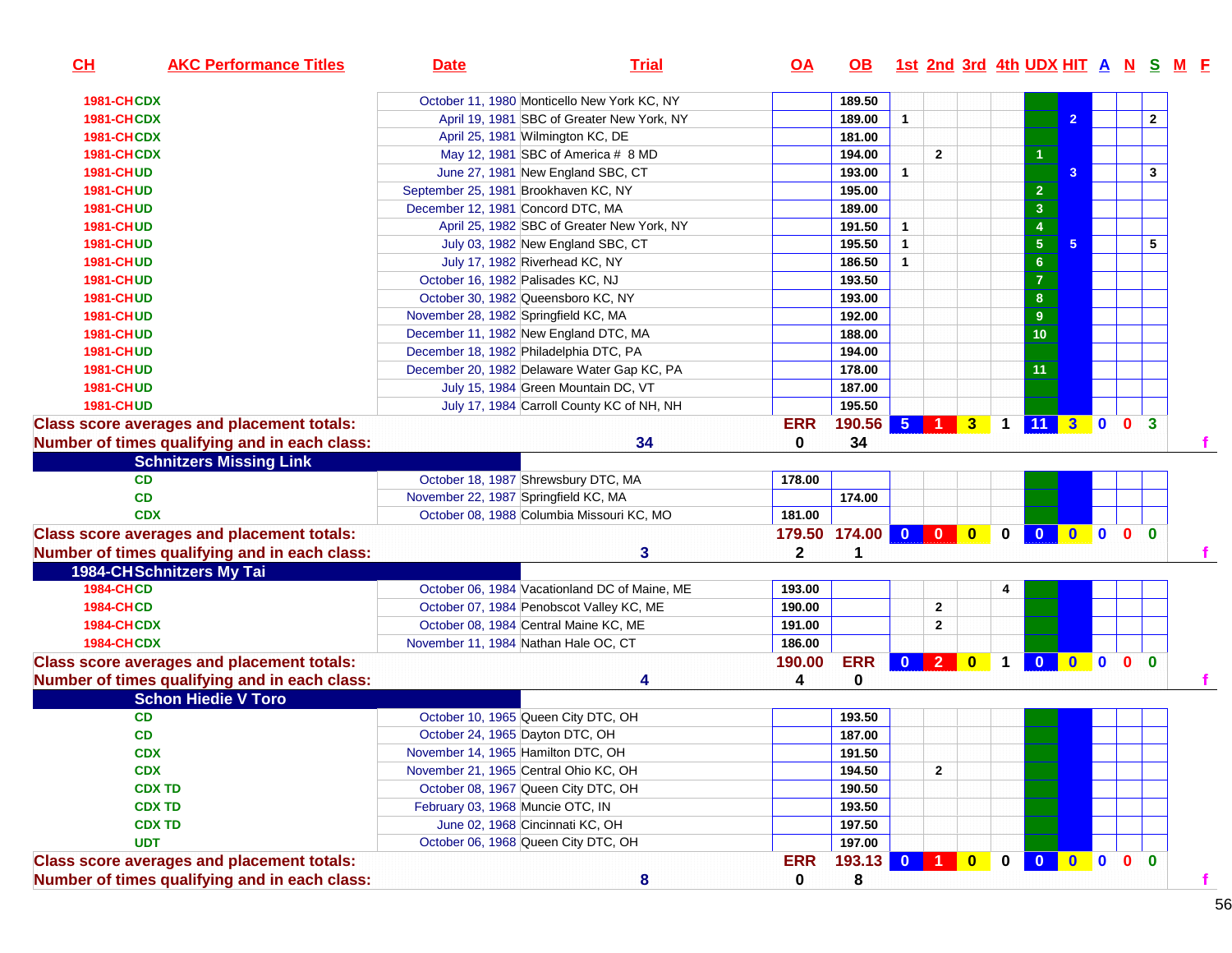| CH                | <b>AKC Performance Titles</b>                     | <b>Date</b>                                 | <b>Trial</b>                                  | <u>OA</u>    | OB.                 |                |                |          |              |                         |                     |              |                              | 1st 2nd 3rd 4th UDX HIT A N S M F |
|-------------------|---------------------------------------------------|---------------------------------------------|-----------------------------------------------|--------------|---------------------|----------------|----------------|----------|--------------|-------------------------|---------------------|--------------|------------------------------|-----------------------------------|
| 1981-CHCDX        |                                                   | October 11, 1980 Monticello New York KC, NY |                                               |              | 189.50              |                |                |          |              |                         |                     |              |                              |                                   |
| 1981-CHCDX        |                                                   |                                             | April 19, 1981 SBC of Greater New York, NY    |              | 189.00              | $\mathbf{1}$   |                |          |              |                         | $\overline{2}$      |              |                              | $\overline{2}$                    |
| 1981-CHCDX        |                                                   | April 25, 1981 Wilmington KC, DE            |                                               |              | 181.00              |                |                |          |              |                         |                     |              |                              |                                   |
| 1981-CHCDX        |                                                   | May 12, 1981 SBC of America # 8 MD          |                                               |              | 194.00              |                | $\overline{2}$ |          |              |                         |                     |              |                              |                                   |
| <b>1981-CHUD</b>  |                                                   | June 27, 1981 New England SBC, CT           |                                               |              | 193.00              | $\mathbf{1}$   |                |          |              |                         | 3                   |              |                              | 3                                 |
| <b>1981-CHUD</b>  |                                                   | September 25, 1981 Brookhaven KC, NY        |                                               |              | 195.00              |                |                |          |              | $\overline{\mathbf{c}}$ |                     |              |                              |                                   |
| <b>1981-CHUD</b>  |                                                   | December 12, 1981 Concord DTC, MA           |                                               |              | 189.00              |                |                |          |              | $\overline{3}$          |                     |              |                              |                                   |
| <b>1981-CHUD</b>  |                                                   |                                             | April 25, 1982 SBC of Greater New York, NY    |              | 191.50              | $\mathbf{1}$   |                |          |              | $\overline{4}$          |                     |              |                              |                                   |
| <b>1981-CHUD</b>  |                                                   | July 03, 1982 New England SBC, CT           |                                               |              | 195.50              | $\mathbf{1}$   |                |          |              | ${\bf 5}$               | 5 <sup>5</sup>      |              |                              | 5                                 |
| <b>1981-CHUD</b>  |                                                   | July 17, 1982 Riverhead KC, NY              |                                               |              | 186.50              | $\mathbf{1}$   |                |          |              | $\bf 6$                 |                     |              |                              |                                   |
| <b>1981-CHUD</b>  |                                                   | October 16, 1982 Palisades KC, NJ           |                                               |              | 193.50              |                |                |          |              | $\overline{\mathbf{7}}$ |                     |              |                              |                                   |
| <b>1981-CHUD</b>  |                                                   | October 30, 1982 Queensboro KC, NY          |                                               |              | 193.00              |                |                |          |              | $\bf 8$                 |                     |              |                              |                                   |
| <b>1981-CHUD</b>  |                                                   | November 28, 1982 Springfield KC, MA        |                                               |              | 192.00              |                |                |          |              | $\boldsymbol{9}$        |                     |              |                              |                                   |
| <b>1981-CHUD</b>  |                                                   | December 11, 1982 New England DTC, MA       |                                               |              | 188.00              |                |                |          |              | 10 <sub>1</sub>         |                     |              |                              |                                   |
| <b>1981-CHUD</b>  |                                                   | December 18, 1982 Philadelphia DTC, PA      |                                               |              | 194.00              |                |                |          |              |                         |                     |              |                              |                                   |
| <b>1981-CHUD</b>  |                                                   | December 20, 1982 Delaware Water Gap KC, PA |                                               |              | 178.00              |                |                |          |              | 11                      |                     |              |                              |                                   |
| <b>1981-CHUD</b>  |                                                   | July 15, 1984 Green Mountain DC, VT         |                                               |              | 187.00              |                |                |          |              |                         |                     |              |                              |                                   |
| <b>1981-CHUD</b>  |                                                   |                                             | July 17, 1984 Carroll County KC of NH, NH     |              | 195.50              |                |                |          |              |                         |                     |              |                              |                                   |
|                   | <b>Class score averages and placement totals:</b> |                                             |                                               | <b>ERR</b>   | 190.56              | 5 <sub>5</sub> |                | 1 3 4 11 |              |                         | 30                  |              | 0 <sup>3</sup>               |                                   |
|                   | Number of times qualifying and in each class:     |                                             | 34                                            | 0            | 34                  |                |                |          |              |                         |                     |              |                              |                                   |
|                   | <b>Schnitzers Missing Link</b>                    |                                             |                                               |              |                     |                |                |          |              |                         |                     |              |                              |                                   |
|                   | <b>CD</b>                                         | October 18, 1987 Shrewsbury DTC, MA         |                                               | 178.00       |                     |                |                |          |              |                         |                     |              |                              |                                   |
|                   | <b>CD</b>                                         | November 22, 1987 Springfield KC, MA        |                                               |              | 174.00              |                |                |          |              |                         |                     |              |                              |                                   |
|                   | <b>CDX</b>                                        | October 08, 1988 Columbia Missouri KC, MO   |                                               | 181.00       |                     |                |                |          |              |                         |                     |              |                              |                                   |
|                   | <b>Class score averages and placement totals:</b> |                                             |                                               |              | 179.50 174.00 0 0 0 |                |                |          | $\bf{0}$     | $\bf{0}$                | $\mathbf{0}$        | $\mathbf{0}$ | 0 <sub>0</sub>               |                                   |
|                   | Number of times qualifying and in each class:     |                                             | 3                                             | $\mathbf{2}$ | 1                   |                |                |          |              |                         |                     |              |                              |                                   |
|                   | <b>1984-CHSchnitzers My Tai</b>                   |                                             |                                               |              |                     |                |                |          |              |                         |                     |              |                              |                                   |
| <b>1984-CHCD</b>  |                                                   |                                             | October 06, 1984 Vacationland DC of Maine, ME | 193.00       |                     |                |                |          | 4            |                         |                     |              |                              |                                   |
| <b>1984-CHCD</b>  |                                                   | October 07, 1984 Penobscot Valley KC, ME    |                                               | 190.00       |                     |                | $\mathbf{2}$   |          |              |                         |                     |              |                              |                                   |
| <b>1984-CHCDX</b> |                                                   | October 08, 1984 Central Maine KC, ME       |                                               | 191.00       |                     |                | 2              |          |              |                         |                     |              |                              |                                   |
| <b>1984-CHCDX</b> |                                                   | November 11, 1984 Nathan Hale OC, CT        |                                               | 186.00       |                     |                |                |          |              |                         |                     |              |                              |                                   |
|                   | <b>Class score averages and placement totals:</b> |                                             |                                               | 190.00       | <b>ERR</b>          |                |                | 0 2 0 1  |              | $\bullet$               | $\bullet$ $\bullet$ |              | $\mathbf{0}$<br>$\mathbf{0}$ |                                   |
|                   | Number of times qualifying and in each class:     |                                             | 4                                             | 4            | 0                   |                |                |          |              |                         |                     |              |                              |                                   |
|                   | <b>Schon Hiedie V Toro</b>                        |                                             |                                               |              |                     |                |                |          |              |                         |                     |              |                              |                                   |
|                   | CD                                                | October 10, 1965 Queen City DTC, OH         |                                               |              | 193.50              |                |                |          |              |                         |                     |              |                              |                                   |
|                   | CD                                                | October 24, 1965 Dayton DTC, OH             |                                               |              | 187.00              |                |                |          |              |                         |                     |              |                              |                                   |
|                   | <b>CDX</b>                                        | November 14, 1965 Hamilton DTC, OH          |                                               |              | 191.50              |                |                |          |              |                         |                     |              |                              |                                   |
|                   | <b>CDX</b>                                        | November 21, 1965 Central Ohio KC, OH       |                                               |              | 194.50              |                | $\overline{2}$ |          |              |                         |                     |              |                              |                                   |
|                   | <b>CDX TD</b>                                     | October 08, 1967 Queen City DTC, OH         |                                               |              | 190.50              |                |                |          |              |                         |                     |              |                              |                                   |
|                   | <b>CDX TD</b>                                     | February 03, 1968 Muncie OTC, IN            |                                               |              | 193.50              |                |                |          |              |                         |                     |              |                              |                                   |
|                   | <b>CDX TD</b>                                     | June 02, 1968 Cincinnati KC, OH             |                                               |              | 197.50              |                |                |          |              |                         |                     |              |                              |                                   |
|                   | <b>UDT</b>                                        | October 06, 1968 Queen City DTC, OH         |                                               |              | 197.00              |                |                |          |              |                         |                     |              |                              |                                   |
|                   | <b>Class score averages and placement totals:</b> |                                             |                                               | <b>ERR</b>   | 193.13 0 1 0        |                |                |          | $\mathbf{0}$ | $\mathbf{0}$            |                     |              | $0$ 0 0 0                    |                                   |
|                   | Number of times qualifying and in each class:     |                                             | 8                                             | $\mathbf 0$  | 8                   |                |                |          |              |                         |                     |              |                              |                                   |
|                   |                                                   |                                             |                                               |              |                     |                |                |          |              |                         |                     |              |                              |                                   |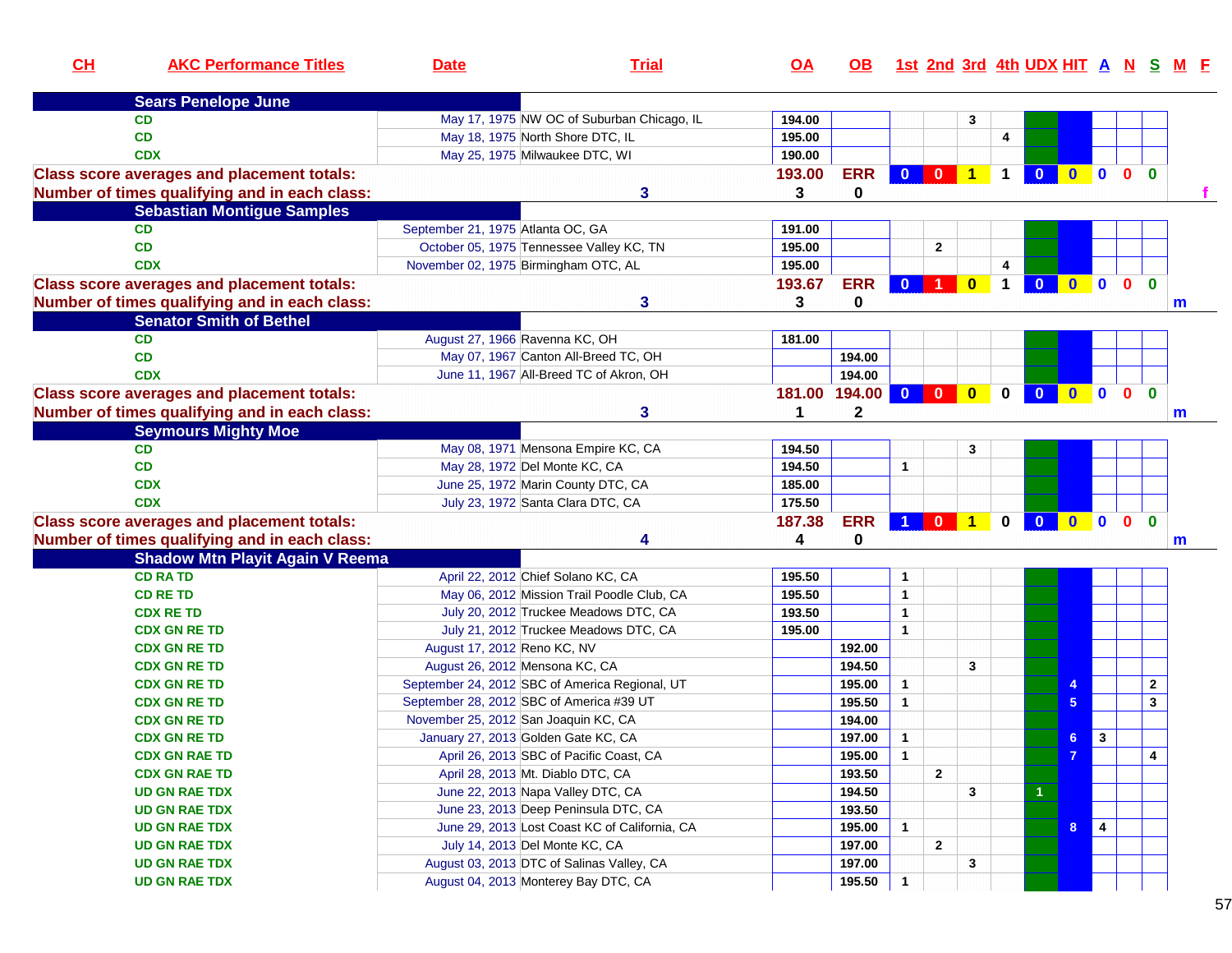| CH | <b>AKC Performance Titles</b>                     | <b>Date</b>                       | <b>Trial</b>                                                                               | $\overline{OA}$ | OB.              |                      |                |                         |              |                |                |                         |                |                              | 1st 2nd 3rd 4th UDX HIT A N S M F |
|----|---------------------------------------------------|-----------------------------------|--------------------------------------------------------------------------------------------|-----------------|------------------|----------------------|----------------|-------------------------|--------------|----------------|----------------|-------------------------|----------------|------------------------------|-----------------------------------|
|    | <b>Sears Penelope June</b>                        |                                   |                                                                                            |                 |                  |                      |                |                         |              |                |                |                         |                |                              |                                   |
|    | <b>CD</b>                                         |                                   | May 17, 1975 NW OC of Suburban Chicago, IL                                                 | 194.00          |                  |                      |                | 3                       |              |                |                |                         |                |                              |                                   |
|    | CD                                                |                                   | May 18, 1975 North Shore DTC, IL                                                           | 195.00          |                  |                      |                |                         | 4            |                |                |                         |                |                              |                                   |
|    | <b>CDX</b>                                        |                                   | May 25, 1975 Milwaukee DTC, WI                                                             | 190.00          |                  |                      |                |                         |              |                |                |                         |                |                              |                                   |
|    | <b>Class score averages and placement totals:</b> |                                   |                                                                                            | 193.00          | <b>ERR</b>       |                      | 0 0 1          |                         | $\mathbf 1$  | $\mathbf{0}$   | $\mathbf{0}$   | $\mathbf{0}$            | 0 <sub>0</sub> |                              |                                   |
|    | Number of times qualifying and in each class:     |                                   | 3                                                                                          | 3               | $\bf{0}$         |                      |                |                         |              |                |                |                         |                |                              |                                   |
|    | <b>Sebastian Montigue Samples</b>                 |                                   |                                                                                            |                 |                  |                      |                |                         |              |                |                |                         |                |                              |                                   |
|    | <b>CD</b>                                         | September 21, 1975 Atlanta OC, GA |                                                                                            | 191.00          |                  |                      |                |                         |              |                |                |                         |                |                              |                                   |
|    | CD                                                |                                   | October 05, 1975 Tennessee Valley KC, TN                                                   | 195.00          |                  |                      | $\overline{2}$ |                         |              |                |                |                         |                |                              |                                   |
|    | <b>CDX</b>                                        |                                   | November 02, 1975 Birmingham OTC, AL                                                       | 195.00          |                  |                      |                |                         | 4            |                |                |                         |                |                              |                                   |
|    | <b>Class score averages and placement totals:</b> |                                   |                                                                                            | 193.67          | <b>ERR</b>       |                      | 0 1 0          |                         | $\mathbf 1$  | $\mathbf{0}$   | $\bullet$      | $\bullet$               | $\mathbf{0}$   | $\mathbf{0}$                 |                                   |
|    | Number of times qualifying and in each class:     |                                   | 3                                                                                          | 3               | 0                |                      |                |                         |              |                |                |                         |                |                              | m                                 |
|    | <b>Senator Smith of Bethel</b>                    |                                   |                                                                                            |                 |                  |                      |                |                         |              |                |                |                         |                |                              |                                   |
|    | <b>CD</b>                                         |                                   | August 27, 1966 Ravenna KC, OH                                                             | 181.00          |                  |                      |                |                         |              |                |                |                         |                |                              |                                   |
|    | CD                                                |                                   | May 07, 1967 Canton All-Breed TC, OH                                                       |                 | 194.00           |                      |                |                         |              |                |                |                         |                |                              |                                   |
|    | <b>CDX</b>                                        |                                   | June 11, 1967 All-Breed TC of Akron, OH                                                    |                 | 194.00           |                      |                |                         |              |                |                |                         |                |                              |                                   |
|    | <b>Class score averages and placement totals:</b> |                                   |                                                                                            | 181.00          | 194.00 0 0       |                      |                | $\overline{\mathbf{0}}$ | $\mathbf{0}$ | $\mathbf{0}$   | $\bullet$      | $\blacksquare$          | $\mathbf{0}$   | $\bf{0}$                     |                                   |
|    | Number of times qualifying and in each class:     |                                   | 3                                                                                          | 1               | $\mathbf{2}$     |                      |                |                         |              |                |                |                         |                |                              | m                                 |
|    | <b>Seymours Mighty Moe</b>                        |                                   |                                                                                            |                 |                  |                      |                |                         |              |                |                |                         |                |                              |                                   |
|    | <b>CD</b>                                         |                                   | May 08, 1971 Mensona Empire KC, CA                                                         | 194.50          |                  |                      |                | 3                       |              |                |                |                         |                |                              |                                   |
|    | CD                                                |                                   | May 28, 1972 Del Monte KC, CA                                                              | 194.50          |                  | $\mathbf{1}$         |                |                         |              |                |                |                         |                |                              |                                   |
|    | <b>CDX</b>                                        |                                   | June 25, 1972 Marin County DTC, CA                                                         | 185.00          |                  |                      |                |                         |              |                |                |                         |                |                              |                                   |
|    | <b>CDX</b>                                        |                                   | July 23, 1972 Santa Clara DTC, CA                                                          | 175.50          |                  |                      |                |                         |              |                |                |                         |                |                              |                                   |
|    | <b>Class score averages and placement totals:</b> |                                   |                                                                                            | 187.38          | <b>ERR</b>       | $\blacktriangleleft$ | $0$ 1          |                         | $\bf{0}$     | $\mathbf{0}$   | $\bullet$      | $\blacksquare$          | $\mathbf{0}$   | $\mathbf{0}$                 |                                   |
|    | Number of times qualifying and in each class:     |                                   | Δ                                                                                          | 4               | $\mathbf 0$      |                      |                |                         |              |                |                |                         |                |                              | m                                 |
|    | <b>Shadow Mtn Playit Again V Reema</b>            |                                   |                                                                                            |                 |                  |                      |                |                         |              |                |                |                         |                |                              |                                   |
|    | <b>CD RA TD</b>                                   |                                   | April 22, 2012 Chief Solano KC, CA                                                         | 195.50          |                  | $\mathbf{1}$         |                |                         |              |                |                |                         |                |                              |                                   |
|    | <b>CD RE TD</b>                                   |                                   | May 06, 2012 Mission Trail Poodle Club, CA                                                 | 195.50          |                  | $\mathbf{1}$         |                |                         |              |                |                |                         |                |                              |                                   |
|    | <b>CDX RE TD</b>                                  |                                   | July 20, 2012 Truckee Meadows DTC, CA                                                      | 193.50          |                  | $\mathbf{1}$         |                |                         |              |                |                |                         |                |                              |                                   |
|    | <b>CDX GN RE TD</b>                               |                                   | July 21, 2012 Truckee Meadows DTC, CA                                                      | 195.00          |                  | $\mathbf{1}$         |                |                         |              |                |                |                         |                |                              |                                   |
|    | <b>CDX GN RE TD</b>                               | August 17, 2012 Reno KC, NV       |                                                                                            |                 | 192.00           |                      |                |                         |              |                |                |                         |                |                              |                                   |
|    | <b>CDX GN RE TD</b>                               |                                   | August 26, 2012 Mensona KC, CA                                                             |                 | 194.50           | $\mathbf{1}$         |                | 3                       |              |                |                |                         |                |                              |                                   |
|    | <b>CDX GN RE TD</b>                               |                                   | September 24, 2012 SBC of America Regional, UT<br>September 28, 2012 SBC of America #39 UT |                 | 195.00<br>195.50 | $\mathbf{1}$         |                |                         |              |                |                |                         |                | $\mathbf{2}$<br>$\mathbf{3}$ |                                   |
|    | <b>CDX GN RE TD</b><br><b>CDX GN RE TD</b>        |                                   | November 25, 2012 San Joaquin KC, CA                                                       |                 | 194.00           |                      |                |                         |              |                | 5              |                         |                |                              |                                   |
|    | <b>CDX GN RE TD</b>                               |                                   | January 27, 2013 Golden Gate KC, CA                                                        |                 | 197.00           | $\overline{1}$       |                |                         |              |                | 6 <sup>1</sup> | $\mathbf{3}$            |                |                              |                                   |
|    | <b>CDX GN RAE TD</b>                              |                                   | April 26, 2013 SBC of Pacific Coast, CA                                                    |                 | 195.00           | $\overline{1}$       |                |                         |              |                | $\overline{7}$ |                         |                | 4                            |                                   |
|    | <b>CDX GN RAE TD</b>                              |                                   | April 28, 2013 Mt. Diablo DTC, CA                                                          |                 | 193.50           |                      | $\overline{2}$ |                         |              |                |                |                         |                |                              |                                   |
|    | <b>UD GN RAE TDX</b>                              |                                   | June 22, 2013 Napa Valley DTC, CA                                                          |                 | 194.50           |                      |                | 3                       |              | $\overline{1}$ |                |                         |                |                              |                                   |
|    | <b>UD GN RAE TDX</b>                              |                                   | June 23, 2013 Deep Peninsula DTC, CA                                                       |                 | 193.50           |                      |                |                         |              |                |                |                         |                |                              |                                   |
|    | <b>UD GN RAE TDX</b>                              |                                   | June 29, 2013 Lost Coast KC of California, CA                                              |                 | 195.00           | $\mathbf{1}$         |                |                         |              |                | 8              | $\overline{\mathbf{4}}$ |                |                              |                                   |
|    | <b>UD GN RAE TDX</b>                              |                                   | July 14, 2013 Del Monte KC, CA                                                             |                 | 197.00           |                      | $\mathbf{2}$   |                         |              |                |                |                         |                |                              |                                   |
|    | <b>UD GN RAE TDX</b>                              |                                   | August 03, 2013 DTC of Salinas Valley, CA                                                  |                 | 197.00           |                      |                | 3                       |              |                |                |                         |                |                              |                                   |
|    | <b>UD GN RAE TDX</b>                              |                                   | August 04, 2013 Monterey Bay DTC, CA                                                       |                 | 195.50           | $\mathbf{1}$         |                |                         |              |                |                |                         |                |                              |                                   |
|    |                                                   |                                   |                                                                                            |                 |                  |                      |                |                         |              |                |                |                         |                |                              |                                   |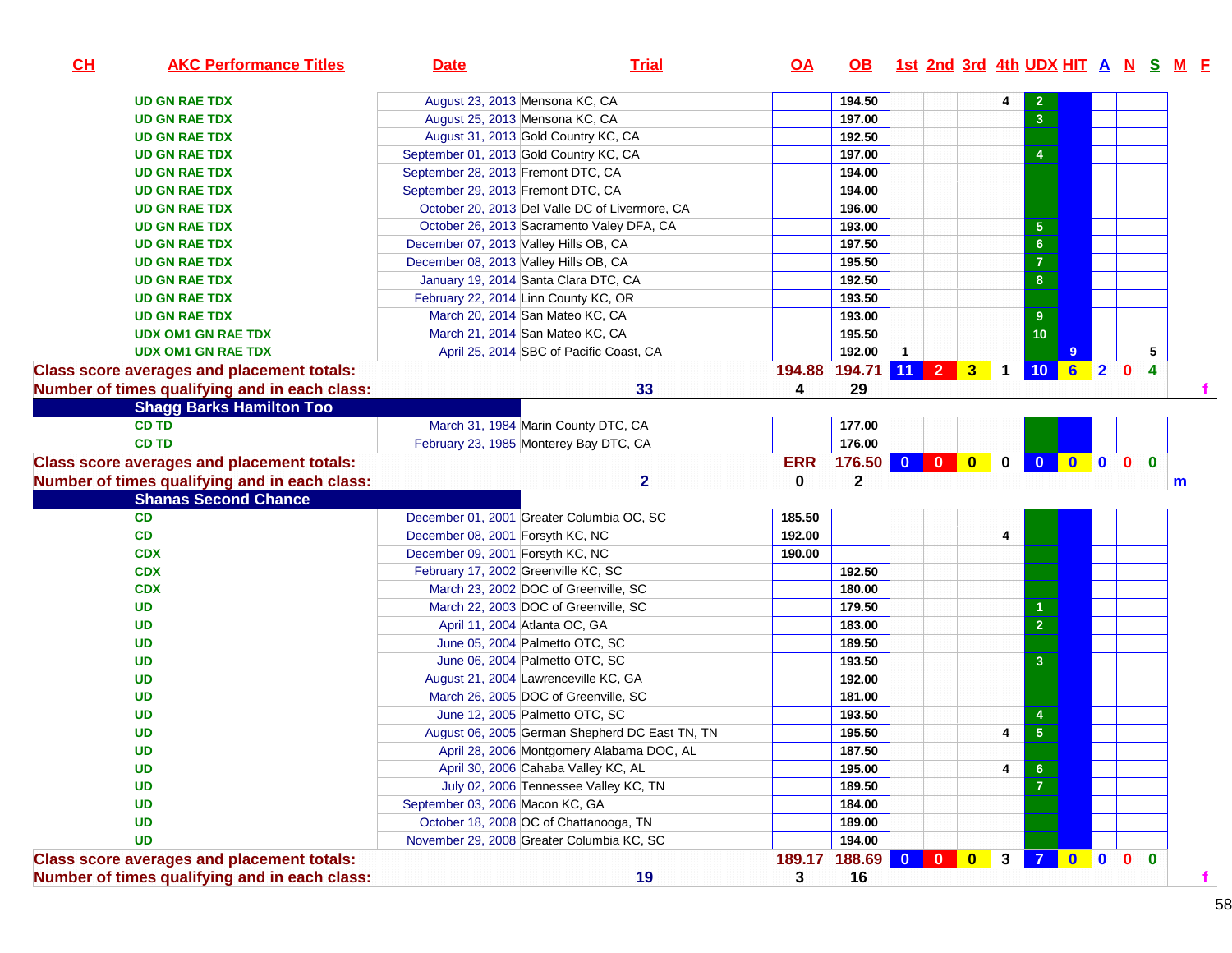| CH<br><b>AKC Performance Titles</b>               | <b>Date</b>                                    | <b>Trial</b>                                   | <u>OA</u>  | <b>OB</b>            | 1st 2nd 3rd 4th UDX HIT A N S M F |                                      |                |                         |                     |              |                                         |             |
|---------------------------------------------------|------------------------------------------------|------------------------------------------------|------------|----------------------|-----------------------------------|--------------------------------------|----------------|-------------------------|---------------------|--------------|-----------------------------------------|-------------|
| <b>UD GN RAE TDX</b>                              | August 23, 2013 Mensona KC, CA                 |                                                |            | 194.50               |                                   |                                      | 4              | $\overline{\mathbf{c}}$ |                     |              |                                         |             |
| <b>UD GN RAE TDX</b>                              | August 25, 2013 Mensona KC, CA                 |                                                |            | 197.00               |                                   |                                      |                | $\overline{3}$          |                     |              |                                         |             |
| <b>UD GN RAE TDX</b>                              | August 31, 2013 Gold Country KC, CA            |                                                |            | 192.50               |                                   |                                      |                |                         |                     |              |                                         |             |
| <b>UD GN RAE TDX</b>                              | September 01, 2013 Gold Country KC, CA         |                                                |            | 197.00               |                                   |                                      |                | $\overline{4}$          |                     |              |                                         |             |
| <b>UD GN RAE TDX</b>                              | September 28, 2013 Fremont DTC, CA             |                                                |            | 194.00               |                                   |                                      |                |                         |                     |              |                                         |             |
| <b>UD GN RAE TDX</b>                              | September 29, 2013 Fremont DTC, CA             |                                                |            | 194.00               |                                   |                                      |                |                         |                     |              |                                         |             |
| <b>UD GN RAE TDX</b>                              | October 20, 2013 Del Valle DC of Livermore, CA |                                                |            | 196.00               |                                   |                                      |                |                         |                     |              |                                         |             |
| <b>UD GN RAE TDX</b>                              | October 26, 2013 Sacramento Valey DFA, CA      |                                                |            | 193.00               |                                   |                                      |                | $\sqrt{5}$              |                     |              |                                         |             |
| <b>UD GN RAE TDX</b>                              | December 07, 2013 Valley Hills OB, CA          |                                                |            | 197.50               |                                   |                                      |                | $6\phantom{a}$          |                     |              |                                         |             |
| <b>UD GN RAE TDX</b>                              | December 08, 2013 Valley Hills OB, CA          |                                                |            | 195.50               |                                   |                                      |                | $\overline{7}$          |                     |              |                                         |             |
| <b>UD GN RAE TDX</b>                              | January 19, 2014 Santa Clara DTC, CA           |                                                |            | 192.50               |                                   |                                      |                | $\bf{8}$                |                     |              |                                         |             |
| <b>UD GN RAE TDX</b>                              | February 22, 2014 Linn County KC, OR           |                                                |            | 193.50               |                                   |                                      |                |                         |                     |              |                                         |             |
| <b>UD GN RAE TDX</b>                              | March 20, 2014 San Mateo KC, CA                |                                                |            | 193.00               |                                   |                                      |                | 9                       |                     |              |                                         |             |
| <b>UDX OM1 GN RAE TDX</b>                         | March 21, 2014 San Mateo KC, CA                |                                                |            | 195.50               |                                   |                                      |                | 10                      |                     |              |                                         |             |
| <b>UDX OM1 GN RAE TDX</b>                         | April 25, 2014 SBC of Pacific Coast, CA        |                                                |            | 192.00               | $\mathbf{1}$                      |                                      |                |                         |                     |              |                                         | 5           |
| <b>Class score averages and placement totals:</b> |                                                |                                                |            | 194.88 194.71 11 2 3 |                                   |                                      | $\overline{1}$ | 10 <sup>°</sup>         | 62                  |              | $\overline{4}$<br>$\mathbf{0}$          |             |
| Number of times qualifying and in each class:     |                                                | 33                                             | 4          | 29                   |                                   |                                      |                |                         |                     |              |                                         |             |
| <b>Shagg Barks Hamilton Too</b>                   |                                                |                                                |            |                      |                                   |                                      |                |                         |                     |              |                                         |             |
| <b>CD TD</b>                                      | March 31, 1984 Marin County DTC, CA            |                                                |            | 177.00               |                                   |                                      |                |                         |                     |              |                                         |             |
| <b>CD TD</b>                                      | February 23, 1985 Monterey Bay DTC, CA         |                                                |            | 176.00               |                                   |                                      |                |                         |                     |              |                                         |             |
| <b>Class score averages and placement totals:</b> |                                                |                                                | <b>ERR</b> | 176.50               |                                   |                                      | $\mathbf 0$    | $\mathbf{0}$            | $\bullet$ $\bullet$ |              | $\overline{\mathbf{0}}$<br>$\mathbf{0}$ |             |
| Number of times qualifying and in each class:     |                                                | $\mathbf{2}$                                   | 0          | $\mathbf 2$          |                                   |                                      |                |                         |                     |              |                                         | $\mathbf m$ |
| <b>Shanas Second Chance</b>                       |                                                |                                                |            |                      |                                   |                                      |                |                         |                     |              |                                         |             |
| CD                                                | December 01, 2001 Greater Columbia OC, SC      |                                                | 185.50     |                      |                                   |                                      |                |                         |                     |              |                                         |             |
| CD                                                | December 08, 2001 Forsyth KC, NC               |                                                | 192.00     |                      |                                   |                                      | 4              |                         |                     |              |                                         |             |
| <b>CDX</b>                                        | December 09, 2001 Forsyth KC, NC               |                                                | 190.00     |                      |                                   |                                      |                |                         |                     |              |                                         |             |
| <b>CDX</b>                                        | February 17, 2002 Greenville KC, SC            |                                                |            | 192.50               |                                   |                                      |                |                         |                     |              |                                         |             |
| <b>CDX</b>                                        | March 23, 2002 DOC of Greenville, SC           |                                                |            | 180.00               |                                   |                                      |                |                         |                     |              |                                         |             |
| <b>UD</b>                                         | March 22, 2003 DOC of Greenville, SC           |                                                |            | 179.50               |                                   |                                      |                | 1                       |                     |              |                                         |             |
| <b>UD</b>                                         | April 11, 2004 Atlanta OC, GA                  |                                                |            | 183.00               |                                   |                                      |                | $\overline{2}$          |                     |              |                                         |             |
| <b>UD</b>                                         | June 05, 2004 Palmetto OTC, SC                 |                                                |            | 189.50               |                                   |                                      |                |                         |                     |              |                                         |             |
| <b>UD</b>                                         | June 06, 2004 Palmetto OTC, SC                 |                                                |            | 193.50               |                                   |                                      |                | 3                       |                     |              |                                         |             |
| <b>UD</b>                                         | August 21, 2004 Lawrenceville KC, GA           |                                                |            | 192.00               |                                   |                                      |                |                         |                     |              |                                         |             |
| <b>UD</b>                                         | March 26, 2005 DOC of Greenville, SC           |                                                |            | 181.00               |                                   |                                      |                |                         |                     |              |                                         |             |
| <b>UD</b>                                         | June 12, 2005 Palmetto OTC, SC                 |                                                |            | 193.50               |                                   |                                      |                | $\overline{4}$          |                     |              |                                         |             |
| <b>UD</b>                                         |                                                | August 06, 2005 German Shepherd DC East TN, TN |            | 195.50               |                                   |                                      | 4              | $\overline{\mathbf{5}}$ |                     |              |                                         |             |
| <b>UD</b>                                         |                                                | April 28, 2006 Montgomery Alabama DOC, AL      |            | 187.50               |                                   |                                      |                |                         |                     |              |                                         |             |
| <b>UD</b>                                         | April 30, 2006 Cahaba Valley KC, AL            |                                                |            | 195.00               |                                   |                                      | 4              | $6\phantom{a}$          |                     |              |                                         |             |
| UD                                                | July 02, 2006 Tennessee Valley KC, TN          |                                                |            | 189.50               |                                   |                                      |                |                         |                     |              |                                         |             |
| UD                                                | September 03, 2006 Macon KC, GA                |                                                |            | 184.00               |                                   |                                      |                |                         |                     |              |                                         |             |
| UD                                                | October 18, 2008 OC of Chattanooga, TN         |                                                |            | 189.00               |                                   |                                      |                |                         |                     |              |                                         |             |
| <b>UD</b>                                         | November 29, 2008 Greater Columbia KC, SC      |                                                |            | 194.00               |                                   |                                      |                |                         |                     |              |                                         |             |
| <b>Class score averages and placement totals:</b> |                                                |                                                |            | 189.17 188.69        | $\overline{\mathbf{0}}$           | $\bullet$<br>$\overline{\mathbf{0}}$ | 3              |                         | $\mathbf{0}$        | $\mathbf{0}$ | $\mathbf{0}$<br>$\bf{0}$                |             |
| Number of times qualifying and in each class:     |                                                | 19                                             | 3          | 16                   |                                   |                                      |                |                         |                     |              |                                         |             |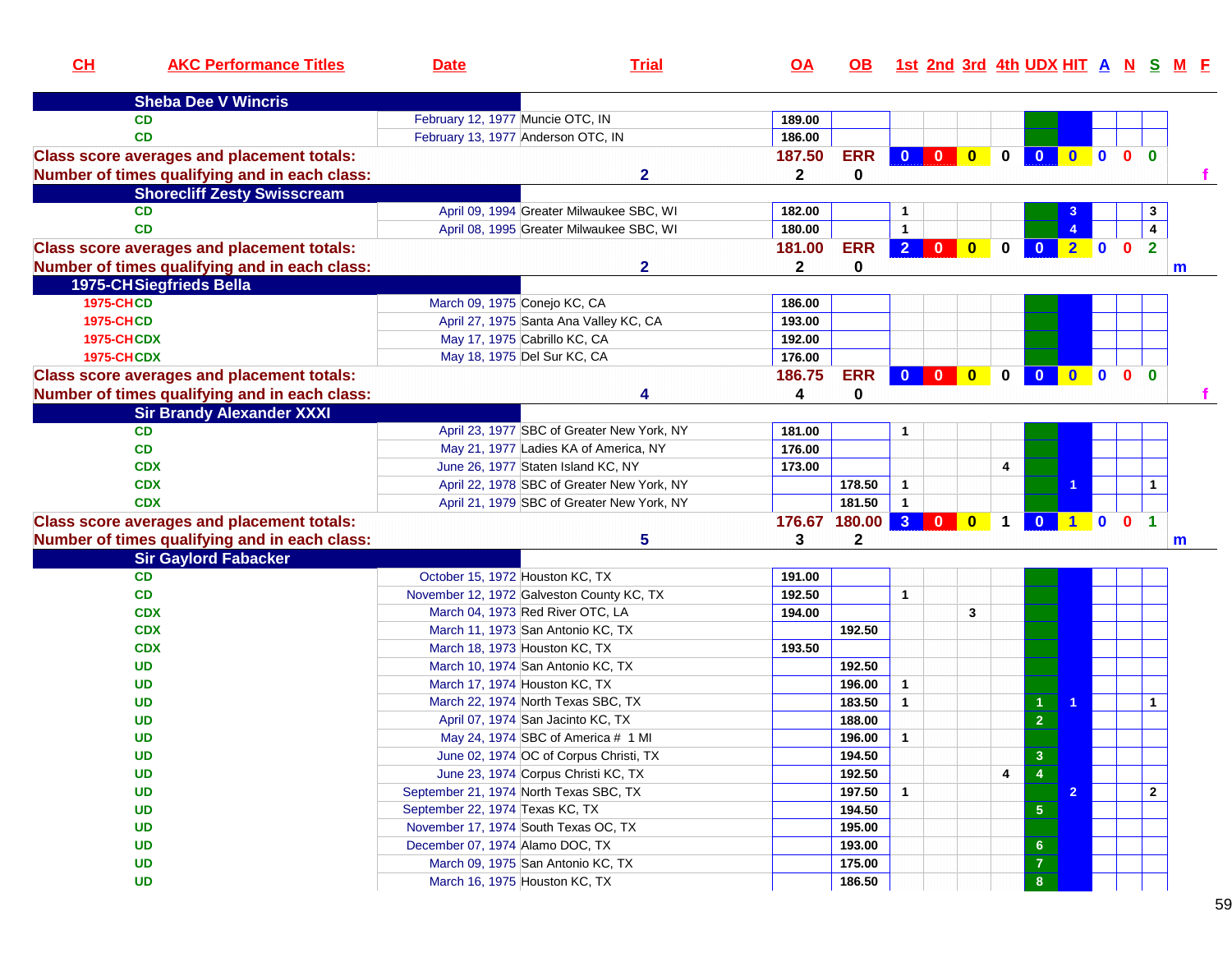| CL                | <b>AKC Performance Titles</b>                     | <b>Date</b>                      | <b>Trial</b>                               | <u>OA</u>    | OB.             |                      |              |                         |             | 1st 2nd 3rd 4th UDX HIT A N S M F |                |              |                         |                         |   |
|-------------------|---------------------------------------------------|----------------------------------|--------------------------------------------|--------------|-----------------|----------------------|--------------|-------------------------|-------------|-----------------------------------|----------------|--------------|-------------------------|-------------------------|---|
|                   | <b>Sheba Dee V Wincris</b>                        |                                  |                                            |              |                 |                      |              |                         |             |                                   |                |              |                         |                         |   |
|                   | <b>CD</b>                                         | February 12, 1977 Muncie OTC, IN |                                            | 189.00       |                 |                      |              |                         |             |                                   |                |              |                         |                         |   |
|                   | <b>CD</b>                                         |                                  | February 13, 1977 Anderson OTC, IN         | 186.00       |                 |                      |              |                         |             |                                   |                |              |                         |                         |   |
|                   | <b>Class score averages and placement totals:</b> |                                  |                                            | 187.50       | <b>ERR</b>      | $\mathbf{0}$         | $\bullet$    | $\overline{\mathbf{0}}$ | $\bf{0}$    | $\bf{0}$                          | $\mathbf{0}$   | $\mathbf{0}$ | 0 <sub>0</sub>          |                         |   |
|                   | Number of times qualifying and in each class:     |                                  | $\overline{\mathbf{2}}$                    | $\mathbf{2}$ | 0               |                      |              |                         |             |                                   |                |              |                         |                         |   |
|                   | <b>Shorecliff Zesty Swisscream</b>                |                                  |                                            |              |                 |                      |              |                         |             |                                   |                |              |                         |                         |   |
|                   | <b>CD</b>                                         |                                  | April 09, 1994 Greater Milwaukee SBC, WI   | 182.00       |                 | 1                    |              |                         |             |                                   |                |              |                         | 3                       |   |
|                   | <b>CD</b>                                         |                                  | April 08, 1995 Greater Milwaukee SBC, WI   | 180.00       |                 | $\mathbf{1}$         |              |                         |             |                                   |                |              |                         | $\overline{\mathbf{4}}$ |   |
|                   | <b>Class score averages and placement totals:</b> |                                  |                                            | 181.00       | <b>ERR</b>      | $\overline{2}$       | $\mathbf{0}$ | $\mathbf{0}$            | 0           |                                   | $\overline{2}$ | $\mathbf 0$  | $\mathbf{0}$            | $\mathbf{2}$            |   |
|                   | Number of times qualifying and in each class:     |                                  | $\mathbf{2}$                               | $\mathbf{2}$ | 0               |                      |              |                         |             |                                   |                |              |                         |                         | m |
|                   | 1975-CHSiegfrieds Bella                           |                                  |                                            |              |                 |                      |              |                         |             |                                   |                |              |                         |                         |   |
| <b>1975-CHCD</b>  |                                                   |                                  | March 09, 1975 Conejo KC, CA               | 186.00       |                 |                      |              |                         |             |                                   |                |              |                         |                         |   |
| <b>1975-CHCD</b>  |                                                   |                                  | April 27, 1975 Santa Ana Valley KC, CA     | 193.00       |                 |                      |              |                         |             |                                   |                |              |                         |                         |   |
| <b>1975-CHCDX</b> |                                                   |                                  | May 17, 1975 Cabrillo KC, CA               | 192.00       |                 |                      |              |                         |             |                                   |                |              |                         |                         |   |
| <b>1975-CHCDX</b> |                                                   |                                  | May 18, 1975 Del Sur KC, CA                | 176.00       |                 |                      |              |                         |             |                                   |                |              |                         |                         |   |
|                   | <b>Class score averages and placement totals:</b> |                                  |                                            | 186.75       | <b>ERR</b>      |                      | $0$ 0        | $\mathbf{0}$            | 0           |                                   |                |              | 0 <sub>0</sub>          |                         |   |
|                   | Number of times qualifying and in each class:     |                                  | 4                                          | 4            | 0               |                      |              |                         |             |                                   |                |              |                         |                         |   |
|                   | <b>Sir Brandy Alexander XXXI</b>                  |                                  |                                            |              |                 |                      |              |                         |             |                                   |                |              |                         |                         |   |
|                   | <b>CD</b>                                         |                                  | April 23, 1977 SBC of Greater New York, NY | 181.00       |                 |                      |              |                         |             |                                   |                |              |                         |                         |   |
|                   | <b>CD</b>                                         |                                  | May 21, 1977 Ladies KA of America, NY      | 176.00       |                 |                      |              |                         |             |                                   |                |              |                         |                         |   |
|                   | <b>CDX</b>                                        |                                  | June 26, 1977 Staten Island KC, NY         | 173.00       |                 |                      |              |                         | 4           |                                   |                |              |                         |                         |   |
|                   | <b>CDX</b>                                        |                                  | April 22, 1978 SBC of Greater New York, NY |              | 178.50          | $\mathbf{1}$         |              |                         |             |                                   |                |              |                         |                         |   |
|                   | <b>CDX</b>                                        |                                  | April 21, 1979 SBC of Greater New York, NY |              | 181.50          | $\mathbf{1}$         |              |                         |             |                                   |                |              |                         |                         |   |
|                   | <b>Class score averages and placement totals:</b> |                                  |                                            |              | 176.67 180.00 3 |                      |              |                         | $\mathbf 1$ | $\overline{0}$                    | $1$ 0          |              | $\overline{\mathbf{0}}$ |                         |   |
|                   | Number of times qualifying and in each class:     |                                  | 5                                          | 3            | 2               |                      |              |                         |             |                                   |                |              |                         |                         | m |
|                   | <b>Sir Gaylord Fabacker</b>                       |                                  |                                            |              |                 |                      |              |                         |             |                                   |                |              |                         |                         |   |
|                   | <b>CD</b>                                         | October 15, 1972 Houston KC, TX  |                                            | 191.00       |                 |                      |              |                         |             |                                   |                |              |                         |                         |   |
|                   | CD                                                |                                  | November 12, 1972 Galveston County KC, TX  | 192.50       |                 | $\blacktriangleleft$ |              |                         |             |                                   |                |              |                         |                         |   |
|                   | <b>CDX</b>                                        |                                  | March 04, 1973 Red River OTC, LA           | 194.00       |                 |                      |              | 3                       |             |                                   |                |              |                         |                         |   |
|                   | <b>CDX</b>                                        |                                  | March 11, 1973 San Antonio KC, TX          |              | 192.50          |                      |              |                         |             |                                   |                |              |                         |                         |   |
|                   | <b>CDX</b>                                        |                                  | March 18, 1973 Houston KC, TX              | 193.50       |                 |                      |              |                         |             |                                   |                |              |                         |                         |   |
|                   | <b>UD</b>                                         |                                  | March 10, 1974 San Antonio KC, TX          |              | 192.50          |                      |              |                         |             |                                   |                |              |                         |                         |   |
|                   | <b>UD</b>                                         |                                  | March 17, 1974 Houston KC, TX              |              | 196.00          | $\mathbf{1}$         |              |                         |             |                                   |                |              |                         |                         |   |
|                   | <b>UD</b>                                         |                                  | March 22, 1974 North Texas SBC, TX         |              | 183.50          | $\mathbf{1}$         |              |                         |             | 1                                 |                |              |                         | $\mathbf{1}$            |   |
|                   | <b>UD</b>                                         |                                  | April 07, 1974 San Jacinto KC, TX          |              | 188.00          |                      |              |                         |             | $\overline{2}$                    |                |              |                         |                         |   |
|                   | <b>UD</b>                                         |                                  | May 24, 1974 SBC of America # 1 MI         |              | 196.00          | $\blacktriangleleft$ |              |                         |             |                                   |                |              |                         |                         |   |
|                   | <b>UD</b>                                         |                                  | June 02, 1974 OC of Corpus Christi, TX     |              | 194.50          |                      |              |                         |             | $\mathbf 3$                       |                |              |                         |                         |   |
|                   | <b>UD</b>                                         |                                  | June 23, 1974 Corpus Christi KC, TX        |              | 192.50          |                      |              |                         | 4           |                                   |                |              |                         |                         |   |
|                   | <b>UD</b>                                         |                                  | September 21, 1974 North Texas SBC, TX     |              | 197.50          | $\mathbf{1}$         |              |                         |             |                                   | $\overline{2}$ |              |                         | $\overline{2}$          |   |
|                   | <b>UD</b>                                         | September 22, 1974 Texas KC, TX  |                                            |              | 194.50          |                      |              |                         |             | $\sqrt{5}$                        |                |              |                         |                         |   |
|                   | <b>UD</b>                                         |                                  | November 17, 1974 South Texas OC, TX       |              | 195.00          |                      |              |                         |             |                                   |                |              |                         |                         |   |
|                   | <b>UD</b>                                         | December 07, 1974 Alamo DOC, TX  |                                            |              | 193.00          |                      |              |                         |             | $\bf 6$                           |                |              |                         |                         |   |
|                   | <b>UD</b>                                         |                                  | March 09, 1975 San Antonio KC, TX          |              | 175.00          |                      |              |                         |             | $\bf 7$                           |                |              |                         |                         |   |
|                   | <b>UD</b>                                         |                                  | March 16, 1975 Houston KC, TX              |              | 186.50          |                      |              |                         |             | 8 <sub>o</sub>                    |                |              |                         |                         |   |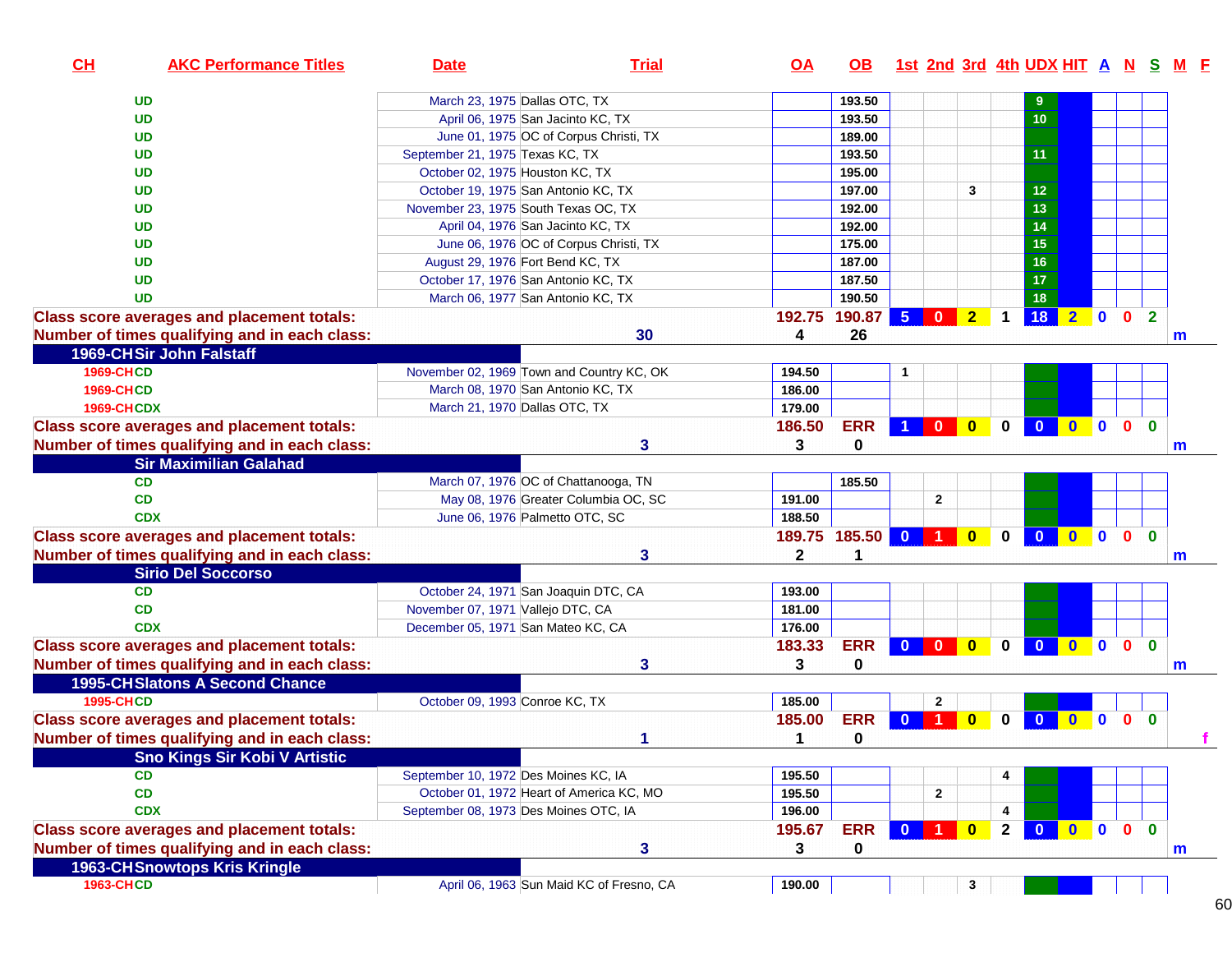| CH                | <b>AKC Performance Titles</b>                     | <b>Date</b>                               | <b>Trial</b>                             | $\overline{OA}$ | <b>OB</b>  | 1st 2nd 3rd 4th UDX HIT A N S M F         |                |              |                         |              |              |              |                |  |
|-------------------|---------------------------------------------------|-------------------------------------------|------------------------------------------|-----------------|------------|-------------------------------------------|----------------|--------------|-------------------------|--------------|--------------|--------------|----------------|--|
|                   | <b>UD</b>                                         | March 23, 1975 Dallas OTC, TX             |                                          |                 | 193.50     |                                           |                |              | 9                       |              |              |              |                |  |
|                   | <b>UD</b>                                         | April 06, 1975 San Jacinto KC, TX         |                                          |                 | 193.50     |                                           |                |              | 10                      |              |              |              |                |  |
|                   | <b>UD</b>                                         |                                           | June 01, 1975 OC of Corpus Christi, TX   |                 | 189.00     |                                           |                |              |                         |              |              |              |                |  |
|                   | UD                                                | September 21, 1975 Texas KC, TX           |                                          |                 | 193.50     |                                           |                |              | 11                      |              |              |              |                |  |
|                   | UD                                                | October 02, 1975 Houston KC, TX           |                                          |                 | 195.00     |                                           |                |              |                         |              |              |              |                |  |
|                   | <b>UD</b>                                         | October 19, 1975 San Antonio KC, TX       |                                          |                 | 197.00     |                                           | 3              |              | $12$                    |              |              |              |                |  |
|                   | UD                                                | November 23, 1975 South Texas OC, TX      |                                          |                 | 192.00     |                                           |                |              | 13                      |              |              |              |                |  |
|                   | UD                                                | April 04, 1976 San Jacinto KC, TX         |                                          |                 | 192.00     |                                           |                |              | 14                      |              |              |              |                |  |
|                   | UD                                                |                                           | June 06, 1976 OC of Corpus Christi, TX   |                 | 175.00     |                                           |                |              | 15                      |              |              |              |                |  |
|                   | <b>UD</b>                                         | August 29, 1976 Fort Bend KC, TX          |                                          |                 | 187.00     |                                           |                |              | 16                      |              |              |              |                |  |
|                   | <b>UD</b>                                         | October 17, 1976 San Antonio KC, TX       |                                          |                 | 187.50     |                                           |                |              | 17                      |              |              |              |                |  |
|                   | <b>UD</b>                                         | March 06, 1977 San Antonio KC, TX         |                                          |                 | 190.50     |                                           |                |              | 18                      |              |              |              |                |  |
|                   | <b>Class score averages and placement totals:</b> |                                           |                                          | 192.75          | 190.87     | 5 <sub>1</sub><br>$\overline{\mathbf{0}}$ | 2 <sub>2</sub> | $\mathbf 1$  | 18                      |              |              |              | $\overline{2}$ |  |
|                   | Number of times qualifying and in each class:     |                                           | 30                                       | 4               | 26         |                                           |                |              |                         |              |              |              | m              |  |
|                   | 1969-CHSir John Falstaff                          |                                           |                                          |                 |            |                                           |                |              |                         |              |              |              |                |  |
| <b>1969-CHCD</b>  |                                                   | November 02, 1969 Town and Country KC, OK |                                          | 194.50          |            | 1                                         |                |              |                         |              |              |              |                |  |
| <b>1969-CHCD</b>  |                                                   | March 08, 1970 San Antonio KC, TX         |                                          | 186.00          |            |                                           |                |              |                         |              |              |              |                |  |
| <b>1969-CHCDX</b> |                                                   | March 21, 1970 Dallas OTC, TX             |                                          | 179.00          |            |                                           |                |              |                         |              |              |              |                |  |
|                   | <b>Class score averages and placement totals:</b> |                                           |                                          | 186.50          | <b>ERR</b> |                                           |                | $\mathbf 0$  | $\bullet$               |              |              |              | $\mathbf{0}$   |  |
|                   | Number of times qualifying and in each class:     |                                           | $\mathbf{3}$                             | 3               | 0          |                                           |                |              |                         |              |              |              | $\mathsf{m}$   |  |
|                   | <b>Sir Maximilian Galahad</b>                     |                                           |                                          |                 |            |                                           |                |              |                         |              |              |              |                |  |
|                   | CD                                                |                                           | March 07, 1976 OC of Chattanooga, TN     |                 | 185.50     |                                           |                |              |                         |              |              |              |                |  |
|                   | CD                                                |                                           | May 08, 1976 Greater Columbia OC, SC     | 191.00          |            | $\mathbf{2}$                              |                |              |                         |              |              |              |                |  |
|                   | <b>CDX</b>                                        | June 06, 1976 Palmetto OTC, SC            |                                          | 188.50          |            |                                           |                |              |                         |              |              |              |                |  |
|                   | <b>Class score averages and placement totals:</b> |                                           |                                          | 189.75 185.50   |            | $0$ 1                                     | $\bullet$      | $\mathbf 0$  | $\overline{\mathbf{0}}$ | $0$ 0 0 0    |              |              |                |  |
|                   | Number of times qualifying and in each class:     |                                           | 3                                        | $\mathbf{2}$    |            |                                           |                |              |                         |              |              |              | m              |  |
|                   | <b>Sirio Del Soccorso</b>                         |                                           |                                          |                 |            |                                           |                |              |                         |              |              |              |                |  |
|                   | CD                                                | October 24, 1971 San Joaquin DTC, CA      |                                          | 193.00          |            |                                           |                |              |                         |              |              |              |                |  |
|                   | CD                                                | November 07, 1971 Vallejo DTC, CA         |                                          | 181.00          |            |                                           |                |              |                         |              |              |              |                |  |
|                   | <b>CDX</b>                                        | December 05, 1971 San Mateo KC, CA        |                                          | 176.00          |            |                                           |                |              |                         |              |              |              |                |  |
|                   | <b>Class score averages and placement totals:</b> |                                           |                                          | 183.33          | <b>ERR</b> |                                           |                | $\mathbf 0$  | $\mathbf{0}$            | $0$ 0        |              | $\mathbf{0}$ | $\bf{0}$       |  |
|                   | Number of times qualifying and in each class:     |                                           | 3                                        | 3               | 0          |                                           |                |              |                         |              |              |              | m              |  |
|                   | <b>1995-CH Slatons A Second Chance</b>            |                                           |                                          |                 |            |                                           |                |              |                         |              |              |              |                |  |
| <b>1995-CHCD</b>  |                                                   | October 09, 1993 Conroe KC, TX            |                                          | 185.00          |            | 2                                         |                |              |                         |              |              |              |                |  |
|                   | <b>Class score averages and placement totals:</b> |                                           |                                          | 185.00          | <b>ERR</b> | $\mathbf{0}$<br>◆                         | $\mathbf{0}$   | $\bf{0}$     | $\bf{0}$                | $\mathbf{0}$ | $\mathbf{0}$ | $\mathbf{0}$ | $\mathbf{0}$   |  |
|                   | Number of times qualifying and in each class:     |                                           | 1                                        | 1               | 0          |                                           |                |              |                         |              |              |              |                |  |
|                   | <b>Sno Kings Sir Kobi V Artistic</b>              |                                           |                                          |                 |            |                                           |                |              |                         |              |              |              |                |  |
|                   | <b>CD</b>                                         | September 10, 1972 Des Moines KC, IA      |                                          | 195.50          |            |                                           |                | 4            |                         |              |              |              |                |  |
|                   | CD                                                |                                           | October 01, 1972 Heart of America KC, MO | 195.50          |            | 2                                         |                |              |                         |              |              |              |                |  |
|                   | <b>CDX</b>                                        | September 08, 1973 Des Moines OTC, IA     |                                          | 196.00          |            |                                           |                | 4            |                         |              |              |              |                |  |
|                   | <b>Class score averages and placement totals:</b> |                                           |                                          | 195.67          | <b>ERR</b> | $0$ 1                                     | $\bullet$      | $\mathbf{2}$ |                         | 0 0 0 0      |              |              | $\bf{0}$       |  |
|                   | Number of times qualifying and in each class:     |                                           | $\mathbf{3}$                             | 3               | 0          |                                           |                |              |                         |              |              |              | m              |  |
|                   | 1963-CH Snowtops Kris Kringle                     |                                           |                                          |                 |            |                                           |                |              |                         |              |              |              |                |  |
| <b>1963-CHCD</b>  |                                                   |                                           | April 06, 1963 Sun Maid KC of Fresno, CA | 190.00          |            |                                           | 3              |              |                         |              |              |              |                |  |
|                   |                                                   |                                           |                                          |                 |            |                                           |                |              |                         |              |              |              |                |  |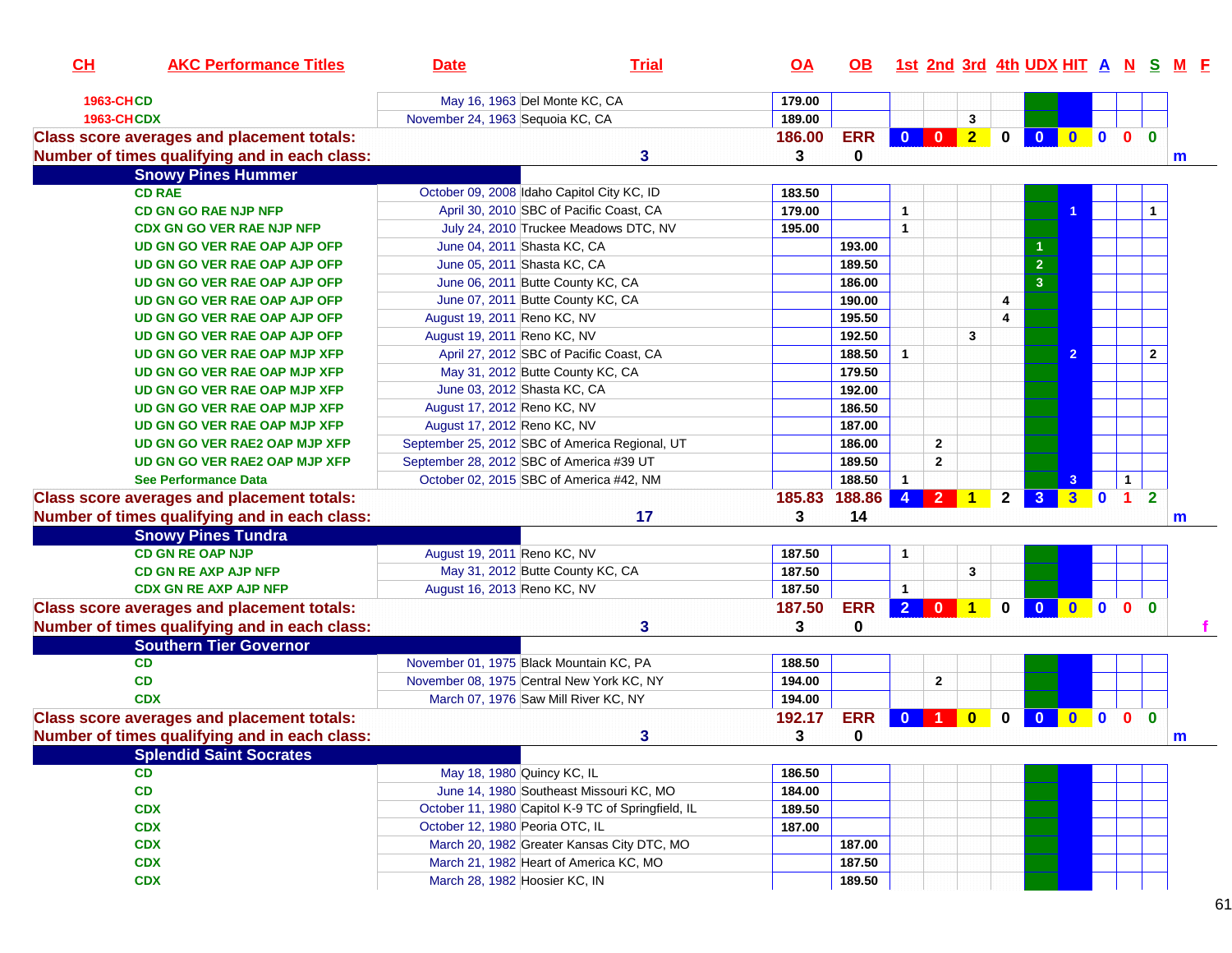| CH | <b>AKC Performance Titles</b>                     | <b>Date</b>                                    | <b>Trial</b>                                       | <u>OA</u>        |            |                |                          |                      |             |                |                |                |              |                | OB 1st 2nd 3rd 4th UDX HIT A N S M F |
|----|---------------------------------------------------|------------------------------------------------|----------------------------------------------------|------------------|------------|----------------|--------------------------|----------------------|-------------|----------------|----------------|----------------|--------------|----------------|--------------------------------------|
|    | 1963-CHCD                                         | May 16, 1963 Del Monte KC, CA                  |                                                    | 179.00           |            |                |                          |                      |             |                |                |                |              |                |                                      |
|    | <b>1963-CHCDX</b>                                 | November 24, 1963 Sequoia KC, CA               |                                                    | 189.00           |            |                |                          | $\mathbf{3}$         |             |                |                |                |              |                |                                      |
|    | <b>Class score averages and placement totals:</b> |                                                |                                                    | 186.00           | <b>ERR</b> | $\mathbf{0}$   | $\overline{\phantom{a}}$ | $\overline{2}$       | $\mathbf 0$ | $\mathbf{0}$   | $\bullet$      | $\blacksquare$ | $\mathbf{0}$ | $\mathbf{0}$   |                                      |
|    | Number of times qualifying and in each class:     |                                                | 3                                                  | 3                | 0          |                |                          |                      |             |                |                |                |              |                | m                                    |
|    | <b>Snowy Pines Hummer</b>                         |                                                |                                                    |                  |            |                |                          |                      |             |                |                |                |              |                |                                      |
|    | <b>CD RAE</b>                                     | October 09, 2008 Idaho Capitol City KC, ID     |                                                    | 183.50           |            |                |                          |                      |             |                |                |                |              |                |                                      |
|    | <b>CD GN GO RAE NJP NFP</b>                       |                                                | April 30, 2010 SBC of Pacific Coast, CA            | 179.00           |            | $\mathbf{1}$   |                          |                      |             |                |                |                |              | $\mathbf 1$    |                                      |
|    | <b>CDX GN GO VER RAE NJP NFP</b>                  |                                                | July 24, 2010 Truckee Meadows DTC, NV              | 195.00           |            | $\mathbf{1}$   |                          |                      |             |                |                |                |              |                |                                      |
|    | UD GN GO VER RAE OAP AJP OFP                      | June 04, 2011 Shasta KC, CA                    |                                                    |                  | 193.00     |                |                          |                      |             |                |                |                |              |                |                                      |
|    | UD GN GO VER RAE OAP AJP OFP                      | June 05, 2011 Shasta KC, CA                    |                                                    |                  | 189.50     |                |                          |                      |             | $\overline{2}$ |                |                |              |                |                                      |
|    | UD GN GO VER RAE OAP AJP OFP                      | June 06, 2011 Butte County KC, CA              |                                                    |                  | 186.00     |                |                          |                      |             | 3              |                |                |              |                |                                      |
|    | UD GN GO VER RAE OAP AJP OFP                      | June 07, 2011 Butte County KC, CA              |                                                    |                  | 190.00     |                |                          |                      | 4           |                |                |                |              |                |                                      |
|    | UD GN GO VER RAE OAP AJP OFP                      | August 19, 2011 Reno KC, NV                    |                                                    |                  | 195.50     |                |                          |                      | 4           |                |                |                |              |                |                                      |
|    | UD GN GO VER RAE OAP AJP OFP                      | August 19, 2011 Reno KC, NV                    |                                                    |                  | 192.50     |                |                          | 3                    |             |                |                |                |              |                |                                      |
|    | <b>UD GN GO VER RAE OAP MJP XFP</b>               |                                                | April 27, 2012 SBC of Pacific Coast, CA            |                  | 188.50     | $\mathbf{1}$   |                          |                      |             |                | $\overline{2}$ |                |              | $\mathbf{2}$   |                                      |
|    | UD GN GO VER RAE OAP MJP XFP                      | May 31, 2012 Butte County KC, CA               |                                                    |                  | 179.50     |                |                          |                      |             |                |                |                |              |                |                                      |
|    | UD GN GO VER RAE OAP MJP XFP                      | June 03, 2012 Shasta KC, CA                    |                                                    |                  | 192.00     |                |                          |                      |             |                |                |                |              |                |                                      |
|    | UD GN GO VER RAE OAP MJP XFP                      | August 17, 2012 Reno KC, NV                    |                                                    |                  | 186.50     |                |                          |                      |             |                |                |                |              |                |                                      |
|    | UD GN GO VER RAE OAP MJP XFP                      | August 17, 2012 Reno KC, NV                    |                                                    |                  | 187.00     |                |                          |                      |             |                |                |                |              |                |                                      |
|    | UD GN GO VER RAE2 OAP MJP XFP                     | September 25, 2012 SBC of America Regional, UT |                                                    |                  | 186.00     |                | $\overline{2}$           |                      |             |                |                |                |              |                |                                      |
|    | UD GN GO VER RAE2 OAP MJP XFP                     | September 28, 2012 SBC of America #39 UT       |                                                    |                  | 189.50     |                | $\mathbf{2}$             |                      |             |                |                |                |              |                |                                      |
|    | <b>See Performance Data</b>                       | October 02, 2015 SBC of America #42, NM        |                                                    |                  | 188.50     | $\mathbf{1}$   |                          |                      |             |                | 3              |                | $\mathbf 1$  |                |                                      |
|    | <b>Class score averages and placement totals:</b> |                                                |                                                    | 185.83           | 188.86     | $\overline{4}$ | 2 <sup>1</sup>           | $\blacktriangleleft$ | $2^{\circ}$ | 3 <sup>°</sup> | 3 0            |                | $\vert$ 1    | $\overline{2}$ |                                      |
|    | Number of times qualifying and in each class:     |                                                | 17                                                 | 3                | 14         |                |                          |                      |             |                |                |                |              |                |                                      |
|    | <b>Snowy Pines Tundra</b>                         |                                                |                                                    |                  |            |                |                          |                      |             |                |                |                |              |                | m                                    |
|    | <b>CD GN RE OAP NJP</b>                           | August 19, 2011 Reno KC, NV                    |                                                    | 187.50           |            |                |                          |                      |             |                |                |                |              |                |                                      |
|    | <b>CD GN RE AXP AJP NFP</b>                       | May 31, 2012 Butte County KC, CA               |                                                    |                  |            | $\mathbf{1}$   |                          | 3                    |             |                |                |                |              |                |                                      |
|    | <b>CDX GN RE AXP AJP NFP</b>                      |                                                |                                                    | 187.50<br>187.50 |            | $\mathbf{1}$   |                          |                      |             |                |                |                |              |                |                                      |
|    |                                                   | August 16, 2013 Reno KC, NV                    |                                                    |                  |            |                |                          |                      |             |                |                |                |              |                |                                      |
|    | <b>Class score averages and placement totals:</b> |                                                |                                                    | 187.50           | <b>ERR</b> |                | $2 0 1$                  |                      |             | 0 0 0 0 0 0    |                |                |              |                |                                      |
|    | Number of times qualifying and in each class:     |                                                | 3                                                  | 3                | 0          |                |                          |                      |             |                |                |                |              |                |                                      |
|    | <b>Southern Tier Governor</b>                     |                                                |                                                    |                  |            |                |                          |                      |             |                |                |                |              |                |                                      |
|    | CD                                                | November 01, 1975 Black Mountain KC, PA        |                                                    | 188.50           |            |                |                          |                      |             |                |                |                |              |                |                                      |
|    | CD                                                | November 08, 1975 Central New York KC, NY      |                                                    | 194.00           |            |                | $\mathbf{2}$             |                      |             |                |                |                |              |                |                                      |
|    | <b>CDX</b>                                        | March 07, 1976 Saw Mill River KC, NY           |                                                    | 194.00           |            |                |                          |                      |             |                |                |                |              |                |                                      |
|    | <b>Class score averages and placement totals:</b> |                                                |                                                    | 192.17           | <b>ERR</b> | $\bf{0}$       |                          | $\mathbf{0}$         | $\bf{0}$    | $\mathbf{0}$   | $\mathbf{0}$   | 0 0            |              | $\bf{0}$       |                                      |
|    | Number of times qualifying and in each class:     |                                                | 3                                                  | 3                | 0          |                |                          |                      |             |                |                |                |              |                | $\mathbf m$                          |
|    | <b>Splendid Saint Socrates</b>                    |                                                |                                                    |                  |            |                |                          |                      |             |                |                |                |              |                |                                      |
|    | <b>CD</b>                                         | May 18, 1980 Quincy KC, IL                     |                                                    | 186.50           |            |                |                          |                      |             |                |                |                |              |                |                                      |
|    | CD                                                |                                                | June 14, 1980 Southeast Missouri KC, MO            | 184.00           |            |                |                          |                      |             |                |                |                |              |                |                                      |
|    | <b>CDX</b>                                        |                                                | October 11, 1980 Capitol K-9 TC of Springfield, IL | 189.50           |            |                |                          |                      |             |                |                |                |              |                |                                      |
|    | <b>CDX</b>                                        | October 12, 1980 Peoria OTC, IL                |                                                    | 187.00           |            |                |                          |                      |             |                |                |                |              |                |                                      |
|    | <b>CDX</b>                                        |                                                | March 20, 1982 Greater Kansas City DTC, MO         |                  | 187.00     |                |                          |                      |             |                |                |                |              |                |                                      |
|    | <b>CDX</b>                                        | March 21, 1982 Heart of America KC, MO         |                                                    |                  | 187.50     |                |                          |                      |             |                |                |                |              |                |                                      |
|    | <b>CDX</b>                                        | March 28, 1982 Hoosier KC, IN                  |                                                    |                  | 189.50     |                |                          |                      |             |                |                |                |              |                |                                      |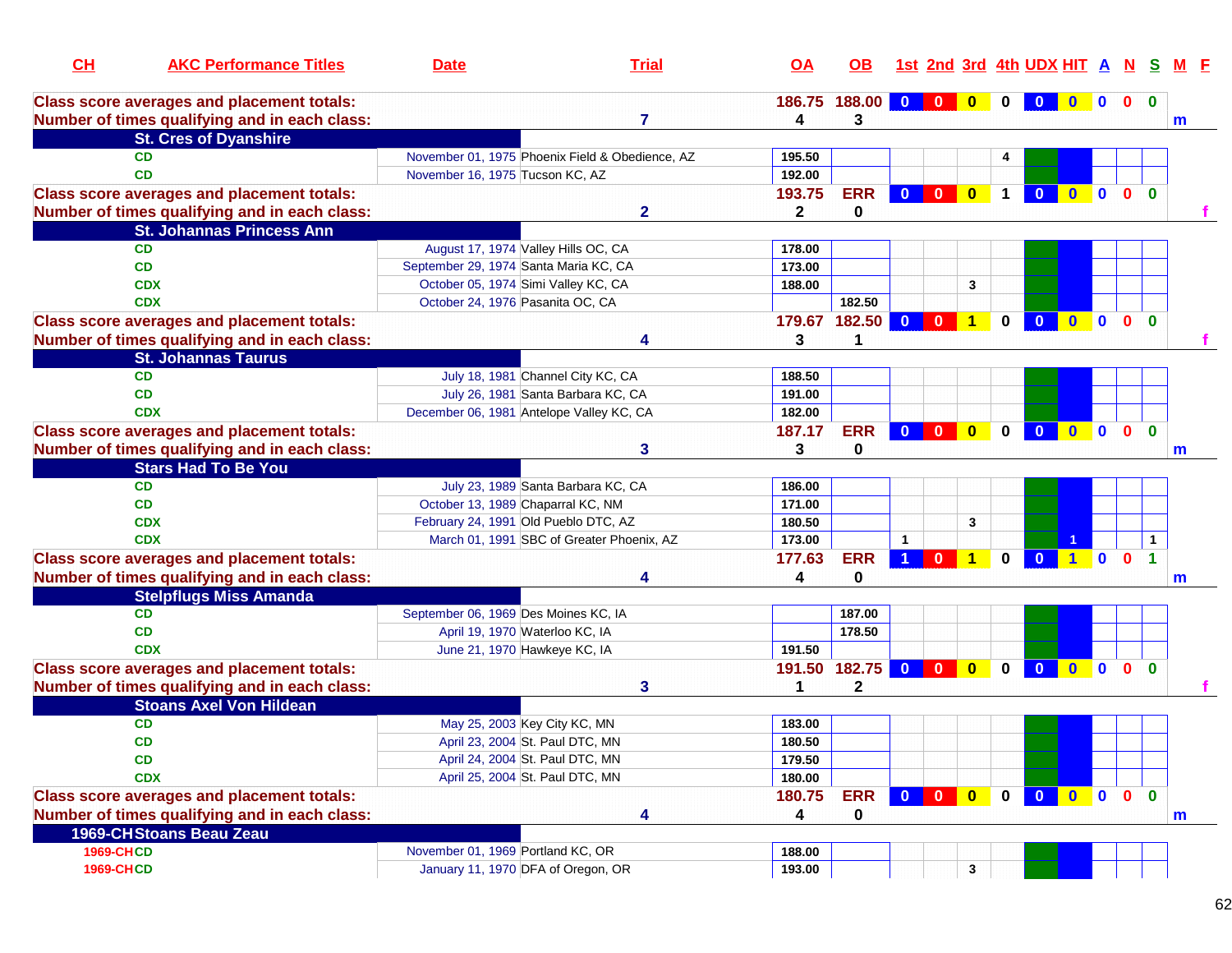| CH               | <b>AKC Performance Titles</b>                     | <b>Date</b>                                                        | <b>Trial</b>                                    | <u>OA</u>    | OB.           |                         |              |                      |             | 1st 2nd 3rd 4th UDX HIT A N S |              |                  |                |                | M F         |
|------------------|---------------------------------------------------|--------------------------------------------------------------------|-------------------------------------------------|--------------|---------------|-------------------------|--------------|----------------------|-------------|-------------------------------|--------------|------------------|----------------|----------------|-------------|
|                  | <b>Class score averages and placement totals:</b> |                                                                    |                                                 |              | 186.75 188.00 | $0$ 0                   |              | $\bf{0}$             |             |                               |              | $\blacksquare$   | 0 <sub>0</sub> |                |             |
|                  | Number of times qualifying and in each class:     |                                                                    | 7                                               | 4            | 3             |                         |              |                      |             |                               |              |                  |                |                | m           |
|                  | <b>St. Cres of Dyanshire</b>                      |                                                                    |                                                 |              |               |                         |              |                      |             |                               |              |                  |                |                |             |
|                  | <b>CD</b>                                         |                                                                    | November 01, 1975 Phoenix Field & Obedience, AZ | 195.50       |               |                         |              |                      |             |                               |              |                  |                |                |             |
|                  | <b>CD</b>                                         | November 16, 1975 Tucson KC, AZ                                    |                                                 | 192.00       |               |                         |              |                      |             |                               |              |                  |                |                |             |
|                  | <b>Class score averages and placement totals:</b> |                                                                    |                                                 | 193.75       | <b>ERR</b>    | $\mathbf{0}$            | $\mathbf{0}$ | $\mathbf{0}$         | $\mathbf 1$ | $\bf{0}$                      | $\mathbf{0}$ | $\blacksquare$   | $\mathbf{0}$   | $\mathbf{0}$   |             |
|                  | Number of times qualifying and in each class:     |                                                                    | $\mathbf{2}$                                    | $\mathbf{2}$ | 0             |                         |              |                      |             |                               |              |                  |                |                |             |
|                  | <b>St. Johannas Princess Ann</b>                  |                                                                    |                                                 |              |               |                         |              |                      |             |                               |              |                  |                |                |             |
|                  | <b>CD</b>                                         | August 17, 1974 Valley Hills OC, CA                                |                                                 | 178.00       |               |                         |              |                      |             |                               |              |                  |                |                |             |
|                  | <b>CD</b>                                         | September 29, 1974 Santa Maria KC, CA                              |                                                 | 173.00       |               |                         |              |                      |             |                               |              |                  |                |                |             |
|                  | <b>CDX</b>                                        | October 05, 1974 Simi Valley KC, CA                                |                                                 | 188.00       |               |                         |              | 3                    |             |                               |              |                  |                |                |             |
|                  | <b>CDX</b>                                        | October 24, 1976 Pasanita OC, CA                                   |                                                 |              | 182.50        |                         |              |                      |             |                               |              |                  |                |                |             |
|                  | <b>Class score averages and placement totals:</b> |                                                                    |                                                 |              | 179.67 182.50 | $\overline{\mathbf{0}}$ | - 0          | $\blacktriangleleft$ | 0           | $\mathbf{0}$                  | $\mathbf{0}$ | $\blacksquare$   | $\mathbf{0}$   | $\Omega$       |             |
|                  | Number of times qualifying and in each class:     |                                                                    | Δ                                               | 3            | 1             |                         |              |                      |             |                               |              |                  |                |                |             |
|                  | <b>St. Johannas Taurus</b>                        |                                                                    |                                                 |              |               |                         |              |                      |             |                               |              |                  |                |                |             |
|                  | <b>CD</b>                                         | July 18, 1981 Channel City KC, CA                                  |                                                 | 188.50       |               |                         |              |                      |             |                               |              |                  |                |                |             |
|                  | <b>CD</b>                                         |                                                                    | July 26, 1981 Santa Barbara KC, CA              | 191.00       |               |                         |              |                      |             |                               |              |                  |                |                |             |
|                  | <b>CDX</b>                                        | December 06, 1981 Antelope Valley KC, CA                           |                                                 | 182.00       |               |                         |              |                      |             |                               |              |                  |                |                |             |
|                  | <b>Class score averages and placement totals:</b> |                                                                    |                                                 | 187.17       | <b>ERR</b>    | $\mathbf{0}$            | $\mathbf{0}$ | $\mathbf{0}$         | $\bf{0}$    | $\mathbf{0}$                  | $\mathbf{0}$ | $\blacksquare$ 0 | $\mathbf{0}$   | $\Omega$       |             |
|                  | Number of times qualifying and in each class:     |                                                                    | 3                                               | 3            | 0             |                         |              |                      |             |                               |              |                  |                |                | m           |
|                  | <b>Stars Had To Be You</b>                        |                                                                    |                                                 |              |               |                         |              |                      |             |                               |              |                  |                |                |             |
|                  | <b>CD</b>                                         |                                                                    | July 23, 1989 Santa Barbara KC, CA              | 186.00       |               |                         |              |                      |             |                               |              |                  |                |                |             |
|                  | <b>CD</b>                                         | October 13, 1989 Chaparral KC, NM                                  |                                                 | 171.00       |               |                         |              |                      |             |                               |              |                  |                |                |             |
|                  | <b>CDX</b>                                        | February 24, 1991 Old Pueblo DTC, AZ                               |                                                 | 180.50       |               |                         |              | 3                    |             |                               |              |                  |                |                |             |
|                  | <b>CDX</b>                                        |                                                                    | March 01, 1991 SBC of Greater Phoenix, AZ       | 173.00       |               |                         |              |                      |             |                               |              |                  |                | $\mathbf 1$    |             |
|                  | <b>Class score averages and placement totals:</b> |                                                                    |                                                 | 177.63       | <b>ERR</b>    |                         | $\bf{0}$     | $\blacktriangleleft$ | $\Omega$    | $\overline{0}$                | $1$ 0        |                  | $\mathbf{0}$   | $\overline{1}$ |             |
|                  | Number of times qualifying and in each class:     |                                                                    |                                                 | 4            | $\mathbf 0$   |                         |              |                      |             |                               |              |                  |                |                | m           |
|                  | <b>Stelpflugs Miss Amanda</b>                     |                                                                    |                                                 |              |               |                         |              |                      |             |                               |              |                  |                |                |             |
|                  | <b>CD</b>                                         | September 06, 1969 Des Moines KC, IA                               |                                                 |              | 187.00        |                         |              |                      |             |                               |              |                  |                |                |             |
|                  | <b>CD</b>                                         | April 19, 1970 Waterloo KC, IA                                     |                                                 |              | 178.50        |                         |              |                      |             |                               |              |                  |                |                |             |
|                  | <b>CDX</b>                                        | June 21, 1970 Hawkeye KC, IA                                       |                                                 | 191.50       |               |                         |              |                      |             |                               |              |                  |                |                |             |
|                  | <b>Class score averages and placement totals:</b> |                                                                    |                                                 |              | 191.50 182.75 | $\mathbf{0}$            | $\mathbf{0}$ | $\mathbf{0}$         | $\Omega$    | $\mathbf{0}$                  | $\mathbf{0}$ | $\mathbf{0}$     | $\mathbf{0}$   | $\mathbf{0}$   |             |
|                  | Number of times qualifying and in each class:     |                                                                    | 3                                               | 1            | $\mathbf{2}$  |                         |              |                      |             |                               |              |                  |                |                |             |
|                  | <b>Stoans Axel Von Hildean</b>                    |                                                                    |                                                 |              |               |                         |              |                      |             |                               |              |                  |                |                |             |
|                  | <b>CD</b>                                         | May 25, 2003 Key City KC, MN                                       |                                                 | 183.00       |               |                         |              |                      |             |                               |              |                  |                |                |             |
|                  | <b>CD</b>                                         |                                                                    |                                                 | 180.50       |               |                         |              |                      |             |                               |              |                  |                |                |             |
|                  | CD                                                | April 23, 2004 St. Paul DTC, MN<br>April 24, 2004 St. Paul DTC, MN |                                                 | 179.50       |               |                         |              |                      |             |                               |              |                  |                |                |             |
|                  | <b>CDX</b>                                        | April 25, 2004 St. Paul DTC, MN                                    |                                                 | 180.00       |               |                         |              |                      |             |                               |              |                  |                |                |             |
|                  |                                                   |                                                                    |                                                 |              |               |                         |              |                      |             | 0 0 0 0 0                     |              |                  |                | $\mathbf{0}$   |             |
|                  | <b>Class score averages and placement totals:</b> |                                                                    |                                                 | 180.75       | <b>ERR</b>    |                         |              |                      |             |                               |              |                  |                |                |             |
|                  | Number of times qualifying and in each class:     |                                                                    | 4                                               | 4            | 0             |                         |              |                      |             |                               |              |                  |                |                | $\mathbf m$ |
|                  | 1969-CHStoans Beau Zeau                           |                                                                    |                                                 |              |               |                         |              |                      |             |                               |              |                  |                |                |             |
| <b>1969-CHCD</b> |                                                   | November 01, 1969 Portland KC, OR                                  |                                                 | 188.00       |               |                         |              |                      |             |                               |              |                  |                |                |             |
| <b>1969-CHCD</b> |                                                   | January 11, 1970 DFA of Oregon, OR                                 |                                                 | 193.00       |               |                         |              | $\mathbf{3}$         |             |                               |              |                  |                |                |             |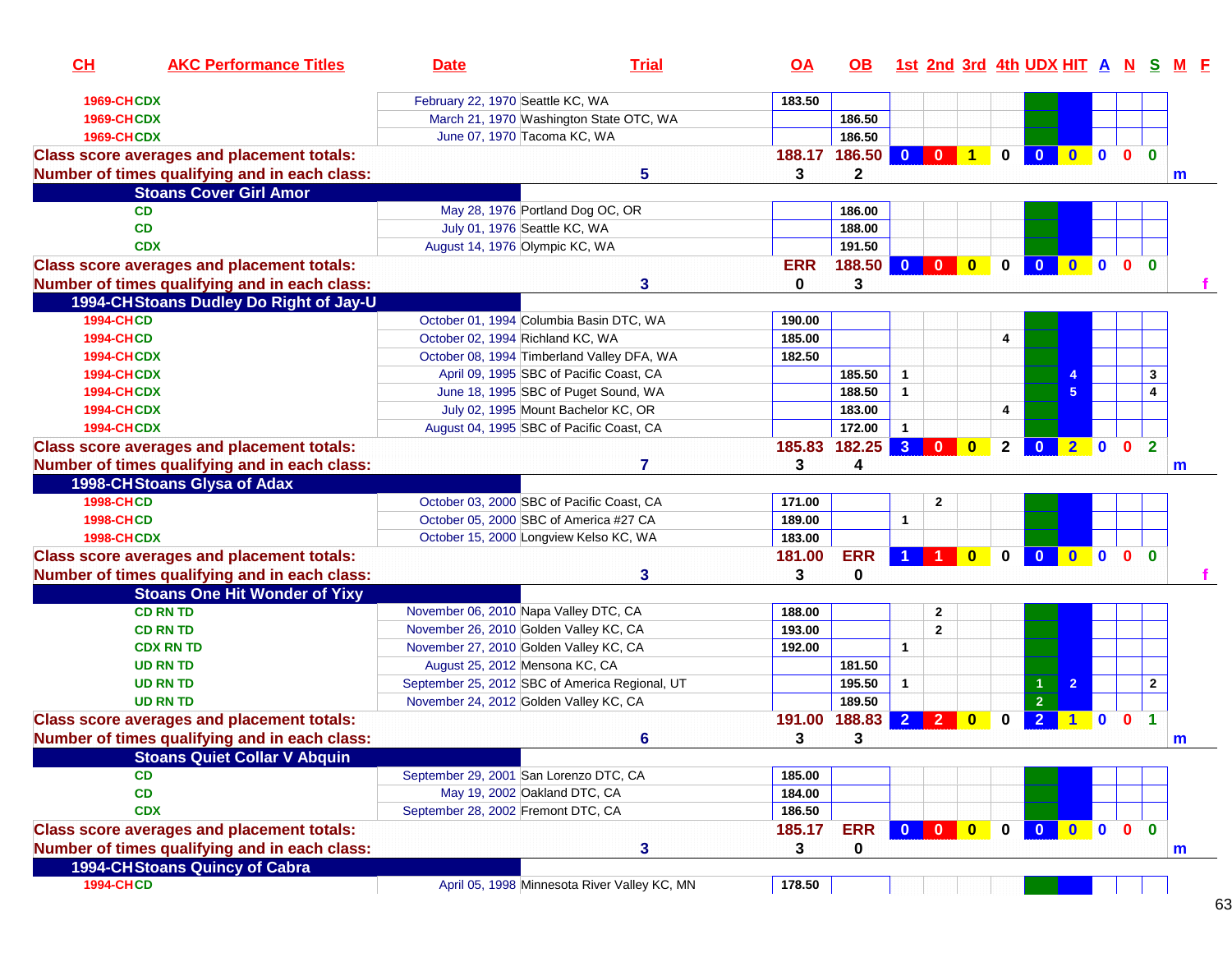| CL                | <b>AKC Performance Titles</b>                     | <b>Date</b>                                    | <b>Trial</b>                                 | <u>OA</u>  | OB.        |                         |                                                                     |                         |              | 1st 2nd 3rd 4th UDX HIT A N S |                |              |              |                      | M F |  |
|-------------------|---------------------------------------------------|------------------------------------------------|----------------------------------------------|------------|------------|-------------------------|---------------------------------------------------------------------|-------------------------|--------------|-------------------------------|----------------|--------------|--------------|----------------------|-----|--|
| <b>1969-CHCDX</b> |                                                   | February 22, 1970 Seattle KC, WA               |                                              | 183.50     |            |                         |                                                                     |                         |              |                               |                |              |              |                      |     |  |
| <b>1969-CHCDX</b> |                                                   | March 21, 1970 Washington State OTC, WA        |                                              |            | 186.50     |                         |                                                                     |                         |              |                               |                |              |              |                      |     |  |
| 1969-CHCDX        |                                                   | June 07, 1970 Tacoma KC, WA                    |                                              |            | 186.50     |                         |                                                                     |                         |              |                               |                |              |              |                      |     |  |
|                   | <b>Class score averages and placement totals:</b> |                                                |                                              | 188.17     | 186.50     | $\overline{\mathbf{0}}$ | $\mathbf{0}$                                                        | $\overline{1}$          | $\mathbf 0$  | $\overline{0}$                | $\bullet$      | $\mathbf{0}$ | $\mathbf{0}$ | $\mathbf{0}$         |     |  |
|                   | Number of times qualifying and in each class:     |                                                | 5                                            | 3          | 2          |                         |                                                                     |                         |              |                               |                |              |              |                      | m   |  |
|                   | <b>Stoans Cover Girl Amor</b>                     |                                                |                                              |            |            |                         |                                                                     |                         |              |                               |                |              |              |                      |     |  |
|                   | <b>CD</b>                                         | May 28, 1976 Portland Dog OC, OR               |                                              |            | 186.00     |                         |                                                                     |                         |              |                               |                |              |              |                      |     |  |
|                   | CD                                                | July 01, 1976 Seattle KC, WA                   |                                              |            | 188.00     |                         |                                                                     |                         |              |                               |                |              |              |                      |     |  |
|                   | <b>CDX</b>                                        | August 14, 1976 Olympic KC, WA                 |                                              |            | 191.50     |                         |                                                                     |                         |              |                               |                |              |              |                      |     |  |
|                   | <b>Class score averages and placement totals:</b> |                                                |                                              | <b>ERR</b> | 188.50     | $\overline{\mathbf{0}}$ | $\mathbf{0}$                                                        | $\overline{\mathbf{0}}$ | $\mathbf 0$  | $\overline{\mathbf{0}}$       | $\overline{0}$ | $\mathbf 0$  | $\mathbf{0}$ | $\mathbf{0}$         |     |  |
|                   | Number of times qualifying and in each class:     |                                                | 3                                            | 0          | 3          |                         |                                                                     |                         |              |                               |                |              |              |                      |     |  |
|                   | 1994-CH Stoans Dudley Do Right of Jay-U           |                                                |                                              |            |            |                         |                                                                     |                         |              |                               |                |              |              |                      |     |  |
| <b>1994-CHCD</b>  |                                                   | October 01, 1994 Columbia Basin DTC, WA        |                                              | 190.00     |            |                         |                                                                     |                         |              |                               |                |              |              |                      |     |  |
| <b>1994-CHCD</b>  |                                                   | October 02, 1994 Richland KC, WA               |                                              | 185.00     |            |                         |                                                                     |                         | 4            |                               |                |              |              |                      |     |  |
| <b>1994-CHCDX</b> |                                                   | October 08, 1994 Timberland Valley DFA, WA     |                                              | 182.50     |            |                         |                                                                     |                         |              |                               |                |              |              |                      |     |  |
| <b>1994-CHCDX</b> |                                                   | April 09, 1995 SBC of Pacific Coast, CA        |                                              |            | 185.50     | $\mathbf{1}$            |                                                                     |                         |              |                               |                |              |              | 3                    |     |  |
| <b>1994-CHCDX</b> |                                                   | June 18, 1995 SBC of Puget Sound, WA           |                                              |            | 188.50     | $\mathbf{1}$            |                                                                     |                         |              |                               | 5              |              |              | 4                    |     |  |
| <b>1994-CHCDX</b> |                                                   | July 02, 1995 Mount Bachelor KC, OR            |                                              |            | 183.00     |                         |                                                                     |                         | 4            |                               |                |              |              |                      |     |  |
| <b>1994-CHCDX</b> |                                                   | August 04, 1995 SBC of Pacific Coast, CA       |                                              |            | 172.00     | $\mathbf{1}$            |                                                                     |                         |              |                               |                |              |              |                      |     |  |
|                   | <b>Class score averages and placement totals:</b> |                                                |                                              | 185.83     | 182.25     | 3 <sup>2</sup>          | $\mathbf{0}$                                                        | $\mathbf{0}$            | $\mathbf{2}$ | $\mathbf{0}$                  | $2 \ 0$        |              | $\mathbf{0}$ | $\overline{2}$       |     |  |
|                   |                                                   |                                                | 7                                            |            | 4          |                         |                                                                     |                         |              |                               |                |              |              |                      |     |  |
|                   | Number of times qualifying and in each class:     |                                                |                                              | 3          |            |                         |                                                                     |                         |              |                               |                |              |              |                      | m   |  |
|                   | 1998-CH Stoans Glysa of Adax                      |                                                |                                              |            |            |                         |                                                                     |                         |              |                               |                |              |              |                      |     |  |
| <b>1998-CHCD</b>  |                                                   | October 03, 2000 SBC of Pacific Coast, CA      |                                              | 171.00     |            |                         | $\mathbf{2}$                                                        |                         |              |                               |                |              |              |                      |     |  |
| <b>1998-CHCD</b>  |                                                   | October 05, 2000 SBC of America #27 CA         |                                              | 189.00     |            | 1                       |                                                                     |                         |              |                               |                |              |              |                      |     |  |
| <b>1998-CHCDX</b> |                                                   | October 15, 2000 Longview Kelso KC, WA         |                                              | 183.00     |            |                         |                                                                     |                         |              |                               |                |              |              |                      |     |  |
|                   | <b>Class score averages and placement totals:</b> |                                                |                                              | 181.00     | <b>ERR</b> |                         |                                                                     | $\bf{0}$                | 0            | $\overline{\mathbf{0}}$       | $\mathbf{0}$   | $\mathbf{0}$ | $\mathbf{0}$ | $\mathbf{0}$         |     |  |
|                   | Number of times qualifying and in each class:     |                                                | 3                                            | 3          | 0          |                         |                                                                     |                         |              |                               |                |              |              |                      |     |  |
|                   | <b>Stoans One Hit Wonder of Yixy</b>              |                                                |                                              |            |            |                         |                                                                     |                         |              |                               |                |              |              |                      |     |  |
|                   | <b>CD RN TD</b>                                   | November 06, 2010 Napa Valley DTC, CA          |                                              | 188.00     |            |                         | $\mathbf{2}$                                                        |                         |              |                               |                |              |              |                      |     |  |
|                   | <b>CD RN TD</b>                                   | November 26, 2010 Golden Valley KC, CA         |                                              | 193.00     |            |                         | $\overline{2}$                                                      |                         |              |                               |                |              |              |                      |     |  |
|                   | <b>CDX RN TD</b>                                  | November 27, 2010 Golden Valley KC, CA         |                                              | 192.00     |            | $\mathbf{1}$            |                                                                     |                         |              |                               |                |              |              |                      |     |  |
|                   | <b>UD RN TD</b>                                   | August 25, 2012 Mensona KC, CA                 |                                              |            | 181.50     |                         |                                                                     |                         |              |                               |                |              |              |                      |     |  |
|                   | <b>UD RN TD</b>                                   | September 25, 2012 SBC of America Regional, UT |                                              |            | 195.50     | $\mathbf{1}$            |                                                                     |                         |              |                               | $\overline{2}$ |              |              | $\mathbf{2}$         |     |  |
|                   | <b>UD RN TD</b>                                   | November 24, 2012 Golden Valley KC, CA         |                                              |            | 189.50     |                         |                                                                     |                         |              | $\overline{2}$                |                |              |              |                      |     |  |
|                   | <b>Class score averages and placement totals:</b> |                                                |                                              | 191.00     | 188.83     | $\overline{2}$          | $\mathbf{2}$                                                        | $\bf{0}$                | 0            | $\overline{2}$                |                | $\mathbf{0}$ | $\mathbf{0}$ | $\blacktriangleleft$ |     |  |
|                   | Number of times qualifying and in each class:     |                                                | 6                                            | 3          | 3          |                         |                                                                     |                         |              |                               |                |              |              |                      | m   |  |
|                   | <b>Stoans Quiet Collar V Abquin</b>               |                                                |                                              |            |            |                         |                                                                     |                         |              |                               |                |              |              |                      |     |  |
|                   | <b>CD</b>                                         | September 29, 2001 San Lorenzo DTC, CA         |                                              | 185.00     |            |                         |                                                                     |                         |              |                               |                |              |              |                      |     |  |
|                   | CD                                                | May 19, 2002 Oakland DTC, CA                   |                                              | 184.00     |            |                         |                                                                     |                         |              |                               |                |              |              |                      |     |  |
|                   | <b>CDX</b>                                        | September 28, 2002 Fremont DTC, CA             |                                              | 186.50     |            |                         |                                                                     |                         |              |                               |                |              |              |                      |     |  |
|                   | <b>Class score averages and placement totals:</b> |                                                |                                              | 185.17     | <b>ERR</b> |                         | $\begin{array}{ c c c c c }\n\hline\n0 & 0 & \\\hline\n\end{array}$ | $\bullet$               | $\mathbf{0}$ | $\overline{\mathbf{0}}$       | $0$ 0          |              | $\mathbf{0}$ | $\mathbf{0}$         |     |  |
|                   | Number of times qualifying and in each class:     |                                                | 3                                            | 3          | 0          |                         |                                                                     |                         |              |                               |                |              |              |                      | m   |  |
|                   | 1994-CH Stoans Quincy of Cabra                    |                                                |                                              |            |            |                         |                                                                     |                         |              |                               |                |              |              |                      |     |  |
| <b>1994-CHCD</b>  |                                                   |                                                | April 05, 1998 Minnesota River Valley KC, MN | 178.50     |            |                         |                                                                     |                         |              |                               |                |              |              |                      |     |  |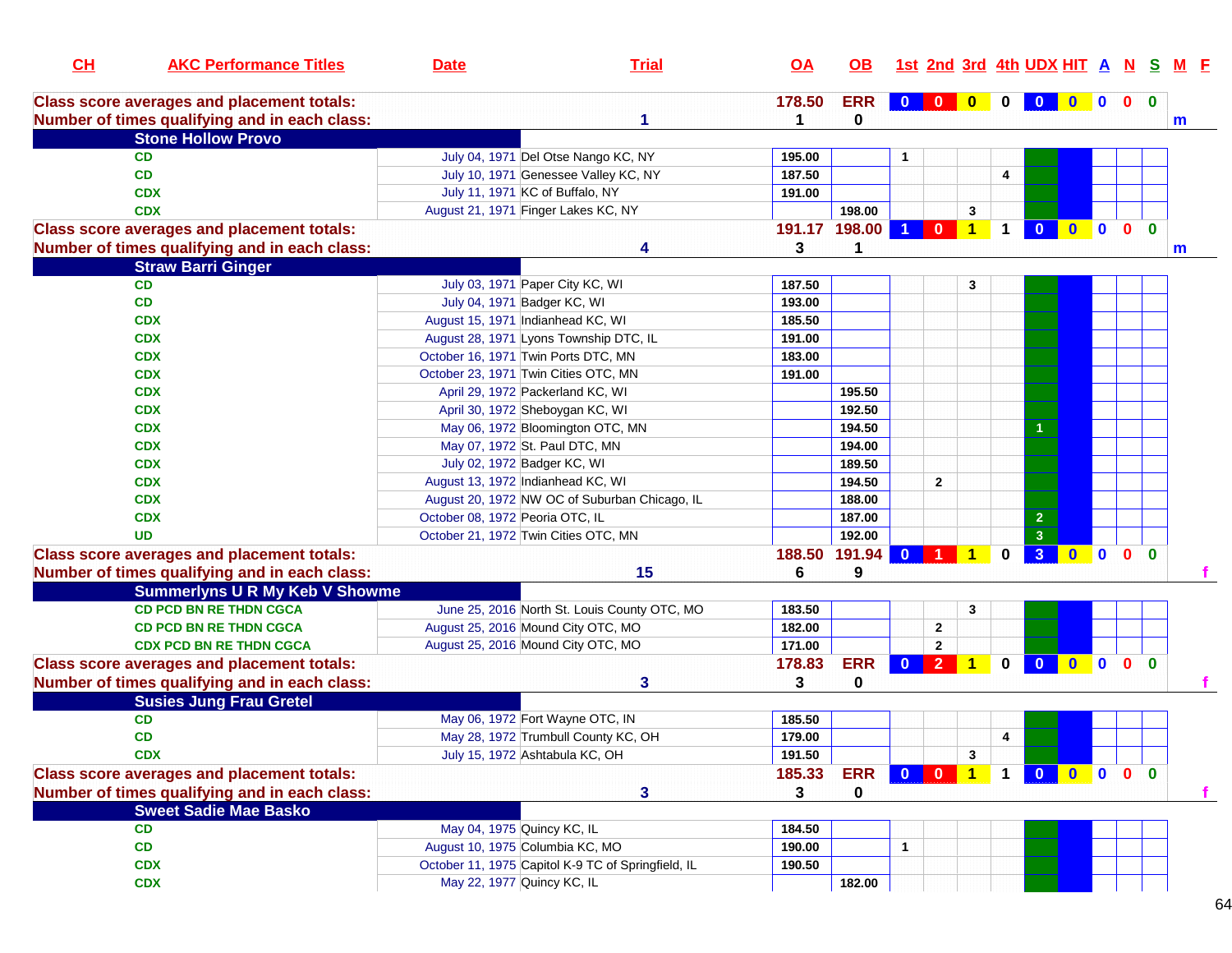| CL | <b>AKC Performance Titles</b>                     | <b>Date</b>                          | <b>Trial</b>                                       | <u>OA</u>        | OB.         |              |                         |                |              | 1st 2nd 3rd 4th UDX HIT A N S |                     |              |              | <u>M F</u> |
|----|---------------------------------------------------|--------------------------------------|----------------------------------------------------|------------------|-------------|--------------|-------------------------|----------------|--------------|-------------------------------|---------------------|--------------|--------------|------------|
|    | <b>Class score averages and placement totals:</b> |                                      |                                                    | 178.50           | <b>ERR</b>  | $\mathbf{0}$ | $\overline{\mathbf{0}}$ | $\bullet$      | $\mathbf 0$  | $\mathbf{0}$                  | $0$ 0               | $\mathbf{0}$ | $\mathbf 0$  |            |
|    | Number of times qualifying and in each class:     |                                      | 1                                                  | 1                | 0           |              |                         |                |              |                               |                     |              |              | m          |
|    | <b>Stone Hollow Provo</b>                         |                                      |                                                    |                  |             |              |                         |                |              |                               |                     |              |              |            |
|    | <b>CD</b>                                         |                                      | July 04, 1971 Del Otse Nango KC, NY                | 195.00           |             | 1            |                         |                |              |                               |                     |              |              |            |
|    | CD                                                |                                      | July 10, 1971 Genessee Valley KC, NY               | 187.50           |             |              |                         |                | 4            |                               |                     |              |              |            |
|    | <b>CDX</b>                                        | July 11, 1971 KC of Buffalo, NY      |                                                    | 191.00           |             |              |                         |                |              |                               |                     |              |              |            |
|    | <b>CDX</b>                                        | August 21, 1971 Finger Lakes KC, NY  |                                                    |                  | 198.00      |              |                         | 3              |              |                               |                     |              |              |            |
|    | <b>Class score averages and placement totals:</b> |                                      |                                                    | 191.17 198.00    |             | -1           | $\mathbf{0}$            | $\overline{1}$ | $\mathbf{1}$ | $\mathbf{0}$                  | $0$ 0 0             |              | $\mathbf{0}$ |            |
|    | Number of times qualifying and in each class:     |                                      | Δ                                                  | 3                | 1           |              |                         |                |              |                               |                     |              |              | m          |
|    | <b>Straw Barri Ginger</b>                         |                                      |                                                    |                  |             |              |                         |                |              |                               |                     |              |              |            |
|    | CD                                                | July 03, 1971 Paper City KC, WI      |                                                    | 187.50           |             |              |                         | 3              |              |                               |                     |              |              |            |
|    | CD                                                | July 04, 1971 Badger KC, WI          |                                                    | 193.00           |             |              |                         |                |              |                               |                     |              |              |            |
|    | <b>CDX</b>                                        | August 15, 1971 Indianhead KC, WI    |                                                    | 185.50           |             |              |                         |                |              |                               |                     |              |              |            |
|    | <b>CDX</b>                                        |                                      | August 28, 1971 Lyons Township DTC, IL             | 191.00           |             |              |                         |                |              |                               |                     |              |              |            |
|    | <b>CDX</b>                                        | October 16, 1971 Twin Ports DTC, MN  |                                                    | 183.00           |             |              |                         |                |              |                               |                     |              |              |            |
|    | <b>CDX</b>                                        | October 23, 1971 Twin Cities OTC, MN |                                                    | 191.00           |             |              |                         |                |              |                               |                     |              |              |            |
|    | <b>CDX</b>                                        | April 29, 1972 Packerland KC, WI     |                                                    |                  | 195.50      |              |                         |                |              |                               |                     |              |              |            |
|    | <b>CDX</b>                                        | April 30, 1972 Sheboygan KC, WI      |                                                    |                  | 192.50      |              |                         |                |              |                               |                     |              |              |            |
|    | <b>CDX</b>                                        |                                      | May 06, 1972 Bloomington OTC, MN                   |                  | 194.50      |              |                         |                |              |                               |                     |              |              |            |
|    | <b>CDX</b>                                        | May 07, 1972 St. Paul DTC, MN        |                                                    |                  | 194.00      |              |                         |                |              |                               |                     |              |              |            |
|    | <b>CDX</b>                                        | July 02, 1972 Badger KC, WI          |                                                    |                  | 189.50      |              |                         |                |              |                               |                     |              |              |            |
|    | <b>CDX</b>                                        | August 13, 1972 Indianhead KC, WI    |                                                    |                  | 194.50      |              | $\overline{2}$          |                |              |                               |                     |              |              |            |
|    | <b>CDX</b>                                        |                                      | August 20, 1972 NW OC of Suburban Chicago, IL      |                  | 188.00      |              |                         |                |              |                               |                     |              |              |            |
|    | <b>CDX</b>                                        | October 08, 1972 Peoria OTC, IL      |                                                    |                  | 187.00      |              |                         |                |              | $\overline{\mathbf{c}}$       |                     |              |              |            |
|    | <b>UD</b>                                         | October 21, 1972 Twin Cities OTC, MN |                                                    |                  | 192.00      |              |                         |                |              | $\overline{\mathbf{3}}$       |                     |              |              |            |
|    | <b>Class score averages and placement totals:</b> |                                      |                                                    | 188.50           | 191.94      | $\mathbf{0}$ |                         |                | $\bf{0}$     | 3 <sup>2</sup>                | $0$ 0               | $\mathbf{0}$ | $\mathbf{0}$ |            |
|    | Number of times qualifying and in each class:     |                                      | 15                                                 | 6                | 9           |              |                         |                |              |                               |                     |              |              |            |
|    | <b>Summerlyns U R My Keb V Showme</b>             |                                      |                                                    |                  |             |              |                         |                |              |                               |                     |              |              |            |
|    | <b>CD PCD BN RE THDN CGCA</b>                     |                                      | June 25, 2016 North St. Louis County OTC, MO       | 183.50           |             |              |                         | 3              |              |                               |                     |              |              |            |
|    | <b>CD PCD BN RE THDN CGCA</b>                     | August 25, 2016 Mound City OTC, MO   |                                                    | 182.00           |             |              | $\mathbf{2}$            |                |              |                               |                     |              |              |            |
|    | <b>CDX PCD BN RE THDN CGCA</b>                    | August 25, 2016 Mound City OTC, MO   |                                                    | 171.00           |             |              | $\overline{\mathbf{2}}$ |                |              |                               |                     |              |              |            |
|    | <b>Class score averages and placement totals:</b> |                                      |                                                    | 178.83           | <b>ERR</b>  | $\mathbf{0}$ | $\overline{2}$          | $\mathbf{1}$   | $\mathbf 0$  | $\overline{\mathbf{0}}$       | $0$ 0 0             |              | $\mathbf{0}$ |            |
|    | Number of times qualifying and in each class:     |                                      | 3                                                  | 3                | 0           |              |                         |                |              |                               |                     |              |              |            |
|    | <b>Susies Jung Frau Gretel</b>                    |                                      |                                                    |                  |             |              |                         |                |              |                               |                     |              |              |            |
|    | <b>CD</b>                                         |                                      | May 06, 1972 Fort Wayne OTC, IN                    |                  |             |              |                         |                |              |                               |                     |              |              |            |
|    | CD                                                |                                      |                                                    | 185.50<br>179.00 |             |              |                         |                |              |                               |                     |              |              |            |
|    |                                                   |                                      | May 28, 1972 Trumbull County KC, OH                | 191.50           |             |              |                         |                | 4            |                               |                     |              |              |            |
|    | <b>CDX</b>                                        | July 15, 1972 Ashtabula KC, OH       |                                                    |                  |             |              |                         | $\mathbf{3}$   |              |                               |                     |              |              |            |
|    | <b>Class score averages and placement totals:</b> |                                      |                                                    | 185.33           | <b>ERR</b>  |              | 0 0 1                   |                | $\mathbf 1$  | $\overline{\mathbf{0}}$       | $\bullet$ $\bullet$ | $\bullet$    | $\mathbf{0}$ |            |
|    | Number of times qualifying and in each class:     |                                      | 3                                                  | 3                | $\mathbf 0$ |              |                         |                |              |                               |                     |              |              | f          |
|    | <b>Sweet Sadie Mae Basko</b>                      |                                      |                                                    |                  |             |              |                         |                |              |                               |                     |              |              |            |
|    | CD                                                | May 04, 1975 Quincy KC, IL           |                                                    | 184.50           |             |              |                         |                |              |                               |                     |              |              |            |
|    | CD                                                | August 10, 1975 Columbia KC, MO      |                                                    | 190.00           |             | 1            |                         |                |              |                               |                     |              |              |            |
|    | <b>CDX</b>                                        |                                      | October 11, 1975 Capitol K-9 TC of Springfield, IL | 190.50           |             |              |                         |                |              |                               |                     |              |              |            |
|    | <b>CDX</b>                                        | May 22, 1977 Quincy KC, IL           |                                                    |                  | 182.00      |              |                         |                |              |                               |                     |              |              |            |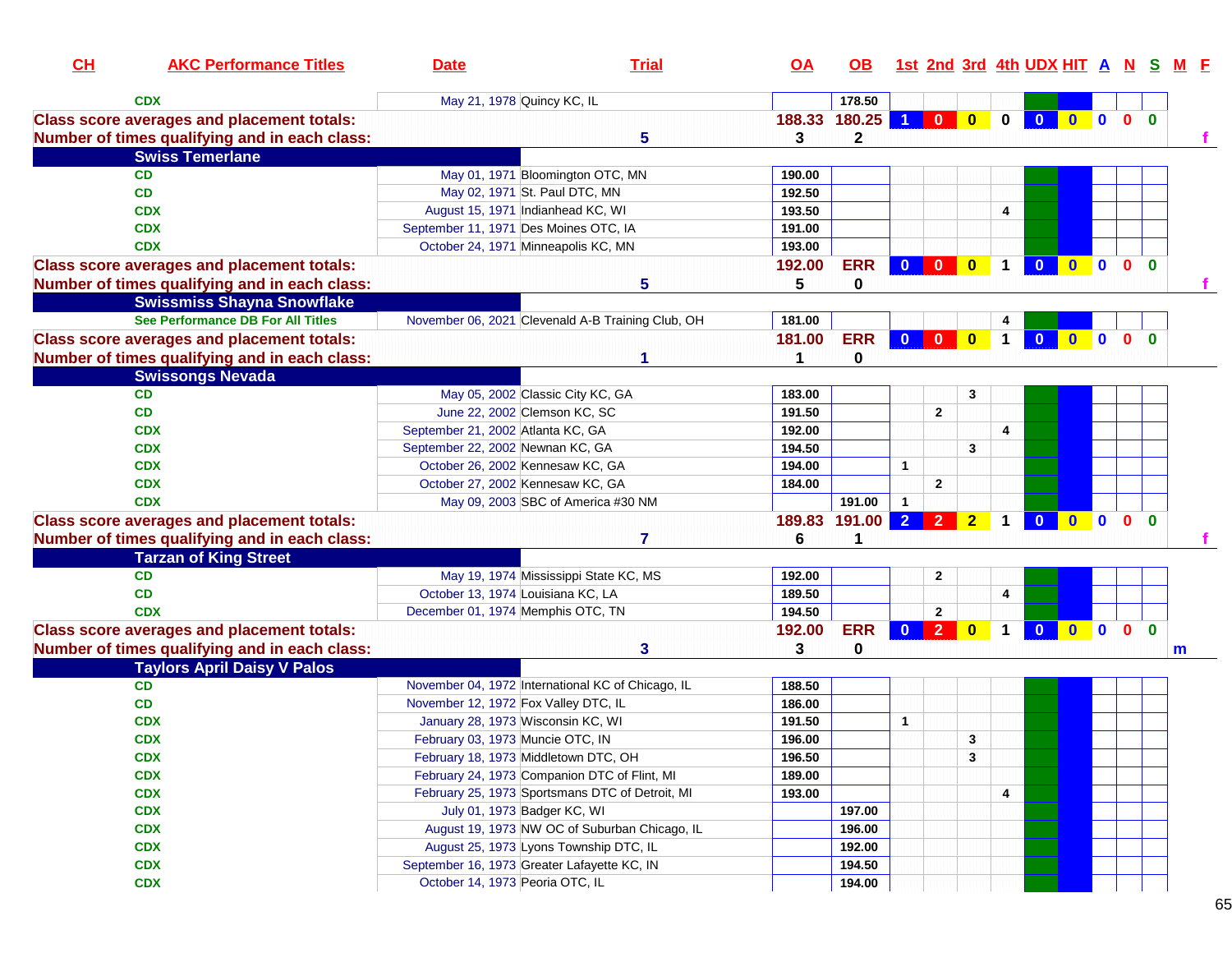| CH | <b>AKC Performance Titles</b>                                                                      | <b>Date</b>                                  | <b>Trial</b>                                      | <u>OA</u>   | OB.                   |                |                         |                |              | <u>1st 2nd 3rd 4th UDX HIT A N S</u> |                     |              |                         |              | <u>M F</u> |
|----|----------------------------------------------------------------------------------------------------|----------------------------------------------|---------------------------------------------------|-------------|-----------------------|----------------|-------------------------|----------------|--------------|--------------------------------------|---------------------|--------------|-------------------------|--------------|------------|
|    | <b>CDX</b>                                                                                         | May 21, 1978 Quincy KC, IL                   |                                                   |             | 178.50                |                |                         |                |              |                                      |                     |              |                         |              |            |
|    | <b>Class score averages and placement totals:</b><br>Number of times qualifying and in each class: |                                              | 5                                                 | 188.33<br>3 | 180.25<br>$\mathbf 2$ |                | $\bf{0}$                | $\mathbf{0}$   | $\bf{0}$     | $\overline{\mathbf{0}}$              | $\bullet$ $\bullet$ |              | 0 <sub>0</sub>          |              |            |
|    | <b>Swiss Temerlane</b>                                                                             |                                              |                                                   |             |                       |                |                         |                |              |                                      |                     |              |                         |              |            |
|    | CD                                                                                                 | May 01, 1971 Bloomington OTC, MN             |                                                   | 190.00      |                       |                |                         |                |              |                                      |                     |              |                         |              |            |
|    | <b>CD</b>                                                                                          | May 02, 1971 St. Paul DTC, MN                |                                                   | 192.50      |                       |                |                         |                |              |                                      |                     |              |                         |              |            |
|    | <b>CDX</b>                                                                                         | August 15, 1971 Indianhead KC, WI            |                                                   | 193.50      |                       |                |                         |                | 4            |                                      |                     |              |                         |              |            |
|    | <b>CDX</b>                                                                                         | September 11, 1971 Des Moines OTC, IA        |                                                   | 191.00      |                       |                |                         |                |              |                                      |                     |              |                         |              |            |
|    | <b>CDX</b>                                                                                         | October 24, 1971 Minneapolis KC, MN          |                                                   | 193.00      |                       |                |                         |                |              |                                      |                     |              |                         |              |            |
|    | <b>Class score averages and placement totals:</b>                                                  |                                              |                                                   | 192.00      | <b>ERR</b>            | $0$ 0          |                         | $\mathbf{0}$   | $\mathbf{1}$ | $\overline{\mathbf{0}}$              | $\mathbf{0}$        | $\mathbf{0}$ | $\overline{\mathbf{0}}$ | $\mathbf{0}$ |            |
|    | Number of times qualifying and in each class:                                                      |                                              | 5                                                 | 5           | 0                     |                |                         |                |              |                                      |                     |              |                         |              |            |
|    | <b>Swissmiss Shayna Snowflake</b>                                                                  |                                              |                                                   |             |                       |                |                         |                |              |                                      |                     |              |                         |              |            |
|    | See Performance DB For All Titles                                                                  |                                              | November 06, 2021 Clevenald A-B Training Club, OH | 181.00      |                       |                |                         |                |              |                                      |                     |              |                         |              |            |
|    | <b>Class score averages and placement totals:</b>                                                  |                                              |                                                   | 181.00      | <b>ERR</b>            | $\overline{0}$ | $\mathbf{0}$            | $\mathbf{0}$   | $\mathbf 1$  | $\bf{0}$                             |                     | $\mathbf{0}$ | $\mathbf{0}$            | $\Omega$     |            |
|    | Number of times qualifying and in each class:                                                      |                                              |                                                   | 1           | 0                     |                |                         |                |              |                                      |                     |              |                         |              |            |
|    | <b>Swissongs Nevada</b>                                                                            |                                              |                                                   |             |                       |                |                         |                |              |                                      |                     |              |                         |              |            |
|    | <b>CD</b>                                                                                          | May 05, 2002 Classic City KC, GA             |                                                   | 183.00      |                       |                |                         | 3              |              |                                      |                     |              |                         |              |            |
|    | CD                                                                                                 | June 22, 2002 Clemson KC, SC                 |                                                   | 191.50      |                       |                | $\overline{\mathbf{2}}$ |                |              |                                      |                     |              |                         |              |            |
|    | <b>CDX</b>                                                                                         | September 21, 2002 Atlanta KC, GA            |                                                   | 192.00      |                       |                |                         |                | 4            |                                      |                     |              |                         |              |            |
|    | <b>CDX</b>                                                                                         | September 22, 2002 Newnan KC, GA             |                                                   | 194.50      |                       |                |                         | 3              |              |                                      |                     |              |                         |              |            |
|    | <b>CDX</b>                                                                                         | October 26, 2002 Kennesaw KC, GA             |                                                   | 194.00      |                       | $\mathbf{1}$   |                         |                |              |                                      |                     |              |                         |              |            |
|    | <b>CDX</b>                                                                                         | October 27, 2002 Kennesaw KC, GA             |                                                   | 184.00      |                       |                | $\mathbf{2}$            |                |              |                                      |                     |              |                         |              |            |
|    | <b>CDX</b>                                                                                         |                                              | May 09, 2003 SBC of America #30 NM                |             | 191.00                |                |                         |                |              |                                      |                     |              |                         |              |            |
|    | <b>Class score averages and placement totals:</b><br>Number of times qualifying and in each class: |                                              | 7                                                 | 189.83<br>6 | 191.00<br>1           | $\overline{2}$ | $\overline{2}$          | $\overline{2}$ | $\mathbf 1$  | $\mathbf{0}$                         | $\mathbf{0}$        | $\mathbf 0$  | $\mathbf{0}$            | $\bf{0}$     |            |
|    | <b>Tarzan of King Street</b>                                                                       |                                              |                                                   |             |                       |                |                         |                |              |                                      |                     |              |                         |              |            |
|    | <b>CD</b>                                                                                          |                                              | May 19, 1974 Mississippi State KC, MS             | 192.00      |                       |                | $\mathbf{2}$            |                |              |                                      |                     |              |                         |              |            |
|    | <b>CD</b>                                                                                          | October 13, 1974 Louisiana KC, LA            |                                                   | 189.50      |                       |                |                         |                | 4            |                                      |                     |              |                         |              |            |
|    | <b>CDX</b>                                                                                         | December 01, 1974 Memphis OTC, TN            |                                                   | 194.50      |                       |                | $\overline{2}$          |                |              |                                      |                     |              |                         |              |            |
|    | <b>Class score averages and placement totals:</b>                                                  |                                              |                                                   | 192.00      | <b>ERR</b>            | $\mathbf{0}$   | $\overline{2}$          | $\bf{0}$       | $\mathbf 1$  | $\mathbf{0}$                         | $\overline{0}$      | $\mathbf{0}$ | $\mathbf{0}$            | $\mathbf{0}$ |            |
|    | Number of times qualifying and in each class:                                                      |                                              | 3                                                 | 3           | 0                     |                |                         |                |              |                                      |                     |              |                         |              | m          |
|    | <b>Taylors April Daisy V Palos</b>                                                                 |                                              |                                                   |             |                       |                |                         |                |              |                                      |                     |              |                         |              |            |
|    | CD                                                                                                 |                                              | November 04, 1972 International KC of Chicago, IL | 188.50      |                       |                |                         |                |              |                                      |                     |              |                         |              |            |
|    | CD                                                                                                 | November 12, 1972 Fox Valley DTC, IL         |                                                   | 186.00      |                       |                |                         |                |              |                                      |                     |              |                         |              |            |
|    | <b>CDX</b>                                                                                         | January 28, 1973 Wisconsin KC, WI            |                                                   | 191.50      |                       | $\mathbf{1}$   |                         |                |              |                                      |                     |              |                         |              |            |
|    | <b>CDX</b>                                                                                         | February 03, 1973 Muncie OTC, IN             |                                                   | 196.00      |                       |                |                         | 3              |              |                                      |                     |              |                         |              |            |
|    | <b>CDX</b>                                                                                         | February 18, 1973 Middletown DTC, OH         |                                                   | 196.50      |                       |                |                         | 3              |              |                                      |                     |              |                         |              |            |
|    | <b>CDX</b>                                                                                         | February 24, 1973 Companion DTC of Flint, MI |                                                   | 189.00      |                       |                |                         |                |              |                                      |                     |              |                         |              |            |
|    | <b>CDX</b>                                                                                         |                                              | February 25, 1973 Sportsmans DTC of Detroit, MI   | 193.00      |                       |                |                         |                | 4            |                                      |                     |              |                         |              |            |
|    | <b>CDX</b>                                                                                         | July 01, 1973 Badger KC, WI                  |                                                   |             | 197.00                |                |                         |                |              |                                      |                     |              |                         |              |            |
|    | <b>CDX</b>                                                                                         |                                              | August 19, 1973 NW OC of Suburban Chicago, IL     |             | 196.00                |                |                         |                |              |                                      |                     |              |                         |              |            |
|    | <b>CDX</b>                                                                                         | August 25, 1973 Lyons Township DTC, IL       |                                                   |             | 192.00                |                |                         |                |              |                                      |                     |              |                         |              |            |
|    | <b>CDX</b>                                                                                         | September 16, 1973 Greater Lafayette KC, IN  |                                                   |             | 194.50                |                |                         |                |              |                                      |                     |              |                         |              |            |
|    | <b>CDX</b>                                                                                         | October 14, 1973 Peoria OTC, IL              |                                                   |             | 194.00                |                |                         |                |              |                                      |                     |              |                         |              |            |
|    |                                                                                                    |                                              |                                                   |             |                       |                |                         |                |              |                                      |                     |              |                         |              |            |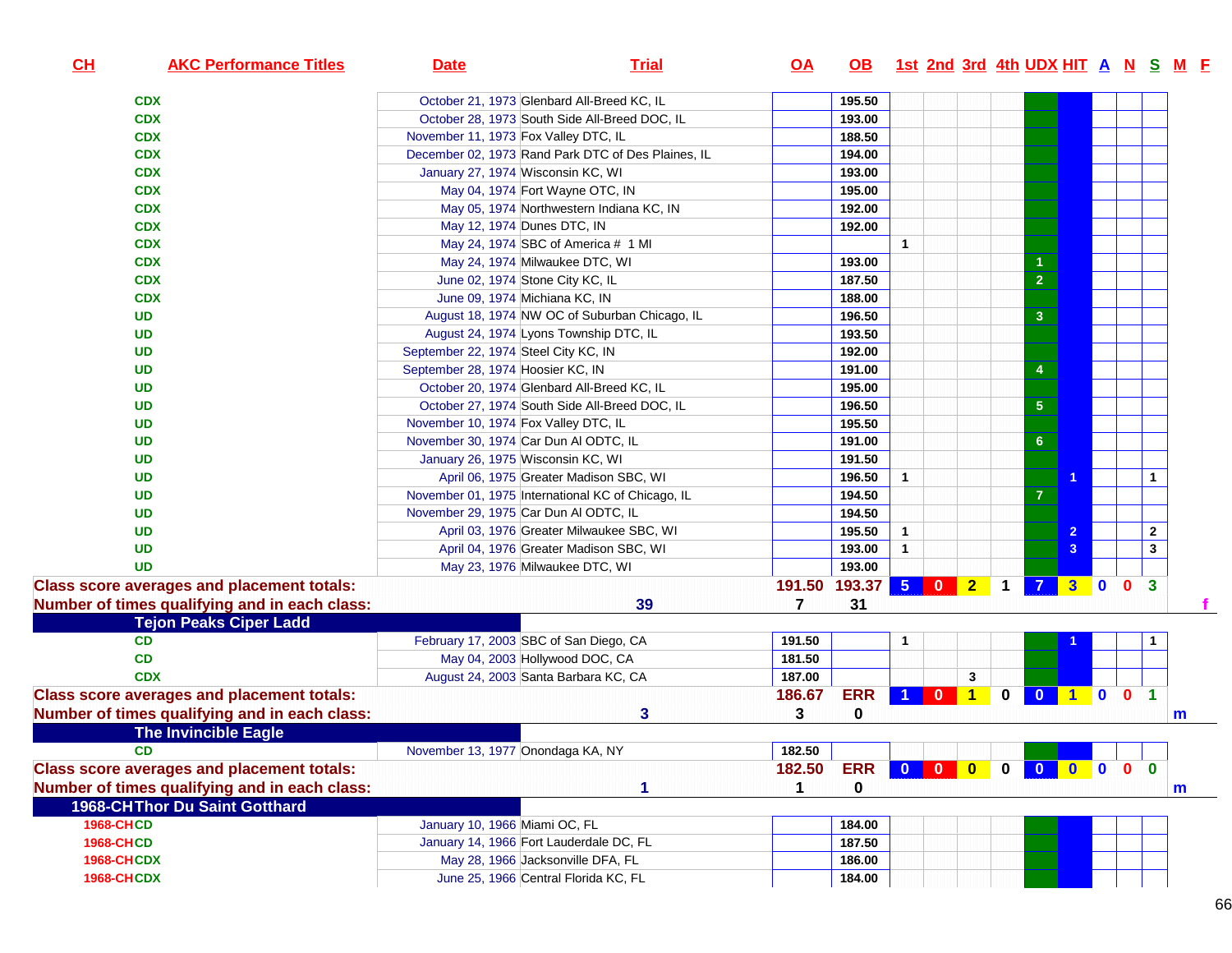| CL<br><b>AKC Performance Titles</b>               | <b>Date</b>                                | <b>Trial</b>                                       | <u>OA</u> | OB 1st 2nd 3rd 4th UDX HIT A N S M F |              |                 |   |                |                 |     |              |                         |   |  |
|---------------------------------------------------|--------------------------------------------|----------------------------------------------------|-----------|--------------------------------------|--------------|-----------------|---|----------------|-----------------|-----|--------------|-------------------------|---|--|
| <b>CDX</b>                                        | October 21, 1973 Glenbard All-Breed KC, IL |                                                    |           | 195.50                               |              |                 |   |                |                 |     |              |                         |   |  |
| <b>CDX</b>                                        |                                            | October 28, 1973 South Side All-Breed DOC, IL      |           | 193.00                               |              |                 |   |                |                 |     |              |                         |   |  |
| <b>CDX</b>                                        | November 11, 1973 Fox Valley DTC, IL       |                                                    |           | 188.50                               |              |                 |   |                |                 |     |              |                         |   |  |
| <b>CDX</b>                                        |                                            | December 02, 1973 Rand Park DTC of Des Plaines, IL |           | 194.00                               |              |                 |   |                |                 |     |              |                         |   |  |
| <b>CDX</b>                                        | January 27, 1974 Wisconsin KC, WI          |                                                    |           | 193.00                               |              |                 |   |                |                 |     |              |                         |   |  |
| <b>CDX</b>                                        | May 04, 1974 Fort Wayne OTC, IN            |                                                    |           | 195.00                               |              |                 |   |                |                 |     |              |                         |   |  |
| <b>CDX</b>                                        |                                            | May 05, 1974 Northwestern Indiana KC, IN           |           | 192.00                               |              |                 |   |                |                 |     |              |                         |   |  |
| <b>CDX</b>                                        | May 12, 1974 Dunes DTC, IN                 |                                                    |           | 192.00                               |              |                 |   |                |                 |     |              |                         |   |  |
| <b>CDX</b>                                        |                                            | May 24, 1974 SBC of America # 1 MI                 |           |                                      | $\mathbf{1}$ |                 |   |                |                 |     |              |                         |   |  |
| <b>CDX</b>                                        | May 24, 1974 Milwaukee DTC, WI             |                                                    |           | 193.00                               |              |                 |   |                |                 |     |              |                         |   |  |
| <b>CDX</b>                                        | June 02, 1974 Stone City KC, IL            |                                                    |           | 187.50                               |              |                 |   |                | $\overline{2}$  |     |              |                         |   |  |
| <b>CDX</b>                                        | June 09, 1974 Michiana KC, IN              |                                                    |           | 188.00                               |              |                 |   |                |                 |     |              |                         |   |  |
| <b>UD</b>                                         |                                            | August 18, 1974 NW OC of Suburban Chicago, IL      |           | 196.50                               |              |                 |   |                | $\mathbf{3}$    |     |              |                         |   |  |
| <b>UD</b>                                         | August 24, 1974 Lyons Township DTC, IL     |                                                    |           | 193.50                               |              |                 |   |                |                 |     |              |                         |   |  |
| <b>UD</b>                                         | September 22, 1974 Steel City KC, IN       |                                                    |           | 192.00                               |              |                 |   |                |                 |     |              |                         |   |  |
| <b>UD</b>                                         | September 28, 1974 Hoosier KC, IN          |                                                    |           | 191.00                               |              |                 |   |                | 4               |     |              |                         |   |  |
| <b>UD</b>                                         | October 20, 1974 Glenbard All-Breed KC, IL |                                                    |           | 195.00                               |              |                 |   |                |                 |     |              |                         |   |  |
| <b>UD</b>                                         |                                            | October 27, 1974 South Side All-Breed DOC, IL      |           | 196.50                               |              |                 |   |                | ${\bf 5}$       |     |              |                         |   |  |
| <b>UD</b>                                         | November 10, 1974 Fox Valley DTC, IL       |                                                    |           | 195.50                               |              |                 |   |                |                 |     |              |                         |   |  |
| <b>UD</b>                                         | November 30, 1974 Car Dun Al ODTC, IL      |                                                    |           | 191.00                               |              |                 |   |                | $6\phantom{1}6$ |     |              |                         |   |  |
| <b>UD</b>                                         | January 26, 1975 Wisconsin KC, WI          |                                                    |           | 191.50                               |              |                 |   |                |                 |     |              |                         |   |  |
| <b>UD</b>                                         |                                            | April 06, 1975 Greater Madison SBC, WI             |           | 196.50                               | $\mathbf{1}$ |                 |   |                |                 |     |              | $\mathbf{1}$            |   |  |
| <b>UD</b>                                         |                                            | November 01, 1975 International KC of Chicago, IL  |           | 194.50                               |              |                 |   |                | 7               |     |              |                         |   |  |
| <b>UD</b>                                         | November 29, 1975 Car Dun Al ODTC, IL      |                                                    |           | 194.50                               |              |                 |   |                |                 |     |              |                         |   |  |
| <b>UD</b>                                         |                                            | April 03, 1976 Greater Milwaukee SBC, WI           |           | 195.50                               | $\mathbf{1}$ |                 |   |                |                 |     |              | $\mathbf{2}$            |   |  |
| <b>UD</b>                                         |                                            | April 04, 1976 Greater Madison SBC, WI             |           | 193.00                               | $\mathbf{1}$ |                 |   |                |                 | 3   |              | $\mathbf{3}$            |   |  |
| <b>UD</b>                                         | May 23, 1976 Milwaukee DTC, WI             |                                                    |           | 193.00                               |              |                 |   |                |                 |     |              |                         |   |  |
| <b>Class score averages and placement totals:</b> |                                            |                                                    | 191.50    | 193.37 5 0 2                         |              |                 |   | $\overline{1}$ | $\overline{7}$  | 3 0 | $\mathbf{0}$ | $\mathbf{3}$            |   |  |
| Number of times qualifying and in each class:     |                                            | 39                                                 | 7         | 31                                   |              |                 |   |                |                 |     |              |                         |   |  |
| <b>Tejon Peaks Ciper Ladd</b>                     |                                            |                                                    |           |                                      |              |                 |   |                |                 |     |              |                         |   |  |
| <b>CD</b>                                         | February 17, 2003 SBC of San Diego, CA     |                                                    | 191.50    |                                      | $\mathbf{1}$ |                 |   |                |                 |     |              |                         |   |  |
| CD                                                | May 04, 2003 Hollywood DOC, CA             |                                                    | 181.50    |                                      |              |                 |   |                |                 |     |              |                         |   |  |
| <b>CDX</b>                                        | August 24, 2003 Santa Barbara KC, CA       |                                                    | 187.00    |                                      |              |                 | 3 |                |                 |     |              |                         |   |  |
| <b>Class score averages and placement totals:</b> |                                            |                                                    | 186.67    | <b>ERR</b>                           |              | 1 0 1           |   | $\mathbf 0$    | $\bullet$       | 100 |              | $\blacktriangleleft$    |   |  |
| Number of times qualifying and in each class:     |                                            | 3                                                  | 3         | $\mathbf{0}$                         |              |                 |   |                |                 |     |              |                         | m |  |
| <b>The Invincible Eagle</b>                       |                                            |                                                    |           |                                      |              |                 |   |                |                 |     |              |                         |   |  |
| CD                                                | November 13, 1977 Onondaga KA, NY          |                                                    | 182.50    |                                      |              |                 |   |                |                 |     |              |                         |   |  |
| <b>Class score averages and placement totals:</b> |                                            |                                                    | 182.50    | <b>ERR</b>                           |              | 0 0 0 0 0 0 0 0 |   |                |                 |     |              | $\overline{\mathbf{0}}$ |   |  |
| Number of times qualifying and in each class:     |                                            |                                                    |           | 0                                    |              |                 |   |                |                 |     |              |                         | m |  |
| <b>1968-CHThor Du Saint Gotthard</b>              |                                            |                                                    |           |                                      |              |                 |   |                |                 |     |              |                         |   |  |
| <b>1968-CHCD</b>                                  | January 10, 1966 Miami OC, FL              |                                                    |           | 184.00                               |              |                 |   |                |                 |     |              |                         |   |  |
| <b>1968-CHCD</b>                                  | January 14, 1966 Fort Lauderdale DC, FL    |                                                    |           | 187.50                               |              |                 |   |                |                 |     |              |                         |   |  |
| <b>1968-CHCDX</b>                                 | May 28, 1966 Jacksonville DFA, FL          |                                                    |           | 186.00                               |              |                 |   |                |                 |     |              |                         |   |  |
| <b>1968-CHCDX</b>                                 | June 25, 1966 Central Florida KC, FL       |                                                    |           | 184.00                               |              |                 |   |                |                 |     |              |                         |   |  |
|                                                   |                                            |                                                    |           |                                      |              |                 |   |                |                 |     |              |                         |   |  |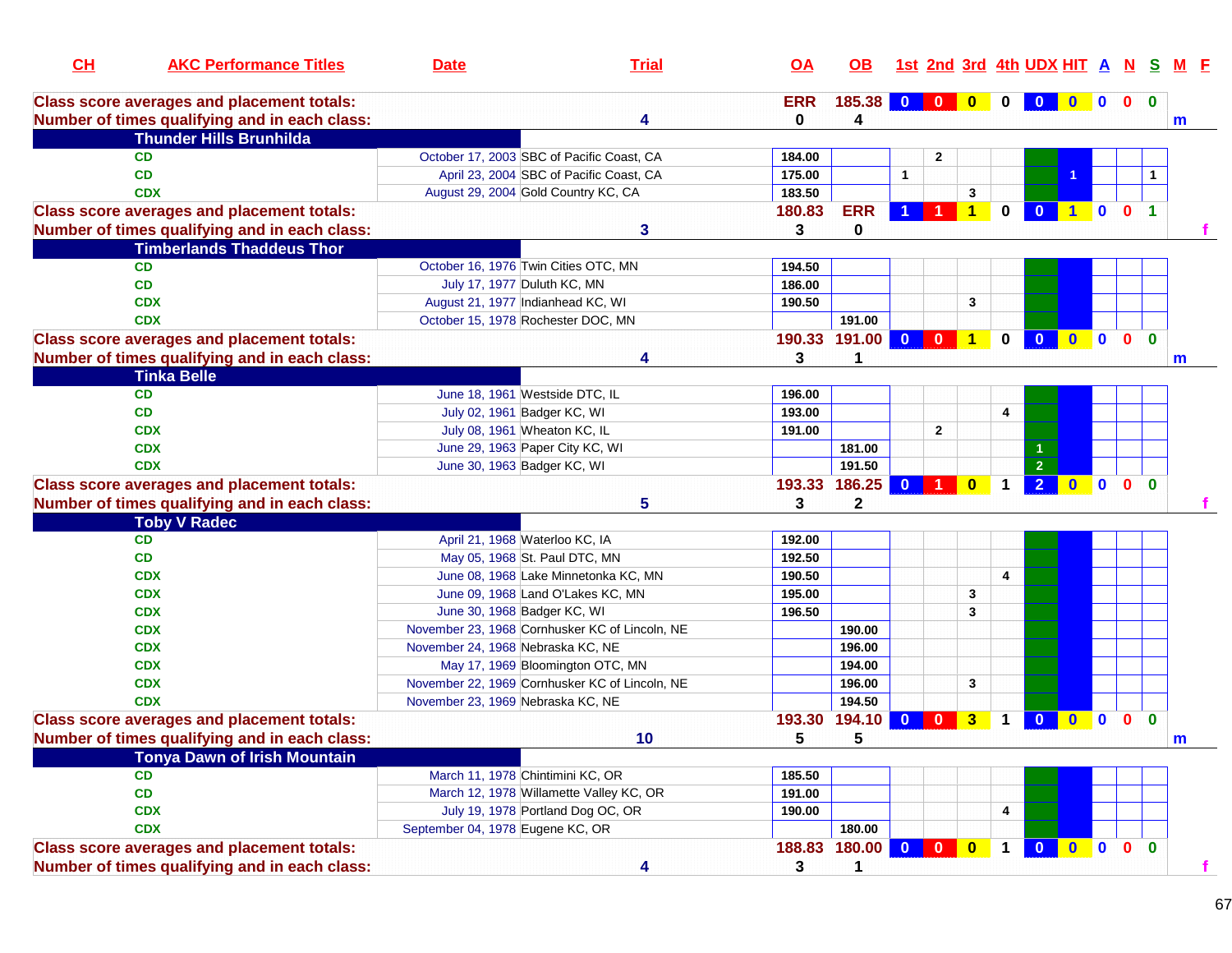| CH | <b>AKC Performance Titles</b>                                                                      | <b>Date</b>                       | <b>Trial</b>                                   | <u>OA</u>  | OB.                    |              |                      |                         |              | 1st 2nd 3rd 4th UDX HIT A N S |                |                |                |                      | M E          |
|----|----------------------------------------------------------------------------------------------------|-----------------------------------|------------------------------------------------|------------|------------------------|--------------|----------------------|-------------------------|--------------|-------------------------------|----------------|----------------|----------------|----------------------|--------------|
|    | <b>Class score averages and placement totals:</b>                                                  |                                   |                                                | <b>ERR</b> | 185.38 0               |              | $\mathbf{0}$         | $\bf{0}$                |              | $\bf{0}$                      | $\mathbf{0}$   | $\blacksquare$ | $\mathbf{0}$   | $\mathbf{0}$         |              |
|    | Number of times qualifying and in each class:                                                      |                                   | 4                                              | 0          | 4                      |              |                      |                         |              |                               |                |                |                |                      | $\mathsf{m}$ |
|    | <b>Thunder Hills Brunhilda</b>                                                                     |                                   |                                                |            |                        |              |                      |                         |              |                               |                |                |                |                      |              |
|    | <b>CD</b>                                                                                          |                                   | October 17, 2003 SBC of Pacific Coast, CA      | 184.00     |                        |              | $\mathbf{2}$         |                         |              |                               |                |                |                |                      |              |
|    | <b>CD</b>                                                                                          |                                   | April 23, 2004 SBC of Pacific Coast, CA        | 175.00     |                        | $\mathbf{1}$ |                      |                         |              |                               |                |                |                |                      |              |
|    | <b>CDX</b>                                                                                         |                                   | August 29, 2004 Gold Country KC, CA            | 183.50     |                        |              |                      | 3                       |              |                               |                |                |                |                      |              |
|    | <b>Class score averages and placement totals:</b>                                                  |                                   |                                                | 180.83     | <b>ERR</b>             |              | $\blacktriangleleft$ | $\blacklozenge$         | $\mathbf 0$  | $\mathbf{0}$                  | $\blacksquare$ | $\mathbf{0}$   | $\mathbf{0}$   | $\blacktriangleleft$ |              |
|    | Number of times qualifying and in each class:                                                      |                                   | 3                                              | 3          | 0                      |              |                      |                         |              |                               |                |                |                |                      |              |
|    | <b>Timberlands Thaddeus Thor</b>                                                                   |                                   |                                                |            |                        |              |                      |                         |              |                               |                |                |                |                      |              |
|    | <b>CD</b>                                                                                          |                                   | October 16, 1976 Twin Cities OTC, MN           | 194.50     |                        |              |                      |                         |              |                               |                |                |                |                      |              |
|    | <b>CD</b>                                                                                          |                                   | July 17, 1977 Duluth KC, MN                    | 186.00     |                        |              |                      |                         |              |                               |                |                |                |                      |              |
|    | <b>CDX</b>                                                                                         |                                   | August 21, 1977 Indianhead KC, WI              | 190.50     |                        |              |                      | 3                       |              |                               |                |                |                |                      |              |
|    | <b>CDX</b>                                                                                         |                                   | October 15, 1978 Rochester DOC, MN             |            | 191.00                 |              |                      |                         |              |                               |                |                |                |                      |              |
|    | <b>Class score averages and placement totals:</b>                                                  |                                   |                                                | 190.33     | 191.00                 | $\mathbf{0}$ | $\mathbf{0}$         | $\mathbf{1}$            | $\mathbf{0}$ | $\bf{0}$                      | $\mathbf{0}$   | $\mathbf{0}$   | $\mathbf{0}$   | $\mathbf{0}$         |              |
|    | Number of times qualifying and in each class:                                                      |                                   | 4                                              | 3          | 1                      |              |                      |                         |              |                               |                |                |                |                      | m            |
|    | <b>Tinka Belle</b>                                                                                 |                                   |                                                |            |                        |              |                      |                         |              |                               |                |                |                |                      |              |
|    | <b>CD</b>                                                                                          |                                   | June 18, 1961 Westside DTC, IL                 | 196.00     |                        |              |                      |                         |              |                               |                |                |                |                      |              |
|    | CD                                                                                                 |                                   | July 02, 1961 Badger KC, WI                    | 193.00     |                        |              |                      |                         | 4            |                               |                |                |                |                      |              |
|    | <b>CDX</b>                                                                                         |                                   | July 08, 1961 Wheaton KC, IL                   | 191.00     |                        |              | $\mathbf{2}$         |                         |              |                               |                |                |                |                      |              |
|    | <b>CDX</b>                                                                                         |                                   | June 29, 1963 Paper City KC, WI                |            | 181.00                 |              |                      |                         |              |                               |                |                |                |                      |              |
|    | <b>CDX</b>                                                                                         |                                   | June 30, 1963 Badger KC, WI                    |            | 191.50                 |              |                      |                         |              | $\overline{2}$                |                |                |                |                      |              |
|    | <b>Class score averages and placement totals:</b>                                                  |                                   |                                                |            | 193.33 186.25          | $\mathbf{0}$ | -1                   | $\bf{0}$                |              | $\overline{2}$                | $0$ 0          |                | $\mathbf{0}$   | $\mathbf{0}$         |              |
|    | Number of times qualifying and in each class:                                                      |                                   | 5                                              | 3          | $\mathbf{2}$           |              |                      |                         |              |                               |                |                |                |                      |              |
|    | <b>Toby V Radec</b>                                                                                |                                   |                                                |            |                        |              |                      |                         |              |                               |                |                |                |                      |              |
|    | <b>CD</b>                                                                                          |                                   | April 21, 1968 Waterloo KC, IA                 | 192.00     |                        |              |                      |                         |              |                               |                |                |                |                      |              |
|    | CD                                                                                                 |                                   | May 05, 1968 St. Paul DTC, MN                  | 192.50     |                        |              |                      |                         |              |                               |                |                |                |                      |              |
|    | <b>CDX</b>                                                                                         |                                   | June 08, 1968 Lake Minnetonka KC, MN           | 190.50     |                        |              |                      |                         | 4            |                               |                |                |                |                      |              |
|    | <b>CDX</b>                                                                                         |                                   | June 09, 1968 Land O'Lakes KC, MN              | 195.00     |                        |              |                      | 3                       |              |                               |                |                |                |                      |              |
|    | <b>CDX</b>                                                                                         |                                   | June 30, 1968 Badger KC, WI                    | 196.50     |                        |              |                      | 3                       |              |                               |                |                |                |                      |              |
|    | <b>CDX</b>                                                                                         |                                   | November 23, 1968 Cornhusker KC of Lincoln, NE |            | 190.00                 |              |                      |                         |              |                               |                |                |                |                      |              |
|    | <b>CDX</b>                                                                                         | November 24, 1968 Nebraska KC, NE |                                                |            | 196.00                 |              |                      |                         |              |                               |                |                |                |                      |              |
|    | <b>CDX</b>                                                                                         |                                   | May 17, 1969 Bloomington OTC, MN               |            | 194.00                 |              |                      |                         |              |                               |                |                |                |                      |              |
|    | <b>CDX</b>                                                                                         |                                   | November 22, 1969 Cornhusker KC of Lincoln, NE |            | 196.00                 |              |                      | 3                       |              |                               |                |                |                |                      |              |
|    | <b>CDX</b>                                                                                         | November 23, 1969 Nebraska KC, NE |                                                |            | 194.50                 |              |                      |                         |              |                               |                |                |                |                      |              |
|    | <b>Class score averages and placement totals:</b>                                                  |                                   |                                                | 193.30     | 194.10                 | $\bf{0}$     | $\bf{0}$             | $\overline{\mathbf{3}}$ |              | $\bf{0}$                      | $\mathbf{0}$   | $\mathbf 0$    | $\mathbf{0}$   | $\mathbf 0$          |              |
|    | Number of times qualifying and in each class:                                                      |                                   | 10                                             | 5          | 5                      |              |                      |                         |              |                               |                |                |                |                      |              |
|    | <b>Tonya Dawn of Irish Mountain</b>                                                                |                                   |                                                |            |                        |              |                      |                         |              |                               |                |                |                |                      | m            |
|    | <b>CD</b>                                                                                          |                                   | March 11, 1978 Chintimini KC, OR               |            |                        |              |                      |                         |              |                               |                |                |                |                      |              |
|    |                                                                                                    |                                   |                                                | 185.50     |                        |              |                      |                         |              |                               |                |                |                |                      |              |
|    | CD                                                                                                 |                                   | March 12, 1978 Willamette Valley KC, OR        | 191.00     |                        |              |                      |                         |              |                               |                |                |                |                      |              |
|    | <b>CDX</b><br><b>CDX</b>                                                                           | September 04, 1978 Eugene KC, OR  | July 19, 1978 Portland Dog OC, OR              | 190.00     |                        |              |                      |                         | 4            |                               |                |                |                |                      |              |
|    |                                                                                                    |                                   |                                                |            | 180.00                 |              |                      |                         |              |                               |                |                |                |                      |              |
|    | <b>Class score averages and placement totals:</b><br>Number of times qualifying and in each class: |                                   | 4                                              | 3          | 188.83 180.00 0 0<br>1 |              |                      | $\bullet$               | $\vert$ 1    | 000                           |                |                | 0 <sub>0</sub> |                      | $\mathbf f$  |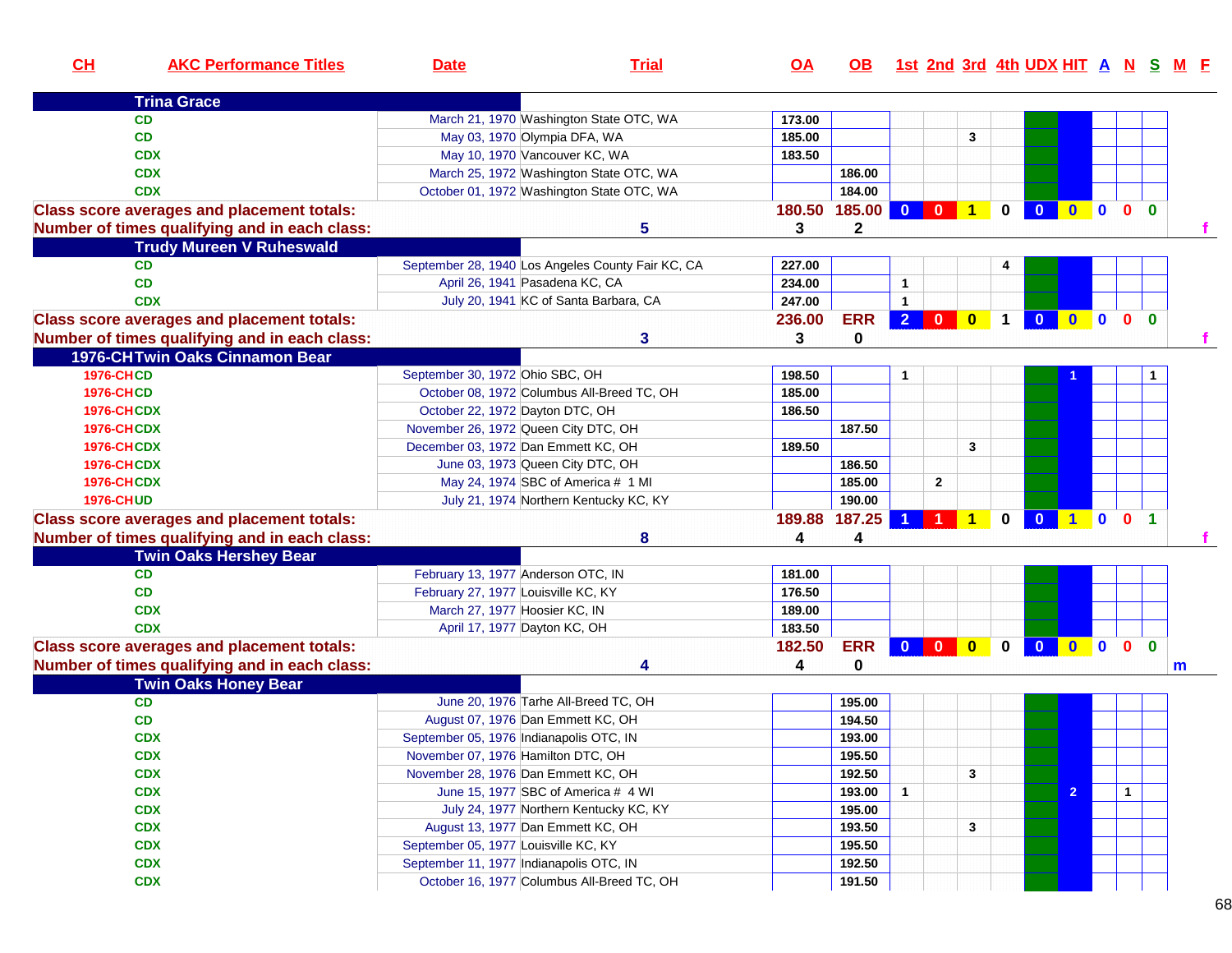| CL                | <b>AKC Performance Titles</b>                     | <b>Date</b>                          | <b>Trial</b>                                                              | <u>OA</u> | OB.              |                |                         |                         |                      | <u>1st 2nd 3rd 4th UDX HIT A N S M E</u> |                |                  |                |              |             |
|-------------------|---------------------------------------------------|--------------------------------------|---------------------------------------------------------------------------|-----------|------------------|----------------|-------------------------|-------------------------|----------------------|------------------------------------------|----------------|------------------|----------------|--------------|-------------|
|                   | <b>Trina Grace</b>                                |                                      |                                                                           |           |                  |                |                         |                         |                      |                                          |                |                  |                |              |             |
|                   | <b>CD</b>                                         |                                      | March 21, 1970 Washington State OTC, WA                                   | 173.00    |                  |                |                         |                         |                      |                                          |                |                  |                |              |             |
|                   | CD                                                |                                      | May 03, 1970 Olympia DFA, WA                                              | 185.00    |                  |                |                         | 3                       |                      |                                          |                |                  |                |              |             |
|                   | <b>CDX</b>                                        |                                      | May 10, 1970 Vancouver KC, WA                                             | 183.50    |                  |                |                         |                         |                      |                                          |                |                  |                |              |             |
|                   | <b>CDX</b>                                        |                                      | March 25, 1972 Washington State OTC, WA                                   |           | 186.00           |                |                         |                         |                      |                                          |                |                  |                |              |             |
|                   | <b>CDX</b>                                        |                                      | October 01, 1972 Washington State OTC, WA                                 |           | 184.00           |                |                         |                         |                      |                                          |                |                  |                |              |             |
|                   | <b>Class score averages and placement totals:</b> |                                      |                                                                           |           | 180.50 185.00    | $\mathbf{0}$   | $\mathbf{0}$            | $\blacktriangleleft$    | 0                    | $\bf{0}$                                 | $\mathbf{0}$   | $\mathbf{0}$     | $\mathbf{0}$   | $\mathbf{0}$ |             |
|                   | Number of times qualifying and in each class:     |                                      | 5                                                                         | 3         | $\mathbf 2$      |                |                         |                         |                      |                                          |                |                  |                |              | $\mathbf f$ |
|                   | <b>Trudy Mureen V Ruheswald</b>                   |                                      |                                                                           |           |                  |                |                         |                         |                      |                                          |                |                  |                |              |             |
|                   | <b>CD</b>                                         |                                      | September 28, 1940 Los Angeles County Fair KC, CA                         | 227.00    |                  |                |                         |                         |                      |                                          |                |                  |                |              |             |
|                   | <b>CD</b>                                         |                                      | April 26, 1941 Pasadena KC, CA                                            | 234.00    |                  | $\mathbf{1}$   |                         |                         |                      |                                          |                |                  |                |              |             |
|                   | <b>CDX</b>                                        |                                      | July 20, 1941 KC of Santa Barbara, CA                                     | 247.00    |                  | $\mathbf{1}$   |                         |                         |                      |                                          |                |                  |                |              |             |
|                   | <b>Class score averages and placement totals:</b> |                                      |                                                                           | 236.00    | <b>ERR</b>       | 2 <sup>1</sup> | $\overline{\mathbf{0}}$ | $\mathbf{0}$            | $\blacktriangleleft$ | $\mathbf{0}$                             | $\mathbf{0}$   | $\mathbf{0}$     | 0 <sub>0</sub> |              |             |
|                   | Number of times qualifying and in each class:     |                                      | 3                                                                         | 3         | 0                |                |                         |                         |                      |                                          |                |                  |                |              |             |
|                   | 1976-CHTwin Oaks Cinnamon Bear                    |                                      |                                                                           |           |                  |                |                         |                         |                      |                                          |                |                  |                |              |             |
| <b>1976-CHCD</b>  |                                                   | September 30, 1972 Ohio SBC, OH      |                                                                           | 198.50    |                  | $\mathbf{1}$   |                         |                         |                      |                                          |                |                  |                |              |             |
| <b>1976-CHCD</b>  |                                                   |                                      | October 08, 1972 Columbus All-Breed TC, OH                                | 185.00    |                  |                |                         |                         |                      |                                          |                |                  |                |              |             |
| <b>1976-CHCDX</b> |                                                   | October 22, 1972 Dayton DTC, OH      |                                                                           | 186.50    |                  |                |                         |                         |                      |                                          |                |                  |                |              |             |
| <b>1976-CHCDX</b> |                                                   |                                      | November 26, 1972 Queen City DTC, OH                                      |           | 187.50           |                |                         |                         |                      |                                          |                |                  |                |              |             |
| <b>1976-CHCDX</b> |                                                   |                                      | December 03, 1972 Dan Emmett KC, OH                                       | 189.50    |                  |                |                         | 3                       |                      |                                          |                |                  |                |              |             |
| <b>1976-CHCDX</b> |                                                   |                                      | June 03, 1973 Queen City DTC, OH                                          |           | 186.50           |                |                         |                         |                      |                                          |                |                  |                |              |             |
| <b>1976-CHCDX</b> |                                                   |                                      | May 24, 1974 SBC of America # 1 MI                                        |           | 185.00           |                | $\mathbf{2}$            |                         |                      |                                          |                |                  |                |              |             |
| <b>1976-CHUD</b>  |                                                   |                                      | July 21, 1974 Northern Kentucky KC, KY                                    |           | 190.00           |                |                         |                         |                      |                                          |                |                  |                |              |             |
|                   | <b>Class score averages and placement totals:</b> |                                      |                                                                           |           | 189.88 187.25    |                |                         | 1                       | 0                    | $\mathbf{0}$                             | $\blacksquare$ | $\bullet$        | 0 <sub>1</sub> |              |             |
|                   | Number of times qualifying and in each class:     |                                      | 8                                                                         | 4         | 4                |                |                         |                         |                      |                                          |                |                  |                |              |             |
|                   | <b>Twin Oaks Hershey Bear</b>                     |                                      |                                                                           |           |                  |                |                         |                         |                      |                                          |                |                  |                |              |             |
|                   | <b>CD</b>                                         |                                      | February 13, 1977 Anderson OTC, IN                                        | 181.00    |                  |                |                         |                         |                      |                                          |                |                  |                |              |             |
|                   | <b>CD</b>                                         | February 27, 1977 Louisville KC, KY  |                                                                           | 176.50    |                  |                |                         |                         |                      |                                          |                |                  |                |              |             |
|                   | <b>CDX</b>                                        | March 27, 1977 Hoosier KC, IN        |                                                                           | 189.00    |                  |                |                         |                         |                      |                                          |                |                  |                |              |             |
|                   | <b>CDX</b>                                        |                                      | April 17, 1977 Dayton KC, OH                                              | 183.50    |                  |                |                         |                         |                      |                                          |                |                  |                |              |             |
|                   | <b>Class score averages and placement totals:</b> |                                      |                                                                           | 182.50    | <b>ERR</b>       |                |                         | $\overline{\mathbf{0}}$ | 0                    | $\overline{\mathbf{0}}$                  | $\bullet$      | $\blacksquare$ 0 | 0 <sub>0</sub> |              |             |
|                   | Number of times qualifying and in each class:     |                                      | 4                                                                         | 4         | 0                |                |                         |                         |                      |                                          |                |                  |                |              | m           |
|                   | <b>Twin Oaks Honey Bear</b>                       |                                      |                                                                           |           |                  |                |                         |                         |                      |                                          |                |                  |                |              |             |
|                   | CD<br><b>CD</b>                                   |                                      | June 20, 1976 Tarhe All-Breed TC, OH<br>August 07, 1976 Dan Emmett KC, OH |           | 195.00           |                |                         |                         |                      |                                          |                |                  |                |              |             |
|                   | <b>CDX</b>                                        |                                      | September 05, 1976 Indianapolis OTC, IN                                   |           | 194.50<br>193.00 |                |                         |                         |                      |                                          |                |                  |                |              |             |
|                   | <b>CDX</b>                                        | November 07, 1976 Hamilton DTC, OH   |                                                                           |           | 195.50           |                |                         |                         |                      |                                          |                |                  |                |              |             |
|                   | <b>CDX</b>                                        |                                      | November 28, 1976 Dan Emmett KC, OH                                       |           | 192.50           |                |                         | 3                       |                      |                                          |                |                  |                |              |             |
|                   | <b>CDX</b>                                        |                                      | June 15, 1977 SBC of America # 4 WI                                       |           | 193.00           | $\mathbf{1}$   |                         |                         |                      |                                          | $\overline{2}$ |                  | $\mathbf{1}$   |              |             |
|                   | <b>CDX</b>                                        |                                      | July 24, 1977 Northern Kentucky KC, KY                                    |           | 195.00           |                |                         |                         |                      |                                          |                |                  |                |              |             |
|                   | <b>CDX</b>                                        |                                      | August 13, 1977 Dan Emmett KC, OH                                         |           | 193.50           |                |                         | 3                       |                      |                                          |                |                  |                |              |             |
|                   | <b>CDX</b>                                        | September 05, 1977 Louisville KC, KY |                                                                           |           | 195.50           |                |                         |                         |                      |                                          |                |                  |                |              |             |
|                   | <b>CDX</b>                                        |                                      | September 11, 1977 Indianapolis OTC, IN                                   |           | 192.50           |                |                         |                         |                      |                                          |                |                  |                |              |             |
|                   | <b>CDX</b>                                        |                                      | October 16, 1977 Columbus All-Breed TC, OH                                |           | 191.50           |                |                         |                         |                      |                                          |                |                  |                |              |             |
|                   |                                                   |                                      |                                                                           |           |                  |                |                         |                         |                      |                                          |                |                  |                |              |             |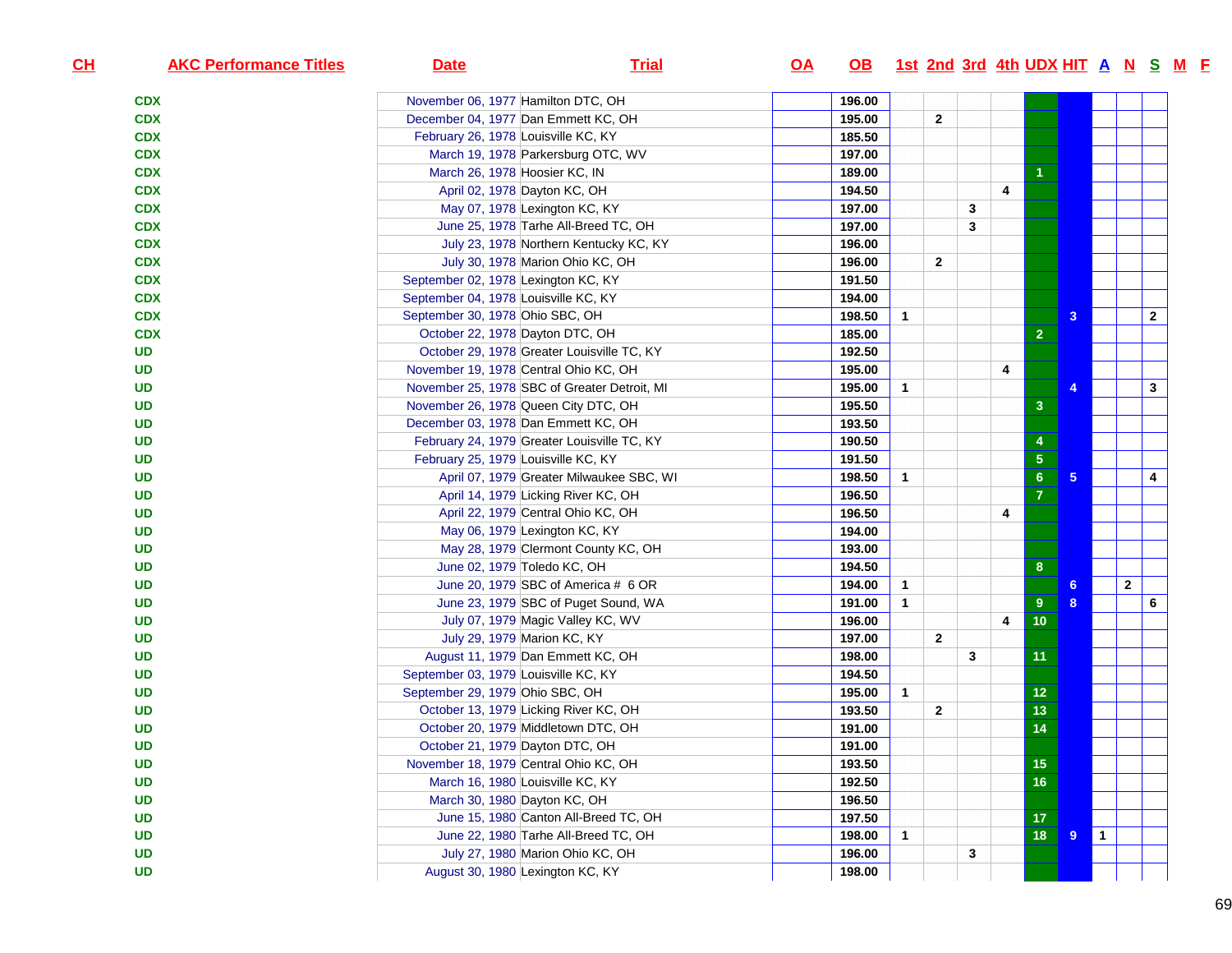| CL | <b>AKC Performance Titles</b> | <b>Date</b>                                  | <b>Trial</b>                             | <u>OA</u> | OB 1st 2nd 3rd 4th UDX HIT A N S M F |              |                |   |   |                 |                |           |              |              |  |
|----|-------------------------------|----------------------------------------------|------------------------------------------|-----------|--------------------------------------|--------------|----------------|---|---|-----------------|----------------|-----------|--------------|--------------|--|
|    | <b>CDX</b>                    | November 06, 1977 Hamilton DTC, OH           |                                          |           | 196.00                               |              |                |   |   |                 |                |           |              |              |  |
|    | <b>CDX</b>                    | December 04, 1977 Dan Emmett KC, OH          |                                          |           | 195.00                               |              | $\overline{2}$ |   |   |                 |                |           |              |              |  |
|    | <b>CDX</b>                    | February 26, 1978 Louisville KC, KY          |                                          |           | 185.50                               |              |                |   |   |                 |                |           |              |              |  |
|    | <b>CDX</b>                    | March 19, 1978 Parkersburg OTC, WV           |                                          |           | 197.00                               |              |                |   |   |                 |                |           |              |              |  |
|    | <b>CDX</b>                    | March 26, 1978 Hoosier KC, IN                |                                          |           | 189.00                               |              |                |   |   |                 |                |           |              |              |  |
|    | <b>CDX</b>                    | April 02, 1978 Dayton KC, OH                 |                                          |           | 194.50                               |              |                |   | 4 |                 |                |           |              |              |  |
|    | <b>CDX</b>                    | May 07, 1978 Lexington KC, KY                |                                          |           | 197.00                               |              |                | 3 |   |                 |                |           |              |              |  |
|    | <b>CDX</b>                    | June 25, 1978 Tarhe All-Breed TC, OH         |                                          |           | 197.00                               |              |                | 3 |   |                 |                |           |              |              |  |
|    | <b>CDX</b>                    |                                              | July 23, 1978 Northern Kentucky KC, KY   |           | 196.00                               |              |                |   |   |                 |                |           |              |              |  |
|    | <b>CDX</b>                    | July 30, 1978 Marion Ohio KC, OH             |                                          |           | 196.00                               |              | $\overline{2}$ |   |   |                 |                |           |              |              |  |
|    | <b>CDX</b>                    | September 02, 1978 Lexington KC, KY          |                                          |           | 191.50                               |              |                |   |   |                 |                |           |              |              |  |
|    | <b>CDX</b>                    | September 04, 1978 Louisville KC, KY         |                                          |           | 194.00                               |              |                |   |   |                 |                |           |              |              |  |
|    | <b>CDX</b>                    | September 30, 1978 Ohio SBC, OH              |                                          |           | 198.50                               | 1            |                |   |   |                 | 3              |           |              | $\mathbf{2}$ |  |
|    | <b>CDX</b>                    | October 22, 1978 Dayton DTC, OH              |                                          |           | 185.00                               |              |                |   |   | $\overline{2}$  |                |           |              |              |  |
|    | <b>UD</b>                     | October 29, 1978 Greater Louisville TC, KY   |                                          |           | 192.50                               |              |                |   |   |                 |                |           |              |              |  |
|    | <b>UD</b>                     | November 19, 1978 Central Ohio KC, OH        |                                          |           | 195.00                               |              |                |   | 4 |                 |                |           |              |              |  |
|    | <b>UD</b>                     | November 25, 1978 SBC of Greater Detroit, MI |                                          |           | 195.00                               | $\mathbf{1}$ |                |   |   |                 |                |           |              | 3            |  |
|    | <b>UD</b>                     | November 26, 1978 Queen City DTC, OH         |                                          |           | 195.50                               |              |                |   |   | 3               |                |           |              |              |  |
|    | <b>UD</b>                     | December 03, 1978 Dan Emmett KC, OH          |                                          |           | 193.50                               |              |                |   |   |                 |                |           |              |              |  |
|    | <b>UD</b>                     | February 24, 1979 Greater Louisville TC, KY  |                                          |           | 190.50                               |              |                |   |   | 4               |                |           |              |              |  |
|    | <b>UD</b>                     | February 25, 1979 Louisville KC, KY          |                                          |           | 191.50                               |              |                |   |   | ${\bf 5}$       |                |           |              |              |  |
|    | UD                            |                                              | April 07, 1979 Greater Milwaukee SBC, WI |           | 198.50                               | $\mathbf{1}$ |                |   |   | 6 <sup>°</sup>  | 5 <sup>5</sup> |           |              | 4            |  |
|    | UD                            | April 14, 1979 Licking River KC, OH          |                                          |           | 196.50                               |              |                |   |   | $\overline{7}$  |                |           |              |              |  |
|    | <b>UD</b>                     | April 22, 1979 Central Ohio KC, OH           |                                          |           | 196.50                               |              |                |   | 4 |                 |                |           |              |              |  |
|    | UD                            | May 06, 1979 Lexington KC, KY                |                                          |           | 194.00                               |              |                |   |   |                 |                |           |              |              |  |
|    | UD                            |                                              | May 28, 1979 Clermont County KC, OH      |           | 193.00                               |              |                |   |   |                 |                |           |              |              |  |
|    | <b>UD</b>                     | June 02, 1979 Toledo KC, OH                  |                                          |           | 194.50                               |              |                |   |   | 8               |                |           |              |              |  |
|    | <b>UD</b>                     | June 20, 1979 SBC of America # 6 OR          |                                          |           | 194.00                               | $\mathbf{1}$ |                |   |   |                 | 6              |           | $\mathbf{2}$ |              |  |
|    | <b>UD</b>                     |                                              | June 23, 1979 SBC of Puget Sound, WA     |           | 191.00                               | $\mathbf{1}$ |                |   |   | 9               | 8              |           |              | 6            |  |
|    | <b>UD</b>                     | July 07, 1979 Magic Valley KC, WV            |                                          |           | 196.00                               |              |                |   | 4 | 10              |                |           |              |              |  |
|    | <b>UD</b>                     | July 29, 1979 Marion KC, KY                  |                                          |           | 197.00                               |              | $\overline{2}$ |   |   |                 |                |           |              |              |  |
|    | UD                            | August 11, 1979 Dan Emmett KC, OH            |                                          |           | 198.00                               |              |                | 3 |   | 11              |                |           |              |              |  |
|    | <b>UD</b>                     | September 03, 1979 Louisville KC, KY         |                                          |           | 194.50                               |              |                |   |   |                 |                |           |              |              |  |
|    | <b>UD</b>                     | September 29, 1979 Ohio SBC, OH              |                                          |           | 195.00                               | $\mathbf{1}$ |                |   |   | 12 <sub>2</sub> |                |           |              |              |  |
|    | <b>UD</b>                     | October 13, 1979 Licking River KC, OH        |                                          |           | 193.50                               |              | $\overline{2}$ |   |   | 13              |                |           |              |              |  |
|    | <b>UD</b>                     | October 20, 1979 Middletown DTC, OH          |                                          |           | 191.00                               |              |                |   |   | 14              |                |           |              |              |  |
|    | <b>UD</b>                     | October 21, 1979 Dayton DTC, OH              |                                          |           | 191.00                               |              |                |   |   |                 |                |           |              |              |  |
|    | <b>UD</b>                     | November 18, 1979 Central Ohio KC, OH        |                                          |           | 193.50                               |              |                |   |   | $15\,$          |                |           |              |              |  |
|    | <b>UD</b>                     | March 16, 1980 Louisville KC, KY             |                                          |           | 192.50                               |              |                |   |   | $\overline{16}$ |                |           |              |              |  |
|    | <b>UD</b>                     | March 30, 1980 Dayton KC, OH                 |                                          |           | 196.50                               |              |                |   |   |                 |                |           |              |              |  |
|    | <b>UD</b>                     |                                              | June 15, 1980 Canton All-Breed TC, OH    |           | 197.50                               |              |                |   |   | 17              |                |           |              |              |  |
|    | <b>UD</b>                     | June 22, 1980 Tarhe All-Breed TC, OH         |                                          |           | 198.00                               | $\mathbf{1}$ |                |   |   | 18              | 9              | $\vert$ 1 |              |              |  |
|    | <b>UD</b>                     | July 27, 1980 Marion Ohio KC, OH             |                                          |           | 196.00                               |              |                | 3 |   |                 |                |           |              |              |  |
|    | <b>UD</b>                     | August 30, 1980 Lexington KC, KY             |                                          |           | 198.00                               |              |                |   |   |                 |                |           |              |              |  |
|    |                               |                                              |                                          |           |                                      |              |                |   |   |                 |                |           |              |              |  |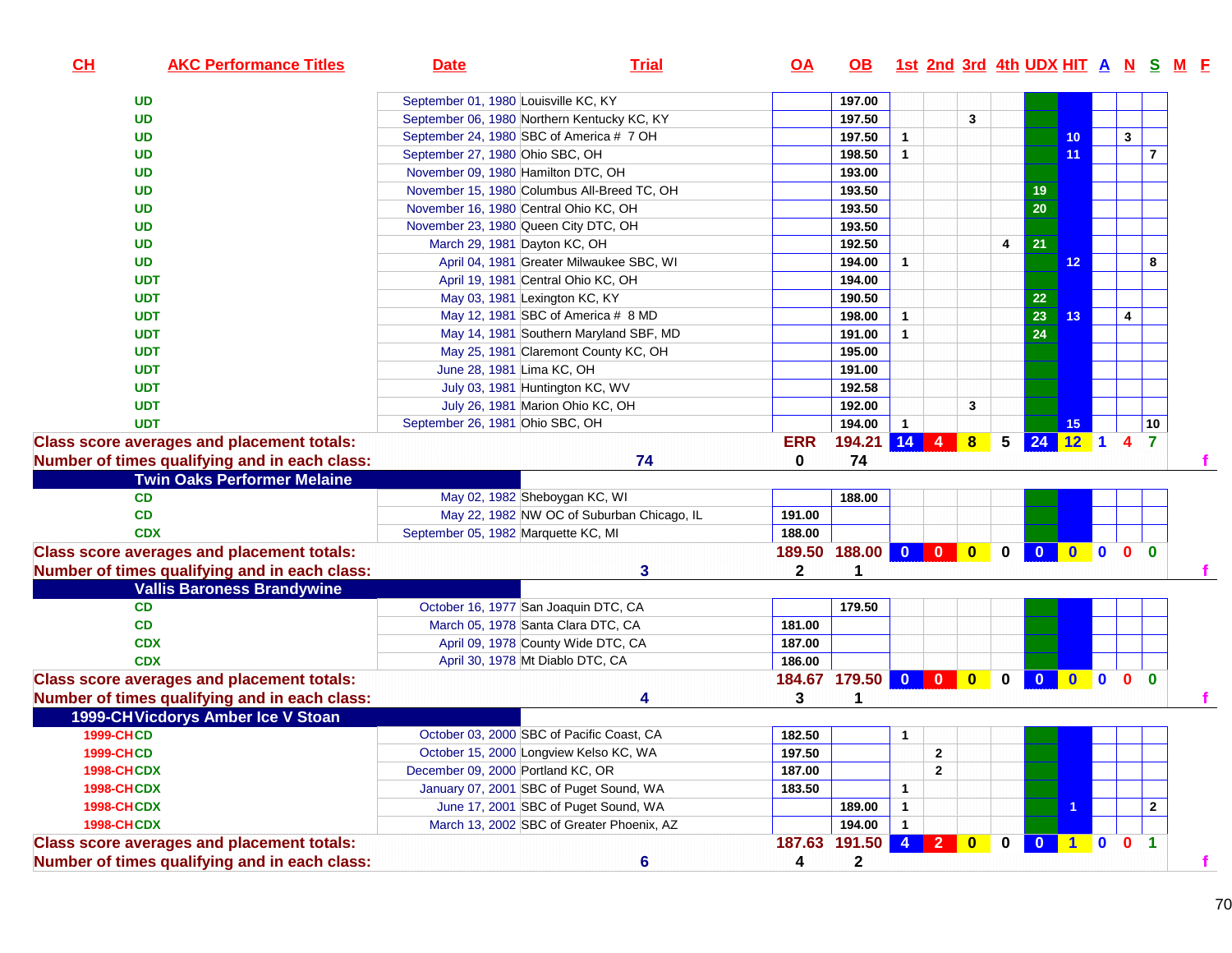| CH<br><b>AKC Performance Titles</b>               | <b>Date</b>                           | <b>Trial</b>                                | <u>OA</u>     | OB.                 |              |                                                                    |              |                 | <u>1st 2nd 3rd 4th UDX HIT A N S M E</u> |                           |                |                |                         |
|---------------------------------------------------|---------------------------------------|---------------------------------------------|---------------|---------------------|--------------|--------------------------------------------------------------------|--------------|-----------------|------------------------------------------|---------------------------|----------------|----------------|-------------------------|
| <b>UD</b>                                         | September 01, 1980 Louisville KC, KY  |                                             |               | 197.00              |              |                                                                    |              |                 |                                          |                           |                |                |                         |
| <b>UD</b>                                         |                                       | September 06, 1980 Northern Kentucky KC, KY |               | 197.50              |              |                                                                    | 3            |                 |                                          |                           |                |                |                         |
| <b>UD</b>                                         |                                       | September 24, 1980 SBC of America # 7 OH    |               | 197.50              | $\mathbf{1}$ |                                                                    |              |                 |                                          | 10 <sub>1</sub>           |                | 3              |                         |
| <b>UD</b>                                         | September 27, 1980 Ohio SBC, OH       |                                             |               | 198.50              | $\mathbf{1}$ |                                                                    |              |                 |                                          | 11                        |                |                | $\overline{\mathbf{r}}$ |
| <b>UD</b>                                         | November 09, 1980 Hamilton DTC, OH    |                                             |               | 193.00              |              |                                                                    |              |                 |                                          |                           |                |                |                         |
| <b>UD</b>                                         |                                       | November 15, 1980 Columbus All-Breed TC, OH |               | 193.50              |              |                                                                    |              |                 | 19                                       |                           |                |                |                         |
| <b>UD</b>                                         | November 16, 1980 Central Ohio KC, OH |                                             |               | 193.50              |              |                                                                    |              |                 | 20                                       |                           |                |                |                         |
| <b>UD</b>                                         |                                       | November 23, 1980 Queen City DTC, OH        |               | 193.50              |              |                                                                    |              |                 |                                          |                           |                |                |                         |
| <b>UD</b>                                         | March 29, 1981 Dayton KC, OH          |                                             |               | 192.50              |              |                                                                    |              | 4               | 21                                       |                           |                |                |                         |
| <b>UD</b>                                         |                                       | April 04, 1981 Greater Milwaukee SBC, WI    |               | 194.00              | $\mathbf{1}$ |                                                                    |              |                 |                                          | 12                        |                |                | 8                       |
| <b>UDT</b>                                        |                                       | April 19, 1981 Central Ohio KC, OH          |               | 194.00              |              |                                                                    |              |                 |                                          |                           |                |                |                         |
| <b>UDT</b>                                        |                                       | May 03, 1981 Lexington KC, KY               |               | 190.50              |              |                                                                    |              |                 | 22                                       |                           |                |                |                         |
| <b>UDT</b>                                        |                                       | May 12, 1981 SBC of America # 8 MD          |               | 198.00              | $\mathbf{1}$ |                                                                    |              |                 | 23                                       | 13                        |                | 4              |                         |
| <b>UDT</b>                                        |                                       | May 14, 1981 Southern Maryland SBF, MD      |               | 191.00              | $\mathbf{1}$ |                                                                    |              |                 | 24                                       |                           |                |                |                         |
| <b>UDT</b>                                        |                                       | May 25, 1981 Claremont County KC, OH        |               | 195.00              |              |                                                                    |              |                 |                                          |                           |                |                |                         |
| <b>UDT</b>                                        | June 28, 1981 Lima KC, OH             |                                             |               | 191.00              |              |                                                                    |              |                 |                                          |                           |                |                |                         |
| <b>UDT</b>                                        |                                       | July 03, 1981 Huntington KC, WV             |               | 192.58              |              |                                                                    |              |                 |                                          |                           |                |                |                         |
| <b>UDT</b>                                        |                                       | July 26, 1981 Marion Ohio KC, OH            |               | 192.00              |              |                                                                    | $\mathbf{3}$ |                 |                                          |                           |                |                |                         |
| <b>UDT</b>                                        | September 26, 1981 Ohio SBC, OH       |                                             |               | 194.00              | $\mathbf{1}$ |                                                                    |              |                 |                                          | 15                        |                |                | 10                      |
| <b>Class score averages and placement totals:</b> |                                       |                                             | <b>ERR</b>    | 194.21 14 4         |              |                                                                    | 8            | $5\overline{)}$ | 24 12 1 4 7                              |                           |                |                |                         |
| Number of times qualifying and in each class:     |                                       | 74                                          | 0             | 74                  |              |                                                                    |              |                 |                                          |                           |                |                |                         |
| <b>Twin Oaks Performer Melaine</b>                |                                       |                                             |               |                     |              |                                                                    |              |                 |                                          |                           |                |                |                         |
| CD                                                |                                       | May 02, 1982 Sheboygan KC, WI               |               | 188.00              |              |                                                                    |              |                 |                                          |                           |                |                |                         |
| <b>CD</b>                                         |                                       | May 22, 1982 NW OC of Suburban Chicago, IL  | 191.00        |                     |              |                                                                    |              |                 |                                          |                           |                |                |                         |
| <b>CDX</b>                                        | September 05, 1982 Marquette KC, MI   |                                             | 188.00        |                     |              |                                                                    |              |                 |                                          |                           |                |                |                         |
| <b>Class score averages and placement totals:</b> |                                       |                                             | 189.50        | 188.00              | $\bullet$    | $\begin{array}{ c c c c c }\n\hline\n0 & 0 \\ \hline\n\end{array}$ |              | $\mathbf 0$     | $\mathbf{0}$                             | $\mathbf{0}$              | $\blacksquare$ | 0 <sub>0</sub> |                         |
| Number of times qualifying and in each class:     |                                       | 3                                           | $\mathbf{2}$  |                     |              |                                                                    |              |                 |                                          |                           |                |                |                         |
| <b>Vallis Baroness Brandywine</b>                 |                                       |                                             |               |                     |              |                                                                    |              |                 |                                          |                           |                |                |                         |
| <b>CD</b>                                         |                                       | October 16, 1977 San Joaquin DTC, CA        |               | 179.50              |              |                                                                    |              |                 |                                          |                           |                |                |                         |
| <b>CD</b>                                         |                                       | March 05, 1978 Santa Clara DTC, CA          | 181.00        |                     |              |                                                                    |              |                 |                                          |                           |                |                |                         |
| <b>CDX</b>                                        |                                       | April 09, 1978 County Wide DTC, CA          | 187.00        |                     |              |                                                                    |              |                 |                                          |                           |                |                |                         |
| <b>CDX</b>                                        |                                       | April 30, 1978 Mt Diablo DTC, CA            | 186.00        |                     |              |                                                                    |              |                 |                                          |                           |                |                |                         |
| <b>Class score averages and placement totals:</b> |                                       |                                             |               | 184.67 179.50 0 0 0 |              |                                                                    |              | $\mathbf{0}$    | $\bullet$                                | $\mathbf{0}$ $\mathbf{0}$ |                | 0 <sub>0</sub> |                         |
| Number of times qualifying and in each class:     |                                       | 4                                           | 3             |                     |              |                                                                    |              |                 |                                          |                           |                |                |                         |
| 1999-CH Vicdorys Amber Ice V Stoan                |                                       |                                             |               |                     |              |                                                                    |              |                 |                                          |                           |                |                |                         |
| <b>1999-CHCD</b>                                  |                                       | October 03, 2000 SBC of Pacific Coast, CA   | 182.50        |                     | 1            |                                                                    |              |                 |                                          |                           |                |                |                         |
| 1999-CHCD                                         |                                       | October 15, 2000 Longview Kelso KC, WA      | 197.50        |                     |              | 2                                                                  |              |                 |                                          |                           |                |                |                         |
| <b>1998-CHCDX</b>                                 | December 09, 2000 Portland KC, OR     |                                             | 187.00        |                     |              | $\mathbf{2}$                                                       |              |                 |                                          |                           |                |                |                         |
| <b>1998-CHCDX</b>                                 |                                       | January 07, 2001 SBC of Puget Sound, WA     | 183.50        |                     | $\mathbf{1}$ |                                                                    |              |                 |                                          |                           |                |                |                         |
| <b>1998-CHCDX</b>                                 |                                       | June 17, 2001 SBC of Puget Sound, WA        |               | 189.00              | $\mathbf{1}$ |                                                                    |              |                 |                                          |                           |                |                | $\mathbf{2}$            |
| <b>1998-CHCDX</b>                                 |                                       | March 13, 2002 SBC of Greater Phoenix, AZ   |               | 194.00              | $\mathbf{1}$ |                                                                    |              |                 |                                          |                           |                |                |                         |
| <b>Class score averages and placement totals:</b> |                                       |                                             |               |                     |              |                                                                    |              |                 |                                          |                           |                |                |                         |
|                                                   |                                       |                                             | 187.63 191.50 |                     |              | 4 2 0                                                              |              | $\mathbf 0$     |                                          | 0 1 0 0 1                 |                |                |                         |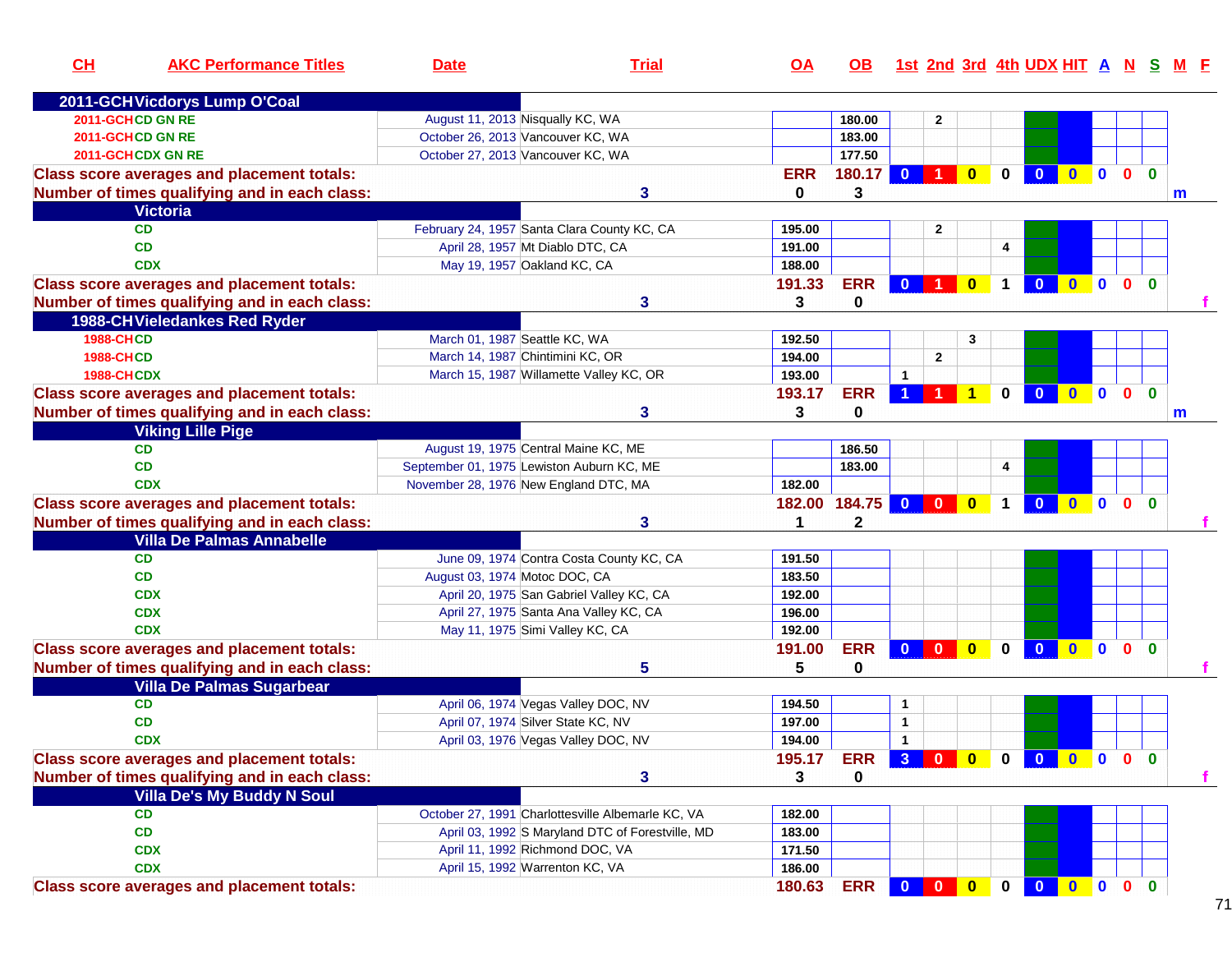| CL                | <b>AKC Performance Titles</b>                     | <b>Date</b>                       | <b>Trial</b>                                      | <u>OA</u>  | OB.                     |                      |              |                         |                      | 1st 2nd 3rd 4th UDX HIT A N S M F |              |              |              |              |   |
|-------------------|---------------------------------------------------|-----------------------------------|---------------------------------------------------|------------|-------------------------|----------------------|--------------|-------------------------|----------------------|-----------------------------------|--------------|--------------|--------------|--------------|---|
|                   | 2011-GCH Vicdorys Lump O'Coal                     |                                   |                                                   |            |                         |                      |              |                         |                      |                                   |              |              |              |              |   |
|                   | 2011-GCHCD GN RE                                  | August 11, 2013 Nisqually KC, WA  |                                                   |            | 180.00                  |                      | $\mathbf{2}$ |                         |                      |                                   |              |              |              |              |   |
|                   | 2011-GCHCD GN RE                                  | October 26, 2013 Vancouver KC, WA |                                                   |            | 183.00                  |                      |              |                         |                      |                                   |              |              |              |              |   |
|                   | 2011-GCHCDX GN RE                                 | October 27, 2013 Vancouver KC, WA |                                                   |            | 177.50                  |                      |              |                         |                      |                                   |              |              |              |              |   |
|                   | <b>Class score averages and placement totals:</b> |                                   |                                                   | <b>ERR</b> | 180.17                  | $\mathbf{0}$         |              | $\mathbf{0}$            | $\bf{0}$             |                                   |              | $\mathbf{0}$ | $\mathbf{0}$ | $\Omega$     |   |
|                   | Number of times qualifying and in each class:     |                                   | 3                                                 | 0          | 3                       |                      |              |                         |                      |                                   |              |              |              |              | m |
|                   | <b>Victoria</b>                                   |                                   |                                                   |            |                         |                      |              |                         |                      |                                   |              |              |              |              |   |
|                   | <b>CD</b>                                         |                                   | February 24, 1957 Santa Clara County KC, CA       | 195.00     |                         |                      | $\mathbf{2}$ |                         |                      |                                   |              |              |              |              |   |
|                   | <b>CD</b>                                         |                                   | April 28, 1957 Mt Diablo DTC, CA                  | 191.00     |                         |                      |              |                         | 4                    |                                   |              |              |              |              |   |
|                   | <b>CDX</b>                                        |                                   | May 19, 1957 Oakland KC, CA                       | 188.00     |                         |                      |              |                         |                      |                                   |              |              |              |              |   |
|                   | <b>Class score averages and placement totals:</b> |                                   |                                                   | 191.33     | <b>ERR</b>              | $\mathbf{0}$         |              | $\overline{\mathbf{0}}$ | $\blacktriangleleft$ |                                   | $\bullet$    | $\mathbf{0}$ | $\mathbf{0}$ | $\Omega$     |   |
|                   | Number of times qualifying and in each class:     |                                   | 3                                                 | 3          | $\mathbf 0$             |                      |              |                         |                      |                                   |              |              |              |              |   |
|                   | 1988-CH Vieledankes Red Ryder                     |                                   |                                                   |            |                         |                      |              |                         |                      |                                   |              |              |              |              |   |
| <b>1988-CHCD</b>  |                                                   | March 01, 1987 Seattle KC, WA     |                                                   | 192.50     |                         |                      |              | 3                       |                      |                                   |              |              |              |              |   |
| <b>1988-CHCD</b>  |                                                   |                                   | March 14, 1987 Chintimini KC, OR                  | 194.00     |                         |                      | $\mathbf{2}$ |                         |                      |                                   |              |              |              |              |   |
| <b>1988-CHCDX</b> |                                                   |                                   | March 15, 1987 Willamette Valley KC, OR           | 193.00     |                         | $\blacktriangleleft$ |              |                         |                      |                                   |              |              |              |              |   |
|                   | <b>Class score averages and placement totals:</b> |                                   |                                                   | 193.17     | <b>ERR</b>              |                      |              |                         | 0                    | $\Omega$                          | $\mathbf{0}$ | $\mathbf{0}$ | $\mathbf{0}$ | $\mathbf{0}$ |   |
|                   | Number of times qualifying and in each class:     |                                   | 3                                                 | 3          | 0                       |                      |              |                         |                      |                                   |              |              |              |              | m |
|                   | <b>Viking Lille Pige</b>                          |                                   |                                                   |            |                         |                      |              |                         |                      |                                   |              |              |              |              |   |
|                   | <b>CD</b>                                         |                                   | August 19, 1975 Central Maine KC, ME              |            | 186.50                  |                      |              |                         |                      |                                   |              |              |              |              |   |
|                   | <b>CD</b>                                         |                                   | September 01, 1975 Lewiston Auburn KC, ME         |            | 183.00                  |                      |              |                         | 4                    |                                   |              |              |              |              |   |
|                   | <b>CDX</b>                                        |                                   | November 28, 1976 New England DTC, MA             | 182.00     |                         |                      |              |                         |                      |                                   |              |              |              |              |   |
|                   | <b>Class score averages and placement totals:</b> |                                   |                                                   | 182.00     | 184.75                  | $\mathbf{0}$         | $\Omega$     | $\mathbf{0}$            | 1                    |                                   | $\mathbf{0}$ | $\mathbf{0}$ | $\mathbf{0}$ | $\mathbf{0}$ |   |
|                   | Number of times qualifying and in each class:     |                                   | 3                                                 | 1          | $\mathbf 2$             |                      |              |                         |                      |                                   |              |              |              |              |   |
|                   | <b>Villa De Palmas Annabelle</b>                  |                                   |                                                   |            |                         |                      |              |                         |                      |                                   |              |              |              |              |   |
|                   | <b>CD</b>                                         |                                   | June 09, 1974 Contra Costa County KC, CA          | 191.50     |                         |                      |              |                         |                      |                                   |              |              |              |              |   |
|                   | <b>CD</b>                                         | August 03, 1974 Motoc DOC, CA     |                                                   | 183.50     |                         |                      |              |                         |                      |                                   |              |              |              |              |   |
|                   | <b>CDX</b>                                        |                                   | April 20, 1975 San Gabriel Valley KC, CA          | 192.00     |                         |                      |              |                         |                      |                                   |              |              |              |              |   |
|                   | <b>CDX</b>                                        |                                   | April 27, 1975 Santa Ana Valley KC, CA            | 196.00     |                         |                      |              |                         |                      |                                   |              |              |              |              |   |
|                   | <b>CDX</b>                                        |                                   | May 11, 1975 Simi Valley KC, CA                   | 192.00     |                         |                      |              |                         |                      |                                   |              |              |              |              |   |
|                   | <b>Class score averages and placement totals:</b> |                                   |                                                   | 191.00     | <b>ERR</b>              | $\mathbf{0}$         | $\mathbf{0}$ | $\overline{\mathbf{0}}$ | $\bf{0}$             | $\mathbf{0}$                      | $\mathbf{0}$ | $\mathbf{0}$ | $\mathbf{0}$ | $\mathbf{0}$ |   |
|                   | Number of times qualifying and in each class:     |                                   | 5                                                 | 5          | 0                       |                      |              |                         |                      |                                   |              |              |              |              |   |
|                   | <b>Villa De Palmas Sugarbear</b>                  |                                   |                                                   |            |                         |                      |              |                         |                      |                                   |              |              |              |              |   |
|                   | <b>CD</b>                                         |                                   | April 06, 1974 Vegas Valley DOC, NV               | 194.50     |                         | $\mathbf{1}$         |              |                         |                      |                                   |              |              |              |              |   |
|                   | <b>CD</b>                                         |                                   | April 07, 1974 Silver State KC, NV                | 197.00     |                         | $\mathbf{1}$         |              |                         |                      |                                   |              |              |              |              |   |
|                   | <b>CDX</b>                                        |                                   | April 03, 1976 Vegas Valley DOC, NV               | 194.00     |                         | $\mathbf{1}$         |              |                         |                      |                                   |              |              |              |              |   |
|                   | <b>Class score averages and placement totals:</b> |                                   |                                                   | 195.17     | ERR 3 0 0 0 0 0 0 0 0 0 |                      |              |                         |                      |                                   |              |              |              |              |   |
|                   | Number of times qualifying and in each class:     |                                   | 3                                                 | 3          | 0                       |                      |              |                         |                      |                                   |              |              |              |              |   |
|                   | <b>Villa De's My Buddy N Soul</b>                 |                                   |                                                   |            |                         |                      |              |                         |                      |                                   |              |              |              |              |   |
|                   | <b>CD</b>                                         |                                   | October 27, 1991 Charlottesville Albemarle KC, VA | 182.00     |                         |                      |              |                         |                      |                                   |              |              |              |              |   |
|                   | CD                                                |                                   | April 03, 1992 S Maryland DTC of Forestville, MD  | 183.00     |                         |                      |              |                         |                      |                                   |              |              |              |              |   |
|                   | <b>CDX</b>                                        |                                   | April 11, 1992 Richmond DOC, VA                   | 171.50     |                         |                      |              |                         |                      |                                   |              |              |              |              |   |
|                   | <b>CDX</b>                                        |                                   | April 15, 1992 Warrenton KC, VA                   | 186.00     |                         |                      |              |                         |                      |                                   |              |              |              |              |   |
|                   |                                                   |                                   |                                                   |            | <b>ERR</b>              | $\mathbf{0}$         | $\bullet$    | $\bullet$               |                      | $\mathbf{0}$                      | $0$ 0 0      |              |              | $\mathbf{0}$ |   |
|                   | <b>Class score averages and placement totals:</b> |                                   |                                                   | 180.63     |                         |                      |              |                         | $\mathbf 0$          |                                   |              |              |              |              |   |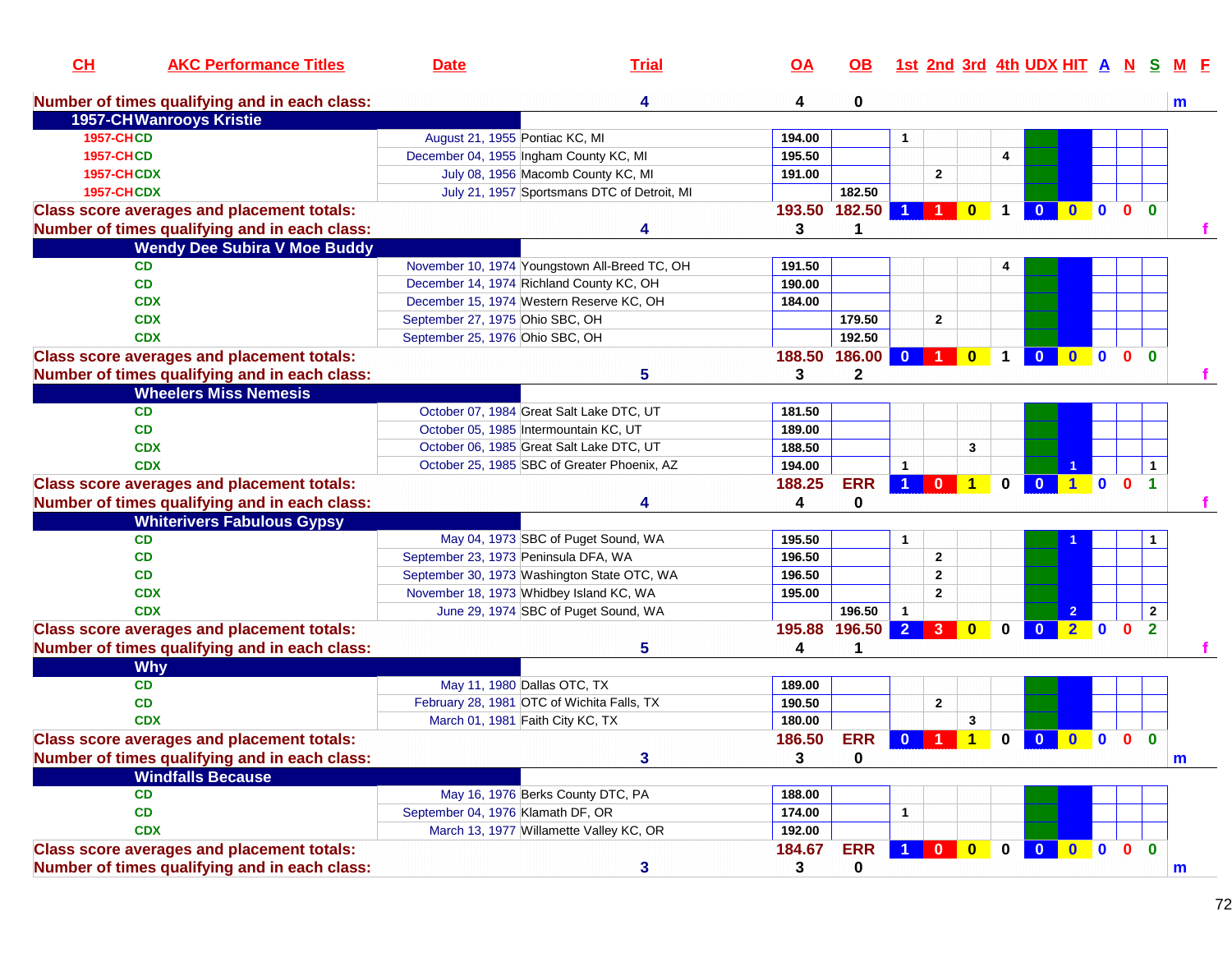| CL                | <b>AKC Performance Titles</b>                     | <b>Date</b>                                 | <b>Trial</b>                                  | <u>OA</u>     | $\overline{OB}$ |                      | <u>1st 2nd 3rd 4th UDX HIT A N S</u> |              |             |                         |                |              |                |                      |              |
|-------------------|---------------------------------------------------|---------------------------------------------|-----------------------------------------------|---------------|-----------------|----------------------|--------------------------------------|--------------|-------------|-------------------------|----------------|--------------|----------------|----------------------|--------------|
|                   | Number of times qualifying and in each class:     |                                             | 4                                             | 4             | 0               |                      |                                      |              |             |                         |                |              |                |                      | m            |
|                   | 1957-CHWanrooys Kristie                           |                                             |                                               |               |                 |                      |                                      |              |             |                         |                |              |                |                      |              |
| <b>1957-CHCD</b>  |                                                   | August 21, 1955 Pontiac KC, MI              |                                               | 194.00        |                 | $\mathbf{1}$         |                                      |              |             |                         |                |              |                |                      |              |
| <b>1957-CHCD</b>  |                                                   | December 04, 1955 Ingham County KC, MI      |                                               | 195.50        |                 |                      |                                      |              | 4           |                         |                |              |                |                      |              |
| <b>1957-CHCDX</b> |                                                   |                                             | July 08, 1956 Macomb County KC, MI            | 191.00        |                 |                      | $\overline{2}$                       |              |             |                         |                |              |                |                      |              |
| <b>1957-CHCDX</b> |                                                   |                                             | July 21, 1957 Sportsmans DTC of Detroit, MI   |               | 182.50          |                      |                                      |              |             |                         |                |              |                |                      |              |
|                   | <b>Class score averages and placement totals:</b> |                                             |                                               | 193.50 182.50 |                 | $\blacktriangleleft$ | 10                                   |              | $\mathbf 1$ |                         | 0 0 0 0 0      |              |                |                      |              |
|                   | Number of times qualifying and in each class:     |                                             | 4                                             | 3             |                 |                      |                                      |              |             |                         |                |              |                |                      |              |
|                   | <b>Wendy Dee Subira V Moe Buddy</b>               |                                             |                                               |               |                 |                      |                                      |              |             |                         |                |              |                |                      |              |
|                   | CD                                                |                                             | November 10, 1974 Youngstown All-Breed TC, OH | 191.50        |                 |                      |                                      |              |             |                         |                |              |                |                      |              |
|                   | CD                                                | December 14, 1974 Richland County KC, OH    |                                               | 190.00        |                 |                      |                                      |              |             |                         |                |              |                |                      |              |
|                   | <b>CDX</b>                                        | December 15, 1974 Western Reserve KC, OH    |                                               | 184.00        |                 |                      |                                      |              |             |                         |                |              |                |                      |              |
|                   | <b>CDX</b>                                        | September 27, 1975 Ohio SBC, OH             |                                               |               | 179.50          |                      | $\overline{2}$                       |              |             |                         |                |              |                |                      |              |
|                   | <b>CDX</b>                                        | September 25, 1976 Ohio SBC, OH             |                                               |               | 192.50          |                      |                                      |              |             |                         |                |              |                |                      |              |
|                   | <b>Class score averages and placement totals:</b> |                                             |                                               | 188.50        | 186.00          | $\mathbf{0}$         |                                      | $\mathbf{0}$ | $\mathbf 1$ | $\mathbf{0}$            | $\mathbf{0}$   | $\mathbf{0}$ | 0 <sub>0</sub> |                      |              |
|                   | Number of times qualifying and in each class:     |                                             | 5                                             | 3             | $\mathbf 2$     |                      |                                      |              |             |                         |                |              |                |                      |              |
|                   | <b>Wheelers Miss Nemesis</b>                      |                                             |                                               |               |                 |                      |                                      |              |             |                         |                |              |                |                      |              |
|                   | <b>CD</b>                                         | October 07, 1984 Great Salt Lake DTC, UT    |                                               | 181.50        |                 |                      |                                      |              |             |                         |                |              |                |                      |              |
|                   | <b>CD</b>                                         | October 05, 1985 Intermountain KC, UT       |                                               | 189.00        |                 |                      |                                      |              |             |                         |                |              |                |                      |              |
|                   | <b>CDX</b>                                        | October 06, 1985 Great Salt Lake DTC, UT    |                                               | 188.50        |                 |                      |                                      | 3            |             |                         |                |              |                |                      |              |
|                   | <b>CDX</b>                                        |                                             | October 25, 1985 SBC of Greater Phoenix, AZ   | 194.00        |                 | $\mathbf{1}$         |                                      |              |             |                         |                |              |                |                      |              |
|                   |                                                   |                                             |                                               |               | <b>ERR</b>      |                      | 1 0                                  | 1            | $\mathbf 0$ |                         | 0 1 0 0        |              |                | $\blacktriangleleft$ |              |
|                   | <b>Class score averages and placement totals:</b> |                                             |                                               | 188.25        |                 |                      |                                      |              |             |                         |                |              |                |                      |              |
|                   | Number of times qualifying and in each class:     |                                             |                                               | 4             | 0               |                      |                                      |              |             |                         |                |              |                |                      |              |
|                   | <b>Whiterivers Fabulous Gypsy</b>                 |                                             |                                               |               |                 |                      |                                      |              |             |                         |                |              |                |                      |              |
|                   | <b>CD</b>                                         |                                             | May 04, 1973 SBC of Puget Sound, WA           | 195.50        |                 | $\mathbf{1}$         |                                      |              |             |                         |                |              |                |                      |              |
|                   | <b>CD</b>                                         | September 23, 1973 Peninsula DFA, WA        |                                               | 196.50        |                 |                      | $\overline{2}$                       |              |             |                         |                |              |                |                      |              |
|                   | <b>CD</b>                                         | September 30, 1973 Washington State OTC, WA |                                               | 196.50        |                 |                      | $\overline{2}$                       |              |             |                         |                |              |                |                      |              |
|                   | <b>CDX</b>                                        | November 18, 1973 Whidbey Island KC, WA     |                                               | 195.00        |                 |                      | $\overline{2}$                       |              |             |                         |                |              |                |                      |              |
|                   | <b>CDX</b>                                        |                                             | June 29, 1974 SBC of Puget Sound, WA          |               | 196.50          | $\overline{1}$       |                                      |              |             |                         | $\overline{2}$ |              |                | $\overline{2}$       |              |
|                   | <b>Class score averages and placement totals:</b> |                                             |                                               | 195.88 196.50 |                 |                      | $2 \quad 3 \quad$                    | $\bullet$    | $\mathbf 0$ | $\overline{\mathbf{0}}$ | $2 \ 0$        |              | $\mathbf{0}$   | $\overline{2}$       |              |
|                   | Number of times qualifying and in each class:     |                                             | 5                                             | 4             |                 |                      |                                      |              |             |                         |                |              |                |                      |              |
|                   | <b>Why</b>                                        |                                             |                                               |               |                 |                      |                                      |              |             |                         |                |              |                |                      |              |
|                   | CD                                                | May 11, 1980 Dallas OTC, TX                 |                                               | 189.00        |                 |                      |                                      |              |             |                         |                |              |                |                      |              |
|                   | <b>CD</b>                                         | February 28, 1981 OTC of Wichita Falls, TX  |                                               | 190.50        |                 |                      | $\overline{2}$                       |              |             |                         |                |              |                |                      |              |
|                   | <b>CDX</b>                                        | March 01, 1981 Faith City KC, TX            |                                               | 180.00        |                 |                      |                                      | $\mathbf{3}$ |             |                         |                |              |                |                      |              |
|                   | <b>Class score averages and placement totals:</b> |                                             |                                               | 186.50        | <b>ERR</b>      |                      | 0 1 1 0 0 0 0 0                      |              |             |                         |                |              |                | $\mathbf{0}$         |              |
|                   | Number of times qualifying and in each class:     |                                             | 3                                             | 3             | 0               |                      |                                      |              |             |                         |                |              |                |                      | m            |
|                   | <b>Windfalls Because</b>                          |                                             |                                               |               |                 |                      |                                      |              |             |                         |                |              |                |                      |              |
|                   | CD                                                |                                             | May 16, 1976 Berks County DTC, PA             | 188.00        |                 |                      |                                      |              |             |                         |                |              |                |                      |              |
|                   | CD                                                | September 04, 1976 Klamath DF, OR           |                                               | 174.00        |                 | 1                    |                                      |              |             |                         |                |              |                |                      |              |
|                   | <b>CDX</b>                                        |                                             | March 13, 1977 Willamette Valley KC, OR       | 192.00        |                 |                      |                                      |              |             |                         |                |              |                |                      |              |
|                   | <b>Class score averages and placement totals:</b> |                                             |                                               | 184.67        | <b>ERR</b>      |                      | 1 0                                  | $\bullet$    | $\mathbf 0$ |                         | 0 0 0 0 0      |              |                |                      |              |
|                   | Number of times qualifying and in each class:     |                                             | 3                                             | 3             | 0               |                      |                                      |              |             |                         |                |              |                |                      |              |
|                   |                                                   |                                             |                                               |               |                 |                      |                                      |              |             |                         |                |              |                |                      | $\mathbf{m}$ |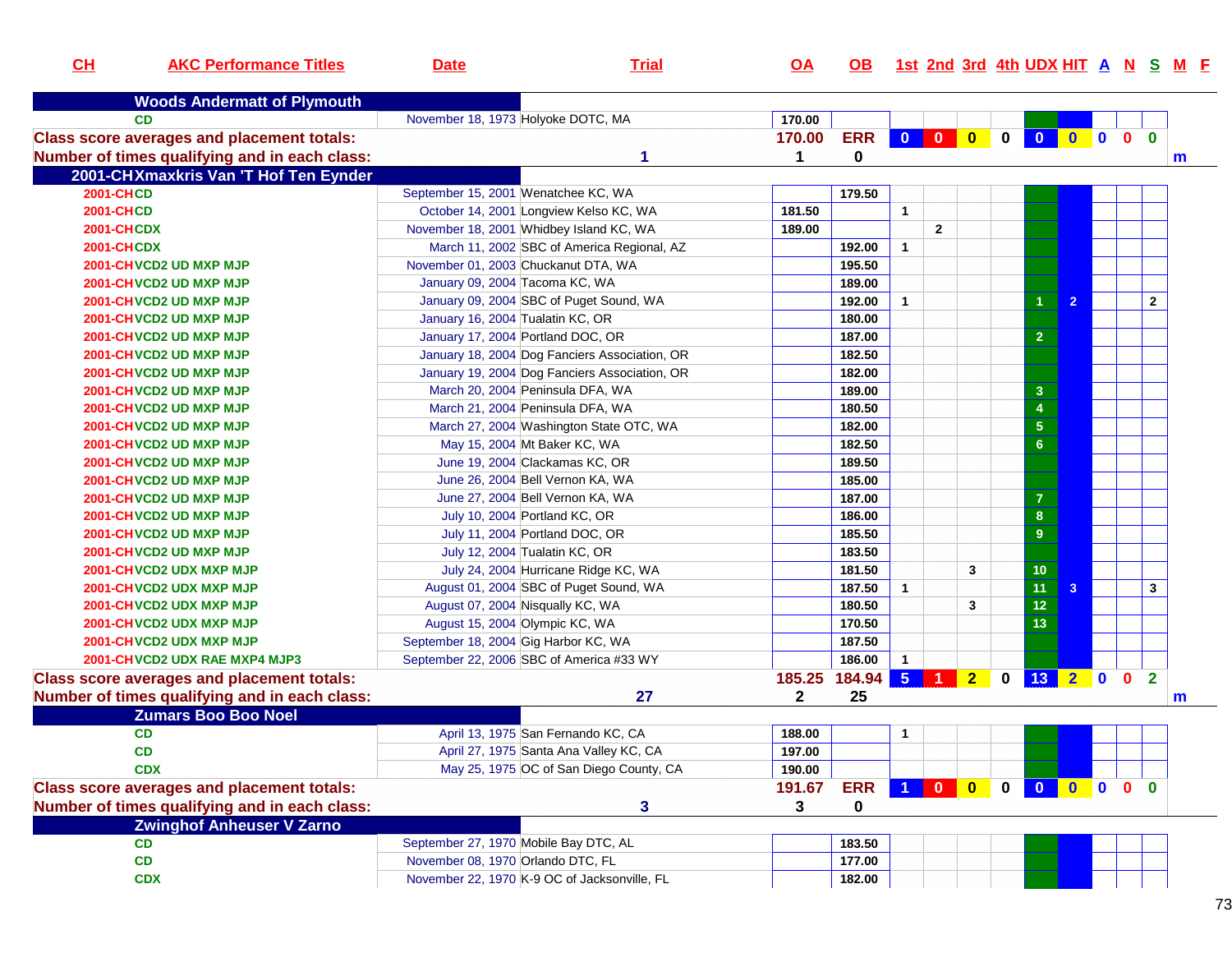| CL                                                | <b>AKC Performance Titles</b>                     | <b>Date</b>                       | <b>Trial</b>                                  | $\overline{OA}$ | <b>OB</b>  |                |                      |                |                |                                      |                |              |                | 1st 2nd 3rd 4th UDX HIT A N S M E |
|---------------------------------------------------|---------------------------------------------------|-----------------------------------|-----------------------------------------------|-----------------|------------|----------------|----------------------|----------------|----------------|--------------------------------------|----------------|--------------|----------------|-----------------------------------|
|                                                   |                                                   |                                   |                                               |                 |            |                |                      |                |                |                                      |                |              |                |                                   |
|                                                   | <b>Woods Andermatt of Plymouth</b>                |                                   |                                               |                 |            |                |                      |                |                |                                      |                |              |                |                                   |
|                                                   | CD                                                |                                   | November 18, 1973 Holyoke DOTC, MA            | 170.00          |            |                |                      |                |                |                                      |                |              |                |                                   |
| <b>Class score averages and placement totals:</b> |                                                   |                                   |                                               | 170.00          | <b>ERR</b> |                |                      |                | $\overline{0}$ | $\bullet$                            |                | $\mathbf{0}$ | $\mathbf{0}$   |                                   |
|                                                   | Number of times qualifying and in each class:     |                                   | 1                                             | 1               | $\bf{0}$   |                |                      |                |                |                                      |                |              |                | m                                 |
|                                                   | 2001-CHXmaxkris Van 'T Hof Ten Eynder             |                                   |                                               |                 |            |                |                      |                |                |                                      |                |              |                |                                   |
| <b>2001-CHCD</b>                                  |                                                   |                                   | September 15, 2001 Wenatchee KC, WA           |                 | 179.50     |                |                      |                |                |                                      |                |              |                |                                   |
| <b>2001-CHCD</b>                                  |                                                   |                                   | October 14, 2001 Longview Kelso KC, WA        | 181.50          |            | $\mathbf{1}$   |                      |                |                |                                      |                |              |                |                                   |
| <b>2001-CHCDX</b>                                 |                                                   |                                   | November 18, 2001 Whidbey Island KC, WA       | 189.00          |            |                | $\overline{2}$       |                |                |                                      |                |              |                |                                   |
| <b>2001-CHCDX</b>                                 |                                                   |                                   | March 11, 2002 SBC of America Regional, AZ    |                 | 192.00     | $\overline{1}$ |                      |                |                |                                      |                |              |                |                                   |
|                                                   | 2001-CHVCD2 UD MXP MJP                            |                                   | November 01, 2003 Chuckanut DTA, WA           |                 | 195.50     |                |                      |                |                |                                      |                |              |                |                                   |
|                                                   | 2001-CHVCD2 UD MXP MJP                            |                                   | January 09, 2004 Tacoma KC, WA                |                 | 189.00     |                |                      |                |                |                                      |                |              |                |                                   |
|                                                   | 2001-CHVCD2 UD MXP MJP                            |                                   | January 09, 2004 SBC of Puget Sound, WA       |                 | 192.00     | $\mathbf{1}$   |                      |                |                | $\overline{1}$                       | $\overline{2}$ |              | $\mathbf{2}$   |                                   |
|                                                   | 2001-CHVCD2 UD MXP MJP                            | January 16, 2004 Tualatin KC, OR  |                                               |                 | 180.00     |                |                      |                |                |                                      |                |              |                |                                   |
|                                                   | 2001-CHVCD2 UD MXP MJP                            |                                   | January 17, 2004 Portland DOC, OR             |                 | 187.00     |                |                      |                |                | $\overline{2}$                       |                |              |                |                                   |
|                                                   | 2001-CHVCD2 UD MXP MJP                            |                                   | January 18, 2004 Dog Fanciers Association, OR |                 | 182.50     |                |                      |                |                |                                      |                |              |                |                                   |
|                                                   | 2001-CHVCD2 UD MXP MJP                            |                                   | January 19, 2004 Dog Fanciers Association, OR |                 | 182.00     |                |                      |                |                |                                      |                |              |                |                                   |
|                                                   | 2001-CHVCD2 UD MXP MJP                            |                                   | March 20, 2004 Peninsula DFA, WA              |                 | 189.00     |                |                      |                |                | $\mathbf{3}$                         |                |              |                |                                   |
|                                                   | 2001-CHVCD2 UD MXP MJP                            |                                   | March 21, 2004 Peninsula DFA, WA              |                 | 180.50     |                |                      |                |                | $\overline{\mathbf{4}}$              |                |              |                |                                   |
|                                                   | 2001-CHVCD2 UD MXP MJP                            |                                   | March 27, 2004 Washington State OTC, WA       |                 | 182.00     |                |                      |                |                | 5 <sub>5</sub>                       |                |              |                |                                   |
|                                                   | 2001-CHVCD2 UD MXP MJP                            |                                   | May 15, 2004 Mt Baker KC, WA                  |                 | 182.50     |                |                      |                |                | 6 <sup>6</sup>                       |                |              |                |                                   |
|                                                   | 2001-CHVCD2 UD MXP MJP                            |                                   | June 19, 2004 Clackamas KC, OR                |                 | 189.50     |                |                      |                |                |                                      |                |              |                |                                   |
|                                                   | 2001-CHVCD2 UD MXP MJP                            |                                   | June 26, 2004 Bell Vernon KA, WA              |                 | 185.00     |                |                      |                |                |                                      |                |              |                |                                   |
|                                                   | 2001-CHVCD2 UD MXP MJP                            |                                   | June 27, 2004 Bell Vernon KA, WA              |                 | 187.00     |                |                      |                |                | $\overline{7}$                       |                |              |                |                                   |
|                                                   | 2001-CHVCD2 UD MXP MJP                            |                                   | July 10, 2004 Portland KC, OR                 |                 | 186.00     |                |                      |                |                | $\pmb{8}$                            |                |              |                |                                   |
|                                                   | 2001-CHVCD2 UD MXP MJP                            |                                   | July 11, 2004 Portland DOC, OR                |                 | 185.50     |                |                      |                |                | $\boldsymbol{9}$                     |                |              |                |                                   |
|                                                   | 2001-CHVCD2 UD MXP MJP                            |                                   | July 12, 2004 Tualatin KC, OR                 |                 | 183.50     |                |                      |                |                |                                      |                |              |                |                                   |
|                                                   | 2001-CHVCD2 UDX MXP MJP                           |                                   | July 24, 2004 Hurricane Ridge KC, WA          |                 | 181.50     |                |                      | $\mathbf{3}$   |                | 10 <sub>1</sub>                      |                |              |                |                                   |
|                                                   | 2001-CHVCD2 UDX MXP MJP                           |                                   | August 01, 2004 SBC of Puget Sound, WA        |                 | 187.50     | $\mathbf{1}$   |                      |                |                | 11                                   | 3 <sup>2</sup> |              | 3              |                                   |
|                                                   | 2001-CHVCD2 UDX MXP MJP                           |                                   | August 07, 2004 Nisqually KC, WA              |                 | 180.50     |                |                      | 3              |                | 12                                   |                |              |                |                                   |
|                                                   | 2001-CHVCD2 UDX MXP MJP                           |                                   | August 15, 2004 Olympic KC, WA                |                 | 170.50     |                |                      |                |                | 13                                   |                |              |                |                                   |
|                                                   | 2001-CHVCD2 UDX MXP MJP                           |                                   | September 18, 2004 Gig Harbor KC, WA          |                 | 187.50     |                |                      |                |                |                                      |                |              |                |                                   |
|                                                   | 2001-CHVCD2 UDX RAE MXP4 MJP3                     |                                   | September 22, 2006 SBC of America #33 WY      |                 | 186.00     | $\mathbf{1}$   |                      |                |                |                                      |                |              |                |                                   |
|                                                   | <b>Class score averages and placement totals:</b> |                                   |                                               | 185.25          | 184.94     | 5 <sub>5</sub> | $\blacktriangleleft$ | 2 <sub>2</sub> |                | $0 \quad 13 \quad 2 \quad 0 \quad 0$ |                |              | $\overline{2}$ |                                   |
|                                                   | Number of times qualifying and in each class:     |                                   | 27                                            | $\mathbf{2}$    | 25         |                |                      |                |                |                                      |                |              |                | m                                 |
|                                                   | <b>Zumars Boo Boo Noel</b>                        |                                   |                                               |                 |            |                |                      |                |                |                                      |                |              |                |                                   |
|                                                   | <b>CD</b>                                         |                                   | April 13, 1975 San Fernando KC, CA            | 188.00          |            | $\mathbf 1$    |                      |                |                |                                      |                |              |                |                                   |
|                                                   | CD                                                |                                   | April 27, 1975 Santa Ana Valley KC, CA        | 197.00          |            |                |                      |                |                |                                      |                |              |                |                                   |
|                                                   | <b>CDX</b>                                        |                                   | May 25, 1975 OC of San Diego County, CA       | 190.00          |            |                |                      |                |                |                                      |                |              |                |                                   |
|                                                   | <b>Class score averages and placement totals:</b> |                                   |                                               | 191.67          | <b>ERR</b> |                |                      |                | $\mathbf{0}$   | $\overline{\mathbf{0}}$              | $0$ 0          | $\mathbf{0}$ |                |                                   |
|                                                   |                                                   |                                   |                                               |                 |            |                |                      |                |                |                                      |                |              |                |                                   |
|                                                   | Number of times qualifying and in each class:     |                                   | 3                                             | 3               | 0          |                |                      |                |                |                                      |                |              |                |                                   |
|                                                   | <b>Zwinghof Anheuser V Zarno</b>                  |                                   |                                               |                 |            |                |                      |                |                |                                      |                |              |                |                                   |
|                                                   | <b>CD</b>                                         |                                   | September 27, 1970 Mobile Bay DTC, AL         |                 | 183.50     |                |                      |                |                |                                      |                |              |                |                                   |
|                                                   | CD                                                | November 08, 1970 Orlando DTC, FL |                                               |                 | 177.00     |                |                      |                |                |                                      |                |              |                |                                   |
|                                                   | <b>CDX</b>                                        |                                   | November 22, 1970 K-9 OC of Jacksonville, FL  |                 | 182.00     |                |                      |                |                |                                      |                |              |                |                                   |